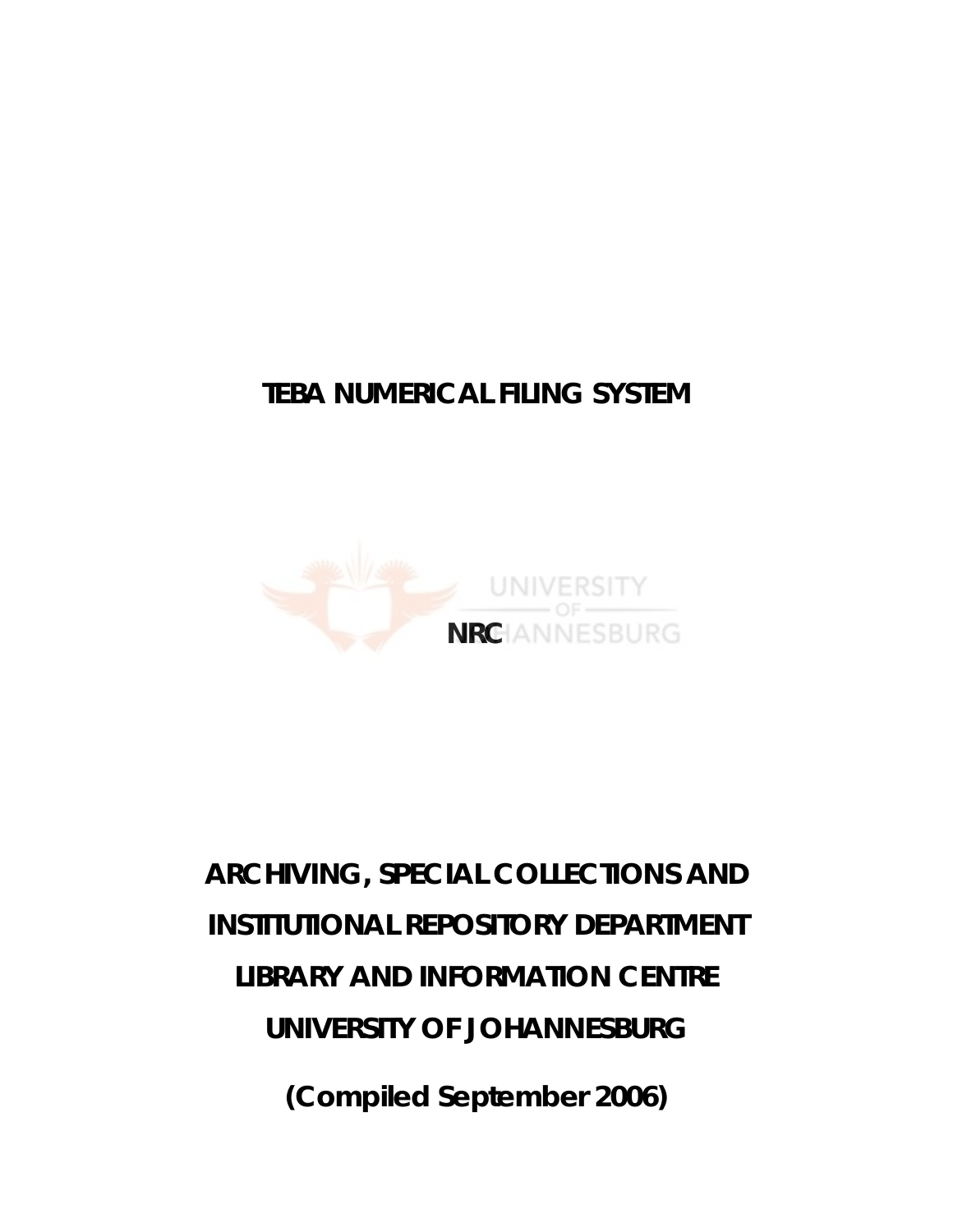## **TEBA NUMERICAL FILING SYSTEM**



## **ARCHIVING, SPECIAL COLLECTIONS AND INSTITUTIONAL REPOSITORY DEPARTMENT LIBRARY AND INFORMATION CENTRE UNIVERSITY OF JOHANNESBURG**

**(Compiled September 2006)**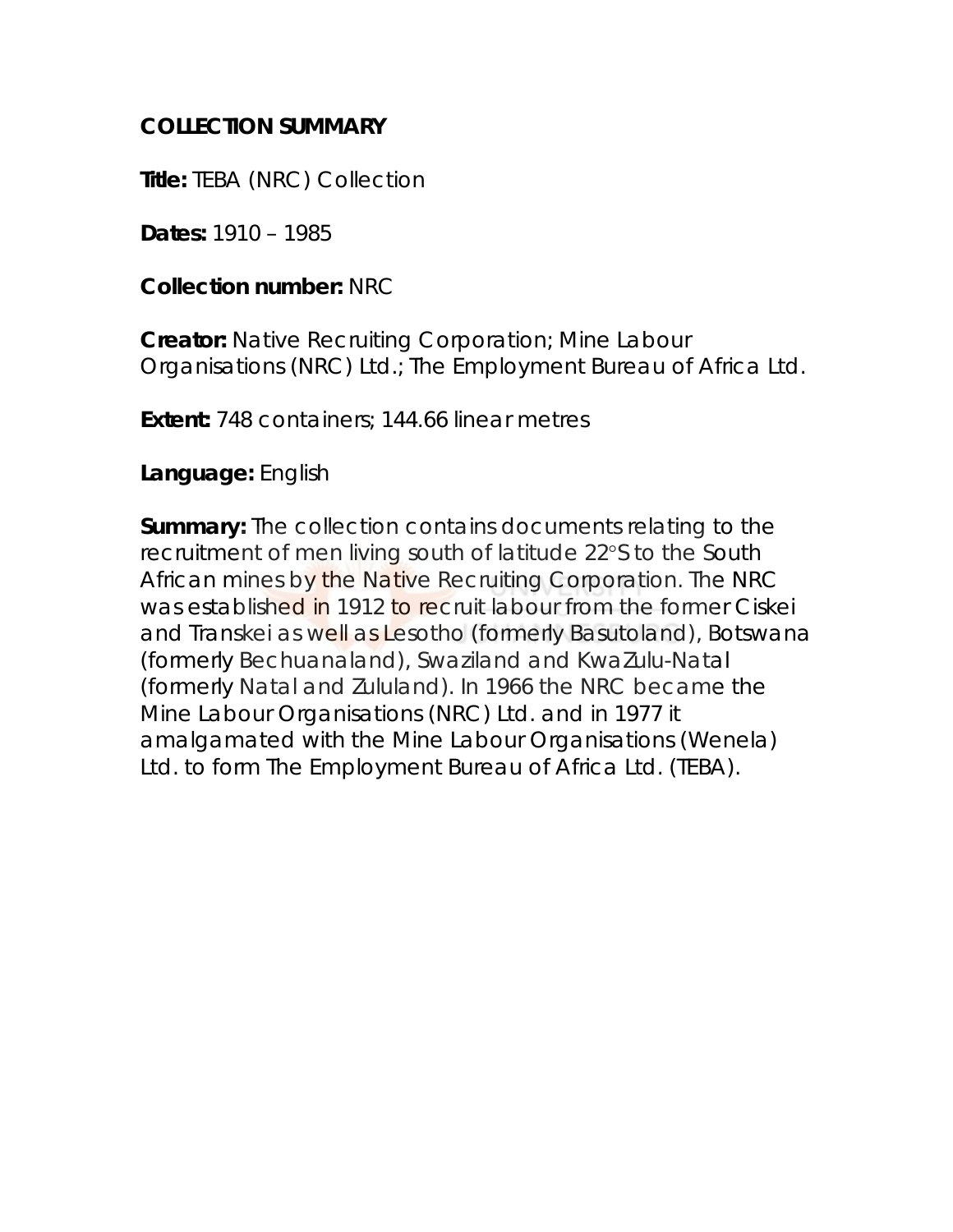## **COLLECTION SUMMARY**

**Title:** TEBA (NRC) Collection

**Dates:** 1910 – 1985

**Collection number:** NRC

**Creator:** Native Recruiting Corporation; Mine Labour Organisations (NRC) Ltd.; The Employment Bureau of Africa Ltd.

**Extent:** 748 containers; 144.66 linear metres

## **Language:** English

**Summary:** The collection contains documents relating to the recruitment of men living south of latitude 22°S to the South African mines by the Native Recruiting Corporation. The NRC was established in 1912 to recruit labour from the former Ciskei and Transkei as well as Lesotho (formerly Basutoland), Botswana (formerly Bechuanaland), Swaziland and KwaZulu-Natal (formerly Natal and Zululand). In 1966 the NRC became the Mine Labour Organisations (NRC) Ltd. and in 1977 it amalgamated with the Mine Labour Organisations (Wenela) Ltd. to form The Employment Bureau of Africa Ltd. (TEBA).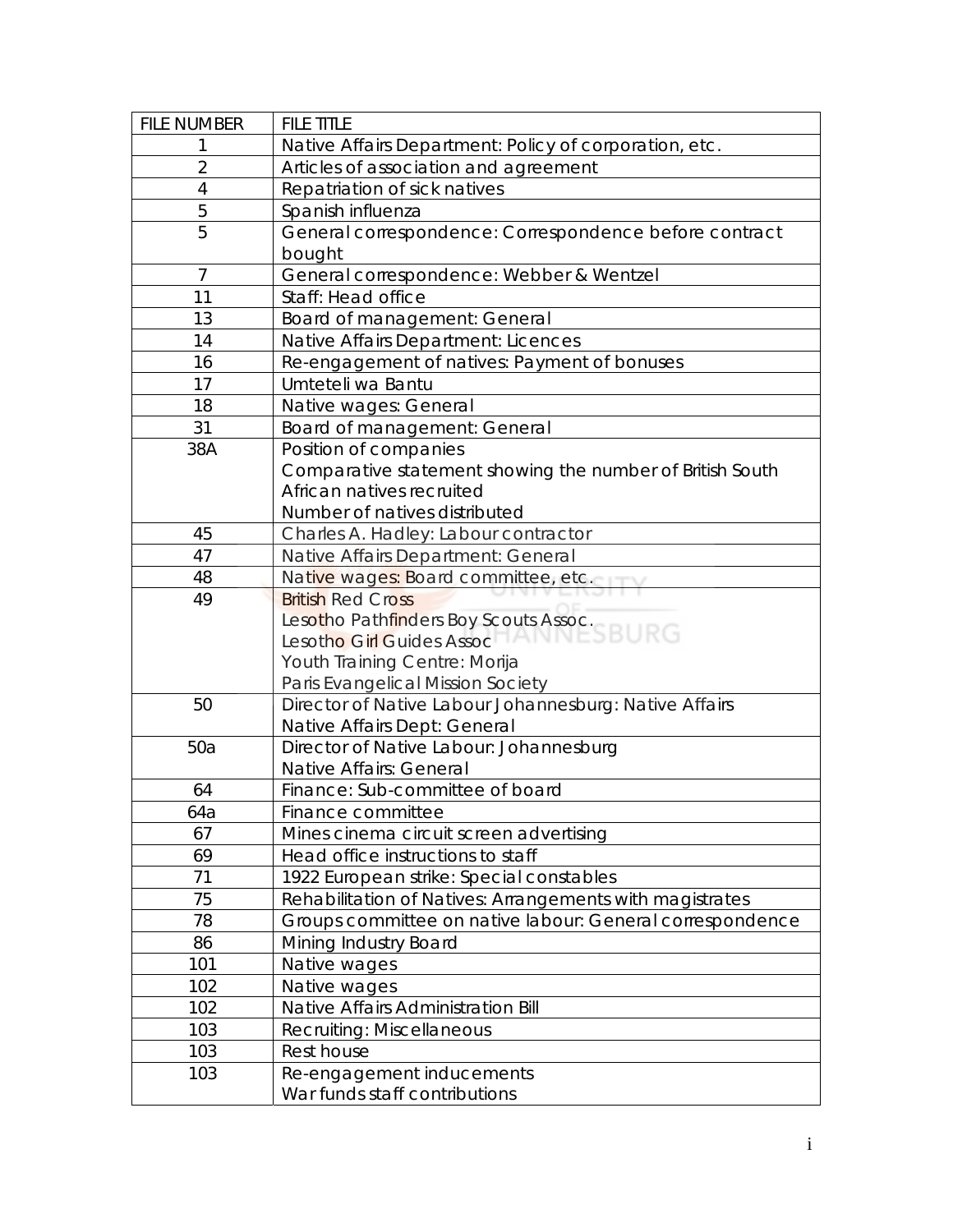| <b>FILE NUMBER</b> | <b>FILE TITLE</b>                                         |
|--------------------|-----------------------------------------------------------|
|                    | Native Affairs Department: Policy of corporation, etc.    |
| $\overline{2}$     | Articles of association and agreement                     |
| $\overline{4}$     | Repatriation of sick natives                              |
| 5                  | Spanish influenza                                         |
| 5                  | General correspondence: Correspondence before contract    |
|                    | bought                                                    |
| $\overline{7}$     | General correspondence: Webber & Wentzel                  |
| 11                 | Staff: Head office                                        |
| 13                 | Board of management: General                              |
| 14                 | Native Affairs Department: Licences                       |
| 16                 | Re-engagement of natives: Payment of bonuses              |
| 17                 | Umteteli wa Bantu                                         |
| 18                 | Native wages: General                                     |
| 31                 | Board of management: General                              |
| 38A                | Position of companies                                     |
|                    | Comparative statement showing the number of British South |
|                    | African natives recruited                                 |
|                    | Number of natives distributed                             |
| 45                 | Charles A. Hadley: Labour contractor                      |
| 47                 | Native Affairs Department: General                        |
| 48                 | Native wages: Board committee, etc.                       |
| 49                 | <b>British Red Cross</b>                                  |
|                    | Lesotho Pathfinders Boy Scouts Assoc.                     |
|                    | Lesotho Girl Guides Assoc                                 |
|                    | Youth Training Centre: Morija                             |
|                    | Paris Evangelical Mission Society                         |
| 50                 | Director of Native Labour Johannesburg: Native Affairs    |
|                    | Native Affairs Dept: General                              |
| 50a                | Director of Native Labour: Johannesburg                   |
|                    | Native Affairs: General                                   |
| 64                 | Finance: Sub-committee of board                           |
| 64a                | Finance committee                                         |
| 67                 | Mines cinema circuit screen advertising                   |
| 69                 | Head office instructions to staff                         |
| 71                 | 1922 European strike: Special constables                  |
| 75                 | Rehabilitation of Natives: Arrangements with magistrates  |
| 78                 | Groups committee on native labour: General correspondence |
| 86                 | Mining Industry Board                                     |
| 101                | Native wages                                              |
| 102                | Native wages                                              |
| 102                | Native Affairs Administration Bill                        |
| 103                | Recruiting: Miscellaneous                                 |
| 103                | Rest house                                                |
| 103                | Re-engagement inducements                                 |
|                    | War funds staff contributions                             |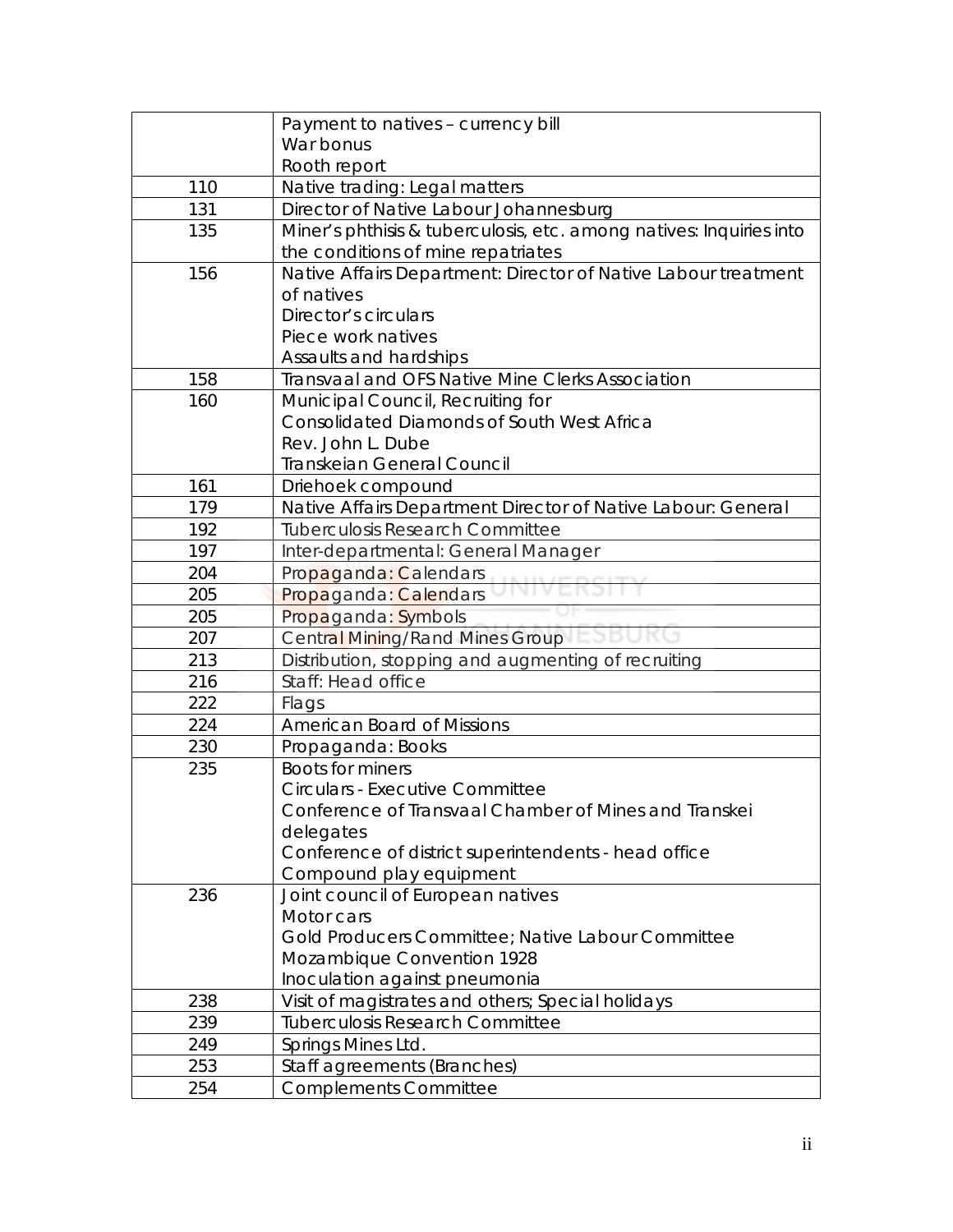|     | Payment to natives - currency bill                                  |
|-----|---------------------------------------------------------------------|
|     | War bonus                                                           |
|     | Rooth report                                                        |
| 110 | Native trading: Legal matters                                       |
| 131 | Director of Native Labour Johannesburg                              |
| 135 | Miner's phthisis & tuberculosis, etc. among natives: Inquiries into |
|     | the conditions of mine repatriates                                  |
| 156 | Native Affairs Department: Director of Native Labour treatment      |
|     | of natives                                                          |
|     | Director's circulars                                                |
|     | Piece work natives                                                  |
|     | Assaults and hardships                                              |
| 158 | Transvaal and OFS Native Mine Clerks Association                    |
| 160 | Municipal Council, Recruiting for                                   |
|     | Consolidated Diamonds of South West Africa                          |
|     | Rev. John L. Dube                                                   |
|     | Transkeian General Council                                          |
| 161 | Driehoek compound                                                   |
| 179 | Native Affairs Department Director of Native Labour: General        |
| 192 | <b>Tuberculosis Research Committee</b>                              |
| 197 | Inter-departmental: General Manager                                 |
| 204 | Propaganda: Calendars                                               |
| 205 | Propaganda: Calendars                                               |
| 205 | Propaganda: Symbols                                                 |
| 207 | <b>Central Mining/Rand Mines Group</b>                              |
| 213 | Distribution, stopping and augmenting of recruiting                 |
| 216 | Staff: Head office                                                  |
| 222 | Flags                                                               |
| 224 | <b>American Board of Missions</b>                                   |
| 230 | Propaganda: Books                                                   |
| 235 | <b>Boots for miners</b>                                             |
|     | <b>Circulars - Executive Committee</b>                              |
|     | Conference of Transvaal Chamber of Mines and Transkei               |
|     | delegates                                                           |
|     | Conference of district superintendents - head office                |
|     | Compound play equipment                                             |
| 236 | Joint council of European natives                                   |
|     | Motor cars                                                          |
|     | Gold Producers Committee; Native Labour Committee                   |
|     | Mozambique Convention 1928                                          |
|     | Inoculation against pneumonia                                       |
| 238 | Visit of magistrates and others; Special holidays                   |
| 239 | <b>Tuberculosis Research Committee</b>                              |
| 249 | Springs Mines Ltd.                                                  |
| 253 | Staff agreements (Branches)                                         |
| 254 | <b>Complements Committee</b>                                        |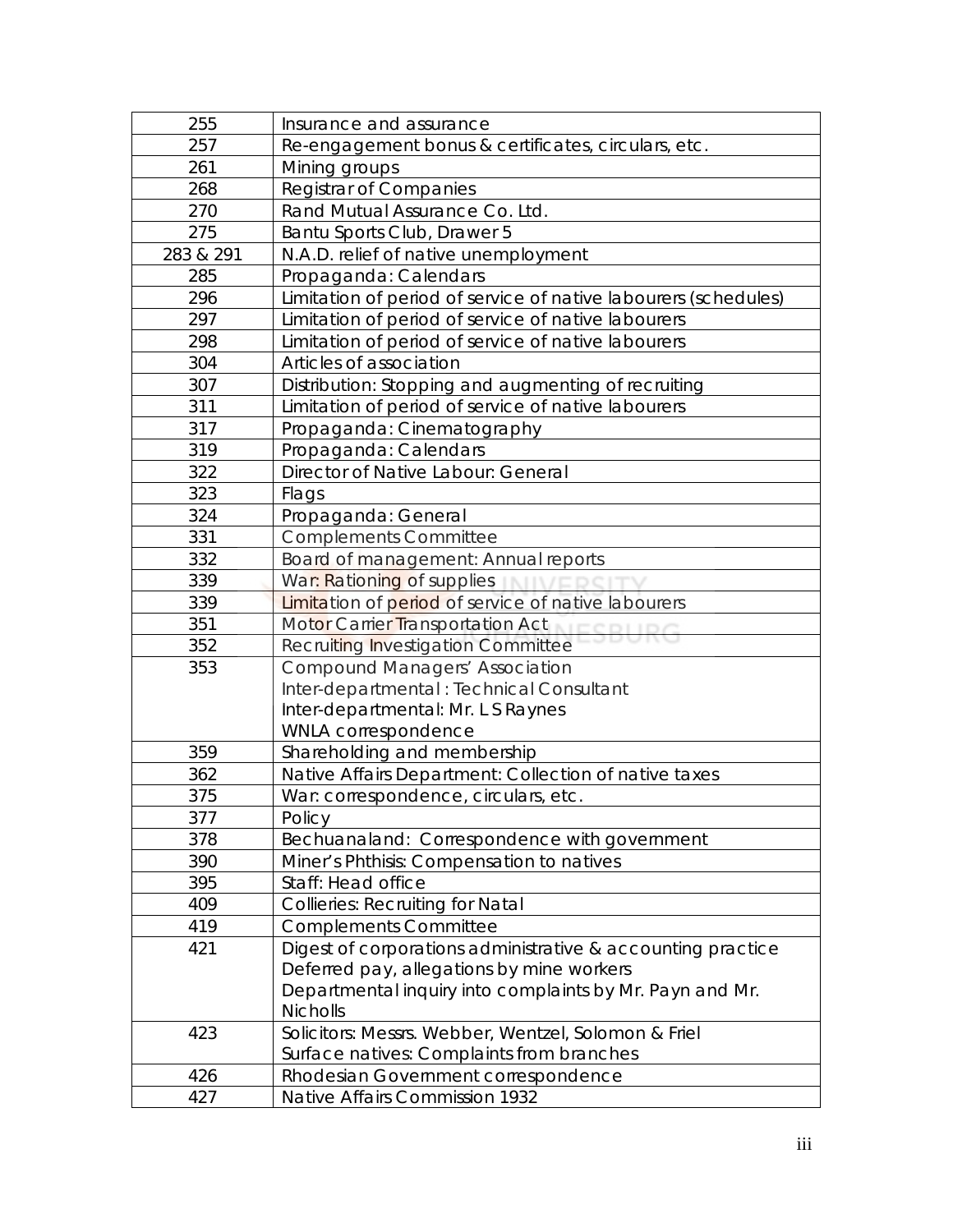| 255       | Insurance and assurance                                         |
|-----------|-----------------------------------------------------------------|
| 257       | Re-engagement bonus & certificates, circulars, etc.             |
| 261       | Mining groups                                                   |
| 268       | <b>Registrar of Companies</b>                                   |
| 270       | Rand Mutual Assurance Co. Ltd.                                  |
| 275       | Bantu Sports Club, Drawer 5                                     |
| 283 & 291 | N.A.D. relief of native unemployment                            |
| 285       | Propaganda: Calendars                                           |
| 296       | Limitation of period of service of native labourers (schedules) |
| 297       | Limitation of period of service of native labourers             |
| 298       | Limitation of period of service of native labourers             |
| 304       | Articles of association                                         |
| 307       | Distribution: Stopping and augmenting of recruiting             |
| 311       | Limitation of period of service of native labourers             |
| 317       | Propaganda: Cinematography                                      |
| 319       | Propaganda: Calendars                                           |
| 322       | Director of Native Labour: General                              |
| 323       | Flags                                                           |
| 324       | Propaganda: General                                             |
| 331       | <b>Complements Committee</b>                                    |
| 332       | Board of management: Annual reports                             |
| 339       | War: Rationing of supplies                                      |
| 339       | Limitation of period of service of native labourers             |
| 351       | Motor Carrier Transportation Act                                |
| 352       | Recruiting Investigation Committee                              |
| 353       | <b>Compound Managers' Association</b>                           |
|           | Inter-departmental : Technical Consultant                       |
|           | Inter-departmental: Mr. L S Raynes                              |
|           | <b>WNLA correspondence</b>                                      |
| 359       | Shareholding and membership                                     |
| 362       | Native Affairs Department: Collection of native taxes           |
| 375       | War: correspondence, circulars, etc.                            |
| 377       | Policy                                                          |
| 378       | Bechuanaland: Correspondence with government                    |
| 390       | Miner's Phthisis: Compensation to natives                       |
| 395       | Staff: Head office                                              |
| 409       | <b>Collieries: Recruiting for Natal</b>                         |
| 419       | <b>Complements Committee</b>                                    |
| 421       | Digest of corporations administrative & accounting practice     |
|           | Deferred pay, allegations by mine workers                       |
|           | Departmental inquiry into complaints by Mr. Payn and Mr.        |
|           | <b>Nicholls</b>                                                 |
| 423       | Solicitors: Messrs. Webber, Wentzel, Solomon & Friel            |
|           | Surface natives: Complaints from branches                       |
| 426       | Rhodesian Government correspondence                             |
| 427       | Native Affairs Commission 1932                                  |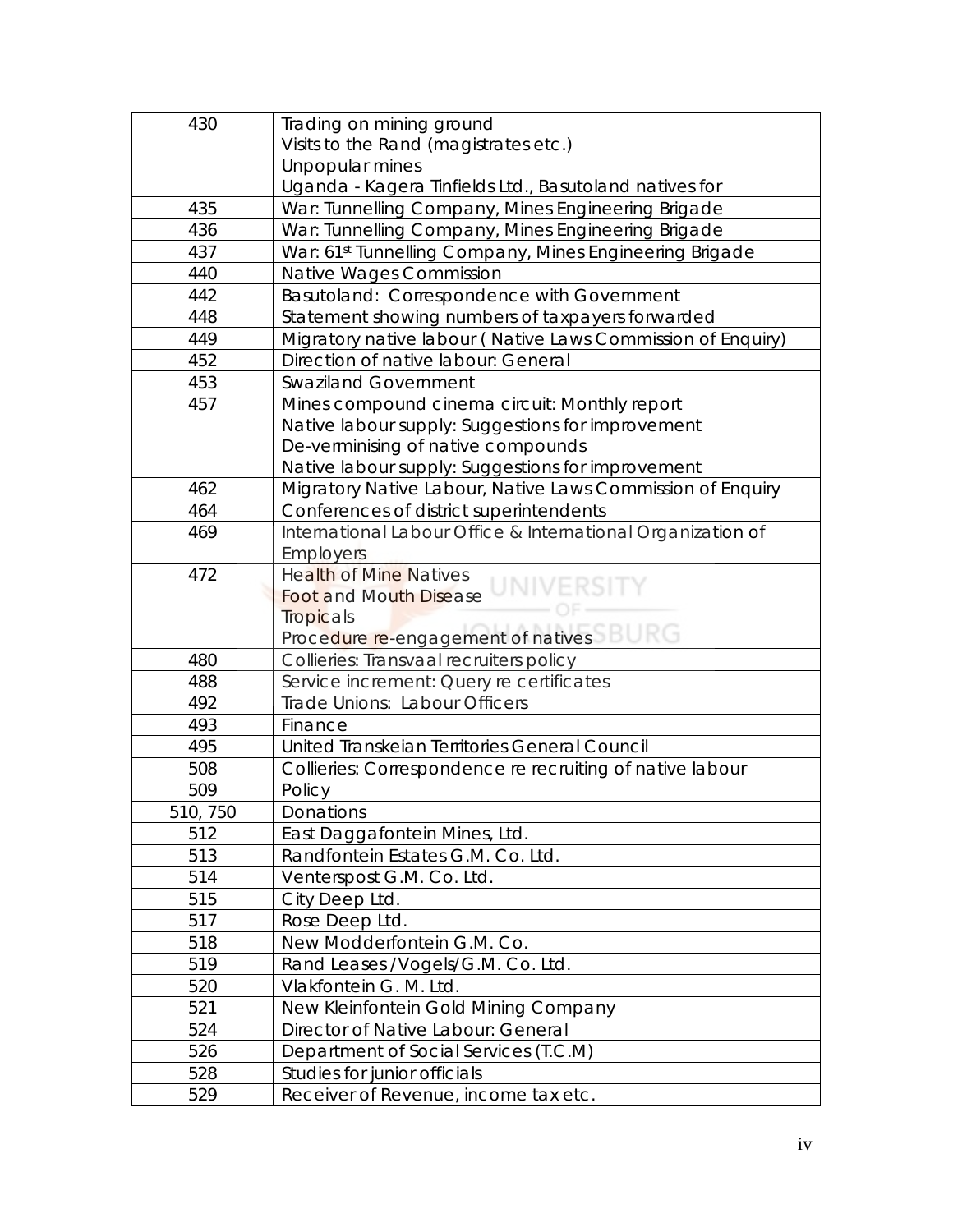| 430      | Trading on mining ground                                    |
|----------|-------------------------------------------------------------|
|          | Visits to the Rand (magistrates etc.)                       |
|          | Unpopular mines                                             |
|          | Uganda - Kagera Tinfields Ltd., Basutoland natives for      |
| 435      | War: Tunnelling Company, Mines Engineering Brigade          |
| 436      | War: Tunnelling Company, Mines Engineering Brigade          |
| 437      | War: 61st Tunnelling Company, Mines Engineering Brigade     |
| 440      | Native Wages Commission                                     |
| 442      | Basutoland: Correspondence with Government                  |
| 448      | Statement showing numbers of taxpayers forwarded            |
| 449      | Migratory native labour (Native Laws Commission of Enquiry) |
| 452      | Direction of native labour: General                         |
| 453      | <b>Swaziland Government</b>                                 |
| 457      | Mines compound cinema circuit: Monthly report               |
|          | Native labour supply: Suggestions for improvement           |
|          | De-verminising of native compounds                          |
|          | Native labour supply: Suggestions for improvement           |
| 462      | Migratory Native Labour, Native Laws Commission of Enquiry  |
| 464      | Conferences of district superintendents                     |
| 469      | International Labour Office & International Organization of |
|          | <b>Employers</b>                                            |
| 472      | <b>Health of Mine Natives</b>                               |
|          | <b>Foot and Mouth Disease</b>                               |
|          | Tropicals                                                   |
|          | Procedure re-engagement of natives                          |
| 480      | Collieries: Transvaal recruiters policy                     |
| 488      | Service increment: Query re certificates                    |
| 492      | Trade Unions: Labour Officers                               |
| 493      | Finance                                                     |
| 495      | United Transkeian Territories General Council               |
| 508      | Collieries: Correspondence re recruiting of native labour   |
| 509      | Policy                                                      |
| 510, 750 | Donations                                                   |
| 512      | East Daggafontein Mines, Ltd.                               |
| 513      | Randfontein Estates G.M. Co. Ltd.                           |
| 514      | Venterspost G.M. Co. Ltd.                                   |
| 515      | City Deep Ltd.                                              |
| 517      | Rose Deep Ltd.                                              |
| 518      | New Modderfontein G.M. Co.                                  |
| 519      | Rand Leases /Vogels/G.M. Co. Ltd.                           |
| 520      | Vlakfontein G. M. Ltd.                                      |
| 521      | New Kleinfontein Gold Mining Company                        |
| 524      | Director of Native Labour: General                          |
| 526      | Department of Social Services (T.C.M)                       |
| 528      | Studies for junior officials                                |
| 529      | Receiver of Revenue, income tax etc.                        |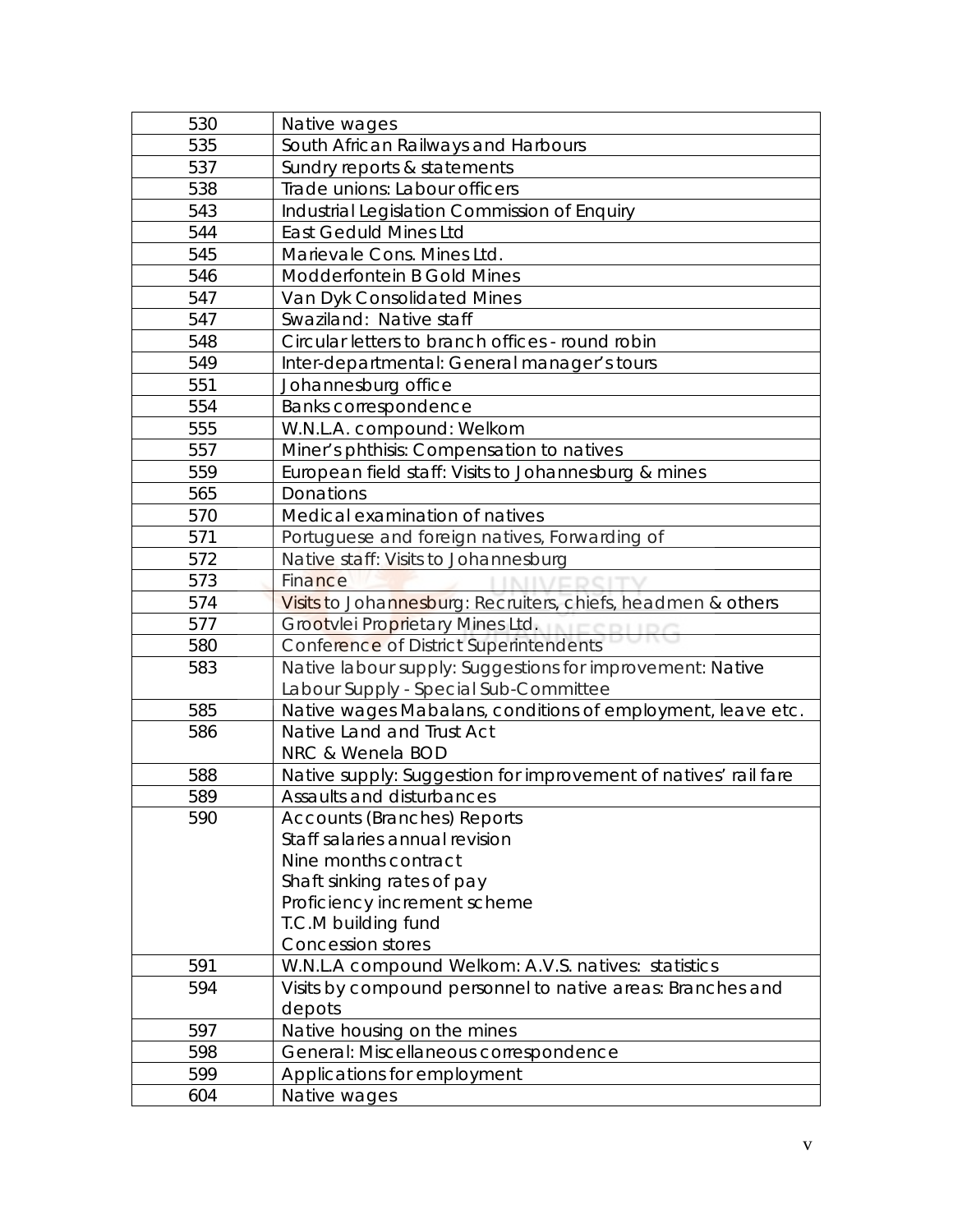| Visits to Johannesburg: Recruiters, chiefs, headmen & others    |
|-----------------------------------------------------------------|
|                                                                 |
|                                                                 |
|                                                                 |
|                                                                 |
| Native wages Mabalans, conditions of employment, leave etc.     |
|                                                                 |
|                                                                 |
| Native supply: Suggestion for improvement of natives' rail fare |
|                                                                 |
|                                                                 |
|                                                                 |
|                                                                 |
|                                                                 |
|                                                                 |
|                                                                 |
|                                                                 |
|                                                                 |
| Visits by compound personnel to native areas: Branches and      |
|                                                                 |
|                                                                 |
|                                                                 |
|                                                                 |
|                                                                 |
|                                                                 |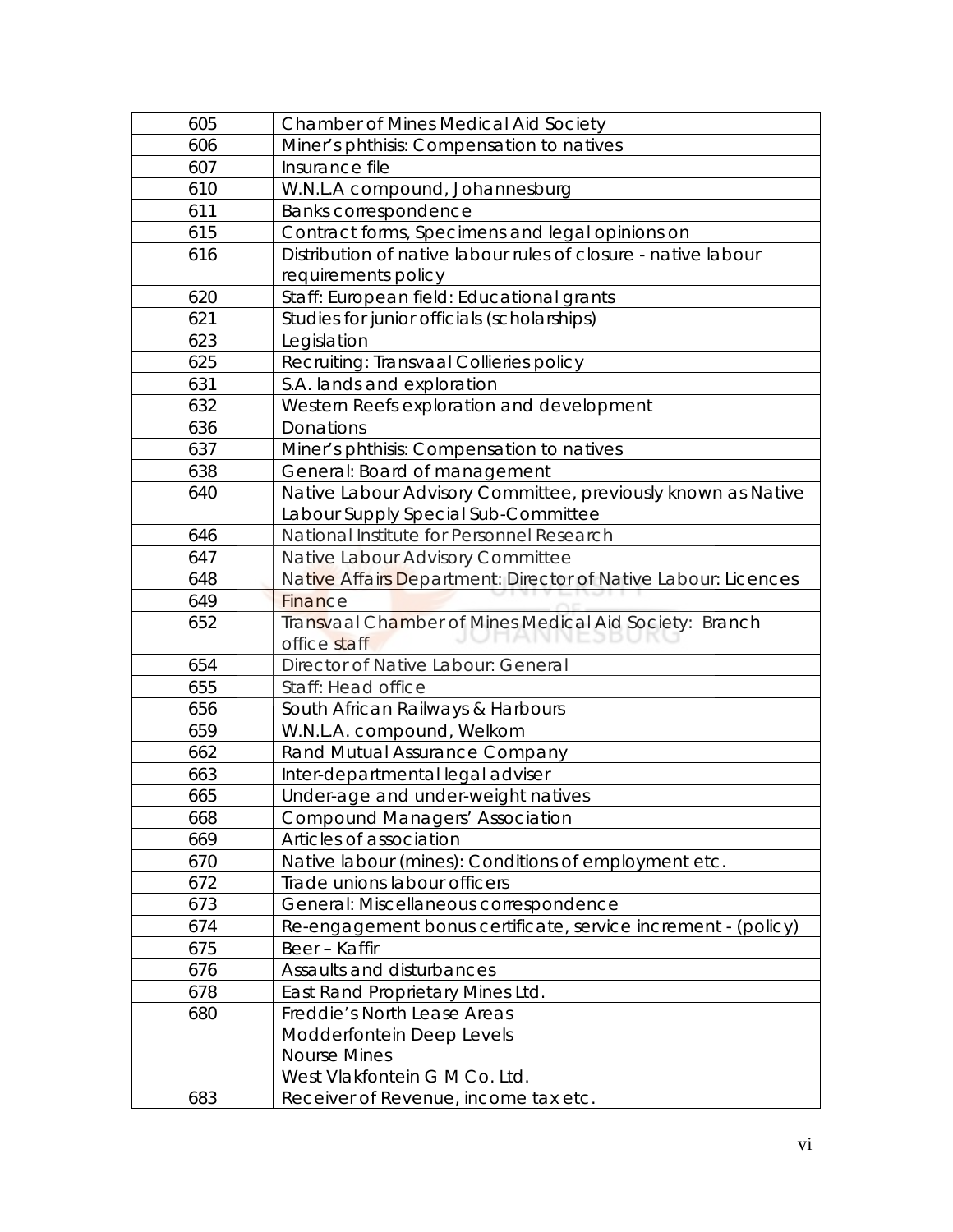| 605 | <b>Chamber of Mines Medical Aid Society</b>                    |
|-----|----------------------------------------------------------------|
| 606 | Miner's phthisis: Compensation to natives                      |
| 607 | Insurance file                                                 |
| 610 | W.N.L.A compound, Johannesburg                                 |
| 611 | Banks correspondence                                           |
| 615 | Contract forms, Specimens and legal opinions on                |
| 616 | Distribution of native labour rules of closure - native labour |
|     | requirements policy                                            |
| 620 | Staff: European field: Educational grants                      |
| 621 | Studies for junior officials (scholarships)                    |
| 623 | Legislation                                                    |
| 625 | Recruiting: Transvaal Collieries policy                        |
| 631 | S.A. lands and exploration                                     |
| 632 | Western Reefs exploration and development                      |
| 636 | Donations                                                      |
| 637 | Miner's phthisis: Compensation to natives                      |
| 638 | General: Board of management                                   |
| 640 | Native Labour Advisory Committee, previously known as Native   |
|     | Labour Supply Special Sub-Committee                            |
| 646 | National Institute for Personnel Research                      |
| 647 | Native Labour Advisory Committee                               |
| 648 | Native Affairs Department: Director of Native Labour: Licences |
| 649 | Finance                                                        |
| 652 | Transvaal Chamber of Mines Medical Aid Society: Branch         |
|     | office staff                                                   |
| 654 | Director of Native Labour: General                             |
| 655 | Staff: Head office                                             |
| 656 | South African Railways & Harbours                              |
| 659 | W.N.L.A. compound, Welkom                                      |
| 662 | <b>Rand Mutual Assurance Company</b>                           |
| 663 | Inter-departmental legal adviser                               |
| 665 | Under-age and under-weight natives                             |
| 668 | <b>Compound Managers' Association</b>                          |
| 669 | Articles of association                                        |
| 670 | Native labour (mines): Conditions of employment etc.           |
| 672 | Trade unions labour officers                                   |
| 673 | General: Miscellaneous correspondence                          |
| 674 | Re-engagement bonus certificate, service increment - (policy)  |
| 675 | Beer - Kaffir                                                  |
| 676 | Assaults and disturbances                                      |
| 678 | East Rand Proprietary Mines Ltd.                               |
| 680 | Freddie's North Lease Areas                                    |
|     | Modderfontein Deep Levels                                      |
|     | <b>Nourse Mines</b>                                            |
|     | West Vlakfontein G M Co. Ltd.                                  |
| 683 | Receiver of Revenue, income tax etc.                           |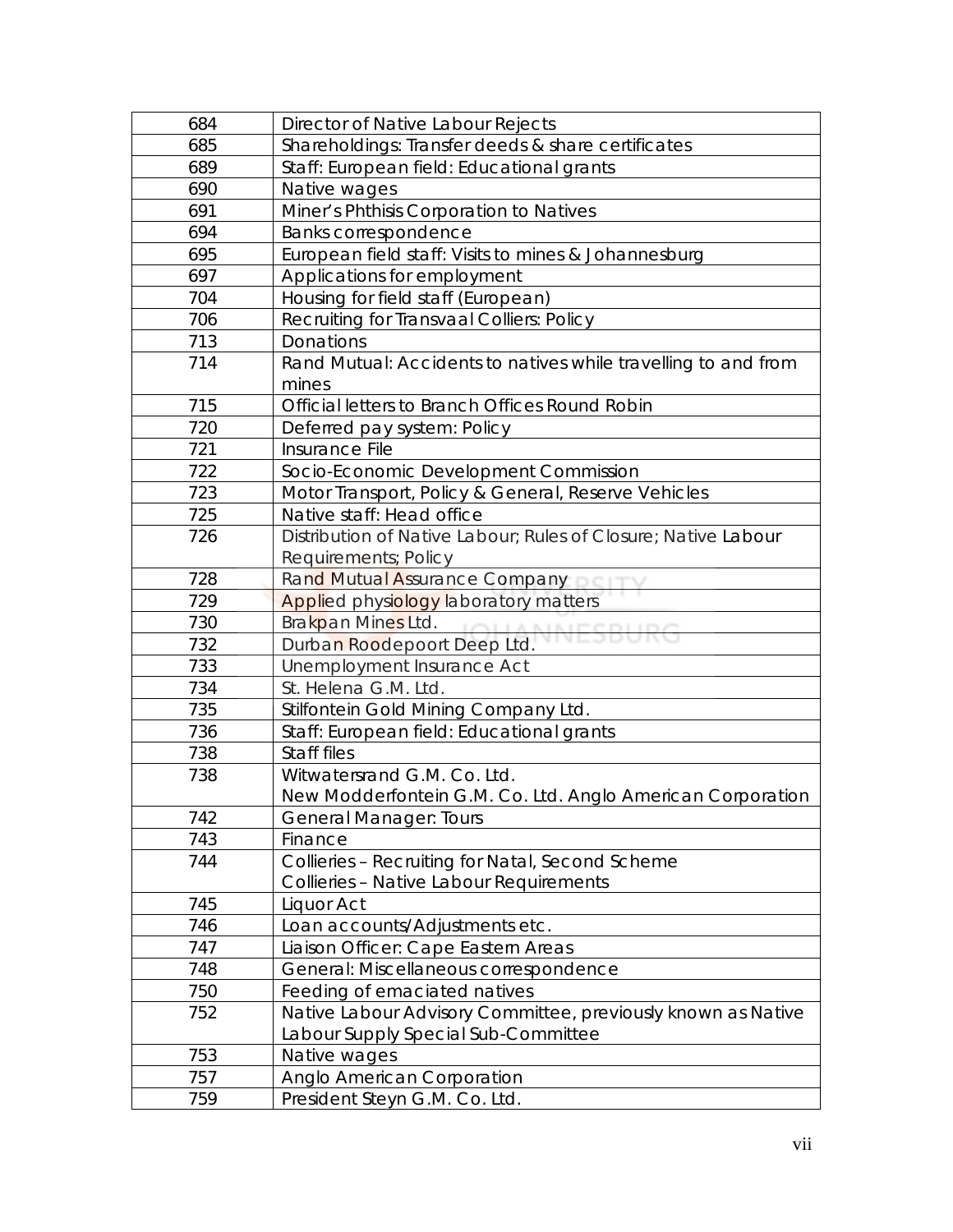| 684 | Director of Native Labour Rejects                              |
|-----|----------------------------------------------------------------|
| 685 | Shareholdings: Transfer deeds & share certificates             |
| 689 | Staff: European field: Educational grants                      |
| 690 | Native wages                                                   |
| 691 | Miner's Phthisis Corporation to Natives                        |
| 694 | <b>Banks correspondence</b>                                    |
| 695 | European field staff: Visits to mines & Johannesburg           |
| 697 | Applications for employment                                    |
| 704 | Housing for field staff (European)                             |
| 706 | Recruiting for Transvaal Colliers: Policy                      |
| 713 | Donations                                                      |
| 714 | Rand Mutual: Accidents to natives while travelling to and from |
|     | mines                                                          |
| 715 | Official letters to Branch Offices Round Robin                 |
| 720 | Deferred pay system: Policy                                    |
| 721 | Insurance File                                                 |
| 722 | Socio-Economic Development Commission                          |
| 723 | Motor Transport, Policy & General, Reserve Vehicles            |
| 725 | Native staff: Head office                                      |
| 726 | Distribution of Native Labour; Rules of Closure; Native Labour |
|     | Requirements; Policy                                           |
| 728 | Rand Mutual Assurance Company                                  |
| 729 | Applied physiology laboratory matters                          |
| 730 | Brakpan Mines Ltd.<br><b>IOUANNICCOLIDA</b>                    |
| 732 | Durban Roodepoort Deep Ltd.                                    |
| 733 | Unemployment Insurance Act                                     |
| 734 | St. Helena G.M. Ltd.                                           |
| 735 | Stilfontein Gold Mining Company Ltd.                           |
| 736 | Staff: European field: Educational grants                      |
| 738 | Staff files                                                    |
| 738 | Witwatersrand G.M. Co. Ltd.                                    |
|     |                                                                |
|     | New Modderfontein G.M. Co. Ltd. Anglo American Corporation     |
| 742 | <b>General Manager: Tours</b>                                  |
| 743 | Finance                                                        |
| 744 | Collieries - Recruiting for Natal, Second Scheme               |
|     | Collieries - Native Labour Requirements                        |
| 745 | Liquor Act                                                     |
| 746 | Loan accounts/Adjustments etc.                                 |
| 747 | Liaison Officer: Cape Eastern Areas                            |
| 748 | General: Miscellaneous correspondence                          |
| 750 | Feeding of emaciated natives                                   |
| 752 | Native Labour Advisory Committee, previously known as Native   |
|     | Labour Supply Special Sub-Committee                            |
| 753 | Native wages                                                   |
| 757 | Anglo American Corporation                                     |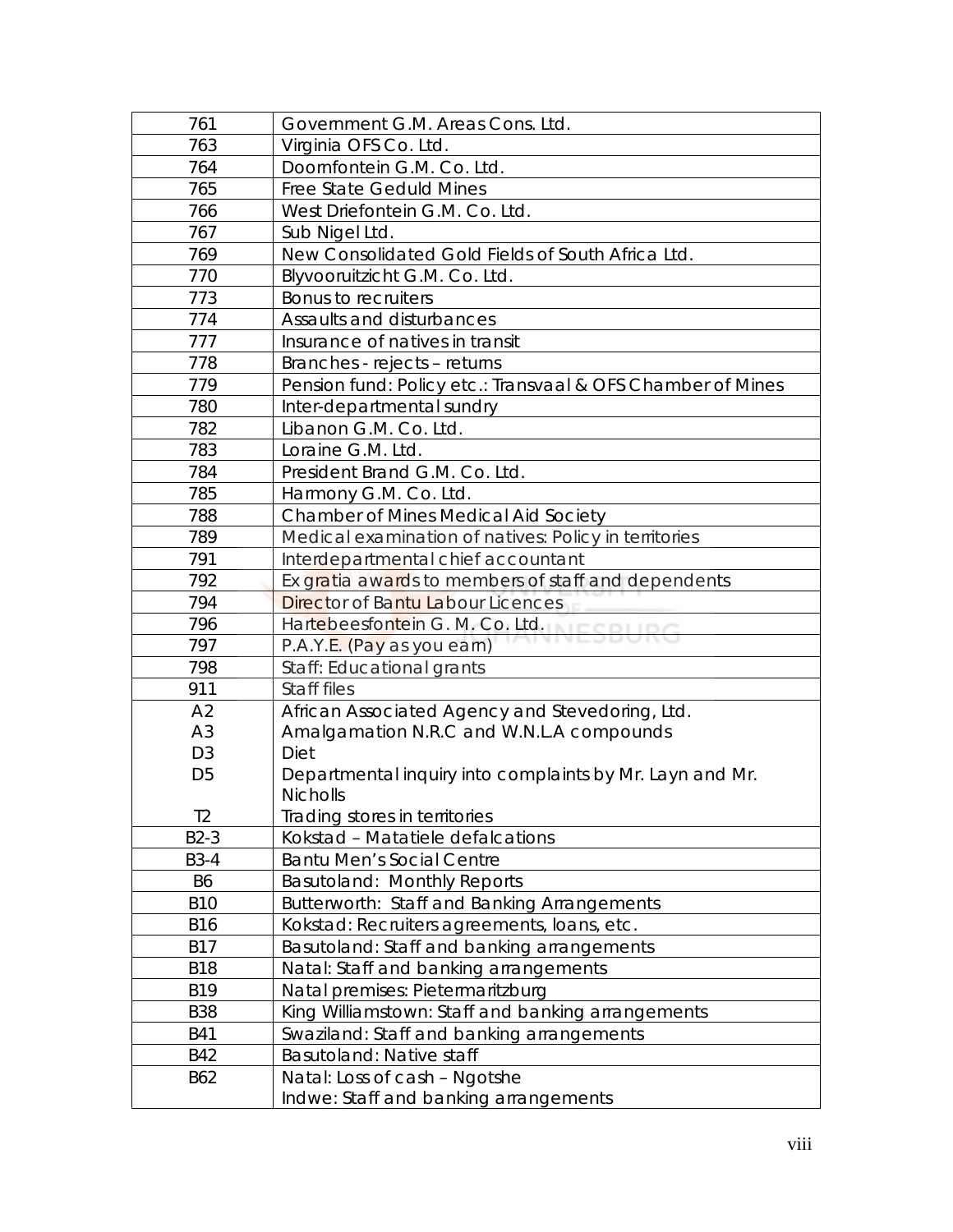| 761            | Government G.M. Areas Cons. Ltd.                            |
|----------------|-------------------------------------------------------------|
| 763            | Virginia OFS Co. Ltd.                                       |
| 764            | Doornfontein G.M. Co. Ltd.                                  |
| 765            | <b>Free State Geduld Mines</b>                              |
| 766            | West Driefontein G.M. Co. Ltd.                              |
| 767            | Sub Nigel Ltd.                                              |
| 769            | New Consolidated Gold Fields of South Africa Ltd.           |
| 770            | Blyvooruitzicht G.M. Co. Ltd.                               |
| 773            | <b>Bonus to recruiters</b>                                  |
| 774            | Assaults and disturbances                                   |
| 777            | Insurance of natives in transit                             |
| 778            | Branches - rejects – returns                                |
| 779            | Pension fund: Policy etc.: Transvaal & OFS Chamber of Mines |
| 780            | Inter-departmental sundry                                   |
| 782            | Libanon G.M. Co. Ltd.                                       |
| 783            | Loraine G.M. Ltd.                                           |
| 784            | President Brand G.M. Co. Ltd.                               |
| 785            | Harmony G.M. Co. Ltd.                                       |
| 788            | <b>Chamber of Mines Medical Aid Society</b>                 |
| 789            | Medical examination of natives: Policy in territories       |
| 791            | Interdepartmental chief accountant                          |
| 792            | Ex gratia awards to members of staff and dependents         |
| 794            | Director of Bantu Labour Licences                           |
| 796            | Hartebeesfontein G. M. Co. Ltd.                             |
| 797            | P.A.Y.E. (Pay as you earn)                                  |
| 798            | Staff: Educational grants                                   |
| 911            | Staff files                                                 |
| A2             | African Associated Agency and Stevedoring, Ltd.             |
| A <sub>3</sub> | Amalgamation N.R.C and W.N.L.A compounds                    |
| D <sub>3</sub> | Diet                                                        |
| D <sub>5</sub> | Departmental inquiry into complaints by Mr. Layn and Mr.    |
|                | <b>Nicholls</b>                                             |
| T <sub>2</sub> | Trading stores in territories                               |
| $B2-3$         | Kokstad - Matatiele defalcations                            |
| <b>B3-4</b>    | <b>Bantu Men's Social Centre</b>                            |
| <b>B6</b>      | Basutoland: Monthly Reports                                 |
| <b>B10</b>     | Butterworth: Staff and Banking Arrangements                 |
| <b>B16</b>     | Kokstad: Recruiters agreements, Ioans, etc.                 |
| <b>B17</b>     | Basutoland: Staff and banking arrangements                  |
| <b>B18</b>     | Natal: Staff and banking arrangements                       |
| <b>B19</b>     | Natal premises: Pietermaritzburg                            |
| <b>B38</b>     | King Williamstown: Staff and banking arrangements           |
| <b>B41</b>     | Swaziland: Staff and banking arrangements                   |
| <b>B42</b>     | Basutoland: Native staff                                    |
| B62            | Natal: Loss of cash - Ngotshe                               |
|                | Indwe: Staff and banking arrangements                       |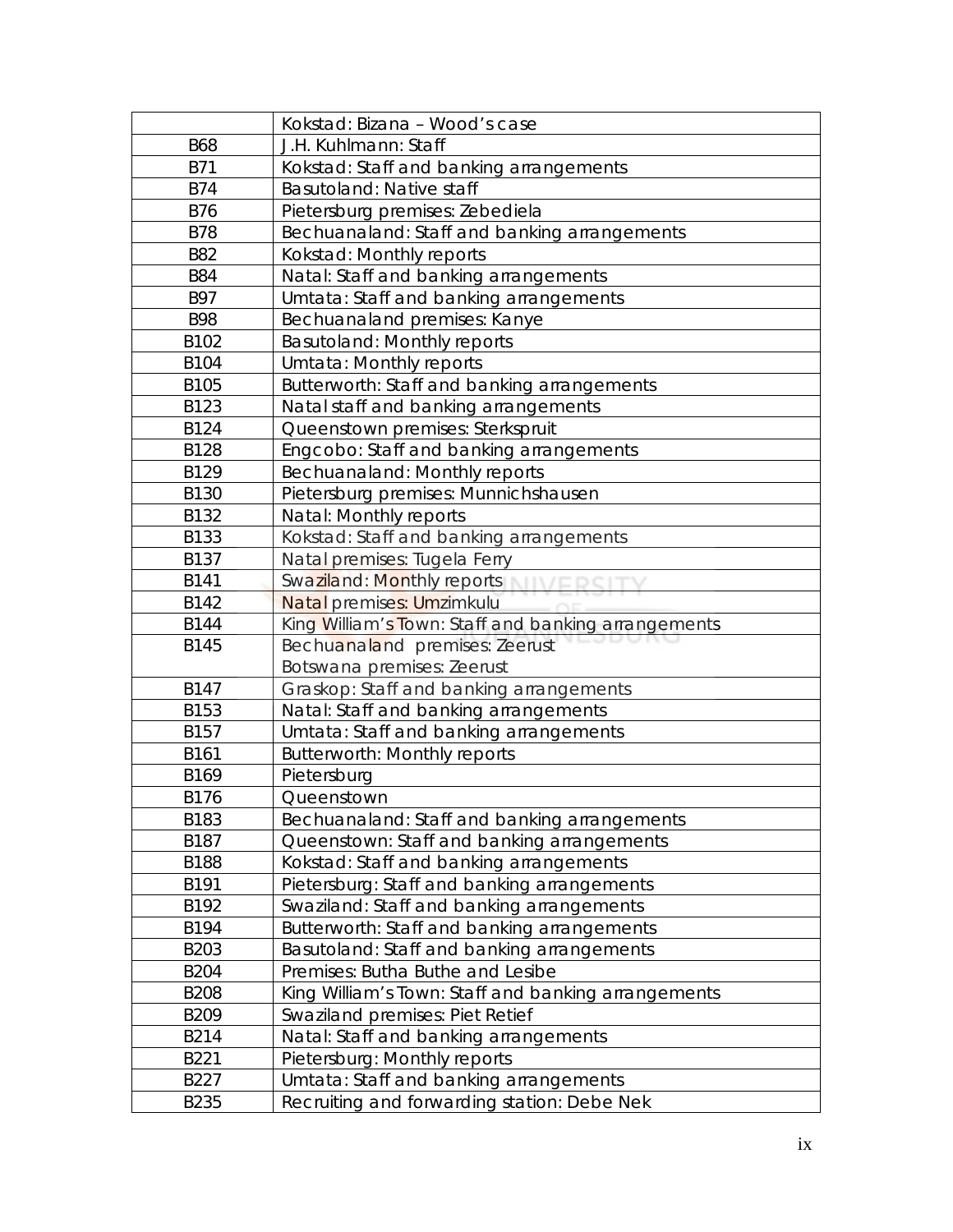|             | Kokstad: Bizana - Wood's case                       |
|-------------|-----------------------------------------------------|
| <b>B68</b>  | J.H. Kuhlmann: Staff                                |
| <b>B71</b>  | Kokstad: Staff and banking arrangements             |
| <b>B74</b>  | Basutoland: Native staff                            |
| <b>B76</b>  | Pietersburg premises: Zebediela                     |
| <b>B78</b>  | Bechuanaland: Staff and banking arrangements        |
| <b>B82</b>  | Kokstad: Monthly reports                            |
| <b>B84</b>  | Natal: Staff and banking arrangements               |
| <b>B97</b>  | Umtata: Staff and banking arrangements              |
| <b>B98</b>  | Bechuanaland premises: Kanye                        |
| B102        | <b>Basutoland: Monthly reports</b>                  |
| B104        | Umtata: Monthly reports                             |
| B105        | Butterworth: Staff and banking arrangements         |
| B123        | Natal staff and banking arrangements                |
| B124        | Queenstown premises: Sterkspruit                    |
| B128        | Engcobo: Staff and banking arrangements             |
| B129        | Bechuanaland: Monthly reports                       |
| <b>B130</b> | Pietersburg premises: Munnichshausen                |
| B132        | Natal: Monthly reports                              |
| B133        | Kokstad: Staff and banking arrangements             |
| B137        | Natal premises: Tugela Ferry                        |
| B141        | Swaziland: Monthly reports                          |
| B142        | Natal premises: Umzimkulu                           |
| B144        | King William's Town: Staff and banking arrangements |
| B145        | Bechuanaland premises: Zeerust                      |
|             | Botswana premises: Zeerust                          |
| B147        | Graskop: Staff and banking arrangements             |
| B153        | Natal: Staff and banking arrangements               |
| B157        | Umtata: Staff and banking arrangements              |
| B161        | <b>Butterworth: Monthly reports</b>                 |
| B169        | Pietersburg                                         |
| B176        | Queenstown                                          |
| B183        | Bechuanaland: Staff and banking arrangements        |
| B187        | Queenstown: Staff and banking arrangements          |
| <b>B188</b> | Kokstad: Staff and banking arrangements             |
| B191        | Pietersburg: Staff and banking arrangements         |
| B192        | Swaziland: Staff and banking arrangements           |
| B194        | Butterworth: Staff and banking arrangements         |
| B203        | Basutoland: Staff and banking arrangements          |
| <b>B204</b> | Premises: Butha Buthe and Lesibe                    |
| <b>B208</b> | King William's Town: Staff and banking arrangements |
| B209        | Swaziland premises: Piet Retief                     |
| B214        | Natal: Staff and banking arrangements               |
| B221        | Pietersburg: Monthly reports                        |
| B227        | Umtata: Staff and banking arrangements              |
| B235        | Recruiting and forwarding station: Debe Nek         |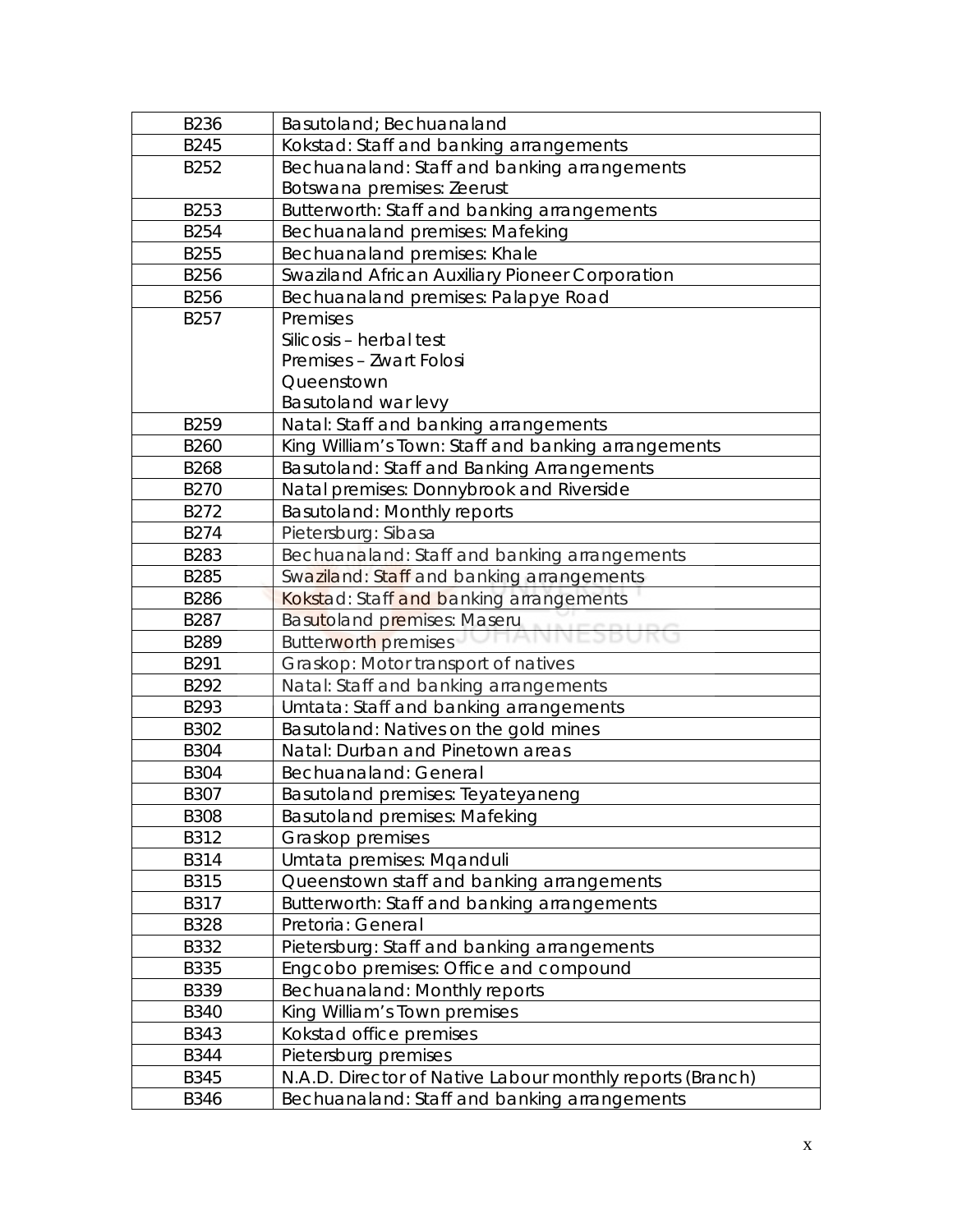| B236        | Basutoland; Bechuanaland                                  |
|-------------|-----------------------------------------------------------|
| B245        | Kokstad: Staff and banking arrangements                   |
| B252        | Bechuanaland: Staff and banking arrangements              |
|             | Botswana premises: Zeerust                                |
| B253        | Butterworth: Staff and banking arrangements               |
| B254        | Bechuanaland premises: Mafeking                           |
| B255        | Bechuanaland premises: Khale                              |
| B256        | Swaziland African Auxiliary Pioneer Corporation           |
| B256        | Bechuanaland premises: Palapye Road                       |
| B257        | Premises                                                  |
|             | Silicosis - herbal test                                   |
|             | Premises - Zwart Folosi                                   |
|             | Queenstown                                                |
|             | Basutoland war levy                                       |
| B259        | Natal: Staff and banking arrangements                     |
| B260        | King William's Town: Staff and banking arrangements       |
| B268        | Basutoland: Staff and Banking Arrangements                |
| B270        | Natal premises: Donnybrook and Riverside                  |
| B272        | <b>Basutoland: Monthly reports</b>                        |
| B274        | Pietersburg: Sibasa                                       |
| B283        | Bechuanaland: Staff and banking arrangements              |
| B285        | Swaziland: Staff and banking arrangements                 |
| <b>B286</b> | Kokstad: Staff and banking arrangements                   |
| B287        | Basutoland premises: Maseru                               |
| B289        | <b>Butterworth premises</b>                               |
| B291        | Graskop: Motor transport of natives                       |
| B292        | Natal: Staff and banking arrangements                     |
| B293        | Umtata: Staff and banking arrangements                    |
| B302        | Basutoland: Natives on the gold mines                     |
| <b>B304</b> | Natal: Durban and Pinetown areas                          |
| <b>B304</b> | Bechuanaland: General                                     |
| B307        | Basutoland premises: Teyateyaneng                         |
| <b>B308</b> | <b>Basutoland premises: Mafeking</b>                      |
| B312        | Graskop premises                                          |
| B314        | Umtata premises: Mganduli                                 |
| B315        | Queenstown staff and banking arrangements                 |
| B317        | Butterworth: Staff and banking arrangements               |
| <b>B328</b> | Pretoria: General                                         |
| B332        | Pietersburg: Staff and banking arrangements               |
| <b>B335</b> | Engcobo premises: Office and compound                     |
| B339        | Bechuanaland: Monthly reports                             |
| <b>B340</b> | King William's Town premises                              |
| <b>B343</b> | Kokstad office premises                                   |
| <b>B344</b> | Pietersburg premises                                      |
| <b>B345</b> | N.A.D. Director of Native Labour monthly reports (Branch) |
| <b>B346</b> | Bechuanaland: Staff and banking arrangements              |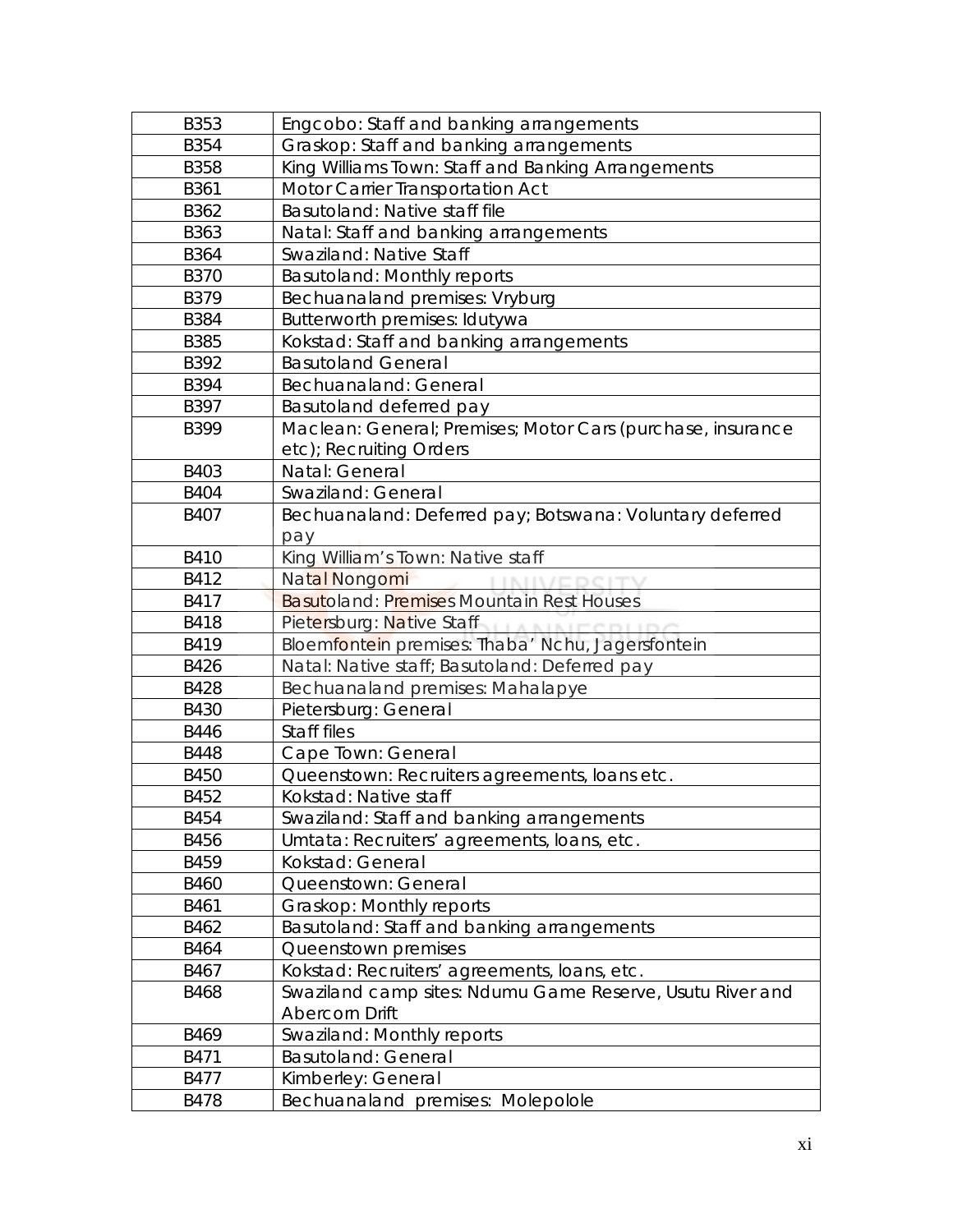| <b>B353</b> | Engcobo: Staff and banking arrangements                     |
|-------------|-------------------------------------------------------------|
| B354        | Graskop: Staff and banking arrangements                     |
| <b>B358</b> | King Williams Town: Staff and Banking Arrangements          |
| B361        | Motor Carrier Transportation Act                            |
| B362        | Basutoland: Native staff file                               |
| B363        | Natal: Staff and banking arrangements                       |
| B364        | Swaziland: Native Staff                                     |
| <b>B370</b> | <b>Basutoland: Monthly reports</b>                          |
| B379        | Bechuanaland premises: Vryburg                              |
| <b>B384</b> | Butterworth premises: Idutywa                               |
| <b>B385</b> | Kokstad: Staff and banking arrangements                     |
| B392        | <b>Basutoland General</b>                                   |
| B394        | Bechuanaland: General                                       |
| B397        | Basutoland deferred pay                                     |
| B399        | Maclean: General; Premises; Motor Cars (purchase, insurance |
|             | etc); Recruiting Orders                                     |
| B403        | Natal: General                                              |
| <b>B404</b> | Swaziland: General                                          |
| B407        | Bechuanaland: Deferred pay; Botswana: Voluntary deferred    |
|             | pay                                                         |
| <b>B410</b> | King William's Town: Native staff                           |
| B412        | Natal Nongomi                                               |
| B417        | <b>Basutoland: Premises Mountain Rest Houses</b>            |
| <b>B418</b> | Pietersburg: Native Staff                                   |
| B419        | Bloemfontein premises: Thaba' Nchu, Jagersfontein           |
| B426        | Natal: Native staff; Basutoland: Deferred pay               |
| <b>B428</b> | Bechuanaland premises: Mahalapye                            |
| B430        | Pietersburg: General                                        |
| B446        | Staff files                                                 |
| <b>B448</b> | Cape Town: General                                          |
| <b>B450</b> | Queenstown: Recruiters agreements, loans etc.               |
| B452        | Kokstad: Native staff                                       |
| B454        | Swaziland: Staff and banking arrangements                   |
| B456        | Umtata: Recruiters' agreements, Ioans, etc.                 |
| B459        | Kokstad: General                                            |
| <b>B460</b> | Queenstown: General                                         |
| B461        | Graskop: Monthly reports                                    |
| B462        | Basutoland: Staff and banking arrangements                  |
| B464        | Queenstown premises                                         |
| B467        | Kokstad: Recruiters' agreements, loans, etc.                |
| <b>B468</b> | Swaziland camp sites: Ndumu Game Reserve, Usutu River and   |
|             | <b>Abercorn Drift</b>                                       |
| B469        | Swaziland: Monthly reports                                  |
| B471        | <b>Basutoland: General</b>                                  |
| B477        | Kimberley: General                                          |
| <b>B478</b> | Bechuanaland premises: Molepolole                           |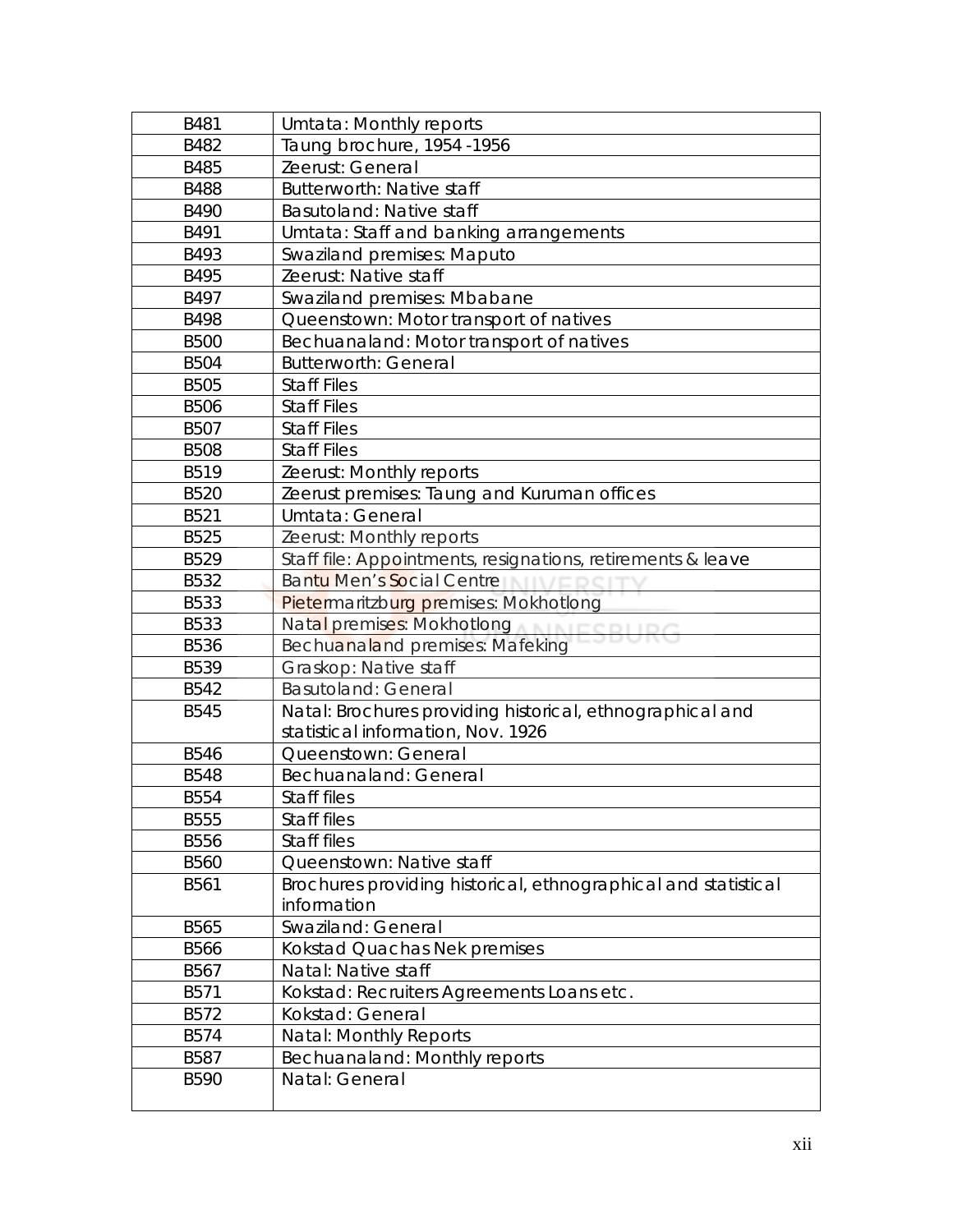| B481        | Umtata: Monthly reports                                        |
|-------------|----------------------------------------------------------------|
| B482        | Taung brochure, 1954 -1956                                     |
| B485        | Zeerust: General                                               |
| <b>B488</b> | <b>Butterworth: Native staff</b>                               |
| B490        | Basutoland: Native staff                                       |
| B491        | Umtata: Staff and banking arrangements                         |
| B493        | <b>Swaziland premises: Maputo</b>                              |
| B495        | Zeerust: Native staff                                          |
| B497        | Swaziland premises: Mbabane                                    |
| B498        | Queenstown: Motor transport of natives                         |
| <b>B500</b> | Bechuanaland: Motor transport of natives                       |
| <b>B504</b> | <b>Butterworth: General</b>                                    |
| <b>B505</b> | <b>Staff Files</b>                                             |
| <b>B506</b> | <b>Staff Files</b>                                             |
| B507        | <b>Staff Files</b>                                             |
| <b>B508</b> | <b>Staff Files</b>                                             |
| B519        | Zeerust: Monthly reports                                       |
| <b>B520</b> | Zeerust premises: Taung and Kuruman offices                    |
| B521        | Umtata: General                                                |
| B525        | Zeerust: Monthly reports                                       |
| B529        | Staff file: Appointments, resignations, retirements & leave    |
| B532        | Bantu Men's Social Centre                                      |
| B533        | Pietermaritzburg premises: Mokhotlong                          |
| <b>B533</b> | Natal premises: Mokhotlong                                     |
| B536        | Bechuanaland premises: Mafeking                                |
| B539        | Graskop: Native staff                                          |
| B542        | <b>Basutoland: General</b>                                     |
| <b>B545</b> | Natal: Brochures providing historical, ethnographical and      |
|             | statistical information, Nov. 1926                             |
| <b>B546</b> | Queenstown: General                                            |
| <b>B548</b> | Bechuanaland: General                                          |
| B554        | Staff files                                                    |
| <b>B555</b> | Staff files                                                    |
| B556        | Staff files                                                    |
| <b>B560</b> | Queenstown: Native staff                                       |
| B561        | Brochures providing historical, ethnographical and statistical |
|             | information                                                    |
| B565        | Swaziland: General                                             |
| <b>B566</b> | Kokstad Quachas Nek premises                                   |
| B567        | Natal: Native staff                                            |
| B571        | Kokstad: Recruiters Agreements Loans etc.                      |
| B572        | Kokstad: General                                               |
| B574        | <b>Natal: Monthly Reports</b>                                  |
| B587        | Bechuanaland: Monthly reports                                  |
| B590        | Natal: General                                                 |
|             |                                                                |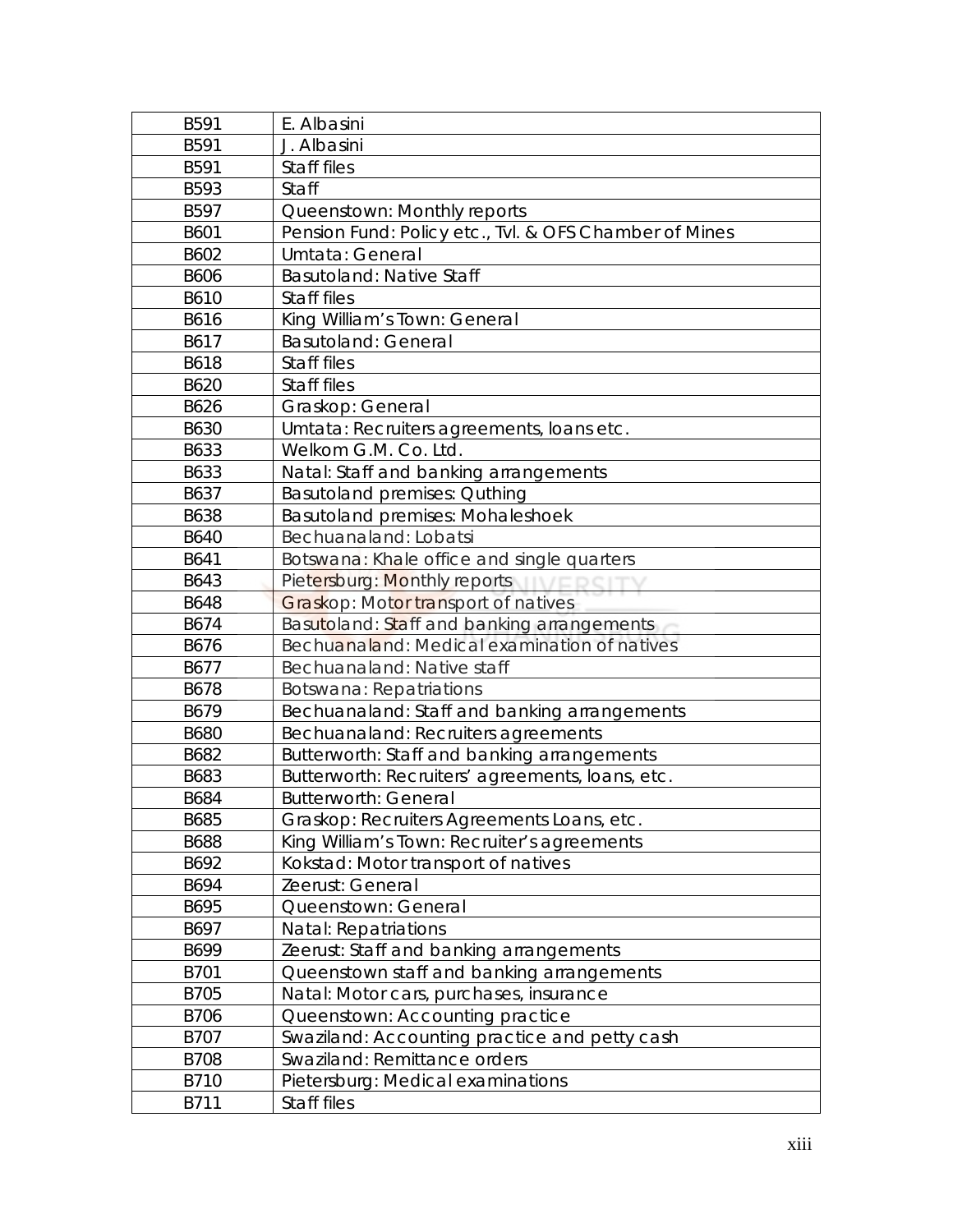| B591        | E. Albasini                                            |
|-------------|--------------------------------------------------------|
| B591        | J. Albasini                                            |
| B591        | Staff files                                            |
| B593        | Staff                                                  |
| B597        | Queenstown: Monthly reports                            |
| B601        | Pension Fund: Policy etc., Tvl. & OFS Chamber of Mines |
| B602        | Umtata: General                                        |
| B606        | Basutoland: Native Staff                               |
| B610        | Staff files                                            |
| B616        | King William's Town: General                           |
| B617        | <b>Basutoland: General</b>                             |
| B618        | Staff files                                            |
| B620        | Staff files                                            |
| B626        | Graskop: General                                       |
| B630        | Umtata: Recruiters agreements, Ioans etc.              |
| B633        | Welkom G.M. Co. Ltd.                                   |
| B633        | Natal: Staff and banking arrangements                  |
| B637        | <b>Basutoland premises: Quthing</b>                    |
| B638        | <b>Basutoland premises: Mohaleshoek</b>                |
| <b>B640</b> | Bechuanaland: Lobatsi                                  |
| B641        | Botswana: Khale office and single quarters             |
| B643        | Pietersburg: Monthly reports                           |
| <b>B648</b> | Graskop: Motor transport of natives                    |
| B674        | Basutoland: Staff and banking arrangements             |
| B676        | Bechuanaland: Medical examination of natives           |
| B677        | Bechuanaland: Native staff                             |
| B678        | <b>Botswana: Repatriations</b>                         |
| B679        | Bechuanaland: Staff and banking arrangements           |
| <b>B680</b> | Bechuanaland: Recruiters agreements                    |
| B682        | Butterworth: Staff and banking arrangements            |
| B683        | Butterworth: Recruiters' agreements, loans, etc.       |
| B684        | <b>Butterworth: General</b>                            |
| B685        | Graskop: Recruiters Agreements Loans, etc.             |
| B688        | King William's Town: Recruiter's agreements            |
| B692        | Kokstad: Motor transport of natives                    |
| B694        | Zeerust: General                                       |
| B695        | Queenstown: General                                    |
| B697        | <b>Natal: Repatriations</b>                            |
| B699        | Zeerust: Staff and banking arrangements                |
| B701        | Queenstown staff and banking arrangements              |
| B705        | Natal: Motor cars, purchases, insurance                |
| B706        | Queenstown: Accounting practice                        |
| B707        | Swaziland: Accounting practice and petty cash          |
| <b>B708</b> | Swaziland: Remittance orders                           |
| B710        | Pietersburg: Medical examinations                      |
| B711        | Staff files                                            |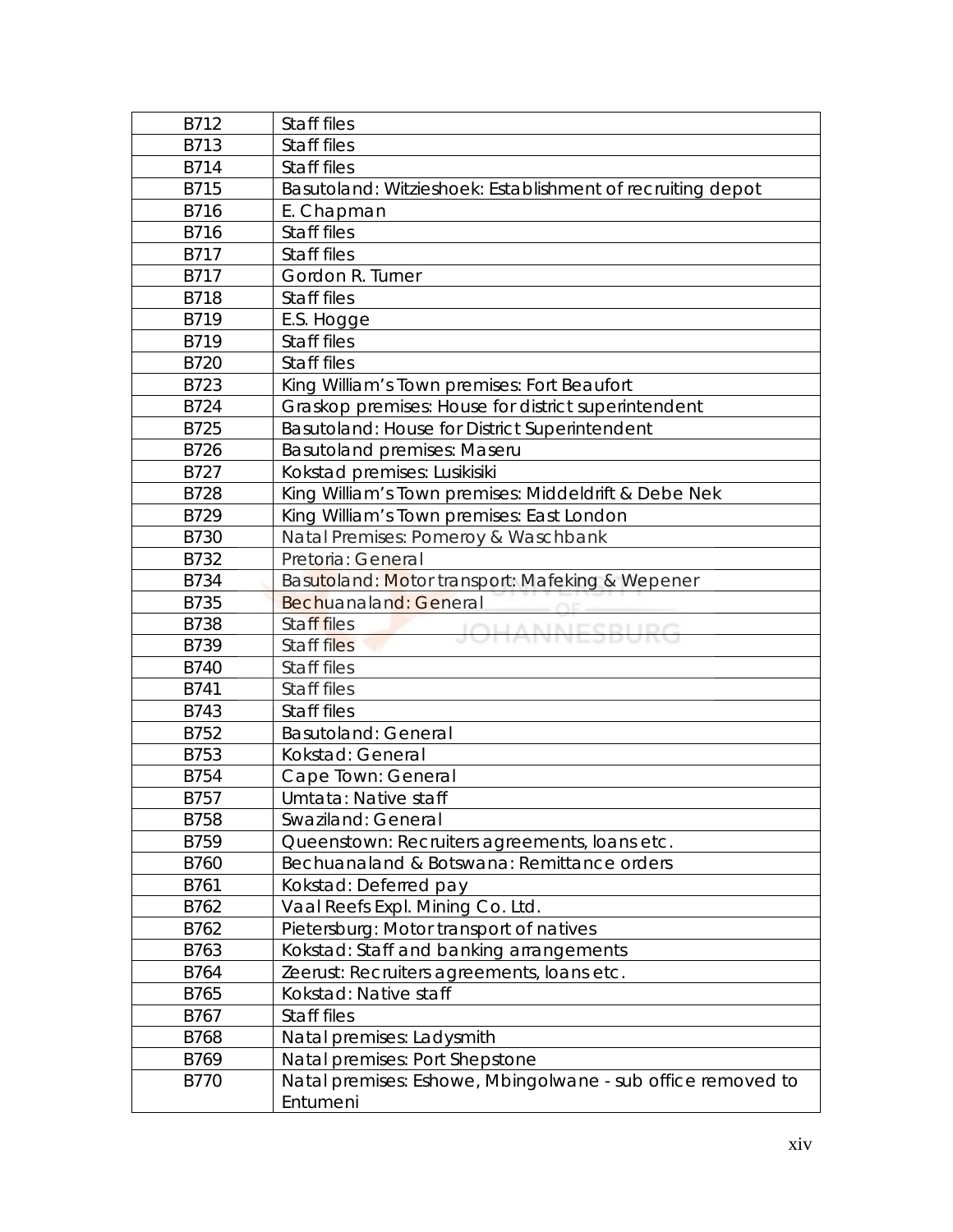| B712        | Staff files                                                 |
|-------------|-------------------------------------------------------------|
| B713        | Staff files                                                 |
| B714        | Staff files                                                 |
| B715        | Basutoland: Witzieshoek: Establishment of recruiting depot  |
| B716        | E. Chapman                                                  |
| B716        | Staff files                                                 |
| B717        | Staff files                                                 |
| B717        | Gordon R. Turner                                            |
| B718        | Staff files                                                 |
| B719        | E.S. Hogge                                                  |
| B719        | Staff files                                                 |
| B720        | Staff files                                                 |
| B723        | King William's Town premises: Fort Beaufort                 |
| B724        | Graskop premises: House for district superintendent         |
| B725        | Basutoland: House for District Superintendent               |
| B726        | <b>Basutoland premises: Maseru</b>                          |
| B727        | Kokstad premises: Lusikisiki                                |
| B728        | King William's Town premises: Middeldrift & Debe Nek        |
| B729        | King William's Town premises: East London                   |
| B730        | Natal Premises: Pomeroy & Waschbank                         |
| B732        | Pretoria: General                                           |
| B734        | Basutoland: Motor transport: Mafeking & Wepener             |
| B735        | Bechuanaland: General                                       |
| <b>B738</b> | Staff files<br><b>JOHANNESBURG</b>                          |
| B739        | Staff files                                                 |
| <b>B740</b> | Staff files                                                 |
| B741        | Staff files                                                 |
| B743        | Staff files                                                 |
| B752        | <b>Basutoland: General</b>                                  |
| B753        | Kokstad: General                                            |
| B754        | Cape Town: General                                          |
| B757        | Umtata: Native staff                                        |
| B758        | Swaziland: General                                          |
| B759        | Queenstown: Recruiters agreements, loans etc.               |
| B760        | Bechuanaland & Botswana: Remittance orders                  |
| B761        | Kokstad: Deferred pay                                       |
| B762        | Vaal Reefs Expl. Mining Co. Ltd.                            |
| B762        | Pietersburg: Motor transport of natives                     |
| B763        | Kokstad: Staff and banking arrangements                     |
| B764        | Zeerust: Recruiters agreements, loans etc.                  |
| B765        | Kokstad: Native staff                                       |
| B767        | Staff files                                                 |
| B768        | Natal premises: Ladysmith                                   |
| B769        | Natal premises: Port Shepstone                              |
| B770        | Natal premises: Eshowe, Mbingolwane - sub office removed to |
|             | Entumeni                                                    |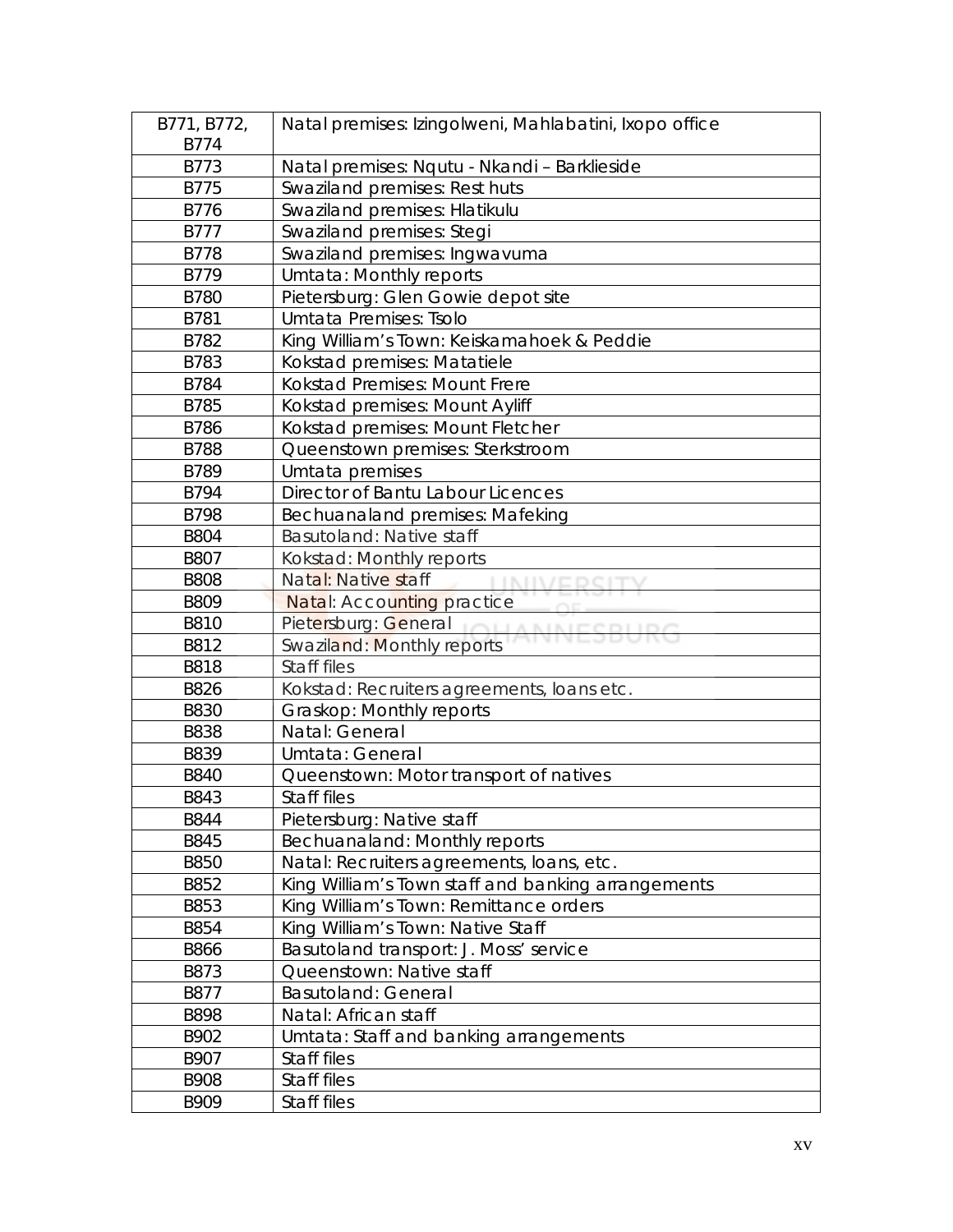| B771, B772, | Natal premises: Izingolweni, Mahlabatini, Ixopo office |
|-------------|--------------------------------------------------------|
| B774        |                                                        |
| B773        | Natal premises: Nqutu - Nkandi - Barklieside           |
| B775        | Swaziland premises: Rest huts                          |
| B776        | Swaziland premises: Hlatikulu                          |
| <b>B777</b> | Swaziland premises: Stegi                              |
| <b>B778</b> | Swaziland premises: Ingwavuma                          |
| B779        | Umtata: Monthly reports                                |
| <b>B780</b> | Pietersburg: Glen Gowie depot site                     |
| B781        | Umtata Premises: Tsolo                                 |
| B782        | King William's Town: Keiskamahoek & Peddie             |
| B783        | Kokstad premises: Matatiele                            |
| B784        | <b>Kokstad Premises: Mount Frere</b>                   |
| B785        | Kokstad premises: Mount Ayliff                         |
| B786        | Kokstad premises: Mount Fletcher                       |
| <b>B788</b> | Queenstown premises: Sterkstroom                       |
| B789        | Umtata premises                                        |
| B794        | Director of Bantu Labour Licences                      |
| <b>B798</b> | Bechuanaland premises: Mafeking                        |
| <b>B804</b> | Basutoland: Native staff                               |
| <b>B807</b> | Kokstad: Monthly reports                               |
| <b>B808</b> | Natal: Native staff<br><b>I ININ/E</b>                 |
| B809        | <b>Natal: Accounting practice</b>                      |
| <b>B810</b> | Pietersburg: General                                   |
| B812        | Swaziland: Monthly reports                             |
| <b>B818</b> | Staff files                                            |
| B826        | Kokstad: Recruiters agreements, loans etc.             |
| <b>B830</b> | Graskop: Monthly reports                               |
| <b>B838</b> | Natal: General                                         |
| B839        | Umtata: General                                        |
| <b>B840</b> | Queenstown: Motor transport of natives                 |
| B843        | Staff files                                            |
| B844        | Pietersburg: Native staff                              |
| B845        | Bechuanaland: Monthly reports                          |
| <b>B850</b> | Natal: Recruiters agreements, loans, etc.              |
| B852        | King William's Town staff and banking arrangements     |
| B853        | King William's Town: Remittance orders                 |
| B854        | King William's Town: Native Staff                      |
| <b>B866</b> | Basutoland transport: J. Moss' service                 |
| B873        | Queenstown: Native staff                               |
| B877        | <b>Basutoland: General</b>                             |
| <b>B898</b> | Natal: African staff                                   |
| B902        | Umtata: Staff and banking arrangements                 |
| B907        | Staff files                                            |
| B908        | Staff files                                            |
| B909        | Staff files                                            |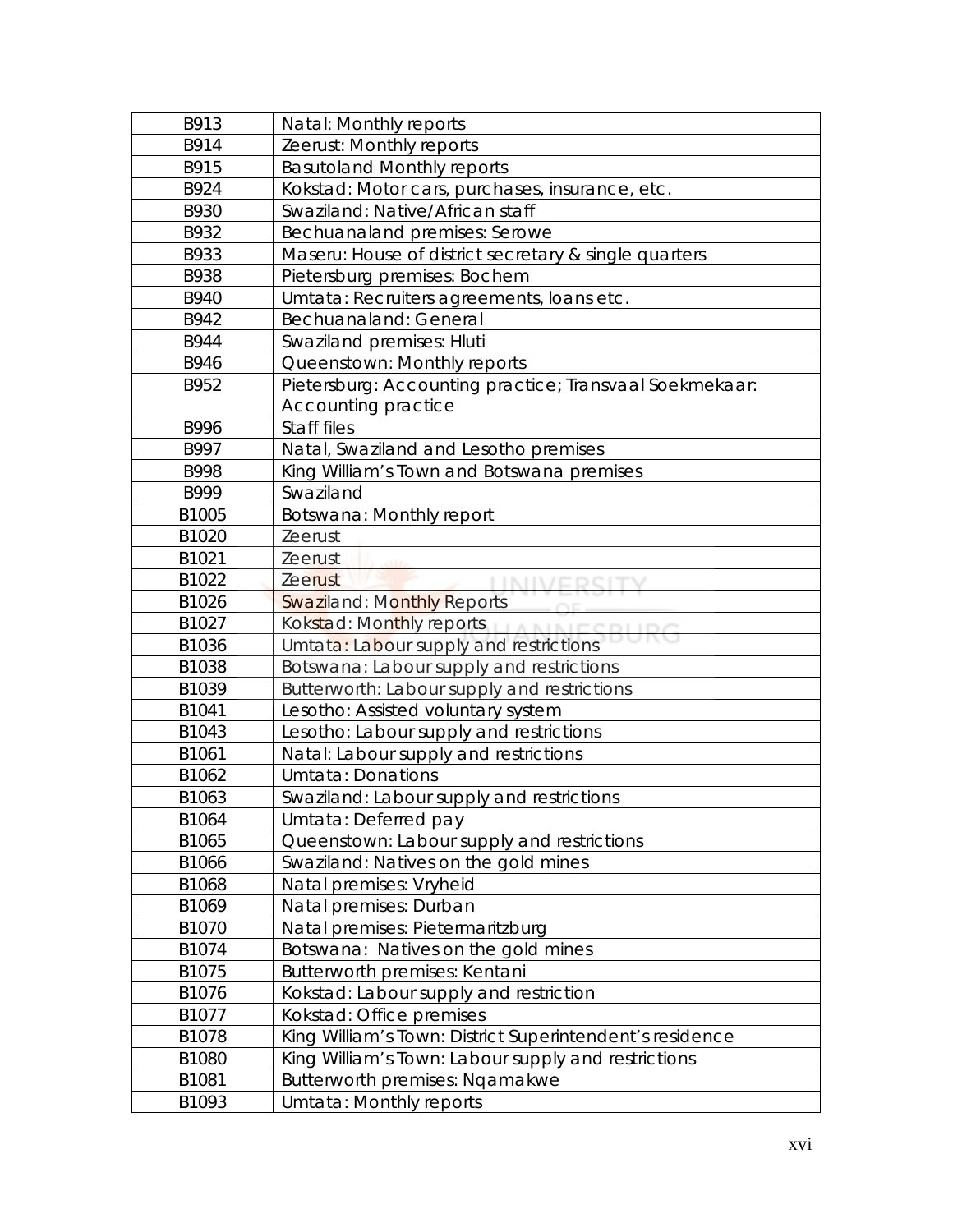| B913  | Natal: Monthly reports                                   |
|-------|----------------------------------------------------------|
| B914  | Zeerust: Monthly reports                                 |
| B915  | <b>Basutoland Monthly reports</b>                        |
| B924  | Kokstad: Motor cars, purchases, insurance, etc.          |
| B930  | Swaziland: Native/African staff                          |
| B932  | Bechuanaland premises: Serowe                            |
| B933  | Maseru: House of district secretary & single quarters    |
| B938  | Pietersburg premises: Bochem                             |
| B940  | Umtata: Recruiters agreements, loans etc.                |
| B942  | Bechuanaland: General                                    |
| B944  | Swaziland premises: Hluti                                |
| B946  | Queenstown: Monthly reports                              |
| B952  | Pietersburg: Accounting practice; Transvaal Soekmekaar:  |
|       | Accounting practice                                      |
| B996  | Staff files                                              |
| B997  | Natal, Swaziland and Lesotho premises                    |
| B998  | King William's Town and Botswana premises                |
| B999  | Swaziland                                                |
| B1005 | Botswana: Monthly report                                 |
| B1020 | Zeerust                                                  |
| B1021 | Zeerust                                                  |
| B1022 | <b>Zeerust</b>                                           |
| B1026 | <b>Swaziland: Monthly Reports</b>                        |
| B1027 | Kokstad: Monthly reports                                 |
| B1036 | Umtata: Labour supply and restrictions                   |
| B1038 | Botswana: Labour supply and restrictions                 |
| B1039 | Butterworth: Labour supply and restrictions              |
| B1041 | Lesotho: Assisted voluntary system                       |
| B1043 | Lesotho: Labour supply and restrictions                  |
| B1061 | Natal: Labour supply and restrictions                    |
| B1062 | Umtata: Donations                                        |
| B1063 | Swaziland: Labour supply and restrictions                |
| B1064 | Umtata: Deferred pay                                     |
| B1065 | Queenstown: Labour supply and restrictions               |
| B1066 | Swaziland: Natives on the gold mines                     |
| B1068 | Natal premises: Vryheid                                  |
| B1069 | Natal premises: Durban                                   |
| B1070 | Natal premises: Pietermaritzburg                         |
| B1074 | Botswana: Natives on the gold mines                      |
| B1075 | Butterworth premises: Kentani                            |
| B1076 | Kokstad: Labour supply and restriction                   |
| B1077 | Kokstad: Office premises                                 |
| B1078 | King William's Town: District Superintendent's residence |
| B1080 | King William's Town: Labour supply and restrictions      |
| B1081 | Butterworth premises: Ngamakwe                           |
| B1093 | Umtata: Monthly reports                                  |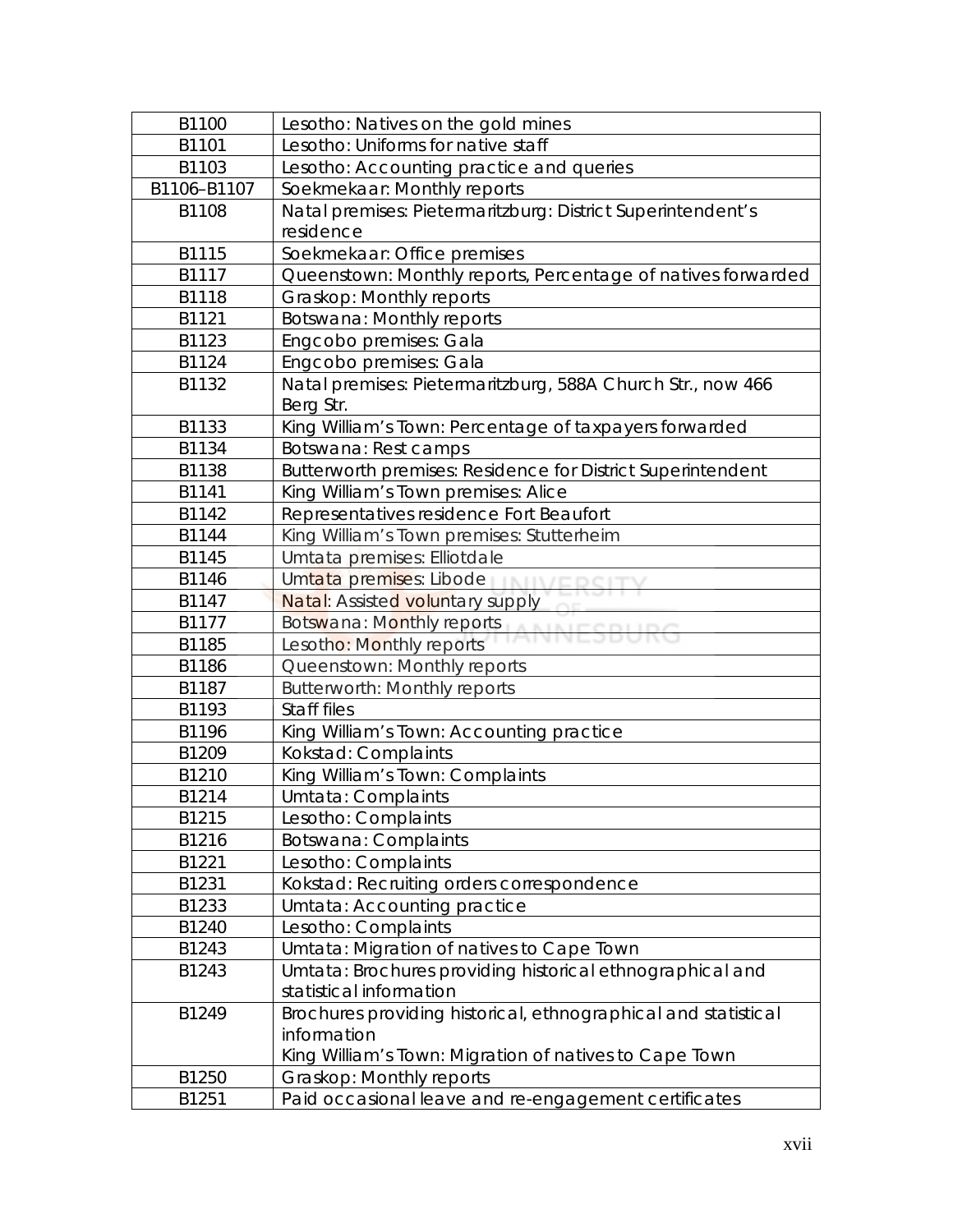| B1100       | Lesotho: Natives on the gold mines                             |
|-------------|----------------------------------------------------------------|
| B1101       | Lesotho: Uniforms for native staff                             |
| B1103       | Lesotho: Accounting practice and queries                       |
| B1106-B1107 | Soekmekaar: Monthly reports                                    |
| B1108       | Natal premises: Pietermaritzburg: District Superintendent's    |
|             | residence                                                      |
| B1115       | Soekmekaar: Office premises                                    |
| B1117       | Queenstown: Monthly reports, Percentage of natives forwarded   |
| B1118       | Graskop: Monthly reports                                       |
| B1121       | Botswana: Monthly reports                                      |
| B1123       | Engcobo premises: Gala                                         |
| B1124       | Engcobo premises: Gala                                         |
| B1132       | Natal premises: Pietermaritzburg, 588A Church Str., now 466    |
|             | Berg Str.                                                      |
| B1133       | King William's Town: Percentage of taxpayers forwarded         |
| B1134       | Botswana: Rest camps                                           |
| B1138       | Butterworth premises: Residence for District Superintendent    |
| B1141       | King William's Town premises: Alice                            |
| B1142       | Representatives residence Fort Beaufort                        |
| B1144       | King William's Town premises: Stutterheim                      |
| B1145       | Umtata premises: Elliotdale                                    |
| B1146       | Umtata premises: Libode                                        |
| B1147       | Natal: Assisted voluntary supply                               |
| B1177       | Botswana: Monthly reports                                      |
| B1185       | Lesotho: Monthly reports                                       |
| B1186       | Queenstown: Monthly reports                                    |
| B1187       | <b>Butterworth: Monthly reports</b>                            |
| B1193       | Staff files                                                    |
| B1196       | King William's Town: Accounting practice                       |
| B1209       | Kokstad: Complaints                                            |
| B1210       | King William's Town: Complaints                                |
| B1214       | Umtata: Complaints                                             |
| B1215       | Lesotho: Complaints                                            |
| B1216       | Botswana: Complaints                                           |
| B1221       | Lesotho: Complaints                                            |
| B1231       | Kokstad: Recruiting orders correspondence                      |
| B1233       | Umtata: Accounting practice                                    |
| B1240       | Lesotho: Complaints                                            |
| B1243       | Umtata: Migration of natives to Cape Town                      |
| B1243       | Umtata: Brochures providing historical ethnographical and      |
|             | statistical information                                        |
| B1249       | Brochures providing historical, ethnographical and statistical |
|             | information                                                    |
|             | King William's Town: Migration of natives to Cape Town         |
| B1250       | Graskop: Monthly reports                                       |
| B1251       | Paid occasional leave and re-engagement certificates           |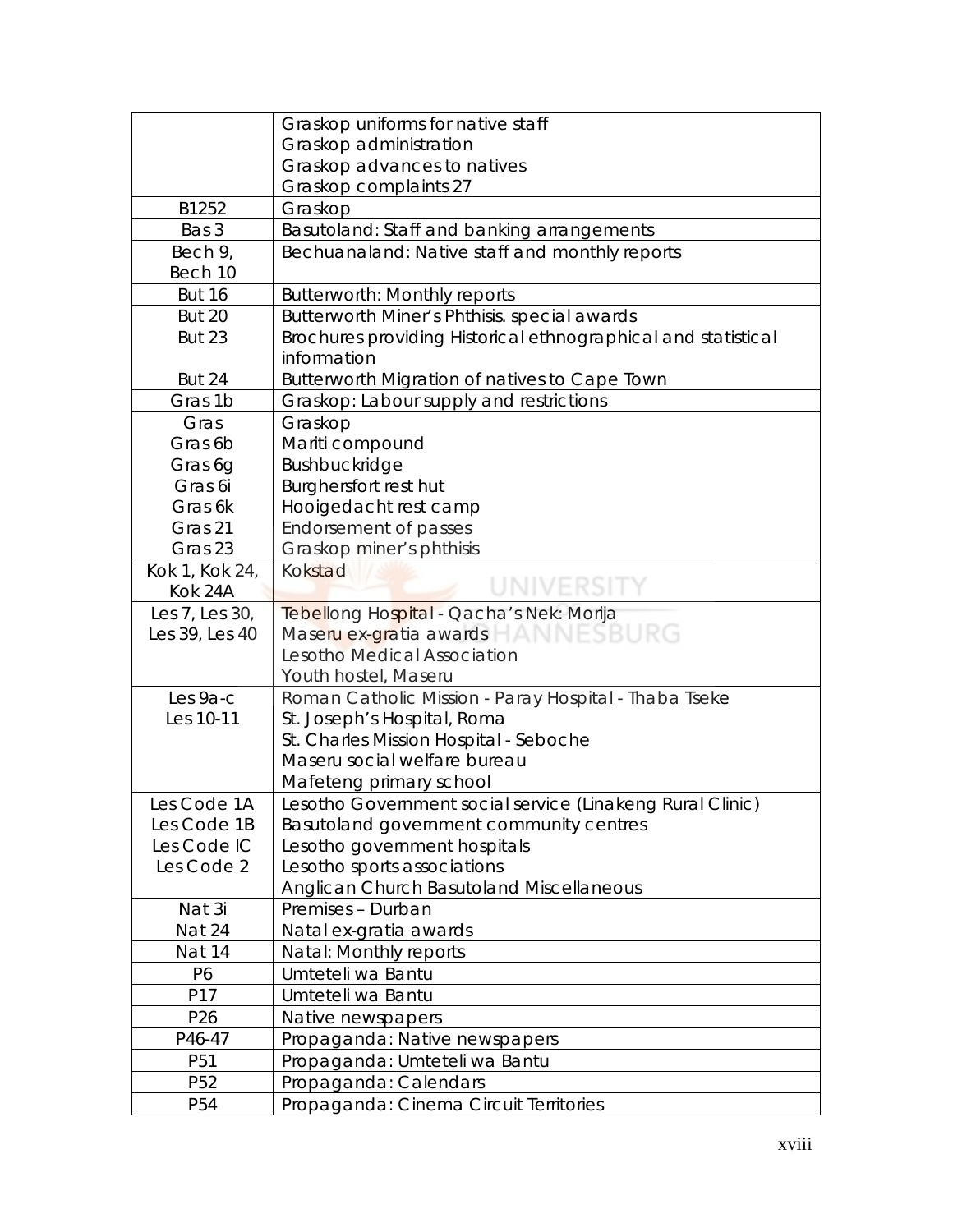|                 | Graskop uniforms for native staff                             |
|-----------------|---------------------------------------------------------------|
|                 | Graskop administration                                        |
|                 | Graskop advances to natives                                   |
|                 | Graskop complaints 27                                         |
| B1252           | Graskop                                                       |
| Bas 3           | Basutoland: Staff and banking arrangements                    |
| Bech 9,         | Bechuanaland: Native staff and monthly reports                |
| Bech 10         |                                                               |
| <b>But 16</b>   | <b>Butterworth: Monthly reports</b>                           |
| <b>But 20</b>   | Butterworth Miner's Phthisis. special awards                  |
| <b>But 23</b>   | Brochures providing Historical ethnographical and statistical |
|                 | information                                                   |
| <b>But 24</b>   | Butterworth Migration of natives to Cape Town                 |
| Gras 1b         | Graskop: Labour supply and restrictions                       |
| Gras            | Graskop                                                       |
| Gras 6b         | Mariti compound                                               |
| Gras 6g         | Bushbuckridge                                                 |
| Gras 6i         | Burghersfort rest hut                                         |
| Gras 6k         | Hooigedacht rest camp                                         |
| Gras 21         | Endorsement of passes                                         |
| Gras 23         | Graskop miner's phthisis                                      |
| Kok 1, Kok 24,  | Kokstad                                                       |
| Kok 24A         |                                                               |
| Les 7, Les 30,  | Tebellong Hospital - Qacha's Nek: Morija                      |
| Les 39, Les 40  | Maseru ex-gratia awards ANNESBURG                             |
|                 | Lesotho Medical Association                                   |
|                 | Youth hostel, Maseru                                          |
| Les 9a-c        | Roman Catholic Mission - Paray Hospital - Thaba Tseke         |
| Les 10-11       | St. Joseph's Hospital, Roma                                   |
|                 | St. Charles Mission Hospital - Seboche                        |
|                 | Maseru social welfare bureau                                  |
|                 | Mafeteng primary school                                       |
| Les Code 1A     | Lesotho Government social service (Linakeng Rural Clinic)     |
| Les Code 1B     | Basutoland government community centres                       |
| Les Code IC     | Lesotho government hospitals                                  |
| Les Code 2      | Lesotho sports associations                                   |
|                 | Anglican Church Basutoland Miscellaneous                      |
| Nat 3i          | Premises - Durban                                             |
| Nat 24          | Natal ex-gratia awards                                        |
| Nat 14          | Natal: Monthly reports                                        |
| P6              | Umteteli wa Bantu                                             |
| P17             | Umteteli wa Bantu                                             |
| P26             | Native newspapers                                             |
| P46-47          | Propaganda: Native newspapers                                 |
| P51             | Propaganda: Umteteli wa Bantu                                 |
| P <sub>52</sub> | Propaganda: Calendars                                         |
| P <sub>54</sub> | Propaganda: Cinema Circuit Territories                        |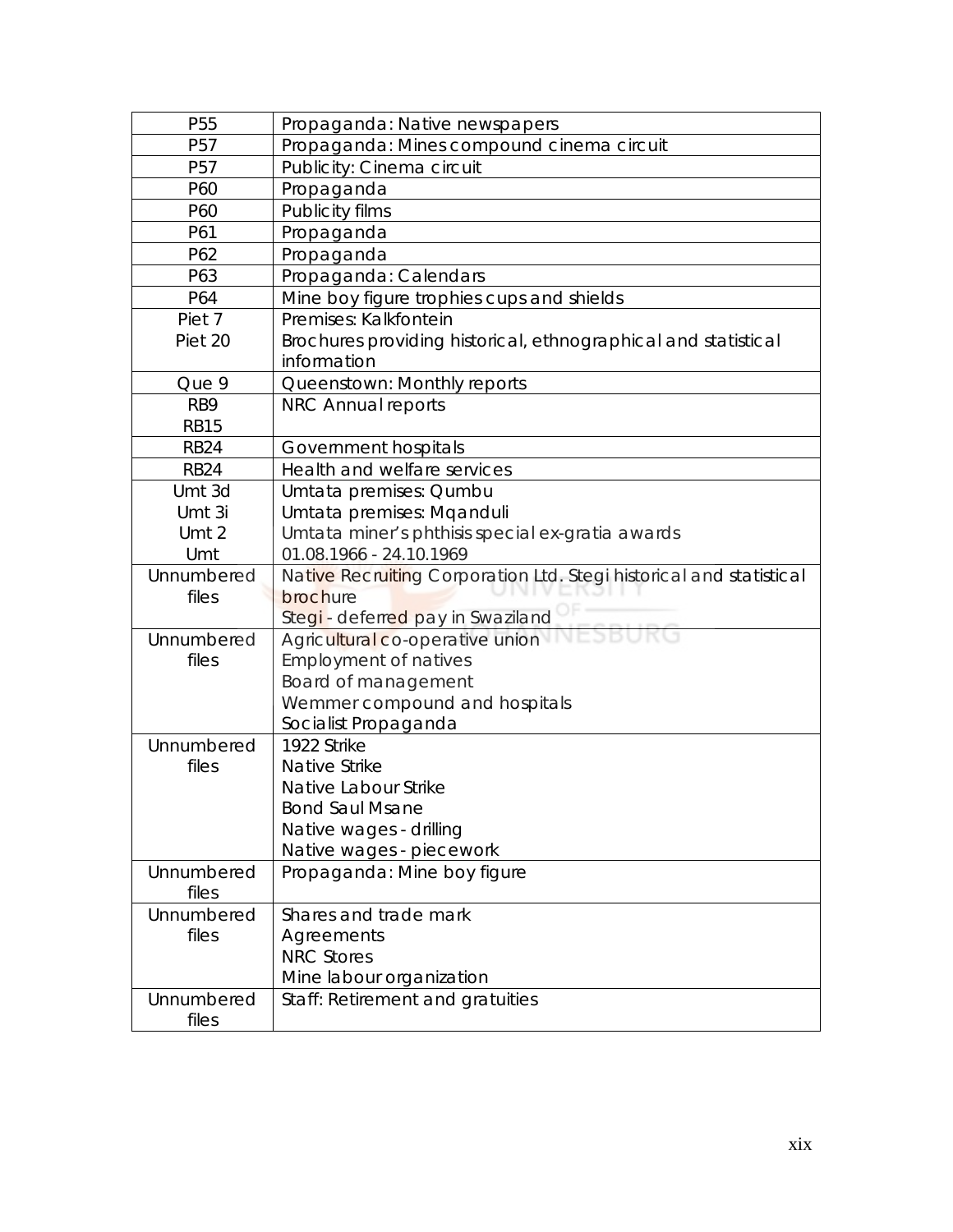| P <sub>55</sub> | Propaganda: Native newspapers                                       |
|-----------------|---------------------------------------------------------------------|
| P57             | Propaganda: Mines compound cinema circuit                           |
| P <sub>57</sub> | Publicity: Cinema circuit                                           |
| P60             | Propaganda                                                          |
| P60             | Publicity films                                                     |
| P61             | Propaganda                                                          |
| P62             | Propaganda                                                          |
| P63             | Propaganda: Calendars                                               |
| P64             | Mine boy figure trophies cups and shields                           |
| Piet 7          | Premises: Kalkfontein                                               |
| Piet 20         | Brochures providing historical, ethnographical and statistical      |
|                 | information                                                         |
| Que 9           | Queenstown: Monthly reports                                         |
| RB <sub>9</sub> | NRC Annual reports                                                  |
| <b>RB15</b>     |                                                                     |
| <b>RB24</b>     | Government hospitals                                                |
| <b>RB24</b>     | Health and welfare services                                         |
| Umt 3d          | Umtata premises: Qumbu                                              |
| Umt 3i          | Umtata premises: Mqanduli                                           |
| Umt 2           | Umtata miner's phthisis special ex-gratia awards                    |
| Umt             | 01.08.1966 - 24.10.1969                                             |
| Unnumbered      | Native Recruiting Corporation Ltd. Stegi historical and statistical |
| files           | brochure                                                            |
|                 | Stegi - deferred pay in Swaziland                                   |
| Unnumbered      | Agricultural co-operative union                                     |
| files           | <b>Employment of natives</b>                                        |
|                 | Board of management                                                 |
|                 | Wemmer compound and hospitals                                       |
|                 | Socialist Propaganda                                                |
| Unnumbered      | 1922 Strike                                                         |
| files           | Native Strike                                                       |
|                 | Native Labour Strike                                                |
|                 | <b>Bond Saul Msane</b>                                              |
|                 | Native wages - drilling                                             |
|                 | Native wages - piecework                                            |
| Unnumbered      | Propaganda: Mine boy figure                                         |
| files           |                                                                     |
| Unnumbered      | Shares and trade mark                                               |
| files           | Agreements                                                          |
|                 | <b>NRC Stores</b>                                                   |
|                 | Mine labour organization                                            |
| Unnumbered      | Staff: Retirement and gratuities                                    |
| files           |                                                                     |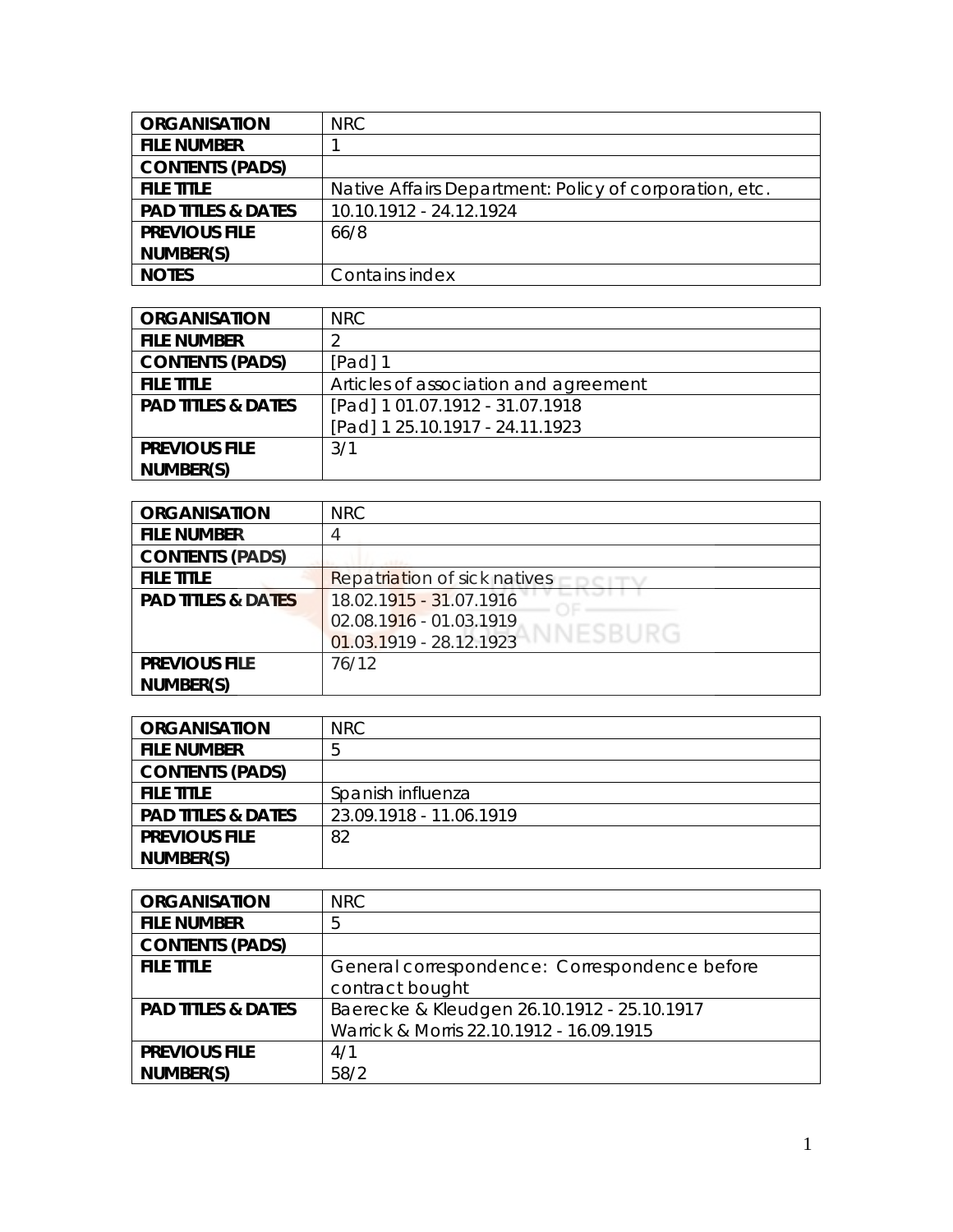| <b>ORGANISATION</b>           | <b>NRC</b>                                             |
|-------------------------------|--------------------------------------------------------|
| <b>FILE NUMBER</b>            |                                                        |
| <b>CONTENTS (PADS)</b>        |                                                        |
| <b>FILE TITLE</b>             | Native Affairs Department: Policy of corporation, etc. |
| <b>PAD TITLES &amp; DATES</b> | 10.10.1912 - 24.12.1924                                |
| <b>PREVIOUS FILE</b>          | 66/8                                                   |
| NUMBER(S)                     |                                                        |
| <b>NOTES</b>                  | Contains index                                         |

| <b>ORGANISATION</b>           | NRC.                                  |
|-------------------------------|---------------------------------------|
| <b>FILE NUMBER</b>            |                                       |
| <b>CONTENTS (PADS)</b>        | $[Pad]$ 1                             |
| <b>FILE TITLE</b>             | Articles of association and agreement |
| <b>PAD TITLES &amp; DATES</b> | [Pad] 1 01.07.1912 - 31.07.1918       |
|                               | [Pad] 1 25.10.1917 - 24.11.1923       |
| <b>PREVIOUS FILE</b>          | 3/1                                   |
| NUMBER(S)                     |                                       |

| <b>ORGANISATION</b>           | <b>NRC</b>                            |
|-------------------------------|---------------------------------------|
| <b>FILE NUMBER</b>            |                                       |
| <b>CONTENTS (PADS)</b>        |                                       |
| <b>FILE TITLE</b>             | Repatriation of sick natives          |
| <b>PAD TITLES &amp; DATES</b> | 18.02.1915 - 31.07.1916               |
|                               | 02.08.1916 - 01.03.1919               |
|                               | VNESBURG<br>$01.03.1919 - 28.12.1923$ |
| <b>PREVIOUS FILE</b>          | 76/12                                 |
| NUMBER(S)                     |                                       |

| <b>ORGANISATION</b>           | <b>NRC</b>              |
|-------------------------------|-------------------------|
| <b>FILE NUMBER</b>            | b                       |
| <b>CONTENTS (PADS)</b>        |                         |
| <b>FILE TITLE</b>             | Spanish influenza       |
| <b>PAD TITLES &amp; DATES</b> | 23.09.1918 - 11.06.1919 |
| <b>PREVIOUS FILE</b>          | 82                      |
| NUMBER(S)                     |                         |

| <b>ORGANISATION</b>           | NRC                                           |
|-------------------------------|-----------------------------------------------|
| <b>FILE NUMBER</b>            | 5                                             |
| <b>CONTENTS (PADS)</b>        |                                               |
| <b>FILE TITLE</b>             | General correspondence: Correspondence before |
|                               | contract bought                               |
| <b>PAD TITLES &amp; DATES</b> | Baerecke & Kleudgen 26.10.1912 - 25.10.1917   |
|                               | Warrick & Morris 22.10.1912 - 16.09.1915      |
| <b>PREVIOUS FILE</b>          | 4/1                                           |
| NUMBER(S)                     | 58/2                                          |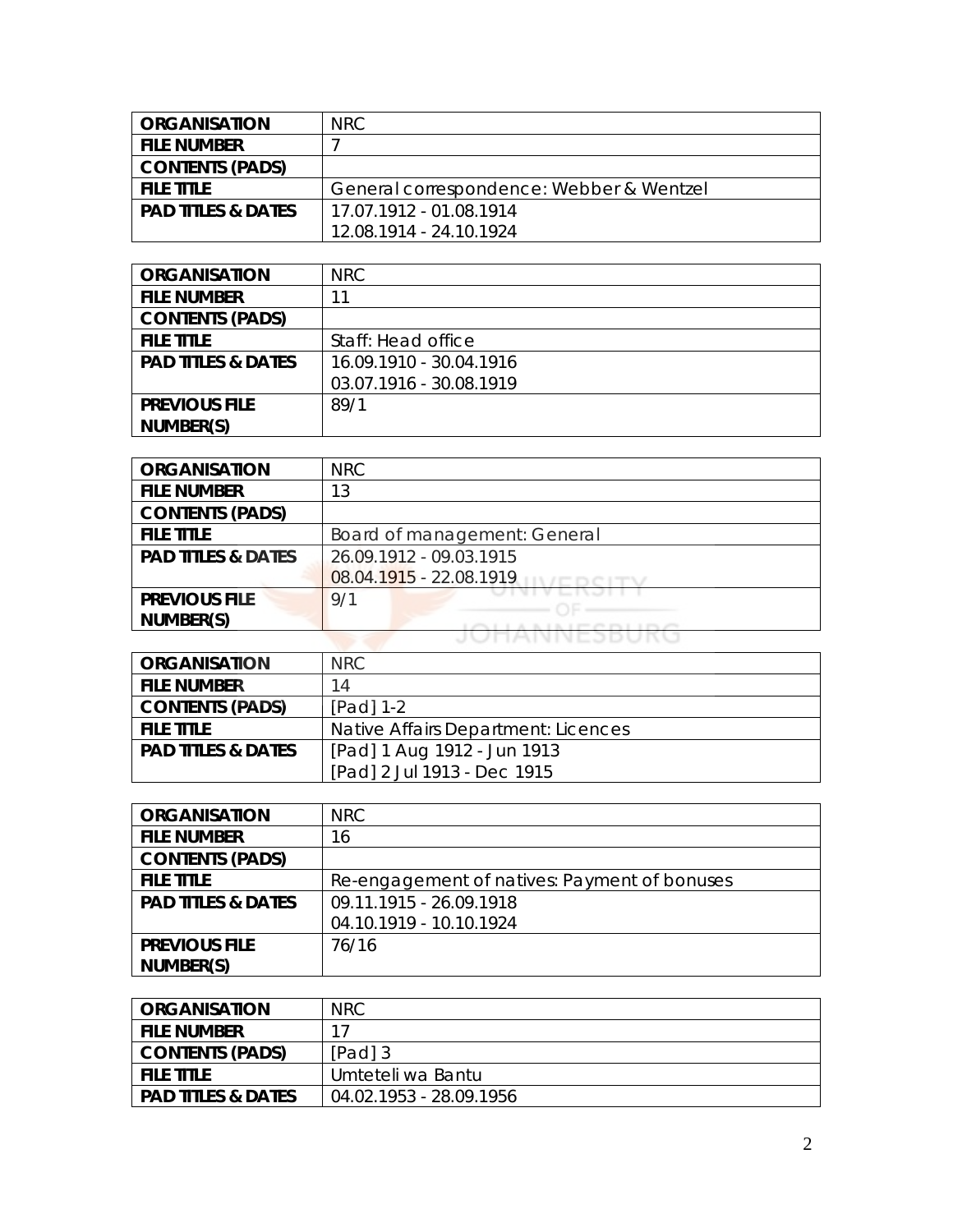| <b>ORGANISATION</b>           | NRC.                                     |
|-------------------------------|------------------------------------------|
| <b>FILE NUMBER</b>            |                                          |
| <b>CONTENTS (PADS)</b>        |                                          |
| FILE TITLE                    | General correspondence: Webber & Wentzel |
| <b>PAD TITLES &amp; DATES</b> | 17.07.1912 - 01.08.1914                  |
|                               | 12.08.1914 - 24.10.1924                  |

| <b>ORGANISATION</b>           | <b>NRC</b>              |
|-------------------------------|-------------------------|
| <b>FILE NUMBER</b>            |                         |
| <b>CONTENTS (PADS)</b>        |                         |
| <b>FILE TITLE</b>             | Staff: Head office      |
| <b>PAD TITLES &amp; DATES</b> | 16.09.1910 - 30.04.1916 |
|                               | 03.07.1916 - 30.08.1919 |
| <b>PREVIOUS FILE</b>          | 89/1                    |
| NUMBER(S)                     |                         |

| <b>ORGANISATION</b>           | <b>NRC</b>                   |
|-------------------------------|------------------------------|
| <b>FILE NUMBER</b>            | 13                           |
| <b>CONTENTS (PADS)</b>        |                              |
| <b>FILE TITLE</b>             | Board of management: General |
| <b>PAD TITLES &amp; DATES</b> | 26.09.1912 - 09.03.1915      |
|                               | 08.04.1915 - 22.08.1919      |
| <b>PREVIOUS FILE</b>          | 9/1                          |
| NUMBER(S)                     |                              |
|                               |                              |

| <b>ORGANISATION</b>           | NRC                                 |
|-------------------------------|-------------------------------------|
| <b>FILE NUMBER</b>            | 14                                  |
| <b>CONTENTS (PADS)</b>        | $[Pad] 1-2$                         |
| <b>FILE TITLE</b>             | Native Affairs Department: Licences |
| <b>PAD TITLES &amp; DATES</b> | [Pad] 1 Aug 1912 - Jun 1913         |
|                               | [Pad] 2 Jul 1913 - Dec 1915         |

| <b>ORGANISATION</b>           | <b>NRC</b>                                   |
|-------------------------------|----------------------------------------------|
| <b>FILE NUMBER</b>            | 16                                           |
| <b>CONTENTS (PADS)</b>        |                                              |
| <b>FILE TITLE</b>             | Re-engagement of natives: Payment of bonuses |
| <b>PAD TITLES &amp; DATES</b> | 09.11.1915 - 26.09.1918                      |
|                               | 04.10.1919 - 10.10.1924                      |
| <b>PREVIOUS FILE</b>          | 76/16                                        |
| NUMBER(S)                     |                                              |

| <b>ORGANISATION</b>           | <b>NRC</b>              |
|-------------------------------|-------------------------|
| <b>FILE NUMBER</b>            | 17                      |
| <b>CONTENTS (PADS)</b>        | [Pad] 3                 |
| <b>FILE TITLE</b>             | Umteteli wa Bantu       |
| <b>PAD TITLES &amp; DATES</b> | 04.02.1953 - 28.09.1956 |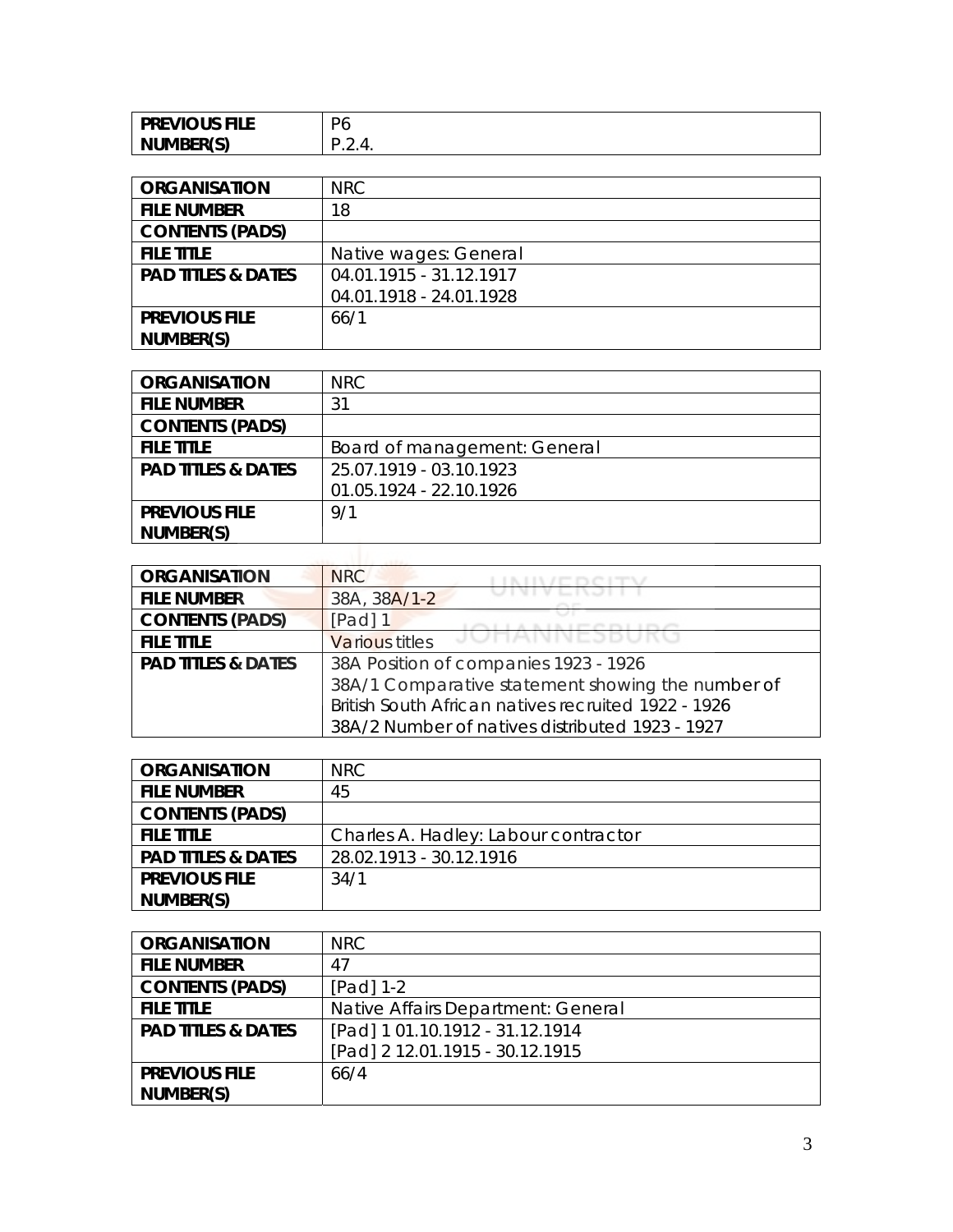| <b>PREVIOUS FILE</b> | $\mathbf{\Gamma}$<br>◡ |
|----------------------|------------------------|
| NUMBER(S)            | .                      |

| <b>ORGANISATION</b>           | NRC                     |
|-------------------------------|-------------------------|
| <b>FILE NUMBER</b>            | 18                      |
| <b>CONTENTS (PADS)</b>        |                         |
| <b>FILE TITLE</b>             | Native wages: General   |
| <b>PAD TITLES &amp; DATES</b> | 04.01.1915 - 31.12.1917 |
|                               | 04.01.1918 - 24.01.1928 |
| <b>PREVIOUS FILE</b>          | 66/1                    |
| NUMBER(S)                     |                         |

| <b>ORGANISATION</b>           | <b>NRC</b>                   |
|-------------------------------|------------------------------|
| <b>FILE NUMBER</b>            | 31                           |
| <b>CONTENTS (PADS)</b>        |                              |
| <b>FILE TITLE</b>             | Board of management: General |
| <b>PAD TITLES &amp; DATES</b> | 25.07.1919 - 03.10.1923      |
|                               | 01.05.1924 - 22.10.1926      |
| <b>PREVIOUS FILE</b>          | 9/1                          |
| NUMBER(S)                     |                              |
|                               |                              |

| <b>ORGANISATION</b>           | <b>NRC</b>                                          |
|-------------------------------|-----------------------------------------------------|
| <b>FILE NUMBER</b>            | 38A, 38A/1-2                                        |
| <b>CONTENTS (PADS)</b>        | [Pad] 1                                             |
| <b>FILE TITLE</b>             | JUHANNEJDUKU<br><b>Various titles</b>               |
| <b>PAD TITLES &amp; DATES</b> | 38A Position of companies 1923 - 1926               |
|                               | 38A/1 Comparative statement showing the number of   |
|                               | British South African natives recruited 1922 - 1926 |
|                               | 38A/2 Number of natives distributed 1923 - 1927     |

| <b>ORGANISATION</b>           | NRC.                                 |
|-------------------------------|--------------------------------------|
| <b>FILE NUMBER</b>            | 45                                   |
| <b>CONTENTS (PADS)</b>        |                                      |
| <b>FILE TITLE</b>             | Charles A. Hadley: Labour contractor |
| <b>PAD TITLES &amp; DATES</b> | 28.02.1913 - 30.12.1916              |
| <b>PREVIOUS FILE</b>          | 34/1                                 |
| NUMBER(S)                     |                                      |

| <b>ORGANISATION</b>           | <b>NRC</b>                         |
|-------------------------------|------------------------------------|
| <b>FILE NUMBER</b>            | 47                                 |
| <b>CONTENTS (PADS)</b>        | [Pad] 1-2                          |
| <b>FILE TITLE</b>             | Native Affairs Department: General |
| <b>PAD TITLES &amp; DATES</b> | [Pad] 1 01.10.1912 - 31.12.1914    |
|                               | [Pad] 2 12.01.1915 - 30.12.1915    |
| <b>PREVIOUS FILE</b>          | 66/4                               |
| NUMBER(S)                     |                                    |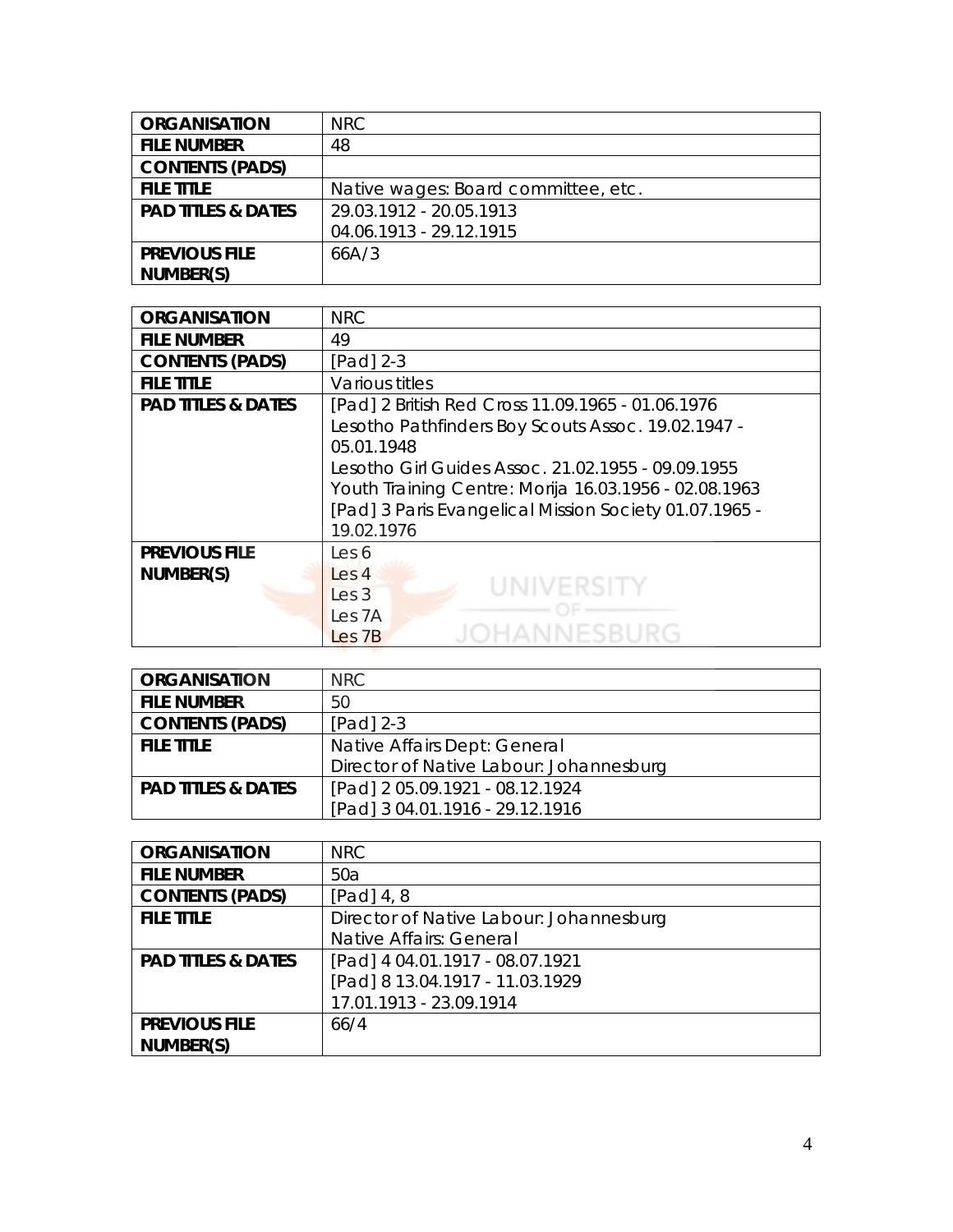| <b>ORGANISATION</b>           | NRC.                                |
|-------------------------------|-------------------------------------|
| <b>FILE NUMBER</b>            | 48                                  |
| <b>CONTENTS (PADS)</b>        |                                     |
| <b>FILE TITLE</b>             | Native wages: Board committee, etc. |
| <b>PAD TITLES &amp; DATES</b> | 29.03.1912 - 20.05.1913             |
|                               | 04.06.1913 - 29.12.1915             |
| <b>PREVIOUS FILE</b>          | 66A/3                               |
| NUMBER(S)                     |                                     |

| <b>ORGANISATION</b>           | <b>NRC</b>                                             |
|-------------------------------|--------------------------------------------------------|
| <b>FILE NUMBER</b>            | 49                                                     |
| <b>CONTENTS (PADS)</b>        | $[Pad]$ 2-3                                            |
| <b>FILE TITLE</b>             | Various titles                                         |
| <b>PAD TITLES &amp; DATES</b> | [Pad] 2 British Red Cross 11.09.1965 - 01.06.1976      |
|                               | Lesotho Pathfinders Boy Scouts Assoc. 19.02.1947 -     |
|                               | 05.01.1948                                             |
|                               | Lesotho Girl Guides Assoc. 21.02.1955 - 09.09.1955     |
|                               | Youth Training Centre: Morija 16.03.1956 - 02.08.1963  |
|                               | [Pad] 3 Paris Evangelical Mission Society 01.07.1965 - |
|                               | 19.02.1976                                             |
| <b>PREVIOUS FILE</b>          | Les 6                                                  |
| NUMBER(S)                     | Les 4                                                  |
|                               | UNIVERSITY<br>Les <sub>3</sub>                         |
|                               | Les <sub>7A</sub>                                      |
|                               | ANNESBURG<br>Les <sub>7B</sub>                         |

| <b>ORGANISATION</b>           | NRC.                                    |
|-------------------------------|-----------------------------------------|
| <b>FILE NUMBER</b>            | 50                                      |
| <b>CONTENTS (PADS)</b>        | $[Pad]$ 2-3                             |
| <b>FILE TITLE</b>             | Native Affairs Dept: General            |
|                               | Director of Native Labour: Johannesburg |
| <b>PAD TITLES &amp; DATES</b> | [Pad] 2 05.09.1921 - 08.12.1924         |
|                               | [Pad] 3 04.01.1916 - 29.12.1916         |

| <b>ORGANISATION</b>           | <b>NRC</b>                              |
|-------------------------------|-----------------------------------------|
| <b>FILE NUMBER</b>            | 50a                                     |
| <b>CONTENTS (PADS)</b>        | $[Pad]$ 4, 8                            |
| <b>FILE TITLE</b>             | Director of Native Labour: Johannesburg |
|                               | Native Affairs: General                 |
| <b>PAD TITLES &amp; DATES</b> | [Pad] 4 04.01.1917 - 08.07.1921         |
|                               | [Pad] 8 13.04.1917 - 11.03.1929         |
|                               | 17.01.1913 - 23.09.1914                 |
| <b>PREVIOUS FILE</b>          | 66/4                                    |
| NUMBER(S)                     |                                         |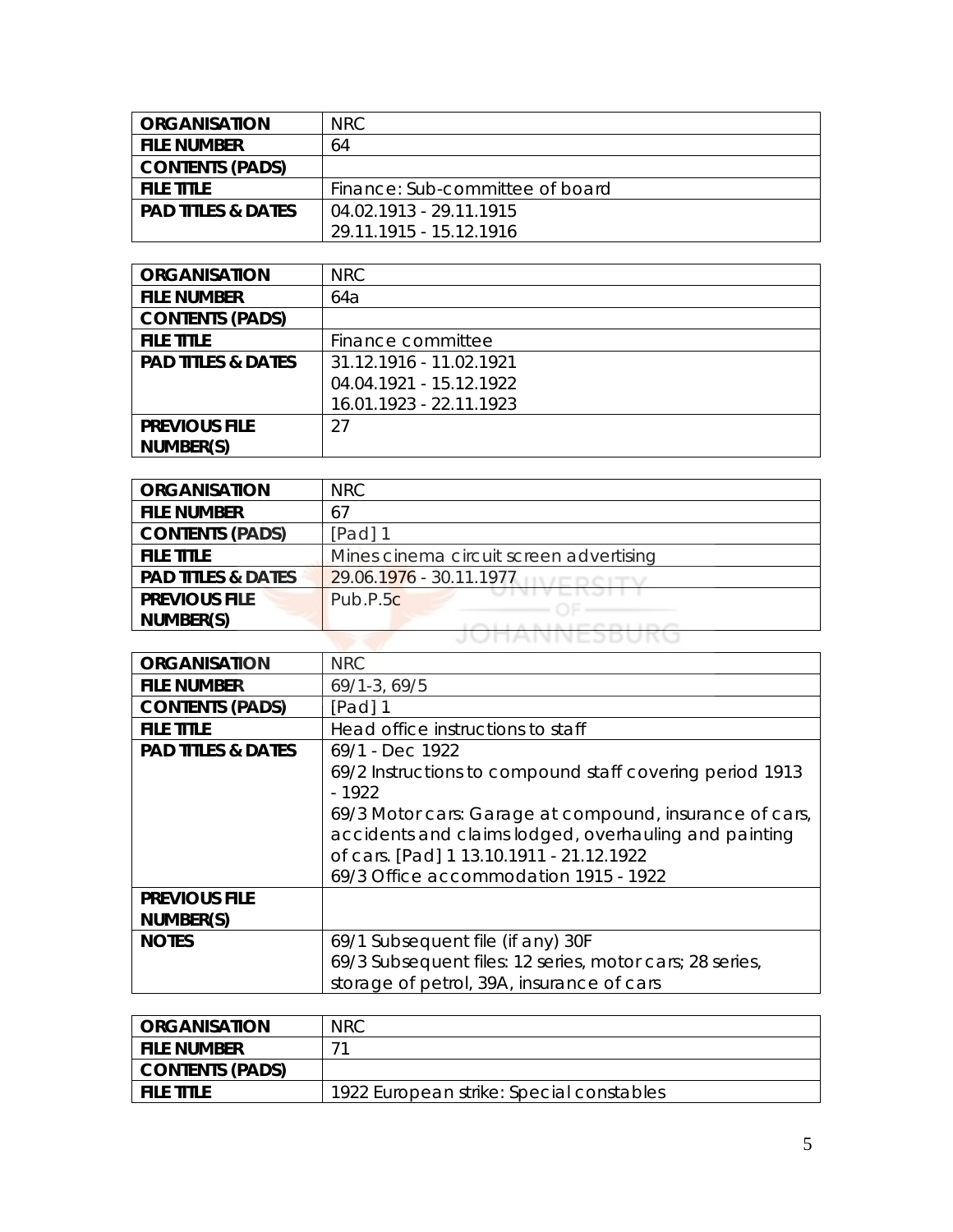| <b>ORGANISATION</b>           | NRC.                            |
|-------------------------------|---------------------------------|
| <b>FILE NUMBER</b>            | 64                              |
| <b>CONTENTS (PADS)</b>        |                                 |
| <b>FILE TITLE</b>             | Finance: Sub-committee of board |
| <b>PAD TITLES &amp; DATES</b> | 04.02.1913 - 29.11.1915         |
|                               | 29.11.1915 - 15.12.1916         |

| <b>ORGANISATION</b>           | <b>NRC</b>              |
|-------------------------------|-------------------------|
| <b>FILE NUMBER</b>            | 64a                     |
| <b>CONTENTS (PADS)</b>        |                         |
| <b>FILE TITLE</b>             | Finance committee       |
| <b>PAD TITLES &amp; DATES</b> | 31.12.1916 - 11.02.1921 |
|                               | 04.04.1921 - 15.12.1922 |
|                               | 16.01.1923 - 22.11.1923 |
| <b>PREVIOUS FILE</b>          | 27                      |
| NUMBER(S)                     |                         |

| <b>ORGANISATION</b>           | NRC                                     |
|-------------------------------|-----------------------------------------|
| <b>FILE NUMBER</b>            | 67                                      |
| <b>CONTENTS (PADS)</b>        | $[Pad]$ 1                               |
| <b>FILE TITLE</b>             | Mines cinema circuit screen advertising |
| <b>PAD TITLES &amp; DATES</b> | $29.06.1976 - 30.11.1977$               |
| <b>PREVIOUS FILE</b>          | Pub.P.5 <sub>C</sub>                    |
| NUMBER(S)                     |                                         |
|                               | JUHAINNEJDURU                           |

| <b>ORGANISATION</b>           | <b>NRC</b>                                               |
|-------------------------------|----------------------------------------------------------|
| <b>FILE NUMBER</b>            | $69/1 - 3, 69/5$                                         |
| <b>CONTENTS (PADS)</b>        | $[Pad]$ 1                                                |
| <b>FILE TITLE</b>             | Head office instructions to staff                        |
| <b>PAD TITLES &amp; DATES</b> | 69/1 - Dec 1922                                          |
|                               | 69/2 Instructions to compound staff covering period 1913 |
|                               | - 1922                                                   |
|                               | 69/3 Motor cars: Garage at compound, insurance of cars,  |
|                               | accidents and claims lodged, overhauling and painting    |
|                               | of cars. [Pad] 1 13.10.1911 - 21.12.1922                 |
|                               | 69/3 Office accommodation 1915 - 1922                    |
| <b>PREVIOUS FILE</b>          |                                                          |
| NUMBER(S)                     |                                                          |
| <b>NOTES</b>                  | 69/1 Subsequent file (if any) 30F                        |
|                               | 69/3 Subsequent files: 12 series, motor cars; 28 series, |
|                               | storage of petrol, 39A, insurance of cars                |

| <b>ORGANISATION</b>    | <b>NRC</b>                               |
|------------------------|------------------------------------------|
| <b>FILE NUMBER</b>     |                                          |
| <b>CONTENTS (PADS)</b> |                                          |
| <b>FILE TITLE</b>      | 1922 European strike: Special constables |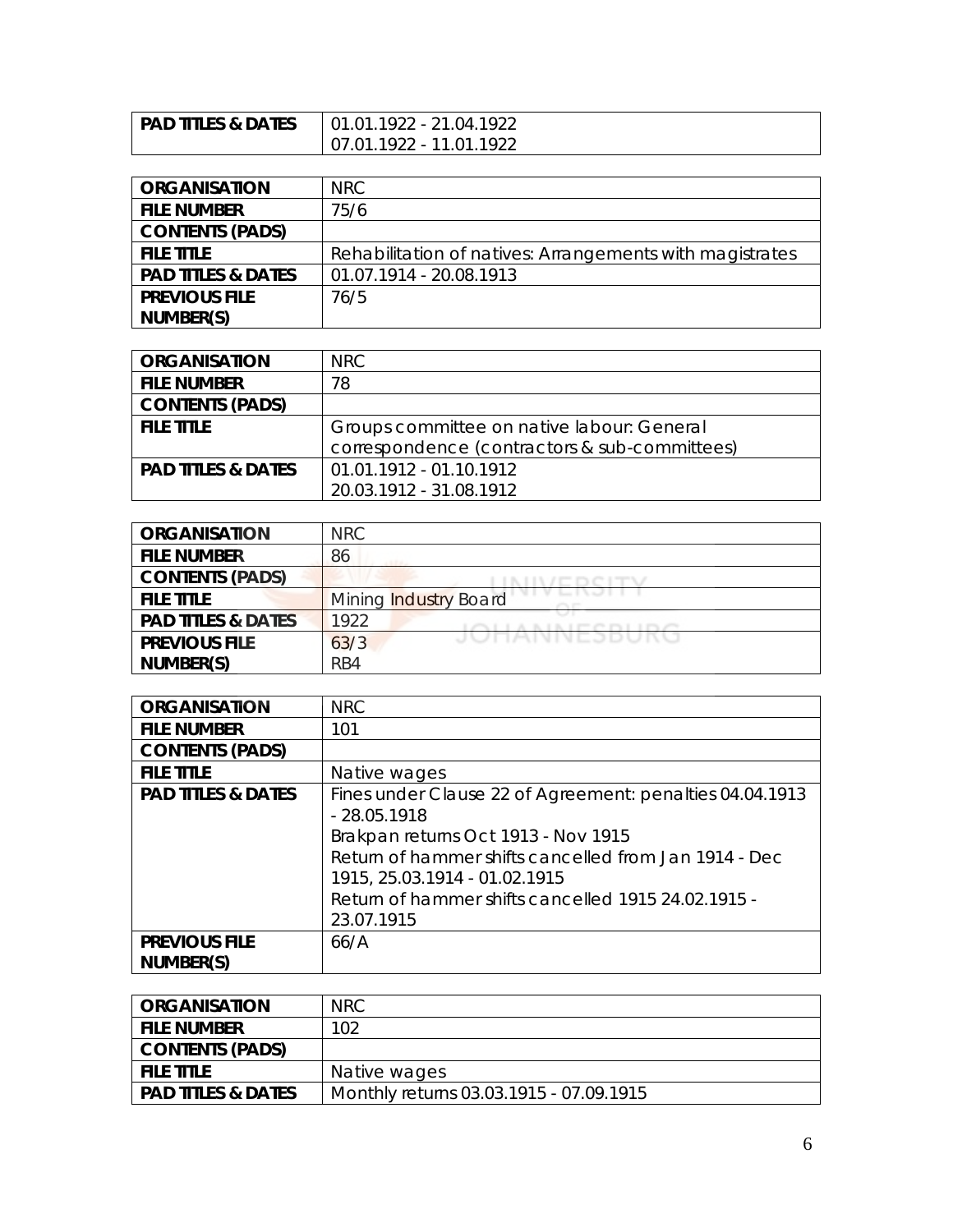| <b>PAD TITLES &amp; DATES</b> | $01.01.1922 - 21.04.1922$ |
|-------------------------------|---------------------------|
|                               | 07.01.1922 - 11.01.1922   |

| <b>ORGANISATION</b>           | NRC.                                                     |
|-------------------------------|----------------------------------------------------------|
| <b>FILE NUMBER</b>            | 75/6                                                     |
| <b>CONTENTS (PADS)</b>        |                                                          |
| <b>FILE TITLE</b>             | Rehabilitation of natives: Arrangements with magistrates |
| <b>PAD TITLES &amp; DATES</b> | 01.07.1914 - 20.08.1913                                  |
| <b>PREVIOUS FILE</b>          | 76/5                                                     |
| NUMBER(S)                     |                                                          |

| <b>ORGANISATION</b>           | NRC.                                          |
|-------------------------------|-----------------------------------------------|
| <b>FILE NUMBER</b>            | 78                                            |
| <b>CONTENTS (PADS)</b>        |                                               |
| <b>FILE TITLE</b>             | Groups committee on native labour: General    |
|                               | correspondence (contractors & sub-committees) |
| <b>PAD TITLES &amp; DATES</b> | 01.01.1912 - 01.10.1912                       |
|                               | 20.03.1912 - 31.08.1912                       |

| <b>ORGANISATION</b>           | NRC                          |
|-------------------------------|------------------------------|
| <b>FILE NUMBER</b>            | 86                           |
| <b>CONTENTS (PADS)</b>        |                              |
| <b>FILE TITLE</b>             | <b>Mining Industry Board</b> |
| <b>PAD TITLES &amp; DATES</b> | 1922<br>A LET IN FULL LEVIC  |
| <b>PREVIOUS FILE</b>          | JUMANNESDURU<br>63/3         |
| NUMBER(S)                     | RB4                          |

| <b>ORGANISATION</b>           | <b>NRC</b>                                                                                                                                                                                                                                                        |
|-------------------------------|-------------------------------------------------------------------------------------------------------------------------------------------------------------------------------------------------------------------------------------------------------------------|
| <b>FILE NUMBER</b>            | 101                                                                                                                                                                                                                                                               |
| <b>CONTENTS (PADS)</b>        |                                                                                                                                                                                                                                                                   |
| <b>FILE TITLE</b>             | Native wages                                                                                                                                                                                                                                                      |
| <b>PAD TITLES &amp; DATES</b> | Fines under Clause 22 of Agreement: penalties 04.04.1913<br>$-28.05.1918$<br>Brakpan returns Oct 1913 - Nov 1915<br>Return of hammer shifts cancelled from Jan 1914 - Dec<br>1915, 25.03.1914 - 01.02.1915<br>Return of hammer shifts cancelled 1915 24.02.1915 - |
|                               | 23.07.1915                                                                                                                                                                                                                                                        |
| <b>PREVIOUS FILE</b>          | 66/A                                                                                                                                                                                                                                                              |
| NUMBER(S)                     |                                                                                                                                                                                                                                                                   |

| <b>ORGANISATION</b>           | NRC.                                    |
|-------------------------------|-----------------------------------------|
| <b>FILE NUMBER</b>            | 102                                     |
| <b>CONTENTS (PADS)</b>        |                                         |
| <b>FILE TITLE</b>             | Native wages                            |
| <b>PAD TITLES &amp; DATES</b> | Monthly returns 03.03.1915 - 07.09.1915 |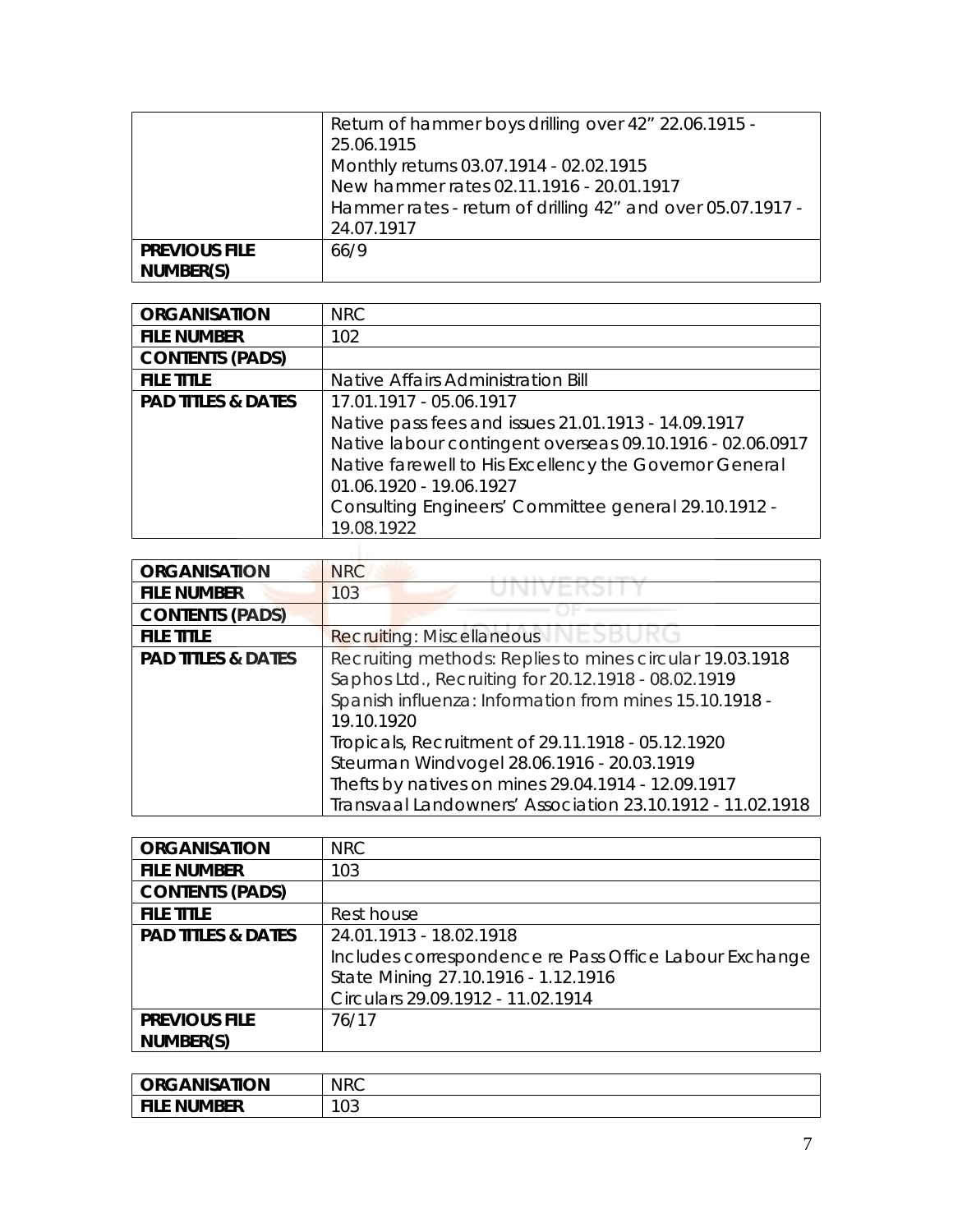|                                   | Return of hammer boys drilling over 42" 22.06.1915 -<br>25.06.1915<br>Monthly returns 03.07.1914 - 02.02.1915<br>New hammer rates 02.11.1916 - 20.01.1917<br>Hammer rates - return of drilling 42" and over 05.07.1917 -<br>24.07.1917 |
|-----------------------------------|----------------------------------------------------------------------------------------------------------------------------------------------------------------------------------------------------------------------------------------|
| <b>PREVIOUS FILE</b><br>NUMBER(S) | 66/9                                                                                                                                                                                                                                   |

| <b>ORGANISATION</b>           | <b>NRC</b>                                                |
|-------------------------------|-----------------------------------------------------------|
| <b>FILE NUMBER</b>            | 102                                                       |
| <b>CONTENTS (PADS)</b>        |                                                           |
| <b>FILE TITLE</b>             | Native Affairs Administration Bill                        |
| <b>PAD TITLES &amp; DATES</b> | 17.01.1917 - 05.06.1917                                   |
|                               | Native pass fees and issues 21.01.1913 - 14.09.1917       |
|                               | Native labour contingent overseas 09.10.1916 - 02.06.0917 |
|                               | Native farewell to His Excellency the Governor General    |
|                               | 01.06.1920 - 19.06.1927                                   |
|                               | Consulting Engineers' Committee general 29.10.1912 -      |
|                               | 19.08.1922                                                |
|                               |                                                           |

| <b>ORGANISATION</b>           | <b>NRC</b>                                                |
|-------------------------------|-----------------------------------------------------------|
| <b>FILE NUMBER</b>            | 103                                                       |
| <b>CONTENTS (PADS)</b>        |                                                           |
| <b>FILE TITLE</b>             | <b>Recruiting: Miscellaneous</b><br>VEG                   |
| <b>PAD TITLES &amp; DATES</b> | Recruiting methods: Replies to mines circular 19.03.1918  |
|                               | Saphos Ltd., Recruiting for 20.12.1918 - 08.02.1919       |
|                               | Spanish influenza: Information from mines 15.10.1918 -    |
|                               | 19.10.1920                                                |
|                               | Tropicals, Recruitment of 29.11.1918 - 05.12.1920         |
|                               | Steurman Windvogel 28.06.1916 - 20.03.1919                |
|                               | Thefts by natives on mines 29.04.1914 - 12.09.1917        |
|                               | Transvaal Landowners' Association 23.10.1912 - 11.02.1918 |

| <b>ORGANISATION</b>           | NRC                                                    |
|-------------------------------|--------------------------------------------------------|
| <b>FILE NUMBER</b>            | 103                                                    |
| <b>CONTENTS (PADS)</b>        |                                                        |
| <b>FILE TITLE</b>             | Rest house                                             |
| <b>PAD TITLES &amp; DATES</b> | 24.01.1913 - 18.02.1918                                |
|                               | Includes correspondence re Pass Office Labour Exchange |
|                               | State Mining 27.10.1916 - 1.12.1916                    |
|                               | Circulars 29.09.1912 - 11.02.1914                      |
| <b>PREVIOUS FILE</b>          | 76/17                                                  |
| NUMBER(S)                     |                                                        |

| <b>ORGANISATION</b> | <b>NRC</b> |
|---------------------|------------|
| le number           | 100        |
| <b>FIL</b>          | . U 2      |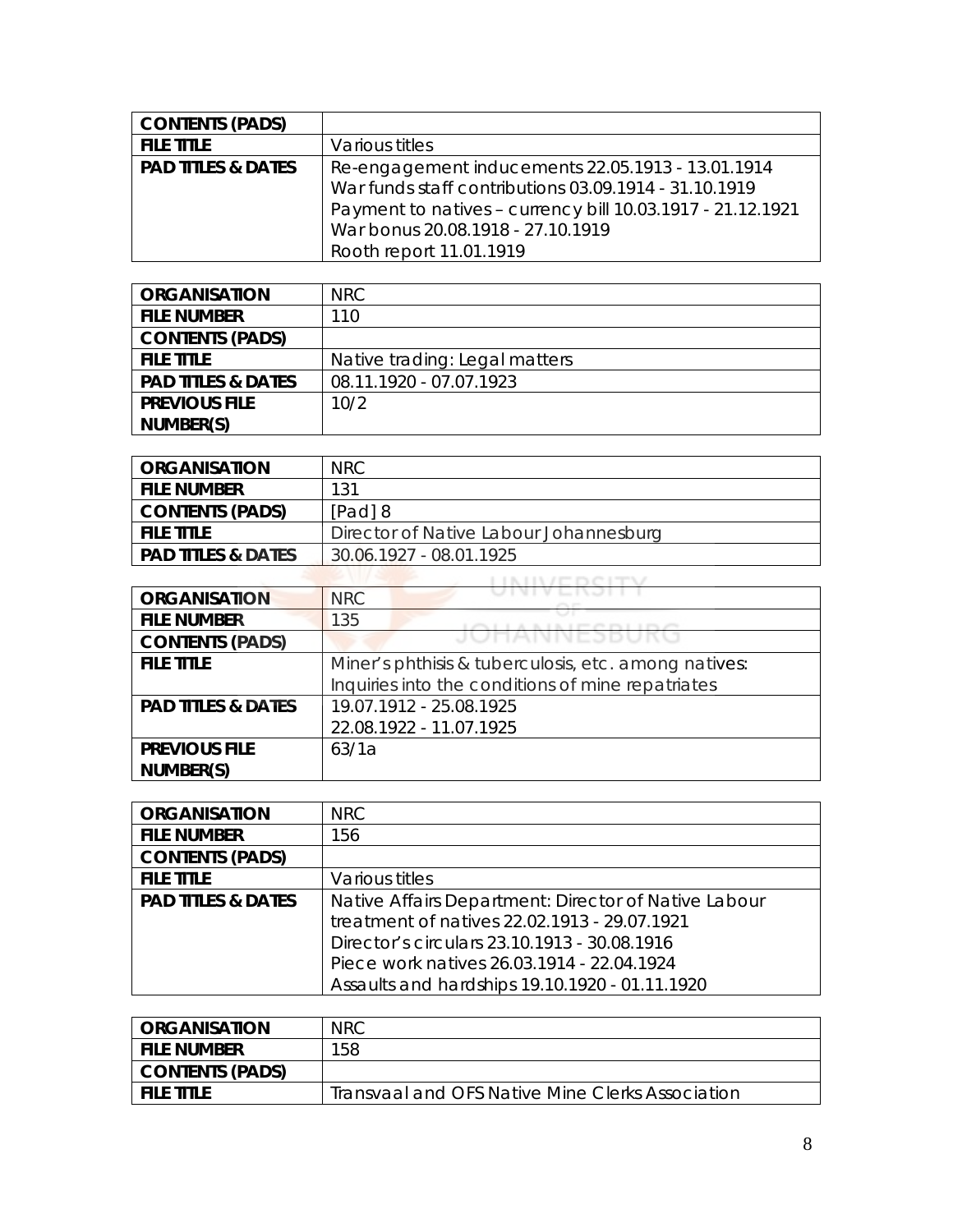| <b>CONTENTS (PADS)</b>        |                                                            |
|-------------------------------|------------------------------------------------------------|
| <b>FILE TITLE</b>             | Various titles                                             |
| <b>PAD TITLES &amp; DATES</b> | Re-engagement inducements 22.05.1913 - 13.01.1914          |
|                               | War funds staff contributions 03.09.1914 - 31.10.1919      |
|                               | Payment to natives - currency bill 10.03.1917 - 21.12.1921 |
|                               | War bonus 20.08.1918 - 27.10.1919                          |
|                               | Rooth report 11.01.1919                                    |

| <b>ORGANISATION</b>           | NRC.                          |
|-------------------------------|-------------------------------|
| <b>FILE NUMBER</b>            | 110                           |
| <b>CONTENTS (PADS)</b>        |                               |
| <b>FILE TITLE</b>             | Native trading: Legal matters |
| <b>PAD TITLES &amp; DATES</b> | 08.11.1920 - 07.07.1923       |
| <b>PREVIOUS FILE</b>          | 10/2                          |
| NUMBER(S)                     |                               |

| <b>ORGANISATION</b>           | NRC.                                   |
|-------------------------------|----------------------------------------|
| <b>FILE NUMBER</b>            | 131                                    |
| <b>CONTENTS (PADS)</b>        | [Pad] 8                                |
| <b>FILE TITLE</b>             | Director of Native Labour Johannesburg |
| <b>PAD TITLES &amp; DATES</b> | 30.06.1927 - 08.01.1925                |

| <b>ORGANISATION</b>           | <b>NRC</b>                                           |
|-------------------------------|------------------------------------------------------|
| <b>FILE NUMBER</b>            | 135                                                  |
| <b>CONTENTS (PADS)</b>        | JUMANNESDUKU                                         |
| <b>FILE TITLE</b>             | Miner's phthisis & tuberculosis, etc. among natives: |
|                               | Inquiries into the conditions of mine repatriates    |
| <b>PAD TITLES &amp; DATES</b> | 19.07.1912 - 25.08.1925                              |
|                               | 22.08.1922 - 11.07.1925                              |
| <b>PREVIOUS FILE</b>          | 63/1a                                                |
| NUMBER(S)                     |                                                      |

| <b>ORGANISATION</b>           | NRC.                                                 |
|-------------------------------|------------------------------------------------------|
| <b>FILE NUMBER</b>            | 156                                                  |
| <b>CONTENTS (PADS)</b>        |                                                      |
| <b>FILE TITLE</b>             | Various titles                                       |
| <b>PAD TITLES &amp; DATES</b> | Native Affairs Department: Director of Native Labour |
|                               | treatment of natives 22.02.1913 - 29.07.1921         |
|                               | Director's circulars 23.10.1913 - 30.08.1916         |
|                               | Piece work natives 26.03.1914 - 22.04.1924           |
|                               | Assaults and hardships 19.10.1920 - 01.11.1920       |

| <b>ORGANISATION</b> | <b>NRC</b>                                       |
|---------------------|--------------------------------------------------|
| i file number       | 158                                              |
| CONTENTS (PADS)     |                                                  |
| <b>FILE TITLE</b>   | Transvaal and OFS Native Mine Clerks Association |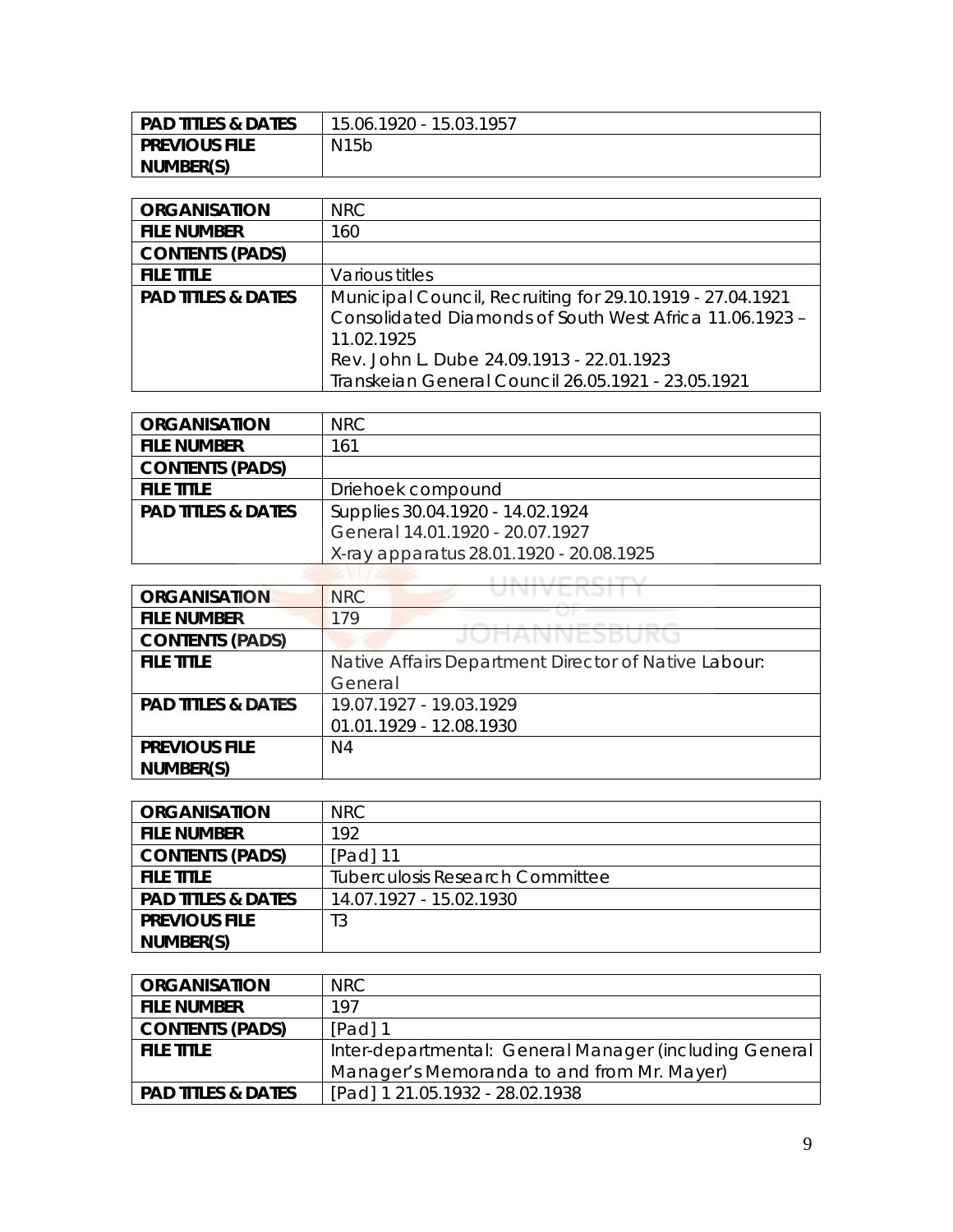| <b>PAD TITLES &amp; DATES</b> | 15.06.1920 - 15.03.1957 |
|-------------------------------|-------------------------|
| I PREVIOUS FILE               | N15b                    |
| NUMBER(S)                     |                         |

| <b>ORGANISATION</b>           | NRC.                                                      |
|-------------------------------|-----------------------------------------------------------|
| <b>FILE NUMBER</b>            | 160                                                       |
| <b>CONTENTS (PADS)</b>        |                                                           |
| <b>FILE TITLE</b>             | Various titles                                            |
| <b>PAD TITLES &amp; DATES</b> | Municipal Council, Recruiting for 29.10.1919 - 27.04.1921 |
|                               | Consolidated Diamonds of South West Africa 11.06.1923 -   |
|                               | 11.02.1925                                                |
|                               | Rev. John L. Dube 24.09.1913 - 22.01.1923                 |
|                               | Transkeian General Council 26.05.1921 - 23.05.1921        |

| <b>ORGANISATION</b>           | NRC.                                    |
|-------------------------------|-----------------------------------------|
| <b>FILE NUMBER</b>            | 161                                     |
| <b>CONTENTS (PADS)</b>        |                                         |
| <b>FILE TITLE</b>             | Driehoek compound                       |
| <b>PAD TITLES &amp; DATES</b> | Supplies 30.04.1920 - 14.02.1924        |
|                               | General 14.01.1920 - 20.07.1927         |
|                               | X-ray apparatus 28.01.1920 - 20.08.1925 |

| <b>ORGANISATION</b>           | <b>NRC</b>                                           |
|-------------------------------|------------------------------------------------------|
| <b>FILE NUMBER</b>            | 179                                                  |
| <b>CONTENTS (PADS)</b>        | UHANNESB                                             |
| <b>FILE TITLE</b>             | Native Affairs Department Director of Native Labour: |
|                               | General                                              |
| <b>PAD TITLES &amp; DATES</b> | 19.07.1927 - 19.03.1929                              |
|                               | 01.01.1929 - 12.08.1930                              |
| <b>PREVIOUS FILE</b>          | N4                                                   |
| NUMBER(S)                     |                                                      |

| <b>ORGANISATION</b>           | NRC                                    |
|-------------------------------|----------------------------------------|
| <b>FILE NUMBER</b>            | 192                                    |
| <b>CONTENTS (PADS)</b>        | Padl 11                                |
| <b>FILE TITLE</b>             | <b>Tuberculosis Research Committee</b> |
| <b>PAD TITLES &amp; DATES</b> | 14.07.1927 - 15.02.1930                |
| <b>PREVIOUS FILE</b>          | T3                                     |
| NUMBER(S)                     |                                        |

| <b>ORGANISATION</b>           | NRC.                                                   |
|-------------------------------|--------------------------------------------------------|
| <b>FILE NUMBER</b>            | 197                                                    |
| <b>CONTENTS (PADS)</b>        | $[Pad]$ 1                                              |
| <b>FILE TITLE</b>             | Inter-departmental: General Manager (including General |
|                               | Manager's Memoranda to and from Mr. Mayer)             |
| <b>PAD TITLES &amp; DATES</b> | [Pad] 1 21.05.1932 - 28.02.1938                        |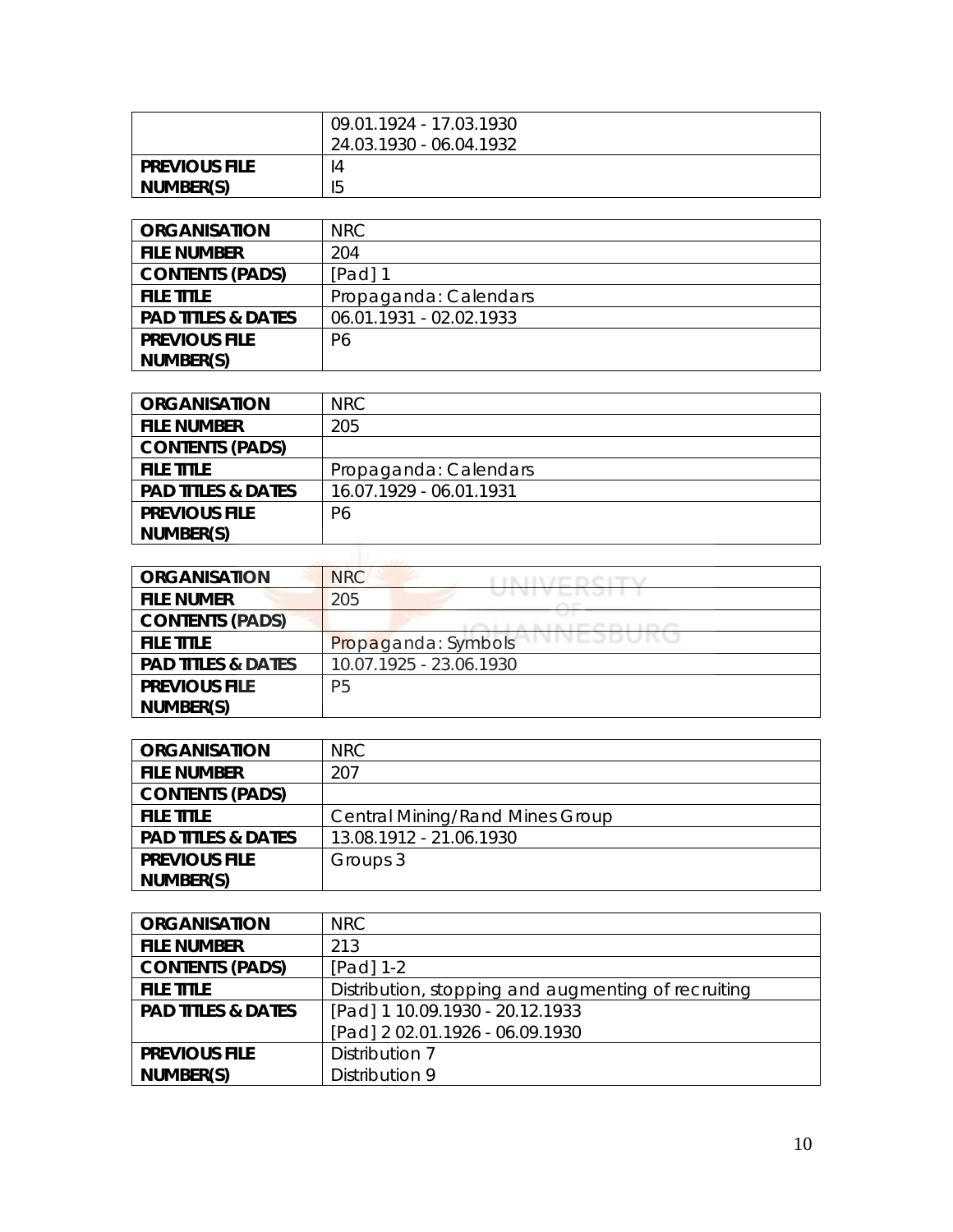|                      | 09.01.1924 - 17.03.1930<br>24.03.1930 - 06.04.1932 |
|----------------------|----------------------------------------------------|
| <b>PREVIOUS FILE</b> | 14                                                 |
| NUMBER(S)            | 15                                                 |

| <b>ORGANISATION</b>           | NRC                     |
|-------------------------------|-------------------------|
| <b>FILE NUMBER</b>            | 204                     |
| <b>CONTENTS (PADS)</b>        | [Pad] 1                 |
| <b>FILE TITLE</b>             | Propaganda: Calendars   |
| <b>PAD TITLES &amp; DATES</b> | 06.01.1931 - 02.02.1933 |
| <b>PREVIOUS FILE</b>          | P <sub>6</sub>          |
| NUMBER(S)                     |                         |

| <b>ORGANISATION</b>           | <b>NRC</b>              |
|-------------------------------|-------------------------|
| <b>FILE NUMBER</b>            | 205                     |
| <b>CONTENTS (PADS)</b>        |                         |
| <b>FILE TITLE</b>             | Propaganda: Calendars   |
| <b>PAD TITLES &amp; DATES</b> | 16.07.1929 - 06.01.1931 |
| <b>PREVIOUS FILE</b>          | P6                      |
| NUMBER(S)                     |                         |
| LASS: CITIES AREA             |                         |

| <b>ORGANISATION</b>           | <b>NRC</b>                           |
|-------------------------------|--------------------------------------|
| <b>FILE NUMER</b>             | , , , , , , , , , , , , , , ,<br>205 |
| <b>CONTENTS (PADS)</b>        | <b>PERMIT AND PROPERTY</b>           |
| <b>FILE TITLE</b>             | VIVEJDUNU<br>Propaganda: Symbols     |
| <b>PAD TITLES &amp; DATES</b> | 10.07.1925 - 23.06.1930              |
| <b>PREVIOUS FILE</b>          | P <sub>5</sub>                       |
| NUMBER(S)                     |                                      |

| <b>ORGANISATION</b>           | NRC.                                   |
|-------------------------------|----------------------------------------|
| <b>FILE NUMBER</b>            | 207                                    |
| <b>CONTENTS (PADS)</b>        |                                        |
| <b>FILE TITLE</b>             | <b>Central Mining/Rand Mines Group</b> |
| <b>PAD TITLES &amp; DATES</b> | 13.08.1912 - 21.06.1930                |
| <b>PREVIOUS FILE</b>          | Groups 3                               |
| NUMBER(S)                     |                                        |

| <b>ORGANISATION</b>           | <b>NRC</b>                                          |
|-------------------------------|-----------------------------------------------------|
| <b>FILE NUMBER</b>            | 213                                                 |
| <b>CONTENTS (PADS)</b>        | [Pad] 1-2                                           |
| <b>FILE TITLE</b>             | Distribution, stopping and augmenting of recruiting |
| <b>PAD TITLES &amp; DATES</b> | [Pad] 1 10.09.1930 - 20.12.1933                     |
|                               | [Pad] 2 02.01.1926 - 06.09.1930                     |
| <b>PREVIOUS FILE</b>          | Distribution 7                                      |
| NUMBER(S)                     | Distribution 9                                      |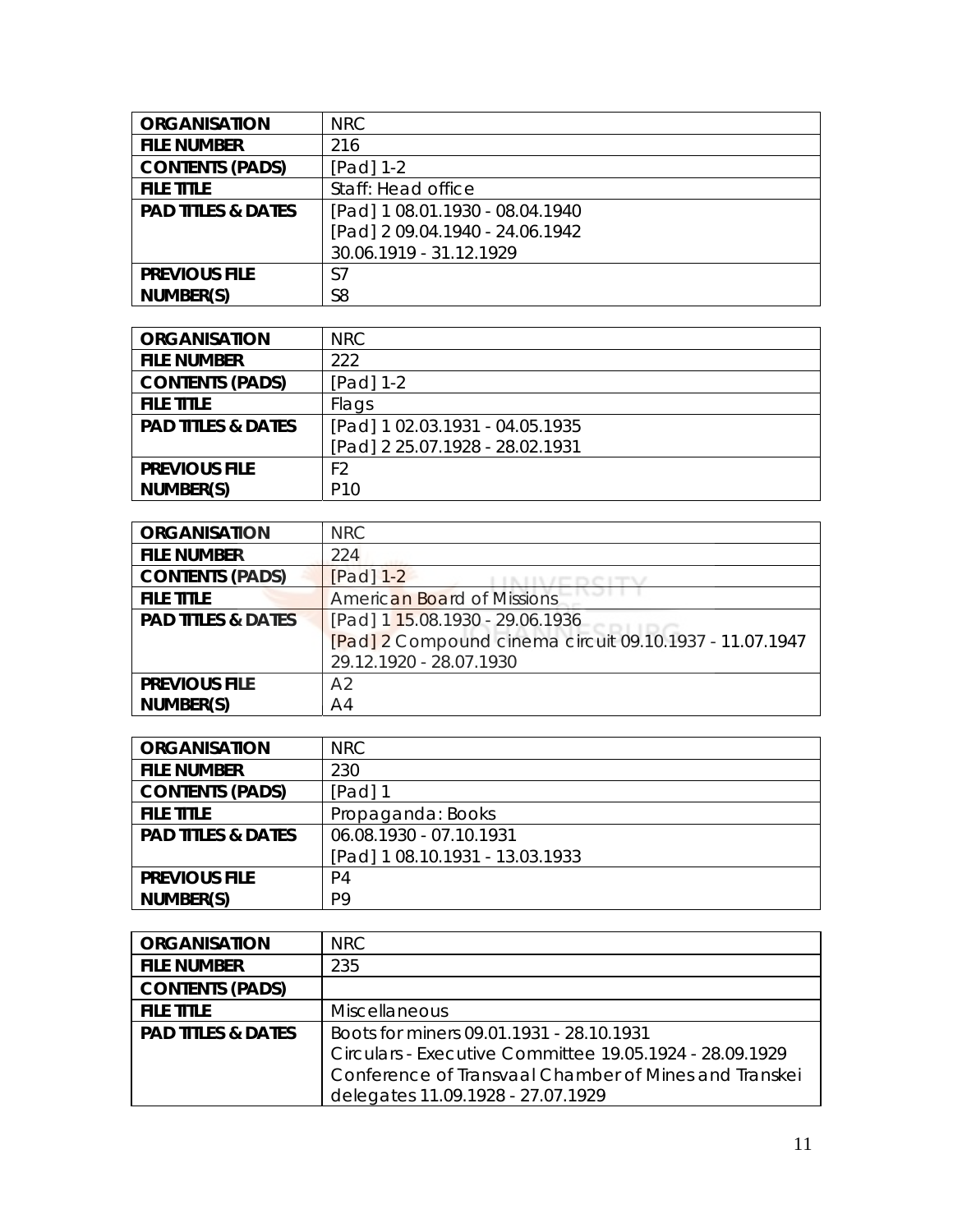| <b>ORGANISATION</b>           | <b>NRC</b>                      |
|-------------------------------|---------------------------------|
| <b>FILE NUMBER</b>            | 216                             |
| <b>CONTENTS (PADS)</b>        | $[Pad] 1-2$                     |
| <b>FILE TITLE</b>             | Staff: Head office              |
| <b>PAD TITLES &amp; DATES</b> | [Pad] 1 08.01.1930 - 08.04.1940 |
|                               | [Pad] 2 09.04.1940 - 24.06.1942 |
|                               | 30.06.1919 - 31.12.1929         |
| <b>PREVIOUS FILE</b>          | S7                              |
| NUMBER(S)                     | S <sub>8</sub>                  |

| <b>ORGANISATION</b>           | NRC                             |
|-------------------------------|---------------------------------|
| <b>FILE NUMBER</b>            | 222                             |
| <b>CONTENTS (PADS)</b>        | [Pad] $1-2$                     |
| <b>FILE TITLE</b>             | Flags                           |
| <b>PAD TITLES &amp; DATES</b> | [Pad] 1 02.03.1931 - 04.05.1935 |
|                               | [Pad] 2 25.07.1928 - 28.02.1931 |
| <b>PREVIOUS FILE</b>          | F <sub>2</sub>                  |
| NUMBER(S)                     | P <sub>10</sub>                 |

| <b>ORGANISATION</b>           | <b>NRC</b>                                              |
|-------------------------------|---------------------------------------------------------|
| <b>FILE NUMBER</b>            | 224                                                     |
| <b>CONTENTS (PADS)</b>        | $[Pad]$ 1-2                                             |
| <b>FILE TITLE</b>             | <b>American Board of Missions</b>                       |
| <b>PAD TITLES &amp; DATES</b> | [Pad] 1 15.08.1930 - 29.06.1936                         |
|                               | [Pad] 2 Compound cinema circuit 09.10.1937 - 11.07.1947 |
|                               | 29.12.1920 - 28.07.1930                                 |
| <b>PREVIOUS FILE</b>          | A <sub>2</sub>                                          |
| NUMBER(S)                     | A <sup>4</sup>                                          |

| <b>ORGANISATION</b>           | NRC.                            |
|-------------------------------|---------------------------------|
| <b>FILE NUMBER</b>            | 230                             |
| <b>CONTENTS (PADS)</b>        | $[Pad]$ 1                       |
| <b>FILE TITLE</b>             | Propaganda: Books               |
| <b>PAD TITLES &amp; DATES</b> | 06.08.1930 - 07.10.1931         |
|                               | [Pad] 1 08.10.1931 - 13.03.1933 |
| <b>PREVIOUS FILE</b>          | P <sub>4</sub>                  |
| NUMBER(S)                     | P <sub>9</sub>                  |

| <b>ORGANISATION</b>           | NRC                                                     |
|-------------------------------|---------------------------------------------------------|
| <b>FILE NUMBER</b>            | 235                                                     |
| <b>CONTENTS (PADS)</b>        |                                                         |
| <b>FILE TITLE</b>             | <b>Miscellaneous</b>                                    |
| <b>PAD TITLES &amp; DATES</b> | Boots for miners 09.01.1931 - 28.10.1931                |
|                               | Circulars - Executive Committee 19.05.1924 - 28.09.1929 |
|                               | Conference of Transvaal Chamber of Mines and Transkei   |
|                               | delegates 11.09.1928 - 27.07.1929                       |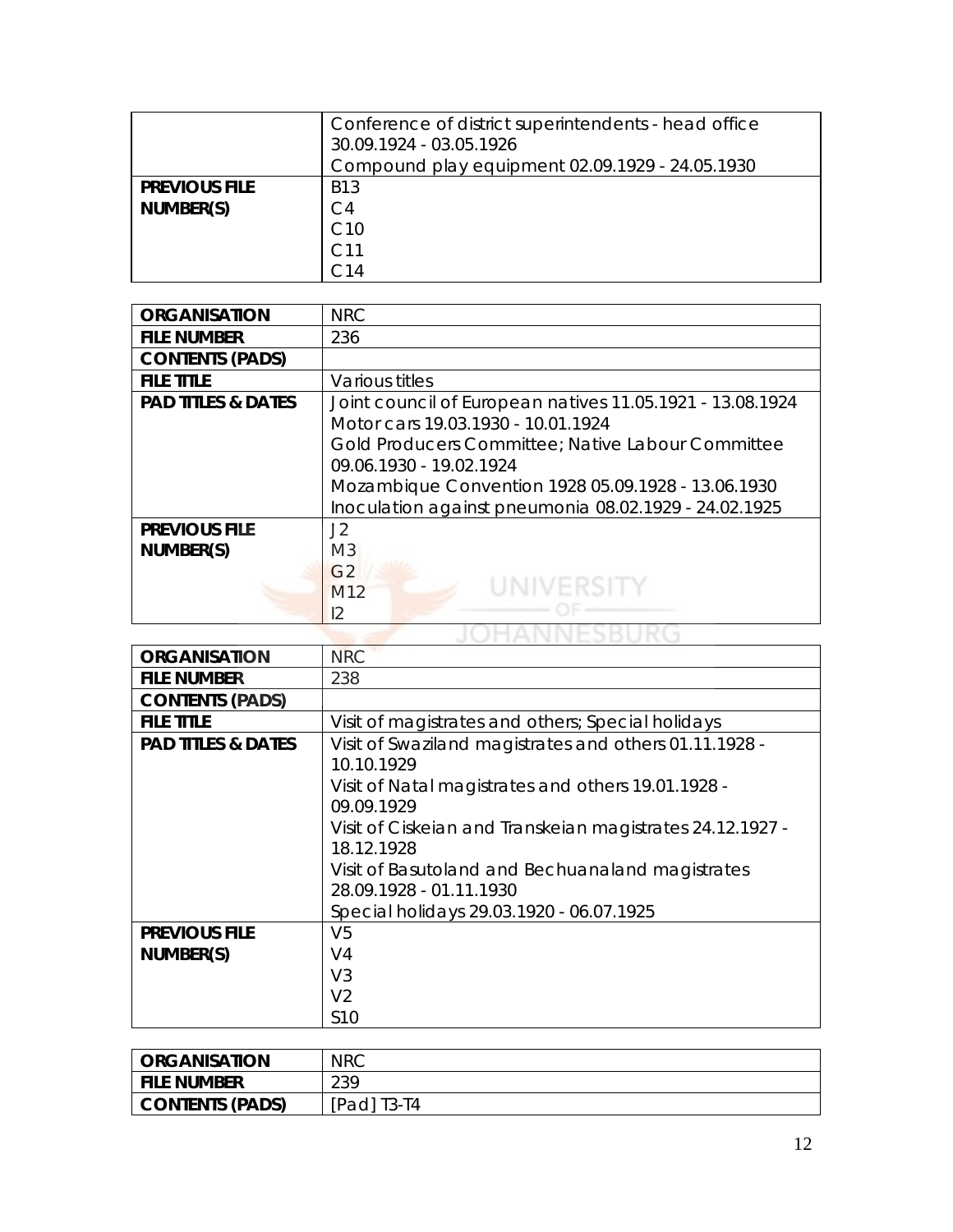|                                   | Conference of district superintendents - head office<br>30.09.1924 - 03.05.1926<br>Compound play equipment 02.09.1929 - 24.05.1930 |
|-----------------------------------|------------------------------------------------------------------------------------------------------------------------------------|
| <b>PREVIOUS FILE</b><br>NUMBER(S) | B13<br>C <sub>4</sub><br>C10<br>C.14                                                                                               |

| <b>ORGANISATION</b>               | <b>NRC</b>                                                                                                                                                                                                                                                                                     |
|-----------------------------------|------------------------------------------------------------------------------------------------------------------------------------------------------------------------------------------------------------------------------------------------------------------------------------------------|
| <b>FILE NUMBER</b>                | 236                                                                                                                                                                                                                                                                                            |
| <b>CONTENTS (PADS)</b>            |                                                                                                                                                                                                                                                                                                |
| <b>FILE TITLE</b>                 | Various titles                                                                                                                                                                                                                                                                                 |
| <b>PAD TITLES &amp; DATES</b>     | Joint council of European natives 11.05.1921 - 13.08.1924<br>Motor cars 19.03.1930 - 10.01.1924<br>Gold Producers Committee; Native Labour Committee<br>09.06.1930 - 19.02.1924<br>Mozambique Convention 1928 05.09.1928 - 13.06.1930<br>Inoculation against pneumonia 08.02.1929 - 24.02.1925 |
| <b>PREVIOUS FILE</b><br>NUMBER(S) | J2<br>M <sub>3</sub><br>G <sub>2</sub><br><b>UNIVERSITY</b><br>M <sub>12</sub><br>12                                                                                                                                                                                                           |

| <b>ORGANISATION</b>           | <b>NRC</b>                                                                  |
|-------------------------------|-----------------------------------------------------------------------------|
| <b>FILE NUMBER</b>            | 238                                                                         |
| <b>CONTENTS (PADS)</b>        |                                                                             |
| <b>FILE TITLE</b>             | Visit of magistrates and others; Special holidays                           |
| <b>PAD TITLES &amp; DATES</b> | Visit of Swaziland magistrates and others 01.11.1928 -<br>10.10.1929        |
|                               | Visit of Natal magistrates and others 19.01.1928 -<br>09.09.1929            |
|                               | Visit of Ciskeian and Transkeian magistrates 24.12.1927 -<br>18.12.1928     |
|                               | Visit of Basutoland and Bechuanaland magistrates<br>28.09.1928 - 01.11.1930 |
|                               | Special holidays 29.03.1920 - 06.07.1925                                    |
| <b>PREVIOUS FILE</b>          | V <sub>5</sub>                                                              |
| NUMBER(S)                     | V <sub>4</sub>                                                              |
|                               | V <sub>3</sub>                                                              |
|                               | V <sub>2</sub>                                                              |
|                               | S <sub>10</sub>                                                             |

| <b>ORGANISATION</b>    | <b>NRC</b> |
|------------------------|------------|
| <b>FILE NUMBER</b>     | 239        |
| <b>CONTENTS (PADS)</b> | Padl T3-T4 |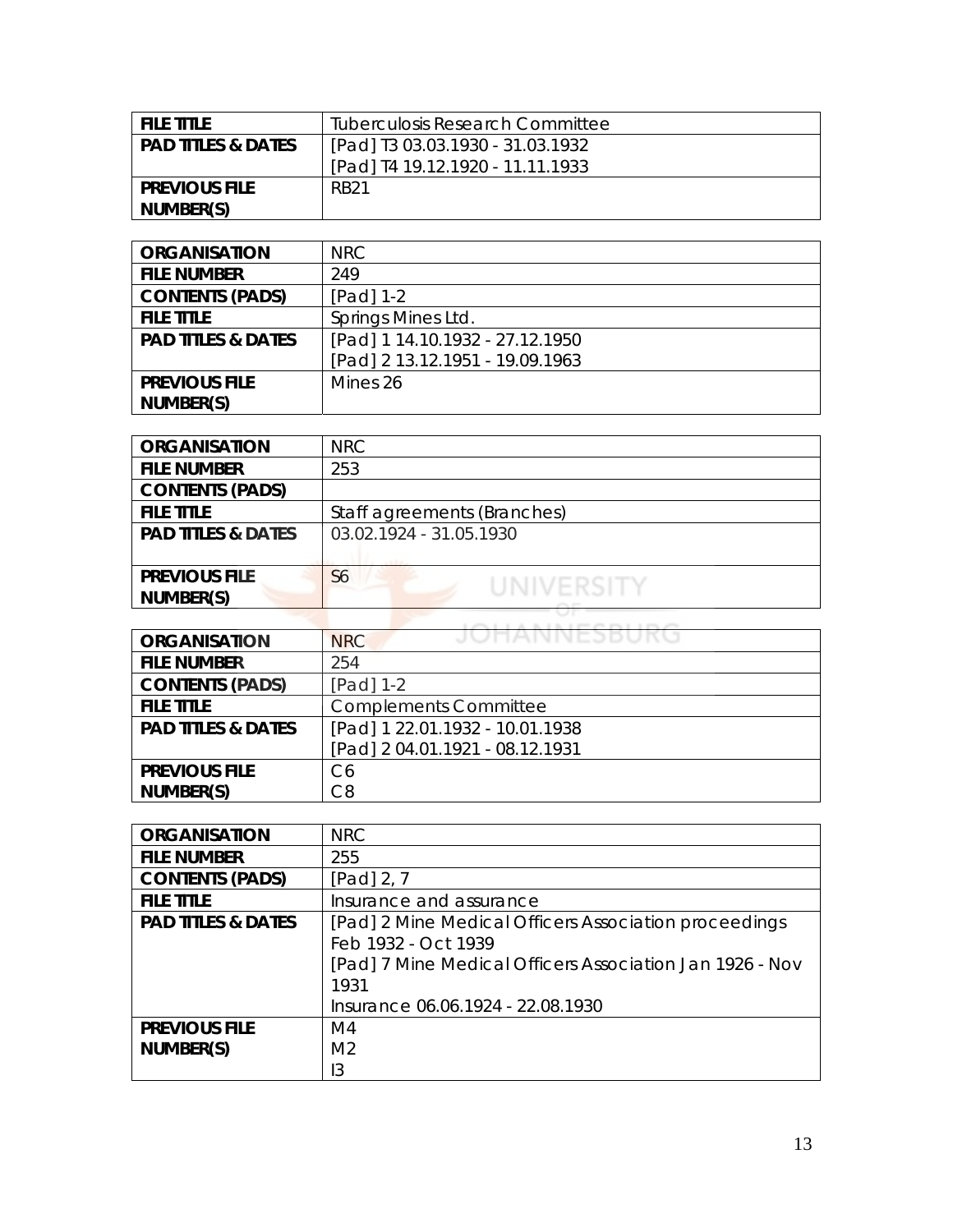| <b>FILE TITLE</b>             | Tuberculosis Research Committee  |
|-------------------------------|----------------------------------|
| <b>PAD TITLES &amp; DATES</b> | [Pad] T3 03.03.1930 - 31.03.1932 |
|                               | [Pad] T4 19.12.1920 - 11.11.1933 |
| <b>PREVIOUS FILE</b>          | <b>RB21</b>                      |
| NUMBER(S)                     |                                  |

| <b>ORGANISATION</b>           | NRC                             |
|-------------------------------|---------------------------------|
| <b>FILE NUMBER</b>            | 249                             |
| <b>CONTENTS (PADS)</b>        | [Pad] 1-2                       |
| <b>FILE TITLE</b>             | Springs Mines Ltd.              |
| <b>PAD TITLES &amp; DATES</b> | [Pad] 1 14.10.1932 - 27.12.1950 |
|                               | [Pad] 2 13.12.1951 - 19.09.1963 |
| <b>PREVIOUS FILE</b>          | Mines 26                        |
| NUMBER(S)                     |                                 |

| <b>ORGANISATION</b>           | NRC                          |
|-------------------------------|------------------------------|
| <b>FILE NUMBER</b>            | 253                          |
| <b>CONTENTS (PADS)</b>        |                              |
| <b>FILE TITLE</b>             | Staff agreements (Branches)  |
| <b>PAD TITLES &amp; DATES</b> | 03.02.1924 - 31.05.1930      |
|                               |                              |
| <b>PREVIOUS FILE</b>          | S <sub>6</sub><br>UNIVERSITY |
| NUMBER(S)                     |                              |
|                               |                              |

| <b>ORGANISATION</b>           | JUHANNESBUKU<br><b>NRC</b>      |
|-------------------------------|---------------------------------|
| <b>FILE NUMBER</b>            | 254                             |
| <b>CONTENTS (PADS)</b>        | [Pad] 1-2                       |
| <b>FILE TITLE</b>             | <b>Complements Committee</b>    |
| <b>PAD TITLES &amp; DATES</b> | [Pad] 1 22.01.1932 - 10.01.1938 |
|                               | [Pad] 2 04.01.1921 - 08.12.1931 |
| <b>PREVIOUS FILE</b>          | C <sub>6</sub>                  |
| NUMBER(S)                     | C8                              |

| <b>ORGANISATION</b>           | <b>NRC</b>                                               |
|-------------------------------|----------------------------------------------------------|
| <b>FILE NUMBER</b>            | 255                                                      |
| <b>CONTENTS (PADS)</b>        | [Pad] $2, 7$                                             |
| <b>FILE TITLE</b>             | Insurance and assurance                                  |
| <b>PAD TITLES &amp; DATES</b> | [Pad] 2 Mine Medical Officers Association proceedings    |
|                               | Feb 1932 - Oct 1939                                      |
|                               | [Pad] 7 Mine Medical Officers Association Jan 1926 - Nov |
|                               | 1931                                                     |
|                               | Insurance 06.06.1924 - 22.08.1930                        |
| <b>PREVIOUS FILE</b>          | M4                                                       |
| NUMBER(S)                     | M <sub>2</sub>                                           |
|                               | l3                                                       |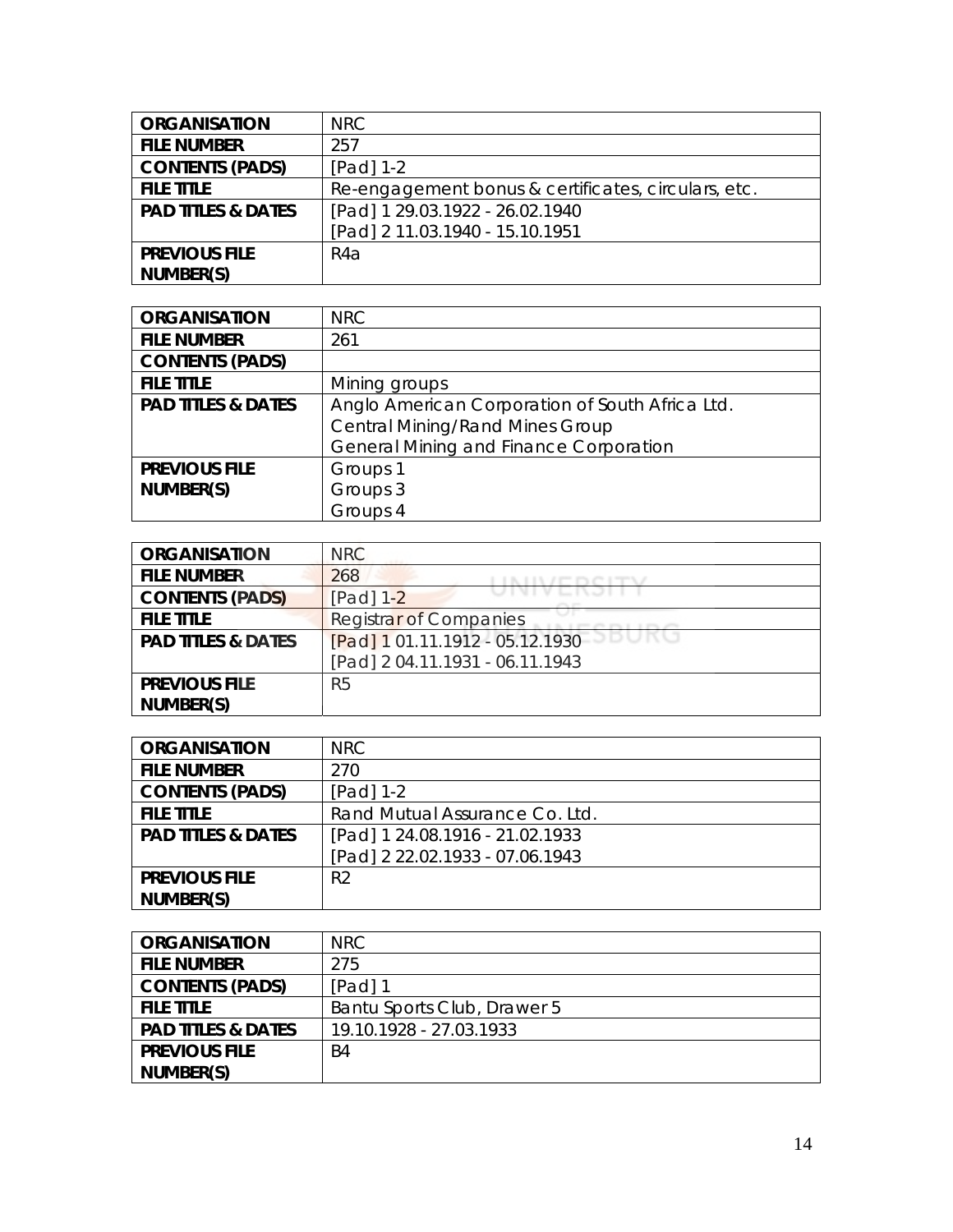| <b>ORGANISATION</b>           | NRC.                                                |
|-------------------------------|-----------------------------------------------------|
| <b>FILE NUMBER</b>            | 257                                                 |
| <b>CONTENTS (PADS)</b>        | $[Pad] 1-2$                                         |
| <b>FILE TITLE</b>             | Re-engagement bonus & certificates, circulars, etc. |
| <b>PAD TITLES &amp; DATES</b> | [Pad] 1 29.03.1922 - 26.02.1940                     |
|                               | [Pad] 2 11.03.1940 - 15.10.1951                     |
| <b>PREVIOUS FILE</b>          | R4a                                                 |
| NUMBER(S)                     |                                                     |

| <b>ORGANISATION</b>           | <b>NRC</b>                                      |
|-------------------------------|-------------------------------------------------|
| <b>FILE NUMBER</b>            | 261                                             |
| <b>CONTENTS (PADS)</b>        |                                                 |
| <b>FILE TITLE</b>             | Mining groups                                   |
| <b>PAD TITLES &amp; DATES</b> | Anglo American Corporation of South Africa Ltd. |
|                               | <b>Central Mining/Rand Mines Group</b>          |
|                               | <b>General Mining and Finance Corporation</b>   |
| <b>PREVIOUS FILE</b>          | Groups 1                                        |
| NUMBER(S)                     | Groups 3                                        |
|                               | Groups 4                                        |

| <b>ORGANISATION</b>           | <b>NRC</b>                      |
|-------------------------------|---------------------------------|
| <b>FILE NUMBER</b>            | 268                             |
| <b>CONTENTS (PADS)</b>        | [Pad] 1-2                       |
| <b>FILE TITLE</b>             | <b>Registrar of Companies</b>   |
| <b>PAD TITLES &amp; DATES</b> | [Pad] 1 01.11.1912 - 05.12.1930 |
|                               | [Pad] 204.11.1931 - 06.11.1943  |
| <b>PREVIOUS FILE</b>          | R <sub>5</sub>                  |
| NUMBER(S)                     |                                 |

| <b>ORGANISATION</b>           | <b>NRC</b>                      |
|-------------------------------|---------------------------------|
| <b>FILE NUMBER</b>            | 270                             |
| <b>CONTENTS (PADS)</b>        | $[Pad] 1-2$                     |
| <b>FILE TITLE</b>             | Rand Mutual Assurance Co. Ltd.  |
| <b>PAD TITLES &amp; DATES</b> | [Pad] 1 24.08.1916 - 21.02.1933 |
|                               | [Pad] 2 22.02.1933 - 07.06.1943 |
| <b>PREVIOUS FILE</b>          | R <sub>2</sub>                  |
| NUMBER(S)                     |                                 |

| <b>ORGANISATION</b>           | NRC                         |
|-------------------------------|-----------------------------|
| <b>FILE NUMBER</b>            | 275                         |
| <b>CONTENTS (PADS)</b>        | [Pad] 1                     |
| <b>FILE TITLE</b>             | Bantu Sports Club, Drawer 5 |
| <b>PAD TITLES &amp; DATES</b> | 19.10.1928 - 27.03.1933     |
| <b>PREVIOUS FILE</b>          | B4                          |
| NUMBER(S)                     |                             |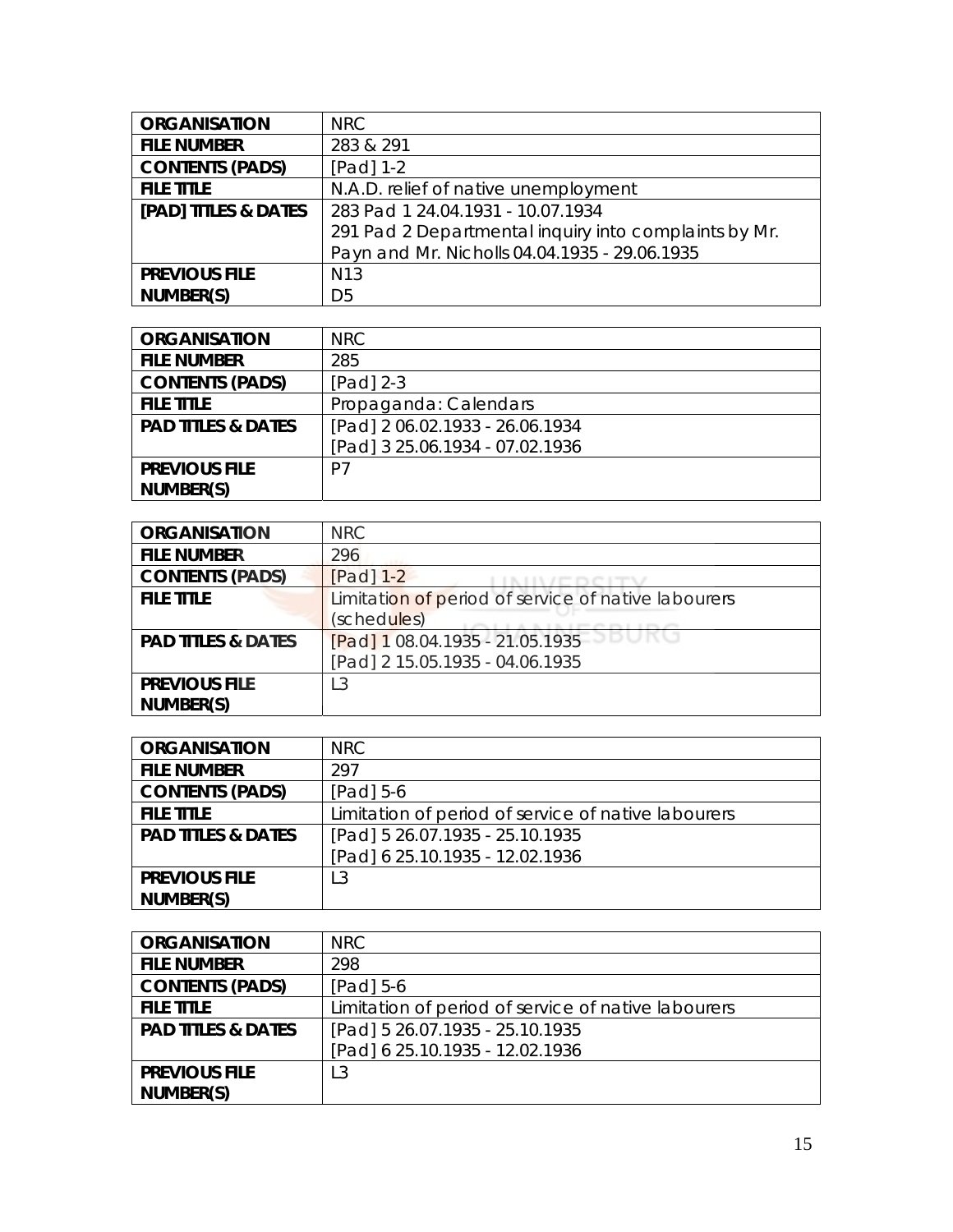| <b>ORGANISATION</b>    | <b>NRC</b>                                            |
|------------------------|-------------------------------------------------------|
| <b>FILE NUMBER</b>     | 283 & 291                                             |
| <b>CONTENTS (PADS)</b> | $[Pad] 1-2$                                           |
| <b>FILE TITLE</b>      | N.A.D. relief of native unemployment                  |
| [PAD] TITLES & DATES   | 283 Pad 1 24.04.1931 - 10.07.1934                     |
|                        | 291 Pad 2 Departmental inquiry into complaints by Mr. |
|                        | Payn and Mr. Nicholls 04.04.1935 - 29.06.1935         |
| <b>PREVIOUS FILE</b>   | N <sub>13</sub>                                       |
| NUMBER(S)              | D <sub>5</sub>                                        |

| <b>ORGANISATION</b>           | NRC                             |
|-------------------------------|---------------------------------|
| <b>FILE NUMBER</b>            | 285                             |
| <b>CONTENTS (PADS)</b>        | $[Pad]$ 2-3                     |
| <b>FILE TITLE</b>             | Propaganda: Calendars           |
| <b>PAD TITLES &amp; DATES</b> | [Pad] 2 06.02.1933 - 26.06.1934 |
|                               | [Pad] 3 25.06.1934 - 07.02.1936 |
| <b>PREVIOUS FILE</b>          | P7                              |
| NUMBER(S)                     |                                 |

| <b>ORGANISATION</b>           | <b>NRC</b>                                          |
|-------------------------------|-----------------------------------------------------|
| <b>FILE NUMBER</b>            | 296                                                 |
| <b>CONTENTS (PADS)</b>        | $[Pad]$ 1-2                                         |
| <b>FILE TITLE</b>             | Limitation of period of service of native labourers |
|                               | (schedules)                                         |
| <b>PAD TITLES &amp; DATES</b> | [Pad] 1 08.04.1935 - 21.05.1935                     |
|                               | [Pad] 2 15.05.1935 - 04.06.1935                     |
| <b>PREVIOUS FILE</b>          | L3                                                  |
| NUMBER(S)                     |                                                     |

| <b>ORGANISATION</b>           | <b>NRC</b>                                          |
|-------------------------------|-----------------------------------------------------|
| <b>FILE NUMBER</b>            | 297                                                 |
| <b>CONTENTS (PADS)</b>        | [Pad] $5-6$                                         |
| <b>FILE TITLE</b>             | Limitation of period of service of native labourers |
| <b>PAD TITLES &amp; DATES</b> | [Pad] 5 26.07.1935 - 25.10.1935                     |
|                               | [Pad] 6 25.10.1935 - 12.02.1936                     |
| <b>PREVIOUS FILE</b>          | L3                                                  |
| NUMBER(S)                     |                                                     |

| <b>ORGANISATION</b>           | NRC.                                                |
|-------------------------------|-----------------------------------------------------|
| <b>FILE NUMBER</b>            | 298                                                 |
| <b>CONTENTS (PADS)</b>        | $[Pad] 5-6$                                         |
| <b>FILE TITLE</b>             | Limitation of period of service of native labourers |
| <b>PAD TITLES &amp; DATES</b> | [Pad] 5 26.07.1935 - 25.10.1935                     |
|                               | [Pad] 6 25.10.1935 - 12.02.1936                     |
| <b>PREVIOUS FILE</b>          | L3                                                  |
| NUMBER(S)                     |                                                     |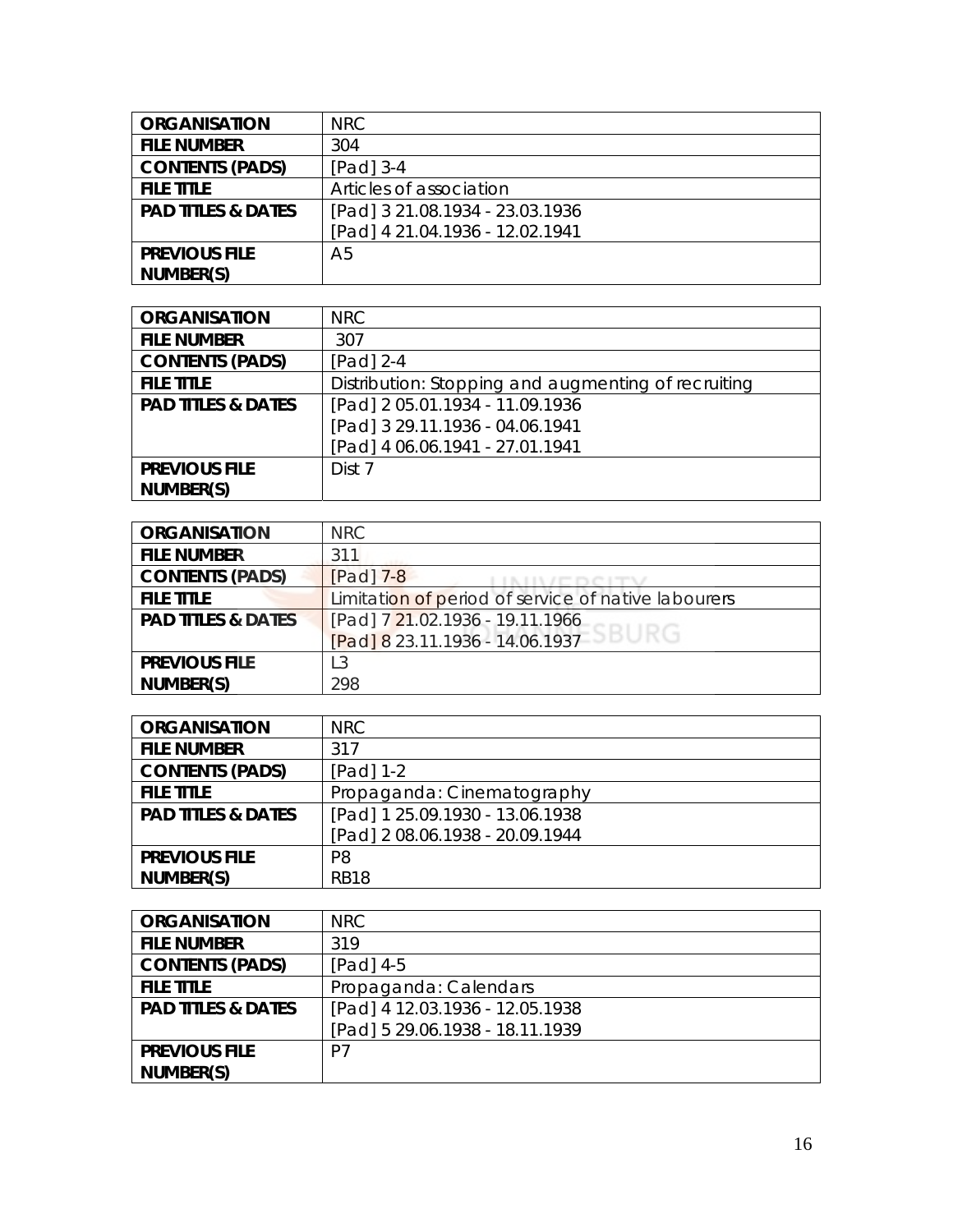| <b>ORGANISATION</b>           | <b>NRC</b>                      |
|-------------------------------|---------------------------------|
| <b>FILE NUMBER</b>            | 304                             |
| <b>CONTENTS (PADS)</b>        | $[Pad]$ 3-4                     |
| <b>FILE TITLE</b>             | Articles of association         |
| <b>PAD TITLES &amp; DATES</b> | [Pad] 3 21.08.1934 - 23.03.1936 |
|                               | [Pad] 4 21.04.1936 - 12.02.1941 |
| <b>PREVIOUS FILE</b>          | A5                              |
| NUMBER(S)                     |                                 |

| <b>ORGANISATION</b>           | <b>NRC</b>                                          |
|-------------------------------|-----------------------------------------------------|
| <b>FILE NUMBER</b>            | 307                                                 |
| <b>CONTENTS (PADS)</b>        | $[Pad]$ 2-4                                         |
| <b>FILE TITLE</b>             | Distribution: Stopping and augmenting of recruiting |
| <b>PAD TITLES &amp; DATES</b> | [Pad] 2 05.01.1934 - 11.09.1936                     |
|                               | [Pad] 3 29.11.1936 - 04.06.1941                     |
|                               | [Pad] 4 06.06.1941 - 27.01.1941                     |
| <b>PREVIOUS FILE</b>          | Dist 7                                              |
| NUMBER(S)                     |                                                     |

| <b>ORGANISATION</b>           | <b>NRC</b>                                          |
|-------------------------------|-----------------------------------------------------|
| <b>FILE NUMBER</b>            | 311                                                 |
| <b>CONTENTS (PADS)</b>        | $[Pad]$ $7-8$                                       |
| <b>FILE TITLE</b>             | Limitation of period of service of native labourers |
| <b>PAD TITLES &amp; DATES</b> | [Pad] 7 21.02.1936 - 19.11.1966                     |
|                               | [Pad] 8 23.11.1936 - 14.06.1937 SBURG               |
| <b>PREVIOUS FILE</b>          | L <sub>3</sub>                                      |
| NUMBER(S)                     | 298                                                 |

| <b>ORGANISATION</b>           | <b>NRC</b>                      |
|-------------------------------|---------------------------------|
| <b>FILE NUMBER</b>            | 317                             |
| <b>CONTENTS (PADS)</b>        | $[Pad] 1-2$                     |
| <b>FILE TITLE</b>             | Propaganda: Cinematography      |
| <b>PAD TITLES &amp; DATES</b> | [Pad] 1 25.09.1930 - 13.06.1938 |
|                               | [Pad] 2 08.06.1938 - 20.09.1944 |
| <b>PREVIOUS FILE</b>          | P <sub>8</sub>                  |
| NUMBER(S)                     | <b>RB18</b>                     |

| <b>ORGANISATION</b>           | NRC                             |
|-------------------------------|---------------------------------|
| <b>FILE NUMBER</b>            | 319                             |
| <b>CONTENTS (PADS)</b>        | [Pad] 4-5                       |
| <b>FILE TITLE</b>             | Propaganda: Calendars           |
| <b>PAD TITLES &amp; DATES</b> | [Pad] 4 12.03.1936 - 12.05.1938 |
|                               | [Pad] 5 29.06.1938 - 18.11.1939 |
| <b>PREVIOUS FILE</b>          | P7                              |
| NUMBER(S)                     |                                 |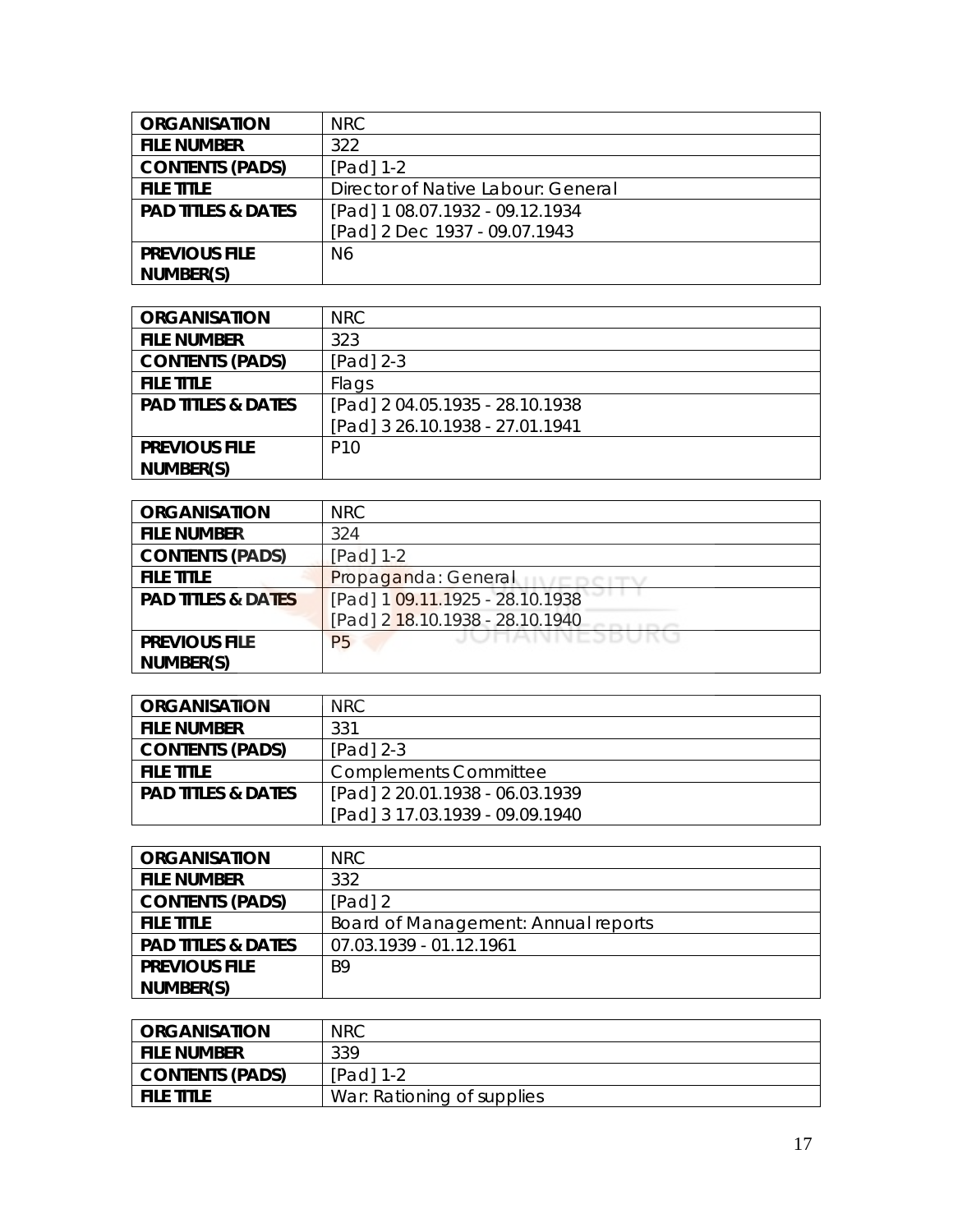| <b>ORGANISATION</b>           | <b>NRC</b>                         |
|-------------------------------|------------------------------------|
| <b>FILE NUMBER</b>            | 322                                |
| <b>CONTENTS (PADS)</b>        | [Pad] 1-2                          |
| <b>FILE TITLE</b>             | Director of Native Labour: General |
| <b>PAD TITLES &amp; DATES</b> | [Pad] 1 08.07.1932 - 09.12.1934    |
|                               | [Pad] 2 Dec 1937 - 09.07.1943      |
| <b>PREVIOUS FILE</b>          | N6                                 |
| NUMBER(S)                     |                                    |

| <b>ORGANISATION</b>           | <b>NRC</b>                      |
|-------------------------------|---------------------------------|
| <b>FILE NUMBER</b>            | 323                             |
| <b>CONTENTS (PADS)</b>        | $[Pad]$ 2-3                     |
| <b>FILE TITLE</b>             | Flags                           |
| <b>PAD TITLES &amp; DATES</b> | [Pad] 2 04.05.1935 - 28.10.1938 |
|                               | [Pad] 3 26.10.1938 - 27.01.1941 |
| <b>PREVIOUS FILE</b>          | P <sub>10</sub>                 |
| NUMBER(S)                     |                                 |

| <b>ORGANISATION</b>           | <b>NRC</b>                          |
|-------------------------------|-------------------------------------|
| <b>FILE NUMBER</b>            | 324                                 |
| <b>CONTENTS (PADS)</b>        | [Pad] 1-2                           |
| <b>FILE TITLE</b>             | Propaganda: General                 |
| <b>PAD TITLES &amp; DATES</b> | [Pad] 1 09.11.1925 - 28.10.1938     |
|                               | [Pad] 2 18.10.1938 - 28.10.1940     |
| <b>PREVIOUS FILE</b>          | <b>JULIMININESDUKU</b><br><b>P5</b> |
| NUMBER(S)                     |                                     |

| <b>ORGANISATION</b>           | NRC.                            |
|-------------------------------|---------------------------------|
| <b>FILE NUMBER</b>            | 331                             |
| <b>CONTENTS (PADS)</b>        | $[Pad]$ 2-3                     |
| <b>FILE TITLE</b>             | <b>Complements Committee</b>    |
| <b>PAD TITLES &amp; DATES</b> | [Pad] 2 20.01.1938 - 06.03.1939 |
|                               | [Pad] 3 17.03.1939 - 09.09.1940 |

| <b>ORGANISATION</b>           | NRC                                 |
|-------------------------------|-------------------------------------|
| <b>FILE NUMBER</b>            | 332                                 |
| <b>CONTENTS (PADS)</b>        | [Pad] 2                             |
| <b>FILE TITLE</b>             | Board of Management: Annual reports |
| <b>PAD TITLES &amp; DATES</b> | 07.03.1939 - 01.12.1961             |
| <b>PREVIOUS FILE</b>          | B <sub>9</sub>                      |
| NUMBER(S)                     |                                     |

| <b>ORGANISATION</b>    | <b>NRC</b>                 |
|------------------------|----------------------------|
| <b>FILE NUMBER</b>     | 339                        |
| <b>CONTENTS (PADS)</b> | $[Pad] 1-2$                |
| <b>FILE TITLE</b>      | War: Rationing of supplies |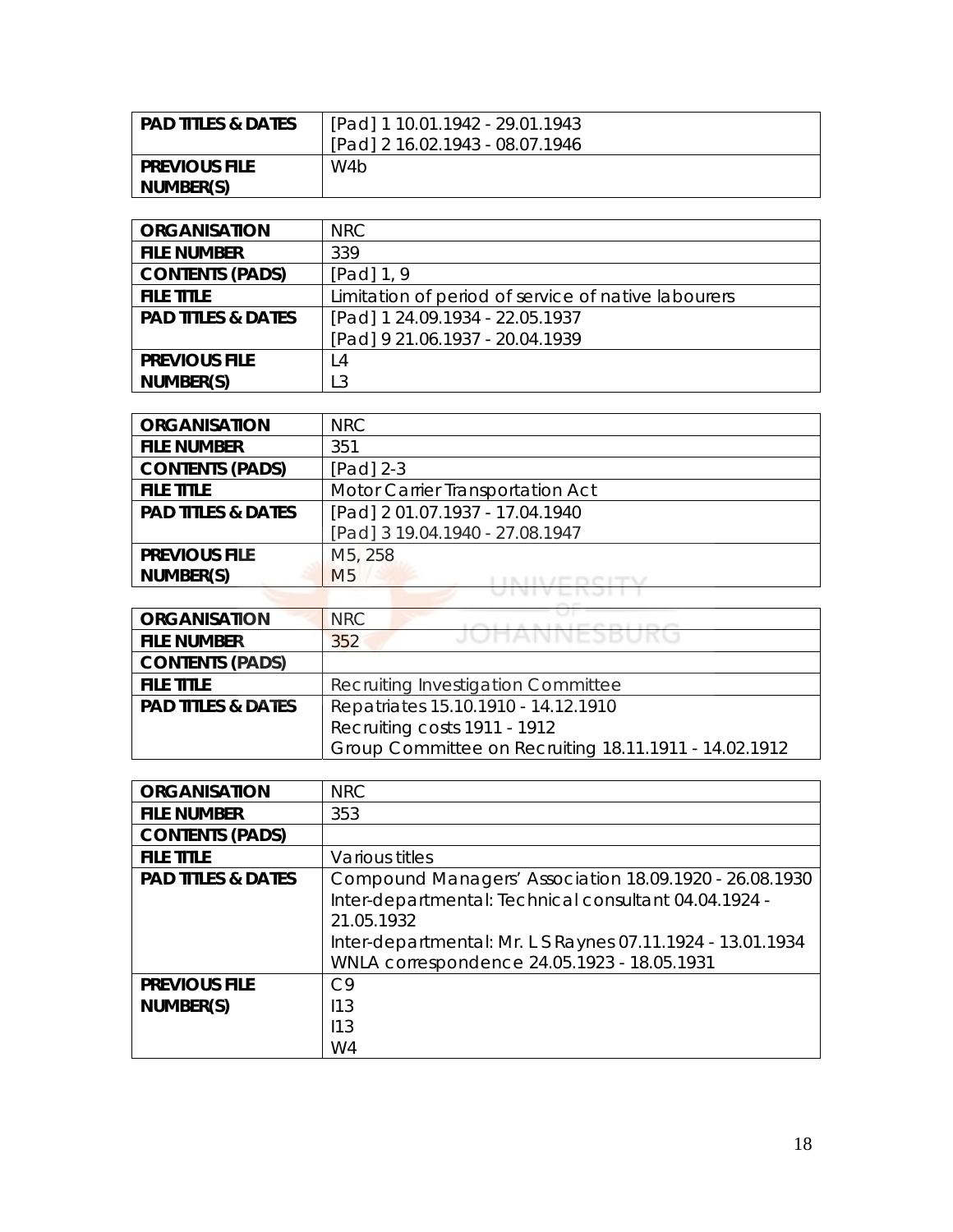| <b>PAD TITLES &amp; DATES</b> | [Pad] 1 10.01.1942 - 29.01.1943 |
|-------------------------------|---------------------------------|
|                               | [Pad] 2 16.02.1943 - 08.07.1946 |
| <b>PREVIOUS FILE</b>          | W4b                             |
| NUMBER(S)                     |                                 |

| <b>ORGANISATION</b>           | <b>NRC</b>                                          |
|-------------------------------|-----------------------------------------------------|
| <b>FILE NUMBER</b>            | 339                                                 |
| <b>CONTENTS (PADS)</b>        | $[Pad]$ 1, 9                                        |
| <b>FILE TITLE</b>             | Limitation of period of service of native labourers |
| <b>PAD TITLES &amp; DATES</b> | [Pad] 1 24.09.1934 - 22.05.1937                     |
|                               | [Pad] 9 21.06.1937 - 20.04.1939                     |
| <b>PREVIOUS FILE</b>          | L4                                                  |
| NUMBER(S)                     | L <sub>3</sub>                                      |

| <b>ORGANISATION</b>           | NRC                              |
|-------------------------------|----------------------------------|
| <b>FILE NUMBER</b>            | 351                              |
| <b>CONTENTS (PADS)</b>        | $[Pad]$ 2-3                      |
| <b>FILE TITLE</b>             | Motor Carrier Transportation Act |
| <b>PAD TITLES &amp; DATES</b> | [Pad] 2 01.07.1937 - 17.04.1940  |
|                               | [Pad] 3 19.04.1940 - 27.08.1947  |
| <b>PREVIOUS FILE</b>          | M <sub>5</sub> , 258             |
| NUMBER(S)                     | M <sub>5</sub>                   |
|                               |                                  |

| <b>ORGANISATION</b>           | NRC.<br>A B. L.B. L.PH 29 Ph. L. L.Ph. 296            |
|-------------------------------|-------------------------------------------------------|
| <b>FILE NUMBER</b>            | JUNANNESBUKU<br>352                                   |
| <b>CONTENTS (PADS)</b>        |                                                       |
| <b>FILE TITLE</b>             | Recruiting Investigation Committee                    |
| <b>PAD TITLES &amp; DATES</b> | Repatriates 15.10.1910 - 14.12.1910                   |
|                               | Recruiting costs 1911 - 1912                          |
|                               | Group Committee on Recruiting 18.11.1911 - 14.02.1912 |

| <b>ORGANISATION</b>           | <b>NRC</b>                                                                                                                                                                                                                                 |
|-------------------------------|--------------------------------------------------------------------------------------------------------------------------------------------------------------------------------------------------------------------------------------------|
| <b>FILE NUMBER</b>            | 353                                                                                                                                                                                                                                        |
| <b>CONTENTS (PADS)</b>        |                                                                                                                                                                                                                                            |
| <b>FILE TITLE</b>             | Various titles                                                                                                                                                                                                                             |
| <b>PAD TITLES &amp; DATES</b> | Compound Managers' Association 18.09.1920 - 26.08.1930<br>Inter-departmental: Technical consultant 04.04.1924 -<br>21.05.1932<br>Inter-departmental: Mr. L S Raynes 07.11.1924 - 13.01.1934<br>WNLA correspondence 24.05.1923 - 18.05.1931 |
| <b>PREVIOUS FILE</b>          | C9                                                                                                                                                                                                                                         |
| NUMBER(S)                     | 113                                                                                                                                                                                                                                        |
|                               | 113                                                                                                                                                                                                                                        |
|                               | W4                                                                                                                                                                                                                                         |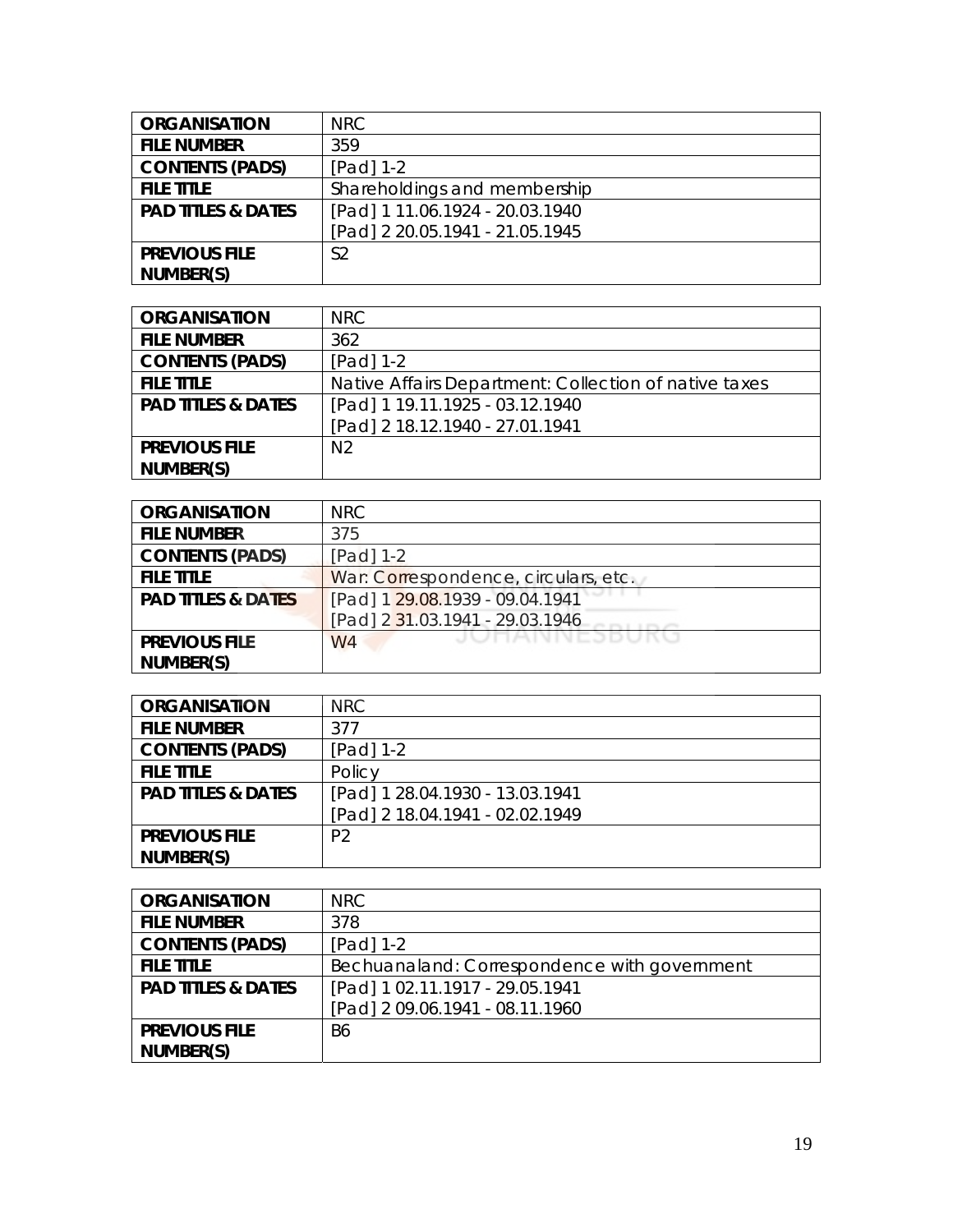| <b>ORGANISATION</b>           | NRC                             |
|-------------------------------|---------------------------------|
| <b>FILE NUMBER</b>            | 359                             |
| <b>CONTENTS (PADS)</b>        | $[Pad] 1-2$                     |
| <b>FILE TITLE</b>             | Shareholdings and membership    |
| <b>PAD TITLES &amp; DATES</b> | [Pad] 1 11.06.1924 - 20.03.1940 |
|                               | [Pad] 2 20.05.1941 - 21.05.1945 |
| <b>PREVIOUS FILE</b>          | S <sub>2</sub>                  |
| NUMBER(S)                     |                                 |

| <b>ORGANISATION</b>           | NRC                                                   |
|-------------------------------|-------------------------------------------------------|
| <b>FILE NUMBER</b>            | 362                                                   |
| <b>CONTENTS (PADS)</b>        | [Pad] 1-2                                             |
| <b>FILE TITLE</b>             | Native Affairs Department: Collection of native taxes |
| <b>PAD TITLES &amp; DATES</b> | [Pad] 1 19.11.1925 - 03.12.1940                       |
|                               | [Pad] 2 18.12.1940 - 27.01.1941                       |
| <b>PREVIOUS FILE</b>          | N <sub>2</sub>                                        |
| NUMBER(S)                     |                                                       |

| <b>ORGANISATION</b>           | <b>NRC</b>                              |
|-------------------------------|-----------------------------------------|
| <b>FILE NUMBER</b>            | 375                                     |
| <b>CONTENTS (PADS)</b>        | [Pad] 1-2                               |
| <b>FILE TITLE</b>             | War: Correspondence, circulars, etc.    |
| <b>PAD TITLES &amp; DATES</b> | [Pad] 1 29.08.1939 - 09.04.1941         |
|                               | [Pad] 2 31.03.1941 - 29.03.1946         |
| <b>PREVIOUS FILE</b>          | <b>JULIAINNESDURU</b><br>W <sub>4</sub> |
| NUMBER(S)                     |                                         |

| <b>ORGANISATION</b>           | NRC                             |
|-------------------------------|---------------------------------|
| <b>FILE NUMBER</b>            | 377                             |
| <b>CONTENTS (PADS)</b>        | [Pad] 1-2                       |
| <b>FILE TITLE</b>             | Policy                          |
| <b>PAD TITLES &amp; DATES</b> | [Pad] 1 28.04.1930 - 13.03.1941 |
|                               | [Pad] 2 18.04.1941 - 02.02.1949 |
| <b>PREVIOUS FILE</b>          | P <sub>2</sub>                  |
| NUMBER(S)                     |                                 |

| <b>ORGANISATION</b>           | NRC                                          |
|-------------------------------|----------------------------------------------|
| <b>FILE NUMBER</b>            | 378                                          |
| <b>CONTENTS (PADS)</b>        | [Pad] 1-2                                    |
| <b>FILE TITLE</b>             | Bechuanaland: Correspondence with government |
| <b>PAD TITLES &amp; DATES</b> | [Pad] 1 02.11.1917 - 29.05.1941              |
|                               | [Pad] 2 09.06.1941 - 08.11.1960              |
| <b>PREVIOUS FILE</b>          | B <sub>6</sub>                               |
| NUMBER(S)                     |                                              |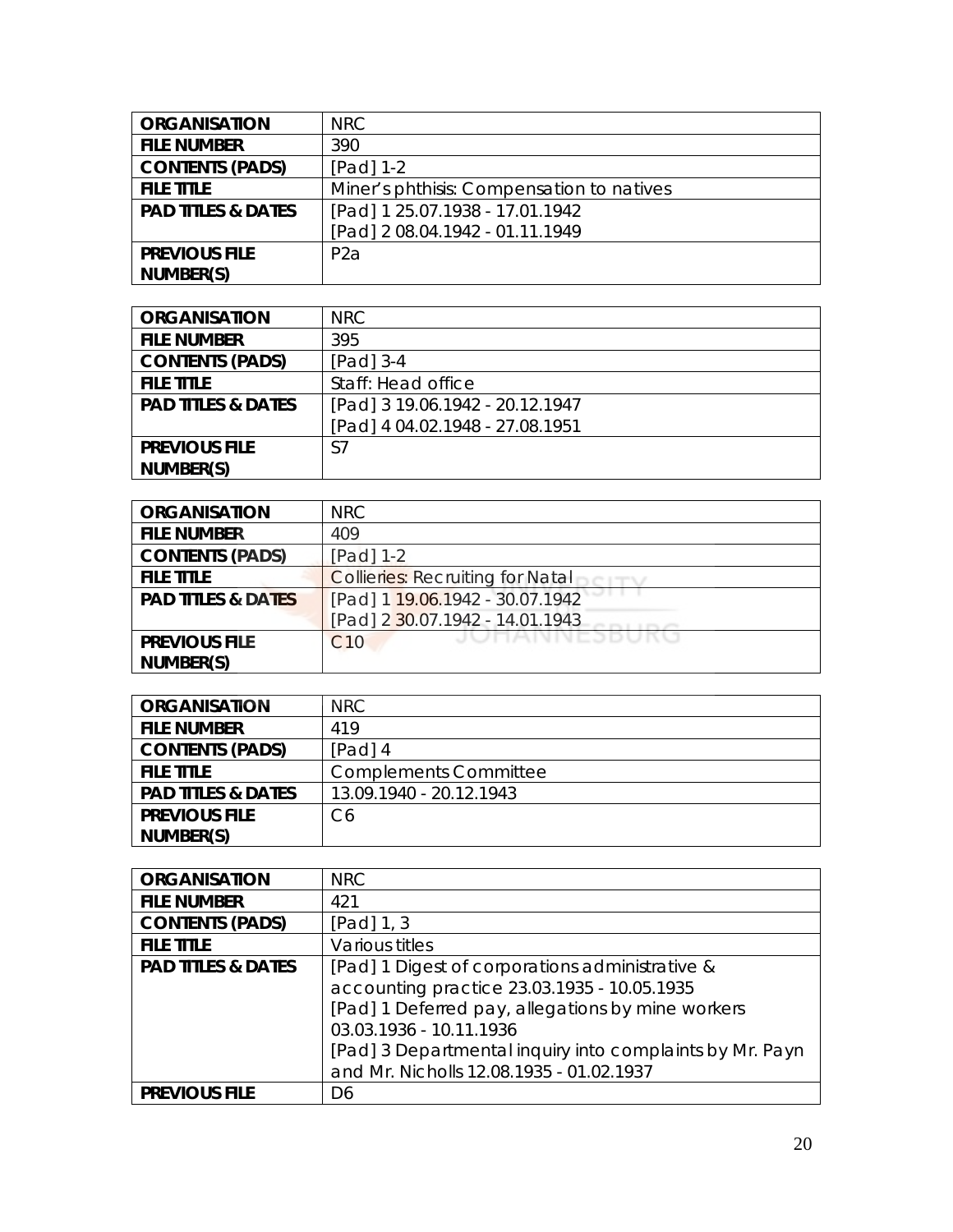| <b>ORGANISATION</b>           | NRC                                       |
|-------------------------------|-------------------------------------------|
| <b>FILE NUMBER</b>            | 390                                       |
| <b>CONTENTS (PADS)</b>        | $[Pad] 1-2$                               |
| <b>FILE TITLE</b>             | Miner's phthisis: Compensation to natives |
| <b>PAD TITLES &amp; DATES</b> | [Pad] 1 25.07.1938 - 17.01.1942           |
|                               | [Pad] 2 08.04.1942 - 01.11.1949           |
| <b>PREVIOUS FILE</b>          | P <sub>2</sub> a                          |
| NUMBER(S)                     |                                           |

| <b>ORGANISATION</b>           | NRC                             |
|-------------------------------|---------------------------------|
| <b>FILE NUMBER</b>            | 395                             |
| <b>CONTENTS (PADS)</b>        | $[Pad]$ 3-4                     |
| <b>FILE TITLE</b>             | Staff: Head office              |
| <b>PAD TITLES &amp; DATES</b> | [Pad] 3 19.06.1942 - 20.12.1947 |
|                               | [Pad] 4 04.02.1948 - 27.08.1951 |
| <b>PREVIOUS FILE</b>          | S7                              |
| NUMBER(S)                     |                                 |

| <b>ORGANISATION</b>           | <b>NRC</b>                              |
|-------------------------------|-----------------------------------------|
| <b>FILE NUMBER</b>            | 409                                     |
| <b>CONTENTS (PADS)</b>        | [Pad] 1-2                               |
| <b>FILE TITLE</b>             | <b>Collieries: Recruiting for Natal</b> |
| <b>PAD TITLES &amp; DATES</b> | [Pad] 1 19.06.1942 - 30.07.1942         |
|                               | [Pad] 2 30.07.1942 - 14.01.1943         |
| <b>PREVIOUS FILE</b>          | JUNANNEJDUKU<br>C10                     |
| NUMBER(S)                     |                                         |

| <b>ORGANISATION</b>           | NRC                          |
|-------------------------------|------------------------------|
| <b>FILE NUMBER</b>            | 419                          |
| <b>CONTENTS (PADS)</b>        | [Pad] 4                      |
| <b>FILE TITLE</b>             | <b>Complements Committee</b> |
| <b>PAD TITLES &amp; DATES</b> | 13.09.1940 - 20.12.1943      |
| <b>PREVIOUS FILE</b>          | C6                           |
| NUMBER(S)                     |                              |

| <b>ORGANISATION</b>           | <b>NRC</b>                                               |
|-------------------------------|----------------------------------------------------------|
| <b>FILE NUMBER</b>            | 421                                                      |
| <b>CONTENTS (PADS)</b>        | [Pad] $1, 3$                                             |
| <b>FILE TITLE</b>             | Various titles                                           |
| <b>PAD TITLES &amp; DATES</b> | [Pad] 1 Digest of corporations administrative &          |
|                               | accounting practice 23.03.1935 - 10.05.1935              |
|                               | [Pad] 1 Deferred pay, allegations by mine workers        |
|                               | 03.03.1936 - 10.11.1936                                  |
|                               | [Pad] 3 Departmental inquiry into complaints by Mr. Payn |
|                               | and Mr. Nicholls 12.08.1935 - 01.02.1937                 |
| <b>PREVIOUS FILE</b>          | D6                                                       |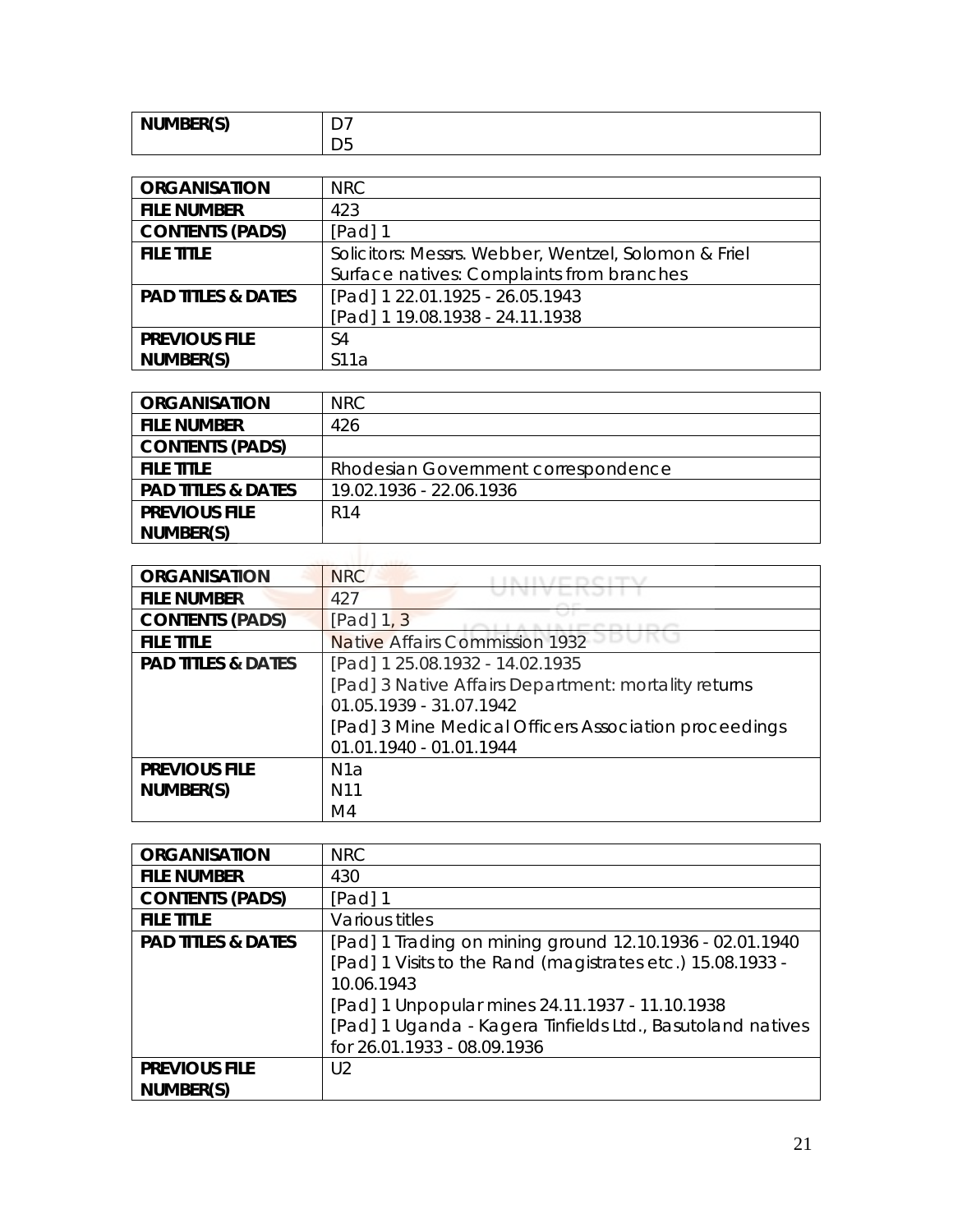| <b>NUMBER(S)</b> | -<br>ັ |
|------------------|--------|
|                  | ◡      |

| <b>ORGANISATION</b>           | <b>NRC</b>                                           |
|-------------------------------|------------------------------------------------------|
| <b>FILE NUMBER</b>            | 423                                                  |
| <b>CONTENTS (PADS)</b>        | [Pad] 1                                              |
| <b>FILE TITLE</b>             | Solicitors: Messrs. Webber, Wentzel, Solomon & Friel |
|                               | Surface natives: Complaints from branches            |
| <b>PAD TITLES &amp; DATES</b> | [Pad] 1 22.01.1925 - 26.05.1943                      |
|                               | [Pad] 1 19.08.1938 - 24.11.1938                      |
| <b>PREVIOUS FILE</b>          | S4                                                   |
| NUMBER(S)                     | S11a                                                 |

| <b>ORGANISATION</b>           | NRC                                 |
|-------------------------------|-------------------------------------|
| <b>FILE NUMBER</b>            | 426                                 |
| <b>CONTENTS (PADS)</b>        |                                     |
| <b>FILE TITLE</b>             | Rhodesian Government correspondence |
| <b>PAD TITLES &amp; DATES</b> | 19.02.1936 - 22.06.1936             |
| <b>PREVIOUS FILE</b>          | R <sub>14</sub>                     |
| NUMBER(S)                     |                                     |
|                               |                                     |

| <b>ORGANISATION</b>           | <b>NRC</b>                                            |
|-------------------------------|-------------------------------------------------------|
| <b>FILE NUMBER</b>            | 427                                                   |
| <b>CONTENTS (PADS)</b>        | $[Pad]$ 1, 3                                          |
| <b>FILE TITLE</b>             | Native Affairs Commission 1932                        |
| <b>PAD TITLES &amp; DATES</b> | [Pad] 1 25.08.1932 - 14.02.1935                       |
|                               | [Pad] 3 Native Affairs Department: mortality returns  |
|                               | 01.05.1939 - 31.07.1942                               |
|                               | [Pad] 3 Mine Medical Officers Association proceedings |
|                               | 01.01.1940 - 01.01.1944                               |
| <b>PREVIOUS FILE</b>          | N1a                                                   |
| NUMBER(S)                     | N <sub>11</sub>                                       |
|                               | M4                                                    |

| <b>ORGANISATION</b>           | <b>NRC</b>                                                 |
|-------------------------------|------------------------------------------------------------|
| <b>FILE NUMBER</b>            | 430                                                        |
| <b>CONTENTS (PADS)</b>        | [Pad] 1                                                    |
| <b>FILE TITLE</b>             | Various titles                                             |
| <b>PAD TITLES &amp; DATES</b> | [Pad] 1 Trading on mining ground 12.10.1936 - 02.01.1940   |
|                               | [Pad] 1 Visits to the Rand (magistrates etc.) 15.08.1933 - |
|                               | 10.06.1943                                                 |
|                               | [Pad] 1 Unpopular mines 24.11.1937 - 11.10.1938            |
|                               | [Pad] 1 Uganda - Kagera Tinfields Ltd., Basutoland natives |
|                               | for 26.01.1933 - 08.09.1936                                |
| <b>PREVIOUS FILE</b>          | $\bigcup$                                                  |
| NUMBER(S)                     |                                                            |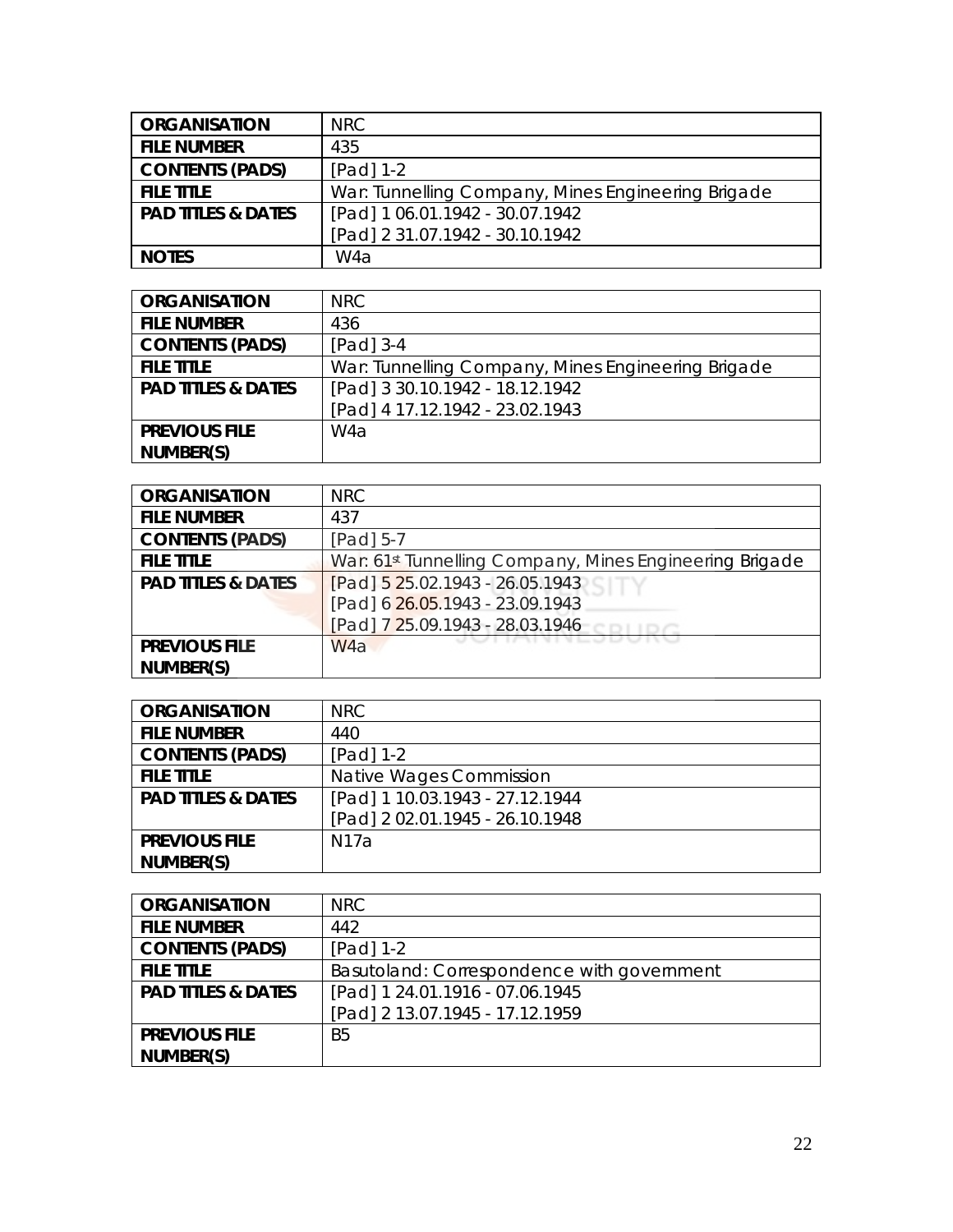| <b>ORGANISATION</b>           | <b>NRC</b>                                         |
|-------------------------------|----------------------------------------------------|
| <b>FILE NUMBER</b>            | 435                                                |
| <b>CONTENTS (PADS)</b>        | $[Pad] 1-2$                                        |
| <b>FILE TITLE</b>             | War: Tunnelling Company, Mines Engineering Brigade |
| <b>PAD TITLES &amp; DATES</b> | [Pad] 1 06.01.1942 - 30.07.1942                    |
|                               | [Pad] 2 31.07.1942 - 30.10.1942                    |
| <b>NOTES</b>                  | W4a                                                |

| <b>ORGANISATION</b>           | NRC                                                |
|-------------------------------|----------------------------------------------------|
| <b>FILE NUMBER</b>            | 436                                                |
| <b>CONTENTS (PADS)</b>        | $[Pad]$ 3-4                                        |
| <b>FILE TITLE</b>             | War: Tunnelling Company, Mines Engineering Brigade |
| <b>PAD TITLES &amp; DATES</b> | [Pad] 3 30.10.1942 - 18.12.1942                    |
|                               | [Pad] 4 17.12.1942 - 23.02.1943                    |
| <b>PREVIOUS FILE</b>          | W <sub>4</sub> a                                   |
| NUMBER(S)                     |                                                    |

| <b>ORGANISATION</b>           | <b>NRC</b>                                                          |
|-------------------------------|---------------------------------------------------------------------|
| <b>FILE NUMBER</b>            | 437                                                                 |
| <b>CONTENTS (PADS)</b>        | [Pad] 5-7                                                           |
| <b>FILE TITLE</b>             | War: 61 <sup>st</sup> Tunnelling Company, Mines Engineering Brigade |
| <b>PAD TITLES &amp; DATES</b> | [Pad] 5 25.02.1943 - 26.05.1943                                     |
|                               | [Pad] 6 26.05.1943 - 23.09.1943                                     |
|                               | [Pad] 7 25.09.1943 - 28.03.1946                                     |
| <b>PREVIOUS FILE</b>          | W <sub>4</sub> a                                                    |
| NUMBER(S)                     |                                                                     |

| <b>ORGANISATION</b>           | <b>NRC</b>                      |
|-------------------------------|---------------------------------|
| <b>FILE NUMBER</b>            | 440                             |
| <b>CONTENTS (PADS)</b>        | $[Pad] 1-2$                     |
| <b>FILE TITLE</b>             | Native Wages Commission         |
| <b>PAD TITLES &amp; DATES</b> | [Pad] 1 10.03.1943 - 27.12.1944 |
|                               | [Pad] 2 02.01.1945 - 26.10.1948 |
| <b>PREVIOUS FILE</b>          | N17a                            |
| NUMBER(S)                     |                                 |

| <b>ORGANISATION</b>           | NRC.                                       |
|-------------------------------|--------------------------------------------|
| <b>FILE NUMBER</b>            | 442                                        |
| <b>CONTENTS (PADS)</b>        | $[Pad] 1-2$                                |
| <b>FILE TITLE</b>             | Basutoland: Correspondence with government |
| <b>PAD TITLES &amp; DATES</b> | [Pad] 1 24.01.1916 - 07.06.1945            |
|                               | [Pad] 2 13.07.1945 - 17.12.1959            |
| <b>PREVIOUS FILE</b>          | B <sub>5</sub>                             |
| NUMBER(S)                     |                                            |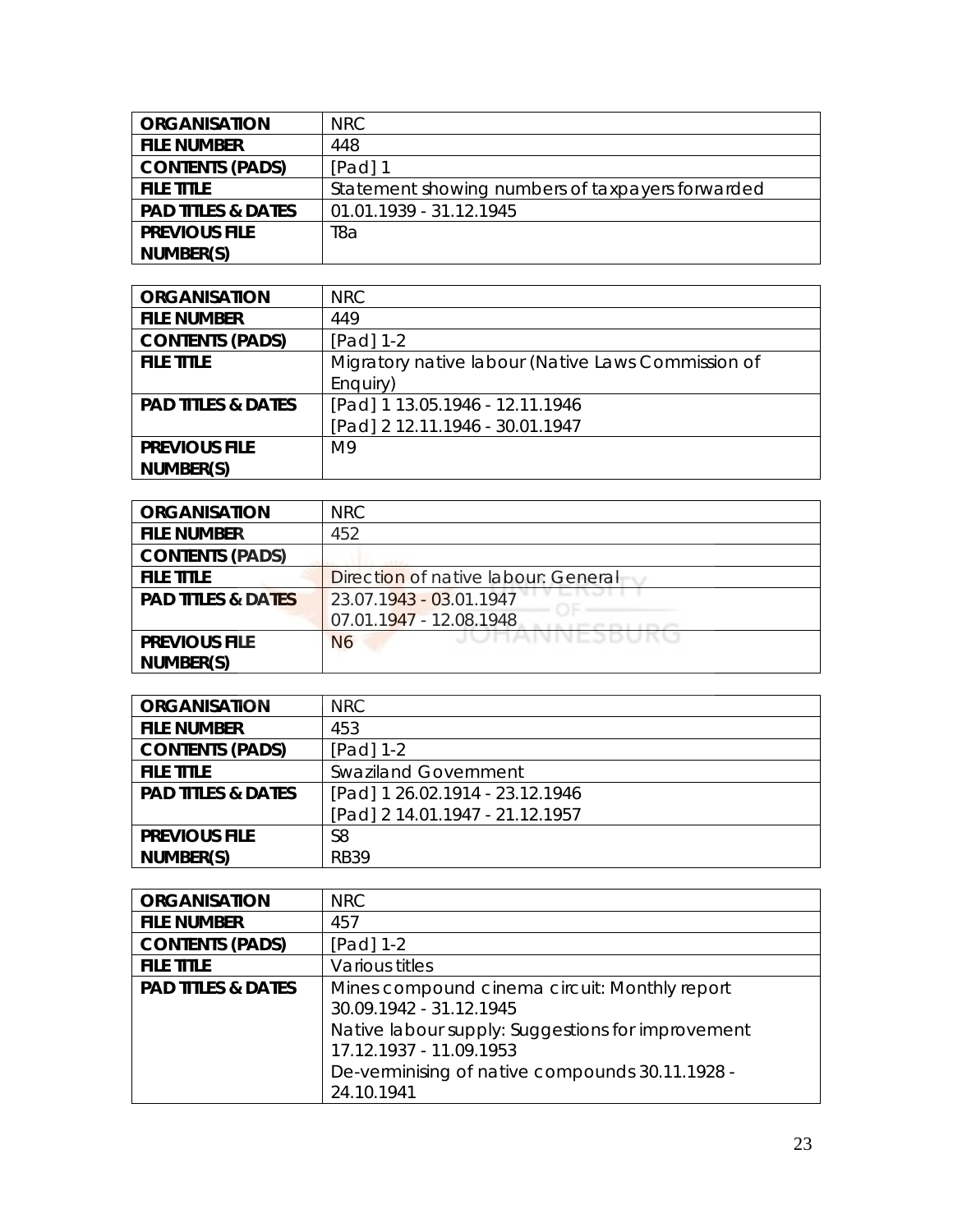| <b>ORGANISATION</b>           | NRC                                              |
|-------------------------------|--------------------------------------------------|
| <b>FILE NUMBER</b>            | 448                                              |
| <b>CONTENTS (PADS)</b>        | $[Pad]$ 1                                        |
| <b>FILE TITLE</b>             | Statement showing numbers of taxpayers forwarded |
| <b>PAD TITLES &amp; DATES</b> | 01.01.1939 - 31.12.1945                          |
| <b>PREVIOUS FILE</b>          | T8a                                              |
| NUMBER(S)                     |                                                  |

| <b>ORGANISATION</b>           | NRC                                                |
|-------------------------------|----------------------------------------------------|
| <b>FILE NUMBER</b>            | 449                                                |
| <b>CONTENTS (PADS)</b>        | [Pad] $1-2$                                        |
| <b>FILE TITLE</b>             | Migratory native labour (Native Laws Commission of |
|                               | Enguiry)                                           |
| <b>PAD TITLES &amp; DATES</b> | [Pad] 1 13.05.1946 - 12.11.1946                    |
|                               | [Pad] 2 12.11.1946 - 30.01.1947                    |
| <b>PREVIOUS FILE</b>          | M <sub>9</sub>                                     |
| NUMBER(S)                     |                                                    |

| <b>ORGANISATION</b>           | <b>NRC</b>                          |
|-------------------------------|-------------------------------------|
| <b>FILE NUMBER</b>            | 452                                 |
| <b>CONTENTS (PADS)</b>        |                                     |
| <b>FILE TITLE</b>             | Direction of native labour: General |
| <b>PAD TITLES &amp; DATES</b> | 23.07.1943 - 03.01.1947             |
|                               | 07.01.1947 - 12.08.1948             |
| <b>PREVIOUS FILE</b>          | JUNAININESDUNU<br>N6                |
| NUMBER(S)                     |                                     |

| <b>ORGANISATION</b>           | <b>NRC</b>                      |
|-------------------------------|---------------------------------|
| <b>FILE NUMBER</b>            | 453                             |
| <b>CONTENTS (PADS)</b>        | $[Pad] 1-2$                     |
| <b>FILE TITLE</b>             | <b>Swaziland Government</b>     |
| <b>PAD TITLES &amp; DATES</b> | [Pad] 1 26.02.1914 - 23.12.1946 |
|                               | [Pad] 2 14.01.1947 - 21.12.1957 |
| <b>PREVIOUS FILE</b>          | S <sub>8</sub>                  |
| NUMBER(S)                     | <b>RB39</b>                     |

| <b>ORGANISATION</b>           | NRC                                               |
|-------------------------------|---------------------------------------------------|
| <b>FILE NUMBER</b>            | 457                                               |
| <b>CONTENTS (PADS)</b>        | [Pad] $1-2$                                       |
| <b>FILE TITLE</b>             | Various titles                                    |
| <b>PAD TITLES &amp; DATES</b> | Mines compound cinema circuit: Monthly report     |
|                               | 30.09.1942 - 31.12.1945                           |
|                               | Native labour supply: Suggestions for improvement |
|                               | 17.12.1937 - 11.09.1953                           |
|                               | De-verminising of native compounds 30.11.1928 -   |
|                               | 24.10.1941                                        |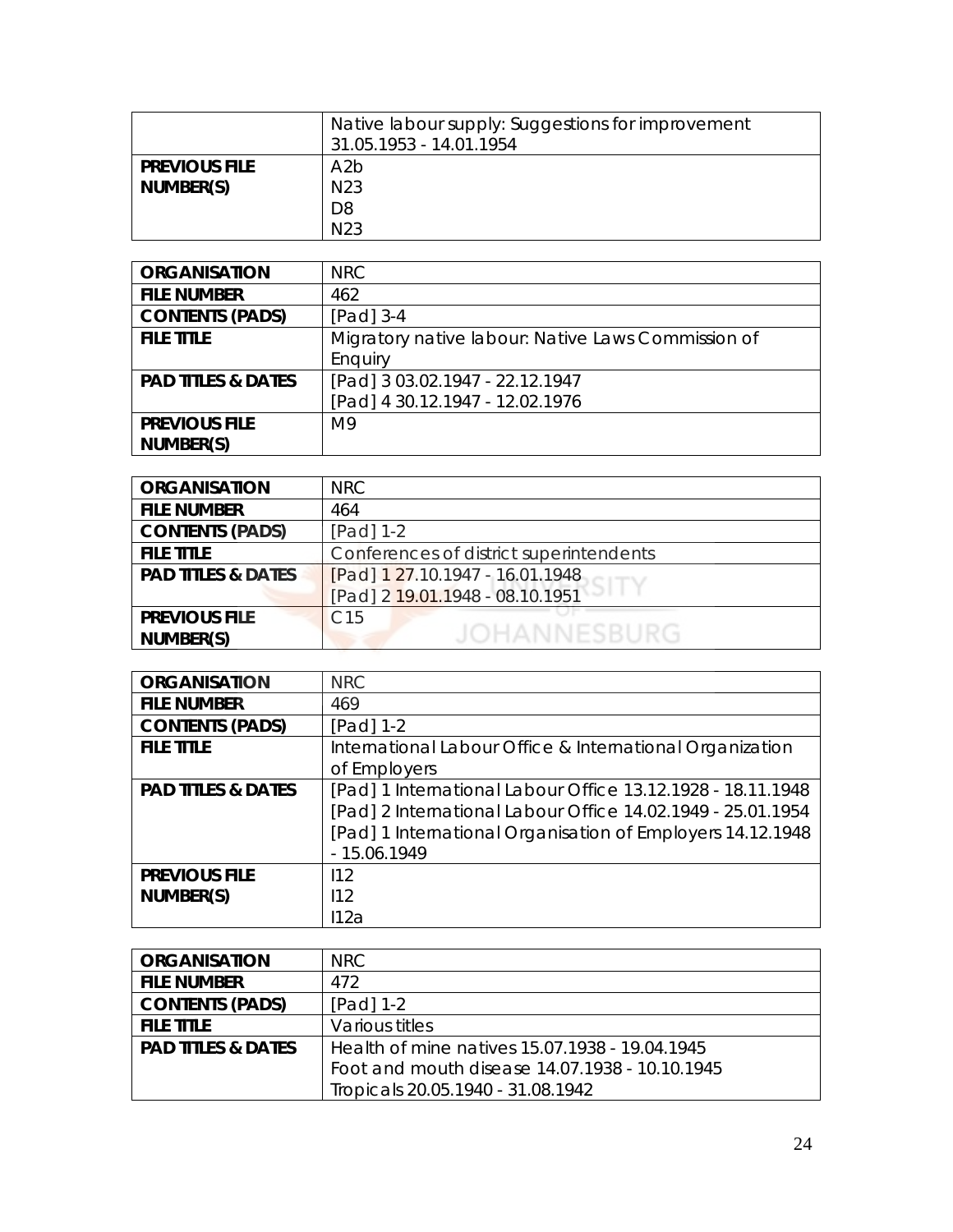|                                   | Native labour supply: Suggestions for improvement<br>31.05.1953 - 14.01.1954 |
|-----------------------------------|------------------------------------------------------------------------------|
| <b>PREVIOUS FILE</b><br>NUMBER(S) | A2b<br>N <sub>23</sub>                                                       |
|                                   | D <sub>8</sub><br>N <sub>23</sub>                                            |

| <b>ORGANISATION</b>           | <b>NRC</b>                                         |
|-------------------------------|----------------------------------------------------|
| <b>FILE NUMBER</b>            | 462                                                |
| <b>CONTENTS (PADS)</b>        | $[Pad]$ 3-4                                        |
| <b>FILE TITLE</b>             | Migratory native labour: Native Laws Commission of |
|                               | Enguiry                                            |
| <b>PAD TITLES &amp; DATES</b> | [Pad] 3 03.02.1947 - 22.12.1947                    |
|                               | [Pad] 4 30.12.1947 - 12.02.1976                    |
| <b>PREVIOUS FILE</b>          | M <sub>9</sub>                                     |
| NUMBER(S)                     |                                                    |

| <b>ORGANISATION</b>           | <b>NRC</b>                              |
|-------------------------------|-----------------------------------------|
| <b>FILE NUMBER</b>            | 464                                     |
| <b>CONTENTS (PADS)</b>        | $[Pad] 1-2$                             |
| <b>FILE TITLE</b>             | Conferences of district superintendents |
| <b>PAD TITLES &amp; DATES</b> | [Pad] 1 27.10.1947 - 16.01.1948         |
|                               | [Pad] 2 19.01.1948 - 08.10.1951         |
| <b>PREVIOUS FILE</b>          | C <sub>15</sub>                         |
| NUMBER(S)                     | JOHANNESBURG                            |
|                               |                                         |

| <b>ORGANISATION</b>           | <b>NRC</b>                                                  |
|-------------------------------|-------------------------------------------------------------|
| <b>FILE NUMBER</b>            | 469                                                         |
| <b>CONTENTS (PADS)</b>        | [Pad] $1-2$                                                 |
| <b>FILE TITLE</b>             | International Labour Office & International Organization    |
|                               | of Employers                                                |
| <b>PAD TITLES &amp; DATES</b> | [Pad] 1 International Labour Office 13.12.1928 - 18.11.1948 |
|                               | [Pad] 2 International Labour Office 14.02.1949 - 25.01.1954 |
|                               | [Pad] 1 International Organisation of Employers 14.12.1948  |
|                               | $-15.06.1949$                                               |
| <b>PREVIOUS FILE</b>          | 112                                                         |
| NUMBER(S)                     | 112                                                         |
|                               | 112a                                                        |

| <b>ORGANISATION</b>           | NRC.                                           |
|-------------------------------|------------------------------------------------|
| <b>FILE NUMBER</b>            | 472                                            |
| <b>CONTENTS (PADS)</b>        | $[Pad] 1-2$                                    |
| <b>FILE TITLE</b>             | Various titles                                 |
| <b>PAD TITLES &amp; DATES</b> | Health of mine natives 15.07.1938 - 19.04.1945 |
|                               | Foot and mouth disease 14.07.1938 - 10.10.1945 |
|                               | Tropicals 20.05.1940 - 31.08.1942              |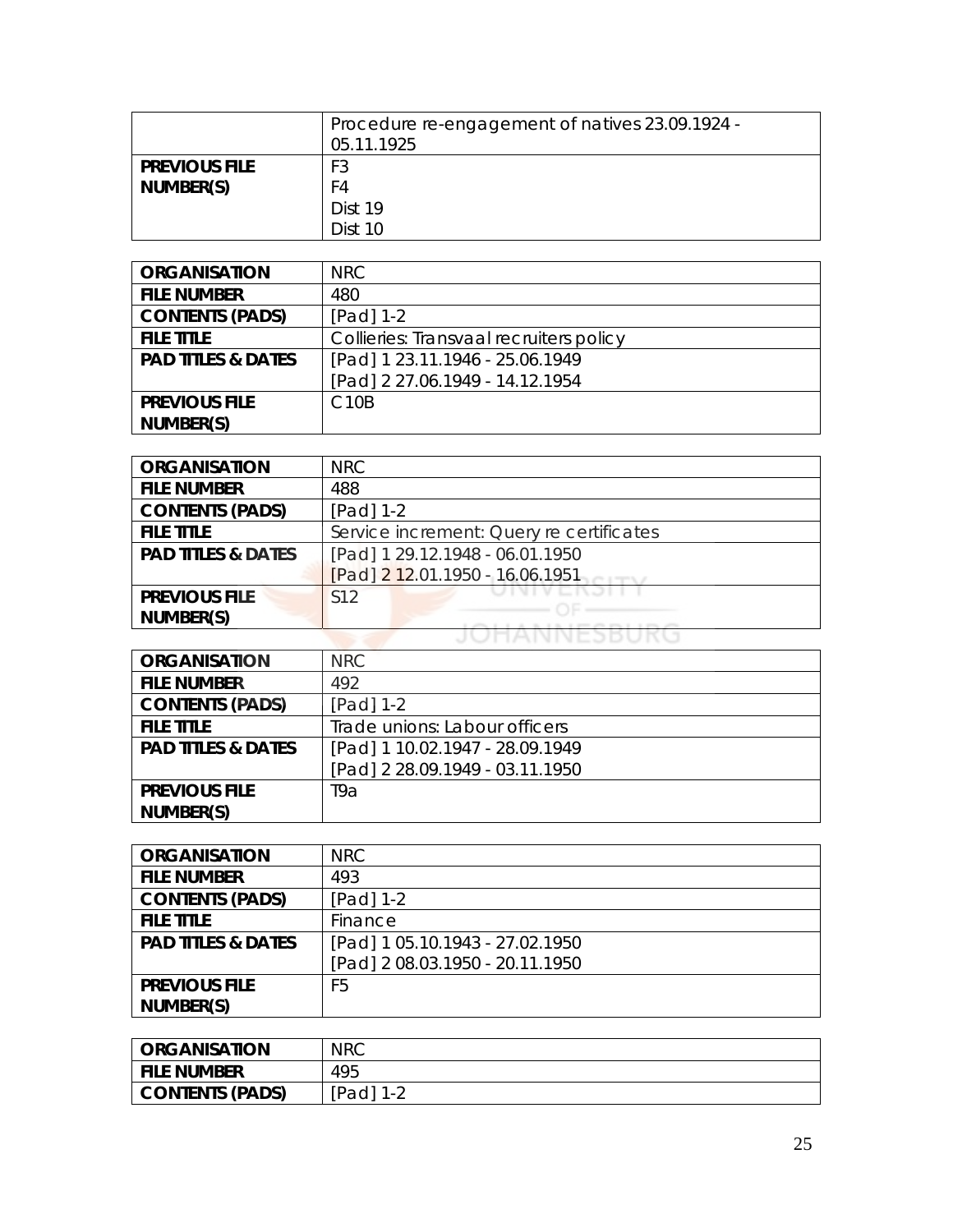|                                   | Procedure re-engagement of natives 23.09.1924 -<br>05.11.1925 |
|-----------------------------------|---------------------------------------------------------------|
| <b>PREVIOUS FILE</b><br>NUMBER(S) | F3<br>F4                                                      |
|                                   | Dist 19                                                       |
|                                   | Dist 10                                                       |

| <b>ORGANISATION</b>           | <b>NRC</b>                              |
|-------------------------------|-----------------------------------------|
| <b>FILE NUMBER</b>            | 480                                     |
| <b>CONTENTS (PADS)</b>        | [Pad] 1-2                               |
| <b>FILE TITLE</b>             | Collieries: Transvaal recruiters policy |
| <b>PAD TITLES &amp; DATES</b> | [Pad] 1 23.11.1946 - 25.06.1949         |
|                               | [Pad] 2 27.06.1949 - 14.12.1954         |
| <b>PREVIOUS FILE</b>          | C <sub>10</sub> B                       |
| NUMBER(S)                     |                                         |

| <b>ORGANISATION</b>           | NRC                                      |
|-------------------------------|------------------------------------------|
| <b>FILE NUMBER</b>            | 488                                      |
| <b>CONTENTS (PADS)</b>        | $[Pad] 1-2$                              |
| <b>FILE TITLE</b>             | Service increment: Query re certificates |
| <b>PAD TITLES &amp; DATES</b> | [Pad] 1 29.12.1948 - 06.01.1950          |
|                               | [Pad] 2 12.01.1950 - 16.06.1951          |
| <b>PREVIOUS FILE</b>          | S12                                      |
| NUMBER(S)                     |                                          |
|                               |                                          |

| <b>ORGANISATION</b>           | <b>NRC</b>                      |
|-------------------------------|---------------------------------|
| <b>FILE NUMBER</b>            | 492                             |
| <b>CONTENTS (PADS)</b>        | [Pad] 1-2                       |
| <b>FILE TITLE</b>             | Trade unions: Labour officers   |
| <b>PAD TITLES &amp; DATES</b> | [Pad] 1 10.02.1947 - 28.09.1949 |
|                               | [Pad] 2 28.09.1949 - 03.11.1950 |
| <b>PREVIOUS FILE</b>          | T9a                             |
| NUMBER(S)                     |                                 |

| <b>ORGANISATION</b>           | <b>NRC</b>                      |
|-------------------------------|---------------------------------|
| <b>FILE NUMBER</b>            | 493                             |
| <b>CONTENTS (PADS)</b>        | [Pad] 1-2                       |
| <b>FILE TITLE</b>             | Finance                         |
| <b>PAD TITLES &amp; DATES</b> | [Pad] 1 05.10.1943 - 27.02.1950 |
|                               | [Pad] 2 08.03.1950 - 20.11.1950 |
| <b>PREVIOUS FILE</b>          | F5                              |
| NUMBER(S)                     |                                 |

| <b>ORGANISATION</b> | <b>NRC</b> |
|---------------------|------------|
| File Number         | 495        |
| CONTENTS (PADS)     | [Pad]      |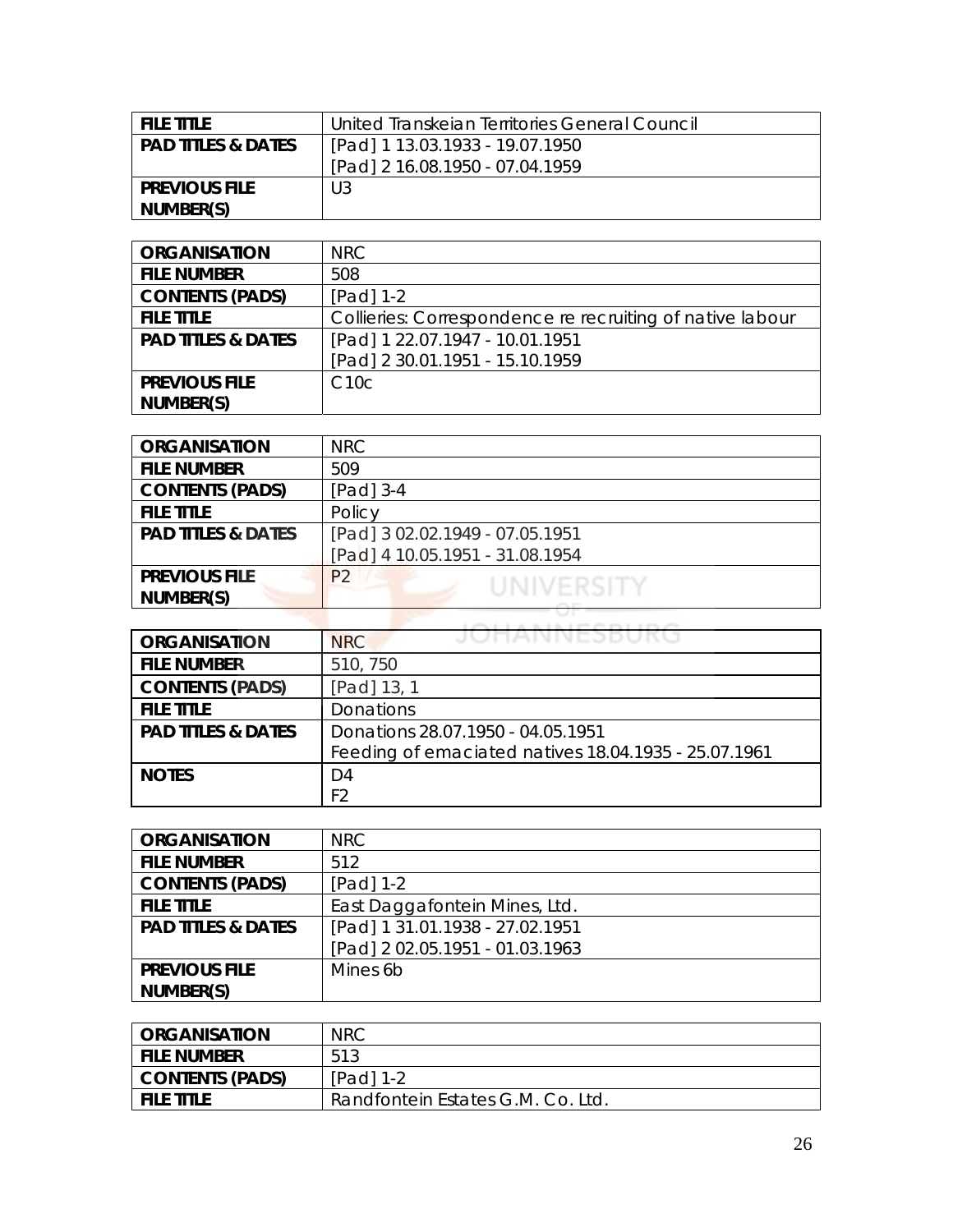| FILE TITLE                    | United Transkeian Territories General Council |
|-------------------------------|-----------------------------------------------|
| <b>PAD TITLES &amp; DATES</b> | [Pad] 1 13.03.1933 - 19.07.1950               |
|                               | [Pad] 2 16.08.1950 - 07.04.1959               |
| <b>PREVIOUS FILE</b>          | U3                                            |
| NUMBER(S)                     |                                               |

| <b>ORGANISATION</b>           | <b>NRC</b>                                                |
|-------------------------------|-----------------------------------------------------------|
| <b>FILE NUMBER</b>            | 508                                                       |
| <b>CONTENTS (PADS)</b>        | [Pad] 1-2                                                 |
| <b>FILE TITLE</b>             | Collieries: Correspondence re recruiting of native labour |
| <b>PAD TITLES &amp; DATES</b> | [Pad] 1 22.07.1947 - 10.01.1951                           |
|                               | [Pad] 2 30.01.1951 - 15.10.1959                           |
| <b>PREVIOUS FILE</b>          | C10c                                                      |
| NUMBER(S)                     |                                                           |

| <b>ORGANISATION</b>           | NRC                             |
|-------------------------------|---------------------------------|
| <b>FILE NUMBER</b>            | 509                             |
| <b>CONTENTS (PADS)</b>        | $[Pad]$ 3-4                     |
| <b>FILE TITLE</b>             | Policy                          |
| <b>PAD TITLES &amp; DATES</b> | [Pad] 3 02.02.1949 - 07.05.1951 |
|                               | [Pad] 4 10.05.1951 - 31.08.1954 |
| <b>PREVIOUS FILE</b>          | P <sub>2</sub><br>UNIVERSITY    |
| NUMBER(S)                     |                                 |
|                               |                                 |

| <b>ORGANISATION</b>           | JUHANNEJDUKU<br><b>NRC</b>                           |
|-------------------------------|------------------------------------------------------|
| <b>FILE NUMBER</b>            | 510, 750                                             |
| <b>CONTENTS (PADS)</b>        | [Pad] 13, 1                                          |
| <b>FILE TITLE</b>             | <b>Donations</b>                                     |
| <b>PAD TITLES &amp; DATES</b> | Donations 28.07.1950 - 04.05.1951                    |
|                               | Feeding of emaciated natives 18.04.1935 - 25.07.1961 |
| <b>NOTES</b>                  | D4                                                   |
|                               | F <sub>2</sub>                                       |

| <b>ORGANISATION</b>           | <b>NRC</b>                      |
|-------------------------------|---------------------------------|
| <b>FILE NUMBER</b>            | 512                             |
| <b>CONTENTS (PADS)</b>        | [Pad] 1-2                       |
| <b>FILE TITLE</b>             | East Daggafontein Mines, Ltd.   |
| <b>PAD TITLES &amp; DATES</b> | [Pad] 1 31.01.1938 - 27.02.1951 |
|                               | [Pad] 2 02.05.1951 - 01.03.1963 |
| <b>PREVIOUS FILE</b>          | Mines 6b                        |
| NUMBER(S)                     |                                 |

| <b>ORGANISATION</b>    | <b>NRC</b>                        |
|------------------------|-----------------------------------|
| <b>FILE NUMBER</b>     | 513                               |
| <b>CONTENTS (PADS)</b> | $[Pad]$ 1-2                       |
| <b>FILE TITLE</b>      | Randfontein Estates G.M. Co. Ltd. |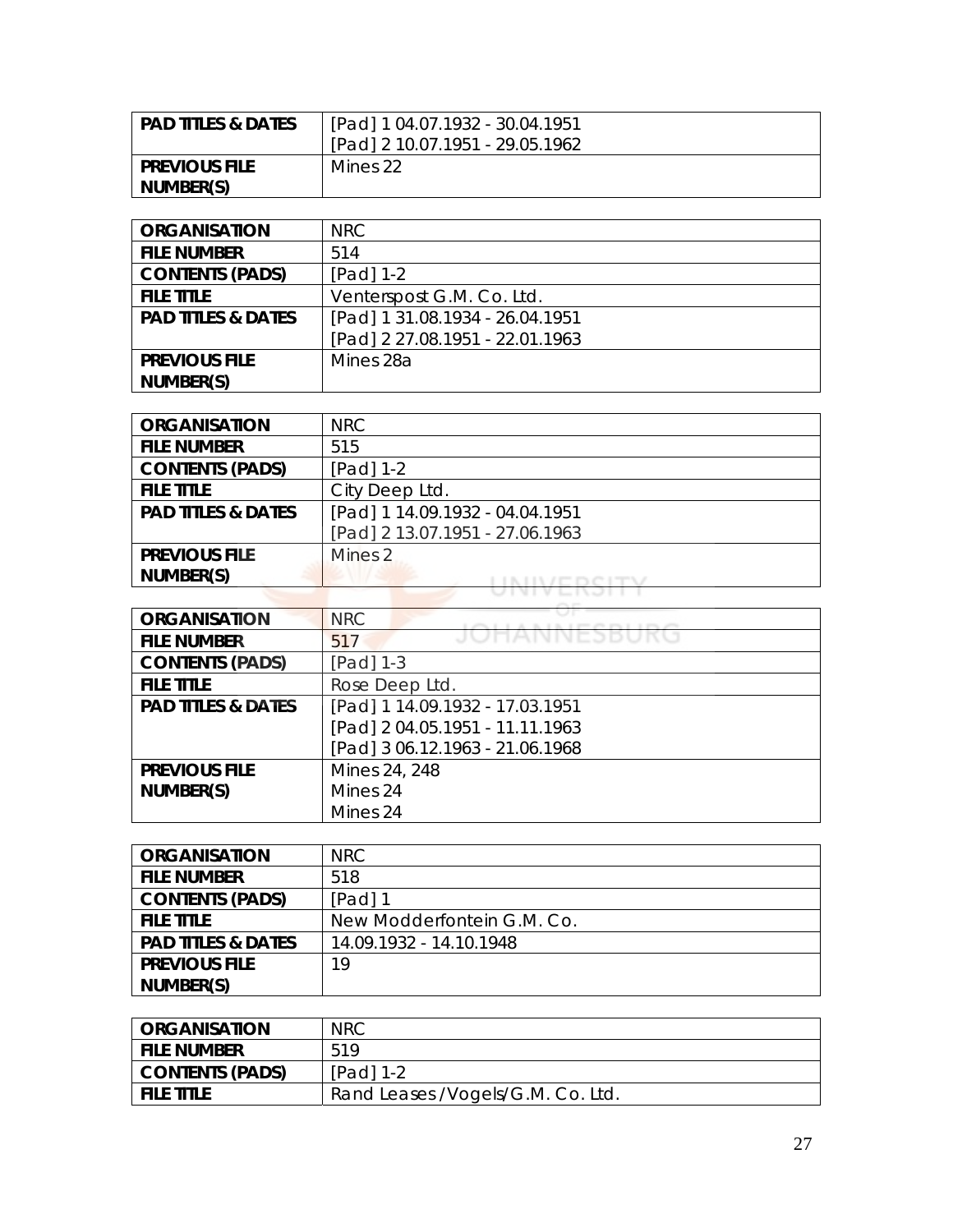| l PAD TITLES & DATES | [Pad] 1 04.07.1932 - 30.04.1951 |
|----------------------|---------------------------------|
|                      | [Pad] 2 10.07.1951 - 29.05.1962 |
| I PREVIOUS FILE      | Mines 22                        |
| NUMBER(S)            |                                 |

| <b>ORGANISATION</b>           | NRC.                            |
|-------------------------------|---------------------------------|
| <b>FILE NUMBER</b>            | 514                             |
| <b>CONTENTS (PADS)</b>        | $[Pad] 1-2$                     |
| <b>FILE TITLE</b>             | Venterspost G.M. Co. Ltd.       |
| <b>PAD TITLES &amp; DATES</b> | [Pad] 1 31.08.1934 - 26.04.1951 |
|                               | [Pad] 2 27.08.1951 - 22.01.1963 |
| <b>PREVIOUS FILE</b>          | Mines 28a                       |
| NUMBER(S)                     |                                 |

| <b>ORGANISATION</b>           | <b>NRC</b>                      |
|-------------------------------|---------------------------------|
| <b>FILE NUMBER</b>            | 515                             |
| <b>CONTENTS (PADS)</b>        | [Pad] 1-2                       |
| <b>FILE TITLE</b>             | City Deep Ltd.                  |
| <b>PAD TITLES &amp; DATES</b> | [Pad] 1 14.09.1932 - 04.04.1951 |
|                               | [Pad] 2 13.07.1951 - 27.06.1963 |
| <b>PREVIOUS FILE</b>          | Mines 2                         |
| NUMBER(S)                     |                                 |
|                               |                                 |

| <b>ORGANISATION</b>           | <b>NRC</b>                      |
|-------------------------------|---------------------------------|
| <b>FILE NUMBER</b>            | JUMANNEJDUK<br>517              |
| <b>CONTENTS (PADS)</b>        | [Pad] 1-3                       |
| <b>FILE TITLE</b>             | Rose Deep Ltd.                  |
| <b>PAD TITLES &amp; DATES</b> | [Pad] 1 14.09.1932 - 17.03.1951 |
|                               | [Pad] 2 04.05.1951 - 11.11.1963 |
|                               | [Pad] 3 06.12.1963 - 21.06.1968 |
| <b>PREVIOUS FILE</b>          | Mines 24, 248                   |
| NUMBER(S)                     | Mines 24                        |
|                               | Mines 24                        |

| <b>ORGANISATION</b>           | NRC.                       |
|-------------------------------|----------------------------|
| <b>FILE NUMBER</b>            | 518                        |
| <b>CONTENTS (PADS)</b>        | $[Pad]$ 1                  |
| <b>FILE TITLE</b>             | New Modderfontein G.M. Co. |
| <b>PAD TITLES &amp; DATES</b> | 14.09.1932 - 14.10.1948    |
| <b>PREVIOUS FILE</b>          | 19                         |
| NUMBER(S)                     |                            |

| <b>ORGANISATION</b> | <b>NRC</b>                         |
|---------------------|------------------------------------|
| <b>FILE NUMBER</b>  | 519                                |
| CONTENTS (PADS)     | $[Pad] 1-2$                        |
| <b>FILE TITLE</b>   | Rand Leases / Vogels/G.M. Co. Ltd. |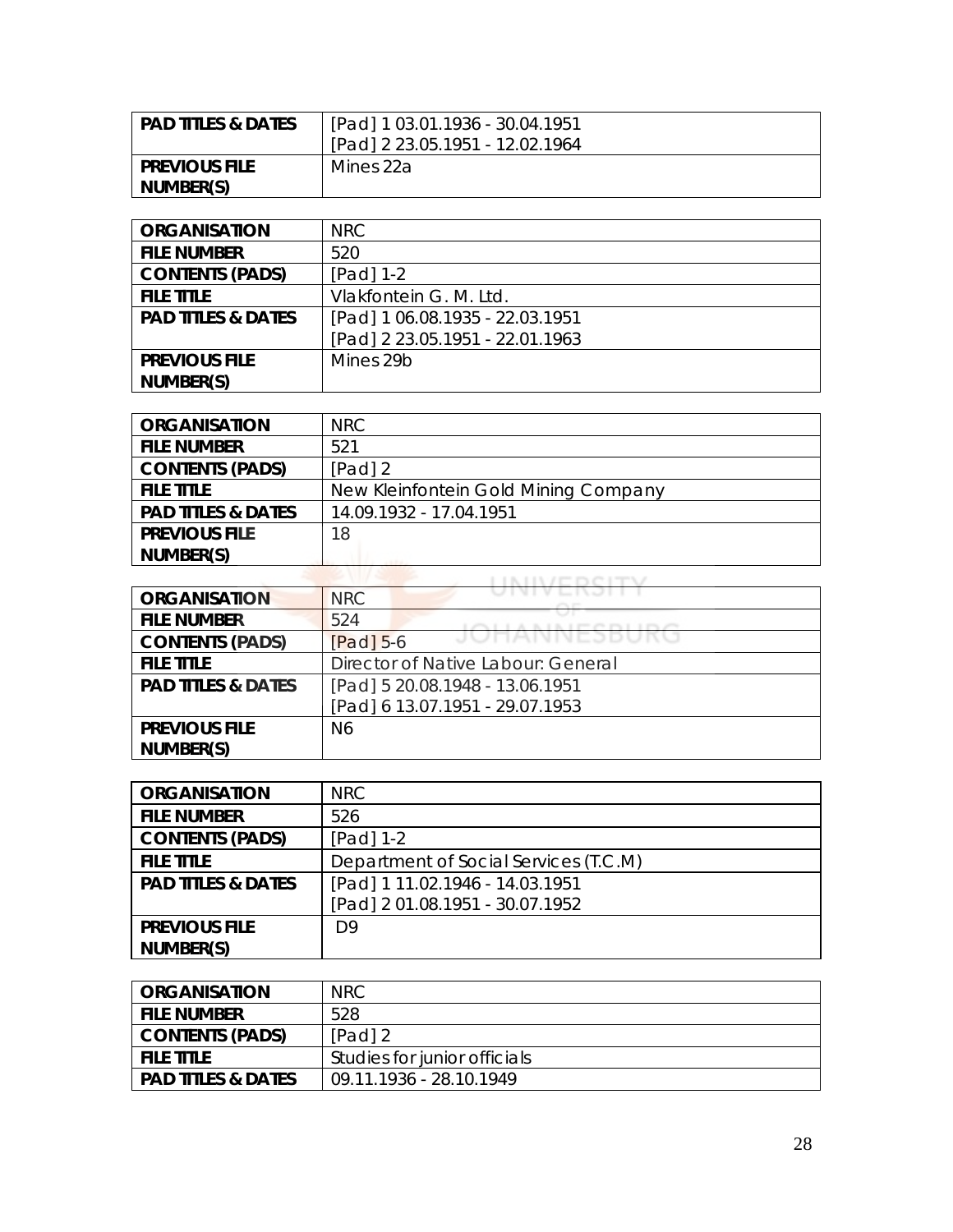| <b>PAD TITLES &amp; DATES</b> | [Pad] 1 03.01.1936 - 30.04.1951 |
|-------------------------------|---------------------------------|
|                               | [Pad] 2 23.05.1951 - 12.02.1964 |
| <b>PREVIOUS FILE</b>          | Mines 22a                       |
| NUMBER(S)                     |                                 |

| <b>ORGANISATION</b>           | NRC                             |
|-------------------------------|---------------------------------|
| <b>FILE NUMBER</b>            | 520                             |
| <b>CONTENTS (PADS)</b>        | $[Pad] 1-2$                     |
| <b>FILE TITLE</b>             | Vlakfontein G. M. Ltd.          |
| <b>PAD TITLES &amp; DATES</b> | [Pad] 1 06.08.1935 - 22.03.1951 |
|                               | [Pad] 2 23.05.1951 - 22.01.1963 |
| <b>PREVIOUS FILE</b>          | Mines 29b                       |
| NUMBER(S)                     |                                 |

| <b>ORGANISATION</b>           | NRC.                                 |
|-------------------------------|--------------------------------------|
| <b>FILE NUMBER</b>            | 521                                  |
| <b>CONTENTS (PADS)</b>        | $[Pad]$ 2                            |
| <b>FILE TITLE</b>             | New Kleinfontein Gold Mining Company |
| <b>PAD TITLES &amp; DATES</b> | 14.09.1932 - 17.04.1951              |
| <b>PREVIOUS FILE</b>          | 18                                   |
| NUMBER(S)                     |                                      |
|                               |                                      |

| <b>ORGANISATION</b>           | <b>NRC</b>                         |
|-------------------------------|------------------------------------|
| <b>FILE NUMBER</b>            | 524                                |
| <b>CONTENTS (PADS)</b>        | JUNNIVEJDUNU<br>$[Pad]$ 5-6        |
| <b>FILE TITLE</b>             | Director of Native Labour: General |
| <b>PAD TITLES &amp; DATES</b> | [Pad] 5 20.08.1948 - 13.06.1951    |
|                               | [Pad] 6 13.07.1951 - 29.07.1953    |
| <b>PREVIOUS FILE</b>          | N6                                 |
| NUMBER(S)                     |                                    |

| <b>ORGANISATION</b>           | <b>NRC</b>                            |
|-------------------------------|---------------------------------------|
| <b>FILE NUMBER</b>            | 526                                   |
| <b>CONTENTS (PADS)</b>        | $[Pad] 1-2$                           |
| <b>FILE TITLE</b>             | Department of Social Services (T.C.M) |
| <b>PAD TITLES &amp; DATES</b> | [Pad] 1 11.02.1946 - 14.03.1951       |
|                               | [Pad] 2 01.08.1951 - 30.07.1952       |
| <b>PREVIOUS FILE</b>          | D9                                    |
| NUMBER(S)                     |                                       |

| <b>ORGANISATION</b>           | <b>NRC</b>                   |
|-------------------------------|------------------------------|
| <b>FILE NUMBER</b>            | 528                          |
| <b>CONTENTS (PADS)</b>        | $[Pad]$ 2                    |
| <b>FILE TITLE</b>             | Studies for junior officials |
| <b>PAD TITLES &amp; DATES</b> | 09.11.1936 - 28.10.1949      |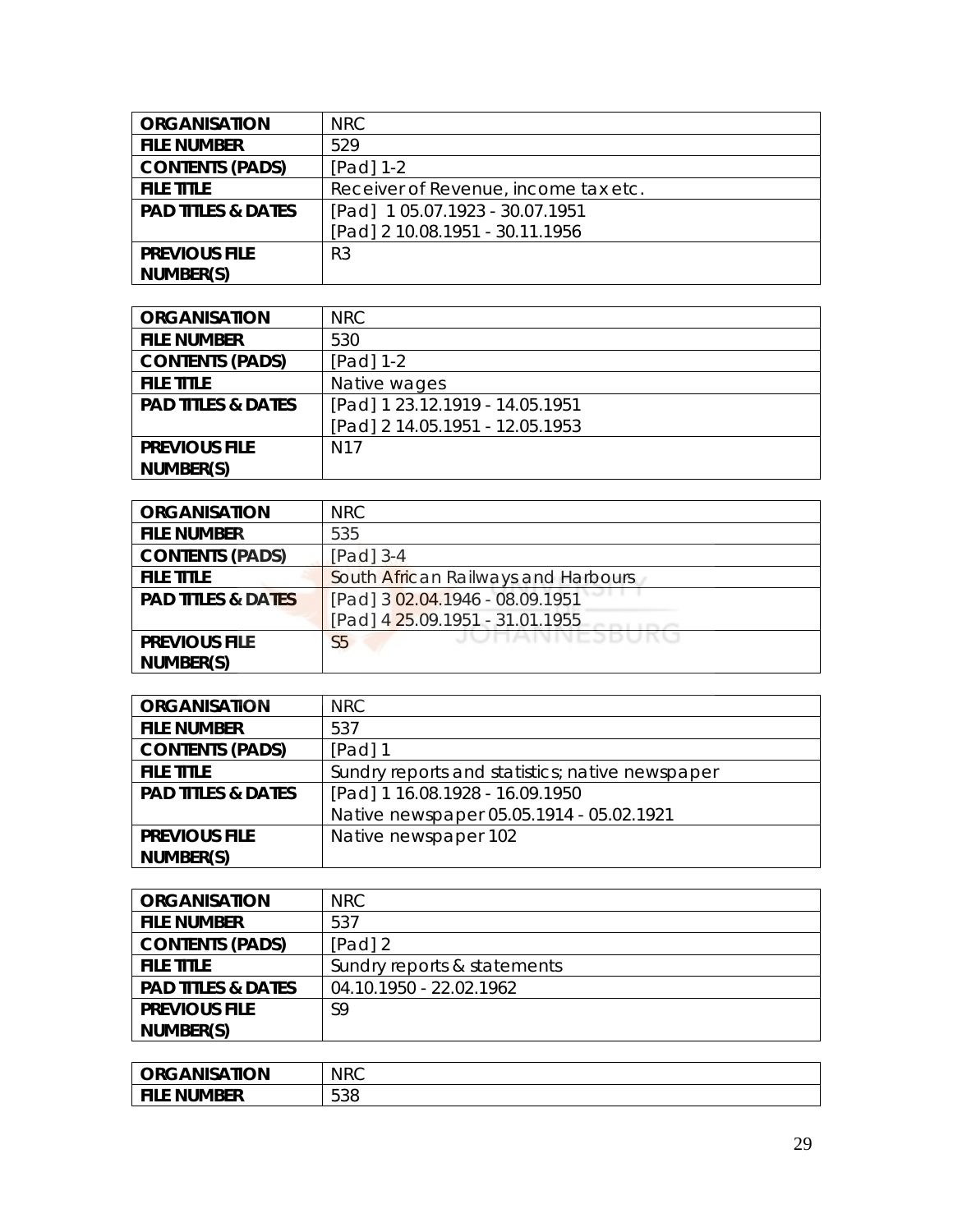| <b>ORGANISATION</b>           | NRC.                                 |
|-------------------------------|--------------------------------------|
| <b>FILE NUMBER</b>            | 529                                  |
| <b>CONTENTS (PADS)</b>        | $[Pad] 1-2$                          |
| <b>FILE TITLE</b>             | Receiver of Revenue, income tax etc. |
| <b>PAD TITLES &amp; DATES</b> | [Pad] 105.07.1923 - 30.07.1951       |
|                               | [Pad] 2 10.08.1951 - 30.11.1956      |
| <b>PREVIOUS FILE</b>          | R <sub>3</sub>                       |
| NUMBER(S)                     |                                      |

| <b>ORGANISATION</b>           | NRC                             |
|-------------------------------|---------------------------------|
| <b>FILE NUMBER</b>            | 530                             |
| <b>CONTENTS (PADS)</b>        | $[Pad] 1-2$                     |
| <b>FILE TITLE</b>             | Native wages                    |
| <b>PAD TITLES &amp; DATES</b> | [Pad] 1 23.12.1919 - 14.05.1951 |
|                               | [Pad] 2 14.05.1951 - 12.05.1953 |
| <b>PREVIOUS FILE</b>          | N <sub>17</sub>                 |
| NUMBER(S)                     |                                 |

| <b>ORGANISATION</b>           | <b>NRC</b>                          |
|-------------------------------|-------------------------------------|
| <b>FILE NUMBER</b>            | 535                                 |
| <b>CONTENTS (PADS)</b>        | $[Pad]$ 3-4                         |
| <b>FILE TITLE</b>             | South African Railways and Harbours |
| <b>PAD TITLES &amp; DATES</b> | [Pad] 3 02.04.1946 - 08.09.1951     |
|                               | [Pad] 4 25.09.1951 - 31.01.1955     |
| <b>PREVIOUS FILE</b>          | JUNANNEJDUKU<br>S <sub>5</sub>      |
| NUMBER(S)                     |                                     |

| <b>ORGANISATION</b>           | NRC.                                            |
|-------------------------------|-------------------------------------------------|
| <b>FILE NUMBER</b>            | 537                                             |
| <b>CONTENTS (PADS)</b>        | [Pad] 1                                         |
| <b>FILE TITLE</b>             | Sundry reports and statistics; native newspaper |
| <b>PAD TITLES &amp; DATES</b> | [Pad] 1 16.08.1928 - 16.09.1950                 |
|                               | Native newspaper 05.05.1914 - 05.02.1921        |
| <b>PREVIOUS FILE</b>          | Native newspaper 102                            |
| NUMBER(S)                     |                                                 |

| <b>ORGANISATION</b>           | NRC.                        |
|-------------------------------|-----------------------------|
| <b>FILE NUMBER</b>            | 537                         |
| <b>CONTENTS (PADS)</b>        | $[Pad]$ 2                   |
| <b>FILE TITLE</b>             | Sundry reports & statements |
| <b>PAD TITLES &amp; DATES</b> | 04.10.1950 - 22.02.1962     |
| <b>PREVIOUS FILE</b>          | S9                          |
| NUMBER(S)                     |                             |

| <b>ORGANISATION</b>   | <b>NRC</b> |
|-----------------------|------------|
| <b>NUMBER</b><br>- EU | 538        |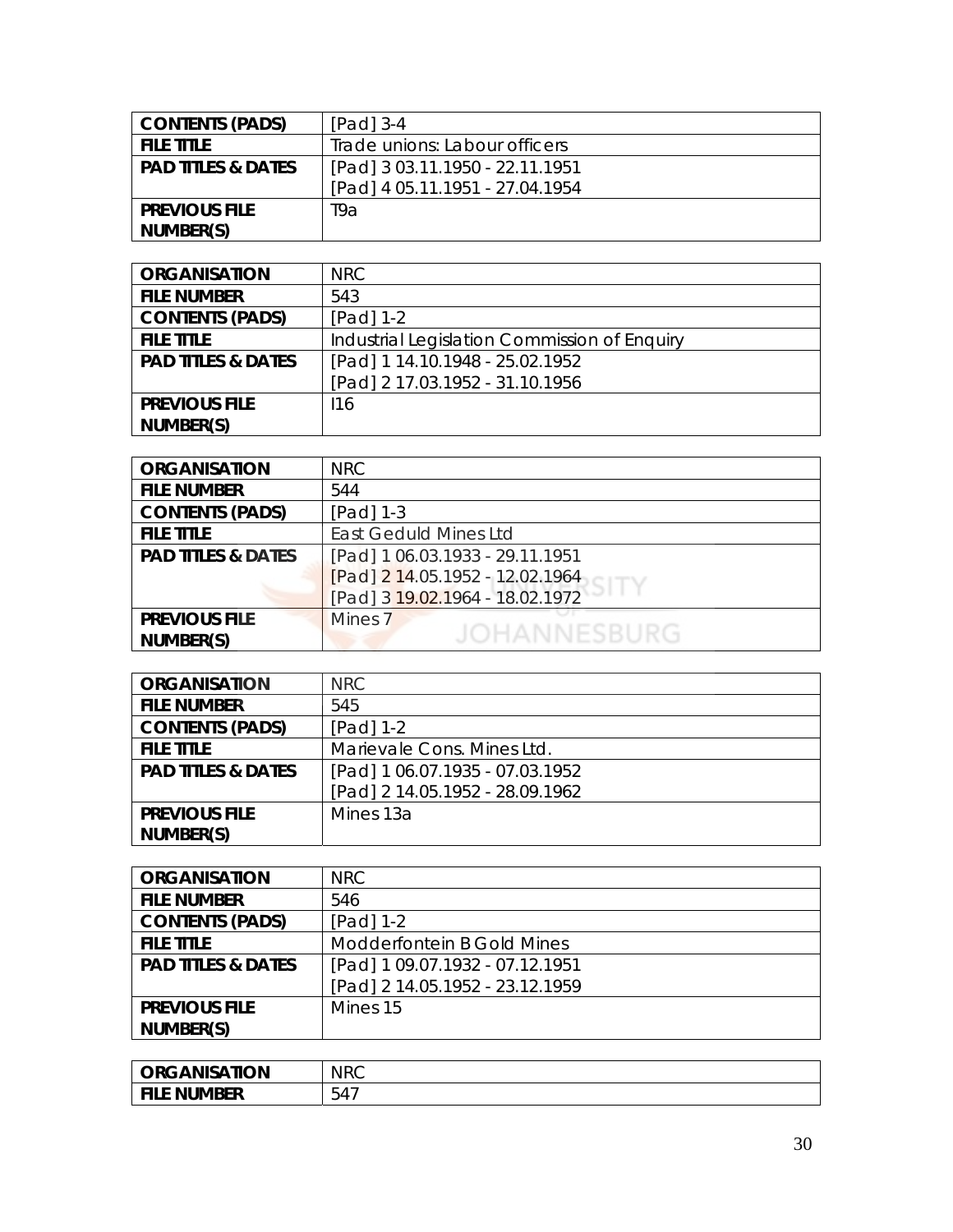| <b>CONTENTS (PADS)</b>        | $[Pad]$ 3-4                     |
|-------------------------------|---------------------------------|
| <b>FILE TITLE</b>             | Trade unions: Labour officers   |
| <b>PAD TITLES &amp; DATES</b> | [Pad] 3 03.11.1950 - 22.11.1951 |
|                               | [Pad] 4 05.11.1951 - 27.04.1954 |
| <b>PREVIOUS FILE</b>          | T9a                             |
| NUMBER(S)                     |                                 |

| <b>ORGANISATION</b>           | NRC                                          |
|-------------------------------|----------------------------------------------|
| <b>FILE NUMBER</b>            | 543                                          |
| <b>CONTENTS (PADS)</b>        | $[Pad] 1-2$                                  |
| <b>FILE TITLE</b>             | Industrial Legislation Commission of Enquiry |
| <b>PAD TITLES &amp; DATES</b> | [Pad] 1 14.10.1948 - 25.02.1952              |
|                               | [Pad] 2 17.03.1952 - 31.10.1956              |
| <b>PREVIOUS FILE</b>          | 116                                          |
| NUMBER(S)                     |                                              |

| <b>ORGANISATION</b>           | NRC.                            |
|-------------------------------|---------------------------------|
| <b>FILE NUMBER</b>            | 544                             |
| <b>CONTENTS (PADS)</b>        | $[Pad]$ 1-3                     |
| <b>FILE TITLE</b>             | <b>East Geduld Mines Ltd</b>    |
| <b>PAD TITLES &amp; DATES</b> | [Pad] 1 06.03.1933 - 29.11.1951 |
|                               | [Pad] 2 14.05.1952 - 12.02.1964 |
|                               | [Pad] 3 19.02.1964 - 18.02.1972 |
| <b>PREVIOUS FILE</b>          | Mines <sub>7</sub>              |
| NUMBER(S)                     | JOHANNESBURG                    |
|                               |                                 |

| <b>ORGANISATION</b>           | <b>NRC</b>                      |
|-------------------------------|---------------------------------|
| <b>FILE NUMBER</b>            | 545                             |
| <b>CONTENTS (PADS)</b>        | $[Pad] 1-2$                     |
| <b>FILE TITLE</b>             | Marievale Cons. Mines Ltd.      |
| <b>PAD TITLES &amp; DATES</b> | [Pad] 1 06.07.1935 - 07.03.1952 |
|                               | [Pad] 2 14.05.1952 - 28.09.1962 |
| <b>PREVIOUS FILE</b>          | Mines 13a                       |
| NUMBER(S)                     |                                 |

| <b>ORGANISATION</b>           | <b>NRC</b>                      |
|-------------------------------|---------------------------------|
| <b>FILE NUMBER</b>            | 546                             |
| <b>CONTENTS (PADS)</b>        | [Pad] 1-2                       |
| <b>FILE TITLE</b>             | Modderfontein B Gold Mines      |
| <b>PAD TITLES &amp; DATES</b> | [Pad] 1 09.07.1932 - 07.12.1951 |
|                               | [Pad] 2 14.05.1952 - 23.12.1959 |
| <b>PREVIOUS FILE</b>          | Mines 15                        |
| NUMBER(S)                     |                                 |

| <b>ORGANISATION</b> | <b>NRC</b> |
|---------------------|------------|
| <b>NUMBER</b>       | $ -$       |
| <b>FILE</b>         | 54,        |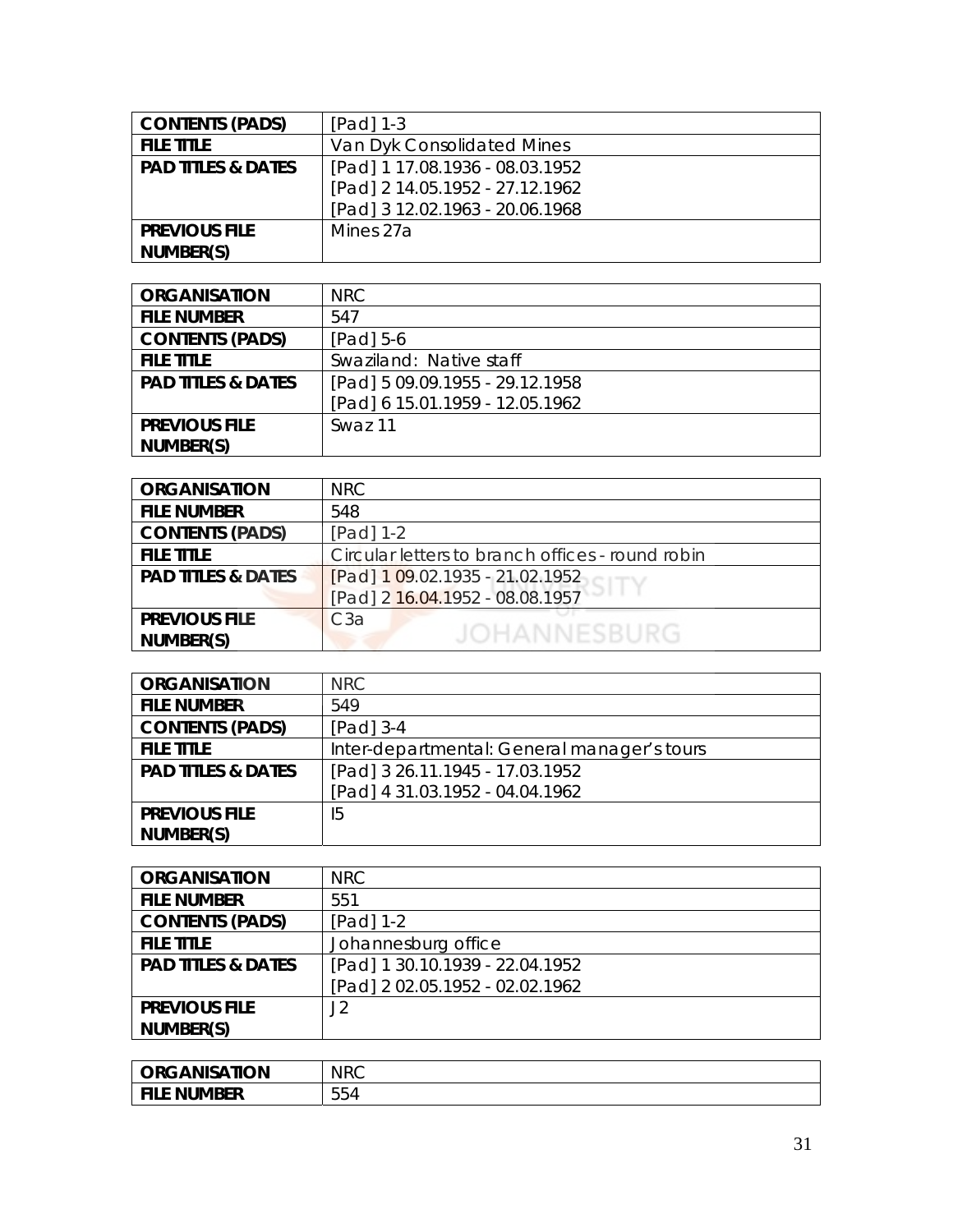| <b>CONTENTS (PADS)</b>        | $[Pad]$ 1-3                     |
|-------------------------------|---------------------------------|
| <b>FILE TITLE</b>             | Van Dyk Consolidated Mines      |
| <b>PAD TITLES &amp; DATES</b> | [Pad] 1 17.08.1936 - 08.03.1952 |
|                               | [Pad] 2 14.05.1952 - 27.12.1962 |
|                               | [Pad] 3 12.02.1963 - 20.06.1968 |
| <b>PREVIOUS FILE</b>          | Mines 27a                       |
| NUMBER(S)                     |                                 |

| <b>ORGANISATION</b>           | NRC.                            |
|-------------------------------|---------------------------------|
| <b>FILE NUMBER</b>            | 547                             |
| <b>CONTENTS (PADS)</b>        | $[Pad] 5-6$                     |
| <b>FILE TITLE</b>             | Swaziland: Native staff         |
| <b>PAD TITLES &amp; DATES</b> | [Pad] 5 09.09.1955 - 29.12.1958 |
|                               | [Pad] 6 15.01.1959 - 12.05.1962 |
| <b>PREVIOUS FILE</b>          | Swaz 11                         |
| NUMBER(S)                     |                                 |

| <b>ORGANISATION</b>           | <b>NRC</b>                                       |
|-------------------------------|--------------------------------------------------|
| <b>FILE NUMBER</b>            | 548                                              |
| <b>CONTENTS (PADS)</b>        | $[Pad] 1-2$                                      |
| <b>FILE TITLE</b>             | Circular letters to branch offices - round robin |
| <b>PAD TITLES &amp; DATES</b> | [Pad] 1 09.02.1935 - 21.02.1952                  |
|                               | [Pad] 2 16.04.1952 - 08.08.1957                  |
| <b>PREVIOUS FILE</b>          | C3a                                              |
| NUMBER(S)                     | JOHANNESBURG                                     |
|                               |                                                  |

| <b>ORGANISATION</b>           | <b>NRC</b>                                  |
|-------------------------------|---------------------------------------------|
| <b>FILE NUMBER</b>            | 549                                         |
| <b>CONTENTS (PADS)</b>        | $[Pad]$ 3-4                                 |
| <b>FILE TITLE</b>             | Inter-departmental: General manager's tours |
| <b>PAD TITLES &amp; DATES</b> | [Pad] 3 26.11.1945 - 17.03.1952             |
|                               | [Pad] 4 31.03.1952 - 04.04.1962             |
| <b>PREVIOUS FILE</b>          | 15                                          |
| NUMBER(S)                     |                                             |

| <b>ORGANISATION</b>           | <b>NRC</b>                      |
|-------------------------------|---------------------------------|
| <b>FILE NUMBER</b>            | 551                             |
| <b>CONTENTS (PADS)</b>        | [Pad] 1-2                       |
| <b>FILE TITLE</b>             | Johannesburg office             |
| <b>PAD TITLES &amp; DATES</b> | [Pad] 1 30.10.1939 - 22.04.1952 |
|                               | [Pad] 2 02.05.1952 - 02.02.1962 |
| <b>PREVIOUS FILE</b>          | J2                              |
| NUMBER(S)                     |                                 |

| <b>ORGANISATION</b>          | <b>NRC</b> |
|------------------------------|------------|
| <b>NUMBER</b><br><b>FILE</b> | 554        |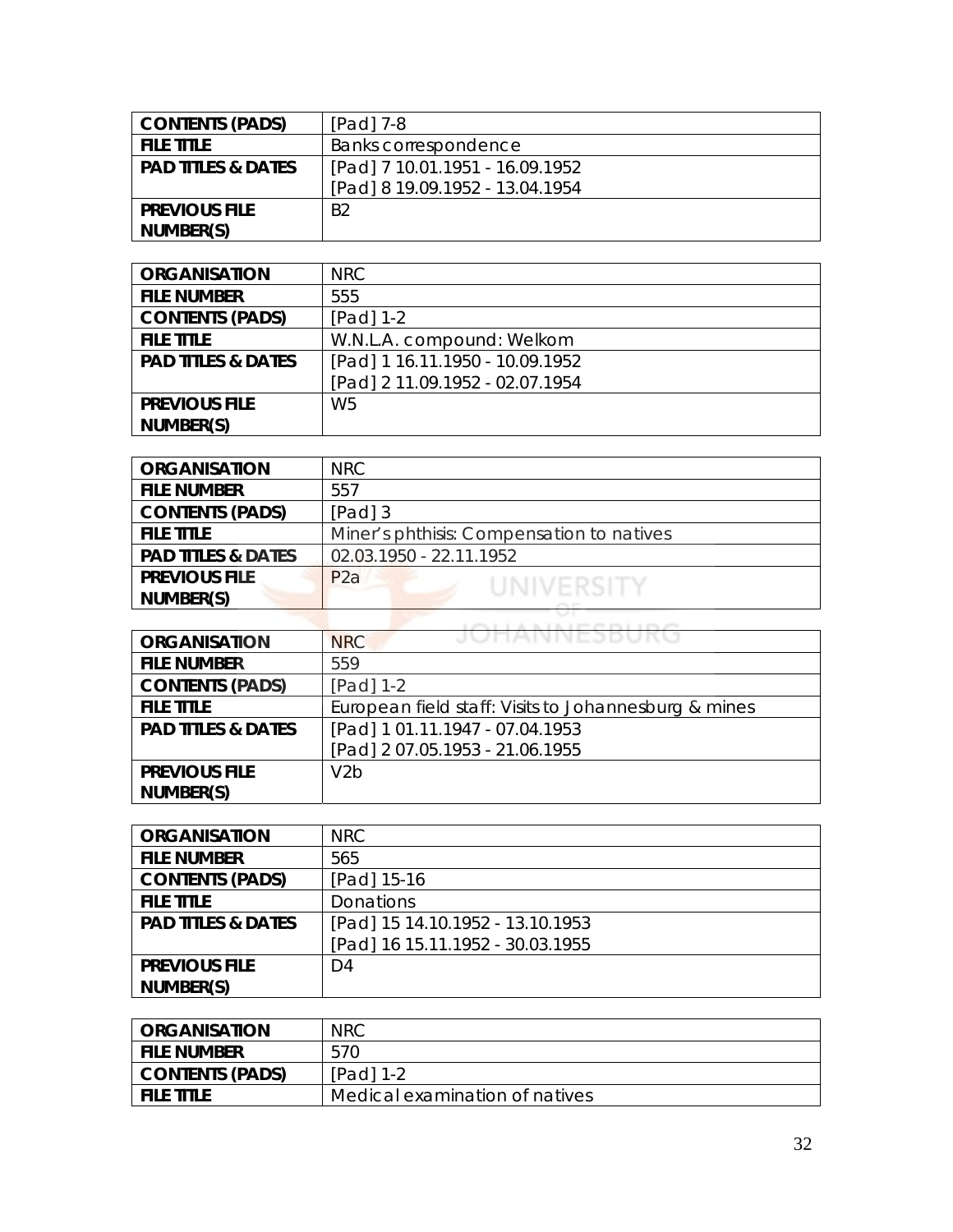| <b>CONTENTS (PADS)</b>        | $[Pad]$ 7-8                     |
|-------------------------------|---------------------------------|
| <b>FILE TITLE</b>             | Banks correspondence            |
| <b>PAD TITLES &amp; DATES</b> | [Pad] 7 10.01.1951 - 16.09.1952 |
|                               | [Pad] 8 19.09.1952 - 13.04.1954 |
| <b>PREVIOUS FILE</b>          | B <sub>2</sub>                  |
| NUMBER(S)                     |                                 |

| <b>ORGANISATION</b>           | NRC                             |
|-------------------------------|---------------------------------|
| <b>FILE NUMBER</b>            | 555                             |
| <b>CONTENTS (PADS)</b>        | $[Pad] 1-2$                     |
| <b>FILE TITLE</b>             | W.N.L.A. compound: Welkom       |
| <b>PAD TITLES &amp; DATES</b> | [Pad] 1 16.11.1950 - 10.09.1952 |
|                               | [Pad] 2 11.09.1952 - 02.07.1954 |
| <b>PREVIOUS FILE</b>          | W <sub>5</sub>                  |
| NUMBER(S)                     |                                 |

| <b>ORGANISATION</b>           | NRC                                       |
|-------------------------------|-------------------------------------------|
| <b>FILE NUMBER</b>            | 557                                       |
| <b>CONTENTS (PADS)</b>        | $[Pad]$ 3                                 |
| <b>FILE TITLE</b>             | Miner's phthisis: Compensation to natives |
| <b>PAD TITLES &amp; DATES</b> | 02.03.1950 - 22.11.1952                   |
| <b>PREVIOUS FILE</b>          | P2a<br>UNIVERSITY                         |
| NUMBER(S)                     |                                           |
|                               |                                           |

| <b>ORGANISATION</b>           | JUNANNEJDUKU<br>NRC                                  |
|-------------------------------|------------------------------------------------------|
| <b>FILE NUMBER</b>            | 559                                                  |
| <b>CONTENTS (PADS)</b>        | $[Pad] 1-2$                                          |
| <b>FILE TITLE</b>             | European field staff: Visits to Johannesburg & mines |
| <b>PAD TITLES &amp; DATES</b> | [Pad] 1 01.11.1947 - 07.04.1953                      |
|                               | [Pad] 2 07.05.1953 - 21.06.1955                      |
| <b>PREVIOUS FILE</b>          | V <sub>2</sub> h                                     |
| NUMBER(S)                     |                                                      |

| <b>ORGANISATION</b>           | <b>NRC</b>                       |
|-------------------------------|----------------------------------|
| <b>FILE NUMBER</b>            | 565                              |
| <b>CONTENTS (PADS)</b>        | [Pad] 15-16                      |
| <b>FILE TITLE</b>             | Donations                        |
| <b>PAD TITLES &amp; DATES</b> | [Pad] 15 14.10.1952 - 13.10.1953 |
|                               | [Pad] 16 15.11.1952 - 30.03.1955 |
| <b>PREVIOUS FILE</b>          | D4                               |
| NUMBER(S)                     |                                  |

| <b>ORGANISATION</b>    | <b>NRC</b>                     |
|------------------------|--------------------------------|
| <b>FILE NUMBER</b>     | 570                            |
| <b>CONTENTS (PADS)</b> | $[Pad] 1-2$                    |
| <b>FILE TITLE</b>      | Medical examination of natives |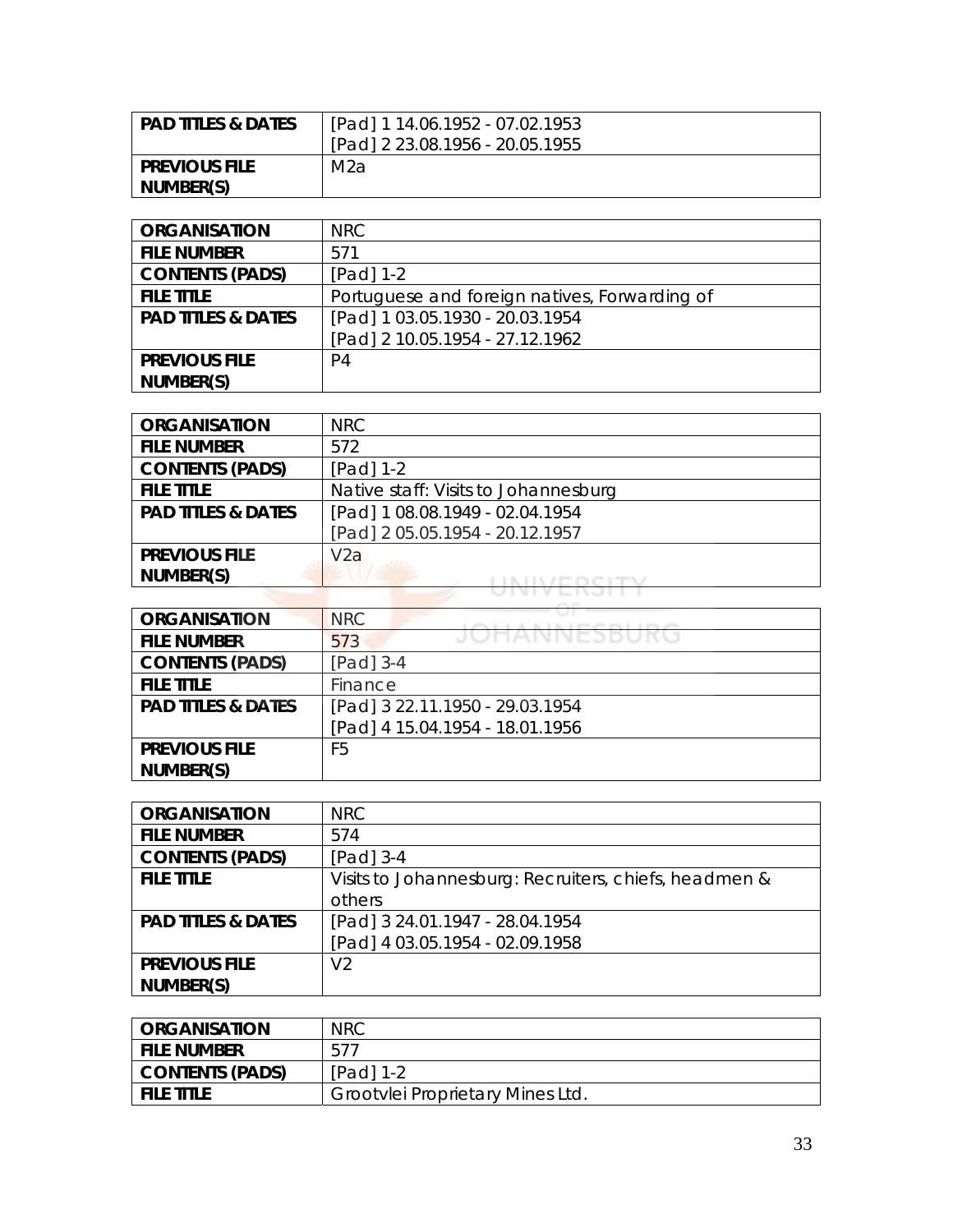| <b>PAD TITLES &amp; DATES</b> | [Pad] 1 14.06.1952 - 07.02.1953 |
|-------------------------------|---------------------------------|
|                               | [Pad] 2 23.08.1956 - 20.05.1955 |
| <b>PREVIOUS FILE</b>          | M2a                             |
| NUMBER(S)                     |                                 |

| <b>ORGANISATION</b>           | NRC                                           |
|-------------------------------|-----------------------------------------------|
| <b>FILE NUMBER</b>            | 571                                           |
| <b>CONTENTS (PADS)</b>        | $[Pad] 1-2$                                   |
| <b>FILE TITLE</b>             | Portuguese and foreign natives, Forwarding of |
| <b>PAD TITLES &amp; DATES</b> | [Pad] 1 03.05.1930 - 20.03.1954               |
|                               | [Pad] 2 10.05.1954 - 27.12.1962               |
| <b>PREVIOUS FILE</b>          | P4                                            |
| NUMBER(S)                     |                                               |

| <b>ORGANISATION</b>           | <b>NRC</b>                           |
|-------------------------------|--------------------------------------|
| <b>FILE NUMBER</b>            | 572                                  |
| <b>CONTENTS (PADS)</b>        | $[Pad] 1-2$                          |
| <b>FILE TITLE</b>             | Native staff: Visits to Johannesburg |
| <b>PAD TITLES &amp; DATES</b> | [Pad] 1 08.08.1949 - 02.04.1954      |
|                               | [Pad] 2 05.05.1954 - 20.12.1957      |
| <b>PREVIOUS FILE</b>          | V <sub>2</sub> a                     |
| NUMBER(S)                     |                                      |
|                               |                                      |

| <b>ORGANISATION</b>           | <b>NRC</b>                      |
|-------------------------------|---------------------------------|
| <b>FILE NUMBER</b>            | JUNNINEJDURU<br>573             |
| <b>CONTENTS (PADS)</b>        | [Pad] 3-4                       |
| <b>FILE TITLE</b>             | Finance                         |
| <b>PAD TITLES &amp; DATES</b> | [Pad] 3 22.11.1950 - 29.03.1954 |
|                               | [Pad] 4 15.04.1954 - 18.01.1956 |
| <b>PREVIOUS FILE</b>          | F5                              |
| NUMBER(S)                     |                                 |

| <b>ORGANISATION</b>           | <b>NRC</b>                                            |
|-------------------------------|-------------------------------------------------------|
| <b>FILE NUMBER</b>            | 574                                                   |
| <b>CONTENTS (PADS)</b>        | $[Pad]$ 3-4                                           |
| <b>FILE TITLE</b>             | Visits to Johannesburg: Recruiters, chiefs, headmen & |
|                               | others                                                |
| <b>PAD TITLES &amp; DATES</b> | [Pad] 3 24.01.1947 - 28.04.1954                       |
|                               | [Pad] 4 03.05.1954 - 02.09.1958                       |
| <b>PREVIOUS FILE</b>          | V <sub>2</sub>                                        |
| NUMBER(S)                     |                                                       |

| <b>CRGANISATION</b> | <b>NRC</b>                       |
|---------------------|----------------------------------|
| i file number       | 577                              |
| CONTENTS (PADS)     | $[Pad] 1-2$                      |
| I FILE TITLE        | Grootylei Proprietary Mines Ltd. |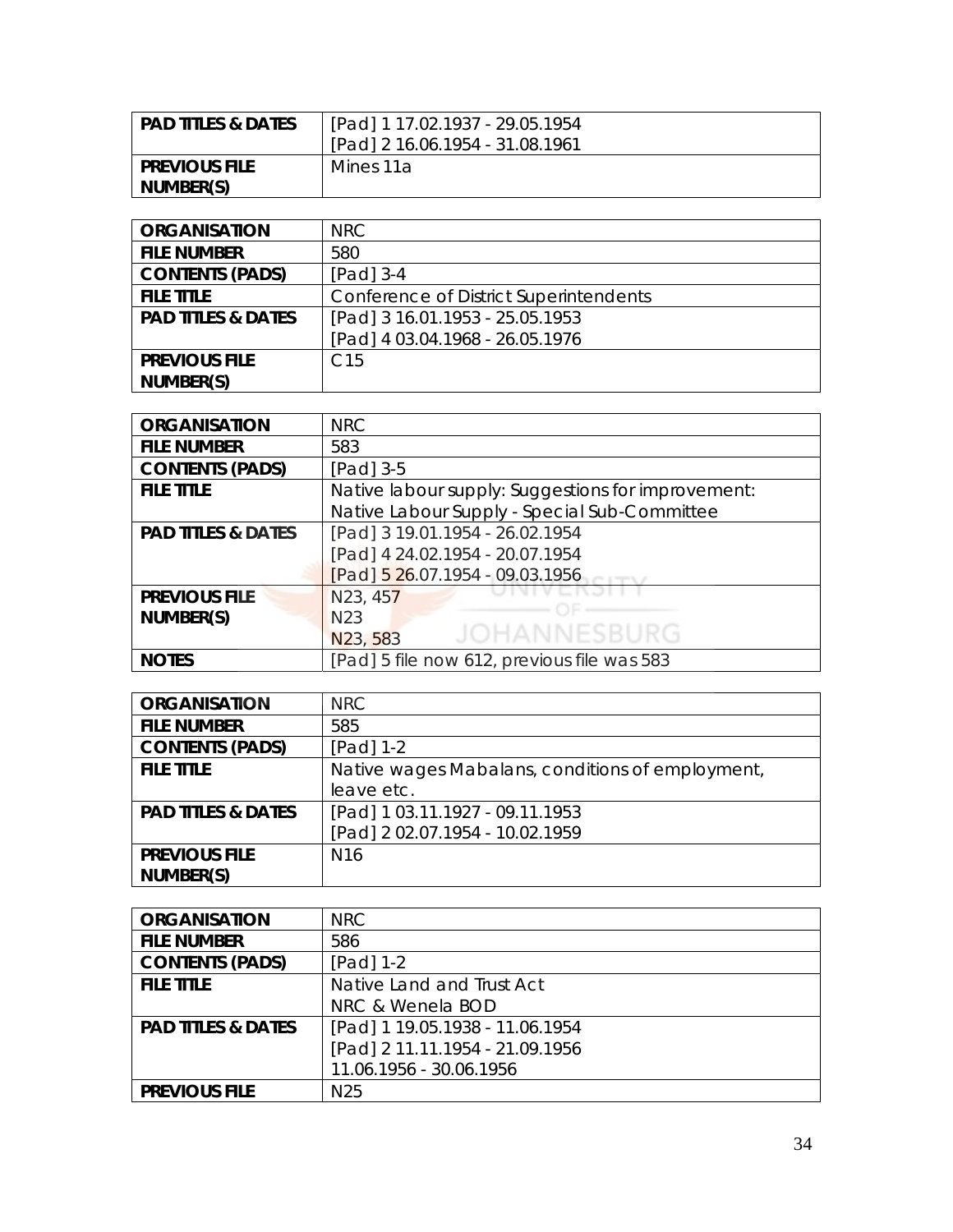| <b>PAD TITLES &amp; DATES</b> | [Pad] 1 17.02.1937 - 29.05.1954 |
|-------------------------------|---------------------------------|
|                               | [Pad] 2 16.06.1954 - 31.08.1961 |
| <b>PREVIOUS FILE</b>          | Mines 11a                       |
| NUMBER(S)                     |                                 |

| <b>ORGANISATION</b>           | NRC                                    |
|-------------------------------|----------------------------------------|
| <b>FILE NUMBER</b>            | 580                                    |
| <b>CONTENTS (PADS)</b>        | $[Pad]$ 3-4                            |
| <b>FILE TITLE</b>             | Conference of District Superintendents |
| <b>PAD TITLES &amp; DATES</b> | [Pad] 3 16.01.1953 - 25.05.1953        |
|                               | [Pad] 4 03.04.1968 - 26.05.1976        |
| <b>PREVIOUS FILE</b>          | C <sub>15</sub>                        |
| NUMBER(S)                     |                                        |

| <b>ORGANISATION</b>           | <b>NRC</b>                                         |
|-------------------------------|----------------------------------------------------|
| <b>FILE NUMBER</b>            | 583                                                |
| <b>CONTENTS (PADS)</b>        | $[Pad]$ 3-5                                        |
| <b>FILE TITLE</b>             | Native labour supply: Suggestions for improvement: |
|                               | Native Labour Supply - Special Sub-Committee       |
| <b>PAD TITLES &amp; DATES</b> | [Pad] 3 19.01.1954 - 26.02.1954                    |
|                               | [Pad] 4 24.02.1954 - 20.07.1954                    |
|                               | $[Pad]$ 5 26.07.1954 - 09.03.1956                  |
| <b>PREVIOUS FILE</b>          | N23, 457                                           |
| NUMBER(S)                     | N <sub>23</sub>                                    |
|                               | <b>JOHANNESBURG</b><br>N23, 583                    |
| <b>NOTES</b>                  | [Pad] 5 file now 612, previous file was 583        |

| <b>ORGANISATION</b>           | <b>NRC</b>                                       |
|-------------------------------|--------------------------------------------------|
| <b>FILE NUMBER</b>            | 585                                              |
| <b>CONTENTS (PADS)</b>        | $[Pad] 1-2$                                      |
| <b>FILE TITLE</b>             | Native wages Mabalans, conditions of employment, |
|                               | leave etc.                                       |
| <b>PAD TITLES &amp; DATES</b> | [Pad] 1 03.11.1927 - 09.11.1953                  |
|                               | [Pad] 2 02.07.1954 - 10.02.1959                  |
| <b>PREVIOUS FILE</b>          | N <sub>16</sub>                                  |
| NUMBER(S)                     |                                                  |

| <b>ORGANISATION</b>           | NRC                             |
|-------------------------------|---------------------------------|
| <b>FILE NUMBER</b>            | 586                             |
| <b>CONTENTS (PADS)</b>        | $[Pad] 1-2$                     |
| <b>FILE TITLE</b>             | Native Land and Trust Act       |
|                               | NRC & Wenela BOD                |
| <b>PAD TITLES &amp; DATES</b> | [Pad] 1 19.05.1938 - 11.06.1954 |
|                               | [Pad] 2 11.11.1954 - 21.09.1956 |
|                               | 11.06.1956 - 30.06.1956         |
| <b>PREVIOUS FILE</b>          | N <sub>25</sub>                 |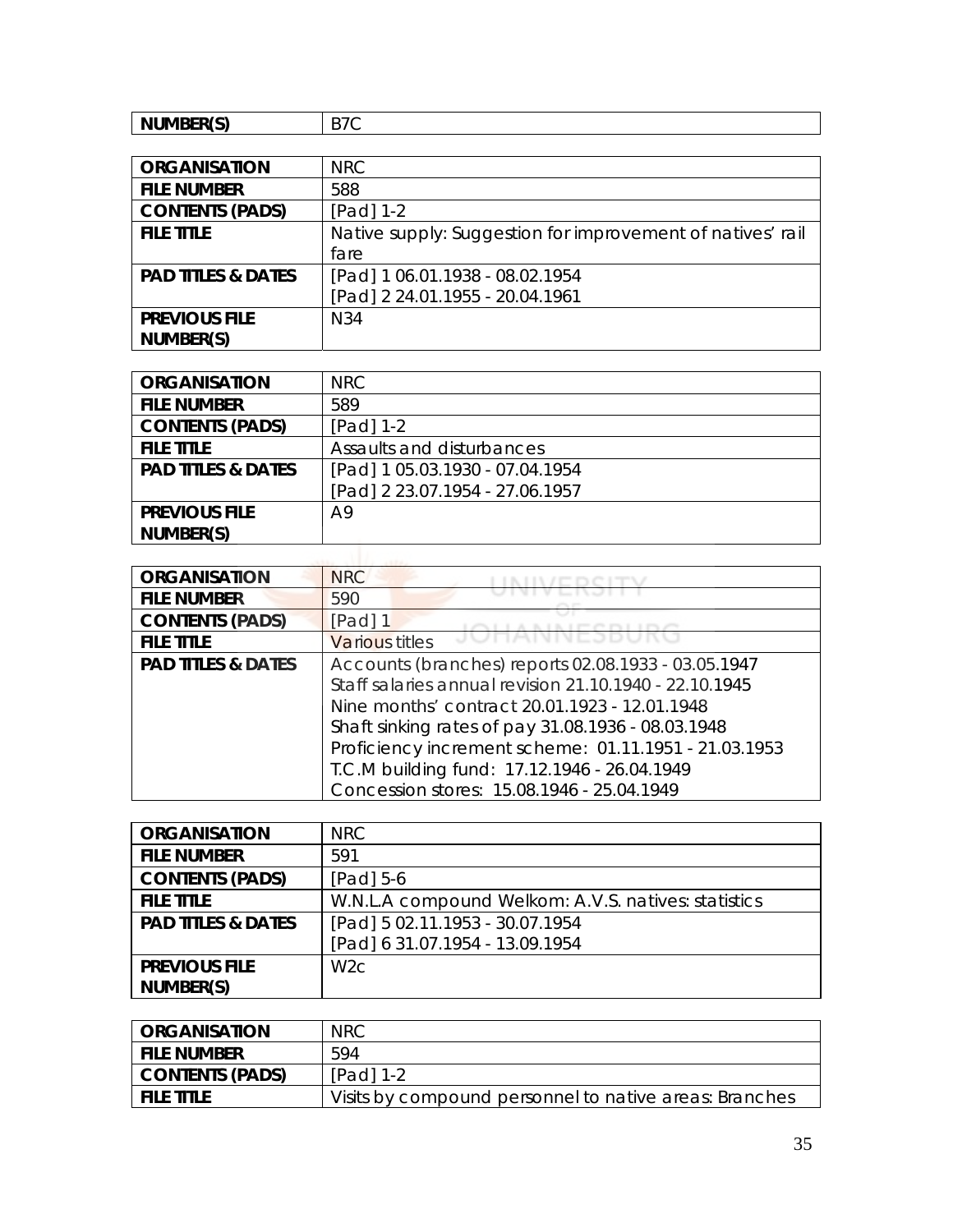| NUMBER(S)<br>$\overline{\phantom{0}}$<br>◡ |
|--------------------------------------------|
|--------------------------------------------|

| <b>ORGANISATION</b>           | <b>NRC</b>                                                 |
|-------------------------------|------------------------------------------------------------|
| <b>FILE NUMBER</b>            | 588                                                        |
| <b>CONTENTS (PADS)</b>        | $[Pad] 1-2$                                                |
| <b>FILE TITLE</b>             | Native supply: Suggestion for improvement of natives' rail |
|                               | fare                                                       |
| <b>PAD TITLES &amp; DATES</b> | [Pad] 1 06.01.1938 - 08.02.1954                            |
|                               | [Pad] 2 24.01.1955 - 20.04.1961                            |
| <b>PREVIOUS FILE</b>          | N34                                                        |
| NUMBER(S)                     |                                                            |

| <b>ORGANISATION</b>           | <b>NRC</b>                      |
|-------------------------------|---------------------------------|
| <b>FILE NUMBER</b>            | 589                             |
| <b>CONTENTS (PADS)</b>        | [Pad] 1-2                       |
| <b>FILE TITLE</b>             | Assaults and disturbances       |
| <b>PAD TITLES &amp; DATES</b> | [Pad] 1 05.03.1930 - 07.04.1954 |
|                               | [Pad] 2 23.07.1954 - 27.06.1957 |
| <b>PREVIOUS FILE</b>          | A9                              |
| NUMBER(S)                     |                                 |

| <b>ORGANISATION</b>           | <b>NRC</b>                                             |
|-------------------------------|--------------------------------------------------------|
| <b>FILE NUMBER</b>            | 590                                                    |
| <b>CONTENTS (PADS)</b>        | [Pad] 1                                                |
| <b>FILE TITLE</b>             | <b>Various titles</b>                                  |
| <b>PAD TITLES &amp; DATES</b> | Accounts (branches) reports 02.08.1933 - 03.05.1947    |
|                               | Staff salaries annual revision 21.10.1940 - 22.10.1945 |
|                               | Nine months' contract 20.01.1923 - 12.01.1948          |
|                               | Shaft sinking rates of pay 31.08.1936 - 08.03.1948     |
|                               | Proficiency increment scheme: 01.11.1951 - 21.03.1953  |
|                               | T.C.M building fund: 17.12.1946 - 26.04.1949           |
|                               | Concession stores: 15.08.1946 - 25.04.1949             |

| <b>ORGANISATION</b>           | <b>NRC</b>                                          |
|-------------------------------|-----------------------------------------------------|
| <b>FILE NUMBER</b>            | 591                                                 |
| <b>CONTENTS (PADS)</b>        | $[Pad] 5-6$                                         |
| <b>FILE TITLE</b>             | W.N.L.A compound Welkom: A.V.S. natives: statistics |
| <b>PAD TITLES &amp; DATES</b> | [Pad] 5 02.11.1953 - 30.07.1954                     |
|                               | [Pad] 6 31.07.1954 - 13.09.1954                     |
| <b>PREVIOUS FILE</b>          | W <sub>2</sub> c                                    |
| NUMBER(S)                     |                                                     |

| <b>ORGANISATION</b>    | <b>NRC</b>                                             |
|------------------------|--------------------------------------------------------|
| <b>FILE NUMBER</b>     | 594                                                    |
| <b>CONTENTS (PADS)</b> | $[Pad] 1-2$                                            |
| <b>FILE TITLE</b>      | Visits by compound personnel to native areas: Branches |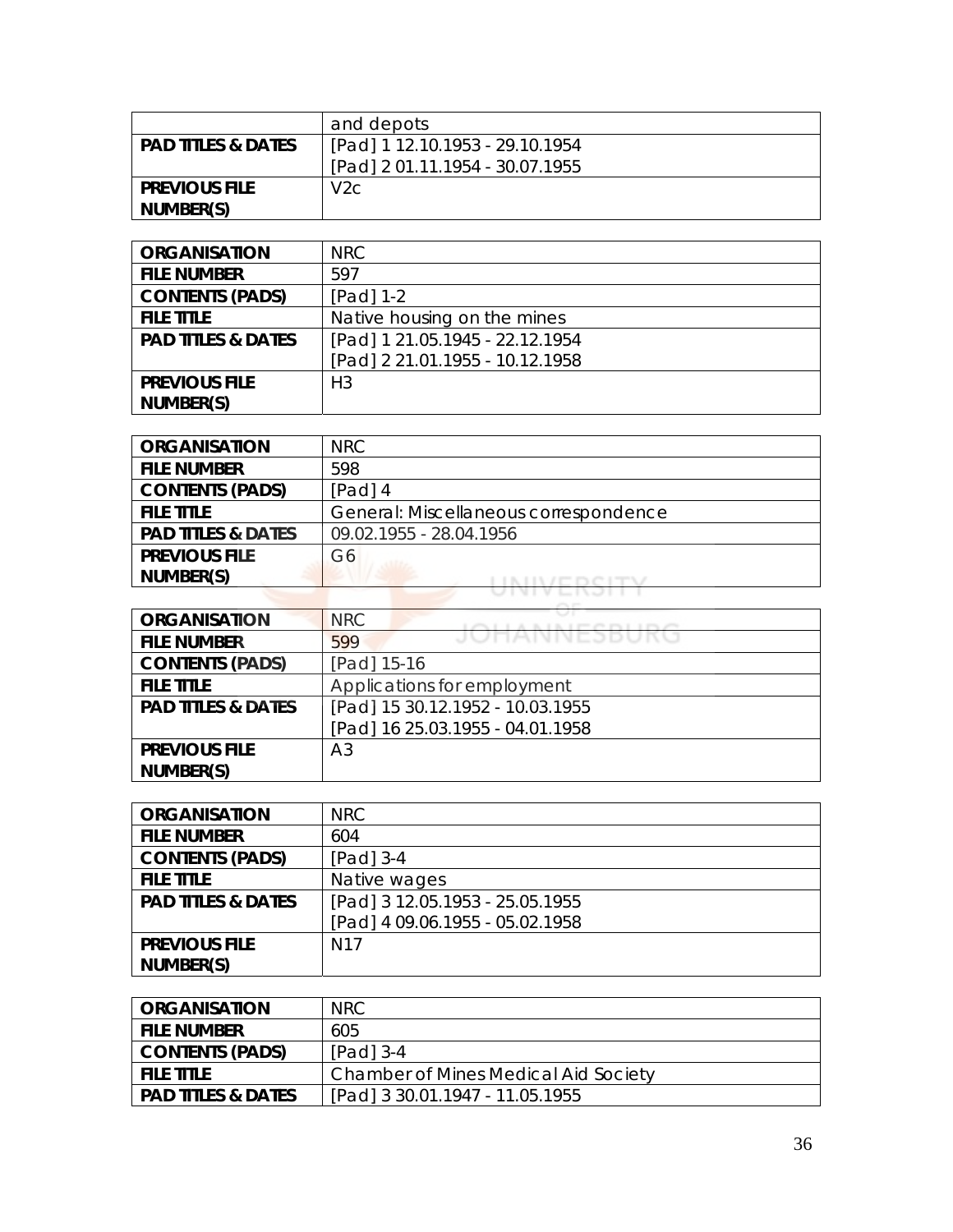|                               | and depots                      |
|-------------------------------|---------------------------------|
| <b>PAD TITLES &amp; DATES</b> | [Pad] 1 12.10.1953 - 29.10.1954 |
|                               | [Pad] 2 01.11.1954 - 30.07.1955 |
| <b>PREVIOUS FILE</b>          | V2C                             |
| NUMBER(S)                     |                                 |

| <b>ORGANISATION</b>           | NRC                             |
|-------------------------------|---------------------------------|
| <b>FILE NUMBER</b>            | 597                             |
| <b>CONTENTS (PADS)</b>        | [Pad] 1-2                       |
| <b>FILE TITLE</b>             | Native housing on the mines     |
| <b>PAD TITLES &amp; DATES</b> | [Pad] 1 21.05.1945 - 22.12.1954 |
|                               | [Pad] 2 21.01.1955 - 10.12.1958 |
| <b>PREVIOUS FILE</b>          | H <sub>3</sub>                  |
| NUMBER(S)                     |                                 |

| <b>ORGANISATION</b>           | <b>NRC</b>                            |
|-------------------------------|---------------------------------------|
| <b>FILE NUMBER</b>            | 598                                   |
| <b>CONTENTS (PADS)</b>        | $[Pad]$ 4                             |
| <b>FILE TITLE</b>             | General: Miscellaneous correspondence |
| <b>PAD TITLES &amp; DATES</b> | 09.02.1955 - 28.04.1956               |
| <b>PREVIOUS FILE</b>          | G6                                    |
| NUMBER(S)                     |                                       |
|                               | <b>STATE STATE</b>                    |

| <b>ORGANISATION</b>           | <b>NRC</b>                       |
|-------------------------------|----------------------------------|
| <b>FILE NUMBER</b>            | JUNNINEJDUNU<br>599              |
| <b>CONTENTS (PADS)</b>        | [Pad] 15-16                      |
| <b>FILE TITLE</b>             | Applications for employment      |
| <b>PAD TITLES &amp; DATES</b> | [Pad] 15 30.12.1952 - 10.03.1955 |
|                               | [Pad] 16 25.03.1955 - 04.01.1958 |
| <b>PREVIOUS FILE</b>          | A <sub>3</sub>                   |
| NUMBER(S)                     |                                  |

| <b>ORGANISATION</b>           | <b>NRC</b>                      |
|-------------------------------|---------------------------------|
| <b>FILE NUMBER</b>            | 604                             |
| <b>CONTENTS (PADS)</b>        | [Pad] 3-4                       |
| <b>FILE TITLE</b>             | Native wages                    |
| <b>PAD TITLES &amp; DATES</b> | [Pad] 3 12.05.1953 - 25.05.1955 |
|                               | [Pad] 4 09.06.1955 - 05.02.1958 |
| <b>PREVIOUS FILE</b>          | N <sub>17</sub>                 |
| NUMBER(S)                     |                                 |

| <b>ORGANISATION</b>           | NRC.                                 |
|-------------------------------|--------------------------------------|
| <b>FILE NUMBER</b>            | 605                                  |
| <b>CONTENTS (PADS)</b>        | $[Pad]$ 3-4                          |
| <b>FILE TITLE</b>             | Chamber of Mines Medical Aid Society |
| <b>PAD TITLES &amp; DATES</b> | [Pad] 3 30.01.1947 - 11.05.1955      |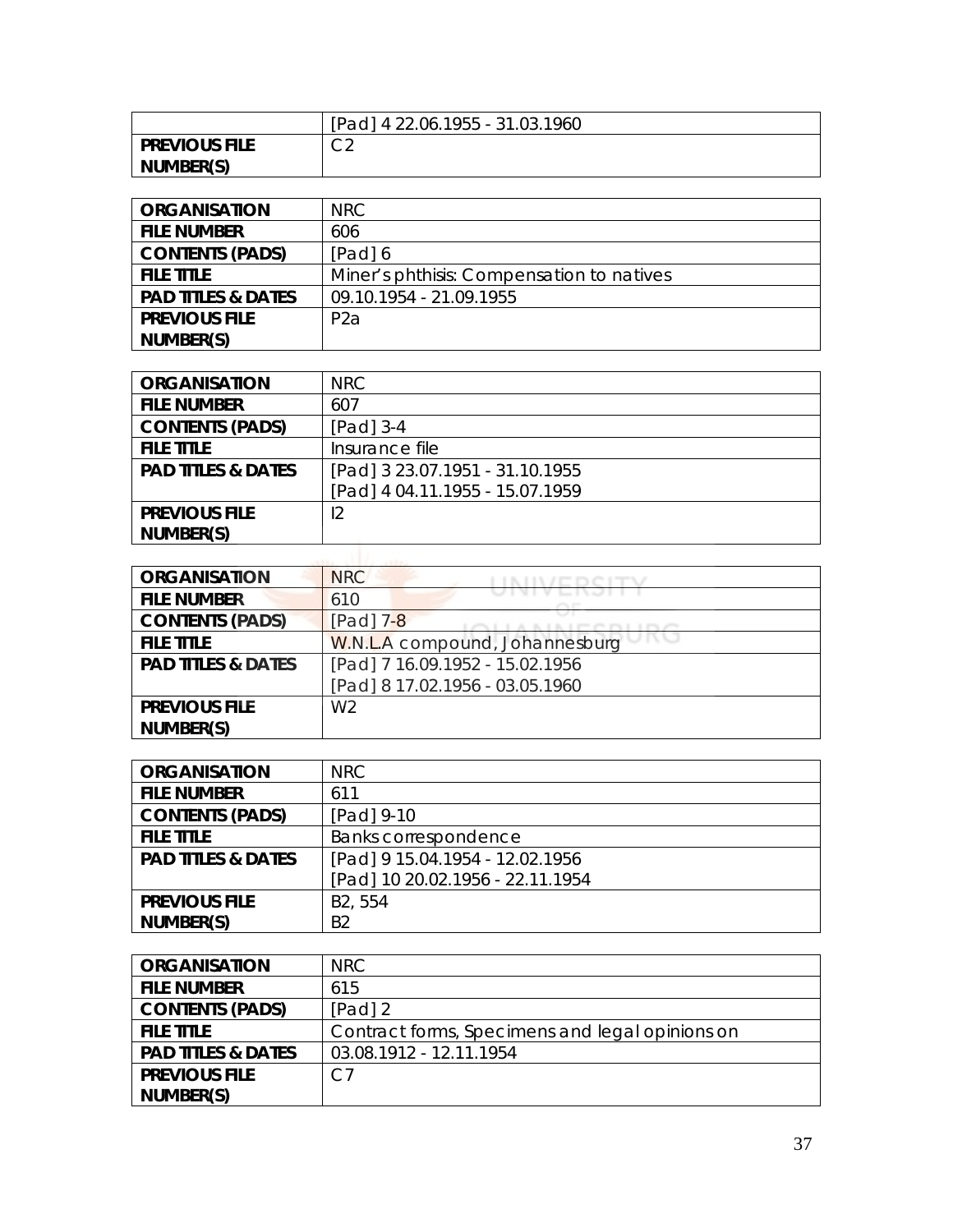|                      | [Pad] 4 22.06.1955 - 31.03.1960 |
|----------------------|---------------------------------|
| <b>PREVIOUS FILE</b> | $\cap$<br>◡▵                    |
| NUMBER(S)            |                                 |

| <b>ORGANISATION</b>           | NRC.                                      |
|-------------------------------|-------------------------------------------|
| <b>FILE NUMBER</b>            | 606                                       |
| <b>CONTENTS (PADS)</b>        | [Pad] 6                                   |
| <b>FILE TITLE</b>             | Miner's phthisis: Compensation to natives |
| <b>PAD TITLES &amp; DATES</b> | 09.10.1954 - 21.09.1955                   |
| <b>PREVIOUS FILE</b>          | P <sub>2</sub> a                          |
| NUMBER(S)                     |                                           |

| <b>ORGANISATION</b>           | <b>NRC</b>                      |
|-------------------------------|---------------------------------|
| <b>FILE NUMBER</b>            | 607                             |
| <b>CONTENTS (PADS)</b>        | [Pad] 3-4                       |
| <b>FILE TITLE</b>             | Insurance file                  |
| <b>PAD TITLES &amp; DATES</b> | [Pad] 3 23.07.1951 - 31.10.1955 |
|                               | [Pad] 4 04.11.1955 - 15.07.1959 |
| <b>PREVIOUS FILE</b>          | 12                              |
| NUMBER(S)                     |                                 |

| <b>ORGANISATION</b>           | <b>NRC</b>                      |
|-------------------------------|---------------------------------|
| <b>FILE NUMBER</b>            | 610                             |
| <b>CONTENTS (PADS)</b>        | [Pad] 7-8                       |
| <b>FILE TITLE</b>             | W.N.L.A compound, Johannesburg  |
| <b>PAD TITLES &amp; DATES</b> | [Pad] 7 16.09.1952 - 15.02.1956 |
|                               | [Pad] 8 17.02.1956 - 03.05.1960 |
| <b>PREVIOUS FILE</b>          | W <sub>2</sub>                  |
| NUMBER(S)                     |                                 |

| <b>ORGANISATION</b>           | <b>NRC</b>                       |
|-------------------------------|----------------------------------|
| <b>FILE NUMBER</b>            | 611                              |
| <b>CONTENTS (PADS)</b>        | [Pad] 9-10                       |
| <b>FILE TITLE</b>             | Banks correspondence             |
| <b>PAD TITLES &amp; DATES</b> | [Pad] 9 15.04.1954 - 12.02.1956  |
|                               | [Pad] 10 20.02.1956 - 22.11.1954 |
| <b>PREVIOUS FILE</b>          | B <sub>2</sub> , 554             |
| NUMBER(S)                     | B <sub>2</sub>                   |

| <b>ORGANISATION</b>           | NRC                                             |
|-------------------------------|-------------------------------------------------|
| <b>FILE NUMBER</b>            | 615                                             |
| <b>CONTENTS (PADS)</b>        | [Pad] 2                                         |
| <b>FILE TITLE</b>             | Contract forms, Specimens and legal opinions on |
| <b>PAD TITLES &amp; DATES</b> | 03.08.1912 - 12.11.1954                         |
| <b>PREVIOUS FILE</b>          | C7                                              |
| NUMBER(S)                     |                                                 |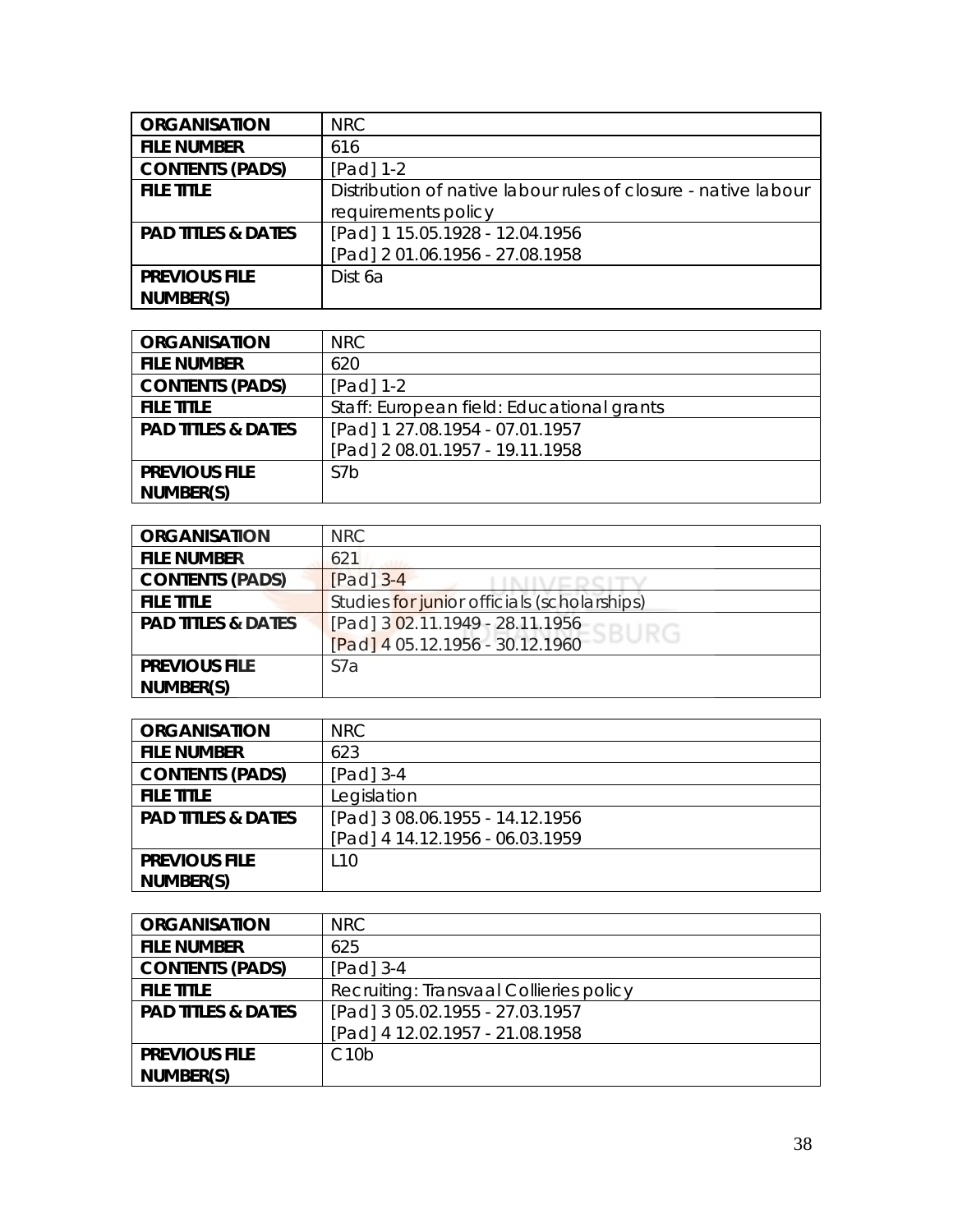| <b>ORGANISATION</b>           | NRC                                                            |
|-------------------------------|----------------------------------------------------------------|
| <b>FILE NUMBER</b>            | 616                                                            |
| <b>CONTENTS (PADS)</b>        | $[Pad] 1-2$                                                    |
| <b>FILE TITLE</b>             | Distribution of native labour rules of closure - native labour |
|                               | requirements policy                                            |
| <b>PAD TITLES &amp; DATES</b> | [Pad] 1 15.05.1928 - 12.04.1956                                |
|                               | [Pad] 2 01.06.1956 - 27.08.1958                                |
| <b>PREVIOUS FILE</b>          | Dist 6a                                                        |
| NUMBER(S)                     |                                                                |

| <b>ORGANISATION</b>           | NRC.                                      |
|-------------------------------|-------------------------------------------|
| <b>FILE NUMBER</b>            | 620                                       |
| <b>CONTENTS (PADS)</b>        | $[Pad] 1-2$                               |
| <b>FILE TITLE</b>             | Staff: European field: Educational grants |
| <b>PAD TITLES &amp; DATES</b> | [Pad] 1 27.08.1954 - 07.01.1957           |
|                               | [Pad] 2 08.01.1957 - 19.11.1958           |
| <b>PREVIOUS FILE</b>          | S7 <sub>b</sub>                           |
| NUMBER(S)                     |                                           |

| <b>ORGANISATION</b>           | <b>NRC</b>                                  |
|-------------------------------|---------------------------------------------|
| <b>FILE NUMBER</b>            | 621                                         |
| <b>CONTENTS (PADS)</b>        | $[Pad]$ 3-4                                 |
| <b>FILE TITLE</b>             | Studies for junior officials (scholarships) |
| <b>PAD TITLES &amp; DATES</b> | [Pad] 3 02.11.1949 - 28.11.1956<br>ESBURG   |
|                               | [Pad] 4 05.12.1956 - 30.12.1960             |
| <b>PREVIOUS FILE</b>          | S <sub>7</sub> a                            |
| NUMBER(S)                     |                                             |

| <b>ORGANISATION</b>           | NRC                             |
|-------------------------------|---------------------------------|
| <b>FILE NUMBER</b>            | 623                             |
| <b>CONTENTS (PADS)</b>        | $[Pad]$ 3-4                     |
| <b>FILE TITLE</b>             | Legislation                     |
| <b>PAD TITLES &amp; DATES</b> | [Pad] 3 08.06.1955 - 14.12.1956 |
|                               | [Pad] 4 14.12.1956 - 06.03.1959 |
| <b>PREVIOUS FILE</b>          | L <sub>10</sub>                 |
| NUMBER(S)                     |                                 |

| <b>ORGANISATION</b>           | NRC                                     |
|-------------------------------|-----------------------------------------|
| <b>FILE NUMBER</b>            | 625                                     |
| <b>CONTENTS (PADS)</b>        | [Pad] 3-4                               |
| <b>FILE TITLE</b>             | Recruiting: Transvaal Collieries policy |
| <b>PAD TITLES &amp; DATES</b> | [Pad] 3 05.02.1955 - 27.03.1957         |
|                               | [Pad] 4 12.02.1957 - 21.08.1958         |
| <b>PREVIOUS FILE</b>          | C10 <sub>b</sub>                        |
| NUMBER(S)                     |                                         |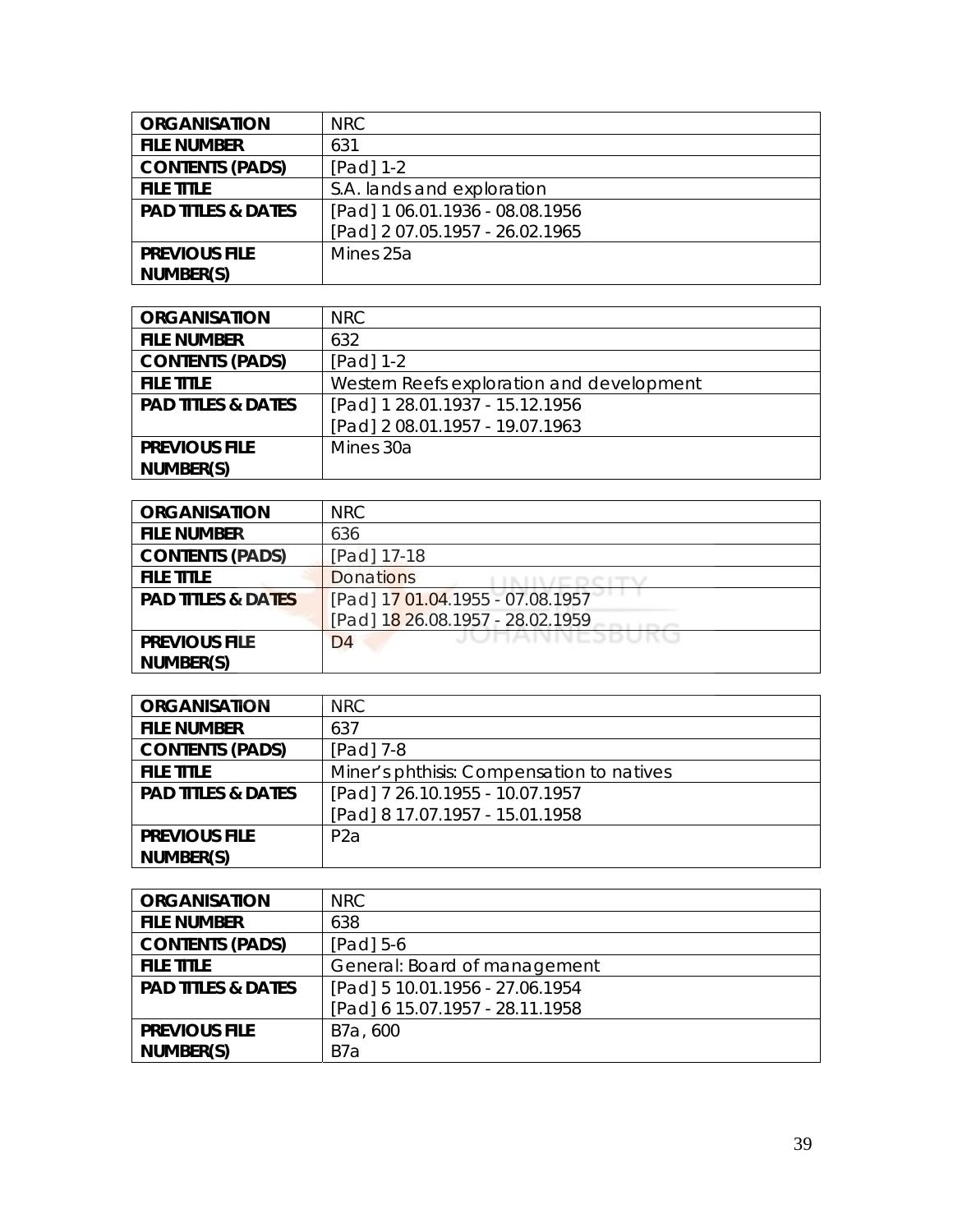| <b>ORGANISATION</b>           | NRC                             |
|-------------------------------|---------------------------------|
| <b>FILE NUMBER</b>            | 631                             |
| <b>CONTENTS (PADS)</b>        | [Pad] 1-2                       |
| <b>FILE TITLE</b>             | S.A. lands and exploration      |
| <b>PAD TITLES &amp; DATES</b> | [Pad] 1 06.01.1936 - 08.08.1956 |
|                               | [Pad] 2 07.05.1957 - 26.02.1965 |
| <b>PREVIOUS FILE</b>          | Mines 25a                       |
| NUMBER(S)                     |                                 |

| <b>ORGANISATION</b>           | NRC.                                      |
|-------------------------------|-------------------------------------------|
| <b>FILE NUMBER</b>            | 632                                       |
| <b>CONTENTS (PADS)</b>        | $[Pad] 1-2$                               |
| <b>FILE TITLE</b>             | Western Reefs exploration and development |
| <b>PAD TITLES &amp; DATES</b> | [Pad] 1 28.01.1937 - 15.12.1956           |
|                               | [Pad] 2 08.01.1957 - 19.07.1963           |
| <b>PREVIOUS FILE</b>          | Mines 30a                                 |
| NUMBER(S)                     |                                           |

| <b>ORGANISATION</b>           | <b>NRC</b>                       |
|-------------------------------|----------------------------------|
| <b>FILE NUMBER</b>            | 636                              |
| <b>CONTENTS (PADS)</b>        | [Pad] 17-18                      |
| <b>FILE TITLE</b>             | <b>Donations</b>                 |
| <b>PAD TITLES &amp; DATES</b> | [Pad] 17 01.04.1955 - 07.08.1957 |
|                               | [Pad] 18 26.08.1957 - 28.02.1959 |
| <b>PREVIOUS FILE</b>          | JUNNIVINEJDUKU<br>D <sub>4</sub> |
| NUMBER(S)                     |                                  |

| <b>ORGANISATION</b>           | NRC                                       |
|-------------------------------|-------------------------------------------|
| <b>FILE NUMBER</b>            | 637                                       |
| <b>CONTENTS (PADS)</b>        | $[Pad]$ 7-8                               |
| <b>FILE TITLE</b>             | Miner's phthisis: Compensation to natives |
| <b>PAD TITLES &amp; DATES</b> | [Pad] 7 26.10.1955 - 10.07.1957           |
|                               | [Pad] 8 17.07.1957 - 15.01.1958           |
| <b>PREVIOUS FILE</b>          | P <sub>2</sub> a                          |
| NUMBER(S)                     |                                           |

| <b>ORGANISATION</b>           | <b>NRC</b>                      |
|-------------------------------|---------------------------------|
| <b>FILE NUMBER</b>            | 638                             |
| <b>CONTENTS (PADS)</b>        | $[Pad] 5-6$                     |
| <b>FILE TITLE</b>             | General: Board of management    |
| <b>PAD TITLES &amp; DATES</b> | [Pad] 5 10.01.1956 - 27.06.1954 |
|                               | [Pad] 6 15.07.1957 - 28.11.1958 |
| <b>PREVIOUS FILE</b>          | B7a, 600                        |
| NUMBER(S)                     | B7a                             |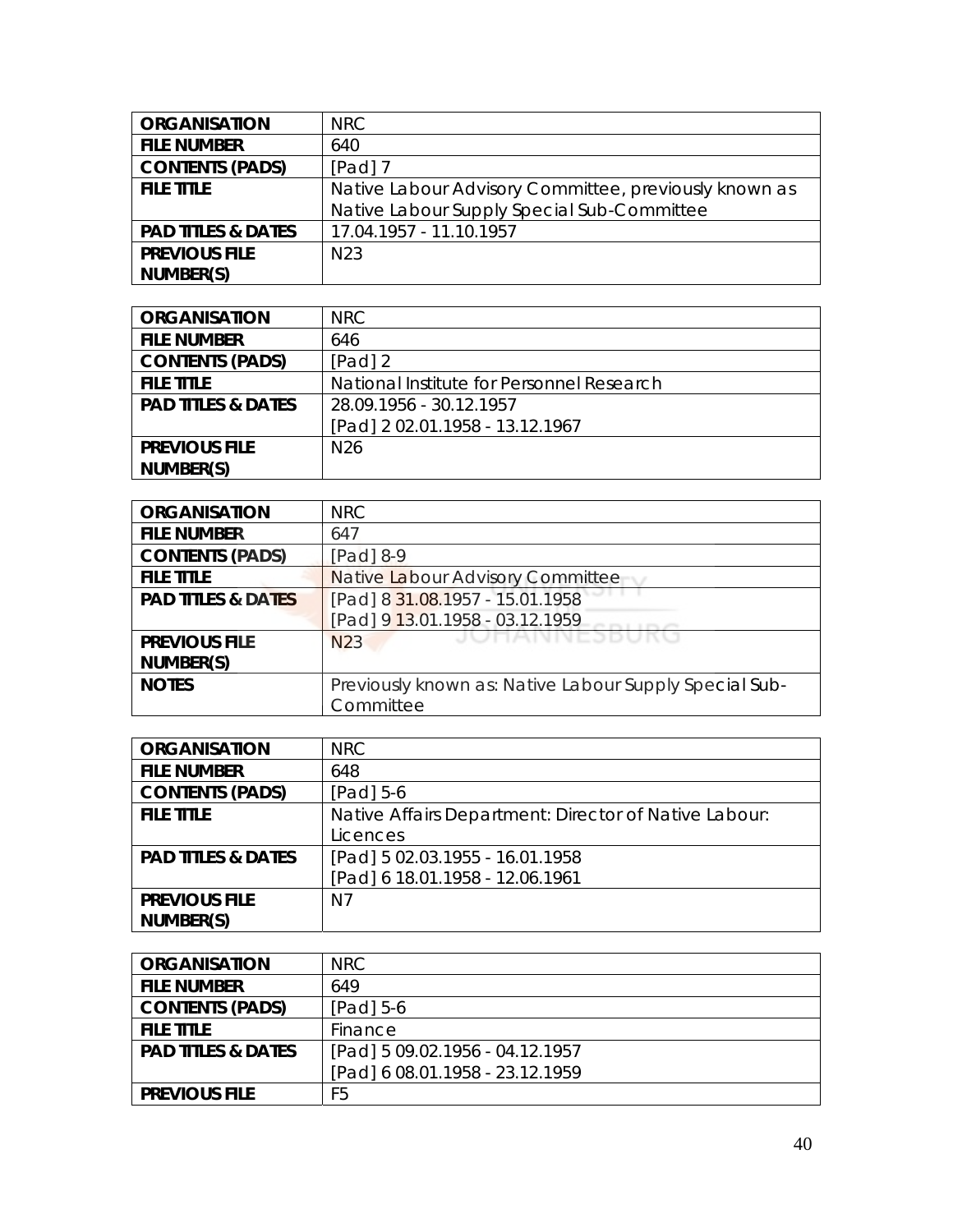| <b>ORGANISATION</b>           | NRC                                                   |
|-------------------------------|-------------------------------------------------------|
| <b>FILE NUMBER</b>            | 640                                                   |
| <b>CONTENTS (PADS)</b>        | $[Pad]$ 7                                             |
| <b>FILE TITLE</b>             | Native Labour Advisory Committee, previously known as |
|                               | Native Labour Supply Special Sub-Committee            |
| <b>PAD TITLES &amp; DATES</b> | 17.04.1957 - 11.10.1957                               |
| <b>PREVIOUS FILE</b>          | N <sub>23</sub>                                       |
| NUMBER(S)                     |                                                       |

| <b>ORGANISATION</b>           | NRC.                                      |
|-------------------------------|-------------------------------------------|
| <b>FILE NUMBER</b>            | 646                                       |
| <b>CONTENTS (PADS)</b>        | $[Pad]$ 2                                 |
| <b>FILE TITLE</b>             | National Institute for Personnel Research |
| <b>PAD TITLES &amp; DATES</b> | 28.09.1956 - 30.12.1957                   |
|                               | [Pad] 2 02.01.1958 - 13.12.1967           |
| <b>PREVIOUS FILE</b>          | N <sub>26</sub>                           |
| NUMBER(S)                     |                                           |

| <b>ORGANISATION</b>           | <b>NRC</b>                                             |
|-------------------------------|--------------------------------------------------------|
| <b>FILE NUMBER</b>            | 647                                                    |
| <b>CONTENTS (PADS)</b>        | $[Pad]$ 8-9                                            |
| <b>FILE TITLE</b>             | Native Labour Advisory Committee                       |
| <b>PAD TITLES &amp; DATES</b> | [Pad] 8 31.08.1957 - 15.01.1958                        |
|                               | [Pad] 9 13.01.1958 - 03.12.1959                        |
| <b>PREVIOUS FILE</b>          | JUHANNESBUKU<br>N <sub>23</sub>                        |
| NUMBER(S)                     |                                                        |
| <b>NOTES</b>                  | Previously known as: Native Labour Supply Special Sub- |
|                               | Committee                                              |

| <b>ORGANISATION</b>           | NRC                                                   |
|-------------------------------|-------------------------------------------------------|
| <b>FILE NUMBER</b>            | 648                                                   |
| <b>CONTENTS (PADS)</b>        | [Pad] $5-6$                                           |
| <b>FILE TITLE</b>             | Native Affairs Department: Director of Native Labour: |
|                               | Licences                                              |
| <b>PAD TITLES &amp; DATES</b> | [Pad] 5 02.03.1955 - 16.01.1958                       |
|                               | [Pad] 6 18.01.1958 - 12.06.1961                       |
| <b>PREVIOUS FILE</b>          | N7                                                    |
| NUMBER(S)                     |                                                       |

| <b>ORGANISATION</b>           | NRC.                            |
|-------------------------------|---------------------------------|
| <b>FILE NUMBER</b>            | 649                             |
| <b>CONTENTS (PADS)</b>        | $[Pad] 5-6$                     |
| <b>FILE TITLE</b>             | Finance                         |
| <b>PAD TITLES &amp; DATES</b> | [Pad] 5 09.02.1956 - 04.12.1957 |
|                               | [Pad] 6 08.01.1958 - 23.12.1959 |
| <b>PREVIOUS FILE</b>          | F5                              |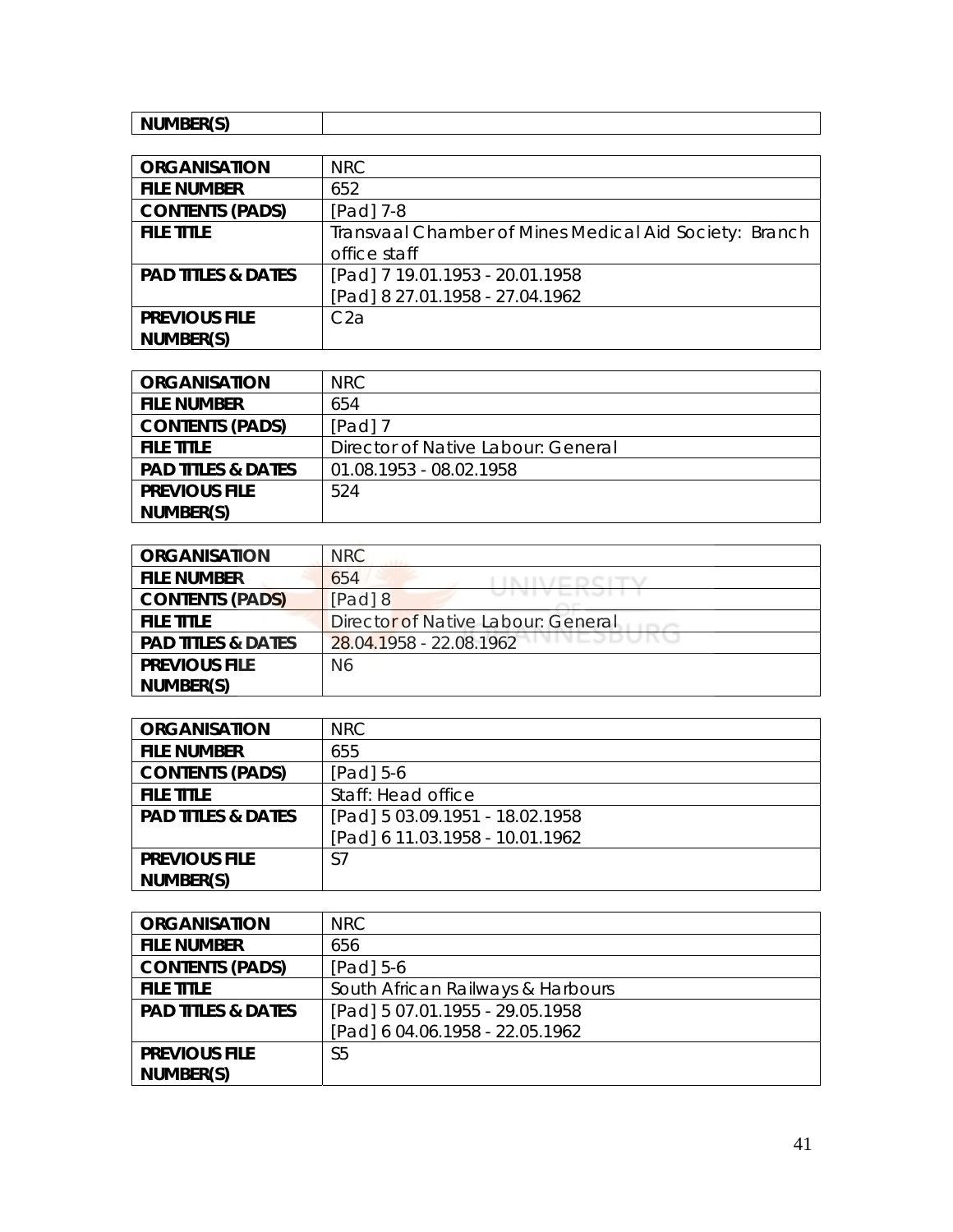| <b> </b><br>NH. |  |
|-----------------|--|
| .               |  |

| <b>ORGANISATION</b>           | <b>NRC</b>                                             |
|-------------------------------|--------------------------------------------------------|
| <b>FILE NUMBER</b>            | 652                                                    |
| <b>CONTENTS (PADS)</b>        | $[Pad]$ 7-8                                            |
| <b>FILE TITLE</b>             | Transvaal Chamber of Mines Medical Aid Society: Branch |
|                               | office staff                                           |
| <b>PAD TITLES &amp; DATES</b> | [Pad] 7 19.01.1953 - 20.01.1958                        |
|                               | [Pad] 8 27.01.1958 - 27.04.1962                        |
| <b>PREVIOUS FILE</b>          | C <sub>2</sub> a                                       |
| NUMBER(S)                     |                                                        |

| <b>ORGANISATION</b>           | NRC.                               |
|-------------------------------|------------------------------------|
| <b>FILE NUMBER</b>            | 654                                |
| <b>CONTENTS (PADS)</b>        | $[Pad]$ 7                          |
| <b>FILE TITLE</b>             | Director of Native Labour: General |
| <b>PAD TITLES &amp; DATES</b> | 01.08.1953 - 08.02.1958            |
| <b>PREVIOUS FILE</b>          | 524                                |
| NUMBER(S)                     |                                    |

| <b>ORGANISATION</b>           | <b>NRC</b>                           |
|-------------------------------|--------------------------------------|
| <b>FILE NUMBER</b>            | 654                                  |
| <b>CONTENTS (PADS)</b>        | $[Pad]$ 8                            |
| <b>FILE TITLE</b>             | Director of Native Labour: General   |
| <b>PAD TITLES &amp; DATES</b> | VIVLJDUNU<br>28.04.1958 - 22.08.1962 |
| <b>PREVIOUS FILE</b>          | N <sub>6</sub>                       |
| NUMBER(S)                     |                                      |

| <b>ORGANISATION</b>           | <b>NRC</b>                      |
|-------------------------------|---------------------------------|
| <b>FILE NUMBER</b>            | 655                             |
| <b>CONTENTS (PADS)</b>        | $[Pad] 5-6$                     |
| <b>FILE TITLE</b>             | Staff: Head office              |
| <b>PAD TITLES &amp; DATES</b> | [Pad] 5 03.09.1951 - 18.02.1958 |
|                               | [Pad] 6 11.03.1958 - 10.01.1962 |
| <b>PREVIOUS FILE</b>          | S7                              |
| NUMBER(S)                     |                                 |

| <b>ORGANISATION</b>           | NRC                               |
|-------------------------------|-----------------------------------|
| <b>FILE NUMBER</b>            | 656                               |
| <b>CONTENTS (PADS)</b>        | [Pad] 5-6                         |
| <b>FILE TITLE</b>             | South African Railways & Harbours |
| <b>PAD TITLES &amp; DATES</b> | [Pad] 5 07.01.1955 - 29.05.1958   |
|                               | [Pad] 6 04.06.1958 - 22.05.1962   |
| <b>PREVIOUS FILE</b>          | S5                                |
| NUMBER(S)                     |                                   |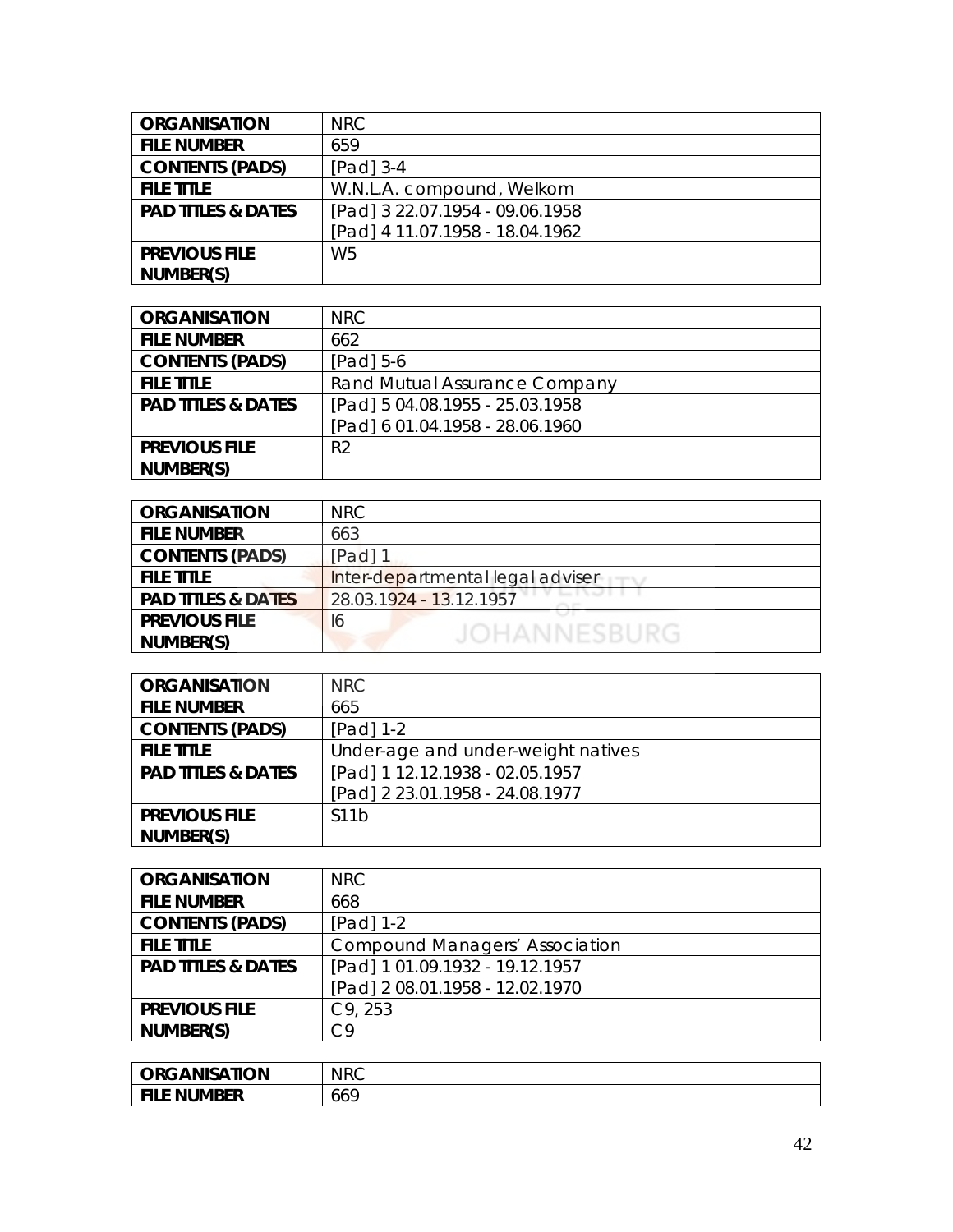| <b>ORGANISATION</b>           | <b>NRC</b>                      |
|-------------------------------|---------------------------------|
| <b>FILE NUMBER</b>            | 659                             |
| <b>CONTENTS (PADS)</b>        | $[Pad]$ 3-4                     |
| <b>FILE TITLE</b>             | W.N.L.A. compound, Welkom       |
| <b>PAD TITLES &amp; DATES</b> | [Pad] 3 22.07.1954 - 09.06.1958 |
|                               | [Pad] 4 11.07.1958 - 18.04.1962 |
| <b>PREVIOUS FILE</b>          | W <sub>5</sub>                  |
| NUMBER(S)                     |                                 |

| <b>ORGANISATION</b>           | <b>NRC</b>                      |
|-------------------------------|---------------------------------|
| <b>FILE NUMBER</b>            | 662                             |
| <b>CONTENTS (PADS)</b>        | $[Pad] 5-6$                     |
| <b>FILE TITLE</b>             | Rand Mutual Assurance Company   |
| <b>PAD TITLES &amp; DATES</b> | [Pad] 5 04.08.1955 - 25.03.1958 |
|                               | [Pad] 6 01.04.1958 - 28.06.1960 |
| <b>PREVIOUS FILE</b>          | R <sub>2</sub>                  |
| NUMBER(S)                     |                                 |

| <b>ORGANISATION</b>           | <b>NRC</b>                       |
|-------------------------------|----------------------------------|
| <b>FILE NUMBER</b>            | 663                              |
| <b>CONTENTS (PADS)</b>        | [Pad] 1                          |
| <b>FILE TITLE</b>             | Inter-departmental legal adviser |
| <b>PAD TITLES &amp; DATES</b> | 28.03.1924 - 13.12.1957          |
| <b>PREVIOUS FILE</b>          | 16                               |
| NUMBER(S)                     | JOHANNESBURG                     |

| <b>ORGANISATION</b>           | <b>NRC</b>                         |
|-------------------------------|------------------------------------|
| <b>FILE NUMBER</b>            | 665                                |
| <b>CONTENTS (PADS)</b>        | $[Pad] 1-2$                        |
| <b>FILE TITLE</b>             | Under-age and under-weight natives |
| <b>PAD TITLES &amp; DATES</b> | [Pad] 1 12.12.1938 - 02.05.1957    |
|                               | [Pad] 2 23.01.1958 - 24.08.1977    |
| <b>PREVIOUS FILE</b>          | S <sub>1</sub> 1b                  |
| NUMBER(S)                     |                                    |

| <b>ORGANISATION</b>           | <b>NRC</b>                      |
|-------------------------------|---------------------------------|
| <b>FILE NUMBER</b>            | 668                             |
| <b>CONTENTS (PADS)</b>        | [Pad] 1-2                       |
| <b>FILE TITLE</b>             | Compound Managers' Association  |
| <b>PAD TITLES &amp; DATES</b> | [Pad] 1 01.09.1932 - 19.12.1957 |
|                               | [Pad] 2 08.01.1958 - 12.02.1970 |
| <b>PREVIOUS FILE</b>          | C9, 253                         |
| NUMBER(S)                     | C9                              |

| <b>ORGANISATION</b> | <b>NRC</b> |
|---------------------|------------|
| <b>FILE NUMBER</b>  | 669        |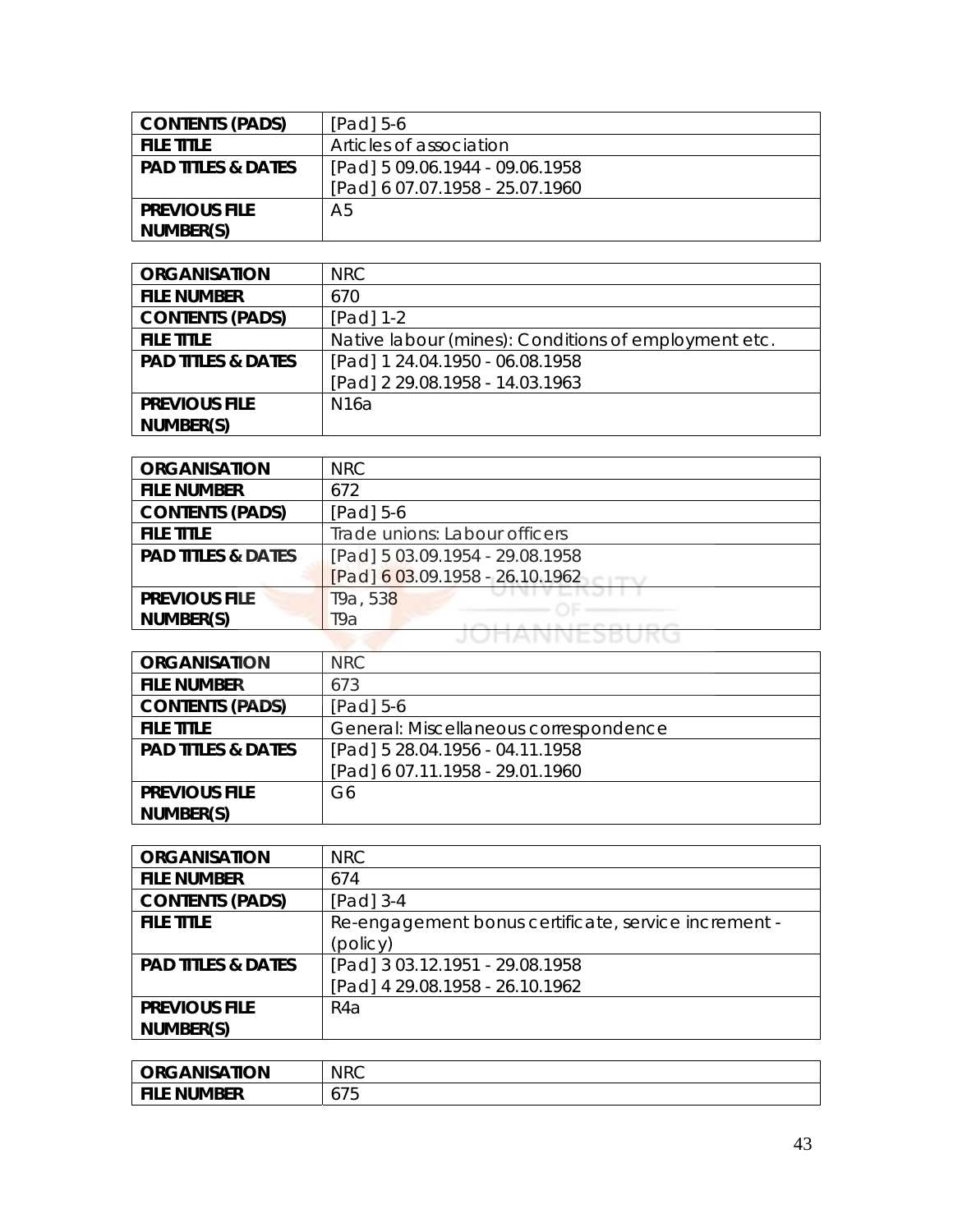| <b>CONTENTS (PADS)</b>        | $[Pad]$ 5-6                     |
|-------------------------------|---------------------------------|
| <b>FILE TITLE</b>             | Articles of association         |
| <b>PAD TITLES &amp; DATES</b> | [Pad] 5 09.06.1944 - 09.06.1958 |
|                               | [Pad] 6 07.07.1958 - 25.07.1960 |
| <b>PREVIOUS FILE</b>          | A5                              |
| NUMBER(S)                     |                                 |

| <b>ORGANISATION</b>           | NRC                                                  |
|-------------------------------|------------------------------------------------------|
| <b>FILE NUMBER</b>            | 670                                                  |
| <b>CONTENTS (PADS)</b>        | $[Pad] 1-2$                                          |
| <b>FILE TITLE</b>             | Native labour (mines): Conditions of employment etc. |
| <b>PAD TITLES &amp; DATES</b> | [Pad] 1 24.04.1950 - 06.08.1958                      |
|                               | [Pad] 2 29.08.1958 - 14.03.1963                      |
| <b>PREVIOUS FILE</b>          | N16a                                                 |
| NUMBER(S)                     |                                                      |

| <b>ORGANISATION</b>           | <b>NRC</b>                      |
|-------------------------------|---------------------------------|
| <b>FILE NUMBER</b>            | 672                             |
| <b>CONTENTS (PADS)</b>        | $[Pad] 5-6$                     |
| <b>FILE TITLE</b>             | Trade unions: Labour officers   |
| <b>PAD TITLES &amp; DATES</b> | [Pad] 5 03.09.1954 - 29.08.1958 |
|                               | [Pad] 6 03.09.1958 - 26.10.1962 |
| <b>PREVIOUS FILE</b>          | T9a, 538                        |
| NUMBER(S)                     | Т9а                             |
|                               |                                 |

| <b>ORGANISATION</b>           | NRC                                   |
|-------------------------------|---------------------------------------|
| <b>FILE NUMBER</b>            | 673                                   |
| <b>CONTENTS (PADS)</b>        | [Pad] 5-6                             |
| <b>FILE TITLE</b>             | General: Miscellaneous correspondence |
| <b>PAD TITLES &amp; DATES</b> | [Pad] 5 28.04.1956 - 04.11.1958       |
|                               | [Pad] 6 07.11.1958 - 29.01.1960       |
| <b>PREVIOUS FILE</b>          | G6                                    |
| NUMBER(S)                     |                                       |

| <b>ORGANISATION</b>           | <b>NRC</b>                                           |
|-------------------------------|------------------------------------------------------|
| <b>FILE NUMBER</b>            | 674                                                  |
| <b>CONTENTS (PADS)</b>        | $[Pad]$ 3-4                                          |
| <b>FILE TITLE</b>             | Re-engagement bonus certificate, service increment - |
|                               | (policy)                                             |
| <b>PAD TITLES &amp; DATES</b> | [Pad] 3 03.12.1951 - 29.08.1958                      |
|                               | [Pad] 4 29.08.1958 - 26.10.1962                      |
| <b>PREVIOUS FILE</b>          | R4a                                                  |
| NUMBER(S)                     |                                                      |

| <b>ORGANISATION</b> | <b>NRC</b>      |
|---------------------|-----------------|
| File Number         | ¬ –<br>◡ ៸<br>ັ |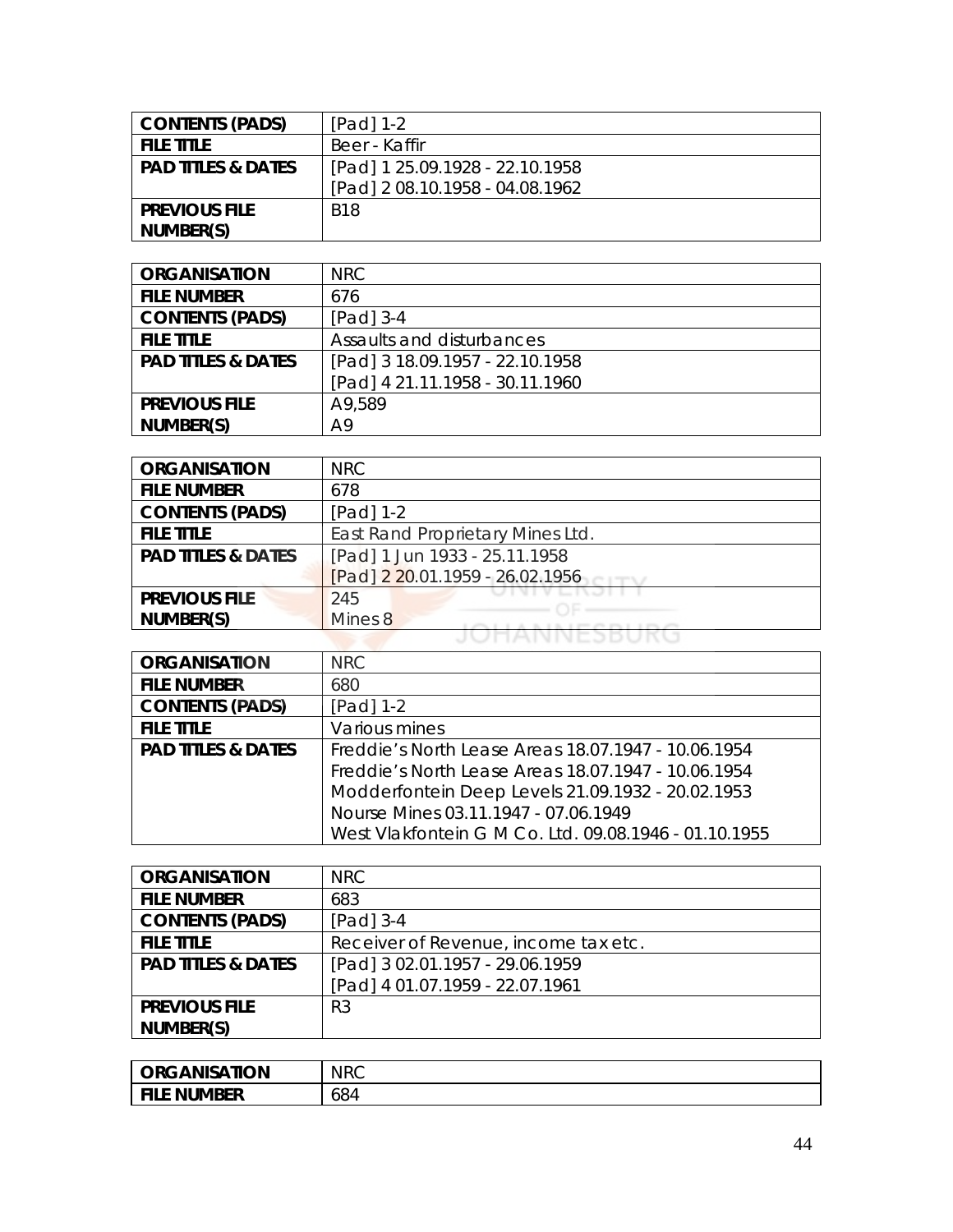| <b>CONTENTS (PADS)</b>        | $[Pad] 1-2$                     |
|-------------------------------|---------------------------------|
| <b>FILE TITLE</b>             | Beer - Kaffir                   |
| <b>PAD TITLES &amp; DATES</b> | [Pad] 1 25.09.1928 - 22.10.1958 |
|                               | [Pad] 2 08.10.1958 - 04.08.1962 |
| <b>PREVIOUS FILE</b>          | <b>B18</b>                      |
| NUMBER(S)                     |                                 |

| <b>ORGANISATION</b>           | NRC                             |
|-------------------------------|---------------------------------|
| <b>FILE NUMBER</b>            | 676                             |
| <b>CONTENTS (PADS)</b>        | $[Pad]$ 3-4                     |
| <b>FILE TITLE</b>             | Assaults and disturbances       |
| <b>PAD TITLES &amp; DATES</b> | [Pad] 3 18.09.1957 - 22.10.1958 |
|                               | [Pad] 4 21.11.1958 - 30.11.1960 |
| <b>PREVIOUS FILE</b>          | A9,589                          |
| NUMBER(S)                     | A9                              |

| <b>ORGANISATION</b>           | <b>NRC</b>                       |
|-------------------------------|----------------------------------|
| <b>FILE NUMBER</b>            | 678                              |
| <b>CONTENTS (PADS)</b>        | $[Pad] 1-2$                      |
| <b>FILE TITLE</b>             | East Rand Proprietary Mines Ltd. |
| <b>PAD TITLES &amp; DATES</b> | [Pad] 1 Jun 1933 - 25.11.1958    |
|                               | [Pad] 2 20.01.1959 - 26.02.1956  |
| <b>PREVIOUS FILE</b>          | 245                              |
| NUMBER(S)                     | Mines 8                          |
|                               |                                  |

| <b>ORGANISATION</b>           | <b>NRC</b>                                            |
|-------------------------------|-------------------------------------------------------|
| <b>FILE NUMBER</b>            | 680                                                   |
| <b>CONTENTS (PADS)</b>        | $[Pad] 1-2$                                           |
| <b>FILE TITLE</b>             | Various mines                                         |
| <b>PAD TITLES &amp; DATES</b> | Freddie's North Lease Areas 18.07.1947 - 10.06.1954   |
|                               | Freddie's North Lease Areas 18.07.1947 - 10.06.1954   |
|                               | Modderfontein Deep Levels 21.09.1932 - 20.02.1953     |
|                               | Nourse Mines 03.11.1947 - 07.06.1949                  |
|                               | West Vlakfontein G M Co. Ltd. 09.08.1946 - 01.10.1955 |

| <b>ORGANISATION</b>           | NRC                                  |
|-------------------------------|--------------------------------------|
| <b>FILE NUMBER</b>            | 683                                  |
| <b>CONTENTS (PADS)</b>        | $[Pad]$ 3-4                          |
| <b>FILE TITLE</b>             | Receiver of Revenue, income tax etc. |
| <b>PAD TITLES &amp; DATES</b> | [Pad] 3 02.01.1957 - 29.06.1959      |
|                               | [Pad] 4 01.07.1959 - 22.07.1961      |
| <b>PREVIOUS FILE</b>          | R <sub>3</sub>                       |
| NUMBER(S)                     |                                      |

| <b>ORGANISATION</b> | <b>NRC</b> |
|---------------------|------------|
| <b>FILE NUMBER</b>  | 684        |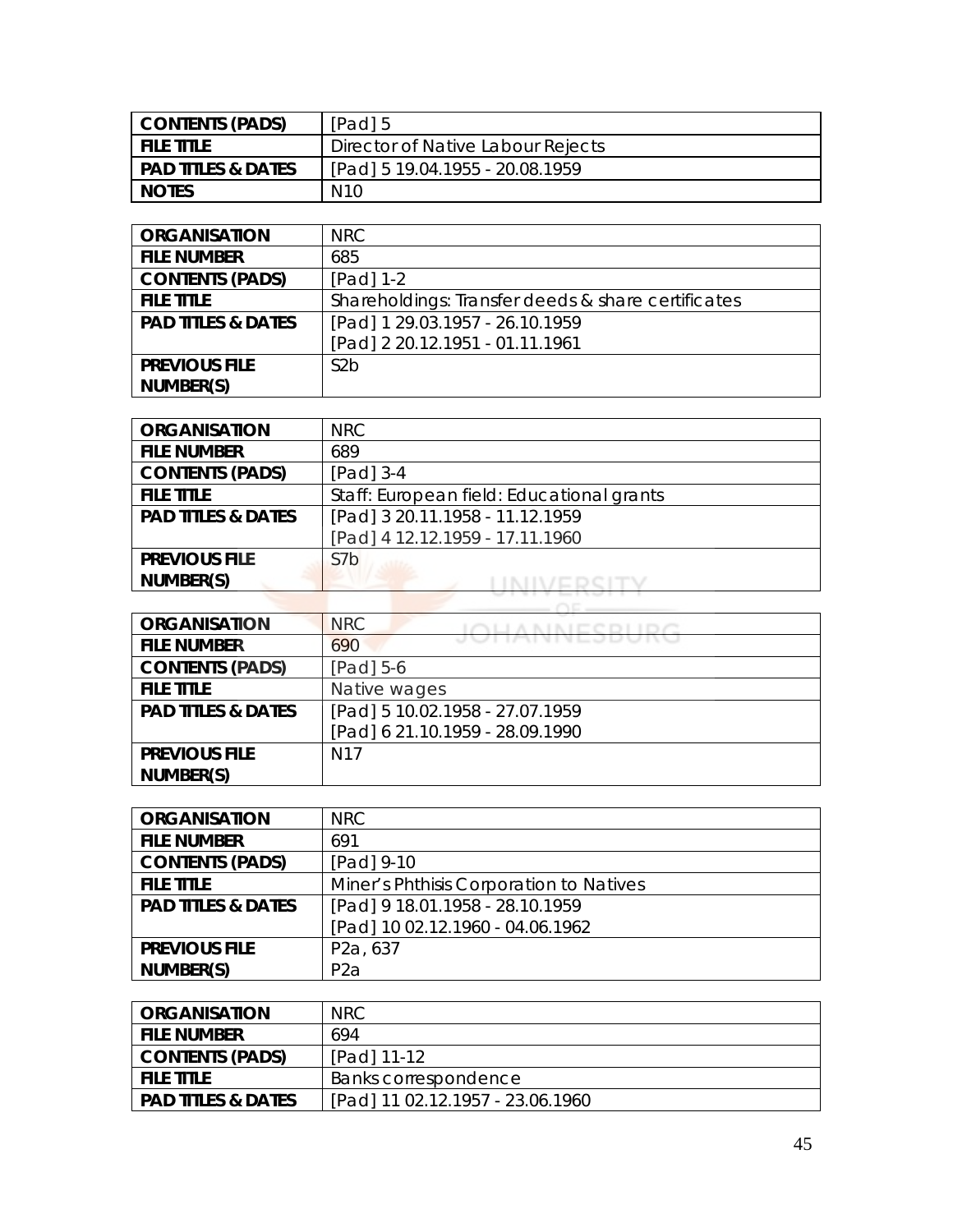| CONTENTS (PADS)               | [Pad] 5                           |
|-------------------------------|-----------------------------------|
| <b>FILE TITLE</b>             | Director of Native Labour Rejects |
| <b>PAD TITLES &amp; DATES</b> | [Pad] 5 19.04.1955 - 20.08.1959   |
| <b>NOTES</b>                  | N <sub>10</sub>                   |

| <b>ORGANISATION</b>           | NRC.                                               |
|-------------------------------|----------------------------------------------------|
| <b>FILE NUMBER</b>            | 685                                                |
| <b>CONTENTS (PADS)</b>        | $[Pad] 1-2$                                        |
| <b>FILE TITLE</b>             | Shareholdings: Transfer deeds & share certificates |
| <b>PAD TITLES &amp; DATES</b> | [Pad] 1 29.03.1957 - 26.10.1959                    |
|                               | [Pad] 2 20.12.1951 - 01.11.1961                    |
| <b>PREVIOUS FILE</b>          | S <sub>2</sub> b                                   |
| NUMBER(S)                     |                                                    |

| <b>ORGANISATION</b>           | NRC                                       |
|-------------------------------|-------------------------------------------|
| <b>FILE NUMBER</b>            | 689                                       |
| <b>CONTENTS (PADS)</b>        | $[Pad]$ 3-4                               |
| <b>FILE TITLE</b>             | Staff: European field: Educational grants |
| <b>PAD TITLES &amp; DATES</b> | [Pad] 3 20.11.1958 - 11.12.1959           |
|                               | [Pad] 4 12.12.1959 - 17.11.1960           |
| <b>PREVIOUS FILE</b>          | S <sub>7</sub> b                          |
| NUMBER(S)                     |                                           |
|                               |                                           |

| <b>ORGANISATION</b>           | <b>NRC</b>                      |
|-------------------------------|---------------------------------|
| <b>FILE NUMBER</b>            | <u>I IMININ LUU U IN</u><br>690 |
| <b>CONTENTS (PADS)</b>        | [Pad] 5-6                       |
| <b>FILE TITLE</b>             | Native wages                    |
| <b>PAD TITLES &amp; DATES</b> | [Pad] 5 10.02.1958 - 27.07.1959 |
|                               | [Pad] 6 21.10.1959 - 28.09.1990 |
| <b>PREVIOUS FILE</b>          | N <sub>17</sub>                 |
| NUMBER(S)                     |                                 |

| <b>ORGANISATION</b>           | NRC                                     |
|-------------------------------|-----------------------------------------|
| <b>FILE NUMBER</b>            | 691                                     |
| <b>CONTENTS (PADS)</b>        | [Pad] 9-10                              |
| <b>FILE TITLE</b>             | Miner's Phthisis Corporation to Natives |
| <b>PAD TITLES &amp; DATES</b> | [Pad] 9 18.01.1958 - 28.10.1959         |
|                               | [Pad] 10 02.12.1960 - 04.06.1962        |
| <b>PREVIOUS FILE</b>          | P <sub>2</sub> a, 637                   |
| NUMBER(S)                     | P <sub>2</sub> a                        |

| <b>ORGANISATION</b>           | NRC.                             |
|-------------------------------|----------------------------------|
| <b>FILE NUMBER</b>            | 694                              |
| <b>CONTENTS (PADS)</b>        | [Pad] 11-12                      |
| <b>FILE TITLE</b>             | Banks correspondence             |
| <b>PAD TITLES &amp; DATES</b> | [Pad] 11 02.12.1957 - 23.06.1960 |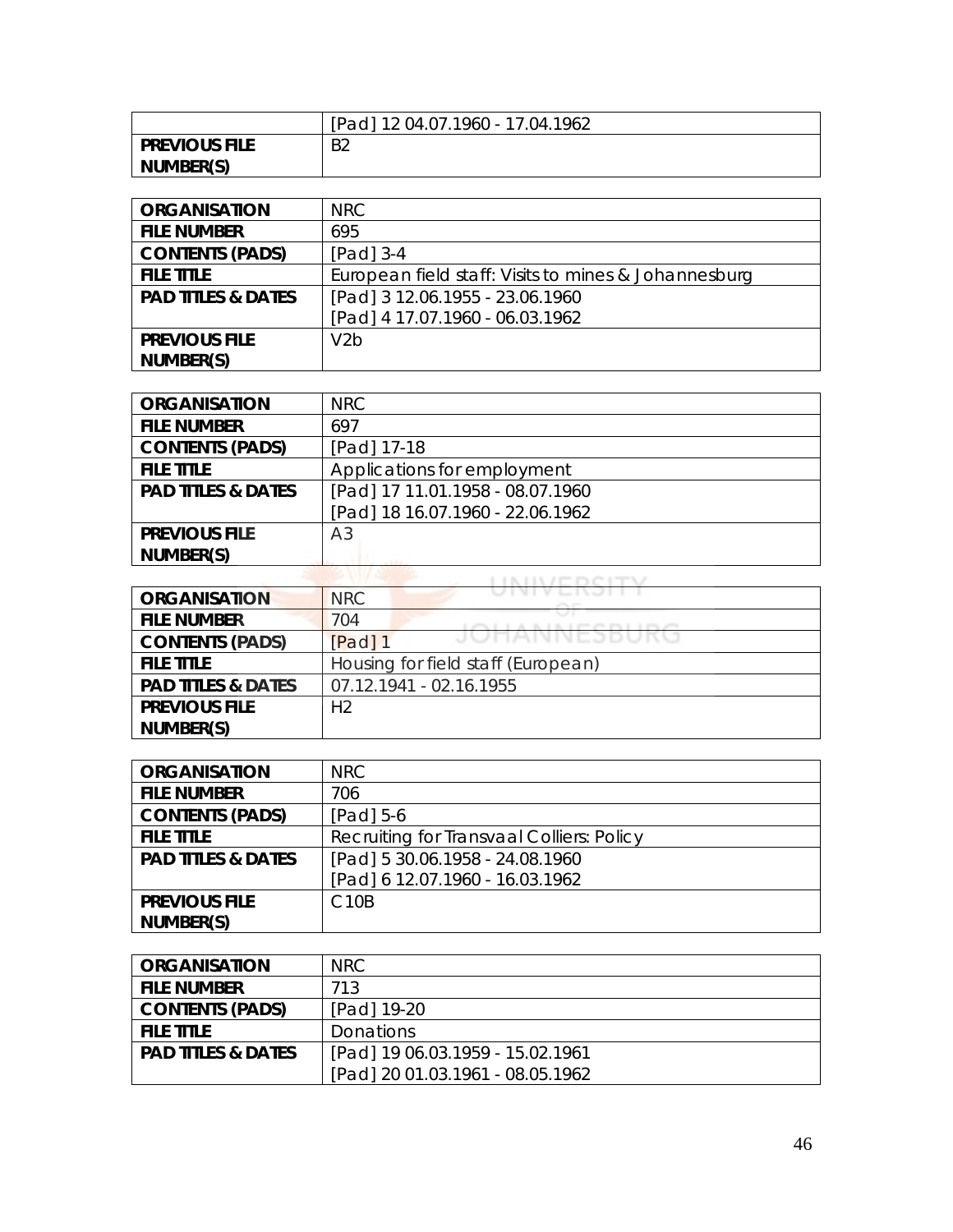|                      | [Pad] 12 04.07.1960 - 17.04.1962 |
|----------------------|----------------------------------|
| <b>PREVIOUS FILE</b> | B <sub>2</sub>                   |
| NUMBER(S)            |                                  |

| <b>ORGANISATION</b>           | NRC                                                  |
|-------------------------------|------------------------------------------------------|
| <b>FILE NUMBER</b>            | 695                                                  |
| <b>CONTENTS (PADS)</b>        | $[Pad]$ 3-4                                          |
| <b>FILE TITLE</b>             | European field staff: Visits to mines & Johannesburg |
| <b>PAD TITLES &amp; DATES</b> | [Pad] 3 12.06.1955 - 23.06.1960                      |
|                               | [Pad] 4 17.07.1960 - 06.03.1962                      |
| <b>PREVIOUS FILE</b>          | V2b                                                  |
| NUMBER(S)                     |                                                      |

| <b>ORGANISATION</b>           | NRC                              |
|-------------------------------|----------------------------------|
| <b>FILE NUMBER</b>            | 697                              |
| <b>CONTENTS (PADS)</b>        | [Pad] 17-18                      |
| <b>FILE TITLE</b>             | Applications for employment      |
| <b>PAD TITLES &amp; DATES</b> | [Pad] 17 11.01.1958 - 08.07.1960 |
|                               | [Pad] 18 16.07.1960 - 22.06.1962 |
| <b>PREVIOUS FILE</b>          | A <sub>3</sub>                   |
| NUMBER(S)                     |                                  |
|                               |                                  |

| <b>ORGANISATION</b>           | <b>NRC</b>                               |
|-------------------------------|------------------------------------------|
| <b>FILE NUMBER</b>            | 704<br>provided provided at the provided |
| <b>CONTENTS (PADS)</b>        | JUNNIVEJDUKU<br>[Pad] 1                  |
| <b>FILE TITLE</b>             | Housing for field staff (European)       |
| <b>PAD TITLES &amp; DATES</b> | 07.12.1941 - 02.16.1955                  |
| <b>PREVIOUS FILE</b>          | H <sub>2</sub>                           |
| NUMBER(S)                     |                                          |

| <b>ORGANISATION</b>           | NRC                                       |
|-------------------------------|-------------------------------------------|
| <b>FILE NUMBER</b>            | 706                                       |
| <b>CONTENTS (PADS)</b>        | [Pad] 5-6                                 |
| <b>FILE TITLE</b>             | Recruiting for Transvaal Colliers: Policy |
| <b>PAD TITLES &amp; DATES</b> | [Pad] 5 30.06.1958 - 24.08.1960           |
|                               | [Pad] 6 12.07.1960 - 16.03.1962           |
| <b>PREVIOUS FILE</b>          | C <sub>10</sub> B                         |
| NUMBER(S)                     |                                           |

| <b>ORGANISATION</b>           | NRC                              |
|-------------------------------|----------------------------------|
| <b>FILE NUMBER</b>            | 713                              |
| <b>CONTENTS (PADS)</b>        | [Pad] 19-20                      |
| <b>FILE TITLE</b>             | <b>Donations</b>                 |
| <b>PAD TITLES &amp; DATES</b> | [Pad] 19 06.03.1959 - 15.02.1961 |
|                               | [Pad] 20 01.03.1961 - 08.05.1962 |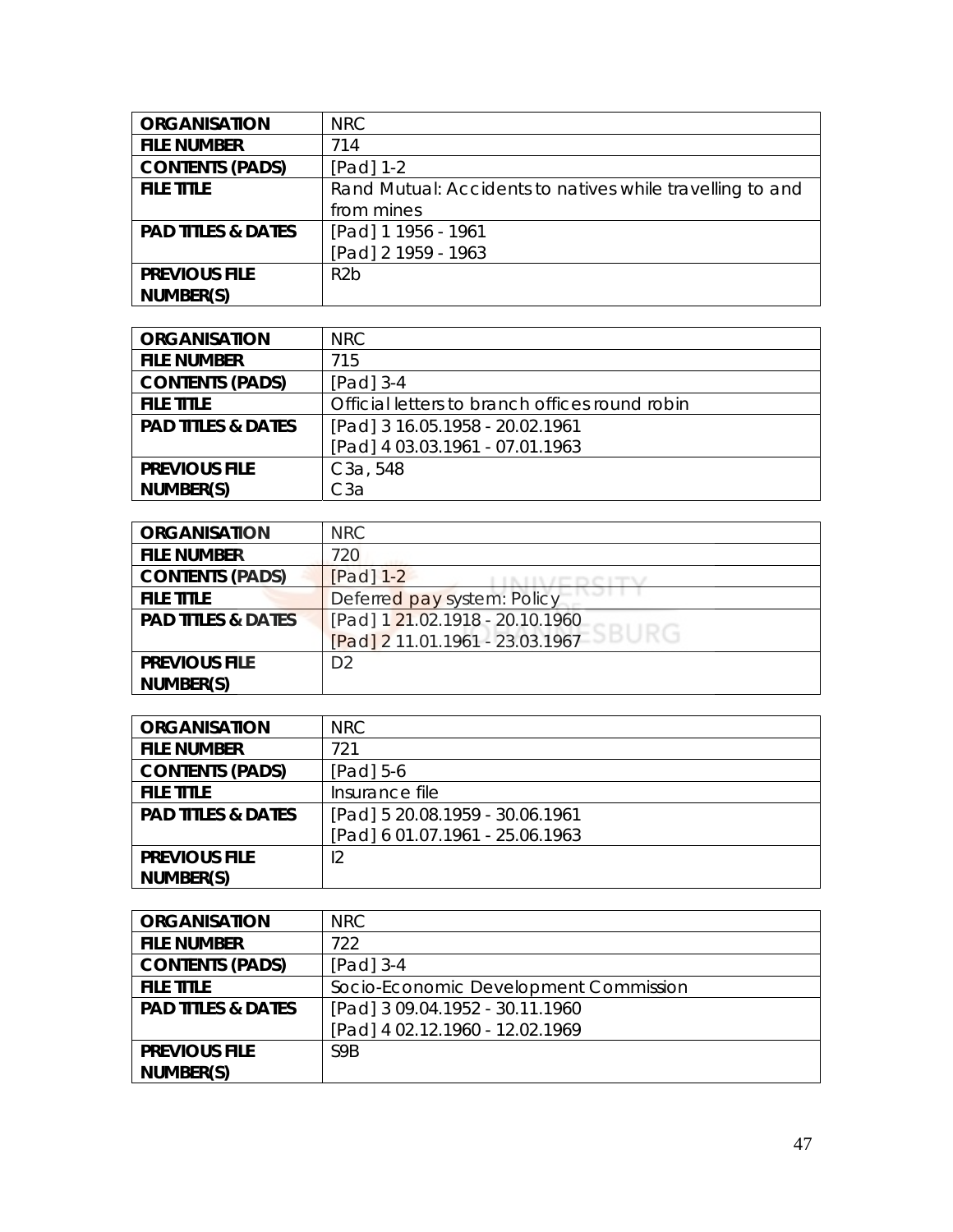| <b>ORGANISATION</b>           | <b>NRC</b>                                                |
|-------------------------------|-----------------------------------------------------------|
| <b>FILE NUMBER</b>            | 714                                                       |
| <b>CONTENTS (PADS)</b>        | $[Pad] 1-2$                                               |
| <b>FILE TITLE</b>             | Rand Mutual: Accidents to natives while travelling to and |
|                               | from mines                                                |
| <b>PAD TITLES &amp; DATES</b> | [Pad] 1 1956 - 1961                                       |
|                               | [Pad] 2 1959 - 1963                                       |
| <b>PREVIOUS FILE</b>          | R <sub>2</sub> b                                          |
| NUMBER(S)                     |                                                           |

| <b>ORGANISATION</b>           | NRC                                            |
|-------------------------------|------------------------------------------------|
| <b>FILE NUMBER</b>            | 715                                            |
| <b>CONTENTS (PADS)</b>        | $[Pad]$ 3-4                                    |
| <b>FILE TITLE</b>             | Official letters to branch offices round robin |
| <b>PAD TITLES &amp; DATES</b> | [Pad] 3 16.05.1958 - 20.02.1961                |
|                               | [Pad] 4 03.03.1961 - 07.01.1963                |
| <b>PREVIOUS FILE</b>          | C <sub>3</sub> a, 548                          |
| NUMBER(S)                     | СЗа                                            |

| <b>ORGANISATION</b>           | <b>NRC</b>                                     |
|-------------------------------|------------------------------------------------|
| <b>FILE NUMBER</b>            | 720                                            |
| <b>CONTENTS (PADS)</b>        | $[Pad]$ 1-2                                    |
| <b>FILE TITLE</b>             | Deferred pay system: Policy                    |
| <b>PAD TITLES &amp; DATES</b> | [Pad] 1 21.02.1918 - 20.10.1960                |
|                               | <u>[Pad] 2 11.01.1961 - 23.0</u> 3.1967 ESBURG |
| <b>PREVIOUS FILE</b>          | D <sub>2</sub>                                 |
| NUMBER(S)                     |                                                |

| <b>ORGANISATION</b>           | NRC                             |
|-------------------------------|---------------------------------|
| <b>FILE NUMBER</b>            | 721                             |
| <b>CONTENTS (PADS)</b>        | $[Pad] 5-6$                     |
| <b>FILE TITLE</b>             | Insurance file                  |
| <b>PAD TITLES &amp; DATES</b> | [Pad] 5 20.08.1959 - 30.06.1961 |
|                               | [Pad] 6 01.07.1961 - 25.06.1963 |
| <b>PREVIOUS FILE</b>          | 12                              |
| NUMBER(S)                     |                                 |

| <b>ORGANISATION</b>           | NRC                                   |
|-------------------------------|---------------------------------------|
| <b>FILE NUMBER</b>            | 722                                   |
| <b>CONTENTS (PADS)</b>        | $[Pad]$ 3-4                           |
| <b>FILE TITLE</b>             | Socio-Economic Development Commission |
| <b>PAD TITLES &amp; DATES</b> | [Pad] 3 09.04.1952 - 30.11.1960       |
|                               | [Pad] 4 02.12.1960 - 12.02.1969       |
| <b>PREVIOUS FILE</b>          | S <sub>9</sub> R                      |
| NUMBER(S)                     |                                       |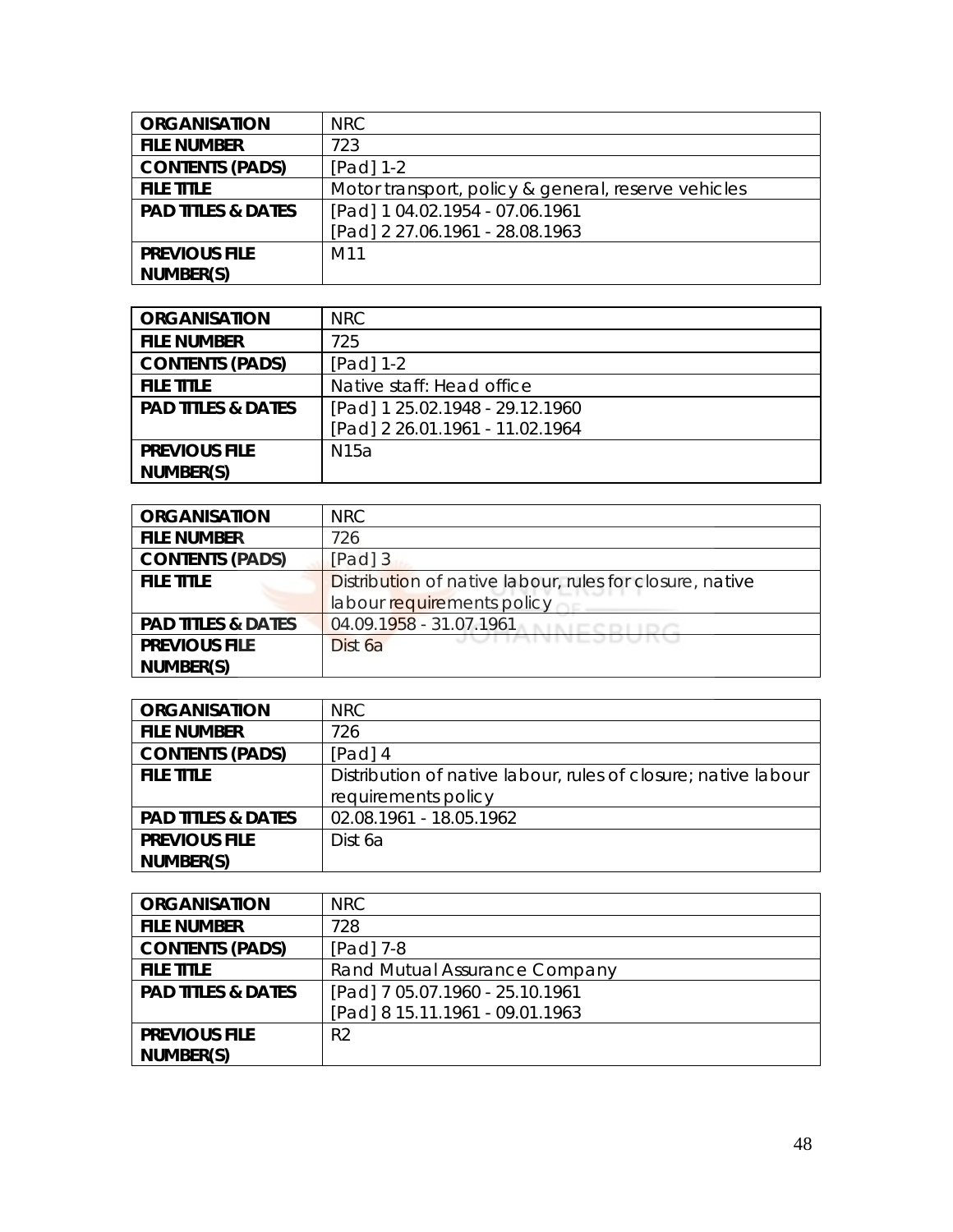| <b>ORGANISATION</b>           | <b>NRC</b>                                          |
|-------------------------------|-----------------------------------------------------|
| <b>FILE NUMBER</b>            | 723                                                 |
| <b>CONTENTS (PADS)</b>        | $[Pad] 1-2$                                         |
| <b>FILE TITLE</b>             | Motor transport, policy & general, reserve vehicles |
| <b>PAD TITLES &amp; DATES</b> | [Pad] 1 04.02.1954 - 07.06.1961                     |
|                               | [Pad] 2 27.06.1961 - 28.08.1963                     |
| <b>PREVIOUS FILE</b>          | M11                                                 |
| NUMBER(S)                     |                                                     |

| <b>ORGANISATION</b>           | NRC                             |
|-------------------------------|---------------------------------|
| <b>FILE NUMBER</b>            | 725                             |
| <b>CONTENTS (PADS)</b>        | $[Pad] 1-2$                     |
| <b>FILE TITLE</b>             | Native staff: Head office       |
| <b>PAD TITLES &amp; DATES</b> | [Pad] 1 25.02.1948 - 29.12.1960 |
|                               | [Pad] 2 26.01.1961 - 11.02.1964 |
| <b>PREVIOUS FILE</b>          | N <sub>15a</sub>                |
| NUMBER(S)                     |                                 |

| <b>ORGANISATION</b>           | <b>NRC</b>                                               |
|-------------------------------|----------------------------------------------------------|
| <b>FILE NUMBER</b>            | 726                                                      |
| <b>CONTENTS (PADS)</b>        | $[Pad]$ 3                                                |
| <b>FILE TITLE</b>             | Distribution of native labour, rules for closure, native |
|                               | labour requirements policy                               |
| <b>PAD TITLES &amp; DATES</b> | 04.09.1958 - 31.07.1961                                  |
| <b>PREVIOUS FILE</b>          | Dist 6a                                                  |
| NUMBER(S)                     |                                                          |

| <b>ORGANISATION</b>           | NRC.                                                           |
|-------------------------------|----------------------------------------------------------------|
| <b>FILE NUMBER</b>            | 726                                                            |
| <b>CONTENTS (PADS)</b>        | $[Pad]$ 4                                                      |
| <b>FILE TITLE</b>             | Distribution of native labour, rules of closure; native labour |
|                               | requirements policy                                            |
| <b>PAD TITLES &amp; DATES</b> | 02.08.1961 - 18.05.1962                                        |
| <b>PREVIOUS FILE</b>          | Dist 6a                                                        |
| NUMBER(S)                     |                                                                |

| <b>ORGANISATION</b>           | NRC.                            |
|-------------------------------|---------------------------------|
| <b>FILE NUMBER</b>            | 728                             |
| <b>CONTENTS (PADS)</b>        | $[Pad]$ 7-8                     |
| <b>FILE TITLE</b>             | Rand Mutual Assurance Company   |
| <b>PAD TITLES &amp; DATES</b> | [Pad] 7 05.07.1960 - 25.10.1961 |
|                               | [Pad] 8 15.11.1961 - 09.01.1963 |
| <b>PREVIOUS FILE</b>          | R <sub>2</sub>                  |
| NUMBER(S)                     |                                 |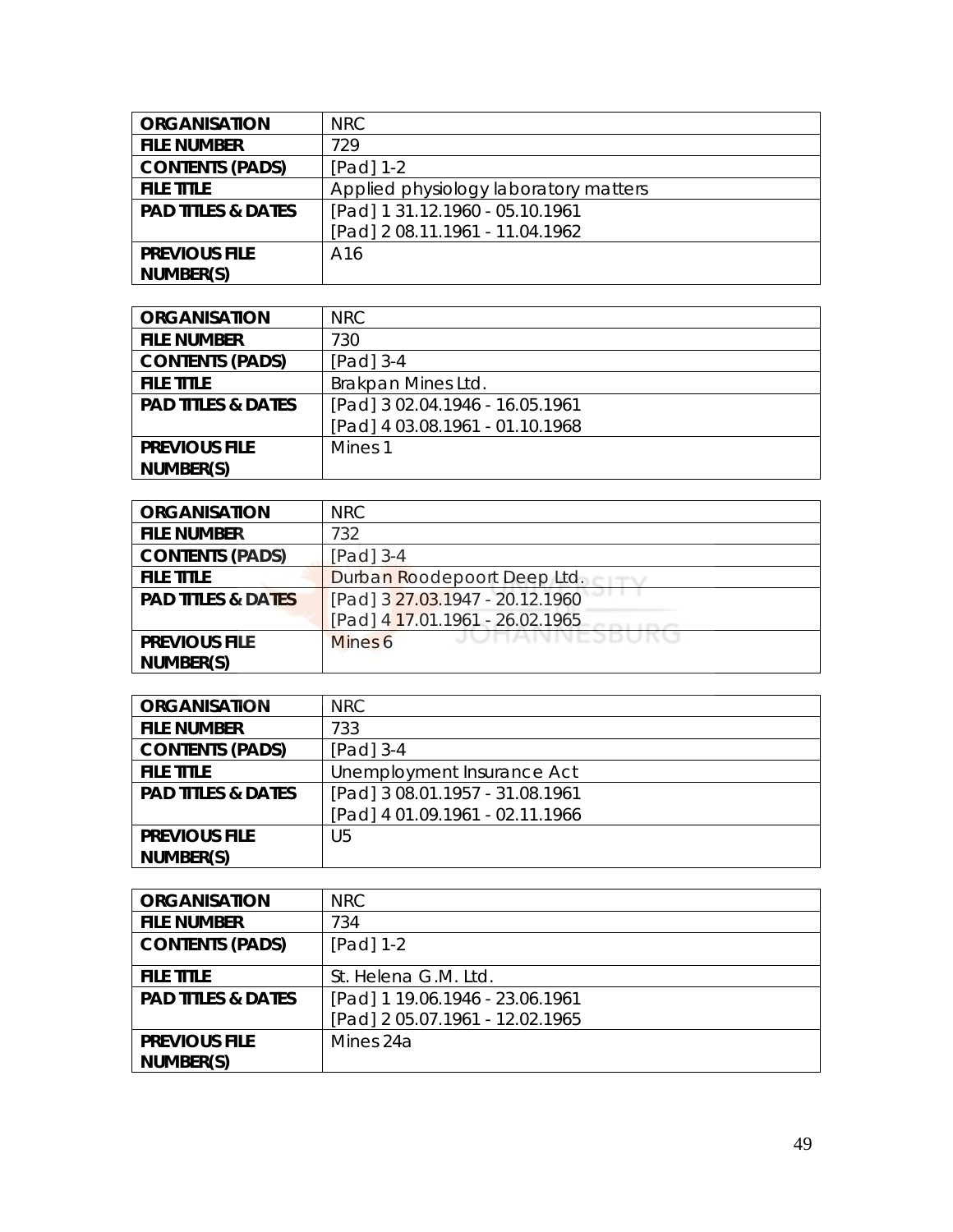| <b>ORGANISATION</b>           | <b>NRC</b>                            |
|-------------------------------|---------------------------------------|
| <b>FILE NUMBER</b>            | 729                                   |
| <b>CONTENTS (PADS)</b>        | [Pad] 1-2                             |
| <b>FILE TITLE</b>             | Applied physiology laboratory matters |
| <b>PAD TITLES &amp; DATES</b> | [Pad] 1 31.12.1960 - 05.10.1961       |
|                               | [Pad] 2 08.11.1961 - 11.04.1962       |
| <b>PREVIOUS FILE</b>          | A16                                   |
| NUMBER(S)                     |                                       |

| <b>ORGANISATION</b>           | <b>NRC</b>                      |
|-------------------------------|---------------------------------|
| <b>FILE NUMBER</b>            | 730                             |
| <b>CONTENTS (PADS)</b>        | $[Pad]$ 3-4                     |
| <b>FILE TITLE</b>             | Brakpan Mines Ltd.              |
| <b>PAD TITLES &amp; DATES</b> | [Pad] 3 02.04.1946 - 16.05.1961 |
|                               | [Pad] 4 03.08.1961 - 01.10.1968 |
| <b>PREVIOUS FILE</b>          | Mines 1                         |
| NUMBER(S)                     |                                 |

| <b>ORGANISATION</b>           | <b>NRC</b>                      |
|-------------------------------|---------------------------------|
| <b>FILE NUMBER</b>            | 732                             |
| <b>CONTENTS (PADS)</b>        | [Pad] $3-4$                     |
| <b>FILE TITLE</b>             | Durban Roodepoort Deep Ltd.     |
| <b>PAD TITLES &amp; DATES</b> | [Pad] 3 27.03.1947 - 20.12.1960 |
|                               | [Pad] 4 17.01.1961 - 26.02.1965 |
| <b>PREVIOUS FILE</b>          | JUNAINNEJDUKU<br>Mines 6        |
| NUMBER(S)                     |                                 |

| <b>ORGANISATION</b>           | <b>NRC</b>                      |
|-------------------------------|---------------------------------|
| <b>FILE NUMBER</b>            | 733                             |
| <b>CONTENTS (PADS)</b>        | $[Pad]$ 3-4                     |
| <b>FILE TITLE</b>             | Unemployment Insurance Act      |
| <b>PAD TITLES &amp; DATES</b> | [Pad] 3 08.01.1957 - 31.08.1961 |
|                               | [Pad] 4 01.09.1961 - 02.11.1966 |
| <b>PREVIOUS FILE</b>          | U5                              |
| NUMBER(S)                     |                                 |

| <b>ORGANISATION</b>           | NRC                             |
|-------------------------------|---------------------------------|
| <b>FILE NUMBER</b>            | 734                             |
| <b>CONTENTS (PADS)</b>        | $[Pad] 1-2$                     |
| <b>FILE TITLE</b>             | St. Helena G.M. Ltd.            |
| <b>PAD TITLES &amp; DATES</b> | [Pad] 1 19.06.1946 - 23.06.1961 |
|                               | [Pad] 2 05.07.1961 - 12.02.1965 |
| <b>PREVIOUS FILE</b>          | Mines 24a                       |
| NUMBER(S)                     |                                 |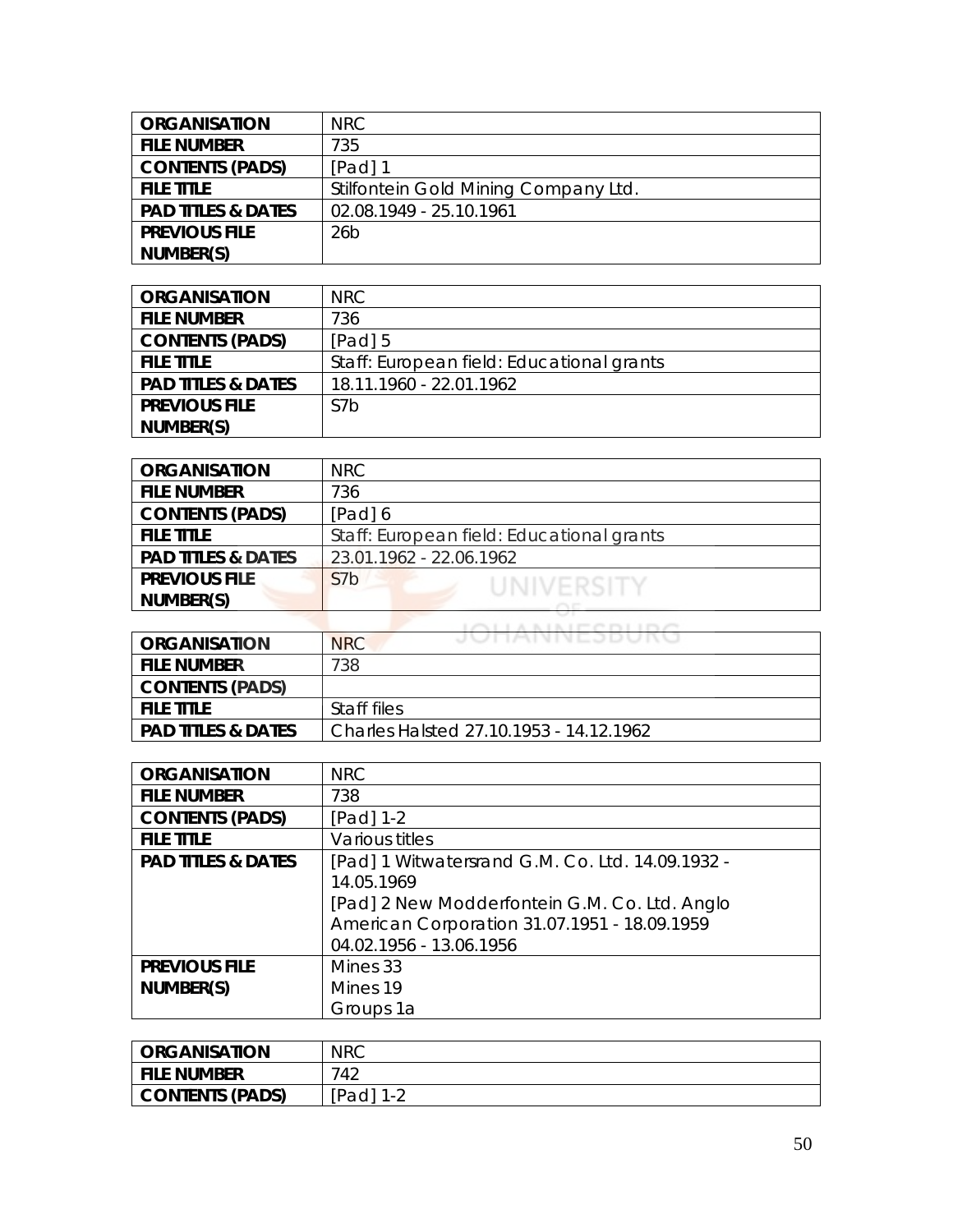| <b>ORGANISATION</b>           | NRC.                                 |
|-------------------------------|--------------------------------------|
| <b>FILE NUMBER</b>            | 735                                  |
| <b>CONTENTS (PADS)</b>        | $[Pad]$ 1                            |
| <b>FILE TITLE</b>             | Stilfontein Gold Mining Company Ltd. |
| <b>PAD TITLES &amp; DATES</b> | 02.08.1949 - 25.10.1961              |
| <b>PREVIOUS FILE</b>          | 26 <sub>b</sub>                      |
| NUMBER(S)                     |                                      |

| <b>ORGANISATION</b>           | NRC.                                      |
|-------------------------------|-------------------------------------------|
| <b>FILE NUMBER</b>            | 736                                       |
| <b>CONTENTS (PADS)</b>        | $[Pad]$ 5                                 |
| <b>FILE TITLE</b>             | Staff: European field: Educational grants |
| <b>PAD TITLES &amp; DATES</b> | 18.11.1960 - 22.01.1962                   |
| <b>PREVIOUS FILE</b>          | S7 <sub>b</sub>                           |
| NUMBER(S)                     |                                           |

| <b>ORGANISATION</b>           | NRC.                                      |
|-------------------------------|-------------------------------------------|
| <b>FILE NUMBER</b>            | 736                                       |
| <b>CONTENTS (PADS)</b>        | [Pad] 6                                   |
| <b>FILE TITLE</b>             | Staff: European field: Educational grants |
| <b>PAD TITLES &amp; DATES</b> | 23.01.1962 - 22.06.1962                   |
| <b>PREVIOUS FILE</b>          | S7b<br>UNIVERSITY                         |
| NUMBER(S)                     |                                           |
|                               |                                           |

|                               | The T. Dec. of Persons Print, T. T.     |
|-------------------------------|-----------------------------------------|
| ORGANISATION                  | JUNNIVEJDUNU<br><b>NRC</b>              |
| <b>FILE NUMBER</b>            | 738                                     |
| <b>CONTENTS (PADS)</b>        |                                         |
| <b>FILE TITLE</b>             | Staff files                             |
| <b>PAD TITLES &amp; DATES</b> | Charles Halsted 27.10.1953 - 14.12.1962 |

| <b>ORGANISATION</b>           | <b>NRC</b>                                       |
|-------------------------------|--------------------------------------------------|
| <b>FILE NUMBER</b>            | 738                                              |
| <b>CONTENTS (PADS)</b>        | [Pad] 1-2                                        |
| <b>FILE TITLE</b>             | Various titles                                   |
| <b>PAD TITLES &amp; DATES</b> | [Pad] 1 Witwatersrand G.M. Co. Ltd. 14.09.1932 - |
|                               | 14.05.1969                                       |
|                               | [Pad] 2 New Modderfontein G.M. Co. Ltd. Anglo    |
|                               | American Corporation 31.07.1951 - 18.09.1959     |
|                               | 04.02.1956 - 13.06.1956                          |
| <b>PREVIOUS FILE</b>          | Mines 33                                         |
| NUMBER(S)                     | Mines 19                                         |
|                               | Groups 1a                                        |

| <b>ORGANISATION</b> | <b>NRC</b>     |
|---------------------|----------------|
| <b>FILE NUMBER</b>  | 742            |
| CONTENTS (PADS)     | [Pad]<br>$1 -$ |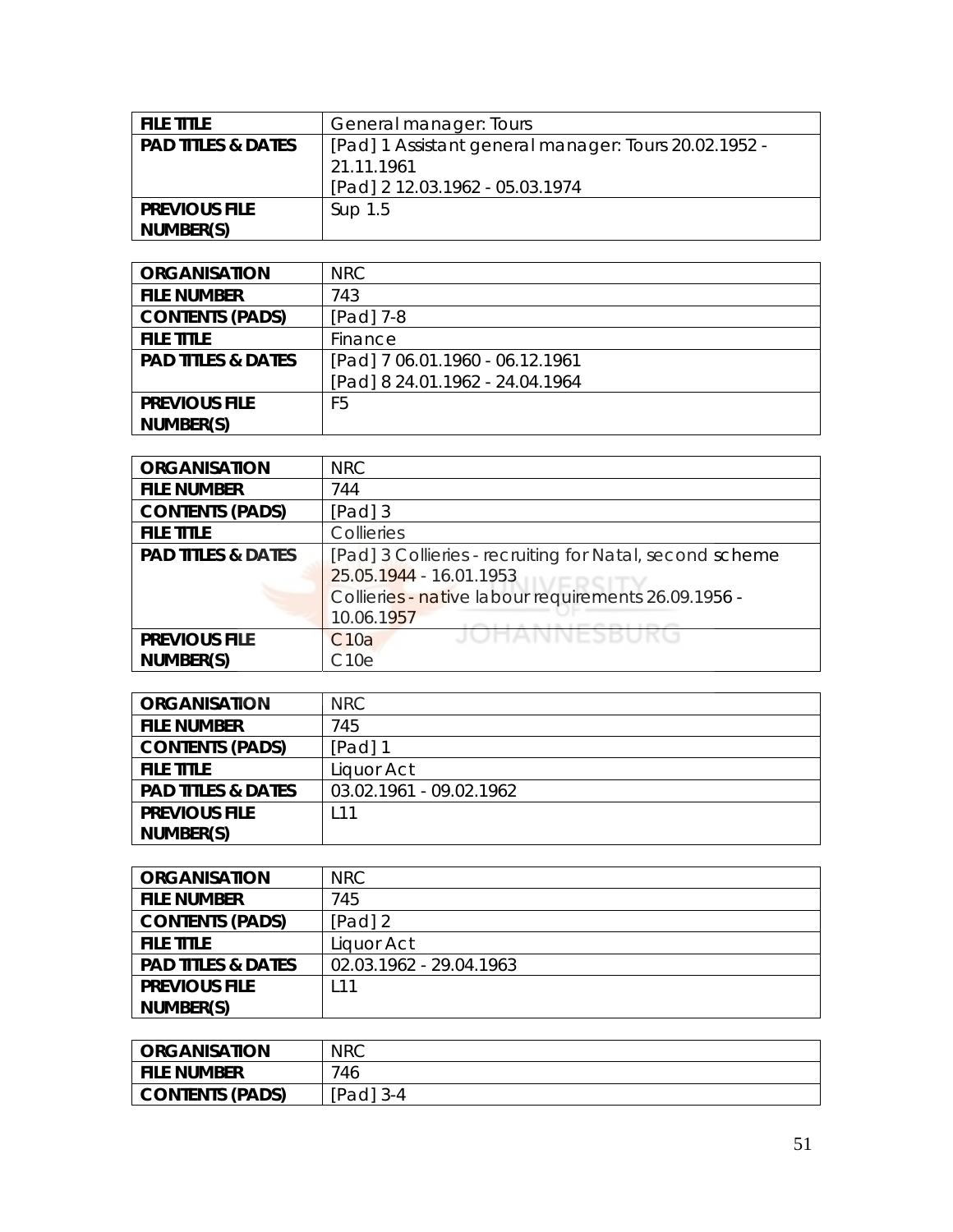| <b>FILE TITLE</b>             | General manager: Tours                                |
|-------------------------------|-------------------------------------------------------|
| <b>PAD TITLES &amp; DATES</b> | [Pad] 1 Assistant general manager: Tours 20.02.1952 - |
|                               | 21.11.1961                                            |
|                               | [Pad] 2 12.03.1962 - 05.03.1974                       |
| <b>PREVIOUS FILE</b>          | Sup 1.5                                               |
| NUMBER(S)                     |                                                       |

| <b>ORGANISATION</b>           | <b>NRC</b>                      |
|-------------------------------|---------------------------------|
| <b>FILE NUMBER</b>            | 743                             |
| <b>CONTENTS (PADS)</b>        | [Pad] 7-8                       |
| <b>FILE TITLE</b>             | Finance                         |
| <b>PAD TITLES &amp; DATES</b> | [Pad] 7 06.01.1960 - 06.12.1961 |
|                               | [Pad] 8 24.01.1962 - 24.04.1964 |
| <b>PREVIOUS FILE</b>          | F5                              |
| NUMBER(S)                     |                                 |

| <b>ORGANISATION</b>           | <b>NRC</b>                                               |
|-------------------------------|----------------------------------------------------------|
| <b>FILE NUMBER</b>            | 744                                                      |
| <b>CONTENTS (PADS)</b>        | $[Pad]$ 3                                                |
| <b>FILE TITLE</b>             | Collieries                                               |
| <b>PAD TITLES &amp; DATES</b> | [Pad] 3 Collieries - recruiting for Natal, second scheme |
|                               | 25.05.1944 - 16.01.1953                                  |
|                               | Collieries - native labour requirements 26.09.1956 -     |
|                               | 10.06.1957                                               |
| <b>PREVIOUS FILE</b>          | JOHANNESBUE<br>C10a                                      |
| NUMBER(S)                     | C10e                                                     |

| <b>ORGANISATION</b>           | <b>NRC</b>              |
|-------------------------------|-------------------------|
| <b>FILE NUMBER</b>            | 745                     |
| <b>CONTENTS (PADS)</b>        | [Pad] 1                 |
| <b>FILE TITLE</b>             | Liquor Act              |
| <b>PAD TITLES &amp; DATES</b> | 03.02.1961 - 09.02.1962 |
| <b>PREVIOUS FILE</b>          | l 11                    |
| NUMBER(S)                     |                         |

| <b>ORGANISATION</b>           | NRC                     |
|-------------------------------|-------------------------|
| <b>FILE NUMBER</b>            | 745                     |
| <b>CONTENTS (PADS)</b>        | [Pad] 2                 |
| <b>FILE TITLE</b>             | Liquor Act              |
| <b>PAD TITLES &amp; DATES</b> | 02.03.1962 - 29.04.1963 |
| <b>PREVIOUS FILE</b>          | l 11                    |
| NUMBER(S)                     |                         |

| <b>ORGANISATION</b> | <b>NRC</b> |
|---------------------|------------|
| l file number       | 746        |
| CONTENTS (PADS)     | [Pad] 3-4  |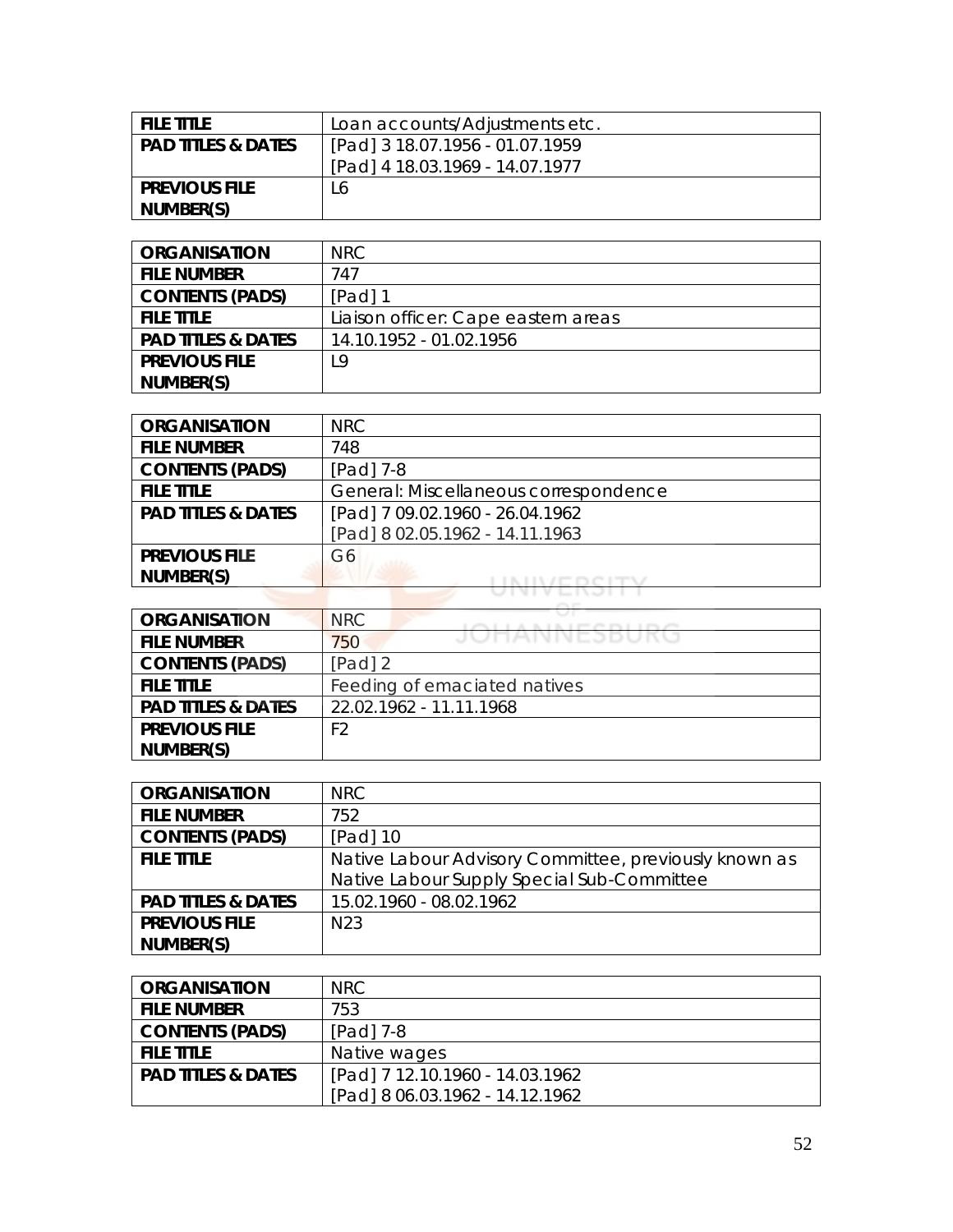| <b>FILE TITLE</b>             | Loan accounts/Adjustments etc.  |
|-------------------------------|---------------------------------|
| <b>PAD TITLES &amp; DATES</b> | [Pad] 3 18.07.1956 - 01.07.1959 |
|                               | [Pad] 4 18.03.1969 - 14.07.1977 |
| <b>PREVIOUS FILE</b>          | L6                              |
| NUMBER(S)                     |                                 |

| <b>ORGANISATION</b>           | NRC                                 |
|-------------------------------|-------------------------------------|
| <b>FILE NUMBER</b>            | 747                                 |
| <b>CONTENTS (PADS)</b>        | [Pad] 1                             |
| <b>FILE TITLE</b>             | Liaison officer: Cape eastern areas |
| <b>PAD TITLES &amp; DATES</b> | 14.10.1952 - 01.02.1956             |
| <b>PREVIOUS FILE</b>          | L9                                  |
| NUMBER(S)                     |                                     |

| <b>ORGANISATION</b>           | <b>NRC</b>                            |
|-------------------------------|---------------------------------------|
| <b>FILE NUMBER</b>            | 748                                   |
| <b>CONTENTS (PADS)</b>        | [Pad] 7-8                             |
| <b>FILE TITLE</b>             | General: Miscellaneous correspondence |
| <b>PAD TITLES &amp; DATES</b> | [Pad] 7 09.02.1960 - 26.04.1962       |
|                               | [Pad] 8 02.05.1962 - 14.11.1963       |
| <b>PREVIOUS FILE</b>          | G6                                    |
| NUMBER(S)                     |                                       |
|                               |                                       |

| <b>ORGANISATION</b>           | NRC                          |
|-------------------------------|------------------------------|
| <b>FILE NUMBER</b>            | JUNAININEJDUKU<br>750        |
| <b>CONTENTS (PADS)</b>        | $[Pad]$ 2                    |
| <b>FILE TITLE</b>             | Feeding of emaciated natives |
| <b>PAD TITLES &amp; DATES</b> | 22.02.1962 - 11.11.1968      |
| <b>PREVIOUS FILE</b>          | F <sub>2</sub>               |
| NUMBER(S)                     |                              |

| <b>ORGANISATION</b>           | NRC                                                   |
|-------------------------------|-------------------------------------------------------|
| <b>FILE NUMBER</b>            | 752.                                                  |
| <b>CONTENTS (PADS)</b>        | $[Pad]$ 10                                            |
| <b>FILE TITLE</b>             | Native Labour Advisory Committee, previously known as |
|                               | Native Labour Supply Special Sub-Committee            |
| <b>PAD TITLES &amp; DATES</b> | 15.02.1960 - 08.02.1962                               |
| <b>PREVIOUS FILE</b>          | N <sub>23</sub>                                       |
| NUMBER(S)                     |                                                       |

| <b>ORGANISATION</b>           | NRC.                            |
|-------------------------------|---------------------------------|
| <b>FILE NUMBER</b>            | 753                             |
| <b>CONTENTS (PADS)</b>        | $[Pad]$ 7-8                     |
| <b>FILE TITLE</b>             | Native wages                    |
| <b>PAD TITLES &amp; DATES</b> | [Pad] 7 12.10.1960 - 14.03.1962 |
|                               | [Pad] 8 06.03.1962 - 14.12.1962 |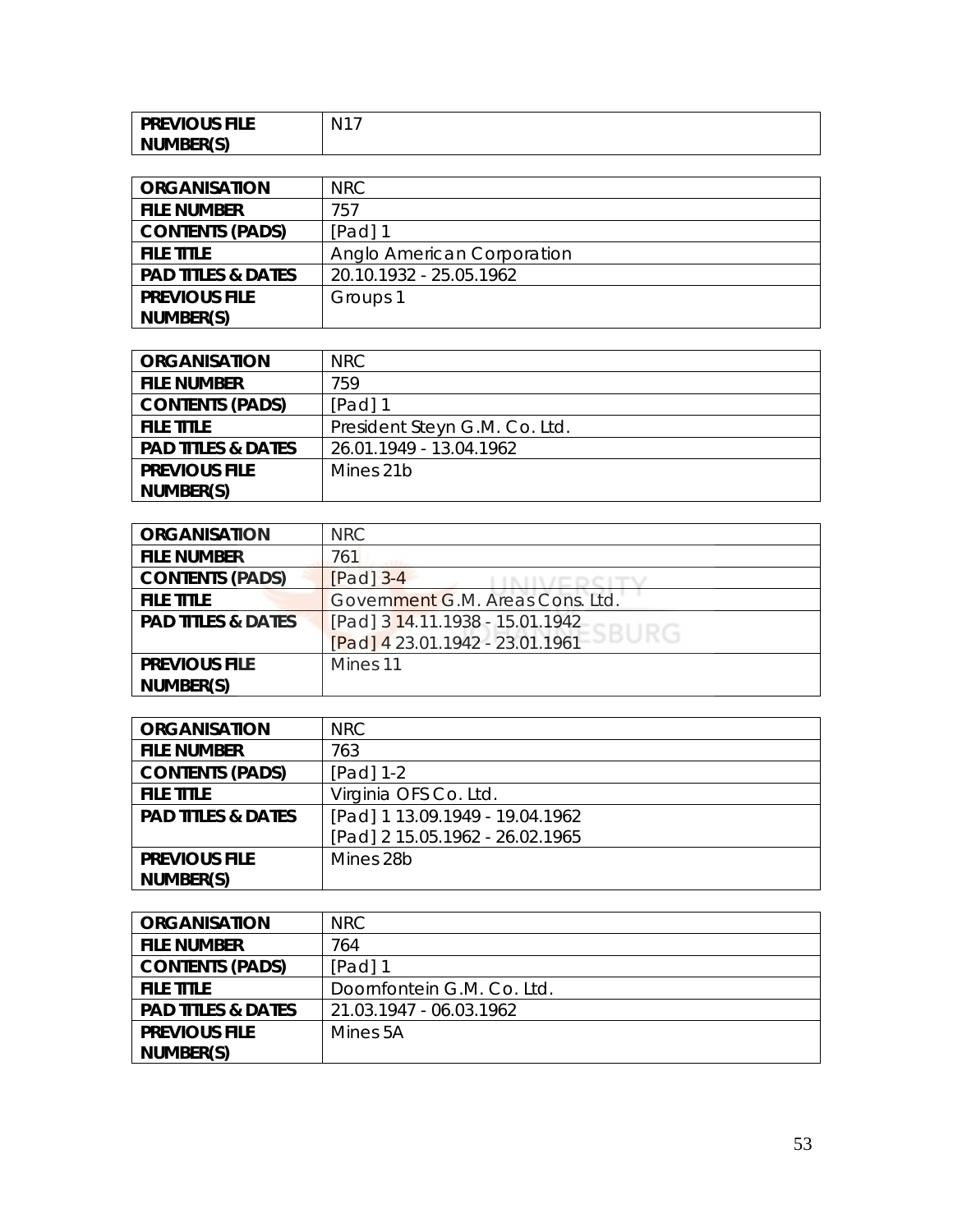| <b>PREVIOUS FILE</b> | $\cdot$ N <sup>1-</sup> |
|----------------------|-------------------------|
| NUMBER(S)            |                         |

| <b>ORGANISATION</b>           | NRC                        |
|-------------------------------|----------------------------|
| <b>FILE NUMBER</b>            | 757                        |
| <b>CONTENTS (PADS)</b>        | [Pad] 1                    |
| <b>FILE TITLE</b>             | Anglo American Corporation |
| <b>PAD TITLES &amp; DATES</b> | 20.10.1932 - 25.05.1962    |
| <b>PREVIOUS FILE</b>          | Groups 1                   |
| NUMBER(S)                     |                            |

| <b>ORGANISATION</b>           | NRC                           |
|-------------------------------|-------------------------------|
| <b>FILE NUMBER</b>            | 759                           |
| <b>CONTENTS (PADS)</b>        | [Pad] 1                       |
| <b>FILE TITLE</b>             | President Steyn G.M. Co. Ltd. |
| <b>PAD TITLES &amp; DATES</b> | 26.01.1949 - 13.04.1962       |
| <b>PREVIOUS FILE</b>          | Mines 21b                     |
| NUMBER(S)                     |                               |

| <b>ORGANISATION</b>           | NRC.                                                               |
|-------------------------------|--------------------------------------------------------------------|
| <b>FILE NUMBER</b>            | 761                                                                |
| <b>CONTENTS (PADS)</b>        | $[Pad]$ 3-4                                                        |
| <b>FILE TITLE</b>             | Government G.M. Areas Cons. Ltd.                                   |
| <b>PAD TITLES &amp; DATES</b> |                                                                    |
|                               | [Pad] 3 14.11.1938 - 15.01.1942<br>[Pad] 4 23.01.1942 - 23.01.1961 |
| <b>PREVIOUS FILE</b>          | Mines 11                                                           |
| NUMBER(S)                     |                                                                    |

| <b>ORGANISATION</b>           | NRC                             |
|-------------------------------|---------------------------------|
| <b>FILE NUMBER</b>            | 763                             |
| <b>CONTENTS (PADS)</b>        | $[Pad] 1-2$                     |
| <b>FILE TITLE</b>             | Virginia OFS Co. Ltd.           |
| <b>PAD TITLES &amp; DATES</b> | [Pad] 1 13.09.1949 - 19.04.1962 |
|                               | [Pad] 2 15.05.1962 - 26.02.1965 |
| <b>PREVIOUS FILE</b>          | Mines 28b                       |
| NUMBER(S)                     |                                 |

| <b>ORGANISATION</b>           | NRC                        |
|-------------------------------|----------------------------|
| <b>FILE NUMBER</b>            | 764                        |
| <b>CONTENTS (PADS)</b>        | [Pad] 1                    |
| <b>FILE TITLE</b>             | Doornfontein G.M. Co. Ltd. |
| <b>PAD TITLES &amp; DATES</b> | 21.03.1947 - 06.03.1962    |
| <b>PREVIOUS FILE</b>          | Mines 5A                   |
| NUMBER(S)                     |                            |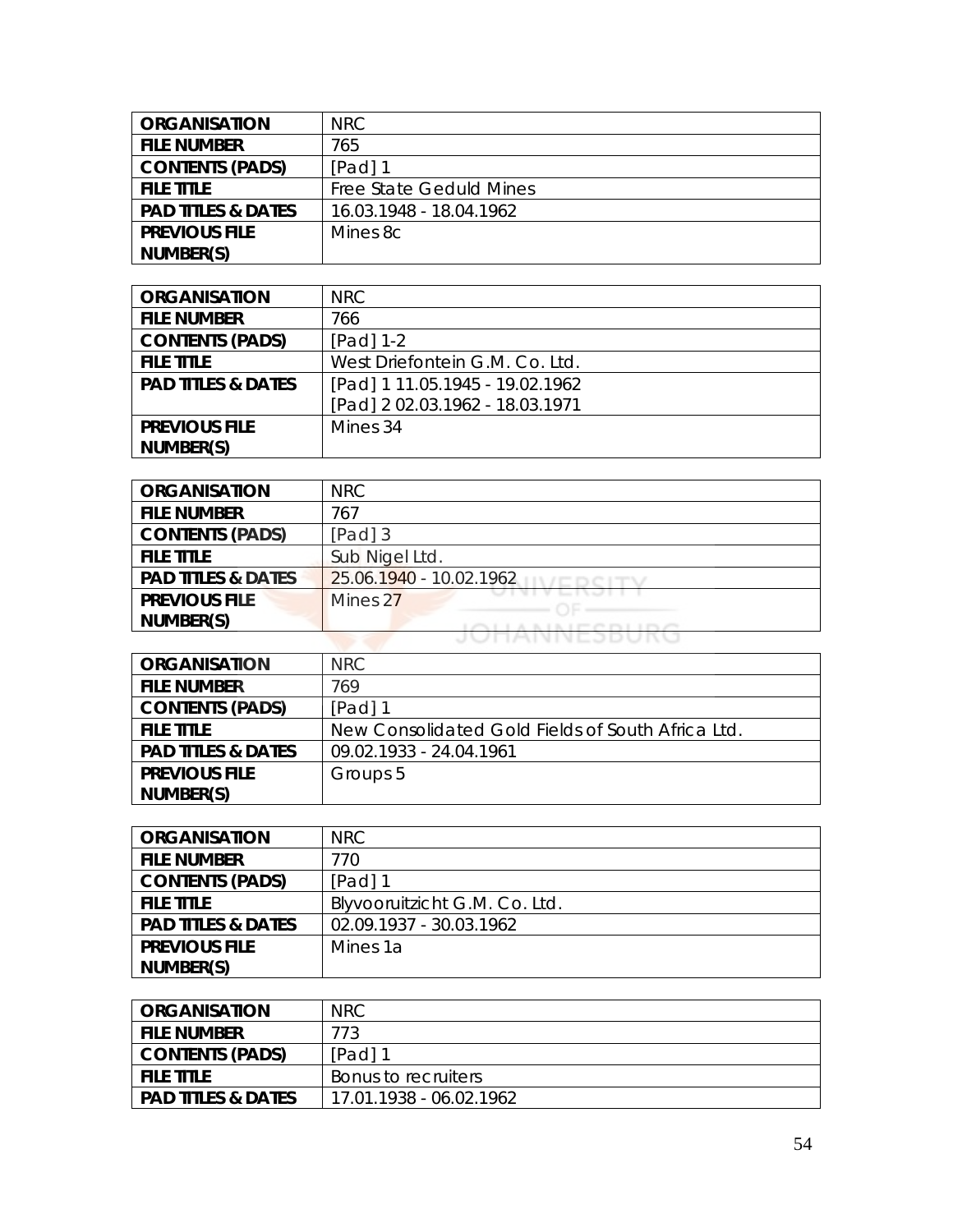| <b>ORGANISATION</b>           | NRC.                           |
|-------------------------------|--------------------------------|
| <b>FILE NUMBER</b>            | 765                            |
| <b>CONTENTS (PADS)</b>        | $[Pad]$ 1                      |
| <b>FILE TITLE</b>             | <b>Free State Geduld Mines</b> |
| <b>PAD TITLES &amp; DATES</b> | 16.03.1948 - 18.04.1962        |
| <b>PREVIOUS FILE</b>          | Mines 8c                       |
| NUMBER(S)                     |                                |

| <b>ORGANISATION</b>           | NRC                             |
|-------------------------------|---------------------------------|
| <b>FILE NUMBER</b>            | 766                             |
| <b>CONTENTS (PADS)</b>        | $[Pad] 1-2$                     |
| <b>FILE TITLE</b>             | West Driefontein G.M. Co. Ltd.  |
| <b>PAD TITLES &amp; DATES</b> | [Pad] 1 11.05.1945 - 19.02.1962 |
|                               | [Pad] 2 02.03.1962 - 18.03.1971 |
| <b>PREVIOUS FILE</b>          | Mines 34                        |
| NUMBER(S)                     |                                 |

| <b>ORGANISATION</b>           | <b>NRC</b>              |
|-------------------------------|-------------------------|
| <b>FILE NUMBER</b>            | 767                     |
| <b>CONTENTS (PADS)</b>        | $[Pad]$ 3               |
| <b>FILE TITLE</b>             | Sub Nigel Ltd.          |
| <b>PAD TITLES &amp; DATES</b> | 25.06.1940 - 10.02.1962 |
| <b>PREVIOUS FILE</b>          | Mines 27                |
| NUMBER(S)                     |                         |
|                               | <b>JOANNESDURU</b>      |

| <b>ORGANISATION</b>           | NRC.                                              |
|-------------------------------|---------------------------------------------------|
| <b>FILE NUMBER</b>            | 769                                               |
| <b>CONTENTS (PADS)</b>        | $[Pad]$ 1                                         |
| <b>FILE TITLE</b>             | New Consolidated Gold Fields of South Africa Ltd. |
| <b>PAD TITLES &amp; DATES</b> | 09.02.1933 - 24.04.1961                           |
| <b>PREVIOUS FILE</b>          | Groups 5                                          |
| NUMBER(S)                     |                                                   |

| <b>ORGANISATION</b>           | NRC                           |
|-------------------------------|-------------------------------|
| <b>FILE NUMBER</b>            | 770                           |
| <b>CONTENTS (PADS)</b>        | [Pad] 1                       |
| <b>FILE TITLE</b>             | Blyvooruitzicht G.M. Co. Ltd. |
| <b>PAD TITLES &amp; DATES</b> | 02.09.1937 - 30.03.1962       |
| <b>PREVIOUS FILE</b>          | Mines 1a                      |
| NUMBER(S)                     |                               |

| ORGANISATION                  | <b>NRC</b>              |
|-------------------------------|-------------------------|
| <b>FILE NUMBER</b>            | 773                     |
| <b>CONTENTS (PADS)</b>        | [Pad] 1                 |
| <b>FILE TITLE</b>             | Bonus to recruiters     |
| <b>PAD TITLES &amp; DATES</b> | 17.01.1938 - 06.02.1962 |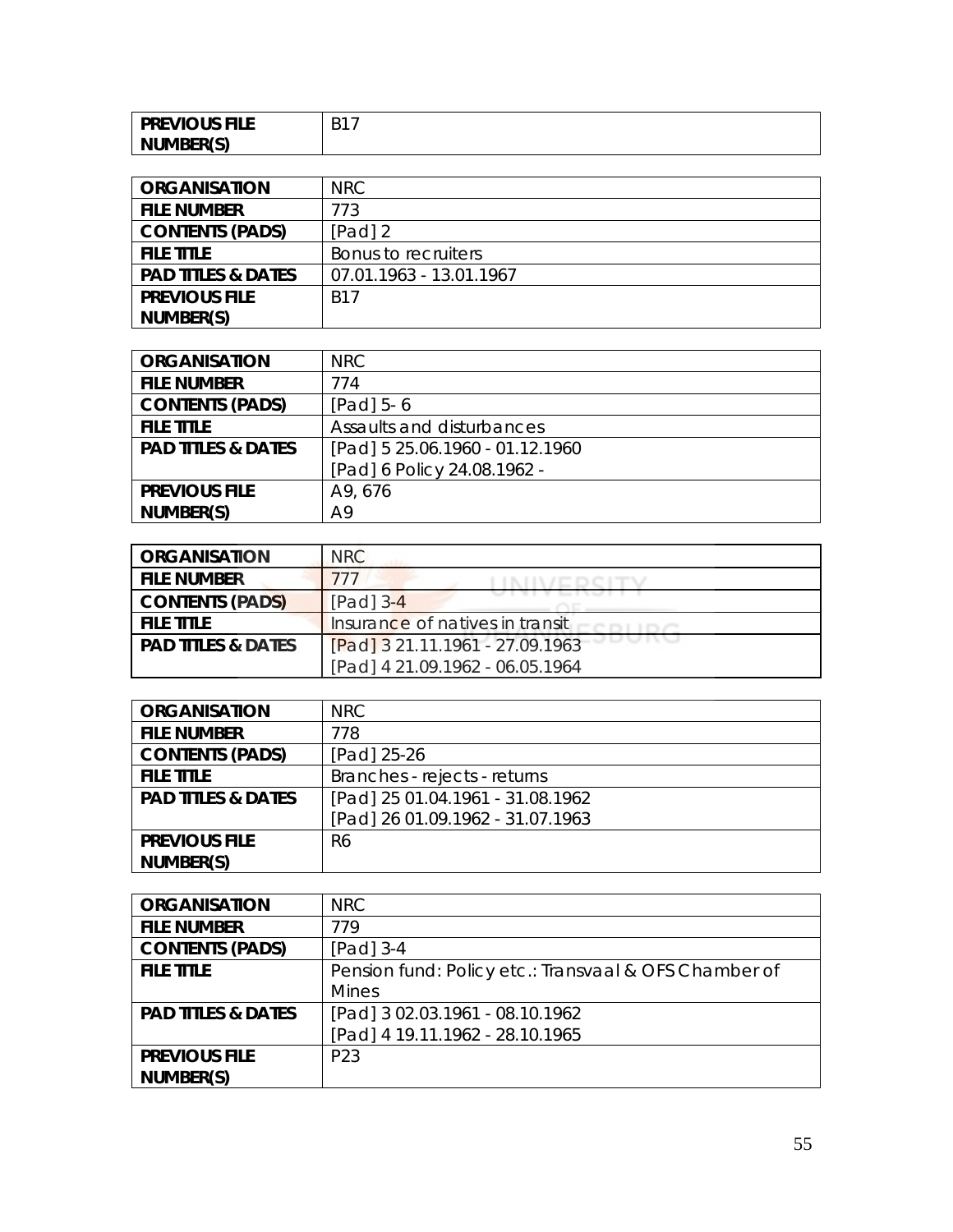| <b>PREVIOUS FILE</b> | $\Gamma$ $\sim$ $\Gamma$<br>. . |
|----------------------|---------------------------------|
| NUMBER(S)            |                                 |

| <b>ORGANISATION</b>           | NRC.                    |
|-------------------------------|-------------------------|
| <b>FILE NUMBER</b>            | 773                     |
| <b>CONTENTS (PADS)</b>        | $[Pad]$ 2               |
| <b>FILE TITLE</b>             | Bonus to recruiters     |
| <b>PAD TITLES &amp; DATES</b> | 07.01.1963 - 13.01.1967 |
| <b>PREVIOUS FILE</b>          | <b>B17</b>              |
| NUMBER(S)                     |                         |

| <b>ORGANISATION</b>           | NRC.                            |
|-------------------------------|---------------------------------|
| <b>FILE NUMBER</b>            | 774                             |
| <b>CONTENTS (PADS)</b>        | $[Pad]$ 5-6                     |
| <b>FILE TITLE</b>             | Assaults and disturbances       |
| <b>PAD TITLES &amp; DATES</b> | [Pad] 5 25.06.1960 - 01.12.1960 |
|                               | [Pad] 6 Policy 24.08.1962 -     |
| <b>PREVIOUS FILE</b>          | A9, 676                         |
| NUMBER(S)                     | A9                              |

| <b>ORGANISATION</b>           | <b>NRC</b>                      |
|-------------------------------|---------------------------------|
| <b>FILE NUMBER</b>            | 777                             |
| <b>CONTENTS (PADS)</b>        | $[Pad]$ 3-4                     |
| <b>FILE TITLE</b>             | Insurance of natives in transit |
| <b>PAD TITLES &amp; DATES</b> | [Pad] 3 21.11.1961 - 27.09.1963 |
|                               | [Pad] 4 21.09.1962 - 06.05.1964 |

| <b>ORGANISATION</b>           | NRC                              |
|-------------------------------|----------------------------------|
| <b>FILE NUMBER</b>            | 778                              |
| <b>CONTENTS (PADS)</b>        | [Pad] 25-26                      |
| <b>FILE TITLE</b>             | Branches - rejects - returns     |
| <b>PAD TITLES &amp; DATES</b> | [Pad] 25 01.04.1961 - 31.08.1962 |
|                               | [Pad] 26 01.09.1962 - 31.07.1963 |
| <b>PREVIOUS FILE</b>          | R6                               |
| NUMBER(S)                     |                                  |

| <b>ORGANISATION</b>           | NRC                                                   |
|-------------------------------|-------------------------------------------------------|
| <b>FILE NUMBER</b>            | 779                                                   |
| <b>CONTENTS (PADS)</b>        | $[Pad]$ 3-4                                           |
| <b>FILE TITLE</b>             | Pension fund: Policy etc.: Transvaal & OFS Chamber of |
|                               | Mines                                                 |
| <b>PAD TITLES &amp; DATES</b> | [Pad] 3 02.03.1961 - 08.10.1962                       |
|                               | [Pad] 4 19.11.1962 - 28.10.1965                       |
| <b>PREVIOUS FILE</b>          | P <sub>23</sub>                                       |
| NUMBER(S)                     |                                                       |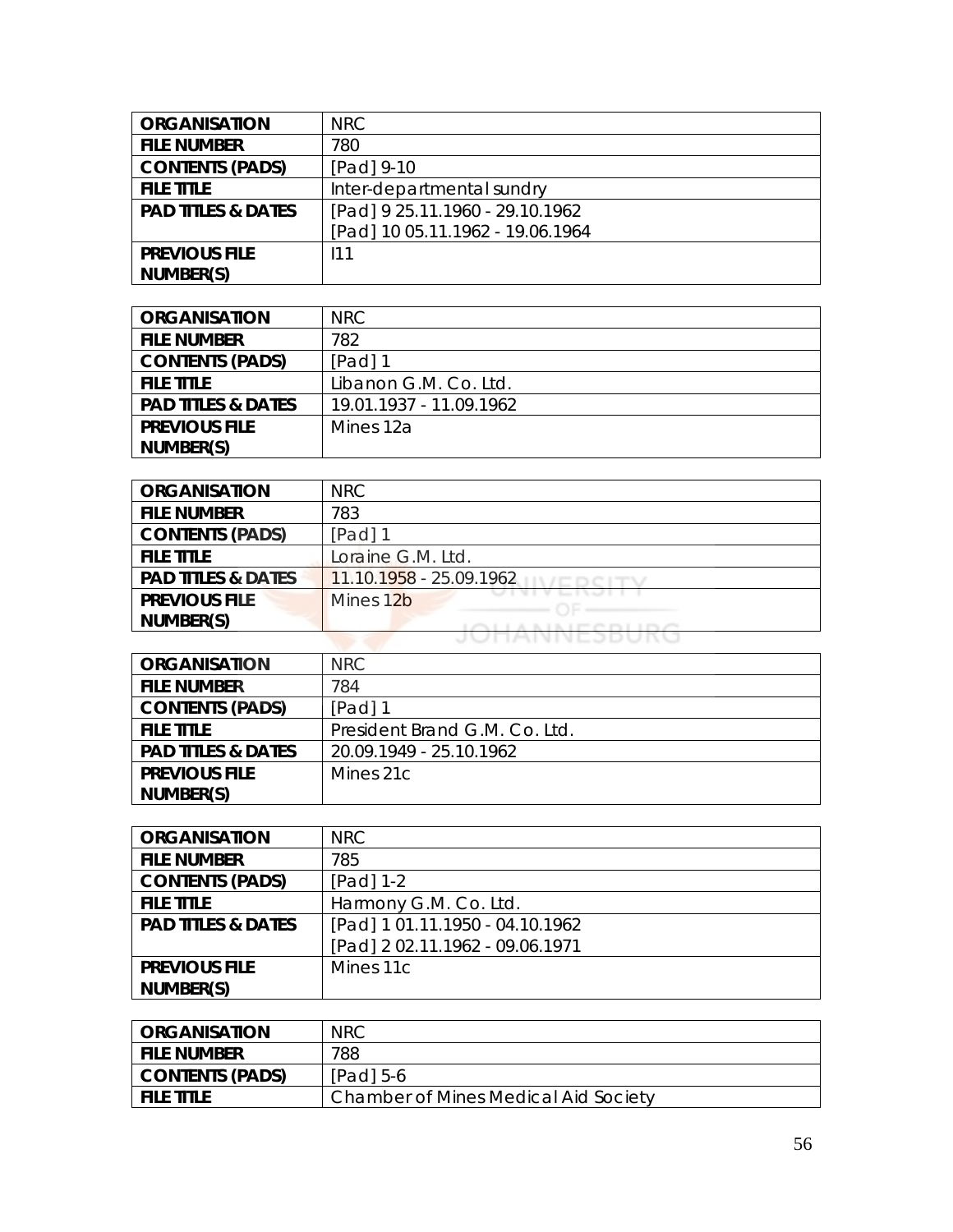| <b>ORGANISATION</b>           | <b>NRC</b>                       |
|-------------------------------|----------------------------------|
| <b>FILE NUMBER</b>            | 780                              |
| <b>CONTENTS (PADS)</b>        | [Pad] 9-10                       |
| <b>FILE TITLE</b>             | Inter-departmental sundry        |
| <b>PAD TITLES &amp; DATES</b> | [Pad] 9 25.11.1960 - 29.10.1962  |
|                               | [Pad] 10 05.11.1962 - 19.06.1964 |
| <b>PREVIOUS FILE</b>          | 111                              |
| NUMBER(S)                     |                                  |

| <b>ORGANISATION</b>           | NRC.                    |
|-------------------------------|-------------------------|
| <b>FILE NUMBER</b>            | 782                     |
| <b>CONTENTS (PADS)</b>        | $[Pad]$ 1               |
| <b>FILE TITLE</b>             | Libanon G.M. Co. Ltd.   |
| <b>PAD TITLES &amp; DATES</b> | 19.01.1937 - 11.09.1962 |
| <b>PREVIOUS FILE</b>          | Mines 12a               |
| NUMBER(S)                     |                         |

| <b>ORGANISATION</b>           | NRC                     |
|-------------------------------|-------------------------|
| <b>FILE NUMBER</b>            | 783                     |
| <b>CONTENTS (PADS)</b>        | [Pad] 1                 |
| <b>FILE TITLE</b>             | Loraine G.M. Ltd.       |
| <b>PAD TITLES &amp; DATES</b> | 11.10.1958 - 25.09.1962 |
| <b>PREVIOUS FILE</b>          | Mines 12b               |
| NUMBER(S)                     |                         |
|                               | JEMININE JEU            |

| <b>ORGANISATION</b>           | NRC                           |
|-------------------------------|-------------------------------|
| <b>FILE NUMBER</b>            | 784                           |
| <b>CONTENTS (PADS)</b>        | $[Pad]$ 1                     |
| <b>FILE TITLE</b>             | President Brand G.M. Co. Ltd. |
| <b>PAD TITLES &amp; DATES</b> | 20.09.1949 - 25.10.1962       |
| <b>PREVIOUS FILE</b>          | Mines 21c                     |
| NUMBER(S)                     |                               |

| <b>ORGANISATION</b>           | <b>NRC</b>                      |
|-------------------------------|---------------------------------|
| <b>FILE NUMBER</b>            | 785                             |
| <b>CONTENTS (PADS)</b>        | [Pad] 1-2                       |
| <b>FILE TITLE</b>             | Harmony G.M. Co. Ltd.           |
| <b>PAD TITLES &amp; DATES</b> | [Pad] 1 01.11.1950 - 04.10.1962 |
|                               | [Pad] 202.11.1962 - 09.06.1971  |
| <b>PREVIOUS FILE</b>          | Mines 11c                       |
| NUMBER(S)                     |                                 |

| <b>ORGANISATION</b>    | <b>NRC</b>                           |
|------------------------|--------------------------------------|
| <b>FILE NUMBER</b>     | 788                                  |
| <b>CONTENTS (PADS)</b> | $[Pad]$ 5-6                          |
| <b>FILE TITLE</b>      | Chamber of Mines Medical Aid Society |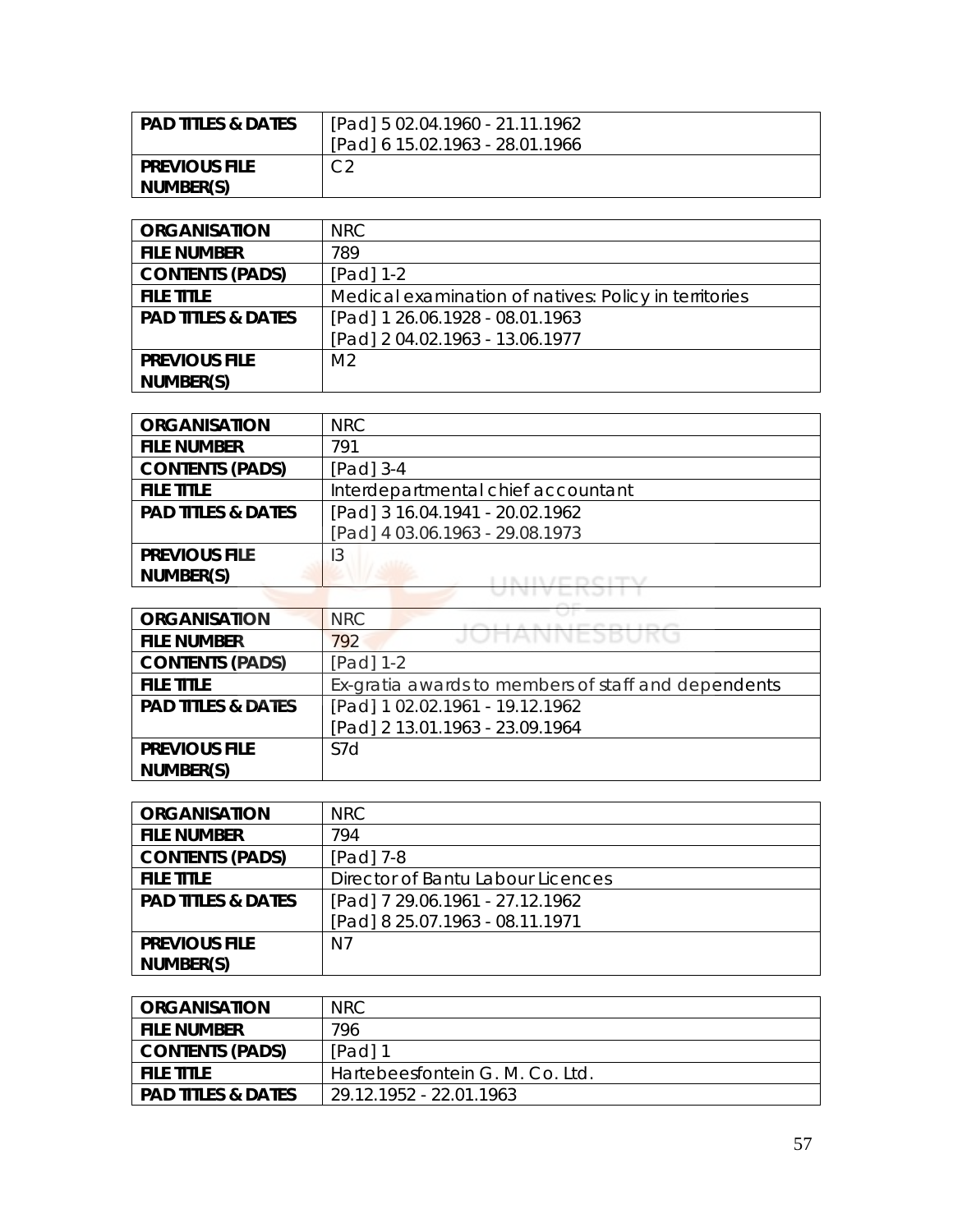| <b>PAD TITLES &amp; DATES</b> | [Pad] 5 02.04.1960 - 21.11.1962 |
|-------------------------------|---------------------------------|
|                               | [Pad] 6 15.02.1963 - 28.01.1966 |
| <b>PREVIOUS FILE</b>          | ⌒⌒                              |
| NUMBER(S)                     |                                 |

| <b>ORGANISATION</b>           | NRC                                                   |
|-------------------------------|-------------------------------------------------------|
| <b>FILE NUMBER</b>            | 789                                                   |
| <b>CONTENTS (PADS)</b>        | $[Pad] 1-2$                                           |
| <b>FILE TITLE</b>             | Medical examination of natives: Policy in territories |
| <b>PAD TITLES &amp; DATES</b> | [Pad] 1 26.06.1928 - 08.01.1963                       |
|                               | [Pad] 2 04.02.1963 - 13.06.1977                       |
| <b>PREVIOUS FILE</b>          | M <sub>2</sub>                                        |
| NUMBER(S)                     |                                                       |

| <b>ORGANISATION</b>           | NRC                                |
|-------------------------------|------------------------------------|
| <b>FILE NUMBER</b>            | 791                                |
| <b>CONTENTS (PADS)</b>        | $[Pad]$ 3-4                        |
| <b>FILE TITLE</b>             | Interdepartmental chief accountant |
| <b>PAD TITLES &amp; DATES</b> | [Pad] 3 16.04.1941 - 20.02.1962    |
|                               | [Pad] 4 03.06.1963 - 29.08.1973    |
| <b>PREVIOUS FILE</b>          | 13                                 |
| NUMBER(S)                     |                                    |
|                               |                                    |

| <b>ORGANISATION</b>           | <b>NRC</b>                                          |
|-------------------------------|-----------------------------------------------------|
| <b>FILE NUMBER</b>            | JUHANNESDUKU<br>792                                 |
| <b>CONTENTS (PADS)</b>        | $[Pad] 1-2$                                         |
| <b>FILE TITLE</b>             | Ex-gratia awards to members of staff and dependents |
| <b>PAD TITLES &amp; DATES</b> | [Pad] 1 02.02.1961 - 19.12.1962                     |
|                               | [Pad] 2 13.01.1963 - 23.09.1964                     |
| <b>PREVIOUS FILE</b>          | S7d                                                 |
| NUMBER(S)                     |                                                     |

| <b>ORGANISATION</b>           | <b>NRC</b>                        |
|-------------------------------|-----------------------------------|
| <b>FILE NUMBER</b>            | 794                               |
| <b>CONTENTS (PADS)</b>        | [Pad] 7-8                         |
| <b>FILE TITLE</b>             | Director of Bantu Labour Licences |
| <b>PAD TITLES &amp; DATES</b> | [Pad] 7 29.06.1961 - 27.12.1962   |
|                               | [Pad] 8 25.07.1963 - 08.11.1971   |
| <b>PREVIOUS FILE</b>          | N7                                |
| NUMBER(S)                     |                                   |

| <b>ORGANISATION</b>           | NRC.                            |
|-------------------------------|---------------------------------|
| <b>FILE NUMBER</b>            | 796                             |
| <b>CONTENTS (PADS)</b>        | [Pad] 1                         |
| <b>FILE TITLE</b>             | Hartebeesfontein G. M. Co. Ltd. |
| <b>PAD TITLES &amp; DATES</b> | 29.12.1952 - 22.01.1963         |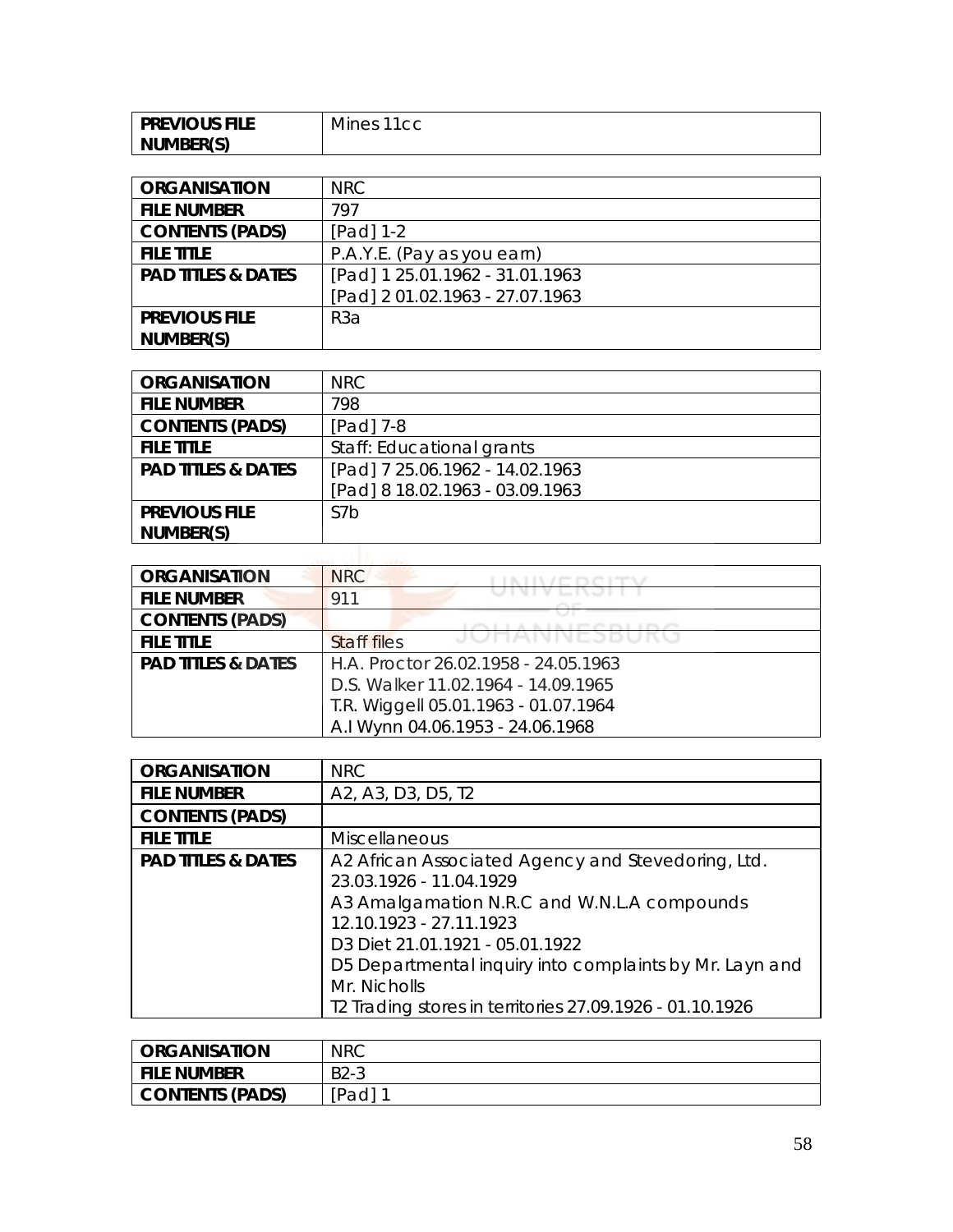| <b>PREVIOUS FILE</b> | Mines<br>1100<br>◡ |
|----------------------|--------------------|
| NUMBER(S)            |                    |

| <b>ORGANISATION</b>           | NRC                             |
|-------------------------------|---------------------------------|
| <b>FILE NUMBER</b>            | 797                             |
| <b>CONTENTS (PADS)</b>        | $[Pad] 1-2$                     |
| <b>FILE TITLE</b>             | P.A.Y.E. (Pay as you earn)      |
| <b>PAD TITLES &amp; DATES</b> | [Pad] 1 25.01.1962 - 31.01.1963 |
|                               | [Pad] 2 01.02.1963 - 27.07.1963 |
| <b>PREVIOUS FILE</b>          | R <sub>3</sub> a                |
| NUMBER(S)                     |                                 |

| <b>ORGANISATION</b>           | NRC                             |
|-------------------------------|---------------------------------|
| <b>FILE NUMBER</b>            | 798                             |
| <b>CONTENTS (PADS)</b>        | [Pad] 7-8                       |
| <b>FILE TITLE</b>             | Staff: Educational grants       |
| <b>PAD TITLES &amp; DATES</b> | [Pad] 7 25.06.1962 - 14.02.1963 |
|                               | [Pad] 8 18.02.1963 - 03.09.1963 |
| <b>PREVIOUS FILE</b>          | S <sub>7</sub> b                |
| NUMBER(S)                     |                                 |

| <b>ORGANISATION</b>           | <b>NRC</b>                           |
|-------------------------------|--------------------------------------|
| <b>FILE NUMBER</b>            | 911                                  |
| <b>CONTENTS (PADS)</b>        |                                      |
| <b>FILE TITLE</b>             | JUHAININEJDUN<br><b>Staff files</b>  |
| <b>PAD TITLES &amp; DATES</b> | H.A. Proctor 26.02.1958 - 24.05.1963 |
|                               | D.S. Walker 11.02.1964 - 14.09.1965  |
|                               | T.R. Wiggell 05.01.1963 - 01.07.1964 |
|                               | A.I Wynn 04.06.1953 - 24.06.1968     |

| <b>ORGANISATION</b>           | <b>NRC</b>                                               |
|-------------------------------|----------------------------------------------------------|
| <b>FILE NUMBER</b>            | A2, A3, D3, D5, T2                                       |
| <b>CONTENTS (PADS)</b>        |                                                          |
| <b>FILE TITLE</b>             | <b>Miscellaneous</b>                                     |
| <b>PAD TITLES &amp; DATES</b> | A2 African Associated Agency and Stevedoring, Ltd.       |
|                               | 23.03.1926 - 11.04.1929                                  |
|                               | A3 Amalgamation N.R.C and W.N.L.A compounds              |
|                               | 12.10.1923 - 27.11.1923                                  |
|                               | D3 Diet 21.01.1921 - 05.01.1922                          |
|                               | D5 Departmental inquiry into complaints by Mr. Layn and  |
|                               | Mr. Nicholls                                             |
|                               | T2 Trading stores in territories 27.09.1926 - 01.10.1926 |

| <b>ORGANISATION</b>    | <b>NRC</b> |
|------------------------|------------|
| <b>FILE NUMBER</b>     | $B2-3$     |
| <b>CONTENTS (PADS)</b> | Pad] 1     |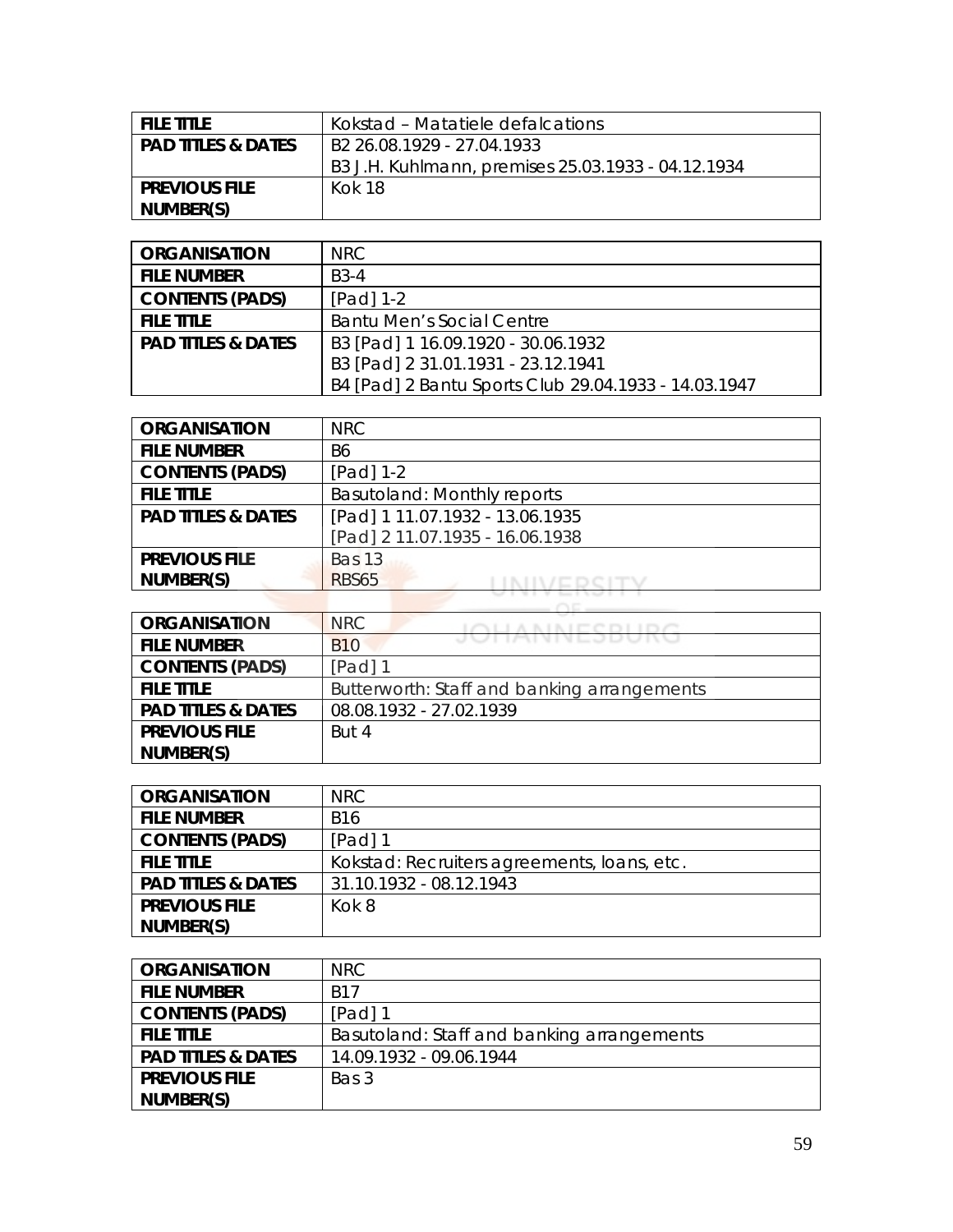| <b>FILE TITLE</b>             | Kokstad – Matatiele defalcations                   |
|-------------------------------|----------------------------------------------------|
| <b>PAD TITLES &amp; DATES</b> | B2 26.08.1929 - 27.04.1933                         |
|                               | B3 J.H. Kuhlmann, premises 25.03.1933 - 04.12.1934 |
| <b>PREVIOUS FILE</b>          | Kok 18                                             |
| NUMBER(S)                     |                                                    |

| <b>ORGANISATION</b>  | NRC                                                  |
|----------------------|------------------------------------------------------|
| <b>FILE NUMBER</b>   | $B3-4$                                               |
| CONTENTS (PADS)      | $[Pad] 1-2$                                          |
| <b>FILE TITLE</b>    | <b>Bantu Men's Social Centre</b>                     |
| l PAD TITLES & DATES | B3 [Pad] 1 16.09.1920 - 30.06.1932                   |
|                      | B3 [Pad] 2 31.01.1931 - 23.12.1941                   |
|                      | B4 [Pad] 2 Bantu Sports Club 29.04.1933 - 14.03.1947 |

| <b>ORGANISATION</b>           | NRC                             |
|-------------------------------|---------------------------------|
| <b>FILE NUMBER</b>            | B6                              |
| <b>CONTENTS (PADS)</b>        | [Pad] 1-2                       |
| <b>FILE TITLE</b>             | Basutoland: Monthly reports     |
| <b>PAD TITLES &amp; DATES</b> | [Pad] 1 11.07.1932 - 13.06.1935 |
|                               | [Pad] 2 11.07.1935 - 16.06.1938 |
| <b>PREVIOUS FILE</b>          | <b>Bas 13</b>                   |
| NUMBER(S)                     | <b>RBS65</b>                    |

| <b>ORGANISATION</b>           | <b>NRC</b><br><b>CLUARINIPPPLINA</b>        |
|-------------------------------|---------------------------------------------|
| <b>FILE NUMBER</b>            | JUITAINNLJDUNU<br><b>B10</b>                |
| <b>CONTENTS (PADS)</b>        | [Pad] 1                                     |
| <b>FILE TITLE</b>             | Butterworth: Staff and banking arrangements |
| <b>PAD TITLES &amp; DATES</b> | 08.08.1932 - 27.02.1939                     |
| <b>PREVIOUS FILE</b>          | But 4                                       |
| NUMBER(S)                     |                                             |

| <b>ORGANISATION</b>           | NRC.                                        |
|-------------------------------|---------------------------------------------|
| <b>FILE NUMBER</b>            | <b>B16</b>                                  |
| <b>CONTENTS (PADS)</b>        | $[Pad]$ 1                                   |
| <b>FILE TITLE</b>             | Kokstad: Recruiters agreements, Ioans, etc. |
| <b>PAD TITLES &amp; DATES</b> | 31.10.1932 - 08.12.1943                     |
| <b>PREVIOUS FILE</b>          | Kok 8                                       |
| NUMBER(S)                     |                                             |

| <b>ORGANISATION</b>           | NRC.                                       |
|-------------------------------|--------------------------------------------|
| <b>FILE NUMBER</b>            | <b>B17</b>                                 |
| <b>CONTENTS (PADS)</b>        | [Pad] 1                                    |
| <b>FILE TITLE</b>             | Basutoland: Staff and banking arrangements |
| <b>PAD TITLES &amp; DATES</b> | 14.09.1932 - 09.06.1944                    |
| <b>PREVIOUS FILE</b>          | Bas 3                                      |
| NUMBER(S)                     |                                            |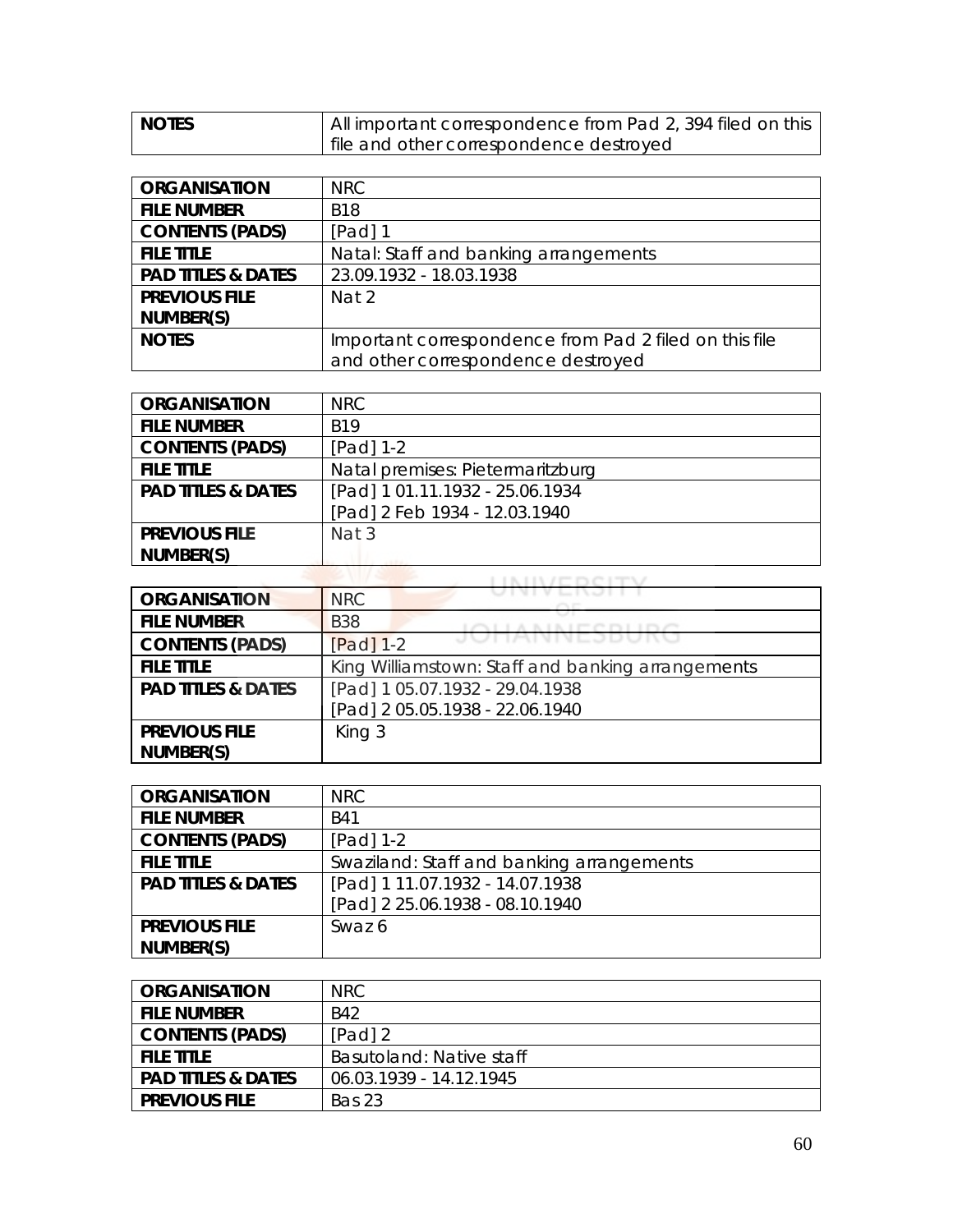| <b>NOTES</b> | All important correspondence from Pad 2, 394 filed on this |
|--------------|------------------------------------------------------------|
|              | I file and other correspondence destroyed                  |

| <b>ORGANISATION</b>           | NRC                                                    |
|-------------------------------|--------------------------------------------------------|
| <b>FILE NUMBER</b>            | <b>B18</b>                                             |
| <b>CONTENTS (PADS)</b>        | $[Pad]$ 1                                              |
| <b>FILE TITLE</b>             | Natal: Staff and banking arrangements                  |
| <b>PAD TITLES &amp; DATES</b> | 23.09.1932 - 18.03.1938                                |
| <b>PREVIOUS FILE</b>          | Nat 2                                                  |
| NUMBER(S)                     |                                                        |
| <b>NOTES</b>                  | Important correspondence from Pad 2 filed on this file |
|                               | and other correspondence destroyed                     |

| <b>ORGANISATION</b>           | NRC.                             |
|-------------------------------|----------------------------------|
| <b>FILE NUMBER</b>            | <b>B19</b>                       |
| <b>CONTENTS (PADS)</b>        | [Pad] 1-2                        |
| <b>FILE TITLE</b>             | Natal premises: Pietermaritzburg |
| <b>PAD TITLES &amp; DATES</b> | [Pad] 1 01.11.1932 - 25.06.1934  |
|                               | [Pad] 2 Feb 1934 - 12.03.1940    |
| <b>PREVIOUS FILE</b>          | Nat 3                            |
| NUMBER(S)                     |                                  |

| <b>ORGANISATION</b>           | <b>NRC</b>                                        |
|-------------------------------|---------------------------------------------------|
| <b>FILE NUMBER</b>            | <b>B</b> 38                                       |
| <b>CONTENTS (PADS)</b>        | UTPULLODUN<br>$[Pad] 1-2$                         |
| <b>FILE TITLE</b>             | King Williamstown: Staff and banking arrangements |
| <b>PAD TITLES &amp; DATES</b> | [Pad] 1 05.07.1932 - 29.04.1938                   |
|                               | [Pad] 2 05.05.1938 - 22.06.1940                   |
| <b>PREVIOUS FILE</b>          | King 3                                            |
| NUMBER(S)                     |                                                   |

| <b>ORGANISATION</b>           | <b>NRC</b>                                |
|-------------------------------|-------------------------------------------|
| <b>FILE NUMBER</b>            | <b>B41</b>                                |
| <b>CONTENTS (PADS)</b>        | $[Pad] 1-2$                               |
| <b>FILE TITLE</b>             | Swaziland: Staff and banking arrangements |
| <b>PAD TITLES &amp; DATES</b> | [Pad] 1 11.07.1932 - 14.07.1938           |
|                               | [Pad] 2 25.06.1938 - 08.10.1940           |
| <b>PREVIOUS FILE</b>          | Swaz 6                                    |
| NUMBER(S)                     |                                           |

| <b>ORGANISATION</b>           | NRC.                     |
|-------------------------------|--------------------------|
| <b>FILE NUMBER</b>            | <b>B42</b>               |
| <b>CONTENTS (PADS)</b>        | $[Pad]$ 2                |
| <b>FILE TITLE</b>             | Basutoland: Native staff |
| <b>PAD TITLES &amp; DATES</b> | 06.03.1939 - 14.12.1945  |
| <b>PREVIOUS FILE</b>          | Bas 23                   |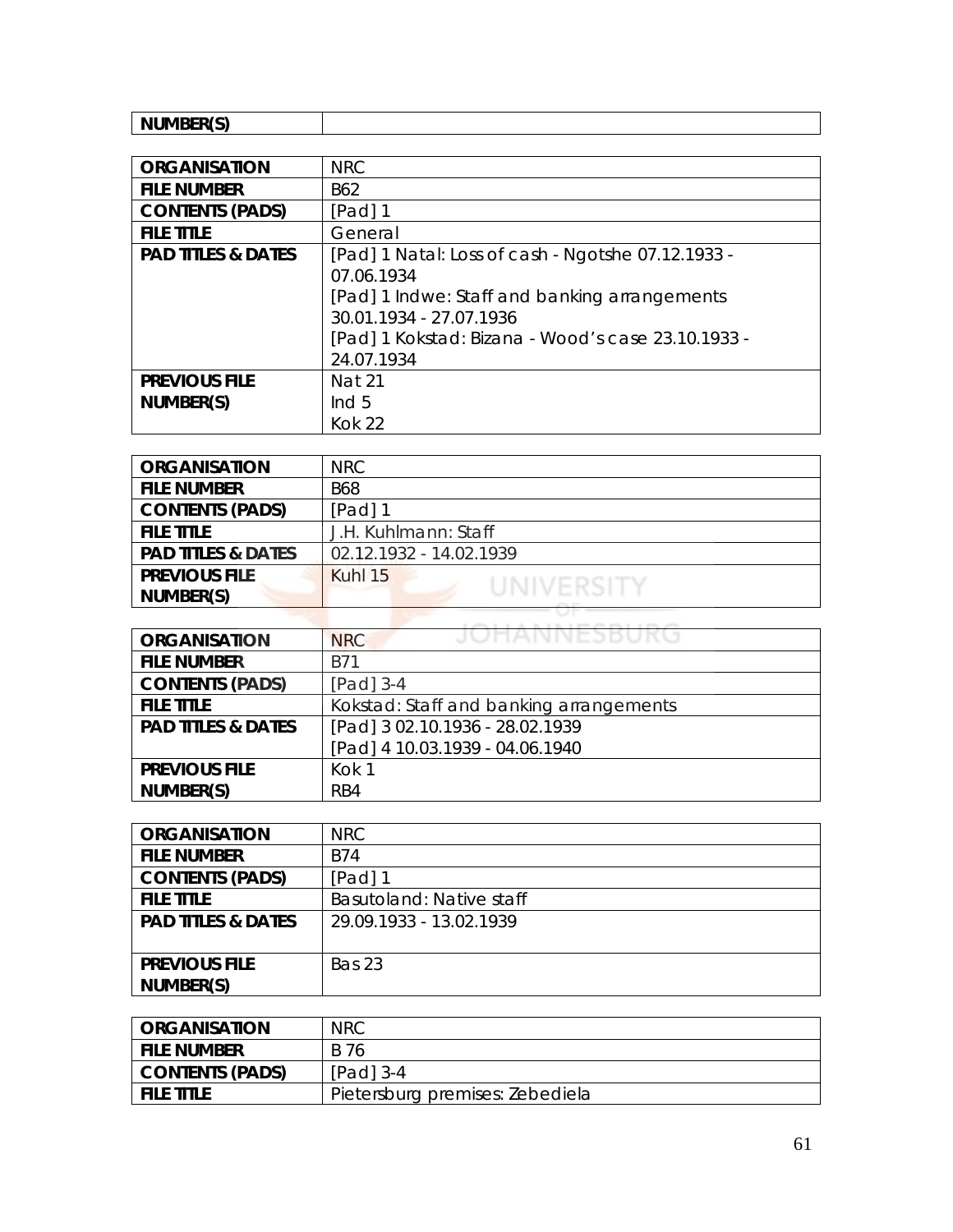| <b> </b><br>N.I. |  |
|------------------|--|
| .                |  |

| <b>ORGANISATION</b>           | <b>NRC</b>                                         |
|-------------------------------|----------------------------------------------------|
| <b>FILE NUMBER</b>            | B62                                                |
| <b>CONTENTS (PADS)</b>        | $[Pad]$ 1                                          |
| <b>FILE TITLE</b>             | General                                            |
| <b>PAD TITLES &amp; DATES</b> | [Pad] 1 Natal: Loss of cash - Ngotshe 07.12.1933 - |
|                               | 07.06.1934                                         |
|                               | [Pad] 1 Indwe: Staff and banking arrangements      |
|                               | 30.01.1934 - 27.07.1936                            |
|                               | [Pad] 1 Kokstad: Bizana - Wood's case 23.10.1933 - |
|                               | 24.07.1934                                         |
| <b>PREVIOUS FILE</b>          | <b>Nat 21</b>                                      |
| NUMBER(S)                     | Ind $5$                                            |
|                               | <b>Kok 22</b>                                      |

| <b>ORGANISATION</b>           | <b>NRC</b>              |
|-------------------------------|-------------------------|
| <b>FILE NUMBER</b>            | <b>B68</b>              |
| <b>CONTENTS (PADS)</b>        | [Pad] 1                 |
| <b>FILE TITLE</b>             | J.H. Kuhlmann: Staff    |
| <b>PAD TITLES &amp; DATES</b> | 02.12.1932 - 14.02.1939 |
| <b>PREVIOUS FILE</b>          | Kuhl 15<br>UNIVERSITY   |
| NUMBER(S)                     |                         |
|                               |                         |

| <b>ORGANISATION</b>           | JOHANNESBUKG<br><b>NRC</b>              |
|-------------------------------|-----------------------------------------|
| <b>FILE NUMBER</b>            | <b>B71</b>                              |
| <b>CONTENTS (PADS)</b>        | [Pad] 3-4                               |
| <b>FILE TITLE</b>             | Kokstad: Staff and banking arrangements |
| <b>PAD TITLES &amp; DATES</b> | [Pad] 3 02.10.1936 - 28.02.1939         |
|                               | [Pad] 4 10.03.1939 - 04.06.1940         |
| <b>PREVIOUS FILE</b>          | Kok 1                                   |
| NUMBER(S)                     | RB4                                     |

| <b>ORGANISATION</b>           | NRC                      |
|-------------------------------|--------------------------|
| <b>FILE NUMBER</b>            | B74                      |
| <b>CONTENTS (PADS)</b>        | [Pad] 1                  |
| <b>FILE TITLE</b>             | Basutoland: Native staff |
| <b>PAD TITLES &amp; DATES</b> | 29.09.1933 - 13.02.1939  |
|                               |                          |
| <b>PREVIOUS FILE</b>          | <b>Bas 23</b>            |
| NUMBER(S)                     |                          |

| I ORGANISATION  | <b>NRC</b>                      |
|-----------------|---------------------------------|
| i file number   | B 76                            |
| CONTENTS (PADS) | $[Pad]$ 3-4                     |
| I FILE TITLE    | Pietersburg premises: Zebediela |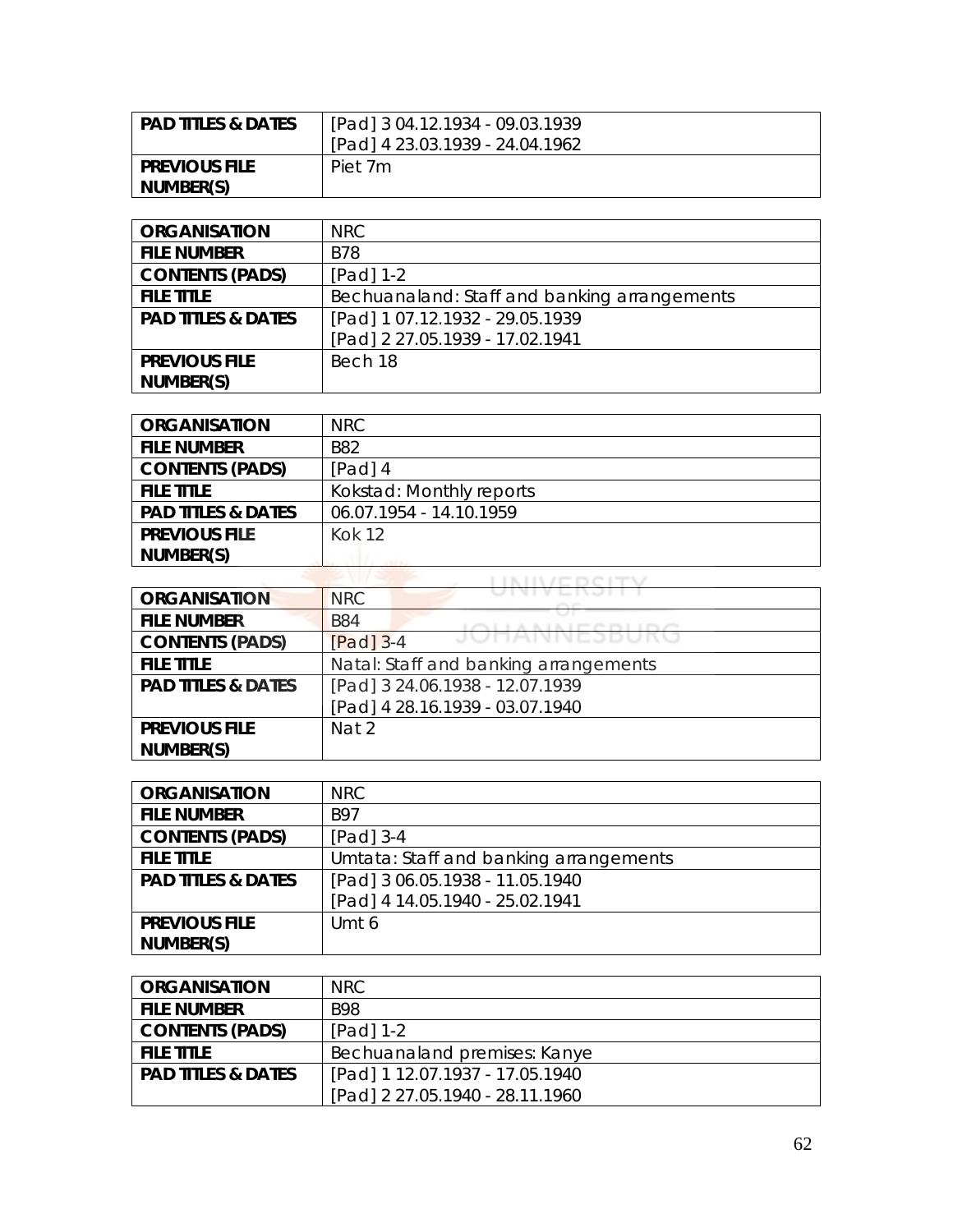| <b>PAD TITLES &amp; DATES</b> | [Pad] 3 04.12.1934 - 09.03.1939<br>[Pad] 4 23.03.1939 - 24.04.1962 |
|-------------------------------|--------------------------------------------------------------------|
| <b>PREVIOUS FILE</b>          | Piet 7m                                                            |
| NUMBER(S)                     |                                                                    |

| <b>ORGANISATION</b>           | NRC                                          |
|-------------------------------|----------------------------------------------|
| <b>FILE NUMBER</b>            | <b>B78</b>                                   |
| <b>CONTENTS (PADS)</b>        | $[Pad] 1-2$                                  |
| <b>FILE TITLE</b>             | Bechuanaland: Staff and banking arrangements |
| <b>PAD TITLES &amp; DATES</b> | [Pad] 1 07.12.1932 - 29.05.1939              |
|                               | [Pad] 2 27.05.1939 - 17.02.1941              |
| <b>PREVIOUS FILE</b>          | Bech 18                                      |
| NUMBER(S)                     |                                              |

| <b>ORGANISATION</b>           | NRC.                     |
|-------------------------------|--------------------------|
| <b>FILE NUMBER</b>            | <b>B82</b>               |
| <b>CONTENTS (PADS)</b>        | $[Pad]$ 4                |
| <b>FILE TITLE</b>             | Kokstad: Monthly reports |
| <b>PAD TITLES &amp; DATES</b> | 06.07.1954 - 14.10.1959  |
| <b>PREVIOUS FILE</b>          | Kok 12                   |
| NUMBER(S)                     |                          |
|                               | __________________       |

| <b>ORGANISATION</b>           | <b>NRC</b>                            |
|-------------------------------|---------------------------------------|
| <b>FILE NUMBER</b>            | <b>B84</b>                            |
| <b>CONTENTS (PADS)</b>        | JUNANNEJDUNU<br>$[Pad]$ 3-4           |
| <b>FILE TITLE</b>             | Natal: Staff and banking arrangements |
| <b>PAD TITLES &amp; DATES</b> | [Pad] 3 24.06.1938 - 12.07.1939       |
|                               | [Pad] 4 28.16.1939 - 03.07.1940       |
| <b>PREVIOUS FILE</b>          | Nat 2                                 |
| NUMBER(S)                     |                                       |

| <b>ORGANISATION</b>           | NRC.                                   |
|-------------------------------|----------------------------------------|
| <b>FILE NUMBER</b>            | <b>B97</b>                             |
| <b>CONTENTS (PADS)</b>        | $[Pad]$ 3-4                            |
| <b>FILE TITLE</b>             | Umtata: Staff and banking arrangements |
| <b>PAD TITLES &amp; DATES</b> | [Pad] 3 06.05.1938 - 11.05.1940        |
|                               | [Pad] 4 14.05.1940 - 25.02.1941        |
| <b>PREVIOUS FILE</b>          | Umt 6                                  |
| NUMBER(S)                     |                                        |

| <b>ORGANISATION</b>           | NRC.                            |
|-------------------------------|---------------------------------|
| <b>FILE NUMBER</b>            | <b>B98</b>                      |
| <b>CONTENTS (PADS)</b>        | $[Pad] 1-2$                     |
| <b>FILE TITLE</b>             | Bechuanaland premises: Kanye    |
| <b>PAD TITLES &amp; DATES</b> | [Pad] 1 12.07.1937 - 17.05.1940 |
|                               | [Pad] 2 27.05.1940 - 28.11.1960 |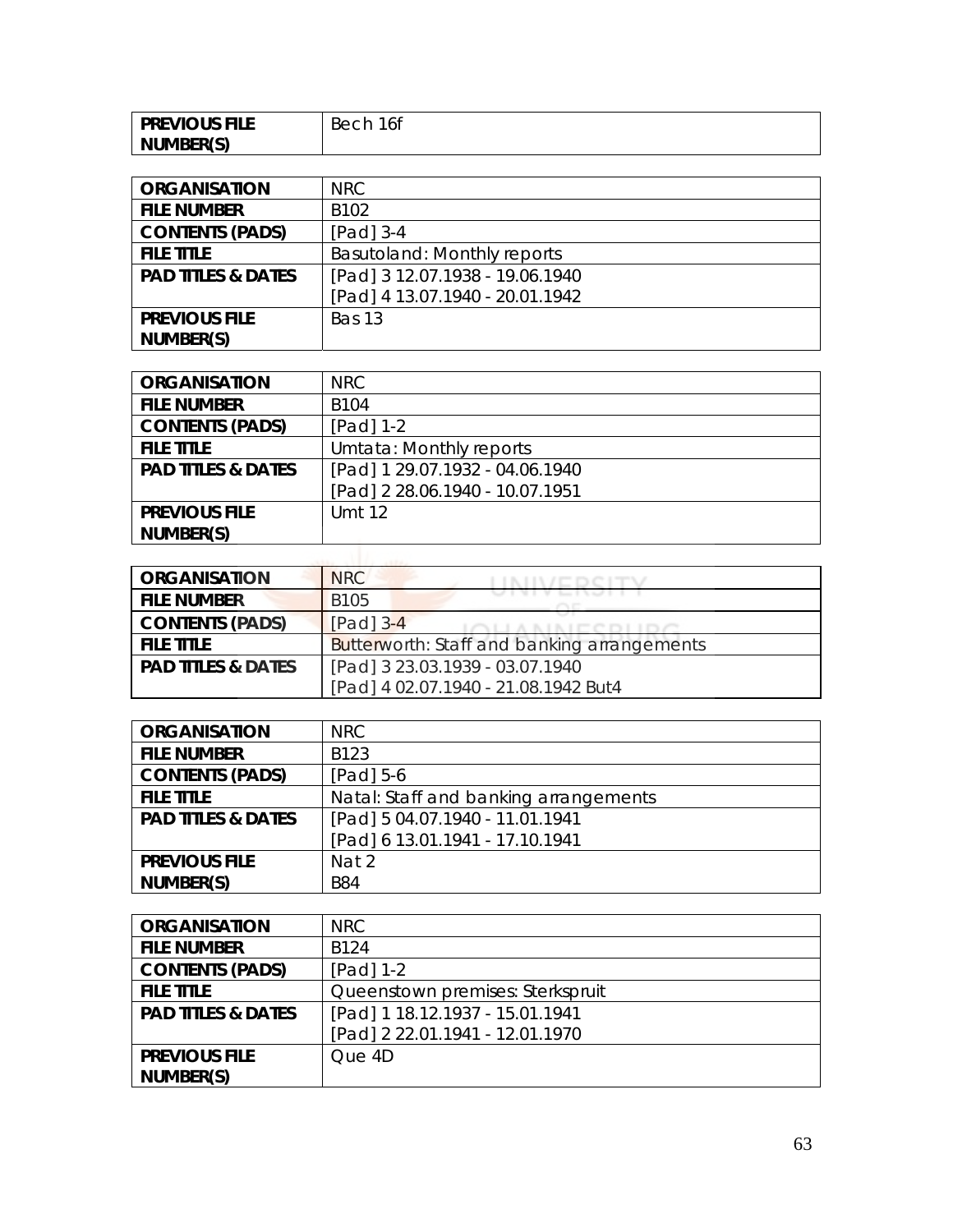| <b>PREVIOUS FILE</b> | 16f<br>. Becr |
|----------------------|---------------|
| NUMBER(S)            |               |

| <b>ORGANISATION</b>           | NRC.                            |
|-------------------------------|---------------------------------|
| <b>FILE NUMBER</b>            | B <sub>102</sub>                |
| <b>CONTENTS (PADS)</b>        | $[Pad]$ 3-4                     |
| <b>FILE TITLE</b>             | Basutoland: Monthly reports     |
| <b>PAD TITLES &amp; DATES</b> | [Pad] 3 12.07.1938 - 19.06.1940 |
|                               | [Pad] 4 13.07.1940 - 20.01.1942 |
| <b>PREVIOUS FILE</b>          | Bas 13                          |
| NUMBER(S)                     |                                 |

| <b>ORGANISATION</b>           | NRC                             |
|-------------------------------|---------------------------------|
| <b>FILE NUMBER</b>            | B <sub>104</sub>                |
| <b>CONTENTS (PADS)</b>        | [Pad] 1-2                       |
| <b>FILE TITLE</b>             | Umtata: Monthly reports         |
| <b>PAD TITLES &amp; DATES</b> | [Pad] 1 29.07.1932 - 04.06.1940 |
|                               | [Pad] 2 28.06.1940 - 10.07.1951 |
| <b>PREVIOUS FILE</b>          | Umt 12                          |
| NUMBER(S)                     |                                 |

| <b>ORGANISATION</b>           | <b>NRC</b>                                         |
|-------------------------------|----------------------------------------------------|
| <b>FILE NUMBER</b>            | <b>B105</b>                                        |
| <b>CONTENTS (PADS)</b>        | $[Pad]$ 3-4                                        |
| <b>FILE TITLE</b>             | <b>Butterworth: Staff and banking arrangements</b> |
| <b>PAD TITLES &amp; DATES</b> | [Pad] 3 23.03.1939 - 03.07.1940                    |
|                               | [Pad] 4 02.07.1940 - 21.08.1942 But4               |

| <b>ORGANISATION</b>           | NRC.                                  |
|-------------------------------|---------------------------------------|
| <b>FILE NUMBER</b>            | B123                                  |
| <b>CONTENTS (PADS)</b>        | $[Pad] 5-6$                           |
| <b>FILE TITLE</b>             | Natal: Staff and banking arrangements |
| <b>PAD TITLES &amp; DATES</b> | [Pad] 5 04.07.1940 - 11.01.1941       |
|                               | [Pad] 6 13.01.1941 - 17.10.1941       |
| <b>PREVIOUS FILE</b>          | Nat 2                                 |
| NUMBER(S)                     | <b>B84</b>                            |

| <b>ORGANISATION</b>           | NRC.                             |
|-------------------------------|----------------------------------|
| <b>FILE NUMBER</b>            | B <sub>124</sub>                 |
| <b>CONTENTS (PADS)</b>        | $[Pad] 1-2$                      |
| <b>FILE TITLE</b>             | Queenstown premises: Sterkspruit |
| <b>PAD TITLES &amp; DATES</b> | [Pad] 1 18.12.1937 - 15.01.1941  |
|                               | [Pad] 2 22.01.1941 - 12.01.1970  |
| <b>PREVIOUS FILE</b>          | Que 4D                           |
| NUMBER(S)                     |                                  |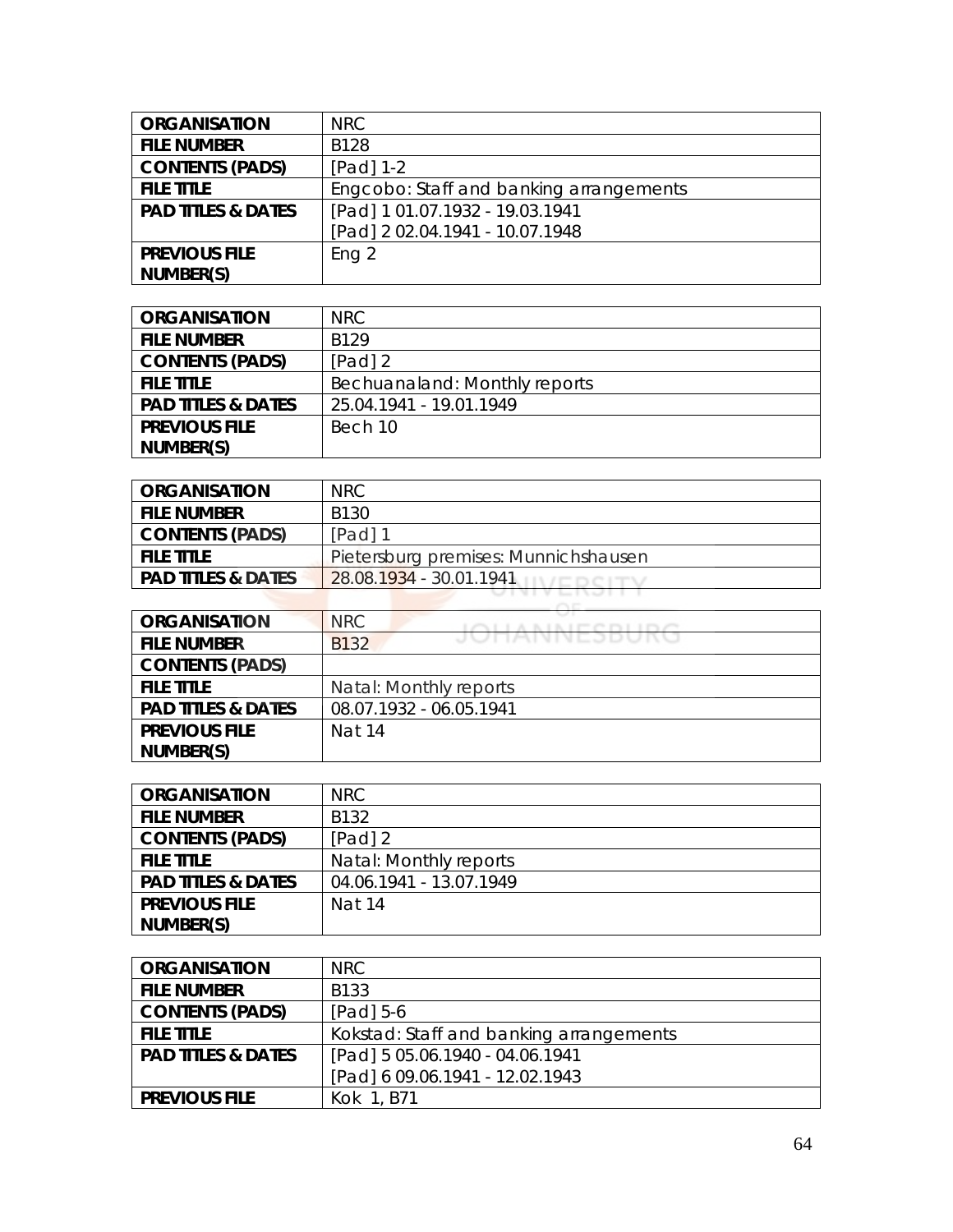| <b>ORGANISATION</b>           | <b>NRC</b>                              |
|-------------------------------|-----------------------------------------|
| <b>FILE NUMBER</b>            | <b>B128</b>                             |
| <b>CONTENTS (PADS)</b>        | $[Pad] 1-2$                             |
| <b>FILE TITLE</b>             | Engcobo: Staff and banking arrangements |
| <b>PAD TITLES &amp; DATES</b> | [Pad] 1 01.07.1932 - 19.03.1941         |
|                               | [Pad] 2 02.04.1941 - 10.07.1948         |
| <b>PREVIOUS FILE</b>          | Eng 2                                   |
| NUMBER(S)                     |                                         |

| <b>ORGANISATION</b>           | NRC.                          |
|-------------------------------|-------------------------------|
| <b>FILE NUMBER</b>            | R <sub>129</sub>              |
| <b>CONTENTS (PADS)</b>        | $[Pad]$ 2                     |
| <b>FILE TITLE</b>             | Bechuanaland: Monthly reports |
| <b>PAD TITLES &amp; DATES</b> | 25.04.1941 - 19.01.1949       |
| <b>PREVIOUS FILE</b>          | Bech 10                       |
| NUMBER(S)                     |                               |

| <b>ORGANISATION</b>           | NRC.                                 |
|-------------------------------|--------------------------------------|
| <b>FILE NUMBER</b>            | B130                                 |
| <b>CONTENTS (PADS)</b>        | $[Pad]$ 1                            |
| <b>FILE TITLE</b>             | Pietersburg premises: Munnichshausen |
| <b>PAD TITLES &amp; DATES</b> | 28.08.1934 - 30.01.1941              |

| <b>ORGANISATION</b>           | NRC<br>LOUIS A BLAIR COLLEGY |
|-------------------------------|------------------------------|
| <b>FILE NUMBER</b>            | JUHANNEJDUNU<br><b>B132</b>  |
| <b>CONTENTS (PADS)</b>        |                              |
| <b>FILE TITLE</b>             | Natal: Monthly reports       |
| <b>PAD TITLES &amp; DATES</b> | 08.07.1932 - 06.05.1941      |
| <b>PREVIOUS FILE</b>          | Nat 14                       |
| NUMBER(S)                     |                              |

| <b>ORGANISATION</b>           | NRC.                    |
|-------------------------------|-------------------------|
| <b>FILE NUMBER</b>            | B132                    |
| <b>CONTENTS (PADS)</b>        | $[Pad]$ 2               |
| <b>FILE TITLE</b>             | Natal: Monthly reports  |
| <b>PAD TITLES &amp; DATES</b> | 04.06.1941 - 13.07.1949 |
| <b>PREVIOUS FILE</b>          | Nat 14                  |
| NUMBER(S)                     |                         |

| <b>ORGANISATION</b>           | NRC.                                    |
|-------------------------------|-----------------------------------------|
| <b>FILE NUMBER</b>            | B133                                    |
| <b>CONTENTS (PADS)</b>        | $[Pad] 5-6$                             |
| <b>FILE TITLE</b>             | Kokstad: Staff and banking arrangements |
| <b>PAD TITLES &amp; DATES</b> | [Pad] 5 05.06.1940 - 04.06.1941         |
|                               | [Pad] 6 09.06.1941 - 12.02.1943         |
| <b>PREVIOUS FILE</b>          | Kok 1, B71                              |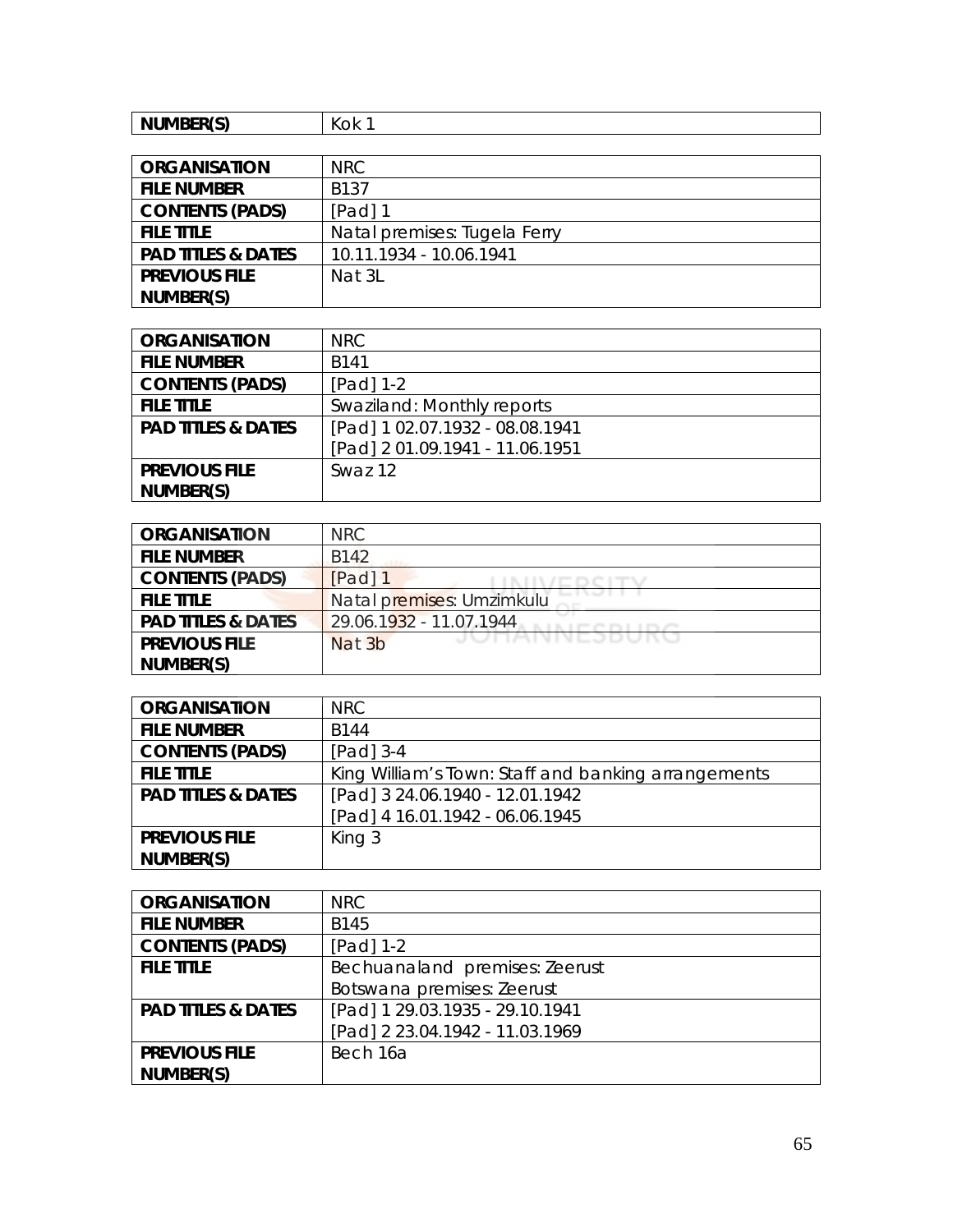| NUMBER(S)<br>. | $\mathbf{z}$<br>√OK. |
|----------------|----------------------|
|----------------|----------------------|

| <b>ORGANISATION</b>           | NRC                          |
|-------------------------------|------------------------------|
| <b>FILE NUMBER</b>            | <b>B137</b>                  |
| <b>CONTENTS (PADS)</b>        | [Pad] 1                      |
| <b>FILE TITLE</b>             | Natal premises: Tugela Ferry |
| <b>PAD TITLES &amp; DATES</b> | 10.11.1934 - 10.06.1941      |
| <b>PREVIOUS FILE</b>          | Nat 3L                       |
| NUMBER(S)                     |                              |

| <b>ORGANISATION</b>           | NRC.                            |
|-------------------------------|---------------------------------|
| <b>FILE NUMBER</b>            | B141                            |
| <b>CONTENTS (PADS)</b>        | $[Pad] 1-2$                     |
| <b>FILE TITLE</b>             | Swaziland: Monthly reports      |
| <b>PAD TITLES &amp; DATES</b> | [Pad] 1 02.07.1932 - 08.08.1941 |
|                               | [Pad] 2 01.09.1941 - 11.06.1951 |
| <b>PREVIOUS FILE</b>          | Swaz 12                         |
| NUMBER(S)                     |                                 |

| <b>ORGANISATION</b>           | NRC                       |
|-------------------------------|---------------------------|
| <b>FILE NUMBER</b>            | B142                      |
| <b>CONTENTS (PADS)</b>        | [Pad] 1                   |
| <b>FILE TITLE</b>             | Natal premises: Umzimkulu |
| <b>PAD TITLES &amp; DATES</b> | 29.06.1932 - 11.07.1944   |
| <b>PREVIOUS FILE</b>          | JUNNNEJDUNU<br>Nat 3b     |
| NUMBER(S)                     |                           |

| <b>ORGANISATION</b>           | NRC.                                                |
|-------------------------------|-----------------------------------------------------|
| <b>FILE NUMBER</b>            | B144                                                |
| <b>CONTENTS (PADS)</b>        | $[Pad]$ 3-4                                         |
| <b>FILE TITLE</b>             | King William's Town: Staff and banking arrangements |
| <b>PAD TITLES &amp; DATES</b> | [Pad] 3 24.06.1940 - 12.01.1942                     |
|                               | [Pad] 4 16.01.1942 - 06.06.1945                     |
| <b>PREVIOUS FILE</b>          | King 3                                              |
| NUMBER(S)                     |                                                     |

| <b>ORGANISATION</b>           | <b>NRC</b>                      |
|-------------------------------|---------------------------------|
| <b>FILE NUMBER</b>            | B145                            |
| <b>CONTENTS (PADS)</b>        | $[Pad] 1-2$                     |
| <b>FILE TITLE</b>             | Bechuanaland premises: Zeerust  |
|                               | Botswana premises: Zeerust      |
| <b>PAD TITLES &amp; DATES</b> | [Pad] 1 29.03.1935 - 29.10.1941 |
|                               | [Pad] 2 23.04.1942 - 11.03.1969 |
| <b>PREVIOUS FILE</b>          | Bech 16a                        |
| NUMBER(S)                     |                                 |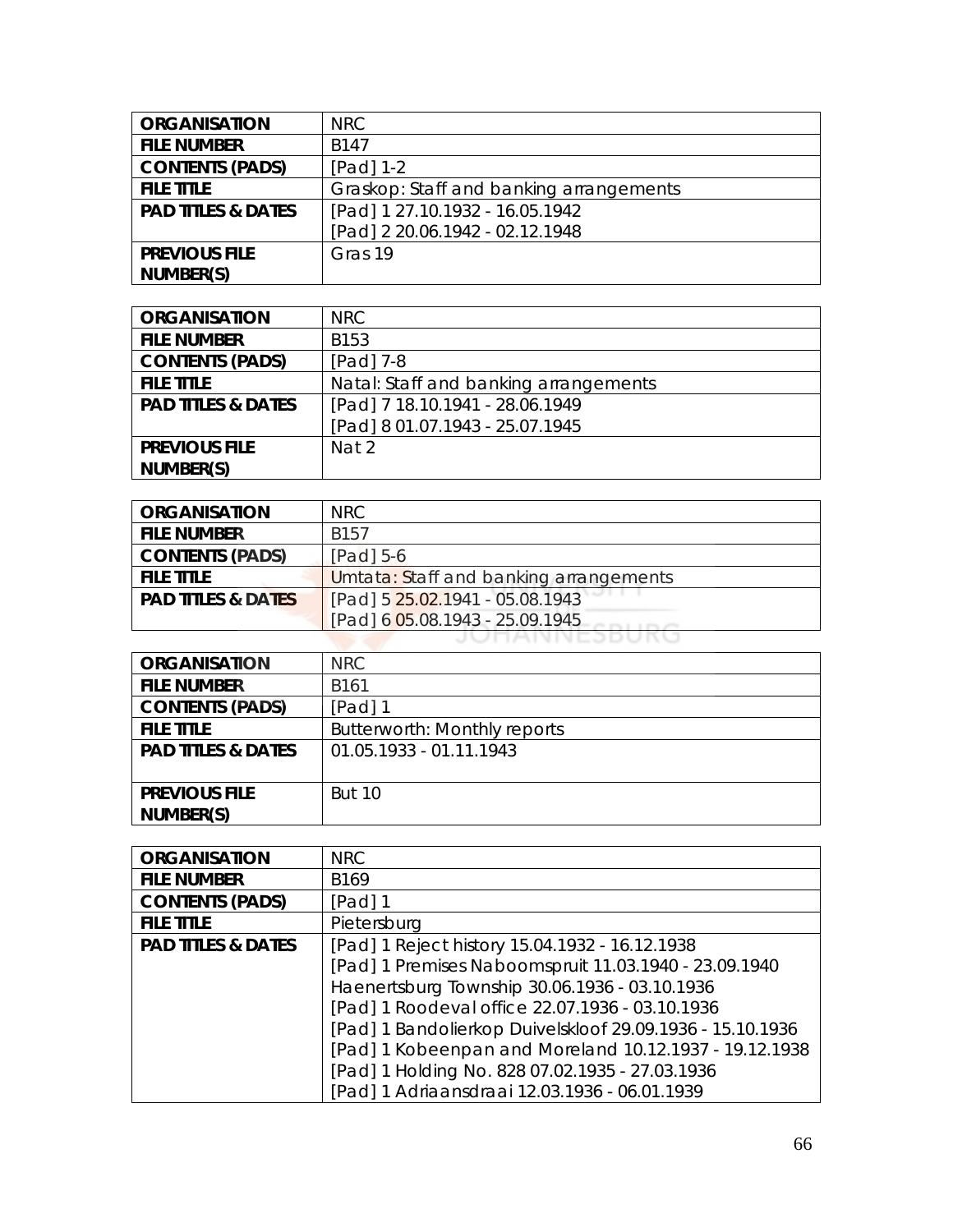| <b>ORGANISATION</b>           | <b>NRC</b>                              |
|-------------------------------|-----------------------------------------|
| <b>FILE NUMBER</b>            | <b>B147</b>                             |
| <b>CONTENTS (PADS)</b>        | $[Pad] 1-2$                             |
| <b>FILE TITLE</b>             | Graskop: Staff and banking arrangements |
| <b>PAD TITLES &amp; DATES</b> | [Pad] 1 27.10.1932 - 16.05.1942         |
|                               | [Pad] 2 20.06.1942 - 02.12.1948         |
| <b>PREVIOUS FILE</b>          | Gras 19                                 |
| NUMBER(S)                     |                                         |

| <b>ORGANISATION</b>           | NRC.                                  |
|-------------------------------|---------------------------------------|
| <b>FILE NUMBER</b>            | B153                                  |
| <b>CONTENTS (PADS)</b>        | $[Pad]$ 7-8                           |
| <b>FILE TITLE</b>             | Natal: Staff and banking arrangements |
| <b>PAD TITLES &amp; DATES</b> | [Pad] 7 18.10.1941 - 28.06.1949       |
|                               | [Pad] 8 01.07.1943 - 25.07.1945       |
| <b>PREVIOUS FILE</b>          | Nat 2                                 |
| NUMBER(S)                     |                                       |

| <b>ORGANISATION</b>           | NRC.                                   |
|-------------------------------|----------------------------------------|
| <b>FILE NUMBER</b>            | <b>B157</b>                            |
| <b>CONTENTS (PADS)</b>        | $[Pad]$ 5-6                            |
| <b>FILE TITLE</b>             | Umtata: Staff and banking arrangements |
| <b>PAD TITLES &amp; DATES</b> | [Pad] 5 25.02.1941 - 05.08.1943        |
|                               | [Pad] 6 05.08.1943 - 25.09.1945        |
|                               | UTANNEJD                               |

| <b>ORGANISATION</b>           | NRC.                         |
|-------------------------------|------------------------------|
| <b>FILE NUMBER</b>            | B161                         |
| <b>CONTENTS (PADS)</b>        | [Pad] 1                      |
| <b>FILE TITLE</b>             | Butterworth: Monthly reports |
| <b>PAD TITLES &amp; DATES</b> | 01.05.1933 - 01.11.1943      |
|                               |                              |
| <b>PREVIOUS FILE</b>          | <b>But 10</b>                |
| NUMBER(S)                     |                              |

| <b>ORGANISATION</b>           | <b>NRC</b>                                                |
|-------------------------------|-----------------------------------------------------------|
| <b>FILE NUMBER</b>            | B <sub>169</sub>                                          |
| <b>CONTENTS (PADS)</b>        | [Pad] 1                                                   |
| <b>FILE TITLE</b>             | Pietersburg                                               |
| <b>PAD TITLES &amp; DATES</b> | [Pad] 1 Reject history 15.04.1932 - 16.12.1938            |
|                               | [Pad] 1 Premises Naboomspruit 11.03.1940 - 23.09.1940     |
|                               | Haenertsburg Township 30.06.1936 - 03.10.1936             |
|                               | [Pad] 1 Roodeval office 22.07.1936 - 03.10.1936           |
|                               | [Pad] 1 Bandolierkop Duivelskloof 29.09.1936 - 15.10.1936 |
|                               | [Pad] 1 Kobeenpan and Moreland 10.12.1937 - 19.12.1938    |
|                               | [Pad] 1 Holding No. 828 07.02.1935 - 27.03.1936           |
|                               | [Pad] 1 Adriaansdraai 12.03.1936 - 06.01.1939             |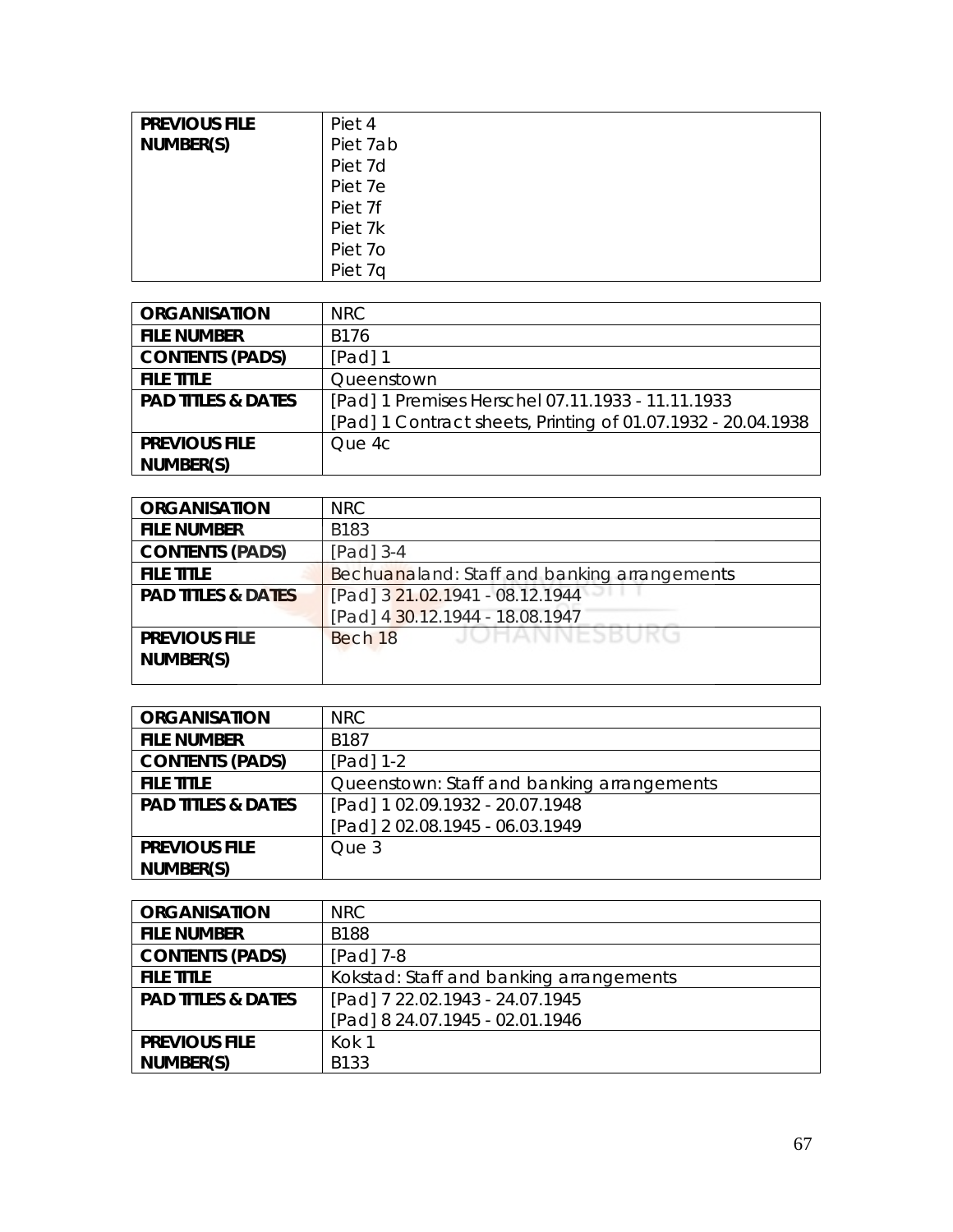| <b>PREVIOUS FILE</b> | Piet 4   |
|----------------------|----------|
| NUMBER(S)            | Piet 7ab |
|                      | Piet 7d  |
|                      | Piet 7e  |
|                      | Piet 7f  |
|                      | Piet 7k  |
|                      | Piet 7o  |
|                      | Piet 7q  |

| <b>ORGANISATION</b>           | NRC                                                          |
|-------------------------------|--------------------------------------------------------------|
| <b>FILE NUMBER</b>            | B176                                                         |
| <b>CONTENTS (PADS)</b>        | $[Pad]$ 1                                                    |
| <b>FILE TITLE</b>             | Queenstown                                                   |
| <b>PAD TITLES &amp; DATES</b> | [Pad] 1 Premises Herschel 07.11.1933 - 11.11.1933            |
|                               | [Pad] 1 Contract sheets, Printing of 01.07.1932 - 20.04.1938 |
| <b>PREVIOUS FILE</b>          | Oue 4c                                                       |
| NUMBER(S)                     |                                                              |

| <b>ORGANISATION</b>           | NRC.                                         |
|-------------------------------|----------------------------------------------|
| <b>FILE NUMBER</b>            | B183                                         |
| <b>CONTENTS (PADS)</b>        | [Pad] 3-4                                    |
| <b>FILE TITLE</b>             | Bechuanaland: Staff and banking arrangements |
| <b>PAD TITLES &amp; DATES</b> | [Pad] 3 21.02.1941 - 08.12.1944              |
|                               | [Pad] 4 30.12.1944 - 18.08.1947              |
| <b>PREVIOUS FILE</b>          | JOHANNESBUKU<br>Bech 18                      |
| NUMBER(S)                     |                                              |
|                               |                                              |

| <b>ORGANISATION</b>           | NRC                                        |
|-------------------------------|--------------------------------------------|
| <b>FILE NUMBER</b>            | <b>B187</b>                                |
| <b>CONTENTS (PADS)</b>        | $[Pad] 1-2$                                |
| <b>FILE TITLE</b>             | Queenstown: Staff and banking arrangements |
| <b>PAD TITLES &amp; DATES</b> | [Pad] 1 02.09.1932 - 20.07.1948            |
|                               | [Pad] 202.08.1945 - 06.03.1949             |
| <b>PREVIOUS FILE</b>          | Que 3                                      |
| NUMBER(S)                     |                                            |

| <b>ORGANISATION</b>           | NRC                                     |
|-------------------------------|-----------------------------------------|
| <b>FILE NUMBER</b>            | <b>B188</b>                             |
| <b>CONTENTS (PADS)</b>        | $[Pad]$ 7-8                             |
| <b>FILE TITLE</b>             | Kokstad: Staff and banking arrangements |
| <b>PAD TITLES &amp; DATES</b> | [Pad] 7 22.02.1943 - 24.07.1945         |
|                               | [Pad] 8 24.07.1945 - 02.01.1946         |
| <b>PREVIOUS FILE</b>          | Kok 1                                   |
| NUMBER(S)                     | <b>B133</b>                             |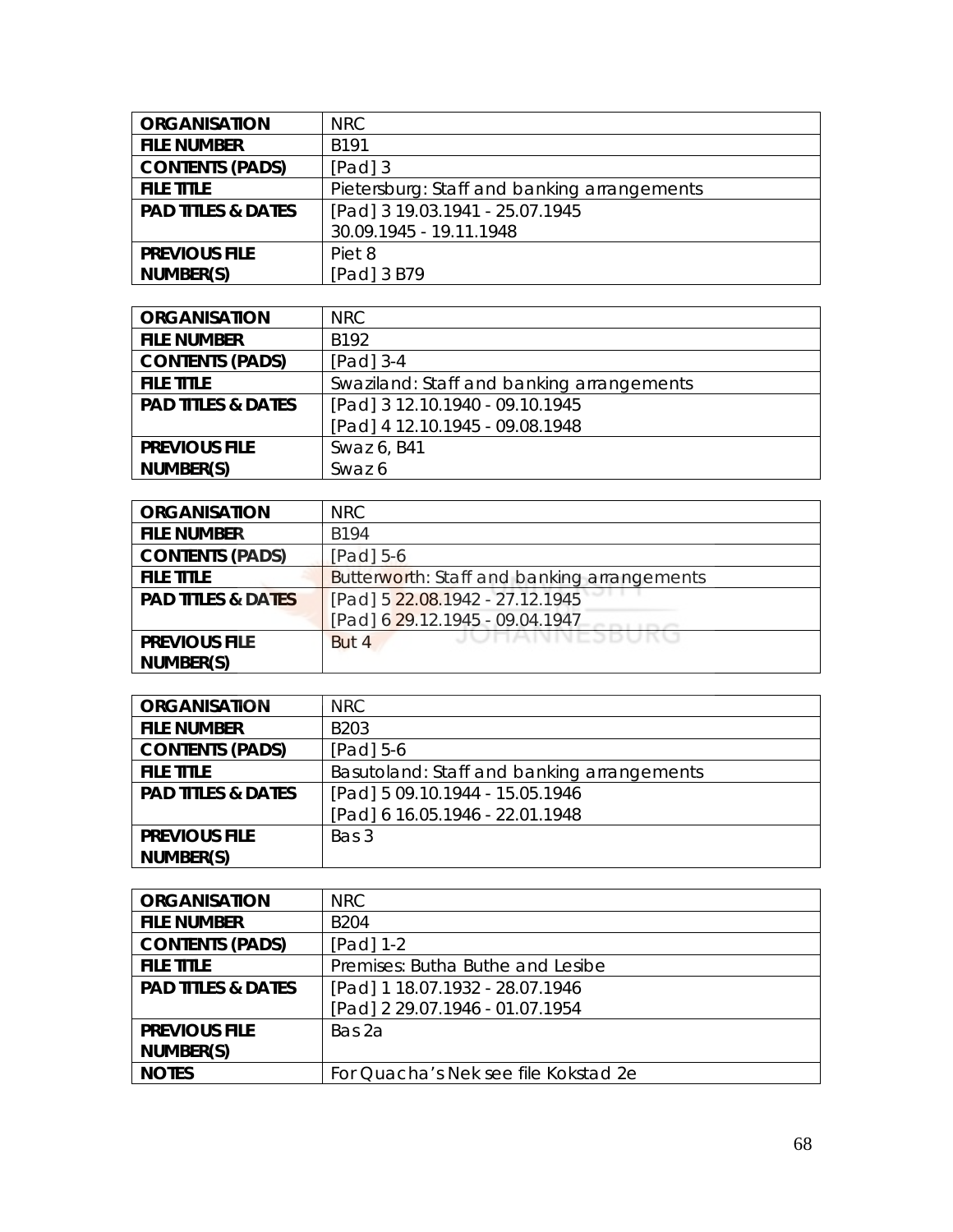| <b>ORGANISATION</b>           | NRC                                         |
|-------------------------------|---------------------------------------------|
| <b>FILE NUMBER</b>            | <b>B191</b>                                 |
| <b>CONTENTS (PADS)</b>        | $[Pad]$ 3                                   |
| <b>FILE TITLE</b>             | Pietersburg: Staff and banking arrangements |
| <b>PAD TITLES &amp; DATES</b> | [Pad] 3 19.03.1941 - 25.07.1945             |
|                               | 30.09.1945 - 19.11.1948                     |
| <b>PREVIOUS FILE</b>          | Piet 8                                      |
| NUMBER(S)                     | [Pad] 3 B79                                 |

| <b>ORGANISATION</b>           | NRC.                                      |
|-------------------------------|-------------------------------------------|
| <b>FILE NUMBER</b>            | B <sub>192</sub>                          |
| <b>CONTENTS (PADS)</b>        | $[Pad]$ 3-4                               |
| <b>FILE TITLE</b>             | Swaziland: Staff and banking arrangements |
| <b>PAD TITLES &amp; DATES</b> | [Pad] 3 12.10.1940 - 09.10.1945           |
|                               | [Pad] 4 12.10.1945 - 09.08.1948           |
| <b>PREVIOUS FILE</b>          | Swaz 6, B41                               |
| NUMBER(S)                     | Swaz 6                                    |

| <b>ORGANISATION</b>           | NRC                                         |
|-------------------------------|---------------------------------------------|
| <b>FILE NUMBER</b>            | B194                                        |
| <b>CONTENTS (PADS)</b>        | $[Pad]$ 5-6                                 |
| <b>FILE TITLE</b>             | Butterworth: Staff and banking arrangements |
| <b>PAD TITLES &amp; DATES</b> | [Pad] 5 22.08.1942 - 27.12.1945             |
|                               | [Pad] 6 29.12.1945 - 09.04.1947             |
| <b>PREVIOUS FILE</b>          | <b>JUHANNESBUKU</b><br>But 4                |
| NUMBER(S)                     |                                             |

| <b>ORGANISATION</b>           | <b>NRC</b>                                 |
|-------------------------------|--------------------------------------------|
| <b>FILE NUMBER</b>            | B <sub>203</sub>                           |
| <b>CONTENTS (PADS)</b>        | $[Pad]$ 5-6                                |
| <b>FILE TITLE</b>             | Basutoland: Staff and banking arrangements |
| <b>PAD TITLES &amp; DATES</b> | [Pad] 5 09.10.1944 - 15.05.1946            |
|                               | [Pad] 6 16.05.1946 - 22.01.1948            |
| <b>PREVIOUS FILE</b>          | Bas 3                                      |
| NUMBER(S)                     |                                            |

| <b>ORGANISATION</b>           | NRC                                  |
|-------------------------------|--------------------------------------|
| <b>FILE NUMBER</b>            | <b>B204</b>                          |
| <b>CONTENTS (PADS)</b>        | [Pad] $1-2$                          |
| <b>FILE TITLE</b>             | Premises: Butha Buthe and Lesibe     |
| <b>PAD TITLES &amp; DATES</b> | [Pad] 1 18.07.1932 - 28.07.1946      |
|                               | [Pad] 2 29.07.1946 - 01.07.1954      |
| <b>PREVIOUS FILE</b>          | Bas 2a                               |
| NUMBER(S)                     |                                      |
| <b>NOTES</b>                  | For Quacha's Nek see file Kokstad 2e |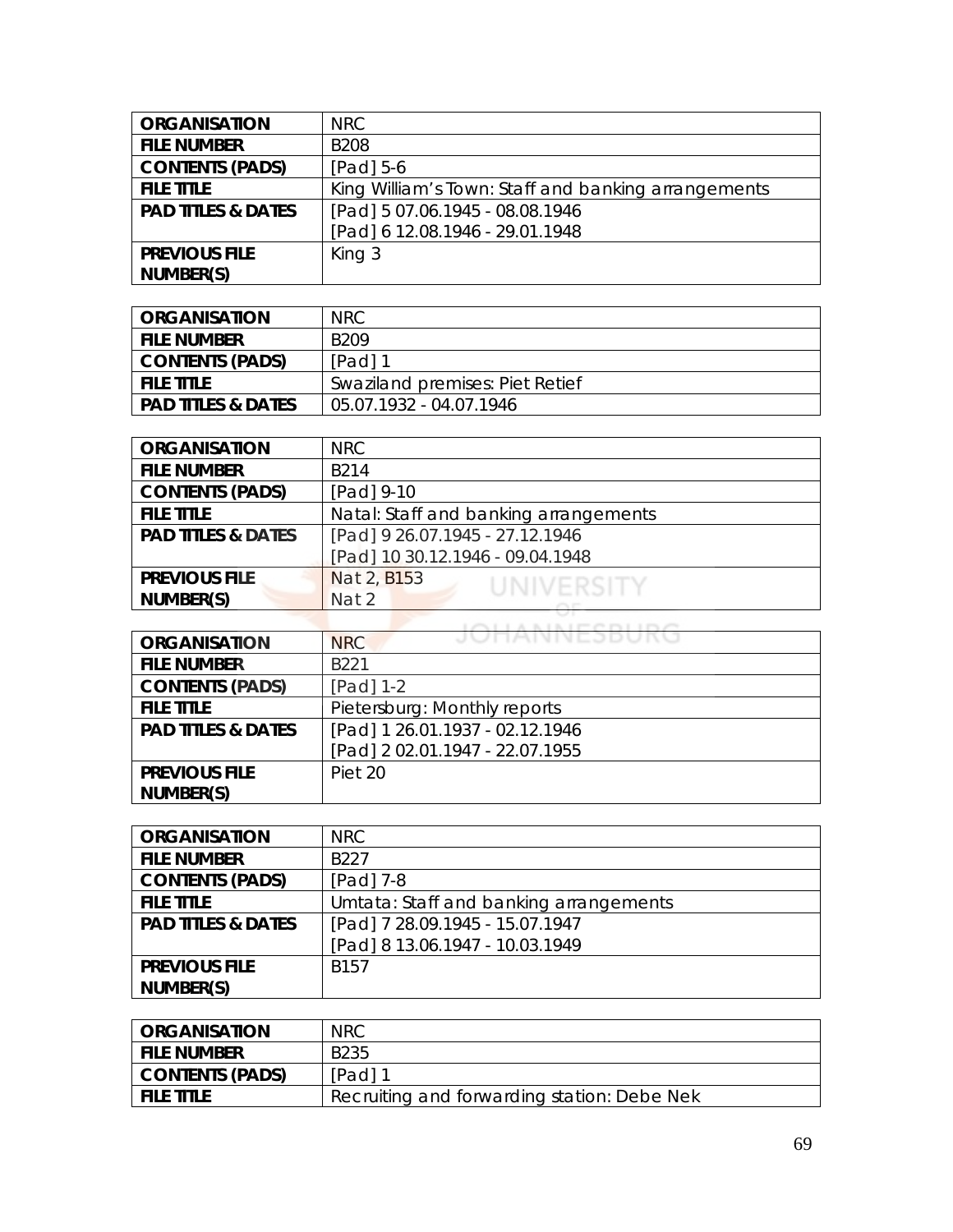| <b>ORGANISATION</b>           | NRC                                                 |
|-------------------------------|-----------------------------------------------------|
| <b>FILE NUMBER</b>            | <b>B208</b>                                         |
| <b>CONTENTS (PADS)</b>        | $[Pad] 5-6$                                         |
| <b>FILE TITLE</b>             | King William's Town: Staff and banking arrangements |
| <b>PAD TITLES &amp; DATES</b> | [Pad] 5 07.06.1945 - 08.08.1946                     |
|                               | [Pad] 6 12.08.1946 - 29.01.1948                     |
| <b>PREVIOUS FILE</b>          | King 3                                              |
| NUMBER(S)                     |                                                     |

| ORGANISATION                  | NRC.                            |
|-------------------------------|---------------------------------|
| <b>FILE NUMBER</b>            | B <sub>209</sub>                |
| <b>CONTENTS (PADS)</b>        | [Pad] 1                         |
| <b>FILE TITLE</b>             | Swaziland premises: Piet Retief |
| <b>PAD TITLES &amp; DATES</b> | 05.07.1932 - 04.07.1946         |

| <b>ORGANISATION</b>           | NRC                                   |
|-------------------------------|---------------------------------------|
| <b>FILE NUMBER</b>            | B <sub>214</sub>                      |
| <b>CONTENTS (PADS)</b>        | [Pad] 9-10                            |
| <b>FILE TITLE</b>             | Natal: Staff and banking arrangements |
| <b>PAD TITLES &amp; DATES</b> | [Pad] 9 26.07.1945 - 27.12.1946       |
|                               | [Pad] 10 30.12.1946 - 09.04.1948      |
| <b>PREVIOUS FILE</b>          | Nat 2, B153<br>UNIVERSITY             |
| NUMBER(S)                     | Nat 2                                 |
|                               |                                       |

| <b>ORGANISATION</b>           | JUNAINNEJDUKU<br><b>NRC</b>     |
|-------------------------------|---------------------------------|
| <b>FILE NUMBER</b>            | B <sub>221</sub>                |
| <b>CONTENTS (PADS)</b>        | [Pad] 1-2                       |
| <b>FILE TITLE</b>             | Pietersburg: Monthly reports    |
| <b>PAD TITLES &amp; DATES</b> | [Pad] 1 26.01.1937 - 02.12.1946 |
|                               | [Pad] 2 02.01.1947 - 22.07.1955 |
| <b>PREVIOUS FILE</b>          | Piet 20                         |
| NUMBER(S)                     |                                 |

| <b>ORGANISATION</b>           | <b>NRC</b>                             |
|-------------------------------|----------------------------------------|
| <b>FILE NUMBER</b>            | B <sub>227</sub>                       |
| <b>CONTENTS (PADS)</b>        | [Pad] 7-8                              |
| <b>FILE TITLE</b>             | Umtata: Staff and banking arrangements |
| <b>PAD TITLES &amp; DATES</b> | [Pad] 7 28.09.1945 - 15.07.1947        |
|                               | [Pad] 8 13.06.1947 - 10.03.1949        |
| <b>PREVIOUS FILE</b>          | B <sub>157</sub>                       |
| NUMBER(S)                     |                                        |

| <b>ORGANISATION</b>    | <b>NRC</b>                                  |
|------------------------|---------------------------------------------|
| <b>FILE NUMBER</b>     | B <sub>2</sub> 35                           |
| <b>CONTENTS (PADS)</b> | [Pad] 1                                     |
| <b>FILE TITLE</b>      | Recruiting and forwarding station: Debe Nek |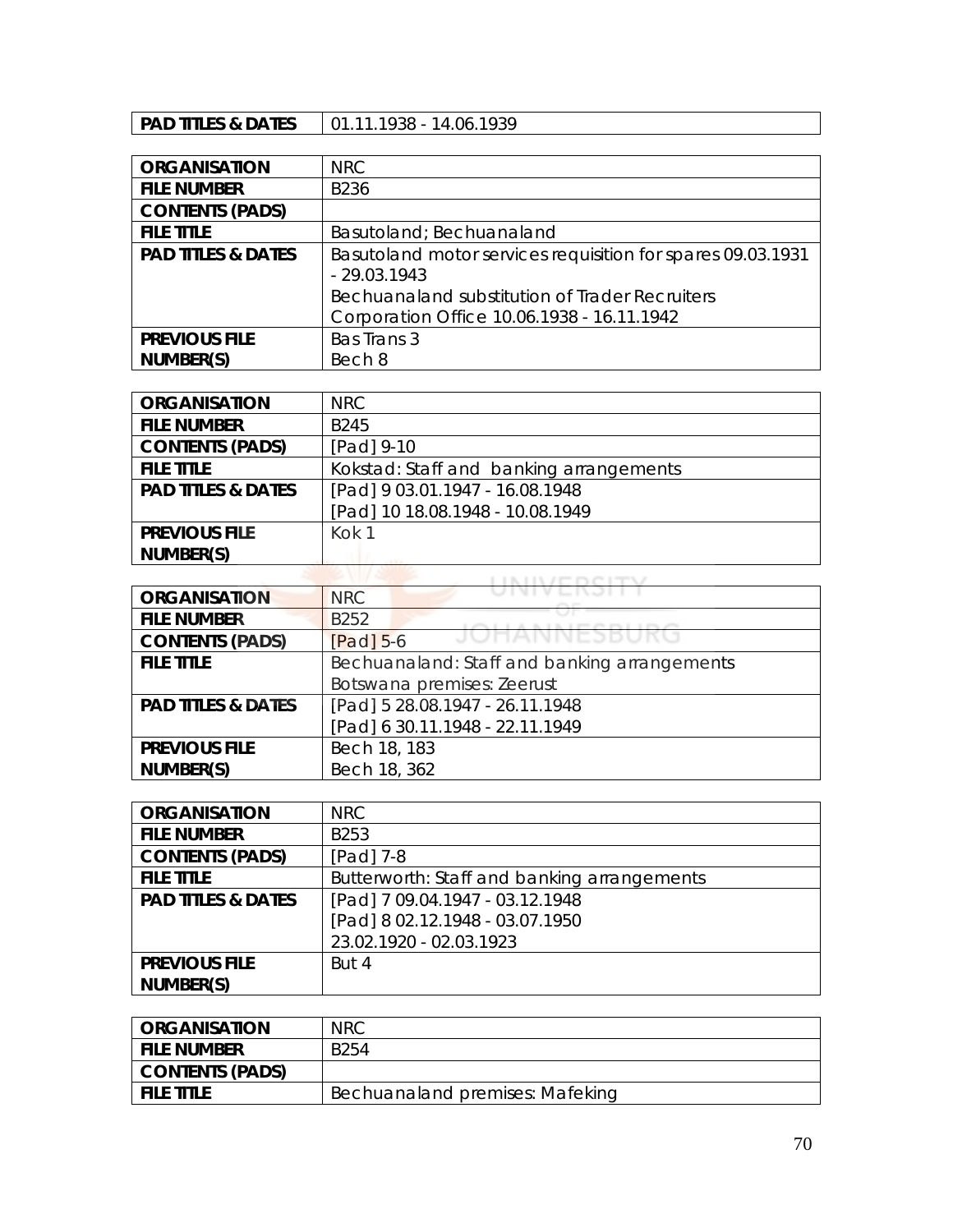## **PAD TITLES & DATES** | 01.11.1938 - 14.06.1939

| <b>ORGANISATION</b>           | <b>NRC</b>                                                                                   |
|-------------------------------|----------------------------------------------------------------------------------------------|
| <b>FILE NUMBER</b>            | B236                                                                                         |
| <b>CONTENTS (PADS)</b>        |                                                                                              |
| <b>FILE TITLE</b>             | Basutoland; Bechuanaland                                                                     |
| <b>PAD TITLES &amp; DATES</b> | Basutoland motor services requisition for spares 09.03.1931<br>$-29.03.1943$                 |
|                               | Bechuanaland substitution of Trader Recruiters<br>Corporation Office 10.06.1938 - 16.11.1942 |
| <b>PREVIOUS FILE</b>          | Bas Trans 3                                                                                  |
| NUMBER(S)                     | Bech 8                                                                                       |

| <b>ORGANISATION</b>           | <b>NRC</b>                              |
|-------------------------------|-----------------------------------------|
| <b>FILE NUMBER</b>            | <b>B245</b>                             |
| <b>CONTENTS (PADS)</b>        | [Pad] 9-10                              |
| <b>FILE TITLE</b>             | Kokstad: Staff and banking arrangements |
| <b>PAD TITLES &amp; DATES</b> | [Pad] 9 03.01.1947 - 16.08.1948         |
|                               | [Pad] 10 18.08.1948 - 10.08.1949        |
| <b>PREVIOUS FILE</b>          | Kok 1                                   |
| NUMBER(S)                     |                                         |
|                               |                                         |

| <b>ORGANISATION</b>           | <b>NRC</b>                                   |
|-------------------------------|----------------------------------------------|
| <b>FILE NUMBER</b>            | B <sub>252</sub>                             |
| <b>CONTENTS (PADS)</b>        | JUHANNESDUK<br>$[Pad]$ 5-6                   |
| <b>FILE TITLE</b>             | Bechuanaland: Staff and banking arrangements |
|                               | Botswana premises: Zeerust                   |
| <b>PAD TITLES &amp; DATES</b> | [Pad] 5 28.08.1947 - 26.11.1948              |
|                               | [Pad] 6 30.11.1948 - 22.11.1949              |
| <b>PREVIOUS FILE</b>          | Bech 18, 183                                 |
| NUMBER(S)                     | Bech 18, 362                                 |

| <b>ORGANISATION</b>           | NRC                                         |
|-------------------------------|---------------------------------------------|
| <b>FILE NUMBER</b>            | B253                                        |
| <b>CONTENTS (PADS)</b>        | [Pad] 7-8                                   |
| <b>FILE TITLE</b>             | Butterworth: Staff and banking arrangements |
| <b>PAD TITLES &amp; DATES</b> | [Pad] 7 09.04.1947 - 03.12.1948             |
|                               | [Pad] 8 02.12.1948 - 03.07.1950             |
|                               | 23.02.1920 - 02.03.1923                     |
| <b>PREVIOUS FILE</b>          | But 4                                       |
| NUMBER(S)                     |                                             |

| <b>ORGANISATION</b> | <b>NRC</b>                      |
|---------------------|---------------------------------|
| <b>FILE NUMBER</b>  | B <sub>254</sub>                |
| CONTENTS (PADS)     |                                 |
| <b>FILE TITLE</b>   | Bechuanaland premises: Mafeking |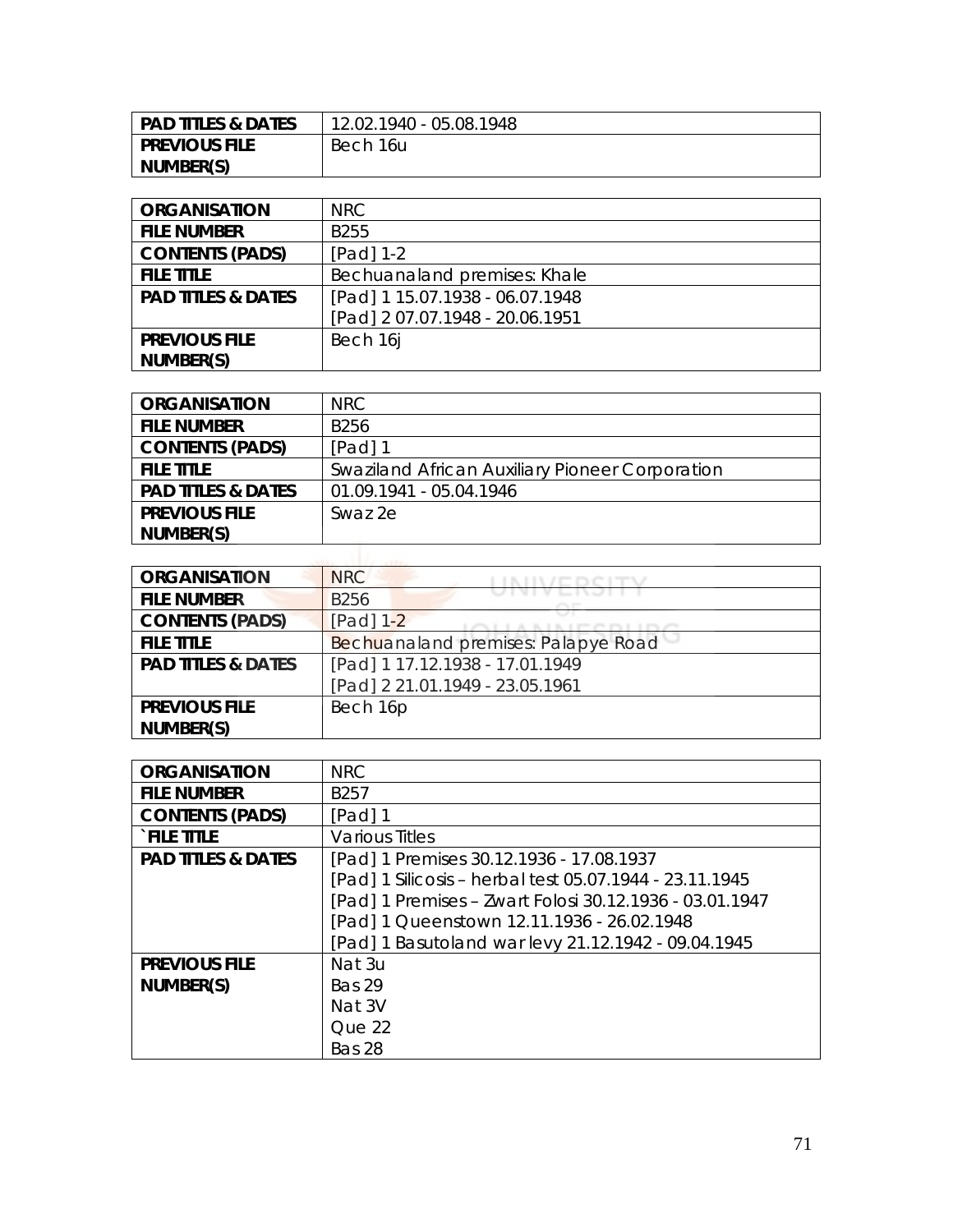| PAD TITLES & DATES | 12.02.1940 - 05.08.1948 |
|--------------------|-------------------------|
| I PREVIOUS FILE    | Bech 16u                |
| NUMBER(S)          |                         |

| <b>ORGANISATION</b>           | NRC.                            |
|-------------------------------|---------------------------------|
| <b>FILE NUMBER</b>            | B <sub>255</sub>                |
| <b>CONTENTS (PADS)</b>        | $[Pad] 1-2$                     |
| <b>FILE TITLE</b>             | Bechuanaland premises: Khale    |
| <b>PAD TITLES &amp; DATES</b> | [Pad] 1 15.07.1938 - 06.07.1948 |
|                               | [Pad] 2 07.07.1948 - 20.06.1951 |
| <b>PREVIOUS FILE</b>          | Bech 16                         |
| NUMBER(S)                     |                                 |

| <b>ORGANISATION</b>           | NRC                                             |
|-------------------------------|-------------------------------------------------|
| <b>FILE NUMBER</b>            | B256                                            |
| <b>CONTENTS (PADS)</b>        | $[Pad]$ 1                                       |
| <b>FILE TITLE</b>             | Swaziland African Auxiliary Pioneer Corporation |
| <b>PAD TITLES &amp; DATES</b> | 01.09.1941 - 05.04.1946                         |
| <b>PREVIOUS FILE</b>          | Swaz 2e                                         |
| NUMBER(S)                     |                                                 |
| $-2222 - 2222 - 2222$         |                                                 |

| <b>ORGANISATION</b>           | <b>NRC</b>                          |
|-------------------------------|-------------------------------------|
| <b>FILE NUMBER</b>            | <b>B256</b>                         |
| <b>CONTENTS (PADS)</b>        | [Pad] 1-2                           |
| <b>FILE TITLE</b>             | Bechuanaland premises: Palapye Road |
| <b>PAD TITLES &amp; DATES</b> | [Pad] 1 17.12.1938 - 17.01.1949     |
|                               | [Pad] 2 21.01.1949 - 23.05.1961     |
| <b>PREVIOUS FILE</b>          | Bech 16p                            |
| NUMBER(S)                     |                                     |

| <b>ORGANISATION</b>           | <b>NRC</b>                                              |
|-------------------------------|---------------------------------------------------------|
| <b>FILE NUMBER</b>            | B <sub>257</sub>                                        |
| <b>CONTENTS (PADS)</b>        | [Pad] 1                                                 |
| <b>FILE TITLE</b>             | <b>Various Titles</b>                                   |
| <b>PAD TITLES &amp; DATES</b> | [Pad] 1 Premises 30.12.1936 - 17.08.1937                |
|                               | [Pad] 1 Silicosis - herbal test 05.07.1944 - 23.11.1945 |
|                               | [Pad] 1 Premises - Zwart Folosi 30.12.1936 - 03.01.1947 |
|                               | [Pad] 1 Queenstown 12.11.1936 - 26.02.1948              |
|                               | [Pad] 1 Basutoland war levy 21.12.1942 - 09.04.1945     |
| <b>PREVIOUS FILE</b>          | Nat 3u                                                  |
| NUMBER(S)                     | <b>Bas 29</b>                                           |
|                               | Nat 3V                                                  |
|                               | Oue 22                                                  |
|                               | Bas 28                                                  |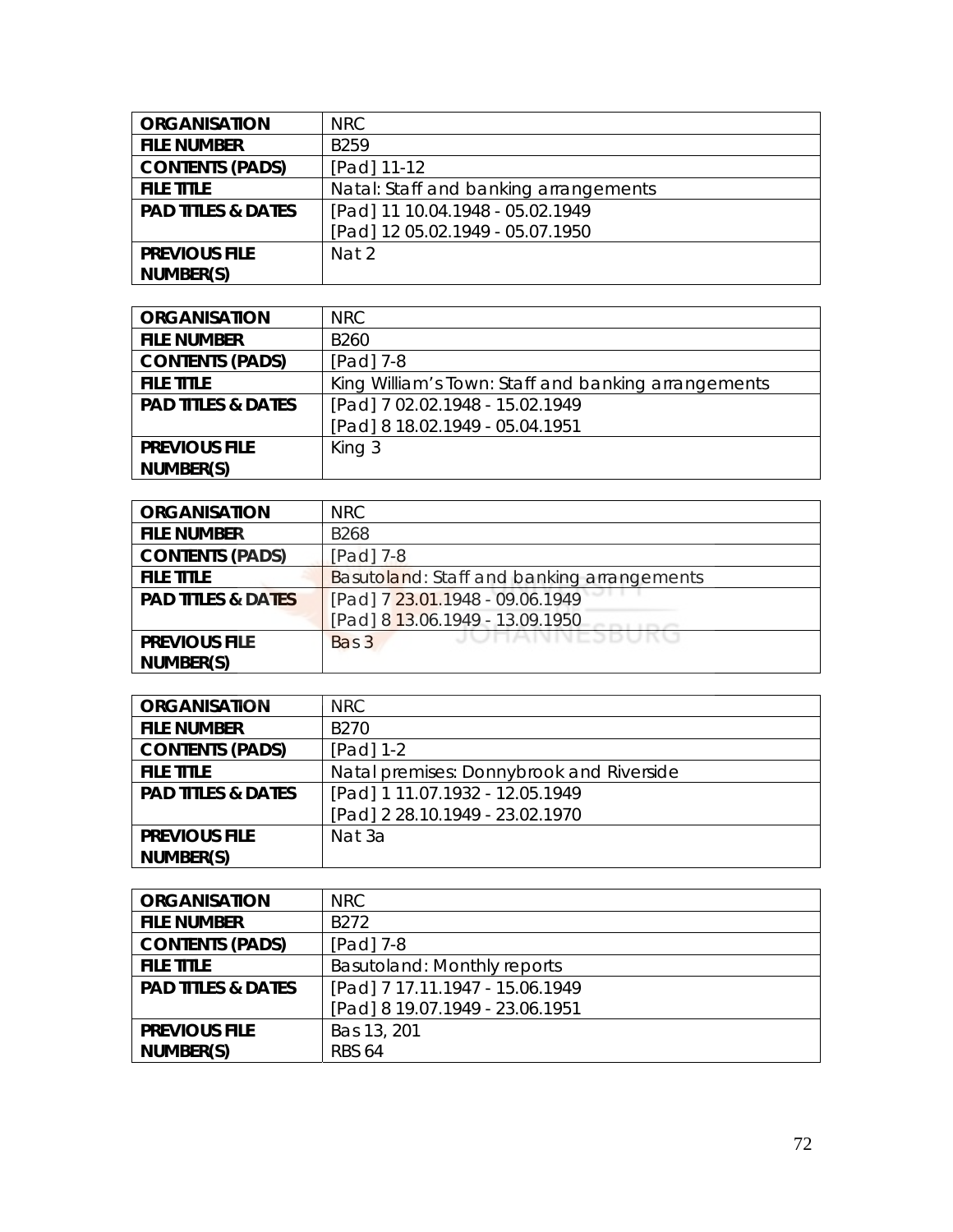| <b>ORGANISATION</b>           | <b>NRC</b>                            |
|-------------------------------|---------------------------------------|
| <b>FILE NUMBER</b>            | B <sub>259</sub>                      |
| <b>CONTENTS (PADS)</b>        | [Pad] 11-12                           |
| <b>FILE TITLE</b>             | Natal: Staff and banking arrangements |
| <b>PAD TITLES &amp; DATES</b> | [Pad] 11 10.04.1948 - 05.02.1949      |
|                               | [Pad] 12 05.02.1949 - 05.07.1950      |
| <b>PREVIOUS FILE</b>          | Nat 2                                 |
| NUMBER(S)                     |                                       |

| <b>ORGANISATION</b>           | NRC.                                                |
|-------------------------------|-----------------------------------------------------|
| <b>FILE NUMBER</b>            | B <sub>260</sub>                                    |
| <b>CONTENTS (PADS)</b>        | $[Pad]$ 7-8                                         |
| <b>FILE TITLE</b>             | King William's Town: Staff and banking arrangements |
| <b>PAD TITLES &amp; DATES</b> | [Pad] 7 02.02.1948 - 15.02.1949                     |
|                               | [Pad] 8 18.02.1949 - 05.04.1951                     |
| <b>PREVIOUS FILE</b>          | King 3                                              |
| NUMBER(S)                     |                                                     |

| <b>ORGANISATION</b>           | <b>NRC</b>                                 |
|-------------------------------|--------------------------------------------|
| <b>FILE NUMBER</b>            | <b>B268</b>                                |
| <b>CONTENTS (PADS)</b>        | [Pad] 7-8                                  |
| <b>FILE TITLE</b>             | Basutoland: Staff and banking arrangements |
| <b>PAD TITLES &amp; DATES</b> | [Pad] 7 23.01.1948 - 09.06.1949            |
|                               | [Pad] 8 13.06.1949 - 13.09.1950            |
| <b>PREVIOUS FILE</b>          | JUNAINNEJDUKU<br>Bas 3                     |
| NUMBER(S)                     |                                            |

| <b>ORGANISATION</b>           | NRC.                                     |
|-------------------------------|------------------------------------------|
| <b>FILE NUMBER</b>            | B <sub>270</sub>                         |
| <b>CONTENTS (PADS)</b>        | $[Pad] 1-2$                              |
| <b>FILE TITLE</b>             | Natal premises: Donnybrook and Riverside |
| <b>PAD TITLES &amp; DATES</b> | [Pad] 1 11.07.1932 - 12.05.1949          |
|                               | [Pad] 2 28.10.1949 - 23.02.1970          |
| <b>PREVIOUS FILE</b>          | Nat 3a                                   |
| NUMBER(S)                     |                                          |

| <b>ORGANISATION</b>           | <b>NRC</b>                      |
|-------------------------------|---------------------------------|
| <b>FILE NUMBER</b>            | B272                            |
| <b>CONTENTS (PADS)</b>        | $[Pad]$ 7-8                     |
| <b>FILE TITLE</b>             | Basutoland: Monthly reports     |
| <b>PAD TITLES &amp; DATES</b> | [Pad] 7 17.11.1947 - 15.06.1949 |
|                               | [Pad] 8 19.07.1949 - 23.06.1951 |
| <b>PREVIOUS FILE</b>          | Bas 13, 201                     |
| NUMBER(S)                     | <b>RBS 64</b>                   |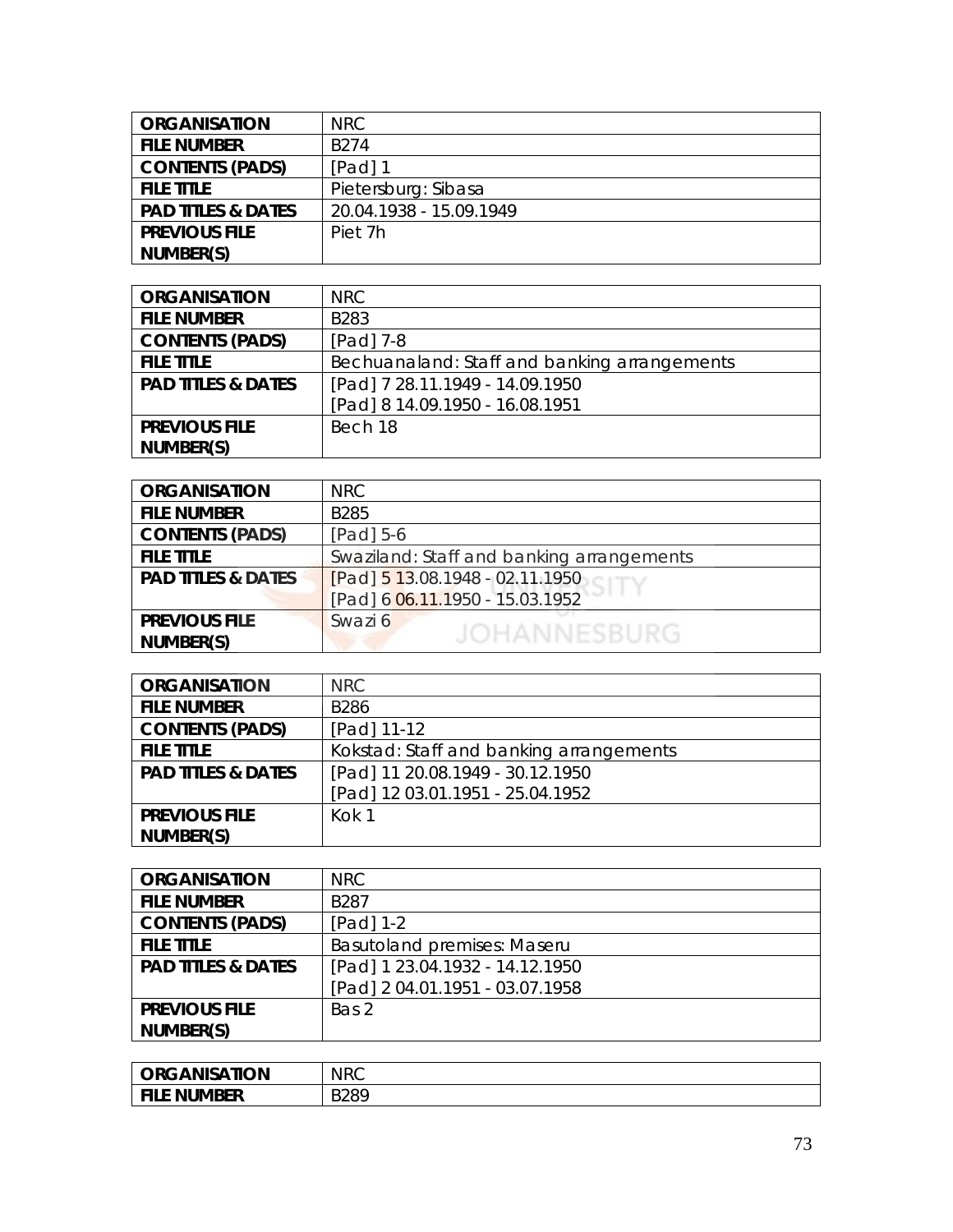| <b>ORGANISATION</b>           | NRC                     |
|-------------------------------|-------------------------|
| <b>FILE NUMBER</b>            | B <sub>274</sub>        |
| <b>CONTENTS (PADS)</b>        | $[Pad]$ 1               |
| <b>FILE TITLE</b>             | Pietersburg: Sibasa     |
| <b>PAD TITLES &amp; DATES</b> | 20.04.1938 - 15.09.1949 |
| <b>PREVIOUS FILE</b>          | Piet 7h                 |
| NUMBER(S)                     |                         |

| <b>ORGANISATION</b>           | NRC                                          |
|-------------------------------|----------------------------------------------|
| <b>FILE NUMBER</b>            | B283                                         |
| <b>CONTENTS (PADS)</b>        | $[Pad]$ 7-8                                  |
| <b>FILE TITLE</b>             | Bechuanaland: Staff and banking arrangements |
| <b>PAD TITLES &amp; DATES</b> | [Pad] 7 28.11.1949 - 14.09.1950              |
|                               | [Pad] 8 14.09.1950 - 16.08.1951              |
| <b>PREVIOUS FILE</b>          | Bech 18                                      |
| NUMBER(S)                     |                                              |

| <b>ORGANISATION</b>           | <b>NRC</b>                                |
|-------------------------------|-------------------------------------------|
| <b>FILE NUMBER</b>            | <b>B285</b>                               |
| <b>CONTENTS (PADS)</b>        | $[Pad]$ 5-6                               |
| <b>FILE TITLE</b>             | Swaziland: Staff and banking arrangements |
| <b>PAD TITLES &amp; DATES</b> | $[Pad]$ 5 13.08.1948 - 02.11.1950         |
|                               | [Pad] 6 06.11.1950 - 15.03.1952           |
| <b>PREVIOUS FILE</b>          | Swazi 6                                   |
| NUMBER(S)                     | <b>JOHANNESBURG</b>                       |
|                               |                                           |

| <b>ORGANISATION</b>           | <b>NRC</b>                              |
|-------------------------------|-----------------------------------------|
| <b>FILE NUMBER</b>            | <b>B286</b>                             |
| <b>CONTENTS (PADS)</b>        | [Pad] 11-12                             |
| <b>FILE TITLE</b>             | Kokstad: Staff and banking arrangements |
| <b>PAD TITLES &amp; DATES</b> | [Pad] 11 20.08.1949 - 30.12.1950        |
|                               | [Pad] 12 03.01.1951 - 25.04.1952        |
| <b>PREVIOUS FILE</b>          | Kok 1                                   |
| NUMBER(S)                     |                                         |

| <b>ORGANISATION</b>           | <b>NRC</b>                         |
|-------------------------------|------------------------------------|
| <b>FILE NUMBER</b>            | B <sub>287</sub>                   |
| <b>CONTENTS (PADS)</b>        | $[Pad] 1-2$                        |
| <b>FILE TITLE</b>             | <b>Basutoland premises: Maseru</b> |
| <b>PAD TITLES &amp; DATES</b> | [Pad] 1 23.04.1932 - 14.12.1950    |
|                               | [Pad] 2 04.01.1951 - 03.07.1958    |
| <b>PREVIOUS FILE</b>          | Bas 2                              |
| NUMBER(S)                     |                                    |

| <b>ORGANISATION</b> | <b>NRC</b> |
|---------------------|------------|
| File Number         | B289<br>-  |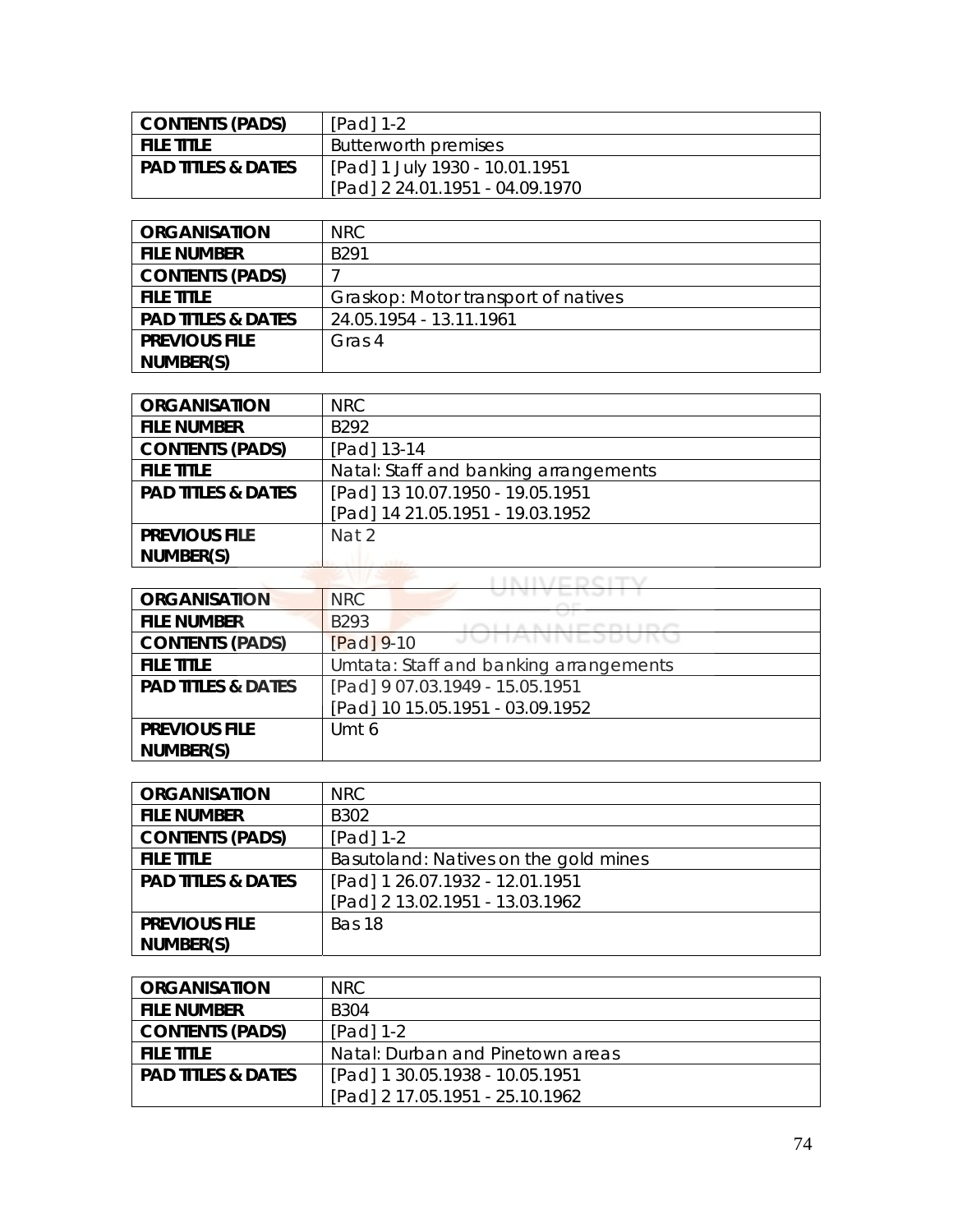| <b>CONTENTS (PADS)</b>        | $[Pad] 1-2$                     |
|-------------------------------|---------------------------------|
| <b>FILE TITLE</b>             | Butterworth premises            |
| <b>PAD TITLES &amp; DATES</b> | [Pad] 1 July 1930 - 10.01.1951  |
|                               | [Pad] 2 24.01.1951 - 04.09.1970 |

| <b>ORGANISATION</b>           | NRC.                                |
|-------------------------------|-------------------------------------|
| <b>FILE NUMBER</b>            | R <sub>291</sub>                    |
| <b>CONTENTS (PADS)</b>        |                                     |
| <b>FILE TITLE</b>             | Graskop: Motor transport of natives |
| <b>PAD TITLES &amp; DATES</b> | 24.05.1954 - 13.11.1961             |
| <b>PREVIOUS FILE</b>          | Gras 4                              |
| NUMBER(S)                     |                                     |

| <b>ORGANISATION</b>           | <b>NRC</b>                            |
|-------------------------------|---------------------------------------|
| <b>FILE NUMBER</b>            | B <sub>292</sub>                      |
| <b>CONTENTS (PADS)</b>        | [Pad] 13-14                           |
| <b>FILE TITLE</b>             | Natal: Staff and banking arrangements |
| <b>PAD TITLES &amp; DATES</b> | [Pad] 13 10.07.1950 - 19.05.1951      |
|                               | [Pad] 14 21.05.1951 - 19.03.1952      |
| <b>PREVIOUS FILE</b>          | Nat 2                                 |
| NUMBER(S)                     |                                       |

| <b>ORGANISATION</b>           | <b>NRC</b>                             |
|-------------------------------|----------------------------------------|
| <b>FILE NUMBER</b>            | B293                                   |
| <b>CONTENTS (PADS)</b>        | JUNANNEJDUKU<br>$[Pad] 9-10$           |
| <b>FILE TITLE</b>             | Umtata: Staff and banking arrangements |
| <b>PAD TITLES &amp; DATES</b> | [Pad] 9 07.03.1949 - 15.05.1951        |
|                               | [Pad] 10 15.05.1951 - 03.09.1952       |
| <b>PREVIOUS FILE</b>          | Umt 6                                  |
| NUMBER(S)                     |                                        |

| <b>ORGANISATION</b>           | <b>NRC</b>                            |
|-------------------------------|---------------------------------------|
| <b>FILE NUMBER</b>            | B <sub>3</sub> 02                     |
| <b>CONTENTS (PADS)</b>        | $[Pad] 1-2$                           |
| <b>FILE TITLE</b>             | Basutoland: Natives on the gold mines |
| <b>PAD TITLES &amp; DATES</b> | [Pad] 1 26.07.1932 - 12.01.1951       |
|                               | [Pad] 2 13.02.1951 - 13.03.1962       |
| <b>PREVIOUS FILE</b>          | Bas 18                                |
| NUMBER(S)                     |                                       |

| <b>ORGANISATION</b>           | NRC.                             |
|-------------------------------|----------------------------------|
| <b>FILE NUMBER</b>            | B304                             |
| <b>CONTENTS (PADS)</b>        | $[Pad] 1-2$                      |
| <b>FILE TITLE</b>             | Natal: Durban and Pinetown areas |
| <b>PAD TITLES &amp; DATES</b> | [Pad] 1 30.05.1938 - 10.05.1951  |
|                               | [Pad] 2 17.05.1951 - 25.10.1962  |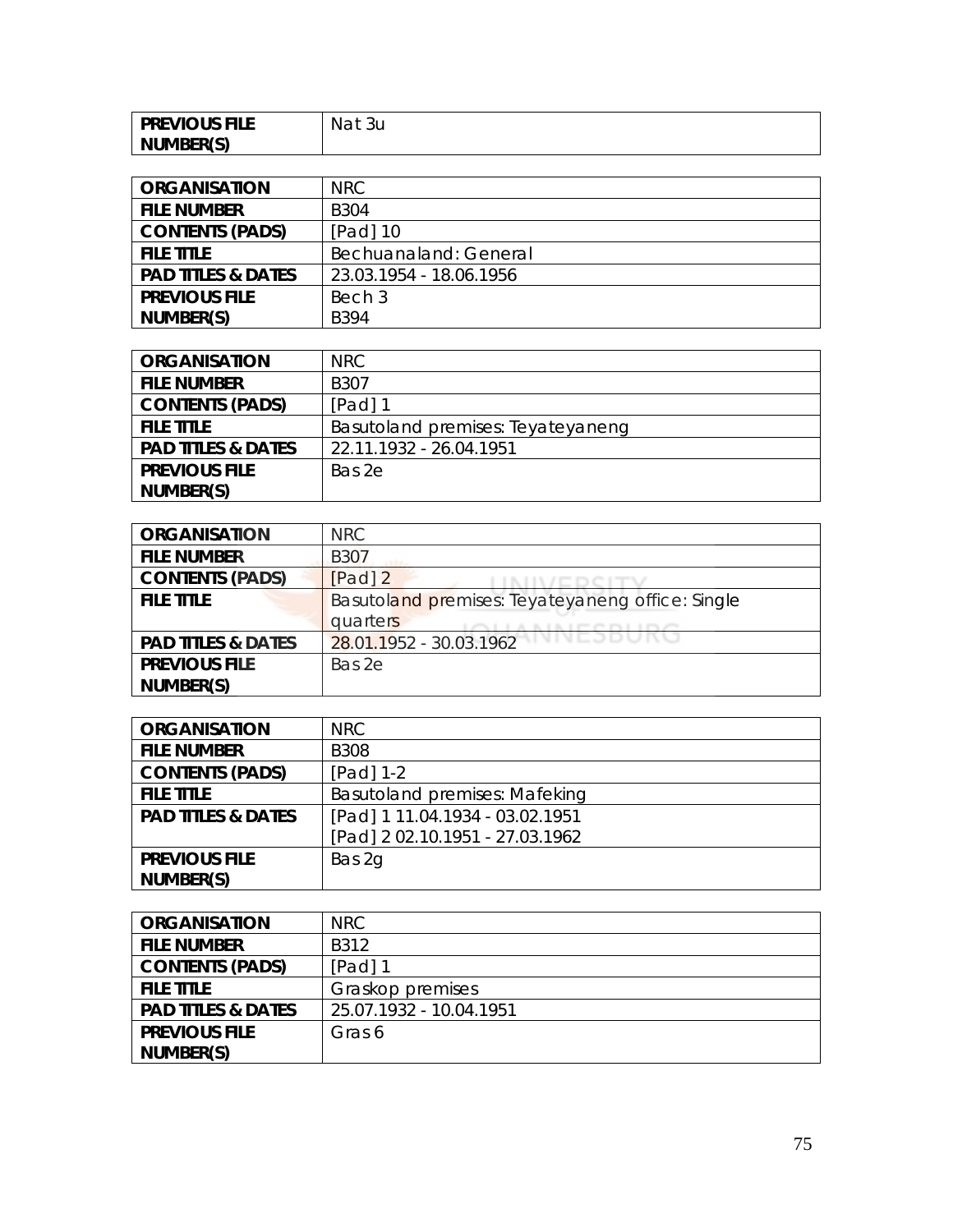| <b>PREVIOUS FILE</b> | Nat<br>3u |
|----------------------|-----------|
| NUMBER(S)            |           |

| <b>ORGANISATION</b>           | NRC                     |
|-------------------------------|-------------------------|
| <b>FILE NUMBER</b>            | <b>B304</b>             |
| <b>CONTENTS (PADS)</b>        | [Pad] 10                |
| <b>FILE TITLE</b>             | Bechuanaland: General   |
| <b>PAD TITLES &amp; DATES</b> | 23.03.1954 - 18.06.1956 |
| <b>PREVIOUS FILE</b>          | Bech 3                  |
| NUMBER(S)                     | <b>B394</b>             |

| <b>ORGANISATION</b>           | NRC.                              |
|-------------------------------|-----------------------------------|
| <b>FILE NUMBER</b>            | B307                              |
| <b>CONTENTS (PADS)</b>        | $[Pad]$ 1                         |
| <b>FILE TITLE</b>             | Basutoland premises: Teyateyaneng |
| <b>PAD TITLES &amp; DATES</b> | 22.11.1932 - 26.04.1951           |
| <b>PREVIOUS FILE</b>          | Bas 2e                            |
| NUMBER(S)                     |                                   |

| <b>ORGANISATION</b>           | NRC                                              |
|-------------------------------|--------------------------------------------------|
| <b>FILE NUMBER</b>            | <b>B307</b>                                      |
| <b>CONTENTS (PADS)</b>        | $[Pad]$ 2                                        |
| <b>FILE TITLE</b>             | Basutoland premises: Teyateyaneng office: Single |
|                               | quarters                                         |
| <b>PAD TITLES &amp; DATES</b> | VIVEJDUNU<br>28.01.1952 - 30.03.1962             |
| <b>PREVIOUS FILE</b>          | Bas 2e                                           |
| NUMBER(S)                     |                                                  |

| <b>ORGANISATION</b>           | NRC.                                 |
|-------------------------------|--------------------------------------|
| <b>FILE NUMBER</b>            | <b>B308</b>                          |
| <b>CONTENTS (PADS)</b>        | $[Pad] 1-2$                          |
| <b>FILE TITLE</b>             | <b>Basutoland premises: Mafeking</b> |
| <b>PAD TITLES &amp; DATES</b> | [Pad] 1 11.04.1934 - 03.02.1951      |
|                               | [Pad] 2 02.10.1951 - 27.03.1962      |
| <b>PREVIOUS FILE</b>          | Bas 2g                               |
| NUMBER(S)                     |                                      |

| <b>ORGANISATION</b>           | NRC                     |
|-------------------------------|-------------------------|
| <b>FILE NUMBER</b>            | B312                    |
| <b>CONTENTS (PADS)</b>        | [Pad] 1                 |
| <b>FILE TITLE</b>             | Graskop premises        |
| <b>PAD TITLES &amp; DATES</b> | 25.07.1932 - 10.04.1951 |
| <b>PREVIOUS FILE</b>          | Gras 6                  |
| NUMBER(S)                     |                         |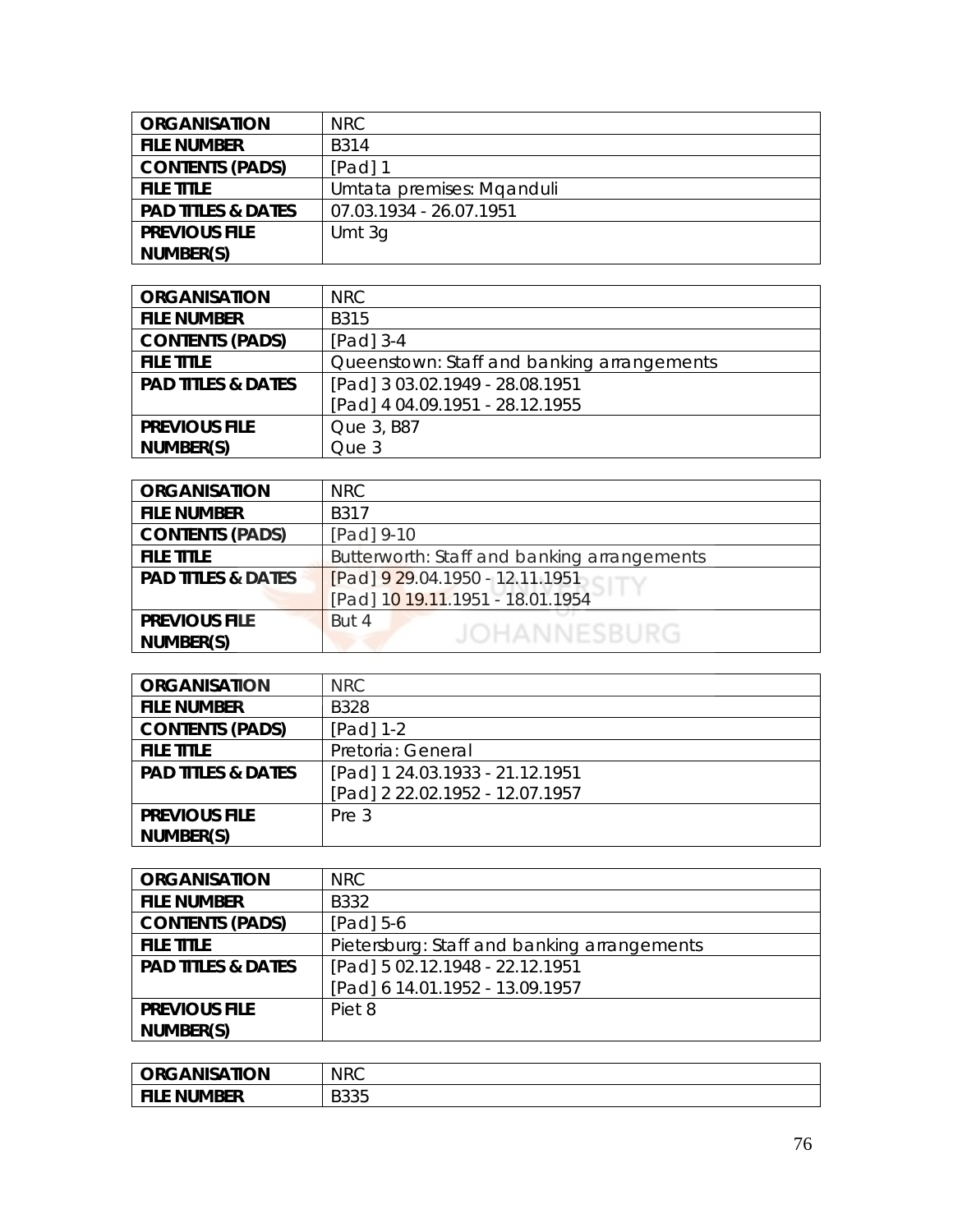| <b>ORGANISATION</b>           | NRC.                      |
|-------------------------------|---------------------------|
| <b>FILE NUMBER</b>            | B <sub>314</sub>          |
| <b>CONTENTS (PADS)</b>        | $[Pad]$ 1                 |
| <b>FILE TITLE</b>             | Umtata premises: Mganduli |
| <b>PAD TITLES &amp; DATES</b> | 07.03.1934 - 26.07.1951   |
| <b>PREVIOUS FILE</b>          | Umt $3q$                  |
| NUMBER(S)                     |                           |

| <b>ORGANISATION</b>           | NRC                                        |
|-------------------------------|--------------------------------------------|
| <b>FILE NUMBER</b>            | B315                                       |
| <b>CONTENTS (PADS)</b>        | $[Pad]$ 3-4                                |
| <b>FILE TITLE</b>             | Queenstown: Staff and banking arrangements |
| <b>PAD TITLES &amp; DATES</b> | [Pad] 3 03.02.1949 - 28.08.1951            |
|                               | [Pad] 4 04.09.1951 - 28.12.1955            |
| <b>PREVIOUS FILE</b>          | Que 3, B87                                 |
| NUMBER(S)                     | Que 3                                      |

| <b>ORGANISATION</b>           | <b>NRC</b>                                  |
|-------------------------------|---------------------------------------------|
| <b>FILE NUMBER</b>            | B317                                        |
| <b>CONTENTS (PADS)</b>        | [Pad] 9-10                                  |
| <b>FILE TITLE</b>             | Butterworth: Staff and banking arrangements |
| <b>PAD TITLES &amp; DATES</b> | $[Pad]$ 9 29.04.1950 - 12.11.1951           |
|                               | [Pad] 10 19.11.1951 - 18.01.1954            |
| <b>PREVIOUS FILE</b>          | But 4                                       |
| NUMBER(S)                     | <b>JOHANNESBURG</b>                         |

| <b>ORGANISATION</b>           | NRC.                            |
|-------------------------------|---------------------------------|
| <b>FILE NUMBER</b>            | B328                            |
| <b>CONTENTS (PADS)</b>        | $[Pad] 1-2$                     |
| <b>FILE TITLE</b>             | Pretoria: General               |
| <b>PAD TITLES &amp; DATES</b> | [Pad] 1 24.03.1933 - 21.12.1951 |
|                               | [Pad] 2 22.02.1952 - 12.07.1957 |
| <b>PREVIOUS FILE</b>          | Pre 3                           |
| NUMBER(S)                     |                                 |

| <b>ORGANISATION</b>           | NRC                                         |
|-------------------------------|---------------------------------------------|
| <b>FILE NUMBER</b>            | B332                                        |
| <b>CONTENTS (PADS)</b>        | $[Pad] 5-6$                                 |
| <b>FILE TITLE</b>             | Pietersburg: Staff and banking arrangements |
| <b>PAD TITLES &amp; DATES</b> | [Pad] 5 02.12.1948 - 22.12.1951             |
|                               | [Pad] 6 14.01.1952 - 13.09.1957             |
| <b>PREVIOUS FILE</b>          | Piet 8                                      |
| NUMBER(S)                     |                                             |

| <b>ORGANISATION</b> | <b>NRC</b>         |
|---------------------|--------------------|
| File Number         | <b>DOOF</b><br>טטע |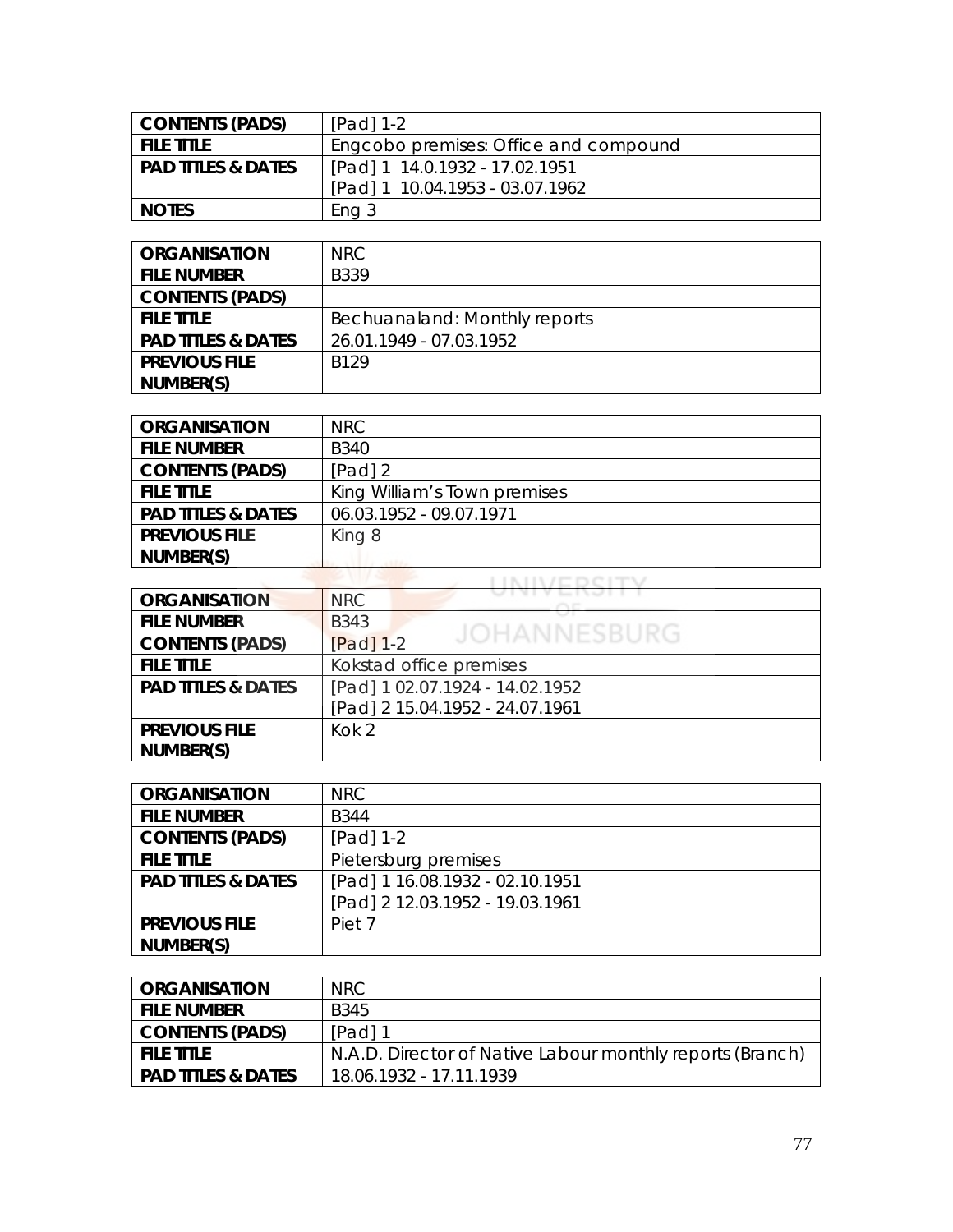| <b>CONTENTS (PADS)</b>        | $[Pad] 1-2$                           |
|-------------------------------|---------------------------------------|
| <b>FILE TITLE</b>             | Engcobo premises: Office and compound |
| <b>PAD TITLES &amp; DATES</b> | [Pad] 1 14.0.1932 - 17.02.1951        |
|                               | [Pad] 1 10.04.1953 - 03.07.1962       |
| <b>NOTES</b>                  | Ena 3                                 |

| <b>ORGANISATION</b>           | NRC                           |
|-------------------------------|-------------------------------|
| <b>FILE NUMBER</b>            | <b>B339</b>                   |
| <b>CONTENTS (PADS)</b>        |                               |
| <b>FILE TITLE</b>             | Bechuanaland: Monthly reports |
| <b>PAD TITLES &amp; DATES</b> | 26.01.1949 - 07.03.1952       |
| <b>PREVIOUS FILE</b>          | <b>B129</b>                   |
| NUMBER(S)                     |                               |

| <b>ORGANISATION</b>           | NRC                          |
|-------------------------------|------------------------------|
| <b>FILE NUMBER</b>            | <b>B340</b>                  |
| <b>CONTENTS (PADS)</b>        | $[Pad]$ 2                    |
| <b>FILE TITLE</b>             | King William's Town premises |
| <b>PAD TITLES &amp; DATES</b> | 06.03.1952 - 09.07.1971      |
| <b>PREVIOUS FILE</b>          | King 8                       |
| NUMBER(S)                     |                              |
|                               |                              |

| <b>ORGANISATION</b>           | <b>NRC</b>                      |
|-------------------------------|---------------------------------|
| <b>FILE NUMBER</b>            | <b>B343</b>                     |
| <b>CONTENTS (PADS)</b>        | JUNNIVEJDUNU<br>$[Pad]$ 1-2     |
| <b>FILE TITLE</b>             | Kokstad office premises         |
| <b>PAD TITLES &amp; DATES</b> | [Pad] 1 02.07.1924 - 14.02.1952 |
|                               | [Pad] 2 15.04.1952 - 24.07.1961 |
| <b>PREVIOUS FILE</b>          | Kok <sub>2</sub>                |
| NUMBER(S)                     |                                 |

| <b>ORGANISATION</b>           | NRC                             |
|-------------------------------|---------------------------------|
| <b>FILE NUMBER</b>            | <b>B344</b>                     |
| <b>CONTENTS (PADS)</b>        | $[Pad] 1-2$                     |
| <b>FILE TITLE</b>             | Pietersburg premises            |
| <b>PAD TITLES &amp; DATES</b> | [Pad] 1 16.08.1932 - 02.10.1951 |
|                               | [Pad] 2 12.03.1952 - 19.03.1961 |
| <b>PREVIOUS FILE</b>          | Piet 7                          |
| NUMBER(S)                     |                                 |

| <b>ORGANISATION</b>           | NRC.                                                      |
|-------------------------------|-----------------------------------------------------------|
| <b>FILE NUMBER</b>            | B345                                                      |
| <b>CONTENTS (PADS)</b>        | $[Pad]$ 1                                                 |
| <b>FILE TITLE</b>             | N.A.D. Director of Native Labour monthly reports (Branch) |
| <b>PAD TITLES &amp; DATES</b> | 18.06.1932 - 17.11.1939                                   |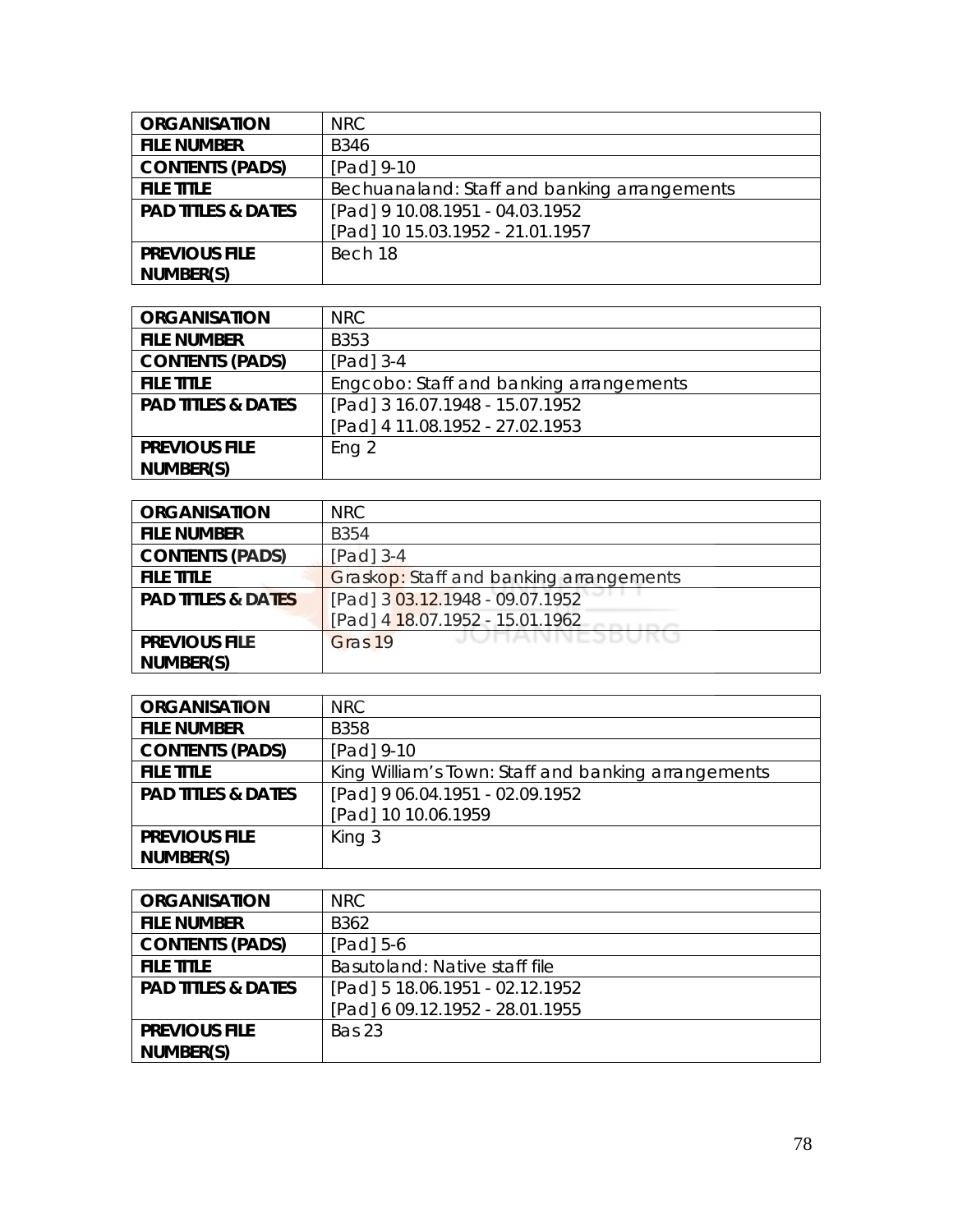| <b>ORGANISATION</b>           | <b>NRC</b>                                   |
|-------------------------------|----------------------------------------------|
| <b>FILE NUMBER</b>            | <b>B346</b>                                  |
| <b>CONTENTS (PADS)</b>        | [Pad] 9-10                                   |
| <b>FILE TITLE</b>             | Bechuanaland: Staff and banking arrangements |
| <b>PAD TITLES &amp; DATES</b> | [Pad] 9 10.08.1951 - 04.03.1952              |
|                               | [Pad] 10 15.03.1952 - 21.01.1957             |
| <b>PREVIOUS FILE</b>          | Bech 18                                      |
| NUMBER(S)                     |                                              |

| <b>ORGANISATION</b>           | NRC.                                    |
|-------------------------------|-----------------------------------------|
| <b>FILE NUMBER</b>            | B353                                    |
| <b>CONTENTS (PADS)</b>        | $[Pad]$ 3-4                             |
| <b>FILE TITLE</b>             | Engcobo: Staff and banking arrangements |
| <b>PAD TITLES &amp; DATES</b> | [Pad] 3 16.07.1948 - 15.07.1952         |
|                               | [Pad] 4 11.08.1952 - 27.02.1953         |
| <b>PREVIOUS FILE</b>          | Eng <sub>2</sub>                        |
| NUMBER(S)                     |                                         |

| <b>ORGANISATION</b>           | NRC                                     |
|-------------------------------|-----------------------------------------|
| <b>FILE NUMBER</b>            | <b>B354</b>                             |
| <b>CONTENTS (PADS)</b>        | $[Pad]$ 3-4                             |
| <b>FILE TITLE</b>             | Graskop: Staff and banking arrangements |
| <b>PAD TITLES &amp; DATES</b> | [Pad] 3 03.12.1948 - 09.07.1952         |
|                               | [Pad] 4 18.07.1952 - 15.01.1962         |
| <b>PREVIOUS FILE</b>          | JUNANNEJDURU<br>Gras 19                 |
| NUMBER(S)                     |                                         |

| <b>ORGANISATION</b>           | <b>NRC</b>                                          |
|-------------------------------|-----------------------------------------------------|
| <b>FILE NUMBER</b>            | <b>B358</b>                                         |
| <b>CONTENTS (PADS)</b>        | [Pad] 9-10                                          |
| <b>FILE TITLE</b>             | King William's Town: Staff and banking arrangements |
| <b>PAD TITLES &amp; DATES</b> | [Pad] 9 06.04.1951 - 02.09.1952                     |
|                               | [Pad] 10 10.06.1959                                 |
| <b>PREVIOUS FILE</b>          | King 3                                              |
| NUMBER(S)                     |                                                     |

| <b>ORGANISATION</b>           | NRC                             |
|-------------------------------|---------------------------------|
| <b>FILE NUMBER</b>            | B <sub>362</sub>                |
| <b>CONTENTS (PADS)</b>        | [Pad] 5-6                       |
| <b>FILE TITLE</b>             | Basutoland: Native staff file   |
| <b>PAD TITLES &amp; DATES</b> | [Pad] 5 18.06.1951 - 02.12.1952 |
|                               | [Pad] 6 09.12.1952 - 28.01.1955 |
| <b>PREVIOUS FILE</b>          | <b>Bas 23</b>                   |
| NUMBER(S)                     |                                 |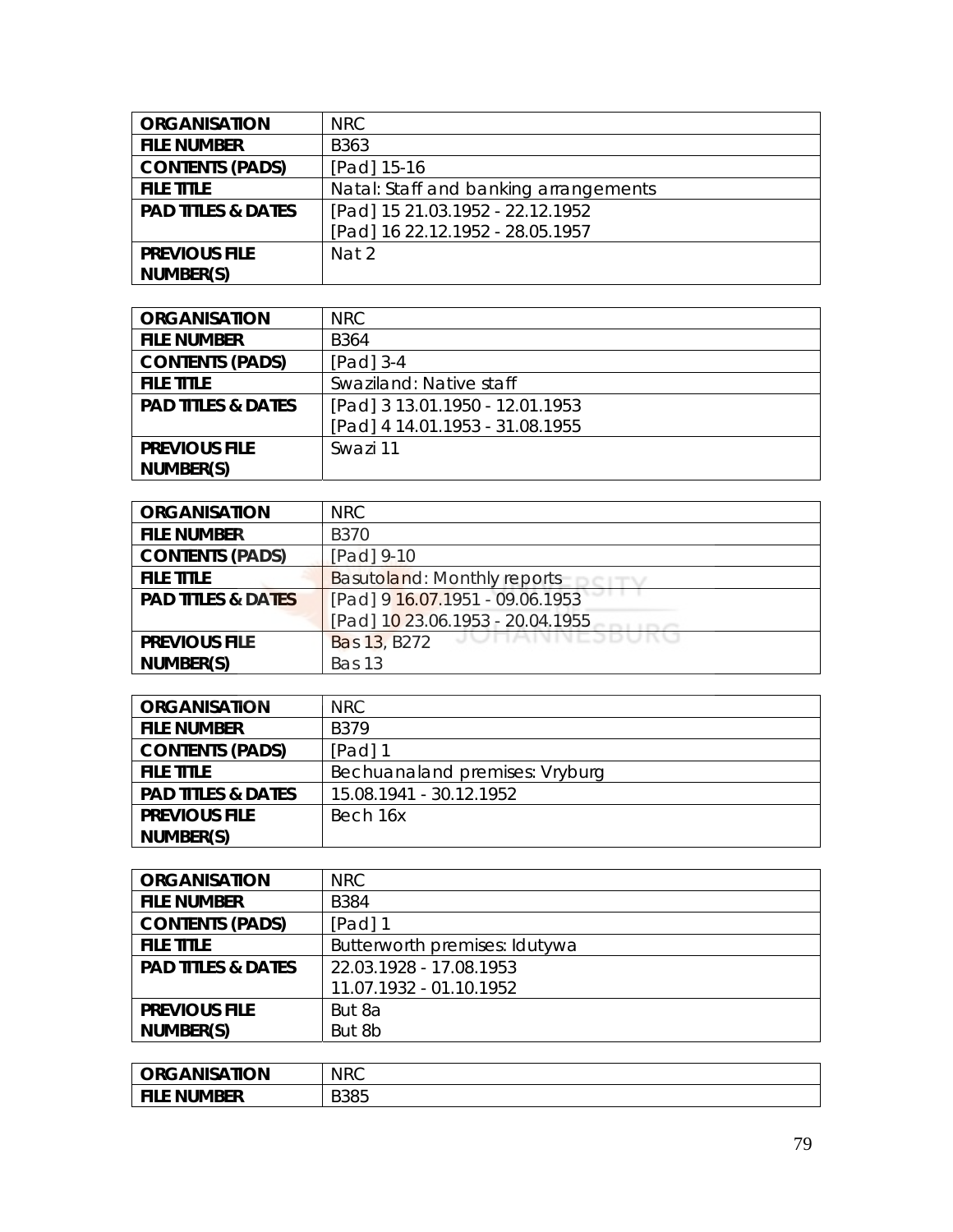| <b>ORGANISATION</b>           | <b>NRC</b>                            |
|-------------------------------|---------------------------------------|
| <b>FILE NUMBER</b>            | B363                                  |
| <b>CONTENTS (PADS)</b>        | [Pad] 15-16                           |
| <b>FILE TITLE</b>             | Natal: Staff and banking arrangements |
| <b>PAD TITLES &amp; DATES</b> | [Pad] 15 21.03.1952 - 22.12.1952      |
|                               | [Pad] 16 22.12.1952 - 28.05.1957      |
| <b>PREVIOUS FILE</b>          | Nat 2                                 |
| NUMBER(S)                     |                                       |

| <b>ORGANISATION</b>           | NRC.                            |
|-------------------------------|---------------------------------|
| <b>FILE NUMBER</b>            | B <sub>364</sub>                |
| <b>CONTENTS (PADS)</b>        | $[Pad]$ 3-4                     |
| <b>FILE TITLE</b>             | Swaziland: Native staff         |
| <b>PAD TITLES &amp; DATES</b> | [Pad] 3 13.01.1950 - 12.01.1953 |
|                               | [Pad] 4 14.01.1953 - 31.08.1955 |
| <b>PREVIOUS FILE</b>          | Swazi 11                        |
| NUMBER(S)                     |                                 |

| <b>ORGANISATION</b>           | NRC.                               |
|-------------------------------|------------------------------------|
| <b>FILE NUMBER</b>            | <b>B370</b>                        |
| <b>CONTENTS (PADS)</b>        | [Pad] 9-10                         |
| <b>FILE TITLE</b>             | <b>Basutoland: Monthly reports</b> |
| <b>PAD TITLES &amp; DATES</b> | [Pad] 9 16.07.1951 - 09.06.1953    |
|                               | [Pad] 10 23.06.1953 - 20.04.1955   |
| <b>PREVIOUS FILE</b>          | JUNANNEJDUKU<br>Bas 13, B272       |
| NUMBER(S)                     | <b>Bas 13</b>                      |

| <b>ORGANISATION</b>           | <b>NRC</b>                     |
|-------------------------------|--------------------------------|
| <b>FILE NUMBER</b>            | B379                           |
| <b>CONTENTS (PADS)</b>        | [Pad] 1                        |
| <b>FILE TITLE</b>             | Bechuanaland premises: Vryburg |
| <b>PAD TITLES &amp; DATES</b> | 15.08.1941 - 30.12.1952        |
| <b>PREVIOUS FILE</b>          | Bech 16x                       |
| NUMBER(S)                     |                                |

| <b>ORGANISATION</b>           | NRC                           |
|-------------------------------|-------------------------------|
| <b>FILE NUMBER</b>            | <b>B</b> 384                  |
| <b>CONTENTS (PADS)</b>        | $[Pad]$ 1                     |
| <b>FILE TITLE</b>             | Butterworth premises: Idutywa |
| <b>PAD TITLES &amp; DATES</b> | 22.03.1928 - 17.08.1953       |
|                               | 11.07.1932 - 01.10.1952       |
| <b>PREVIOUS FILE</b>          | But 8a                        |
| NUMBER(S)                     | But 8b                        |

| <b>ORGANISATION</b> | <b>NRC</b>  |
|---------------------|-------------|
| <b>FILE NUMBER</b>  | <b>B385</b> |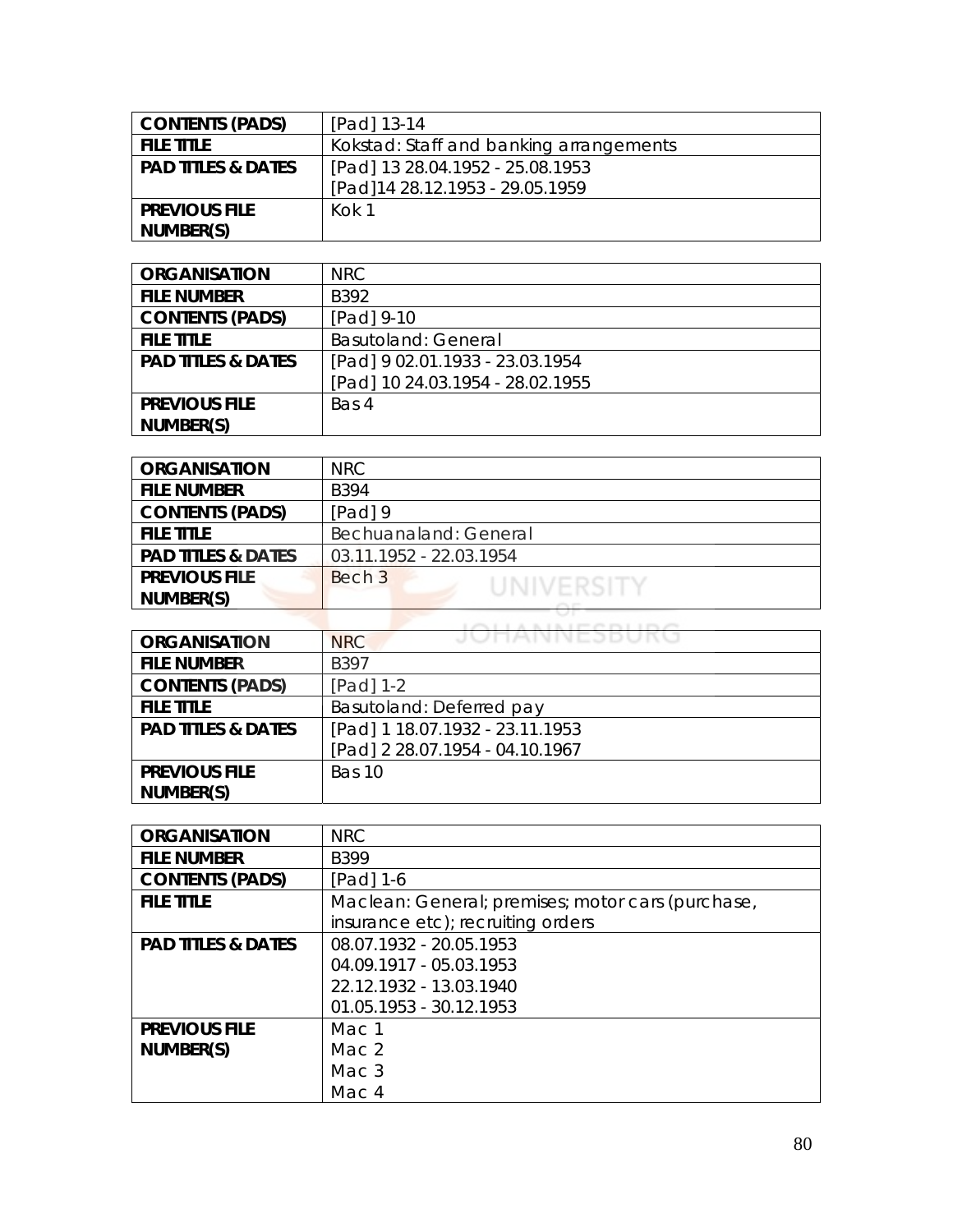| <b>CONTENTS (PADS)</b>        | [Pad] 13-14                             |
|-------------------------------|-----------------------------------------|
| <b>FILE TITLE</b>             | Kokstad: Staff and banking arrangements |
| <b>PAD TITLES &amp; DATES</b> | [Pad] 13 28.04.1952 - 25.08.1953        |
|                               | [Pad]14 28.12.1953 - 29.05.1959         |
| <b>PREVIOUS FILE</b>          | Kok 1                                   |
| NUMBER(S)                     |                                         |

| <b>ORGANISATION</b>           | NRC.                             |
|-------------------------------|----------------------------------|
| <b>FILE NUMBER</b>            | B392                             |
| <b>CONTENTS (PADS)</b>        | [Pad] 9-10                       |
| <b>FILE TITLE</b>             | <b>Basutoland: General</b>       |
| <b>PAD TITLES &amp; DATES</b> | [Pad] 9 02.01.1933 - 23.03.1954  |
|                               | [Pad] 10 24.03.1954 - 28.02.1955 |
| <b>PREVIOUS FILE</b>          | Bas 4                            |
| NUMBER(S)                     |                                  |

| <b>ORGANISATION</b>           | <b>NRC</b>              |
|-------------------------------|-------------------------|
| <b>FILE NUMBER</b>            | <b>B394</b>             |
| <b>CONTENTS (PADS)</b>        | [Pad] 9                 |
| <b>FILE TITLE</b>             | Bechuanaland: General   |
| <b>PAD TITLES &amp; DATES</b> | 03.11.1952 - 22.03.1954 |
| <b>PREVIOUS FILE</b>          | Bech 3<br>UNIVERSITY    |
| NUMBER(S)                     |                         |
|                               |                         |

| <b>ORGANISATION</b>           | JUNAINNEJDURU<br><b>NRC</b>     |
|-------------------------------|---------------------------------|
| <b>FILE NUMBER</b>            | B397                            |
| <b>CONTENTS (PADS)</b>        | [Pad] 1-2                       |
| <b>FILE TITLE</b>             | Basutoland: Deferred pay        |
| <b>PAD TITLES &amp; DATES</b> | [Pad] 1 18.07.1932 - 23.11.1953 |
|                               | [Pad] 2 28.07.1954 - 04.10.1967 |
| <b>PREVIOUS FILE</b>          | Bas 10                          |
| NUMBER(S)                     |                                 |

| <b>ORGANISATION</b>           | <b>NRC</b>                                        |
|-------------------------------|---------------------------------------------------|
| <b>FILE NUMBER</b>            | <b>B399</b>                                       |
| <b>CONTENTS (PADS)</b>        | $[Pad] 1-6$                                       |
| <b>FILE TITLE</b>             | Maclean: General; premises; motor cars (purchase, |
|                               | insurance etc); recruiting orders                 |
| <b>PAD TITLES &amp; DATES</b> | 08.07.1932 - 20.05.1953                           |
|                               | 04.09.1917 - 05.03.1953                           |
|                               | 22.12.1932 - 13.03.1940                           |
|                               | 01.05.1953 - 30.12.1953                           |
| <b>PREVIOUS FILE</b>          | Mac 1                                             |
| NUMBER(S)                     | Mac. $2$                                          |
|                               | Mac 3                                             |
|                               | Mac 4                                             |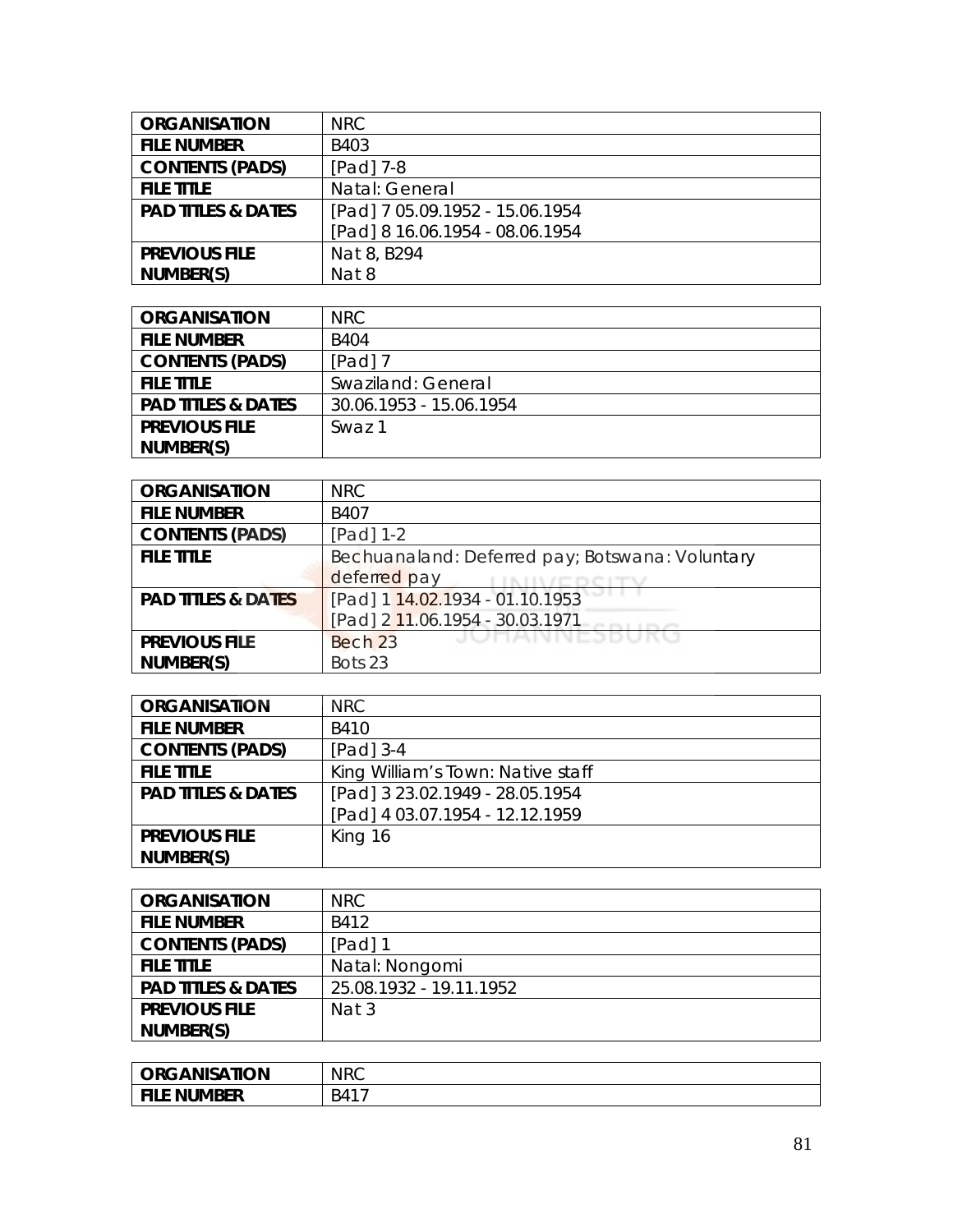| <b>ORGANISATION</b>           | NRC                             |
|-------------------------------|---------------------------------|
| <b>FILE NUMBER</b>            | B403                            |
| <b>CONTENTS (PADS)</b>        | [Pad] 7-8                       |
| <b>FILE TITLE</b>             | Natal: General                  |
| <b>PAD TITLES &amp; DATES</b> | [Pad] 7 05.09.1952 - 15.06.1954 |
|                               | [Pad] 8 16.06.1954 - 08.06.1954 |
| <b>PREVIOUS FILE</b>          | Nat 8, B294                     |
| NUMBER(S)                     | Nat 8                           |

| <b>ORGANISATION</b>           | NRC.                    |
|-------------------------------|-------------------------|
| <b>FILE NUMBER</b>            | <b>B404</b>             |
| <b>CONTENTS (PADS)</b>        | $[Pad]$ 7               |
| <b>FILE TITLE</b>             | Swaziland: General      |
| <b>PAD TITLES &amp; DATES</b> | 30.06.1953 - 15.06.1954 |
| <b>PREVIOUS FILE</b>          | Swaz 1                  |
| NUMBER(S)                     |                         |

| <b>ORGANISATION</b>           | <b>NRC</b>                                      |
|-------------------------------|-------------------------------------------------|
| <b>FILE NUMBER</b>            | B407                                            |
| <b>CONTENTS (PADS)</b>        | $[Pad] 1-2$                                     |
| <b>FILE TITLE</b>             | Bechuanaland: Deferred pay; Botswana: Voluntary |
|                               | deferred pay                                    |
| <b>PAD TITLES &amp; DATES</b> | [Pad] 1 14.02.1934 - 01.10.1953                 |
|                               | [Pad] 2 11.06.1954 - 30.03.1971                 |
| <b>PREVIOUS FILE</b>          | JUHANNESBUKU<br>Bech 23                         |
| NUMBER(S)                     | Bots 23                                         |

| <b>ORGANISATION</b>           | NRC.                              |
|-------------------------------|-----------------------------------|
| <b>FILE NUMBER</b>            | B410                              |
| <b>CONTENTS (PADS)</b>        | $[Pad]$ 3-4                       |
| <b>FILE TITLE</b>             | King William's Town: Native staff |
| <b>PAD TITLES &amp; DATES</b> | [Pad] 3 23.02.1949 - 28.05.1954   |
|                               | [Pad] 4 03.07.1954 - 12.12.1959   |
| <b>PREVIOUS FILE</b>          | King 16                           |
| NUMBER(S)                     |                                   |

| <b>ORGANISATION</b>           | NRC.                    |
|-------------------------------|-------------------------|
| <b>FILE NUMBER</b>            | B412                    |
| <b>CONTENTS (PADS)</b>        | [Pad] 1                 |
| <b>FILE TITLE</b>             | Natal: Nongomi          |
| <b>PAD TITLES &amp; DATES</b> | 25.08.1932 - 19.11.1952 |
| <b>PREVIOUS FILE</b>          | Nat 3                   |
| NUMBER(S)                     |                         |

| <b>ORGANISATION</b>          | <b>NRC</b> |
|------------------------------|------------|
| l FII.<br><b>FILE NUMBER</b> | B41        |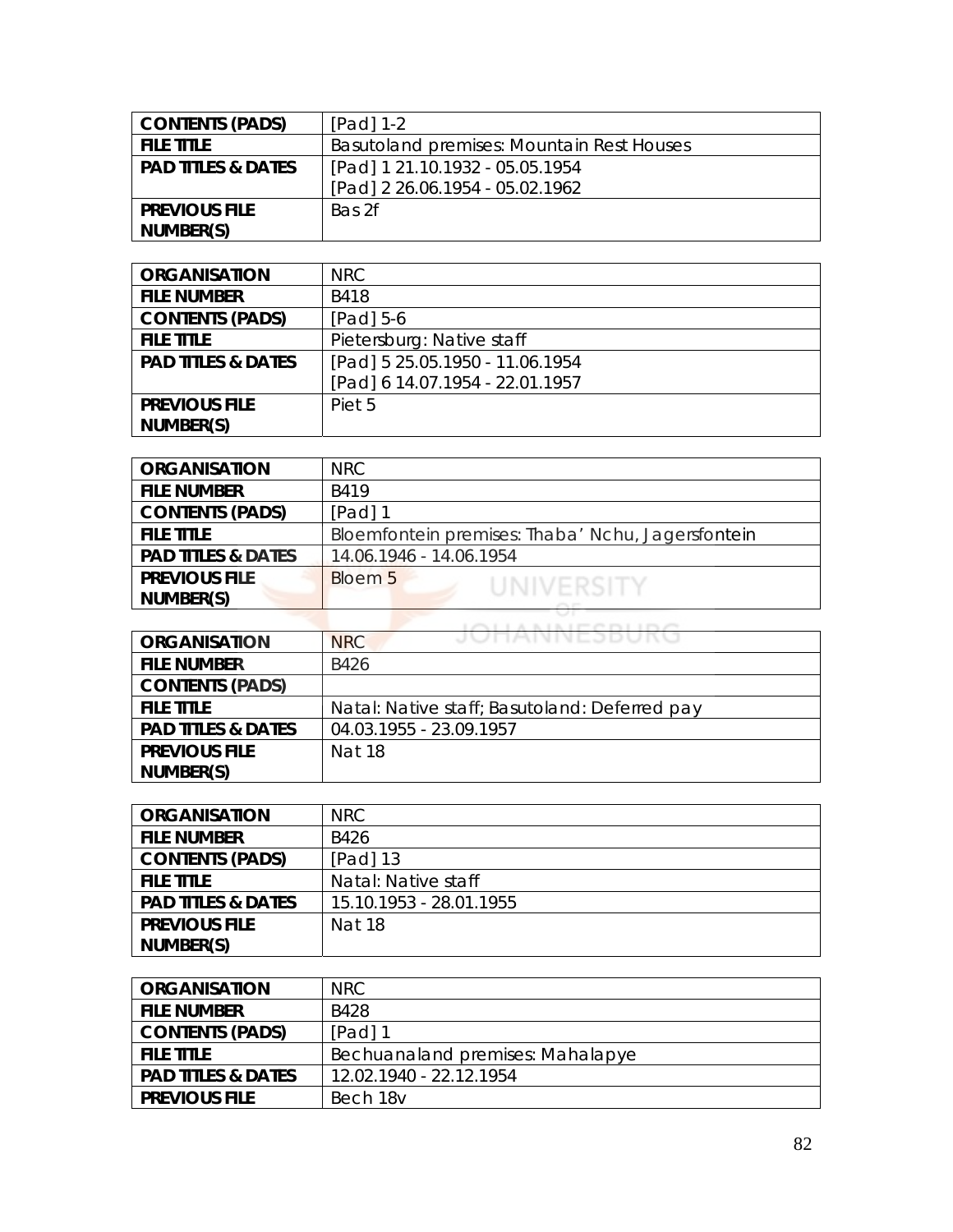| <b>CONTENTS (PADS)</b>        | $[Pad] 1-2$                               |
|-------------------------------|-------------------------------------------|
| <b>FILE TITLE</b>             | Basutoland premises: Mountain Rest Houses |
| <b>PAD TITLES &amp; DATES</b> | [Pad] 1 21.10.1932 - 05.05.1954           |
|                               | [Pad] 2 26.06.1954 - 05.02.1962           |
| <b>PREVIOUS FILE</b>          | Bas 2f                                    |
| NUMBER(S)                     |                                           |

| <b>ORGANISATION</b>           | NRC                             |
|-------------------------------|---------------------------------|
| <b>FILE NUMBER</b>            | B418                            |
| <b>CONTENTS (PADS)</b>        | $[Pad] 5-6$                     |
| <b>FILE TITLE</b>             | Pietersburg: Native staff       |
| <b>PAD TITLES &amp; DATES</b> | [Pad] 5 25.05.1950 - 11.06.1954 |
|                               | [Pad] 6 14.07.1954 - 22.01.1957 |
| <b>PREVIOUS FILE</b>          | Piet 5                          |
| NUMBER(S)                     |                                 |

| <b>ORGANISATION</b>           | NRC                                               |
|-------------------------------|---------------------------------------------------|
| <b>FILE NUMBER</b>            | B419                                              |
| <b>CONTENTS (PADS)</b>        | [Pad] 1                                           |
| <b>FILE TITLE</b>             | Bloemfontein premises: Thaba' Nchu, Jagersfontein |
| <b>PAD TITLES &amp; DATES</b> | 14.06.1946 - 14.06.1954                           |
| <b>PREVIOUS FILE</b>          | <b>Bloem 5</b><br>UNIVERSITY                      |
| NUMBER(S)                     |                                                   |
|                               |                                                   |

|                               | A B L B L PP PY PY L L PY PY                  |
|-------------------------------|-----------------------------------------------|
| <b>ORGANISATION</b>           | JUNANNESDUKU<br><b>NRC</b>                    |
| <b>FILE NUMBER</b>            | B426                                          |
| <b>CONTENTS (PADS)</b>        |                                               |
| <b>FILE TITLE</b>             | Natal: Native staff; Basutoland: Deferred pay |
| <b>PAD TITLES &amp; DATES</b> | 04.03.1955 - 23.09.1957                       |
| <b>PREVIOUS FILE</b>          | Nat 18                                        |
| NUMBER(S)                     |                                               |

| <b>ORGANISATION</b>           | NRC.                    |
|-------------------------------|-------------------------|
| <b>FILE NUMBER</b>            | B426                    |
| <b>CONTENTS (PADS)</b>        | $[Pad]$ 13              |
| <b>FILE TITLE</b>             | Natal: Native staff     |
| <b>PAD TITLES &amp; DATES</b> | 15.10.1953 - 28.01.1955 |
| <b>PREVIOUS FILE</b>          | <b>Nat 18</b>           |
| NUMBER(S)                     |                         |

| ORGANISATION                  | NRC.                             |
|-------------------------------|----------------------------------|
| <b>FILE NUMBER</b>            | B428                             |
| <b>CONTENTS (PADS)</b>        | $[Pad]$ 1                        |
| <b>FILE TITLE</b>             | Bechuanaland premises: Mahalapye |
| <b>PAD TITLES &amp; DATES</b> | 12.02.1940 - 22.12.1954          |
| <b>PREVIOUS FILE</b>          | Bech 18v                         |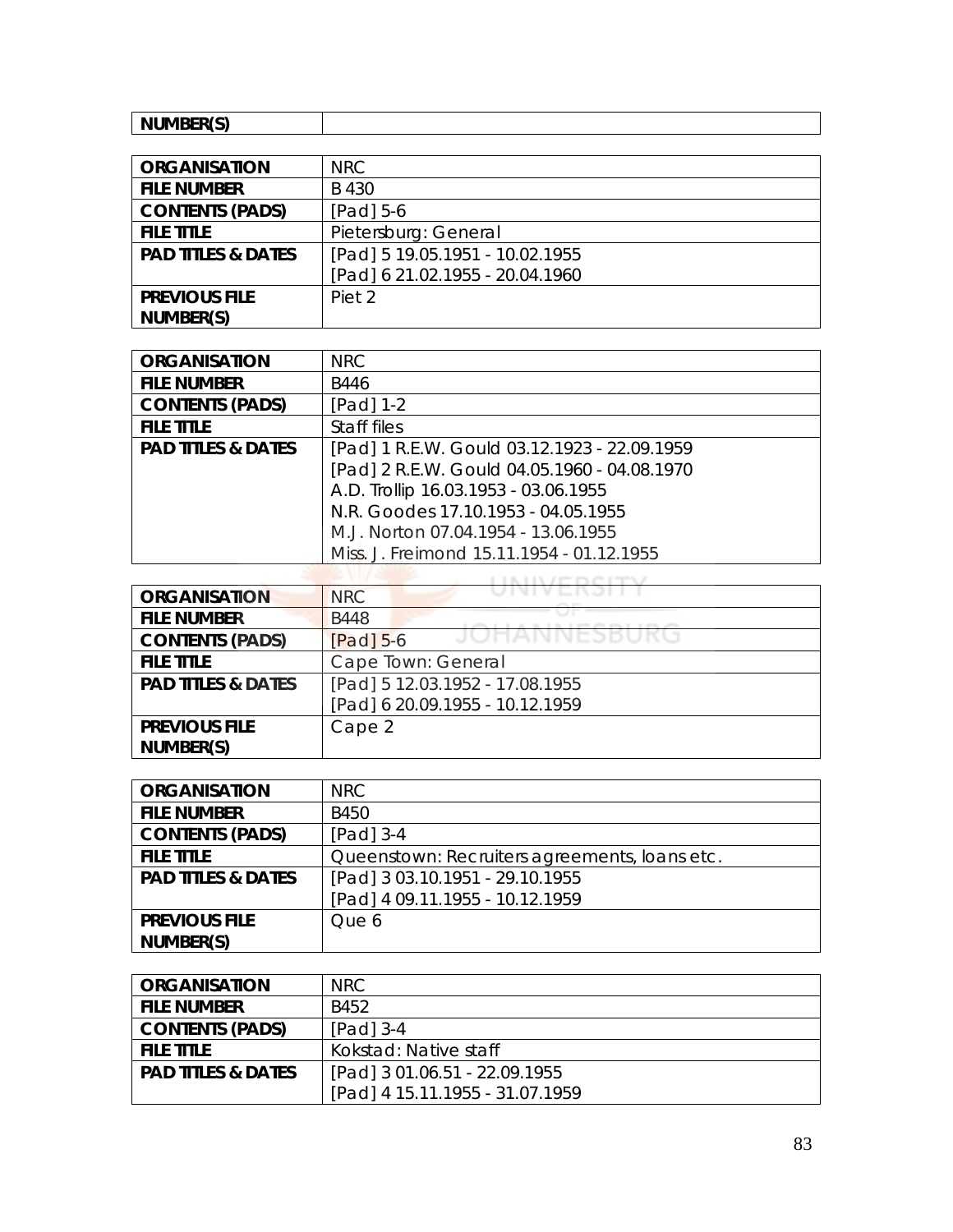| $\cdots$ $\cdots$ $\cdots$<br>$  -$<br>'N.<br>. |
|-------------------------------------------------|

| <b>ORGANISATION</b>           | NRC                             |
|-------------------------------|---------------------------------|
| <b>FILE NUMBER</b>            | B 430                           |
| <b>CONTENTS (PADS)</b>        | $[Pad] 5-6$                     |
| <b>FILE TITLE</b>             | Pietersburg: General            |
| <b>PAD TITLES &amp; DATES</b> | [Pad] 5 19.05.1951 - 10.02.1955 |
|                               | [Pad] 6 21.02.1955 - 20.04.1960 |
| <b>PREVIOUS FILE</b>          | Piet 2                          |
| NUMBER(S)                     |                                 |

| <b>ORGANISATION</b>           | <b>NRC</b>                                   |
|-------------------------------|----------------------------------------------|
| <b>FILE NUMBER</b>            | B446                                         |
| <b>CONTENTS (PADS)</b>        | [Pad] 1-2                                    |
| <b>FILE TITLE</b>             | Staff files                                  |
| <b>PAD TITLES &amp; DATES</b> | [Pad] 1 R.E.W. Gould 03.12.1923 - 22.09.1959 |
|                               | [Pad] 2 R.E.W. Gould 04.05.1960 - 04.08.1970 |
|                               | A.D. Trollip 16.03.1953 - 03.06.1955         |
|                               | N.R. Goodes 17.10.1953 - 04.05.1955          |
|                               | M.J. Norton 07.04.1954 - 13.06.1955          |
|                               | Miss. J. Freimond 15.11.1954 - 01.12.1955    |

| <b>ORGANISATION</b>           | <b>NRC</b>                      |
|-------------------------------|---------------------------------|
| <b>FILE NUMBER</b>            | <b>B448</b>                     |
| <b>CONTENTS (PADS)</b>        | JUMANNESBUK<br>$[Pad]$ 5-6      |
| <b>FILE TITLE</b>             | Cape Town: General              |
| <b>PAD TITLES &amp; DATES</b> | [Pad] 5 12.03.1952 - 17.08.1955 |
|                               | [Pad] 6 20.09.1955 - 10.12.1959 |
| <b>PREVIOUS FILE</b>          | Cape 2                          |
| NUMBER(S)                     |                                 |

| <b>ORGANISATION</b>           | <b>NRC</b>                                    |
|-------------------------------|-----------------------------------------------|
| <b>FILE NUMBER</b>            | B450                                          |
| <b>CONTENTS (PADS)</b>        | [Pad] 3-4                                     |
| <b>FILE TITLE</b>             | Queenstown: Recruiters agreements, loans etc. |
| <b>PAD TITLES &amp; DATES</b> | [Pad] 3 03.10.1951 - 29.10.1955               |
|                               | [Pad] 4 09.11.1955 - 10.12.1959               |
| <b>PREVIOUS FILE</b>          | Que 6                                         |
| NUMBER(S)                     |                                               |

| <b>ORGANISATION</b>           | NRC.                            |
|-------------------------------|---------------------------------|
| <b>FILE NUMBER</b>            | B452                            |
| <b>CONTENTS (PADS)</b>        | $[Pad]$ 3-4                     |
| <b>FILE TITLE</b>             | Kokstad: Native staff           |
| <b>PAD TITLES &amp; DATES</b> | [Pad] 3 01.06.51 - 22.09.1955   |
|                               | [Pad] 4 15.11.1955 - 31.07.1959 |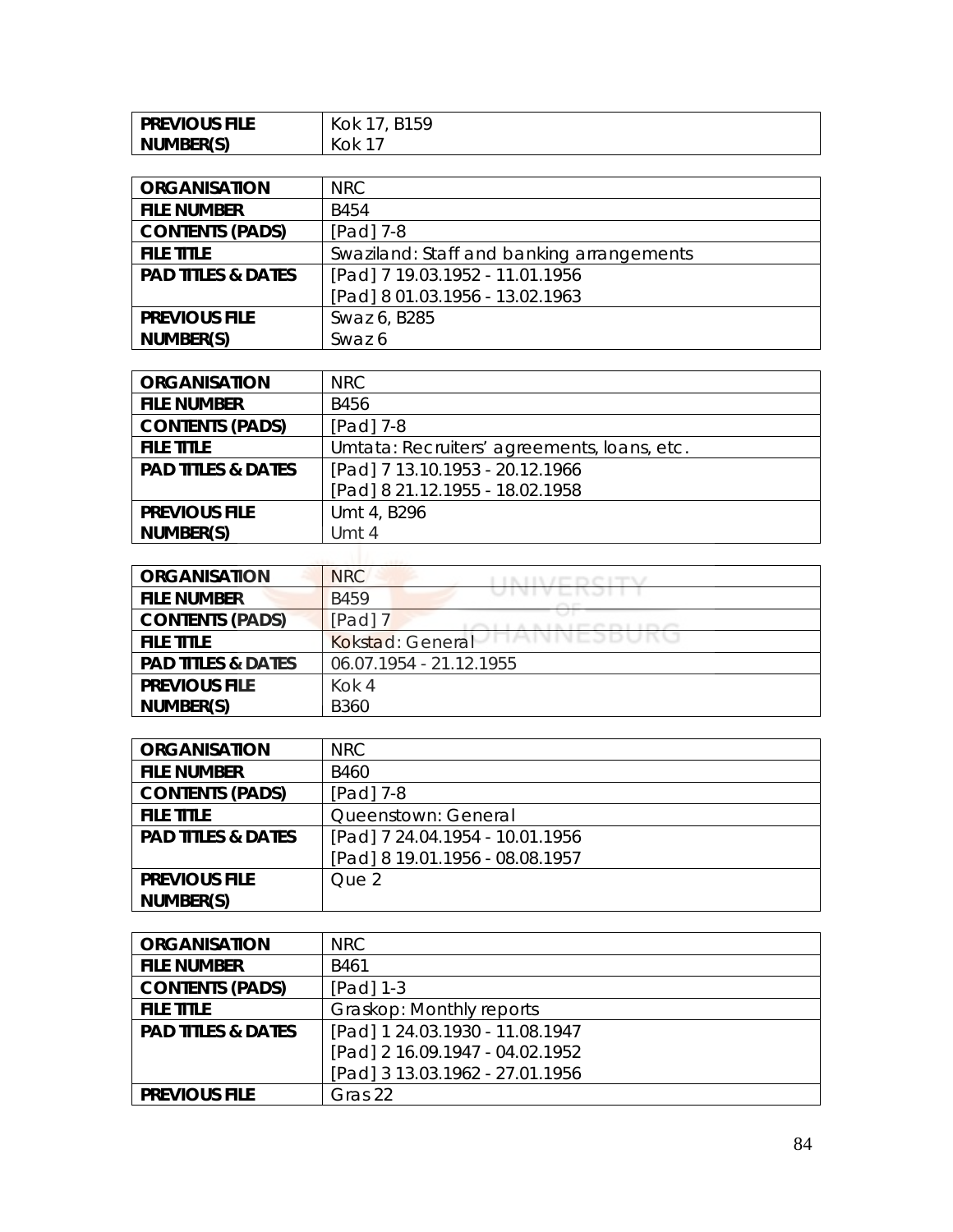| <b>PREVIOUS FILE</b> | 215Q<br>Kok<br>⊷ |
|----------------------|------------------|
| NUMBER(S)            | (OK              |

| <b>ORGANISATION</b>           | NRC.                                      |
|-------------------------------|-------------------------------------------|
| <b>FILE NUMBER</b>            | B454                                      |
| <b>CONTENTS (PADS)</b>        | $[Pad]$ 7-8                               |
| <b>FILE TITLE</b>             | Swaziland: Staff and banking arrangements |
| <b>PAD TITLES &amp; DATES</b> | [Pad] 7 19.03.1952 - 11.01.1956           |
|                               | [Pad] 8 01.03.1956 - 13.02.1963           |
| <b>PREVIOUS FILE</b>          | Swaz 6, B285                              |
| NUMBER(S)                     | Swaz 6                                    |

| <b>ORGANISATION</b>           | <b>NRC</b>                                  |
|-------------------------------|---------------------------------------------|
| <b>FILE NUMBER</b>            | B456                                        |
| <b>CONTENTS (PADS)</b>        | [Pad] 7-8                                   |
| <b>FILE TITLE</b>             | Umtata: Recruiters' agreements, Ioans, etc. |
| <b>PAD TITLES &amp; DATES</b> | [Pad] 7 13.10.1953 - 20.12.1966             |
|                               | [Pad] 8 21.12.1955 - 18.02.1958             |
| <b>PREVIOUS FILE</b>          | Umt 4, B296                                 |
| NUMBER(S)                     | Umt 4                                       |

| <b>ORGANISATION</b>           | <b>NRC</b>                              |
|-------------------------------|-----------------------------------------|
| <b>FILE NUMBER</b>            | フエリエ レーエンコーエ<br><b>B459</b>             |
| <b>CONTENTS (PADS)</b>        | $[Pad]$ $7$                             |
| <b>FILE TITLE</b>             | <b>IMININEJDUNU</b><br>Kokstad: General |
| <b>PAD TITLES &amp; DATES</b> | 06.07.1954 - 21.12.1955                 |
| <b>PREVIOUS FILE</b>          | Kok 4                                   |
| NUMBER(S)                     | <b>B360</b>                             |

| <b>ORGANISATION</b>           | NRC.                            |
|-------------------------------|---------------------------------|
| <b>FILE NUMBER</b>            | <b>B460</b>                     |
| <b>CONTENTS (PADS)</b>        | $[Pad]$ 7-8                     |
| <b>FILE TITLE</b>             | Queenstown: General             |
| <b>PAD TITLES &amp; DATES</b> | [Pad] 7 24.04.1954 - 10.01.1956 |
|                               | [Pad] 8 19.01.1956 - 08.08.1957 |
| <b>PREVIOUS FILE</b>          | Que 2                           |
| NUMBER(S)                     |                                 |

| <b>ORGANISATION</b>           | NRC                             |
|-------------------------------|---------------------------------|
| <b>FILE NUMBER</b>            | B461                            |
| <b>CONTENTS (PADS)</b>        | [Pad] 1-3                       |
| <b>FILE TITLE</b>             | Graskop: Monthly reports        |
| <b>PAD TITLES &amp; DATES</b> | [Pad] 1 24.03.1930 - 11.08.1947 |
|                               | [Pad] 2 16.09.1947 - 04.02.1952 |
|                               | [Pad] 3 13.03.1962 - 27.01.1956 |
| <b>PREVIOUS FILE</b>          | Gras 22                         |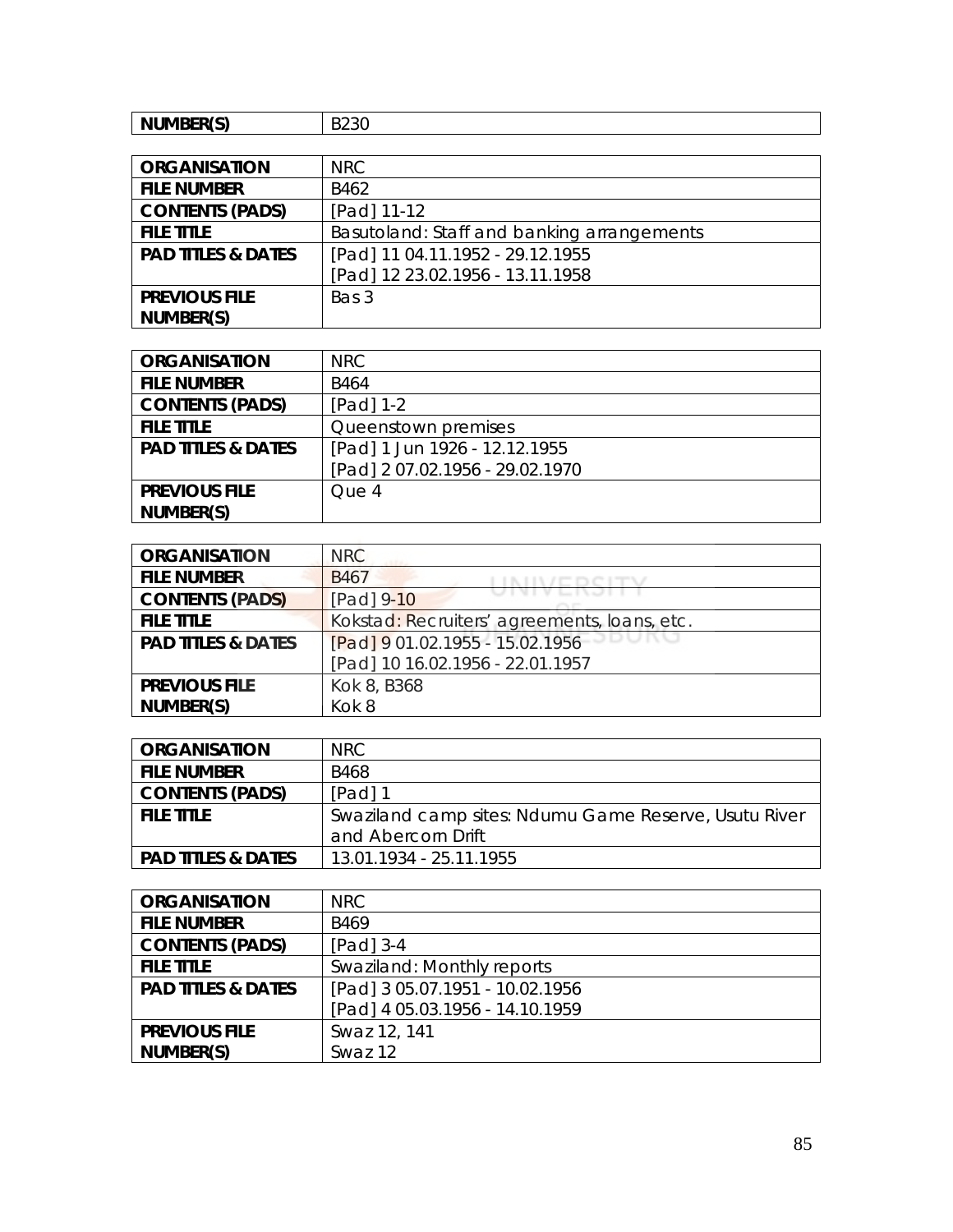| NUMBER(S)<br>. | ----<br>. .<br>∪⊂∠ט |
|----------------|---------------------|
|----------------|---------------------|

| <b>ORGANISATION</b>           | <b>NRC</b>                                 |
|-------------------------------|--------------------------------------------|
| <b>FILE NUMBER</b>            | B462                                       |
| <b>CONTENTS (PADS)</b>        | [Pad] 11-12                                |
| <b>FILE TITLE</b>             | Basutoland: Staff and banking arrangements |
| <b>PAD TITLES &amp; DATES</b> | [Pad] 11 04.11.1952 - 29.12.1955           |
|                               | [Pad] 12 23.02.1956 - 13.11.1958           |
| <b>PREVIOUS FILE</b>          | Bas 3                                      |
| NUMBER(S)                     |                                            |

| <b>ORGANISATION</b>           | NRC.                            |
|-------------------------------|---------------------------------|
| <b>FILE NUMBER</b>            | B464                            |
| <b>CONTENTS (PADS)</b>        | $[Pad] 1-2$                     |
| <b>FILE TITLE</b>             | Queenstown premises             |
| <b>PAD TITLES &amp; DATES</b> | [Pad] 1 Jun 1926 - 12.12.1955   |
|                               | [Pad] 2 07.02.1956 - 29.02.1970 |
| <b>PREVIOUS FILE</b>          | Que 4                           |
| NUMBER(S)                     |                                 |

| <b>ORGANISATION</b>           | <b>NRC</b>                                   |
|-------------------------------|----------------------------------------------|
| <b>FILE NUMBER</b>            | B <sub>467</sub>                             |
| <b>CONTENTS (PADS)</b>        | [Pad] 9-10                                   |
| <b>FILE TITLE</b>             | Kokstad: Recruiters' agreements, loans, etc. |
| <b>PAD TITLES &amp; DATES</b> | [Pad] 9 01.02.1955 - 15.02.1956              |
|                               | [Pad] 10 16.02.1956 - 22.01.1957             |
| <b>PREVIOUS FILE</b>          | Kok 8, B368                                  |
| NUMBER(S)                     | Kok 8                                        |

| <b>ORGANISATION</b>           | NRC.                                                  |
|-------------------------------|-------------------------------------------------------|
| <b>FILE NUMBER</b>            | B468                                                  |
| <b>CONTENTS (PADS)</b>        | $[Pad]$ 1                                             |
| <b>FILE TITLE</b>             | Swaziland camp sites: Ndumu Game Reserve, Usutu River |
|                               | and Abercorn Drift                                    |
| <b>PAD TITLES &amp; DATES</b> | 13.01.1934 - 25.11.1955                               |

| <b>ORGANISATION</b>           | NRC                             |
|-------------------------------|---------------------------------|
| <b>FILE NUMBER</b>            | B469                            |
| <b>CONTENTS (PADS)</b>        | [Pad] 3-4                       |
| <b>FILE TITLE</b>             | Swaziland: Monthly reports      |
| <b>PAD TITLES &amp; DATES</b> | [Pad] 3 05.07.1951 - 10.02.1956 |
|                               | [Pad] 4 05.03.1956 - 14.10.1959 |
| <b>PREVIOUS FILE</b>          | Swaz 12, 141                    |
| NUMBER(S)                     | Swaz 12                         |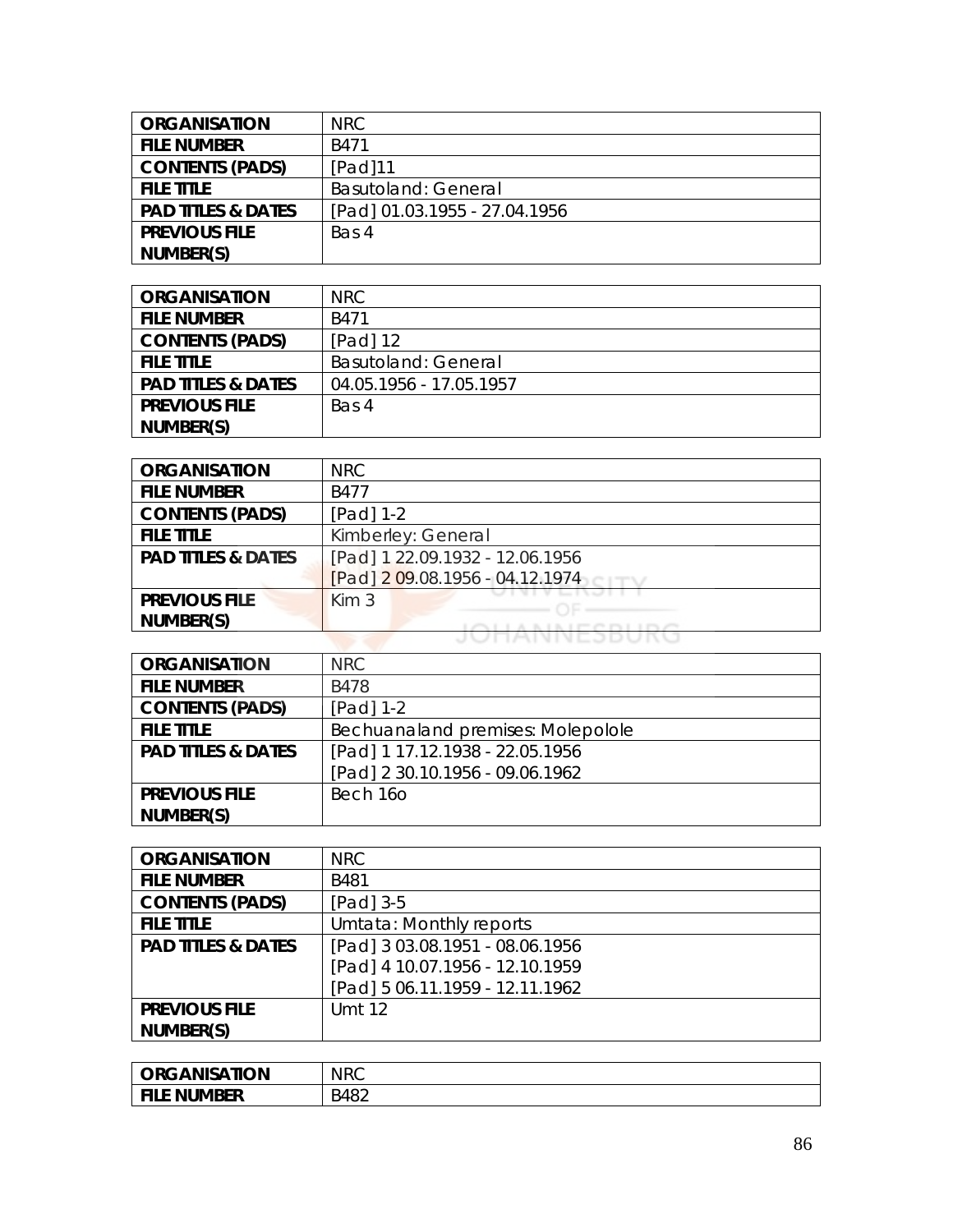| <b>ORGANISATION</b>           | NRC.                          |
|-------------------------------|-------------------------------|
| <b>FILE NUMBER</b>            | B471                          |
| <b>CONTENTS (PADS)</b>        | [Pad]11                       |
| <b>FILE TITLE</b>             | <b>Basutoland: General</b>    |
| <b>PAD TITLES &amp; DATES</b> | [Pad] 01.03.1955 - 27.04.1956 |
| <b>PREVIOUS FILE</b>          | Bas 4                         |
| NUMBER(S)                     |                               |

| <b>ORGANISATION</b>           | NRC.                       |
|-------------------------------|----------------------------|
| <b>FILE NUMBER</b>            | B471                       |
| <b>CONTENTS (PADS)</b>        | [Pad] 12                   |
| <b>FILE TITLE</b>             | <b>Basutoland: General</b> |
| <b>PAD TITLES &amp; DATES</b> | 04.05.1956 - 17.05.1957    |
| <b>PREVIOUS FILE</b>          | Bas 4                      |
| NUMBER(S)                     |                            |

| <b>ORGANISATION</b>           | <b>NRC</b>                      |
|-------------------------------|---------------------------------|
| <b>FILE NUMBER</b>            | B477                            |
| <b>CONTENTS (PADS)</b>        | $[Pad] 1-2$                     |
| <b>FILE TITLE</b>             | Kimberley: General              |
| <b>PAD TITLES &amp; DATES</b> | [Pad] 1 22.09.1932 - 12.06.1956 |
|                               | [Pad] 2 09.08.1956 - 04.12.1974 |
| <b>PREVIOUS FILE</b>          | Kim <sub>3</sub>                |
| NUMBER(S)                     | <b>KINIFODIIDO</b>              |
|                               | <b>IMIVIVEJDUN</b>              |

| <b>ORGANISATION</b>           | NRC                               |
|-------------------------------|-----------------------------------|
| <b>FILE NUMBER</b>            | B478                              |
| <b>CONTENTS (PADS)</b>        | [Pad] 1-2                         |
| <b>FILE TITLE</b>             | Bechuanaland premises: Molepolole |
| <b>PAD TITLES &amp; DATES</b> | [Pad] 1 17.12.1938 - 22.05.1956   |
|                               | [Pad] 2 30.10.1956 - 09.06.1962   |
| <b>PREVIOUS FILE</b>          | Bech 160                          |
| NUMBER(S)                     |                                   |

| <b>ORGANISATION</b>           | <b>NRC</b>                      |
|-------------------------------|---------------------------------|
| <b>FILE NUMBER</b>            | B481                            |
| <b>CONTENTS (PADS)</b>        | [Pad] 3-5                       |
| <b>FILE TITLE</b>             | Umtata: Monthly reports         |
| <b>PAD TITLES &amp; DATES</b> | [Pad] 3 03.08.1951 - 08.06.1956 |
|                               | [Pad] 4 10.07.1956 - 12.10.1959 |
|                               | [Pad] 5 06.11.1959 - 12.11.1962 |
| <b>PREVIOUS FILE</b>          | Umt 12                          |
| NUMBER(S)                     |                                 |

| <b><i>RGANISATION</i></b><br>ORG | <b>NRC</b>               |
|----------------------------------|--------------------------|
| <b>E NUMBER</b><br><b>FILE</b>   | DAOつ<br>548.<br>+∪∠<br>┘ |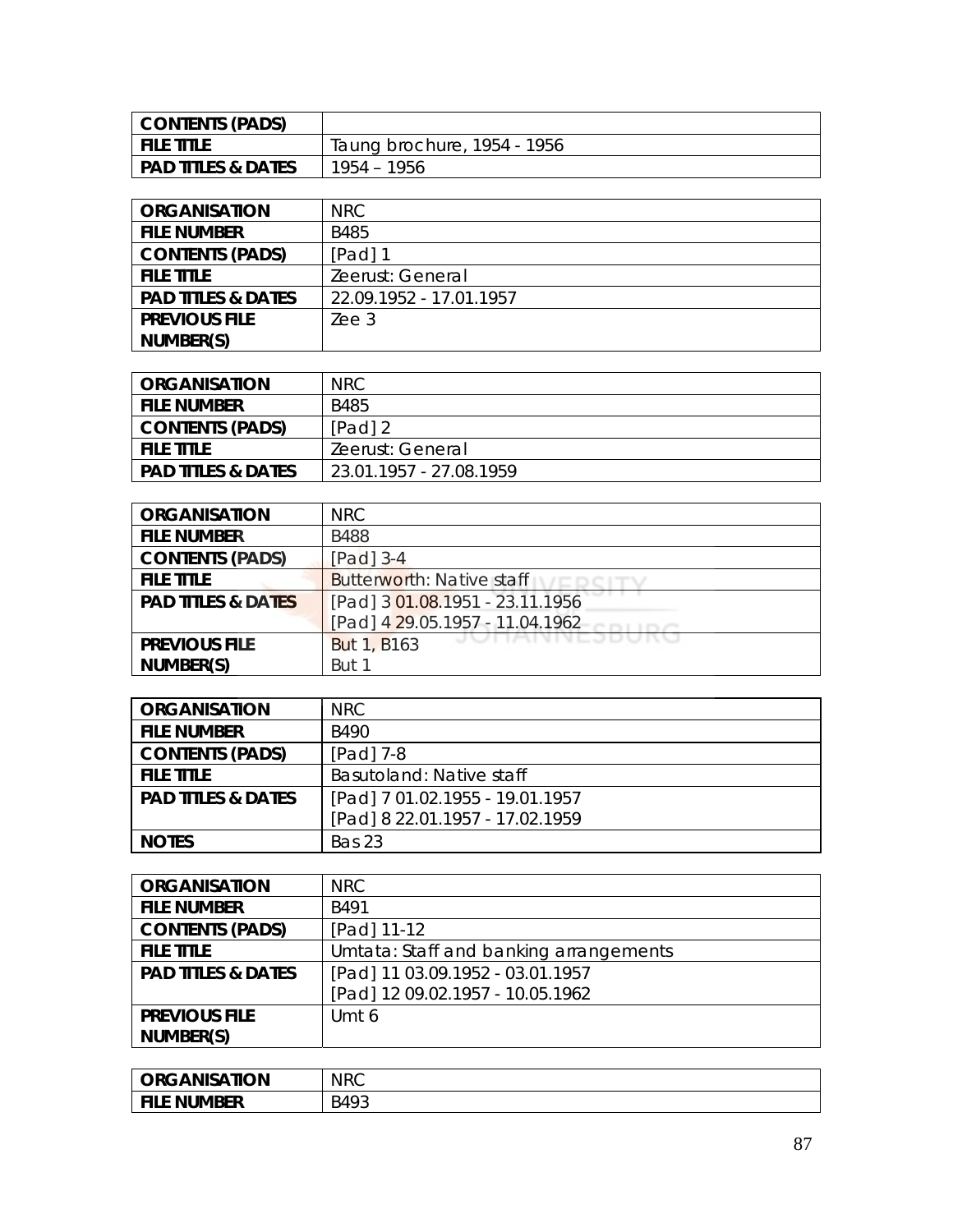| CONTENTS (PADS)    |                             |
|--------------------|-----------------------------|
| I FILE TITLE       | Taung brochure, 1954 - 1956 |
| PAD TITLES & DATES | 1954 – 1956                 |

| <b>ORGANISATION</b>           | NRC.                    |
|-------------------------------|-------------------------|
| <b>FILE NUMBER</b>            | <b>B485</b>             |
| <b>CONTENTS (PADS)</b>        | [Pad] 1                 |
| <b>FILE TITLE</b>             | Zeerust: General        |
| <b>PAD TITLES &amp; DATES</b> | 22.09.1952 - 17.01.1957 |
| <b>PREVIOUS FILE</b>          | Zee 3                   |
| NUMBER(S)                     |                         |

| ORGANISATION                  | <b>NRC</b>              |
|-------------------------------|-------------------------|
| <b>FILE NUMBER</b>            | B485                    |
| <b>CONTENTS (PADS)</b>        | $[Pad]$ 2               |
| <b>FILE TITLE</b>             | Zeerust: General        |
| <b>PAD TITLES &amp; DATES</b> | 23.01.1957 - 27.08.1959 |

| <b>ORGANISATION</b>           | NRC                              |
|-------------------------------|----------------------------------|
| <b>FILE NUMBER</b>            | <b>B488</b>                      |
| <b>CONTENTS (PADS)</b>        | [Pad] 3-4                        |
| <b>FILE TITLE</b>             | <b>Butterworth: Native staff</b> |
| <b>PAD TITLES &amp; DATES</b> | [Pad] 3 01.08.1951 - 23.11.1956  |
|                               | [Pad] 4 29.05.1957 - 11.04.1962  |
| <b>PREVIOUS FILE</b>          | <b>But 1, B163</b>               |
| NUMBER(S)                     | But 1                            |

| <b>ORGANISATION</b>           | NRC                             |
|-------------------------------|---------------------------------|
| <b>FILE NUMBER</b>            | B490                            |
| <b>CONTENTS (PADS)</b>        | [Pad] 7-8                       |
| <b>FILE TITLE</b>             | Basutoland: Native staff        |
| <b>PAD TITLES &amp; DATES</b> | [Pad] 7 01.02.1955 - 19.01.1957 |
|                               | [Pad] 8 22.01.1957 - 17.02.1959 |
| <b>NOTES</b>                  | Bas 23                          |

| <b>ORGANISATION</b>           | <b>NRC</b>                             |
|-------------------------------|----------------------------------------|
| <b>FILE NUMBER</b>            | <b>B491</b>                            |
| <b>CONTENTS (PADS)</b>        | [Pad] 11-12                            |
| <b>FILE TITLE</b>             | Umtata: Staff and banking arrangements |
| <b>PAD TITLES &amp; DATES</b> | [Pad] 11 03.09.1952 - 03.01.1957       |
|                               | [Pad] 12 09.02.1957 - 10.05.1962       |
| <b>PREVIOUS FILE</b>          | Umt 6                                  |
| NUMBER(S)                     |                                        |

| <b>ORGANISATION</b>          | <b>NRC</b> |
|------------------------------|------------|
| <b>NUMBER</b><br><b>FILE</b> | B493       |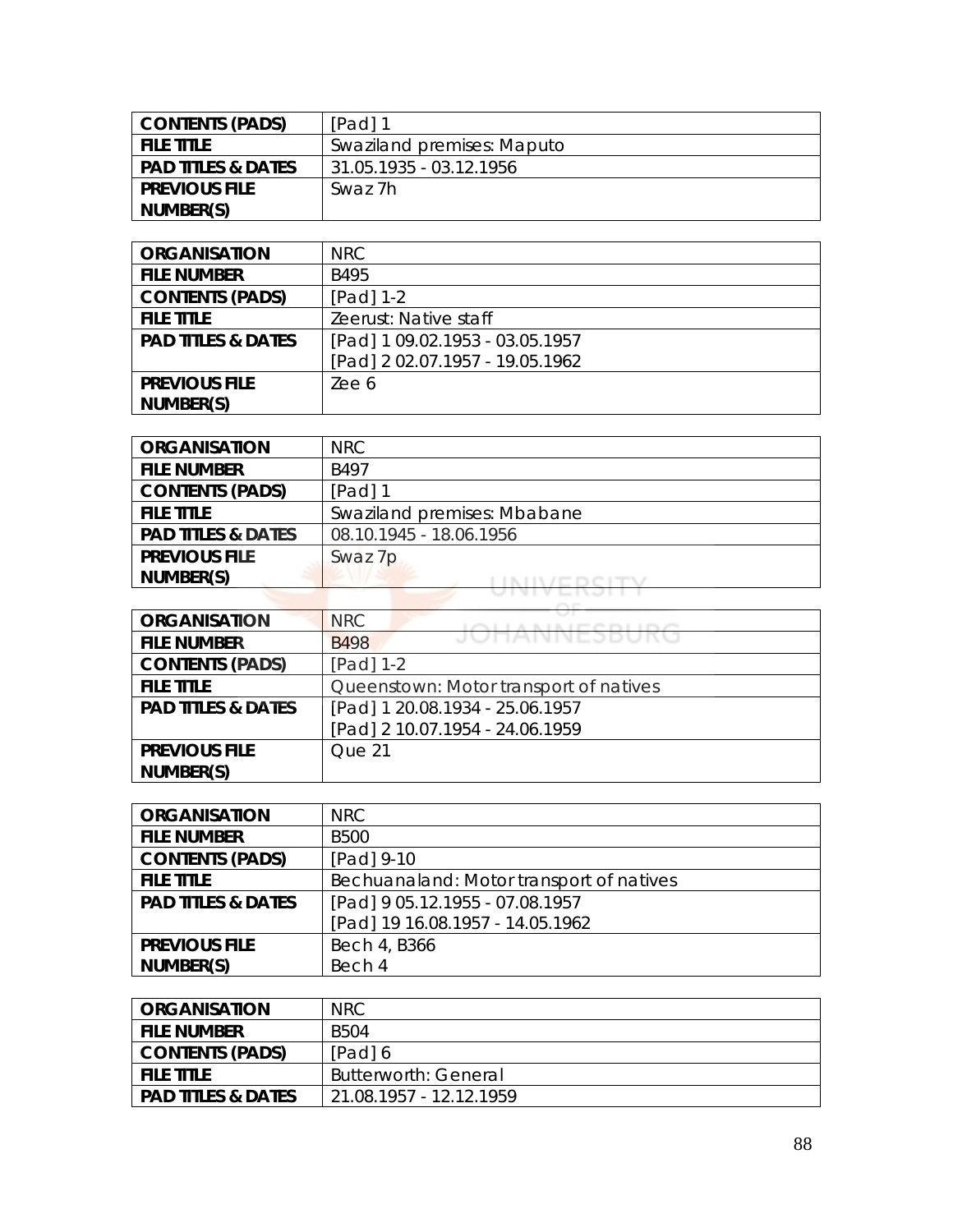| <b>CONTENTS (PADS)</b>        | $[Pad]$ 1                  |
|-------------------------------|----------------------------|
| <b>FILE TITLE</b>             | Swaziland premises: Maputo |
| <b>PAD TITLES &amp; DATES</b> | 31.05.1935 - 03.12.1956    |
| <b>PREVIOUS FILE</b>          | Swaz 7h                    |
| NUMBER(S)                     |                            |

| <b>ORGANISATION</b>           | NRC                             |
|-------------------------------|---------------------------------|
| <b>FILE NUMBER</b>            | B495                            |
| <b>CONTENTS (PADS)</b>        | [Pad] 1-2                       |
| <b>FILE TITLE</b>             | Zeerust: Native staff           |
| <b>PAD TITLES &amp; DATES</b> | [Pad] 1 09.02.1953 - 03.05.1957 |
|                               | [Pad] 2 02.07.1957 - 19.05.1962 |
| <b>PREVIOUS FILE</b>          | Zee 6                           |
| NUMBER(S)                     |                                 |

| <b>ORGANISATION</b>           | NRC                         |
|-------------------------------|-----------------------------|
| <b>FILE NUMBER</b>            | B497                        |
| <b>CONTENTS (PADS)</b>        | $[Pad]$ 1                   |
| <b>FILE TITLE</b>             | Swaziland premises: Mbabane |
| <b>PAD TITLES &amp; DATES</b> | 08.10.1945 - 18.06.1956     |
| <b>PREVIOUS FILE</b>          | Swaz 7p                     |
| NUMBER(S)                     |                             |
|                               |                             |

| <b>ORGANISATION</b>           | <b>NRC</b><br>A LA LITTLE FULL LITTLET |
|-------------------------------|----------------------------------------|
| <b>FILE NUMBER</b>            | JUNANNEJDUKU<br><b>B498</b>            |
| <b>CONTENTS (PADS)</b>        | [Pad] 1-2                              |
| <b>FILE TITLE</b>             | Queenstown: Motor transport of natives |
| <b>PAD TITLES &amp; DATES</b> | [Pad] 1 20.08.1934 - 25.06.1957        |
|                               | [Pad] 2 10.07.1954 - 24.06.1959        |
| <b>PREVIOUS FILE</b>          | Que 21                                 |
| NUMBER(S)                     |                                        |

| <b>ORGANISATION</b>           | NRC.                                     |
|-------------------------------|------------------------------------------|
| <b>FILE NUMBER</b>            | <b>B500</b>                              |
| <b>CONTENTS (PADS)</b>        | [Pad] 9-10                               |
| <b>FILE TITLE</b>             | Bechuanaland: Motor transport of natives |
| <b>PAD TITLES &amp; DATES</b> | [Pad] 9 05.12.1955 - 07.08.1957          |
|                               | [Pad] 19 16.08.1957 - 14.05.1962         |
| <b>PREVIOUS FILE</b>          | Bech 4, B366                             |
| NUMBER(S)                     | Bech 4                                   |

| <b>ORGANISATION</b>           | <b>NRC</b>                  |
|-------------------------------|-----------------------------|
| <b>FILE NUMBER</b>            | B504                        |
| <b>CONTENTS (PADS)</b>        | [Pad] 6                     |
| <b>FILE TITLE</b>             | <b>Butterworth: General</b> |
| <b>PAD TITLES &amp; DATES</b> | 21.08.1957 - 12.12.1959     |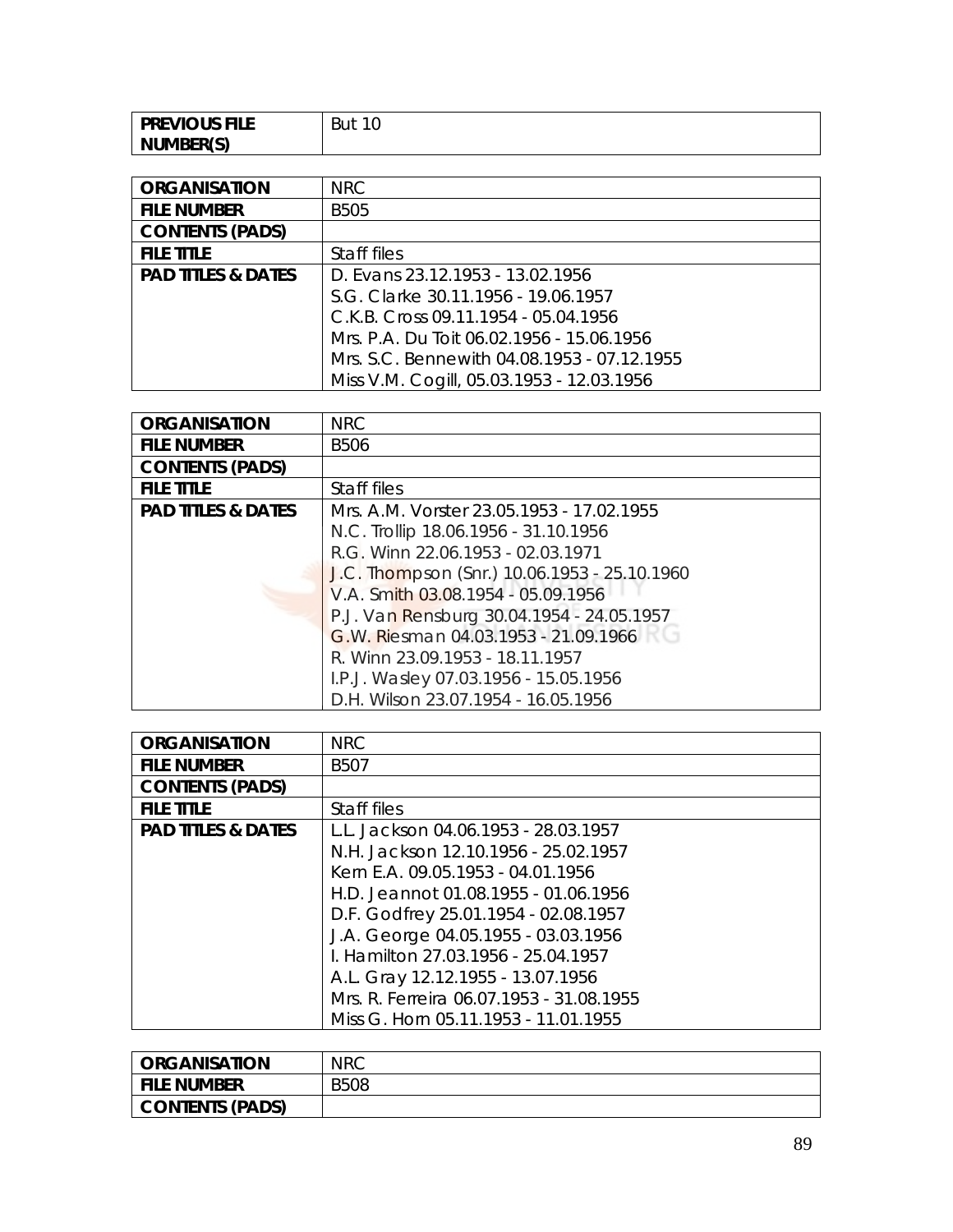| <b>PREVIOUS FILE</b> | 10<br>But |
|----------------------|-----------|
| NUMBER(S)            |           |

| <b>ORGANISATION</b>           | NRC                                         |
|-------------------------------|---------------------------------------------|
| <b>FILE NUMBER</b>            | <b>B505</b>                                 |
| <b>CONTENTS (PADS)</b>        |                                             |
| <b>FILE TITLE</b>             | Staff files                                 |
| <b>PAD TITLES &amp; DATES</b> | D. Evans 23.12.1953 - 13.02.1956            |
|                               | S.G. Clarke 30.11.1956 - 19.06.1957         |
|                               | C.K.B. Cross 09.11.1954 - 05.04.1956        |
|                               | Mrs. P.A. Du Toit 06.02.1956 - 15.06.1956   |
|                               | Mrs. S.C. Bennewith 04.08.1953 - 07.12.1955 |
|                               | Miss V.M. Cogill, 05.03.1953 - 12.03.1956   |

| <b>ORGANISATION</b>           | <b>NRC</b>                                   |
|-------------------------------|----------------------------------------------|
| <b>FILE NUMBER</b>            | <b>B506</b>                                  |
| <b>CONTENTS (PADS)</b>        |                                              |
| <b>FILE TITLE</b>             | Staff files                                  |
| <b>PAD TITLES &amp; DATES</b> | Mrs. A.M. Vorster 23.05.1953 - 17.02.1955    |
|                               | N.C. Trollip 18.06.1956 - 31.10.1956         |
|                               | R.G. Winn 22.06.1953 - 02.03.1971            |
|                               | J.C. Thompson (Snr.) 10.06.1953 - 25.10.1960 |
|                               | V.A. Smith 03.08.1954 - 05.09.1956           |
|                               | P.J. Van Rensburg 30.04.1954 - 24.05.1957    |
|                               | G.W. Riesman 04.03.1953 - 21.09.1966         |
|                               | R. Winn 23.09.1953 - 18.11.1957              |
|                               | I.P.J. Wasley 07.03.1956 - 15.05.1956        |
|                               | D.H. Wilson 23.07.1954 - 16.05.1956          |

| <b>ORGANISATION</b>           | <b>NRC</b>                               |
|-------------------------------|------------------------------------------|
| <b>FILE NUMBER</b>            | <b>B507</b>                              |
| <b>CONTENTS (PADS)</b>        |                                          |
| <b>FILE TITLE</b>             | Staff files                              |
| <b>PAD TITLES &amp; DATES</b> | L.L. Jackson 04.06.1953 - 28.03.1957     |
|                               | N.H. Jackson 12.10.1956 - 25.02.1957     |
|                               | Kern E.A. 09.05.1953 - 04.01.1956        |
|                               | H.D. Jeannot 01.08.1955 - 01.06.1956     |
|                               | D.F. Godfrey 25.01.1954 - 02.08.1957     |
|                               | J.A. George 04.05.1955 - 03.03.1956      |
|                               | I. Hamilton 27.03.1956 - 25.04.1957      |
|                               | A.L. Gray 12.12.1955 - 13.07.1956        |
|                               | Mrs. R. Ferreira 06.07.1953 - 31.08.1955 |
|                               | Miss G. Horn 05.11.1953 - 11.01.1955     |

| <b>ORGANISATION</b>    | <b>NRC</b>  |
|------------------------|-------------|
| <b>FILE NUMBER</b>     | <b>B508</b> |
| <b>CONTENTS (PADS)</b> |             |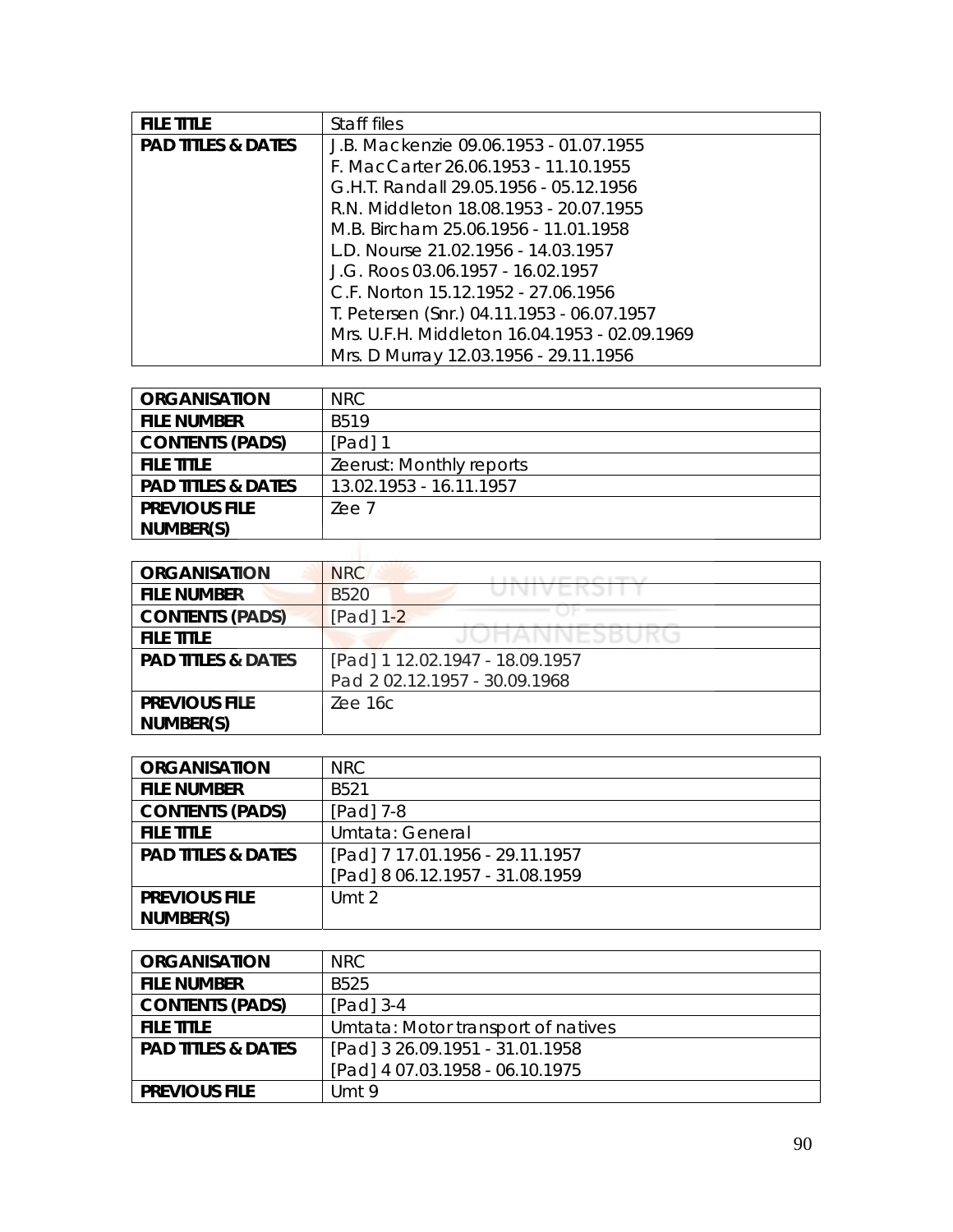| <b>FILE TITLE</b>             | Staff files                                   |
|-------------------------------|-----------------------------------------------|
| <b>PAD TITLES &amp; DATES</b> | J.B. Mackenzie 09.06.1953 - 01.07.1955        |
|                               | F. MacCarter 26.06.1953 - 11.10.1955          |
|                               | G.H.T. Randall 29.05.1956 - 05.12.1956        |
|                               | R.N. Middleton 18.08.1953 - 20.07.1955        |
|                               | M.B. Bircham 25.06.1956 - 11.01.1958          |
|                               | L.D. Nourse 21.02.1956 - 14.03.1957           |
|                               | J.G. Roos 03.06.1957 - 16.02.1957             |
|                               | C.F. Norton 15.12.1952 - 27.06.1956           |
|                               | T. Petersen (Snr.) 04.11.1953 - 06.07.1957    |
|                               | Mrs. U.F.H. Middleton 16.04.1953 - 02.09.1969 |
|                               | Mrs. D Murray 12.03.1956 - 29.11.1956         |

| <b>ORGANISATION</b>           | <b>NRC</b>               |
|-------------------------------|--------------------------|
| <b>FILE NUMBER</b>            | <b>B519</b>              |
| <b>CONTENTS (PADS)</b>        | $[Pad]$ 1                |
| <b>FILE TITLE</b>             | Zeerust: Monthly reports |
| <b>PAD TITLES &amp; DATES</b> | 13.02.1953 - 16.11.1957  |
| <b>PREVIOUS FILE</b>          | Zee 7                    |
| NUMBER(S)                     |                          |
|                               |                          |

| <b>ORGANISATION</b>           | <b>NRC</b><br>great group price in regard to an |
|-------------------------------|-------------------------------------------------|
| <b>FILE NUMBER</b>            | JINI V EINJI I<br><b>B520</b>                   |
| <b>CONTENTS (PADS)</b>        | [Pad] 1-2                                       |
| <b>FILE TITLE</b>             |                                                 |
| <b>PAD TITLES &amp; DATES</b> | [Pad] 1 12.02.1947 - 18.09.1957                 |
|                               | Pad 202.12.1957 - 30.09.1968                    |
| <b>PREVIOUS FILE</b>          | Zee 16c                                         |
| NUMBER(S)                     |                                                 |

| <b>ORGANISATION</b>           | NRC                             |
|-------------------------------|---------------------------------|
| <b>FILE NUMBER</b>            | B <sub>521</sub>                |
| <b>CONTENTS (PADS)</b>        | $[Pad]$ 7-8                     |
| <b>FILE TITLE</b>             | Umtata: General                 |
| <b>PAD TITLES &amp; DATES</b> | [Pad] 7 17.01.1956 - 29.11.1957 |
|                               | [Pad] 8 06.12.1957 - 31.08.1959 |
| <b>PREVIOUS FILE</b>          | Umt $2$                         |
| NUMBER(S)                     |                                 |

| <b>ORGANISATION</b>           | NRC.                               |
|-------------------------------|------------------------------------|
| <b>FILE NUMBER</b>            | B <sub>525</sub>                   |
| <b>CONTENTS (PADS)</b>        | $[Pad]$ 3-4                        |
| <b>FILE TITLE</b>             | Umtata: Motor transport of natives |
| <b>PAD TITLES &amp; DATES</b> | [Pad] 3 26.09.1951 - 31.01.1958    |
|                               | [Pad] 4 07.03.1958 - 06.10.1975    |
| <b>PREVIOUS FILE</b>          | Umt 9                              |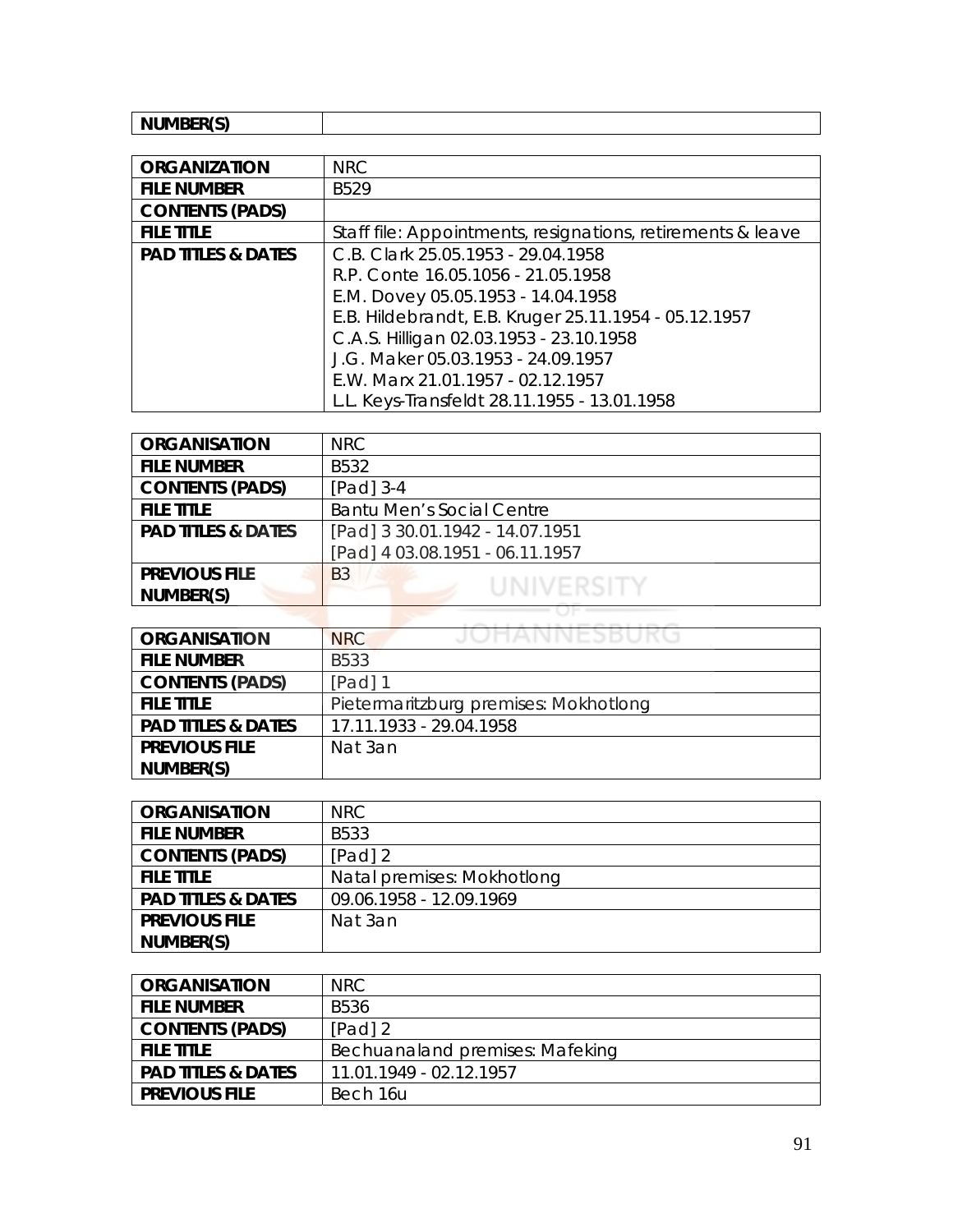## **NUMBER(S)**

| <b>ORGANIZATION</b>           | <b>NRC</b>                                                  |
|-------------------------------|-------------------------------------------------------------|
| <b>FILE NUMBER</b>            | B <sub>529</sub>                                            |
| <b>CONTENTS (PADS)</b>        |                                                             |
| <b>FILE TITLE</b>             | Staff file: Appointments, resignations, retirements & leave |
| <b>PAD TITLES &amp; DATES</b> | C.B. Clark 25.05.1953 - 29.04.1958                          |
|                               | R.P. Conte 16.05.1056 - 21.05.1958                          |
|                               | E.M. Dovey 05.05.1953 - 14.04.1958                          |
|                               | E.B. Hildebrandt, E.B. Kruger 25.11.1954 - 05.12.1957       |
|                               | C.A.S. Hilligan 02.03.1953 - 23.10.1958                     |
|                               | J.G. Maker 05.03.1953 - 24.09.1957                          |
|                               | E.W. Marx 21.01.1957 - 02.12.1957                           |
|                               | L.L. Keys-Transfeldt 28.11.1955 - 13.01.1958                |

| <b>ORGANISATION</b>           | <b>NRC</b>                       |
|-------------------------------|----------------------------------|
| <b>FILE NUMBER</b>            | B532                             |
| <b>CONTENTS (PADS)</b>        | [Pad] $3-4$                      |
| <b>FILE TITLE</b>             | <b>Bantu Men's Social Centre</b> |
| <b>PAD TITLES &amp; DATES</b> | [Pad] 3 30.01.1942 - 14.07.1951  |
|                               | [Pad] 4 03.08.1951 - 06.11.1957  |
| <b>PREVIOUS FILE</b>          | <b>B3</b>                        |
| NUMBER(S)                     | UNIVERSITY                       |
|                               |                                  |

| <b>ORGANISATION</b>           | JOHANNESBUKG<br><b>NRC</b>            |
|-------------------------------|---------------------------------------|
| <b>FILE NUMBER</b>            | B533                                  |
| <b>CONTENTS (PADS)</b>        | $[Pad]$ 1                             |
| <b>FILE TITLE</b>             | Pietermaritzburg premises: Mokhotlong |
| <b>PAD TITLES &amp; DATES</b> | 17.11.1933 - 29.04.1958               |
| <b>PREVIOUS FILE</b>          | Nat 3an                               |
| NUMBER(S)                     |                                       |

| <b>ORGANISATION</b>           | NRC.                       |
|-------------------------------|----------------------------|
| <b>FILE NUMBER</b>            | B533                       |
| <b>CONTENTS (PADS)</b>        | $[Pad]$ 2                  |
| <b>FILE TITLE</b>             | Natal premises: Mokhotlong |
| <b>PAD TITLES &amp; DATES</b> | 09.06.1958 - 12.09.1969    |
| <b>PREVIOUS FILE</b>          | Nat 3an                    |
| NUMBER(S)                     |                            |

| <b>ORGANISATION</b>           | NRC                             |
|-------------------------------|---------------------------------|
| <b>FILE NUMBER</b>            | B536                            |
| <b>CONTENTS (PADS)</b>        | $[Pad]$ 2                       |
| <b>FILE TITLE</b>             | Bechuanaland premises: Mafeking |
| <b>PAD TITLES &amp; DATES</b> | 11.01.1949 - 02.12.1957         |
| <b>PREVIOUS FILE</b>          | Bech 16u                        |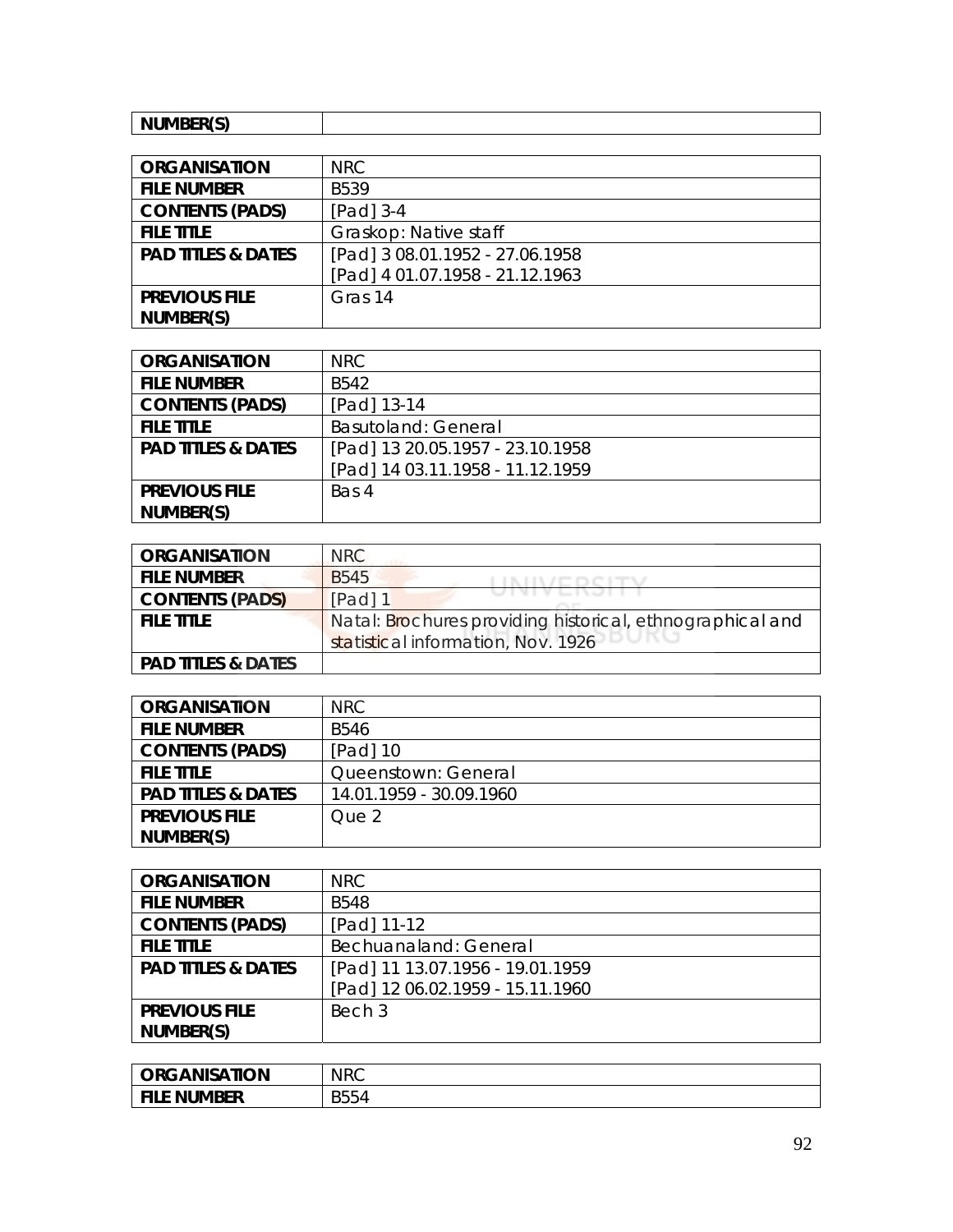| NILIMRER(S) |  |
|-------------|--|
| .           |  |

| <b>ORGANISATION</b>           | NRC                             |
|-------------------------------|---------------------------------|
| <b>FILE NUMBER</b>            | <b>B539</b>                     |
| <b>CONTENTS (PADS)</b>        | $[Pad]$ 3-4                     |
| <b>FILE TITLE</b>             | Graskop: Native staff           |
| <b>PAD TITLES &amp; DATES</b> | [Pad] 3 08.01.1952 - 27.06.1958 |
|                               | [Pad] 4 01.07.1958 - 21.12.1963 |
| <b>PREVIOUS FILE</b>          | Gras 14                         |
| NUMBER(S)                     |                                 |

| <b>ORGANISATION</b>           | NRC.                             |
|-------------------------------|----------------------------------|
| <b>FILE NUMBER</b>            | B <sub>542</sub>                 |
| <b>CONTENTS (PADS)</b>        | [Pad] 13-14                      |
| <b>FILE TITLE</b>             | <b>Basutoland: General</b>       |
| <b>PAD TITLES &amp; DATES</b> | [Pad] 13 20.05.1957 - 23.10.1958 |
|                               | [Pad] 14 03.11.1958 - 11.12.1959 |
| <b>PREVIOUS FILE</b>          | Bas 4                            |
| NUMBER(S)                     |                                  |

| <b>ORGANISATION</b>           | NRC                                                       |
|-------------------------------|-----------------------------------------------------------|
| <b>FILE NUMBER</b>            | B <sub>545</sub>                                          |
| <b>CONTENTS (PADS)</b>        | UIVIVLIVJI I<br>[Pad] 1                                   |
| <b>FILE TITLE</b>             | Natal: Brochures providing historical, ethnographical and |
|                               | statistical information, Nov. 1926                        |
| <b>PAD TITLES &amp; DATES</b> |                                                           |

| <b>ORGANISATION</b>           | NRC.                    |
|-------------------------------|-------------------------|
| <b>FILE NUMBER</b>            | <b>B546</b>             |
| <b>CONTENTS (PADS)</b>        | $[Pad]$ 10              |
| <b>FILE TITLE</b>             | Queenstown: General     |
| <b>PAD TITLES &amp; DATES</b> | 14.01.1959 - 30.09.1960 |
| <b>PREVIOUS FILE</b>          | Que 2                   |
| NUMBER(S)                     |                         |

| <b>ORGANISATION</b>           | <b>NRC</b>                       |
|-------------------------------|----------------------------------|
| <b>FILE NUMBER</b>            | <b>B548</b>                      |
| <b>CONTENTS (PADS)</b>        | [Pad] 11-12                      |
| <b>FILE TITLE</b>             | Bechuanaland: General            |
| <b>PAD TITLES &amp; DATES</b> | [Pad] 11 13.07.1956 - 19.01.1959 |
|                               | [Pad] 12 06.02.1959 - 15.11.1960 |
| <b>PREVIOUS FILE</b>          | Bech 3                           |
| NUMBER(S)                     |                                  |

| <b>ORGANISATION</b> | <b>NRC</b> |
|---------------------|------------|
| <b>FILE NUMBER</b>  | B554       |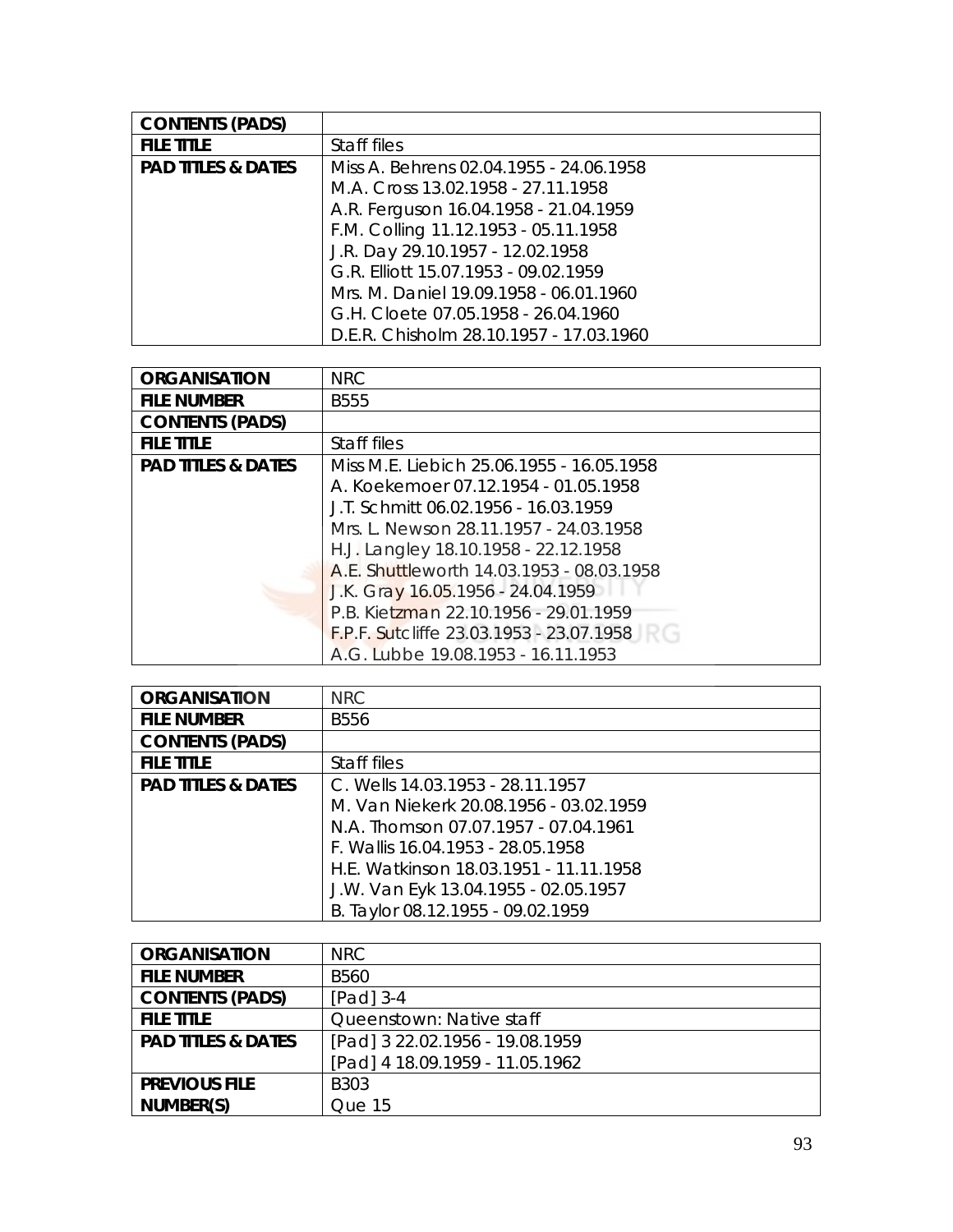| <b>CONTENTS (PADS)</b>        |                                         |
|-------------------------------|-----------------------------------------|
| <b>FILE TITLE</b>             | Staff files                             |
| <b>PAD TITLES &amp; DATES</b> | Miss A. Behrens 02.04.1955 - 24.06.1958 |
|                               | M.A. Cross 13.02.1958 - 27.11.1958      |
|                               | A.R. Ferguson 16.04.1958 - 21.04.1959   |
|                               | F.M. Colling 11.12.1953 - 05.11.1958    |
|                               | J.R. Day 29.10.1957 - 12.02.1958        |
|                               | G.R. Elliott 15.07.1953 - 09.02.1959    |
|                               | Mrs. M. Daniel 19.09.1958 - 06.01.1960  |
|                               | G.H. Cloete 07.05.1958 - 26.04.1960     |
|                               | D.E.R. Chisholm 28.10.1957 - 17.03.1960 |

| <b>ORGANISATION</b>           | <b>NRC</b>                                |
|-------------------------------|-------------------------------------------|
| <b>FILE NUMBER</b>            | <b>B555</b>                               |
| <b>CONTENTS (PADS)</b>        |                                           |
| <b>FILE TITLE</b>             | Staff files                               |
| <b>PAD TITLES &amp; DATES</b> | Miss M.E. Liebich 25.06.1955 - 16.05.1958 |
|                               | A. Koekemoer 07.12.1954 - 01.05.1958      |
|                               | J.T. Schmitt 06.02.1956 - 16.03.1959      |
|                               | Mrs. L. Newson 28.11.1957 - 24.03.1958    |
|                               | H.J. Langley 18.10.1958 - 22.12.1958      |
|                               | A.E. Shuttleworth 14.03.1953 - 08.03.1958 |
|                               | J.K. Gray 16.05.1956 - 24.04.1959         |
|                               | P.B. Kietzman 22.10.1956 - 29.01.1959     |
|                               | F.P.F. Sutcliffe 23.03.1953 - 23.07.1958  |
|                               | A.G. Lubbe 19.08.1953 - 16.11.1953        |

| <b>ORGANISATION</b>           | <b>NRC</b>                             |
|-------------------------------|----------------------------------------|
| <b>FILE NUMBER</b>            | <b>B556</b>                            |
| <b>CONTENTS (PADS)</b>        |                                        |
| <b>FILE TITLE</b>             | Staff files                            |
| <b>PAD TITLES &amp; DATES</b> | C. Wells 14.03.1953 - 28.11.1957       |
|                               | M. Van Niekerk 20.08.1956 - 03.02.1959 |
|                               | N.A. Thomson 07.07.1957 - 07.04.1961   |
|                               | F. Wallis 16.04.1953 - 28.05.1958      |
|                               | H.E. Watkinson 18.03.1951 - 11.11.1958 |
|                               | J.W. Van Eyk 13.04.1955 - 02.05.1957   |
|                               | B. Taylor 08.12.1955 - 09.02.1959      |

| <b>ORGANISATION</b>           | NRC.                            |
|-------------------------------|---------------------------------|
| <b>FILE NUMBER</b>            | <b>B560</b>                     |
| <b>CONTENTS (PADS)</b>        | [Pad] 3-4                       |
| <b>FILE TITLE</b>             | Queenstown: Native staff        |
| <b>PAD TITLES &amp; DATES</b> | [Pad] 3 22.02.1956 - 19.08.1959 |
|                               | [Pad] 4 18.09.1959 - 11.05.1962 |
| <b>PREVIOUS FILE</b>          | B <sub>303</sub>                |
| NUMBER(S)                     | Que 15                          |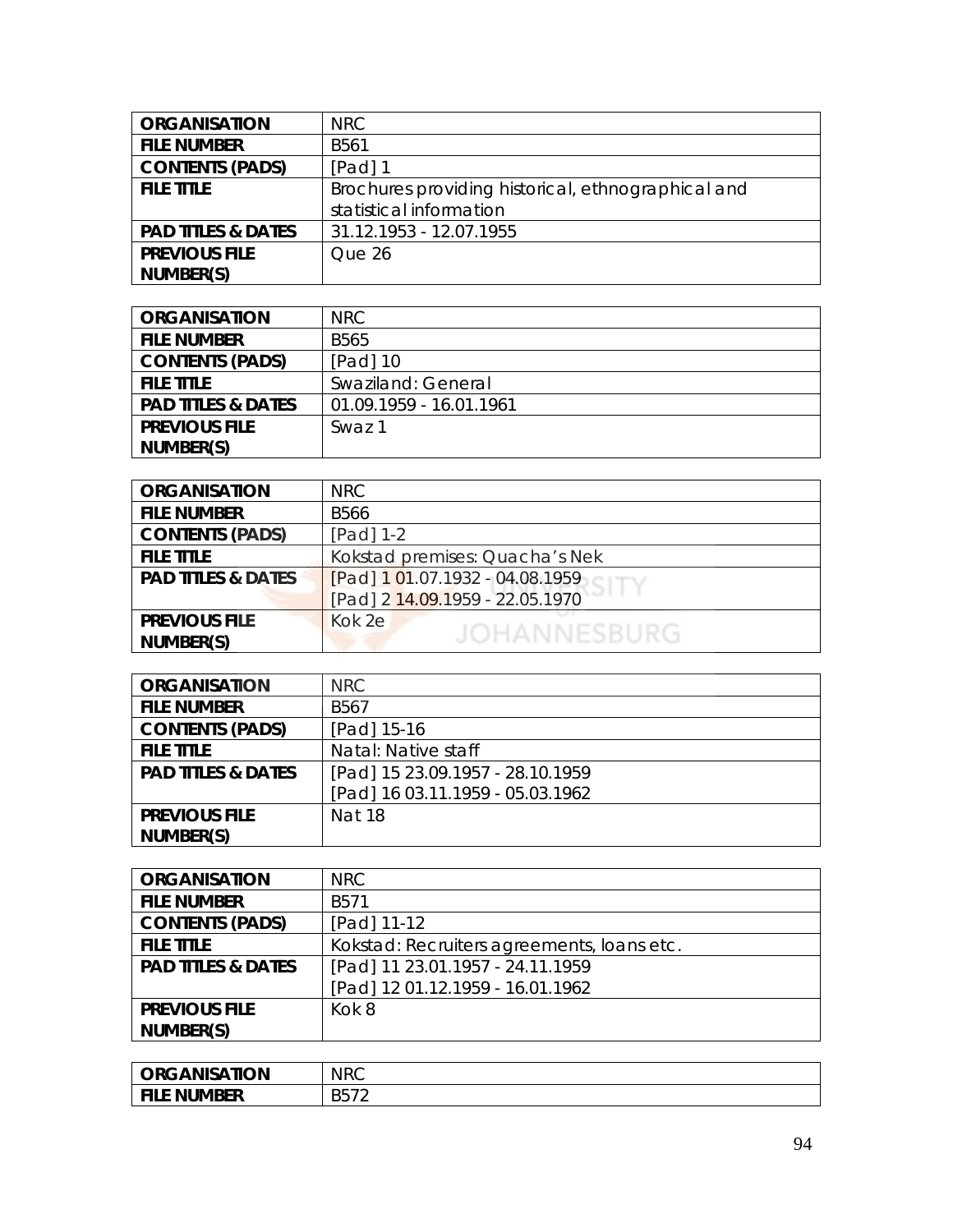| <b>ORGANISATION</b>           | <b>NRC</b>                                         |
|-------------------------------|----------------------------------------------------|
| <b>FILE NUMBER</b>            | B <sub>561</sub>                                   |
| <b>CONTENTS (PADS)</b>        | $[Pad]$ 1                                          |
| <b>FILE TITLE</b>             | Brochures providing historical, ethnographical and |
|                               | statistical information                            |
| <b>PAD TITLES &amp; DATES</b> | 31.12.1953 - 12.07.1955                            |
| <b>PREVIOUS FILE</b>          | Que 26                                             |
| NUMBER(S)                     |                                                    |

| <b>ORGANISATION</b>           | NRC.                    |
|-------------------------------|-------------------------|
| <b>FILE NUMBER</b>            | <b>B565</b>             |
| <b>CONTENTS (PADS)</b>        | $[Pad]$ 10              |
| <b>FILE TITLE</b>             | Swaziland: General      |
| <b>PAD TITLES &amp; DATES</b> | 01.09.1959 - 16.01.1961 |
| <b>PREVIOUS FILE</b>          | Swaz 1                  |
| NUMBER(S)                     |                         |

| <b>ORGANISATION</b>           | <b>NRC</b>                      |
|-------------------------------|---------------------------------|
| <b>FILE NUMBER</b>            | <b>B566</b>                     |
| <b>CONTENTS (PADS)</b>        | [Pad] 1-2                       |
| <b>FILE TITLE</b>             | Kokstad premises: Quacha's Nek  |
| <b>PAD TITLES &amp; DATES</b> | [Pad] 1 01.07.1932 - 04.08.1959 |
|                               | [Pad] 2 14.09.1959 - 22.05.1970 |
| <b>PREVIOUS FILE</b>          | Kok 2e                          |
| NUMBER(S)                     | <b>JOHANNESBURG</b>             |
|                               |                                 |

| <b>ORGANISATION</b>           | <b>NRC</b>                       |
|-------------------------------|----------------------------------|
| <b>FILE NUMBER</b>            | B <sub>567</sub>                 |
| <b>CONTENTS (PADS)</b>        | [Pad] 15-16                      |
| <b>FILE TITLE</b>             | Natal: Native staff              |
| <b>PAD TITLES &amp; DATES</b> | [Pad] 15 23.09.1957 - 28.10.1959 |
|                               | [Pad] 16 03.11.1959 - 05.03.1962 |
| <b>PREVIOUS FILE</b>          | Nat 18                           |
| NUMBER(S)                     |                                  |

| <b>ORGANISATION</b>           | NRC                                        |
|-------------------------------|--------------------------------------------|
| <b>FILE NUMBER</b>            | B571                                       |
| <b>CONTENTS (PADS)</b>        | [Pad] 11-12                                |
| <b>FILE TITLE</b>             | Kokstad: Recruiters agreements, loans etc. |
| <b>PAD TITLES &amp; DATES</b> | [Pad] 11 23.01.1957 - 24.11.1959           |
|                               | [Pad] 12 01.12.1959 - 16.01.1962           |
| <b>PREVIOUS FILE</b>          | Kok 8                                      |
| NUMBER(S)                     |                                            |

| <b>ORGANISATION</b> | <b>NRC</b>                   |
|---------------------|------------------------------|
| <b>FILE NUMBER</b>  | ĸh<br><b>DUI</b><br><u>_</u> |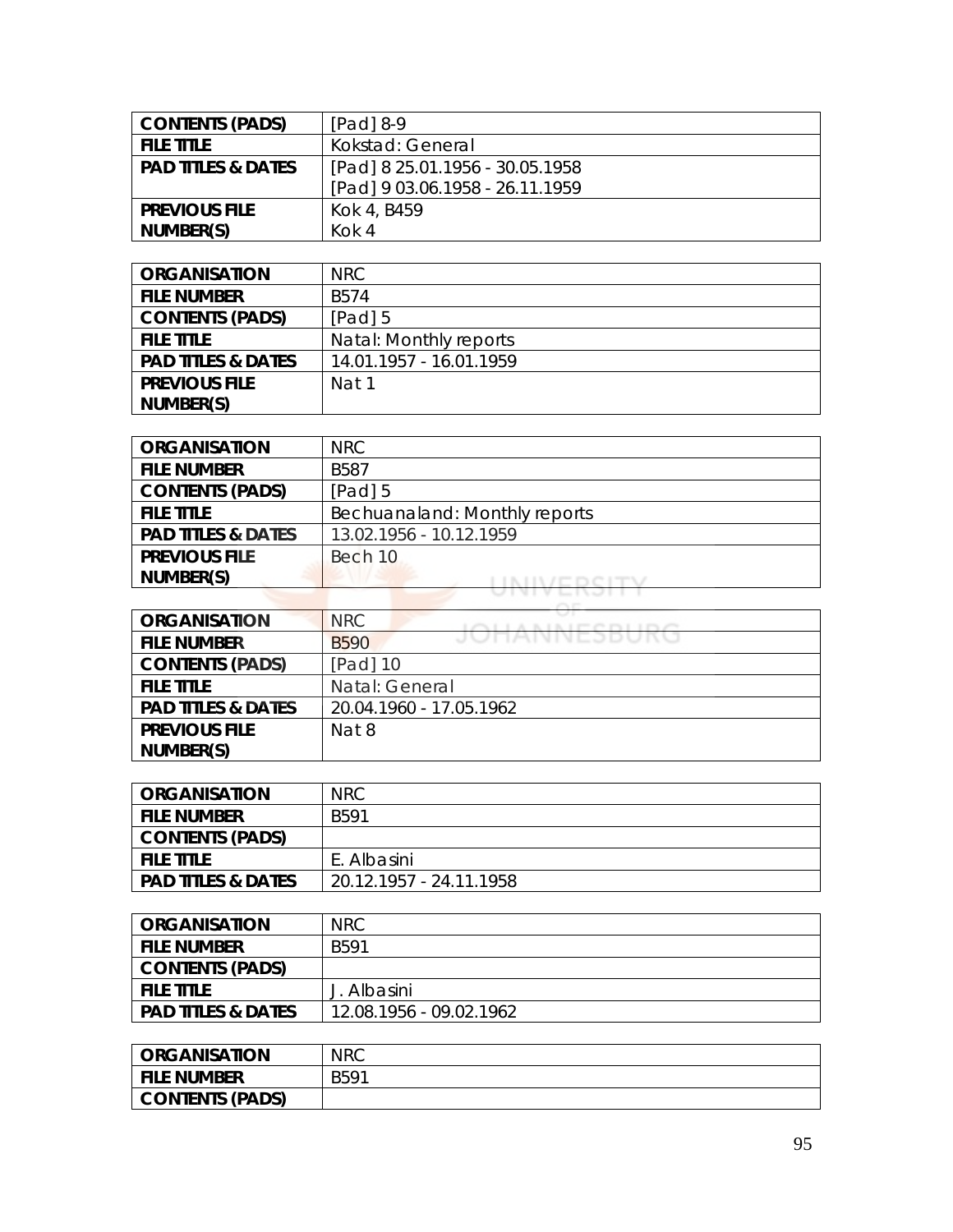| <b>CONTENTS (PADS)</b>        | $[Pad]$ 8-9                     |
|-------------------------------|---------------------------------|
| <b>FILE TITLE</b>             | Kokstad: General                |
| <b>PAD TITLES &amp; DATES</b> | [Pad] 8 25.01.1956 - 30.05.1958 |
|                               | [Pad] 9 03.06.1958 - 26.11.1959 |
| <b>PREVIOUS FILE</b>          | Kok 4, B459                     |
| NUMBER(S)                     | $K$ Ok 4                        |

| <b>ORGANISATION</b>           | NRC                     |
|-------------------------------|-------------------------|
| <b>FILE NUMBER</b>            | B574                    |
| <b>CONTENTS (PADS)</b>        | [Pad] 5                 |
| <b>FILE TITLE</b>             | Natal: Monthly reports  |
| <b>PAD TITLES &amp; DATES</b> | 14.01.1957 - 16.01.1959 |
| <b>PREVIOUS FILE</b>          | Nat 1                   |
| NUMBER(S)                     |                         |

| <b>ORGANISATION</b>           | NRC                           |
|-------------------------------|-------------------------------|
| <b>FILE NUMBER</b>            | <b>B587</b>                   |
| <b>CONTENTS (PADS)</b>        | $[Pad]$ 5                     |
| <b>FILE TITLE</b>             | Bechuanaland: Monthly reports |
| <b>PAD TITLES &amp; DATES</b> | 13.02.1956 - 10.12.1959       |
| <b>PREVIOUS FILE</b>          | Bech 10                       |
| NUMBER(S)                     |                               |

| <b>ORGANISATION</b>           | NRC<br><b>CONTRACTOR</b> |
|-------------------------------|--------------------------|
| <b>FILE NUMBER</b>            | JUNAIVIVEJDUNU<br>B590   |
| <b>CONTENTS (PADS)</b>        | $[Pad]$ 10               |
| <b>FILE TITLE</b>             | Natal: General           |
| <b>PAD TITLES &amp; DATES</b> | 20.04.1960 - 17.05.1962  |
| <b>PREVIOUS FILE</b>          | Nat 8                    |
| NUMBER(S)                     |                          |

| ORGANISATION                  | <b>NRC</b>              |
|-------------------------------|-------------------------|
| <b>FILE NUMBER</b>            | B591                    |
| <b>CONTENTS (PADS)</b>        |                         |
| <b>FILE TITLE</b>             | E. Albasini             |
| <b>PAD TITLES &amp; DATES</b> | 20.12.1957 - 24.11.1958 |

| <b>ORGANISATION</b>           | <b>NRC</b>              |
|-------------------------------|-------------------------|
| <b>FILE NUMBER</b>            | B591                    |
| <b>CONTENTS (PADS)</b>        |                         |
| <b>FILE TITLE</b>             | J. Albasini             |
| <b>PAD TITLES &amp; DATES</b> | 12.08.1956 - 09.02.1962 |

| <b>ORGANISATION</b> | <b>NRC</b> |
|---------------------|------------|
| <b>FILE NUMBER</b>  | B591       |
| CONTENTS (PADS)     |            |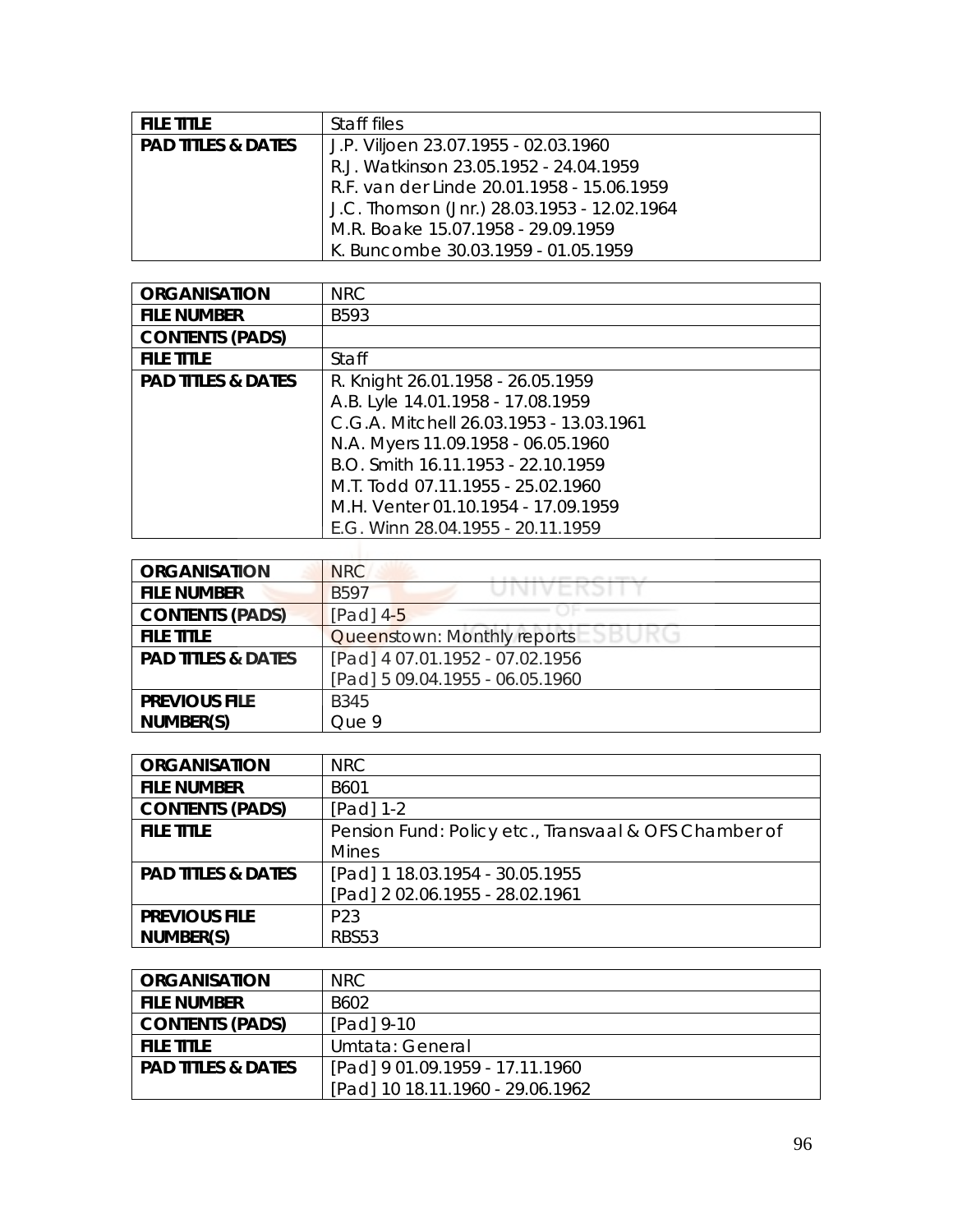| <b>FILE TITLE</b>             | Staff files                                 |
|-------------------------------|---------------------------------------------|
| <b>PAD TITLES &amp; DATES</b> | J.P. Viljoen 23.07.1955 - 02.03.1960        |
|                               | R.J. Watkinson 23.05.1952 - 24.04.1959      |
|                               | R.F. van der Linde 20.01.1958 - 15.06.1959  |
|                               | J.C. Thomson (Jnr.) 28.03.1953 - 12.02.1964 |
|                               | M.R. Boake 15.07.1958 - 29.09.1959          |
|                               | K. Buncombe 30.03.1959 - 01.05.1959         |

| <b>ORGANISATION</b>           | <b>NRC</b>                              |
|-------------------------------|-----------------------------------------|
| <b>FILE NUMBER</b>            | B593                                    |
| <b>CONTENTS (PADS)</b>        |                                         |
| <b>FILE TITLE</b>             | Staff                                   |
| <b>PAD TITLES &amp; DATES</b> | R. Knight 26.01.1958 - 26.05.1959       |
|                               | A.B. Lyle 14.01.1958 - 17.08.1959       |
|                               | C.G.A. Mitchell 26.03.1953 - 13.03.1961 |
|                               | N.A. Myers 11.09.1958 - 06.05.1960      |
|                               | B.O. Smith 16.11.1953 - 22.10.1959      |
|                               | M.T. Todd 07.11.1955 - 25.02.1960       |
|                               | M.H. Venter 01.10.1954 - 17.09.1959     |
|                               | E.G. Winn 28.04.1955 - 20.11.1959       |
|                               |                                         |

| <b>ORGANISATION</b>           | <b>NRC</b>                      |
|-------------------------------|---------------------------------|
| <b>FILE NUMBER</b>            | <b>B597</b><br>JINI V EINJI I   |
| <b>CONTENTS (PADS)</b>        | $[Pad]$ 4-5                     |
| <b>FILE TITLE</b>             | Queenstown: Monthly reports     |
| <b>PAD TITLES &amp; DATES</b> | [Pad] 4 07.01.1952 - 07.02.1956 |
|                               | [Pad] 5 09.04.1955 - 06.05.1960 |
| <b>PREVIOUS FILE</b>          | <b>B345</b>                     |
| NUMBER(S)                     | Que 9                           |

| <b>ORGANISATION</b>           | <b>NRC</b>                                            |
|-------------------------------|-------------------------------------------------------|
| <b>FILE NUMBER</b>            | B601                                                  |
| <b>CONTENTS (PADS)</b>        | $[Pad] 1-2$                                           |
| <b>FILE TITLE</b>             | Pension Fund: Policy etc., Transvaal & OFS Chamber of |
|                               | <b>Mines</b>                                          |
| <b>PAD TITLES &amp; DATES</b> | [Pad] 1 18.03.1954 - 30.05.1955                       |
|                               | [Pad] 2 02.06.1955 - 28.02.1961                       |
| <b>PREVIOUS FILE</b>          | P <sub>23</sub>                                       |
| NUMBER(S)                     | <b>RBS53</b>                                          |

| <b>ORGANISATION</b>           | NRC.                             |
|-------------------------------|----------------------------------|
| <b>FILE NUMBER</b>            | B602                             |
| <b>CONTENTS (PADS)</b>        | [Pad] 9-10                       |
| <b>FILE TITLE</b>             | Umtata: General                  |
| <b>PAD TITLES &amp; DATES</b> | [Pad] 9 01.09.1959 - 17.11.1960  |
|                               | [Pad] 10 18.11.1960 - 29.06.1962 |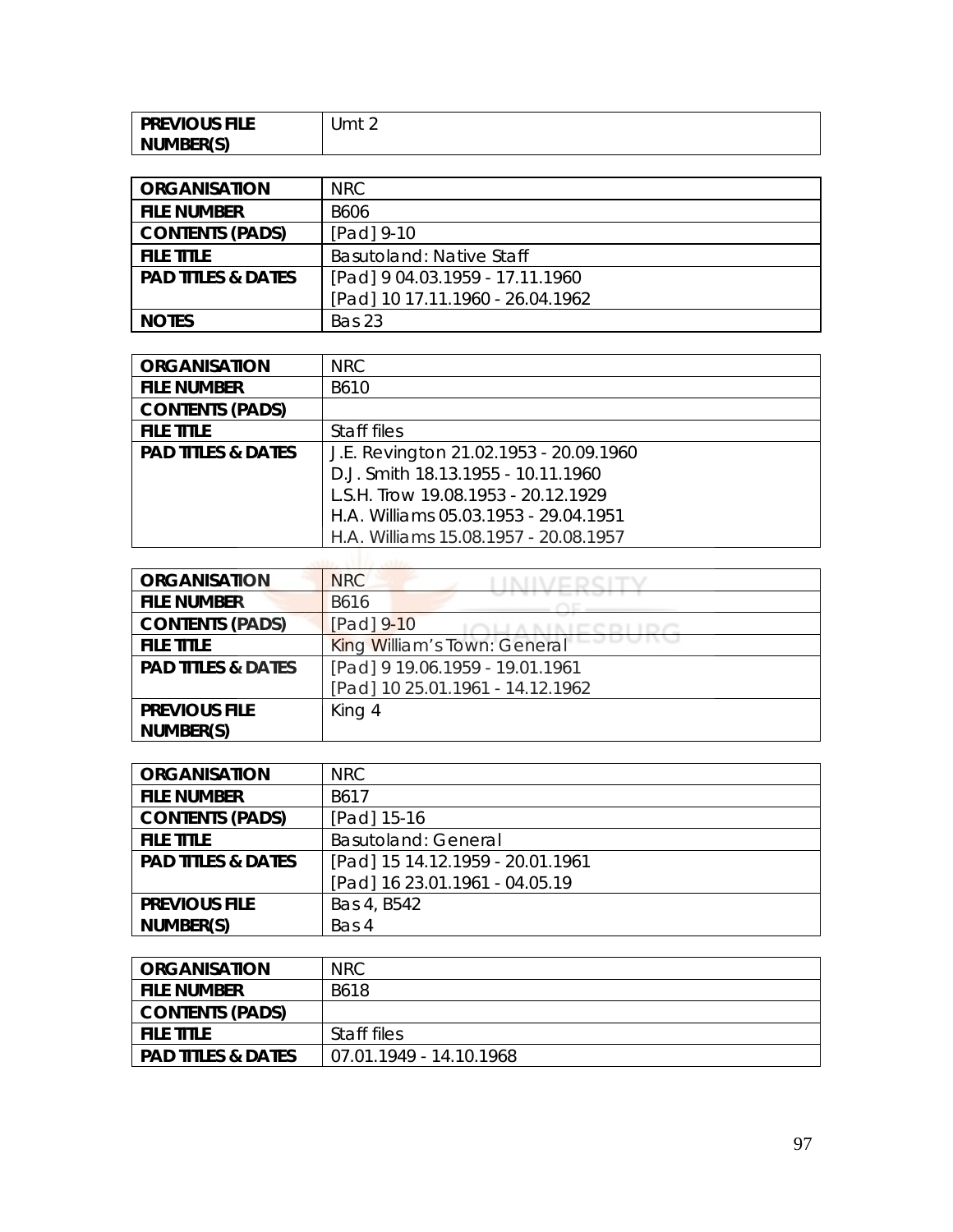| <b>PREVIOUS FILE</b> | Jmt 2 |
|----------------------|-------|
| NUMBER(S)            |       |

| <b>ORGANISATION</b>           | NRC.                             |
|-------------------------------|----------------------------------|
| <b>FILE NUMBER</b>            | <b>B606</b>                      |
| <b>CONTENTS (PADS)</b>        | [Pad] 9-10                       |
| <b>FILE TITLE</b>             | <b>Basutoland: Native Staff</b>  |
| <b>PAD TITLES &amp; DATES</b> | [Pad] 9 04.03.1959 - 17.11.1960  |
|                               | [Pad] 10 17.11.1960 - 26.04.1962 |
| <b>NOTES</b>                  | Bas 23                           |

| <b>ORGANISATION</b>           | <b>NRC</b>                             |
|-------------------------------|----------------------------------------|
| <b>FILE NUMBER</b>            | B610                                   |
| <b>CONTENTS (PADS)</b>        |                                        |
| <b>FILE TITLE</b>             | Staff files                            |
| <b>PAD TITLES &amp; DATES</b> | J.E. Revington 21.02.1953 - 20.09.1960 |
|                               | D.J. Smith 18.13.1955 - 10.11.1960     |
|                               | L.S.H. Trow 19.08.1953 - 20.12.1929    |
|                               | H.A. Williams 05.03.1953 - 29.04.1951  |
|                               | H.A. Williams 15.08.1957 - 20.08.1957  |

| <b>ORGANISATION</b>           | <b>NRC</b>                       |
|-------------------------------|----------------------------------|
| <b>FILE NUMBER</b>            | B616                             |
| <b>CONTENTS (PADS)</b>        | [Pad] 9-10                       |
| <b>FILE TITLE</b>             | King William's Town: General     |
| <b>PAD TITLES &amp; DATES</b> | [Pad] 9 19.06.1959 - 19.01.1961  |
|                               | [Pad] 10 25.01.1961 - 14.12.1962 |
| <b>PREVIOUS FILE</b>          | King 4                           |
| NUMBER(S)                     |                                  |

| <b>ORGANISATION</b>           | NRC                              |
|-------------------------------|----------------------------------|
| <b>FILE NUMBER</b>            | B617                             |
| <b>CONTENTS (PADS)</b>        | [Pad] 15-16                      |
| <b>FILE TITLE</b>             | <b>Basutoland: General</b>       |
| <b>PAD TITLES &amp; DATES</b> | [Pad] 15 14.12.1959 - 20.01.1961 |
|                               | [Pad] 16 23.01.1961 - 04.05.19   |
| <b>PREVIOUS FILE</b>          | Bas 4, B542                      |
| NUMBER(S)                     | Bas 4                            |

| ORGANISATION                  | <b>NRC</b>              |
|-------------------------------|-------------------------|
| <b>FILE NUMBER</b>            | B618                    |
| <b>CONTENTS (PADS)</b>        |                         |
| <b>FILE TITLE</b>             | Staff files             |
| <b>PAD TITLES &amp; DATES</b> | 07.01.1949 - 14.10.1968 |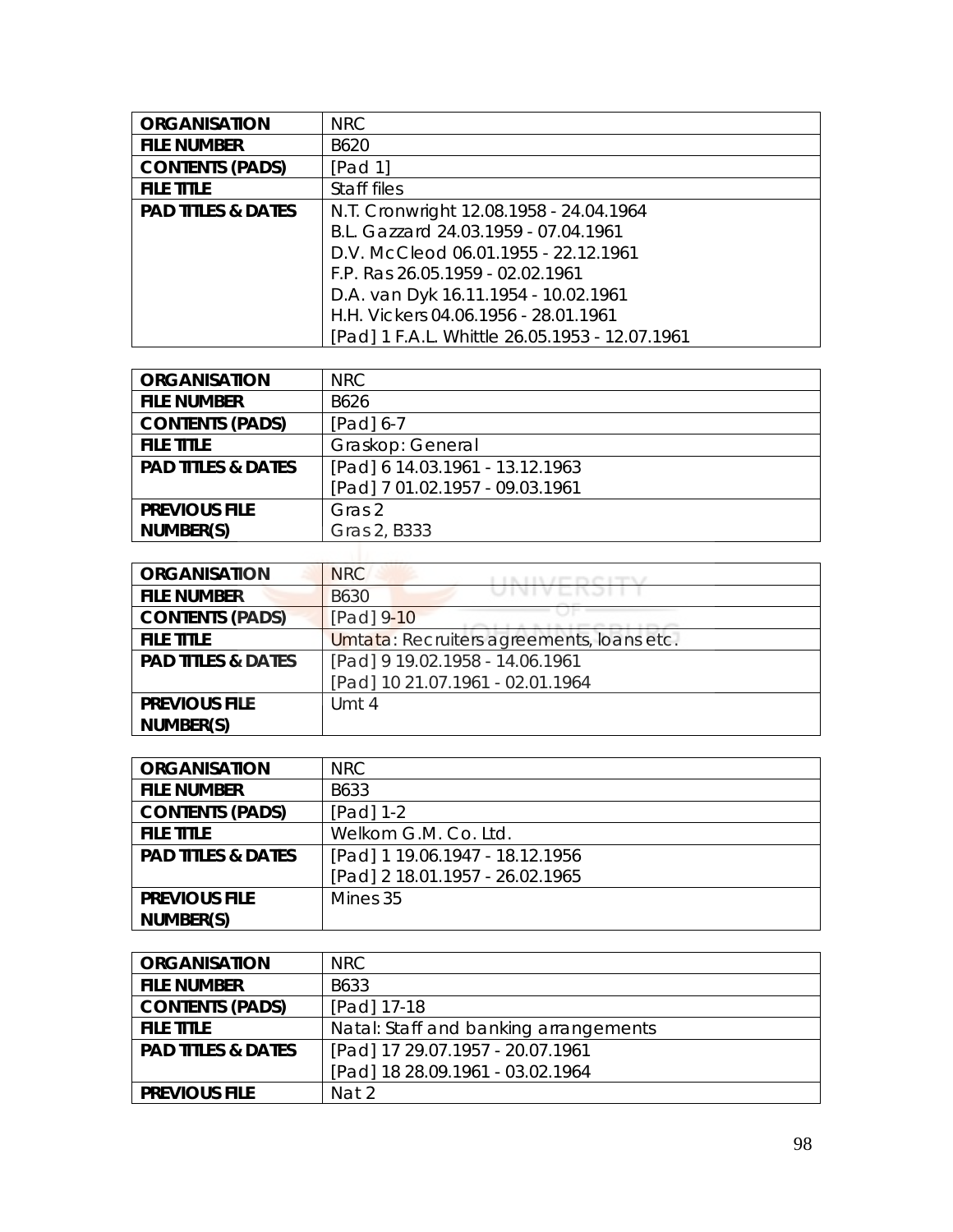| <b>ORGANISATION</b>           | <b>NRC</b>                                     |
|-------------------------------|------------------------------------------------|
| <b>FILE NUMBER</b>            | B620                                           |
| <b>CONTENTS (PADS)</b>        | [Pad 1]                                        |
| <b>FILE TITLE</b>             | Staff files                                    |
| <b>PAD TITLES &amp; DATES</b> | N.T. Cronwright 12.08.1958 - 24.04.1964        |
|                               | B.L. Gazzard 24.03.1959 - 07.04.1961           |
|                               | D.V. McCleod 06.01.1955 - 22.12.1961           |
|                               | F.P. Ras 26.05.1959 - 02.02.1961               |
|                               | D.A. van Dyk 16.11.1954 - 10.02.1961           |
|                               | H.H. Vickers 04.06.1956 - 28.01.1961           |
|                               | [Pad] 1 F.A.L. Whittle 26.05.1953 - 12.07.1961 |

| <b>ORGANISATION</b>           | <b>NRC</b>                      |
|-------------------------------|---------------------------------|
| <b>FILE NUMBER</b>            | B626                            |
| <b>CONTENTS (PADS)</b>        | [Pad] 6-7                       |
| <b>FILE TITLE</b>             | Graskop: General                |
| <b>PAD TITLES &amp; DATES</b> | [Pad] 6 14.03.1961 - 13.12.1963 |
|                               | [Pad] 7 01.02.1957 - 09.03.1961 |
| <b>PREVIOUS FILE</b>          | Gras 2                          |
| NUMBER(S)                     | Gras 2, B333                    |

| <b>ORGANISATION</b>           | <b>NRC</b>                                     |
|-------------------------------|------------------------------------------------|
| <b>FILE NUMBER</b>            | , , , , , , , , , , , , , , , ,<br><b>B630</b> |
| <b>CONTENTS (PADS)</b>        | [Pad] 9-10                                     |
| <b>FILE TITLE</b>             | Umtata: Recruiters agreements, Ioans etc.      |
| <b>PAD TITLES &amp; DATES</b> | [Pad] 9 19.02.1958 - 14.06.1961                |
|                               | [Pad] 10 21.07.1961 - 02.01.1964               |
| <b>PREVIOUS FILE</b>          | Umt 4                                          |
| NUMBER(S)                     |                                                |

| <b>ORGANISATION</b>           | NRC.                            |
|-------------------------------|---------------------------------|
| <b>FILE NUMBER</b>            | B633                            |
| <b>CONTENTS (PADS)</b>        | $[Pad] 1-2$                     |
| <b>FILE TITLE</b>             | Welkom G.M. Co. Ltd.            |
| <b>PAD TITLES &amp; DATES</b> | [Pad] 1 19.06.1947 - 18.12.1956 |
|                               | [Pad] 2 18.01.1957 - 26.02.1965 |
| <b>PREVIOUS FILE</b>          | Mines 35                        |
| NUMBER(S)                     |                                 |

| <b>ORGANISATION</b>           | NRC.                                  |
|-------------------------------|---------------------------------------|
| <b>FILE NUMBER</b>            | B633                                  |
| <b>CONTENTS (PADS)</b>        | [Pad] 17-18                           |
| <b>FILE TITLE</b>             | Natal: Staff and banking arrangements |
| <b>PAD TITLES &amp; DATES</b> | [Pad] 17 29.07.1957 - 20.07.1961      |
|                               | [Pad] 18 28.09.1961 - 03.02.1964      |
| <b>PREVIOUS FILE</b>          | Nat 2                                 |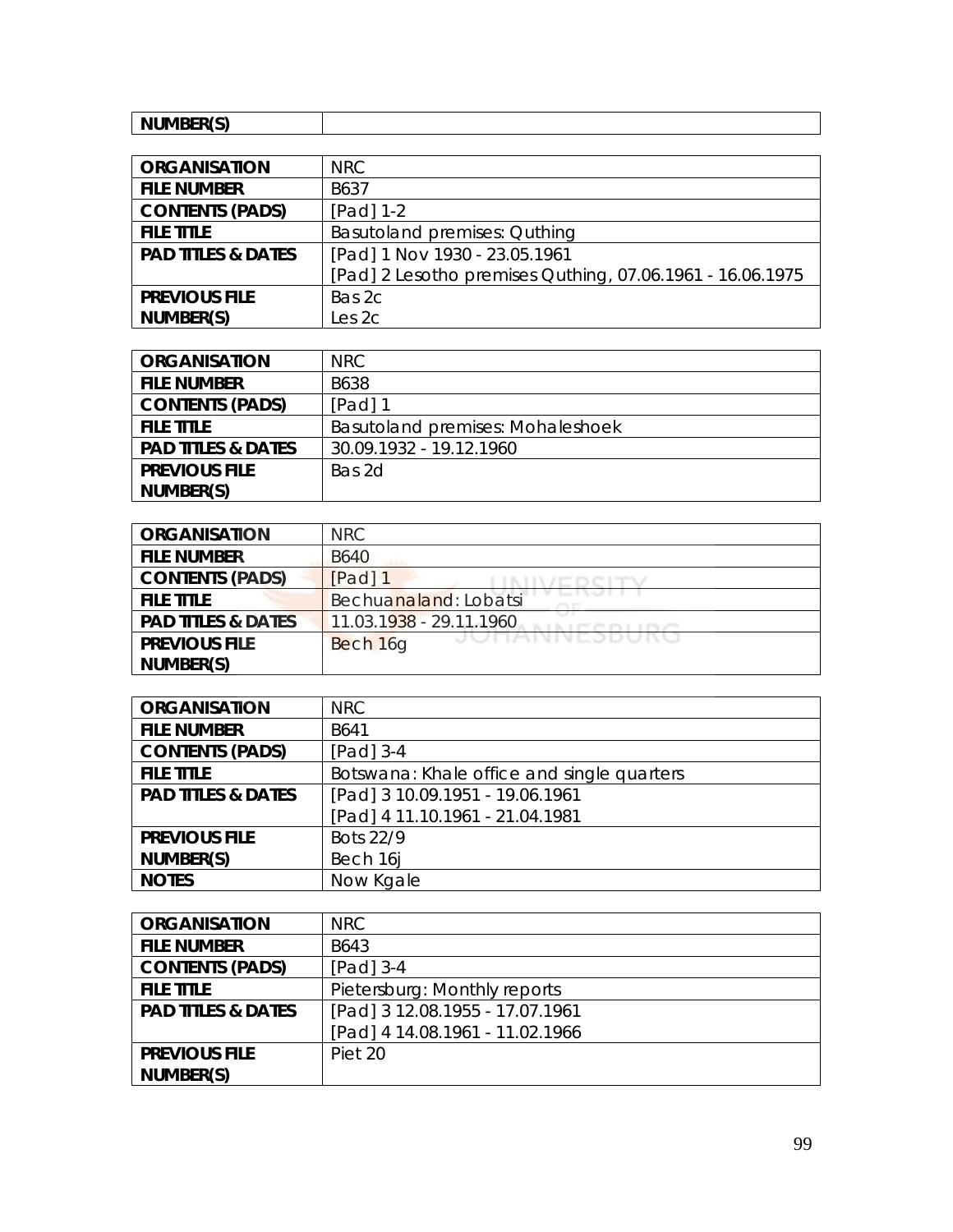| NUMBER(S)<br><b>INUIVIDER</b><br>. J |  |
|--------------------------------------|--|
|--------------------------------------|--|

| <b>ORGANISATION</b>           | NRC                                                       |
|-------------------------------|-----------------------------------------------------------|
| <b>FILE NUMBER</b>            | B637                                                      |
| <b>CONTENTS (PADS)</b>        | $[Pad] 1-2$                                               |
| <b>FILE TITLE</b>             | Basutoland premises: Quthing                              |
| <b>PAD TITLES &amp; DATES</b> | [Pad] 1 Nov 1930 - 23.05.1961                             |
|                               | [Pad] 2 Lesotho premises Quthing, 07.06.1961 - 16.06.1975 |
| <b>PREVIOUS FILE</b>          | Bas 2c                                                    |
| NUMBER(S)                     | Les 2c                                                    |

| <b>ORGANISATION</b>           | NRC.                                    |
|-------------------------------|-----------------------------------------|
| <b>FILE NUMBER</b>            | B638                                    |
| <b>CONTENTS (PADS)</b>        | [Pad] 1                                 |
| <b>FILE TITLE</b>             | <b>Basutoland premises: Mohaleshoek</b> |
| <b>PAD TITLES &amp; DATES</b> | 30.09.1932 - 19.12.1960                 |
| <b>PREVIOUS FILE</b>          | Bas 2d                                  |
| NUMBER(S)                     |                                         |

| <b>ORGANISATION</b>           | <b>NRC</b>               |
|-------------------------------|--------------------------|
| <b>FILE NUMBER</b>            | <b>B640</b>              |
| <b>CONTENTS (PADS)</b>        | [Pad] 1                  |
| <b>FILE TITLE</b>             | Bechuanaland: Lobatsi    |
| <b>PAD TITLES &amp; DATES</b> | 11.03.1938 - 29.11.1960  |
| <b>PREVIOUS FILE</b>          | JUNNIVEJDUNU<br>Bech 16g |
| NUMBER(S)                     |                          |

| <b>ORGANISATION</b>           | <b>NRC</b>                                 |
|-------------------------------|--------------------------------------------|
| <b>FILE NUMBER</b>            | B641                                       |
| <b>CONTENTS (PADS)</b>        | $[Pad]$ 3-4                                |
| <b>FILE TITLE</b>             | Botswana: Khale office and single quarters |
| <b>PAD TITLES &amp; DATES</b> | [Pad] 3 10.09.1951 - 19.06.1961            |
|                               | [Pad] 4 11.10.1961 - 21.04.1981            |
| <b>PREVIOUS FILE</b>          | Bots 22/9                                  |
| NUMBER(S)                     | Bech 16                                    |
| <b>NOTES</b>                  | Now Kgale                                  |

| <b>ORGANISATION</b>           | NRC                             |
|-------------------------------|---------------------------------|
| <b>FILE NUMBER</b>            | B643                            |
| <b>CONTENTS (PADS)</b>        | $[Pad]$ 3-4                     |
| <b>FILE TITLE</b>             | Pietersburg: Monthly reports    |
| <b>PAD TITLES &amp; DATES</b> | [Pad] 3 12.08.1955 - 17.07.1961 |
|                               | [Pad] 4 14.08.1961 - 11.02.1966 |
| <b>PREVIOUS FILE</b>          | Piet 20                         |
| NUMBER(S)                     |                                 |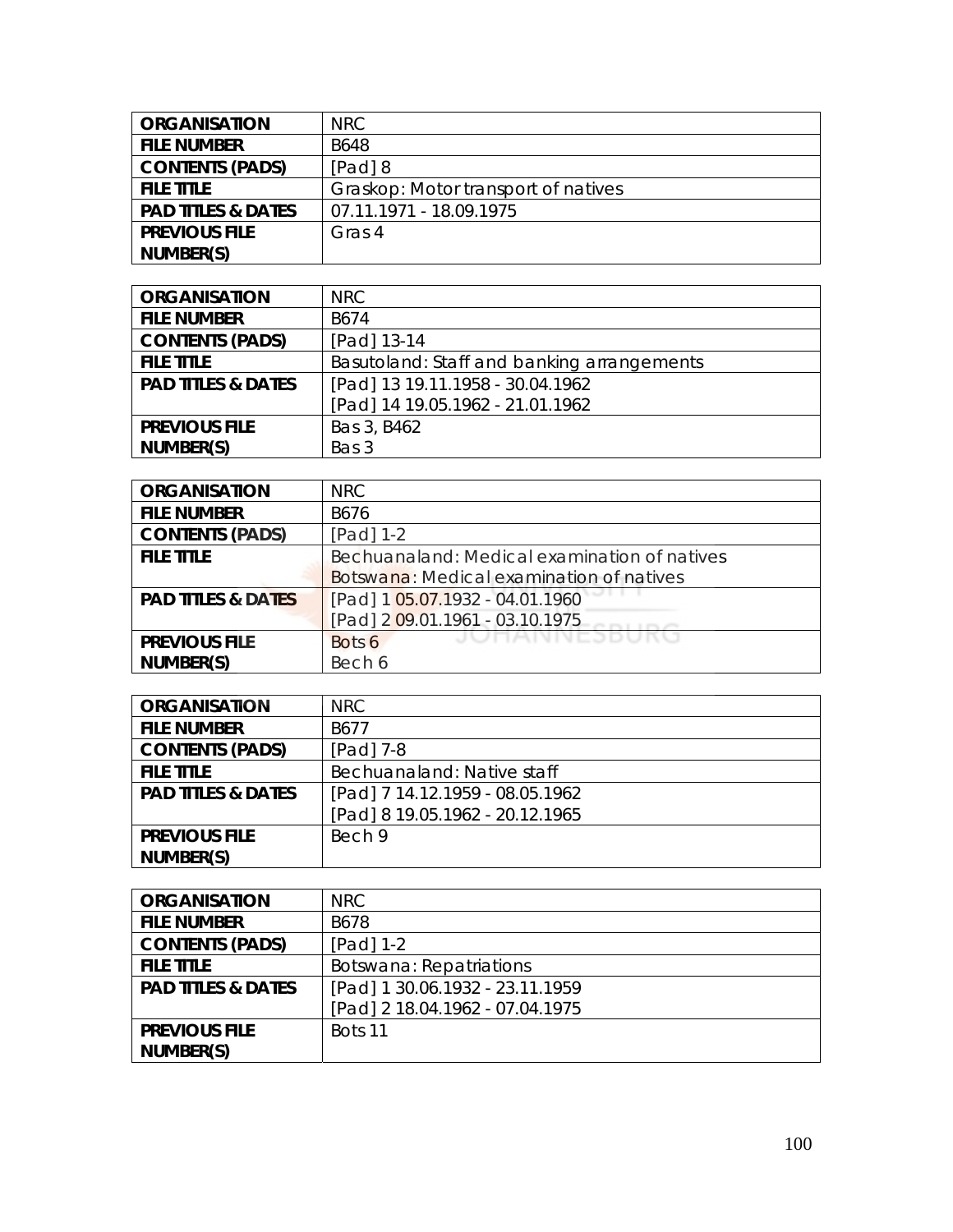| <b>ORGANISATION</b>           | NRC.                                |
|-------------------------------|-------------------------------------|
| <b>FILE NUMBER</b>            | <b>B648</b>                         |
| <b>CONTENTS (PADS)</b>        | $[Pad]$ 8                           |
| <b>FILE TITLE</b>             | Graskop: Motor transport of natives |
| <b>PAD TITLES &amp; DATES</b> | 07.11.1971 - 18.09.1975             |
| <b>PREVIOUS FILE</b>          | Gras 4                              |
| NUMBER(S)                     |                                     |

| <b>ORGANISATION</b>           | NRC                                        |
|-------------------------------|--------------------------------------------|
| <b>FILE NUMBER</b>            | B674                                       |
| <b>CONTENTS (PADS)</b>        | [Pad] 13-14                                |
| <b>FILE TITLE</b>             | Basutoland: Staff and banking arrangements |
| <b>PAD TITLES &amp; DATES</b> | [Pad] 13 19.11.1958 - 30.04.1962           |
|                               | [Pad] 14 19.05.1962 - 21.01.1962           |
| <b>PREVIOUS FILE</b>          | Bas 3, B462                                |
| NUMBER(S)                     | Bas 3                                      |

| <b>ORGANISATION</b>           | <b>NRC</b>                                   |
|-------------------------------|----------------------------------------------|
| <b>FILE NUMBER</b>            | B676                                         |
| <b>CONTENTS (PADS)</b>        | $[Pad]$ 1-2                                  |
| <b>FILE TITLE</b>             | Bechuanaland: Medical examination of natives |
|                               | Botswana: Medical examination of natives     |
| <b>PAD TITLES &amp; DATES</b> | [Pad] 1 05.07.1932 - 04.01.1960              |
|                               | [Pad] 2 09.01.1961 - 03.10.1975              |
| <b>PREVIOUS FILE</b>          | JUNAINNESDUN<br>Bots 6                       |
| NUMBER(S)                     | Bech 6                                       |

| <b>ORGANISATION</b>           | NRC.                            |
|-------------------------------|---------------------------------|
| <b>FILE NUMBER</b>            | B677                            |
| <b>CONTENTS (PADS)</b>        | $[Pad]$ 7-8                     |
| <b>FILE TITLE</b>             | Bechuanaland: Native staff      |
| <b>PAD TITLES &amp; DATES</b> | [Pad] 7 14.12.1959 - 08.05.1962 |
|                               | [Pad] 8 19.05.1962 - 20.12.1965 |
| <b>PREVIOUS FILE</b>          | Bech 9                          |
| NUMBER(S)                     |                                 |

| <b>ORGANISATION</b>           | NRC.                            |
|-------------------------------|---------------------------------|
| <b>FILE NUMBER</b>            | B678                            |
| <b>CONTENTS (PADS)</b>        | $[Pad] 1-2$                     |
| <b>FILE TITLE</b>             | Botswana: Repatriations         |
| <b>PAD TITLES &amp; DATES</b> | [Pad] 1 30.06.1932 - 23.11.1959 |
|                               | [Pad] 2 18.04.1962 - 07.04.1975 |
| <b>PREVIOUS FILE</b>          | Bots 11                         |
| NUMBER(S)                     |                                 |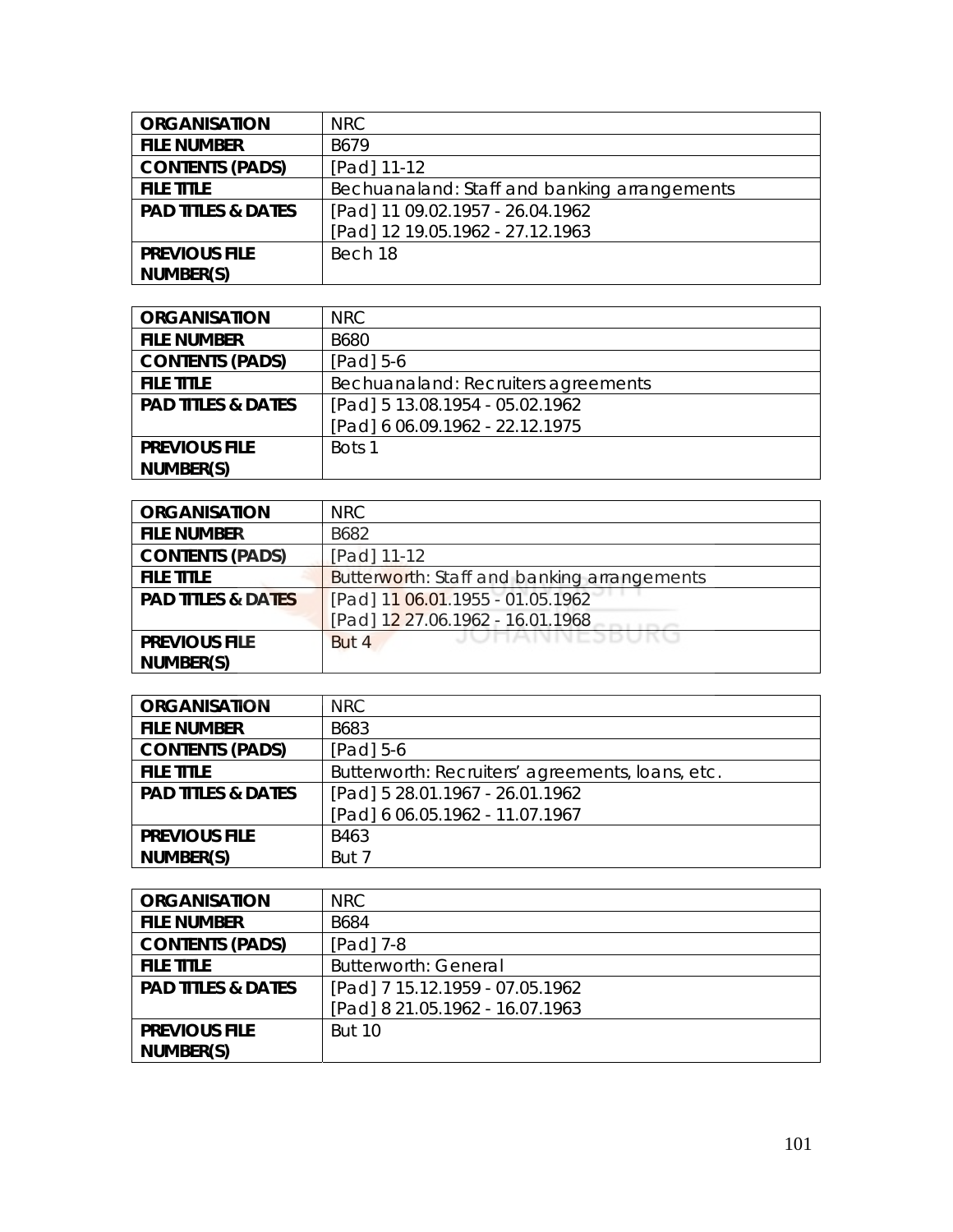| <b>ORGANISATION</b>           | <b>NRC</b>                                   |
|-------------------------------|----------------------------------------------|
| <b>FILE NUMBER</b>            | B679                                         |
| <b>CONTENTS (PADS)</b>        | [Pad] 11-12                                  |
| <b>FILE TITLE</b>             | Bechuanaland: Staff and banking arrangements |
| <b>PAD TITLES &amp; DATES</b> | [Pad] 11 09.02.1957 - 26.04.1962             |
|                               | [Pad] 12 19.05.1962 - 27.12.1963             |
| <b>PREVIOUS FILE</b>          | Bech 18                                      |
| NUMBER(S)                     |                                              |

| <b>ORGANISATION</b>           | NRC.                                |
|-------------------------------|-------------------------------------|
| <b>FILE NUMBER</b>            | B680                                |
| <b>CONTENTS (PADS)</b>        | $[Pad] 5-6$                         |
| <b>FILE TITLE</b>             | Bechuanaland: Recruiters agreements |
| <b>PAD TITLES &amp; DATES</b> | [Pad] 5 13.08.1954 - 05.02.1962     |
|                               | [Pad] 6 06.09.1962 - 22.12.1975     |
| <b>PREVIOUS FILE</b>          | Bots 1                              |
| NUMBER(S)                     |                                     |

| <b>ORGANISATION</b>           | NRC                                         |
|-------------------------------|---------------------------------------------|
| <b>FILE NUMBER</b>            | B682                                        |
| <b>CONTENTS (PADS)</b>        | [Pad] 11-12                                 |
| <b>FILE TITLE</b>             | Butterworth: Staff and banking arrangements |
| <b>PAD TITLES &amp; DATES</b> | [Pad] 11 06.01.1955 - 01.05.1962            |
|                               | [Pad] 12 27.06.1962 - 16.01.1968            |
| <b>PREVIOUS FILE</b>          | JUNNINEJDUKU<br>But 4                       |
| NUMBER(S)                     |                                             |

| <b>ORGANISATION</b>           | NRC.                                             |
|-------------------------------|--------------------------------------------------|
| <b>FILE NUMBER</b>            | B683                                             |
| <b>CONTENTS (PADS)</b>        | $[Pad] 5-6$                                      |
| <b>FILE TITLE</b>             | Butterworth: Recruiters' agreements, loans, etc. |
| <b>PAD TITLES &amp; DATES</b> | [Pad] 5 28.01.1967 - 26.01.1962                  |
|                               | [Pad] 6 06.05.1962 - 11.07.1967                  |
| <b>PREVIOUS FILE</b>          | B463                                             |
| NUMBER(S)                     | But 7                                            |

| <b>ORGANISATION</b>           | <b>NRC</b>                      |
|-------------------------------|---------------------------------|
| <b>FILE NUMBER</b>            | B684                            |
| <b>CONTENTS (PADS)</b>        | [Pad] 7-8                       |
| <b>FILE TITLE</b>             | <b>Butterworth: General</b>     |
| <b>PAD TITLES &amp; DATES</b> | [Pad] 7 15.12.1959 - 07.05.1962 |
|                               | [Pad] 8 21.05.1962 - 16.07.1963 |
| <b>PREVIOUS FILE</b>          | <b>But 10</b>                   |
| NUMBER(S)                     |                                 |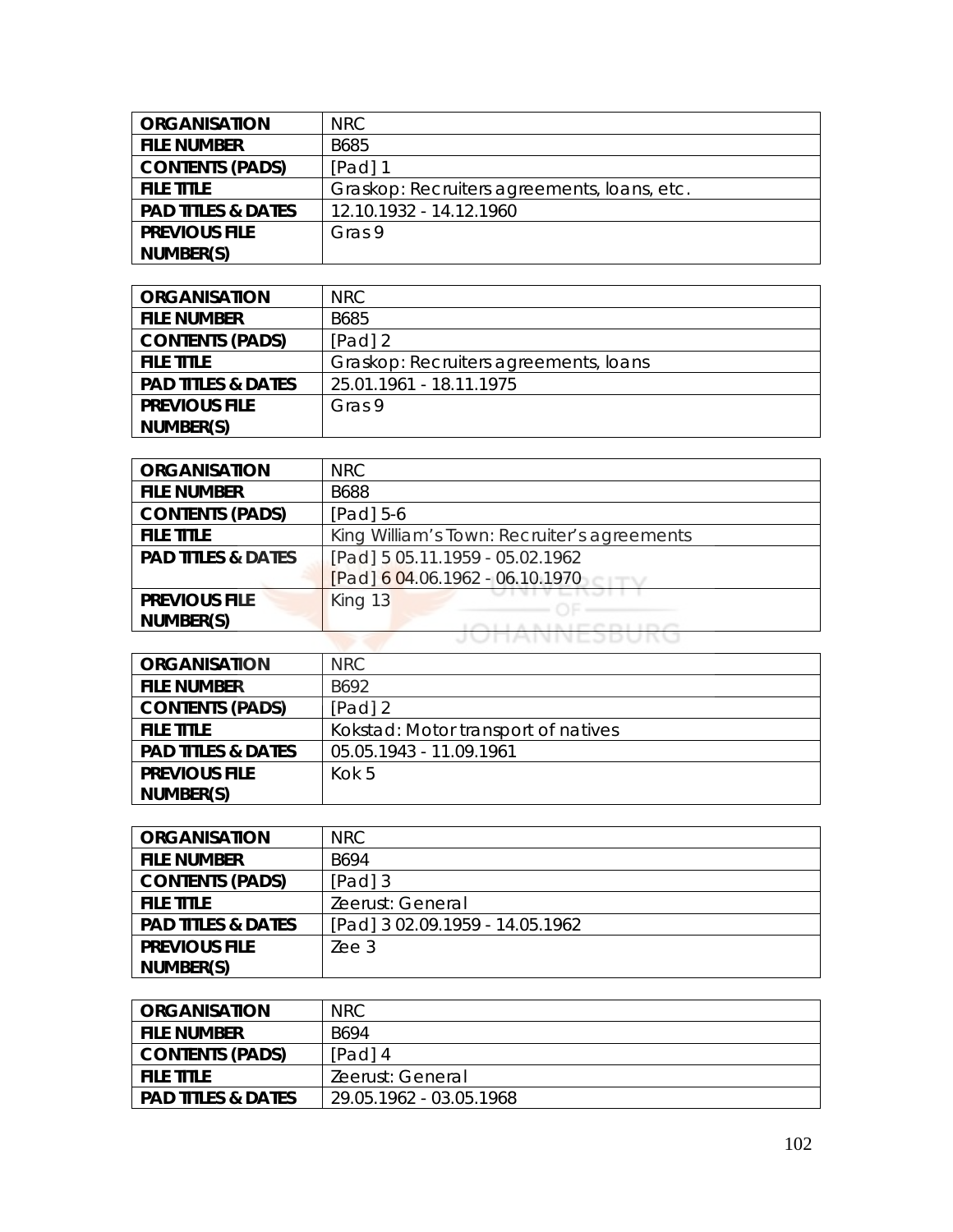| <b>ORGANISATION</b>           | NRC                                         |
|-------------------------------|---------------------------------------------|
| <b>FILE NUMBER</b>            | B685                                        |
| <b>CONTENTS (PADS)</b>        | $[Pad]$ 1                                   |
| <b>FILE TITLE</b>             | Graskop: Recruiters agreements, Ioans, etc. |
| <b>PAD TITLES &amp; DATES</b> | 12.10.1932 - 14.12.1960                     |
| <b>PREVIOUS FILE</b>          | Gras 9                                      |
| NUMBER(S)                     |                                             |

| <b>ORGANISATION</b>           | NRC.                                  |
|-------------------------------|---------------------------------------|
| <b>FILE NUMBER</b>            | B685                                  |
| <b>CONTENTS (PADS)</b>        | $[Pad]$ 2                             |
| <b>FILE TITLE</b>             | Graskop: Recruiters agreements, Ioans |
| <b>PAD TITLES &amp; DATES</b> | 25.01.1961 - 18.11.1975               |
| <b>PREVIOUS FILE</b>          | Gras 9                                |
| NUMBER(S)                     |                                       |

| <b>ORGANISATION</b>           | <b>NRC</b>                                  |
|-------------------------------|---------------------------------------------|
| <b>FILE NUMBER</b>            | <b>B688</b>                                 |
| <b>CONTENTS (PADS)</b>        | $[Pad] 5-6$                                 |
| <b>FILE TITLE</b>             | King William's Town: Recruiter's agreements |
| <b>PAD TITLES &amp; DATES</b> | [Pad] 5 05.11.1959 - 05.02.1962             |
|                               | [Pad] 6 04.06.1962 - 06.10.1970             |
| <b>PREVIOUS FILE</b>          | King 13                                     |
| NUMBER(S)                     | <b>AIAIFCDIIDC</b>                          |
|                               | <b><i>IMINIVEJDUNU</i></b>                  |

| <b>ORGANISATION</b>           | NRC.                                |
|-------------------------------|-------------------------------------|
| <b>FILE NUMBER</b>            | B692                                |
| <b>CONTENTS (PADS)</b>        | $[Pad]$ 2                           |
| <b>FILE TITLE</b>             | Kokstad: Motor transport of natives |
| <b>PAD TITLES &amp; DATES</b> | 05.05.1943 - 11.09.1961             |
| <b>PREVIOUS FILE</b>          | Kok 5                               |
| NUMBER(S)                     |                                     |

| <b>ORGANISATION</b>           | NRC.                            |
|-------------------------------|---------------------------------|
| <b>FILE NUMBER</b>            | B694                            |
| <b>CONTENTS (PADS)</b>        | $[Pad]$ 3                       |
| <b>FILE TITLE</b>             | Zeerust: General                |
| <b>PAD TITLES &amp; DATES</b> | [Pad] 3 02.09.1959 - 14.05.1962 |
| <b>PREVIOUS FILE</b>          | Zee <sub>3</sub>                |
| NUMBER(S)                     |                                 |

| ORGANISATION                  | NRC.                    |
|-------------------------------|-------------------------|
| <b>FILE NUMBER</b>            | B694                    |
| <b>CONTENTS (PADS)</b>        | [Pad] 4                 |
| <b>FILE TITLE</b>             | Zeerust: General        |
| <b>PAD TITLES &amp; DATES</b> | 29.05.1962 - 03.05.1968 |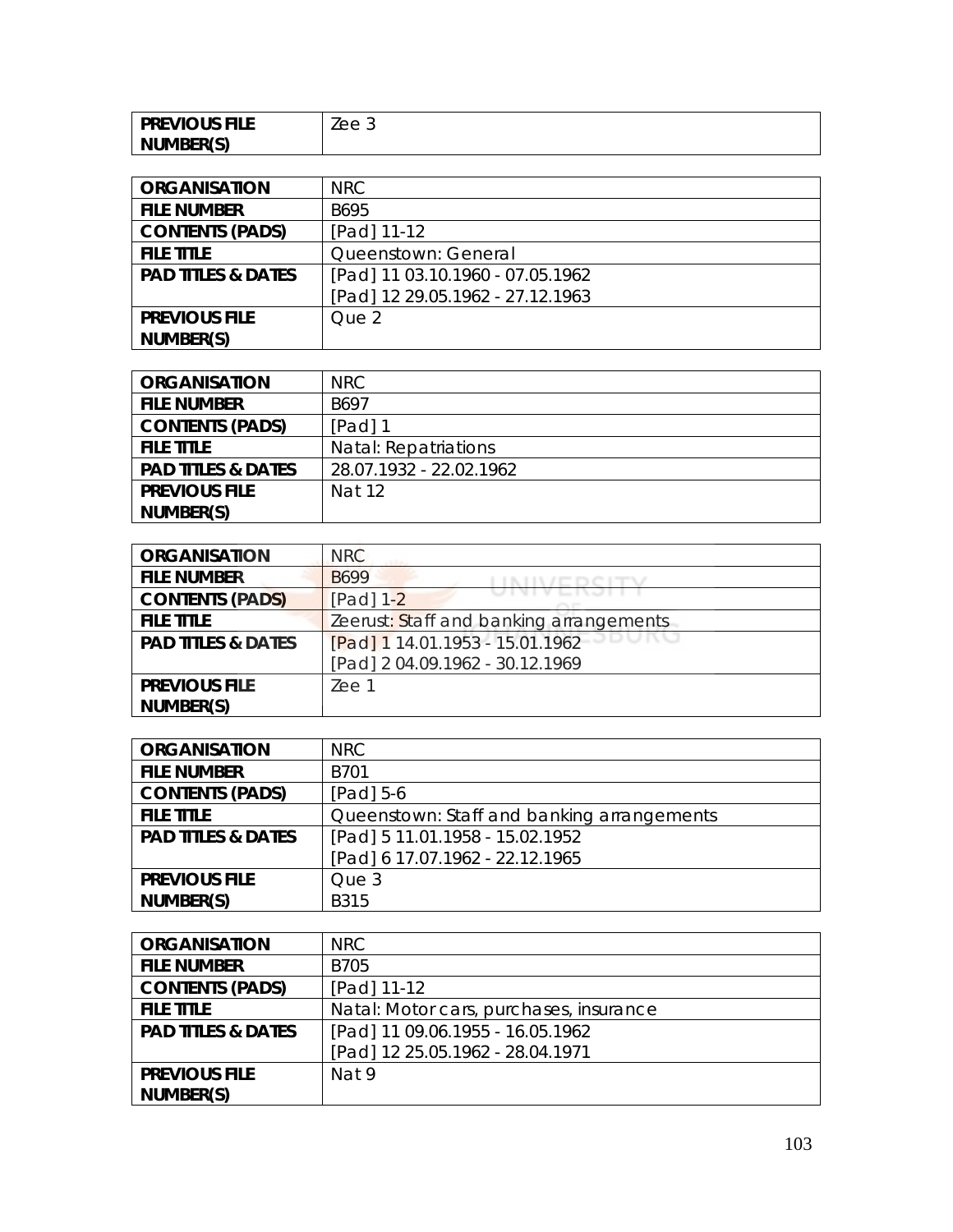| <b>PREVIOUS FILE</b> | $\triangle$<br>としし り |
|----------------------|----------------------|
| NUMBER(S)            |                      |

| <b>ORGANISATION</b>           | NRC.                             |
|-------------------------------|----------------------------------|
| <b>FILE NUMBER</b>            | B695                             |
| <b>CONTENTS (PADS)</b>        | [Pad] 11-12                      |
| <b>FILE TITLE</b>             | Queenstown: General              |
| <b>PAD TITLES &amp; DATES</b> | [Pad] 11 03.10.1960 - 07.05.1962 |
|                               | [Pad] 12 29.05.1962 - 27.12.1963 |
| <b>PREVIOUS FILE</b>          | Que 2                            |
| NUMBER(S)                     |                                  |

| <b>ORGANISATION</b>           | NRC                     |
|-------------------------------|-------------------------|
| <b>FILE NUMBER</b>            | B697                    |
| <b>CONTENTS (PADS)</b>        | [Pad] 1                 |
| <b>FILE TITLE</b>             | Natal: Repatriations    |
| <b>PAD TITLES &amp; DATES</b> | 28.07.1932 - 22.02.1962 |
| <b>PREVIOUS FILE</b>          | Nat 12                  |
| NUMBER(S)                     |                         |

| <b>ORGANISATION</b>           | <b>NRC</b>                              |
|-------------------------------|-----------------------------------------|
| <b>FILE NUMBER</b>            | B699                                    |
| <b>CONTENTS (PADS)</b>        | [Pad] 1-2                               |
| <b>FILE TITLE</b>             | Zeerust: Staff and banking arrangements |
| <b>PAD TITLES &amp; DATES</b> | [Pad] 1 14.01.1953 - 15.01.1962         |
|                               | [Pad] 2 04.09.1962 - 30.12.1969         |
| <b>PREVIOUS FILE</b>          | Zee 1                                   |
| NUMBER(S)                     |                                         |

| <b>ORGANISATION</b>           | <b>NRC</b>                                 |
|-------------------------------|--------------------------------------------|
| <b>FILE NUMBER</b>            | B701                                       |
| <b>CONTENTS (PADS)</b>        | $[Pad] 5-6$                                |
| <b>FILE TITLE</b>             | Queenstown: Staff and banking arrangements |
| <b>PAD TITLES &amp; DATES</b> | [Pad] 5 11.01.1958 - 15.02.1952            |
|                               | [Pad] 6 17.07.1962 - 22.12.1965            |
| <b>PREVIOUS FILE</b>          | Que 3                                      |
| NUMBER(S)                     | <b>B315</b>                                |

| <b>ORGANISATION</b>           | NRC.                                    |
|-------------------------------|-----------------------------------------|
| <b>FILE NUMBER</b>            | B705                                    |
| <b>CONTENTS (PADS)</b>        | [Pad] 11-12                             |
| <b>FILE TITLE</b>             | Natal: Motor cars, purchases, insurance |
| <b>PAD TITLES &amp; DATES</b> | [Pad] 11 09.06.1955 - 16.05.1962        |
|                               | [Pad] 12 25.05.1962 - 28.04.1971        |
| <b>PREVIOUS FILE</b>          | Nat 9                                   |
| NUMBER(S)                     |                                         |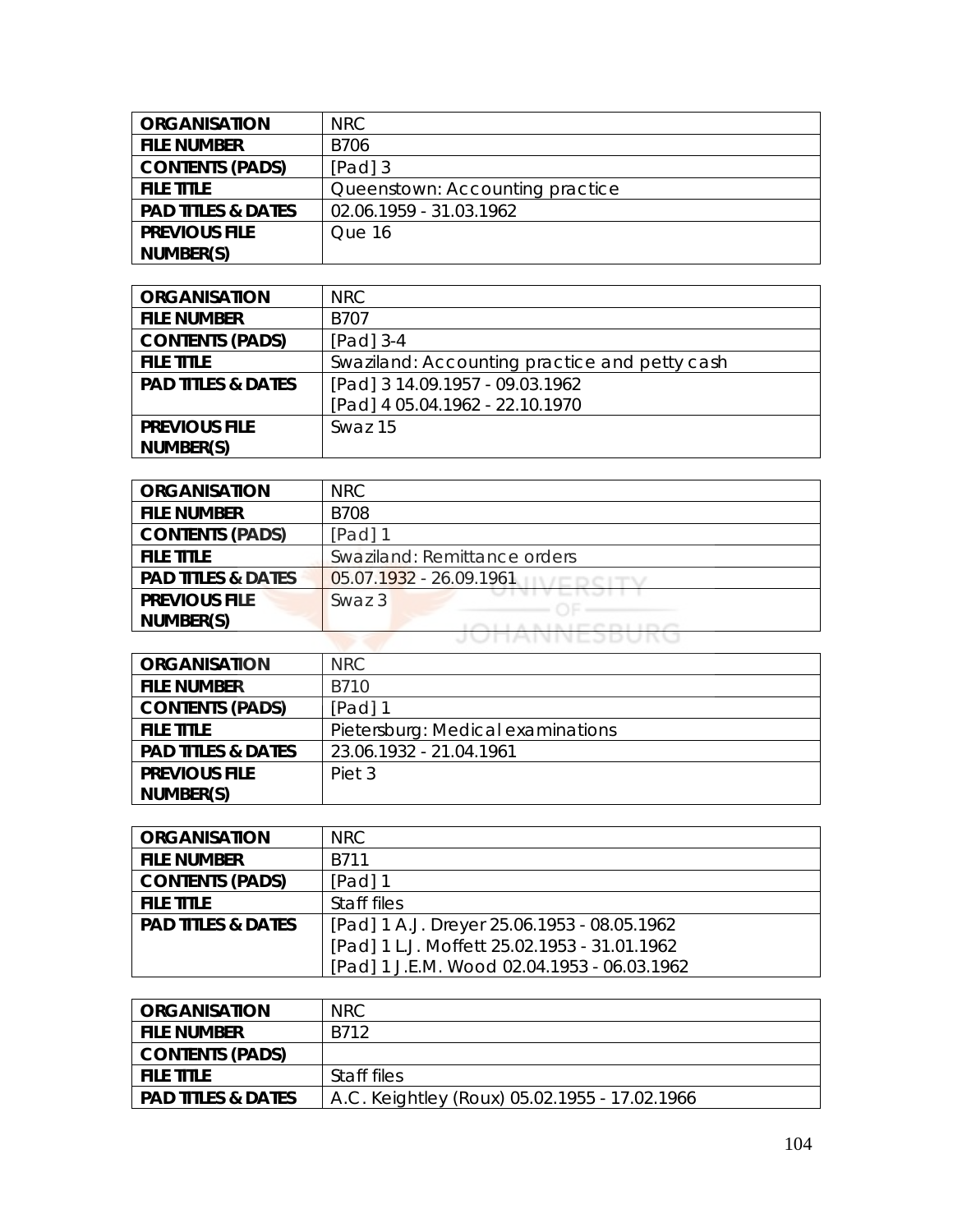| <b>ORGANISATION</b>           | NRC.                            |
|-------------------------------|---------------------------------|
| <b>FILE NUMBER</b>            | <b>B706</b>                     |
| <b>CONTENTS (PADS)</b>        | $[Pad]$ 3                       |
| <b>FILE TITLE</b>             | Queenstown: Accounting practice |
| <b>PAD TITLES &amp; DATES</b> | 02.06.1959 - 31.03.1962         |
| <b>PREVIOUS FILE</b>          | Que 16                          |
| NUMBER(S)                     |                                 |

| <b>ORGANISATION</b>           | NRC                                           |
|-------------------------------|-----------------------------------------------|
| <b>FILE NUMBER</b>            | B707                                          |
| <b>CONTENTS (PADS)</b>        | $[Pad]$ 3-4                                   |
| <b>FILE TITLE</b>             | Swaziland: Accounting practice and petty cash |
| <b>PAD TITLES &amp; DATES</b> | [Pad] 3 14.09.1957 - 09.03.1962               |
|                               | [Pad] 4 05.04.1962 - 22.10.1970               |
| <b>PREVIOUS FILE</b>          | Swaz 15                                       |
| NUMBER(S)                     |                                               |

| <b>ORGANISATION</b>           | <b>NRC</b>                   |
|-------------------------------|------------------------------|
| <b>FILE NUMBER</b>            | <b>B708</b>                  |
| <b>CONTENTS (PADS)</b>        | [Pad] 1                      |
| <b>FILE TITLE</b>             | Swaziland: Remittance orders |
| <b>PAD TITLES &amp; DATES</b> | 05.07.1932 - 26.09.1961      |
| <b>PREVIOUS FILE</b>          | Swaz 3                       |
| NUMBER(S)                     |                              |
|                               | <b>TAIVINES DU</b>           |

| <b>ORGANISATION</b>           | NRC.                              |
|-------------------------------|-----------------------------------|
| <b>FILE NUMBER</b>            | B710                              |
| <b>CONTENTS (PADS)</b>        | $[Pad]$ 1                         |
| <b>FILE TITLE</b>             | Pietersburg: Medical examinations |
| <b>PAD TITLES &amp; DATES</b> | 23.06.1932 - 21.04.1961           |
| <b>PREVIOUS FILE</b>          | Piet 3                            |
| NUMBER(S)                     |                                   |

| <b>ORGANISATION</b>           | NRC.                                         |
|-------------------------------|----------------------------------------------|
| <b>FILE NUMBER</b>            | <b>B711</b>                                  |
| <b>CONTENTS (PADS)</b>        | $[Pad]$ 1                                    |
| <b>FILE TITLE</b>             | Staff files                                  |
| <b>PAD TITLES &amp; DATES</b> | [Pad] 1 A.J. Dreyer 25.06.1953 - 08.05.1962  |
|                               | [Pad] 1 L.J. Moffett 25.02.1953 - 31.01.1962 |
|                               | [Pad] 1 J.E.M. Wood 02.04.1953 - 06.03.1962  |

| <b>ORGANISATION</b>           | <b>NRC</b>                                    |
|-------------------------------|-----------------------------------------------|
| <b>FILE NUMBER</b>            | B712                                          |
| CONTENTS (PADS)               |                                               |
| <b>FILE TITLE</b>             | Staff files                                   |
| <b>PAD TITLES &amp; DATES</b> | A.C. Keightley (Roux) 05.02.1955 - 17.02.1966 |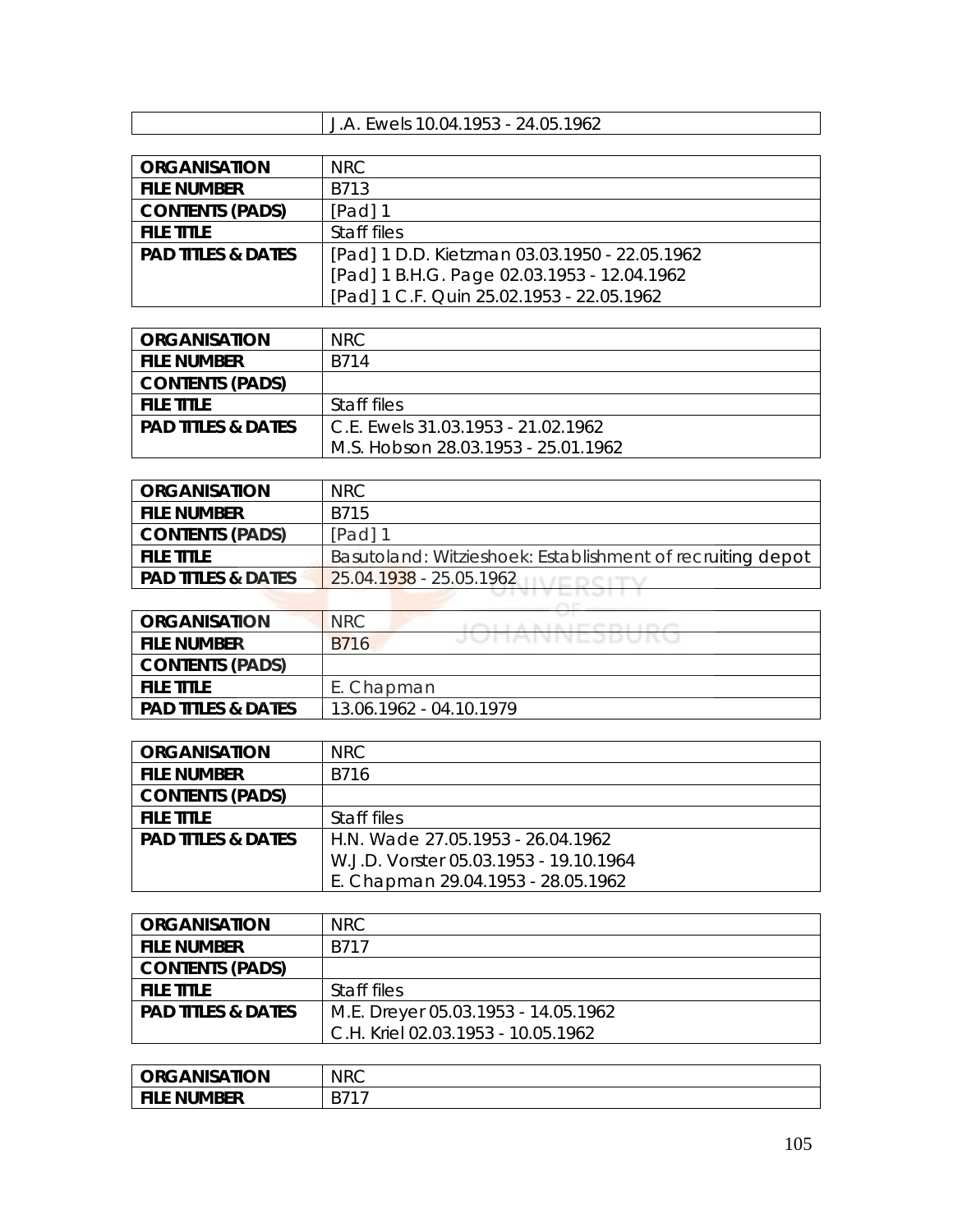## J.A. Ewels 10.04.1953 - 24.05.1962

| <b>ORGANISATION</b>           | NRC                                           |
|-------------------------------|-----------------------------------------------|
| <b>FILE NUMBER</b>            | B713                                          |
| <b>CONTENTS (PADS)</b>        | [Pad] 1                                       |
| <b>FILE TITLE</b>             | Staff files                                   |
| <b>PAD TITLES &amp; DATES</b> | [Pad] 1 D.D. Kietzman 03.03.1950 - 22.05.1962 |
|                               | [Pad] 1 B.H.G. Page 02.03.1953 - 12.04.1962   |
|                               | [Pad] 1 C.F. Quin 25.02.1953 - 22.05.1962     |

| <b>ORGANISATION</b>           | NRC                                 |
|-------------------------------|-------------------------------------|
| <b>FILE NUMBER</b>            | B714                                |
| <b>CONTENTS (PADS)</b>        |                                     |
| <b>FILE TITLE</b>             | Staff files                         |
| <b>PAD TITLES &amp; DATES</b> | C.F. Ewels 31.03.1953 - 21.02.1962  |
|                               | M.S. Hobson 28.03.1953 - 25.01.1962 |

| <b>ORGANISATION</b>           | NRC                                                        |
|-------------------------------|------------------------------------------------------------|
| <b>FILE NUMBER</b>            | B715                                                       |
| <b>CONTENTS (PADS)</b>        | $[Pad]$ 1                                                  |
| <b>FILE TITLE</b>             | Basutoland: Witzieshoek: Establishment of recruiting depot |
| <b>PAD TITLES &amp; DATES</b> | 25.04.1938 - 25.05.1962                                    |
|                               |                                                            |

| ORGANISATION                  | <b>NRC</b><br>A B L B L PT PS PS L |
|-------------------------------|------------------------------------|
| <b>FILE NUMBER</b>            | JUINNNEJDUNU<br><b>B716</b>        |
| <b>CONTENTS (PADS)</b>        |                                    |
| <b>FILE TITLE</b>             | E. Chapman                         |
| <b>PAD TITLES &amp; DATES</b> | 13.06.1962 - 04.10.1979            |

| <b>ORGANISATION</b>           | NRC                                    |
|-------------------------------|----------------------------------------|
| <b>FILE NUMBER</b>            | B716                                   |
| <b>CONTENTS (PADS)</b>        |                                        |
| <b>FILE TITLE</b>             | Staff files                            |
| <b>PAD TITLES &amp; DATES</b> | H.N. Wade 27.05.1953 - 26.04.1962      |
|                               | W.J.D. Vorster 05.03.1953 - 19.10.1964 |
|                               | E. Chapman 29.04.1953 - 28.05.1962     |

| <b>ORGANISATION</b>           | NRC.                                |
|-------------------------------|-------------------------------------|
| <b>FILE NUMBER</b>            | B717                                |
| <b>CONTENTS (PADS)</b>        |                                     |
| <b>FILE TITLE</b>             | Staff files                         |
| <b>PAD TITLES &amp; DATES</b> | M.E. Dreyer 05.03.1953 - 14.05.1962 |
|                               | C.H. Kriel 02.03.1953 - 10.05.1962  |

| <b>ORGANISATION</b> | <b>NRC</b> |
|---------------------|------------|
| <b>NUMBER</b>       | D71        |
| FILE .              | D          |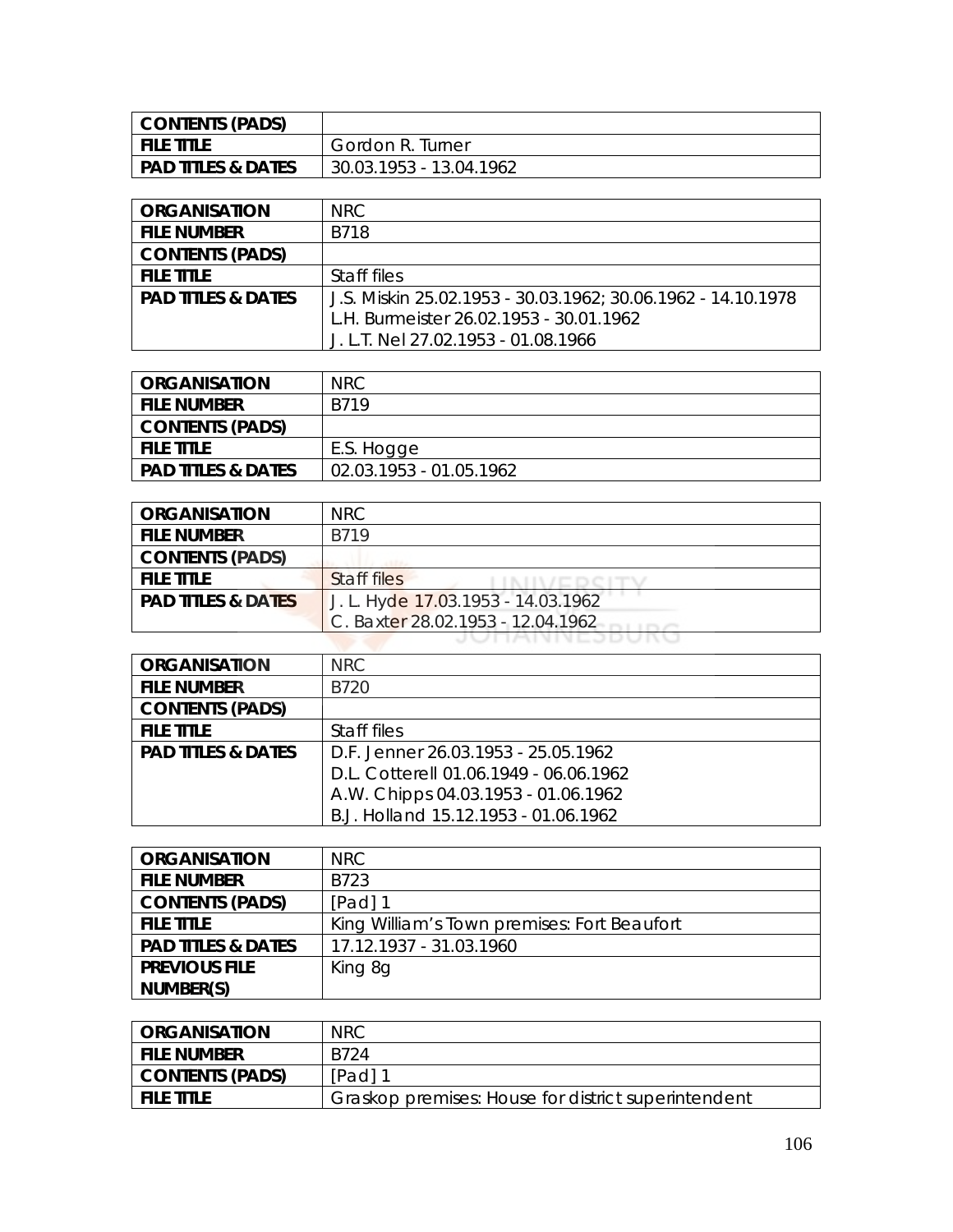| CONTENTS (PADS)               |                         |
|-------------------------------|-------------------------|
| I FILE TITLE                  | Gordon R. Turner        |
| <b>PAD TITLES &amp; DATES</b> | 30.03.1953 - 13.04.1962 |

| <b>ORGANISATION</b>           | NRC.                                                         |
|-------------------------------|--------------------------------------------------------------|
| <b>FILE NUMBER</b>            | B718                                                         |
| <b>CONTENTS (PADS)</b>        |                                                              |
| <b>FILE TITLE</b>             | Staff files                                                  |
| <b>PAD TITLES &amp; DATES</b> | J.S. Miskin 25.02.1953 - 30.03.1962; 30.06.1962 - 14.10.1978 |
|                               | L.H. Burmeister 26.02.1953 - 30.01.1962                      |
|                               | J. L.T. Nel 27.02.1953 - 01.08.1966                          |

| ORGANISATION                  | <b>NRC</b>              |
|-------------------------------|-------------------------|
| <b>FILE NUMBER</b>            | B719                    |
| <b>CONTENTS (PADS)</b>        |                         |
| <b>FILE TITLE</b>             | E.S. Hogge              |
| <b>PAD TITLES &amp; DATES</b> | 02.03.1953 - 01.05.1962 |

| <b>ORGANISATION</b>           | NRC.                               |
|-------------------------------|------------------------------------|
| <b>FILE NUMBER</b>            | B719                               |
| <b>CONTENTS (PADS)</b>        |                                    |
| <b>FILE TITLE</b>             | Staff files                        |
| <b>PAD TITLES &amp; DATES</b> | J. L. Hyde 17.03.1953 - 14.03.1962 |
|                               | C. Baxter 28.02.1953 - 12.04.1962  |

| <b>ORGANISATION</b>           | NRC.                                   |
|-------------------------------|----------------------------------------|
| <b>FILE NUMBER</b>            | B720                                   |
| <b>CONTENTS (PADS)</b>        |                                        |
| <b>FILE TITLE</b>             | Staff files                            |
| <b>PAD TITLES &amp; DATES</b> | D.F. Jenner 26.03.1953 - 25.05.1962    |
|                               | D.L. Cotterell 01.06.1949 - 06.06.1962 |
|                               | A.W. Chipps 04.03.1953 - 01.06.1962    |
|                               | B.J. Holland 15.12.1953 - 01.06.1962   |

| <b>ORGANISATION</b>           | <b>NRC</b>                                  |
|-------------------------------|---------------------------------------------|
| <b>FILE NUMBER</b>            | B723                                        |
| <b>CONTENTS (PADS)</b>        | [Pad] 1                                     |
| <b>FILE TITLE</b>             | King William's Town premises: Fort Beaufort |
| <b>PAD TITLES &amp; DATES</b> | 17.12.1937 - 31.03.1960                     |
| <b>PREVIOUS FILE</b>          | King 8g                                     |
| NUMBER(S)                     |                                             |

| <b>ORGANISATION</b> | <b>NRC</b>                                          |
|---------------------|-----------------------------------------------------|
| i file number       | B724                                                |
| CONTENTS (PADS)     | $[Pad]$ 1                                           |
| <b>FILE TITLE</b>   | Graskop premises: House for district superintendent |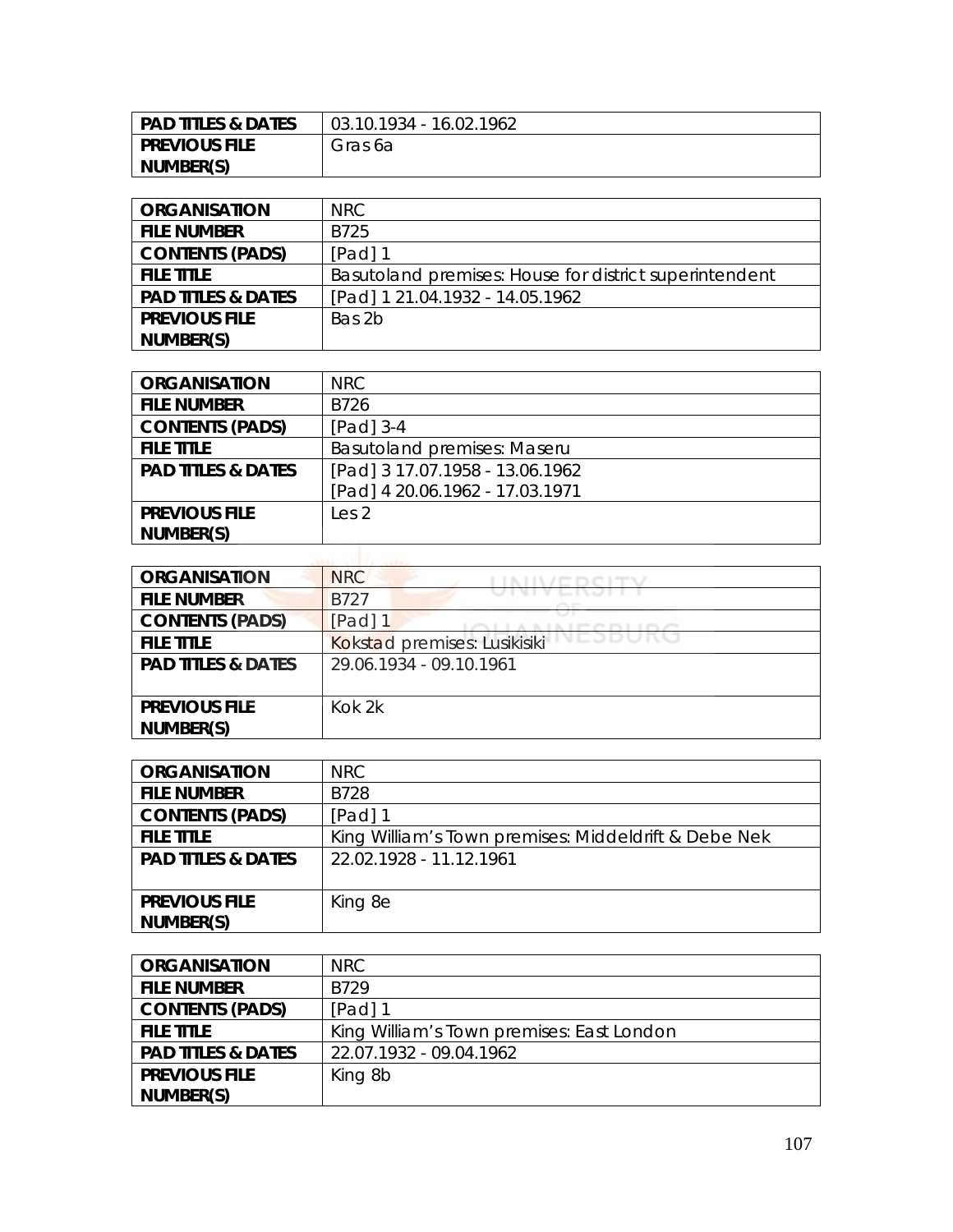| PAD TITLES & DATES   | 03.10.1934 - 16.02.1962 |
|----------------------|-------------------------|
| <b>PREVIOUS FILE</b> | Gras 6a                 |
| NUMBER(S)            |                         |

| <b>ORGANISATION</b>           | NRC.                                                   |
|-------------------------------|--------------------------------------------------------|
| <b>FILE NUMBER</b>            | B725                                                   |
| <b>CONTENTS (PADS)</b>        | [Pad] 1                                                |
| <b>FILE TITLE</b>             | Basutoland premises: House for district superintendent |
| <b>PAD TITLES &amp; DATES</b> | [Pad] 1 21.04.1932 - 14.05.1962                        |
| <b>PREVIOUS FILE</b>          | Bas 2b                                                 |
| NUMBER(S)                     |                                                        |

| <b>ORGANISATION</b>           | NRC                                 |
|-------------------------------|-------------------------------------|
| <b>FILE NUMBER</b>            | B726                                |
| <b>CONTENTS (PADS)</b>        | [Pad] 3-4                           |
| <b>FILE TITLE</b>             | <b>Basutoland premises: Maserul</b> |
| <b>PAD TITLES &amp; DATES</b> | [Pad] 3 17.07.1958 - 13.06.1962     |
|                               | [Pad] 4 20.06.1962 - 17.03.1971     |
| <b>PREVIOUS FILE</b>          | Les <sub>2</sub>                    |
| NUMBER(S)                     |                                     |

| <b>ORGANISATION</b>           | <b>NRC</b>                              |
|-------------------------------|-----------------------------------------|
| <b>FILE NUMBER</b>            | <b>B727</b>                             |
| <b>CONTENTS (PADS)</b>        | [Pad] $1$                               |
| <b>FILE TITLE</b>             | VLJDURC<br>Kokstad premises: Lusikisiki |
| <b>PAD TITLES &amp; DATES</b> | 29.06.1934 - 09.10.1961                 |
|                               |                                         |
| <b>PREVIOUS FILE</b>          | Kok 2k                                  |
| NUMBER(S)                     |                                         |

| <b>ORGANISATION</b>           | NRC                                                  |
|-------------------------------|------------------------------------------------------|
| <b>FILE NUMBER</b>            | B728                                                 |
| <b>CONTENTS (PADS)</b>        | [Pad] 1                                              |
| <b>FILE TITLE</b>             | King William's Town premises: Middeldrift & Debe Nek |
| <b>PAD TITLES &amp; DATES</b> | 22.02.1928 - 11.12.1961                              |
|                               |                                                      |
| <b>PREVIOUS FILE</b>          | King 8e                                              |
| NUMBER(S)                     |                                                      |

| <b>ORGANISATION</b>           | NRC.                                      |
|-------------------------------|-------------------------------------------|
| <b>FILE NUMBER</b>            | B729                                      |
| <b>CONTENTS (PADS)</b>        | $[Pad]$ 1                                 |
| <b>FILE TITLE</b>             | King William's Town premises: East London |
| <b>PAD TITLES &amp; DATES</b> | 22.07.1932 - 09.04.1962                   |
| <b>PREVIOUS FILE</b>          | King 8b                                   |
| NUMBER(S)                     |                                           |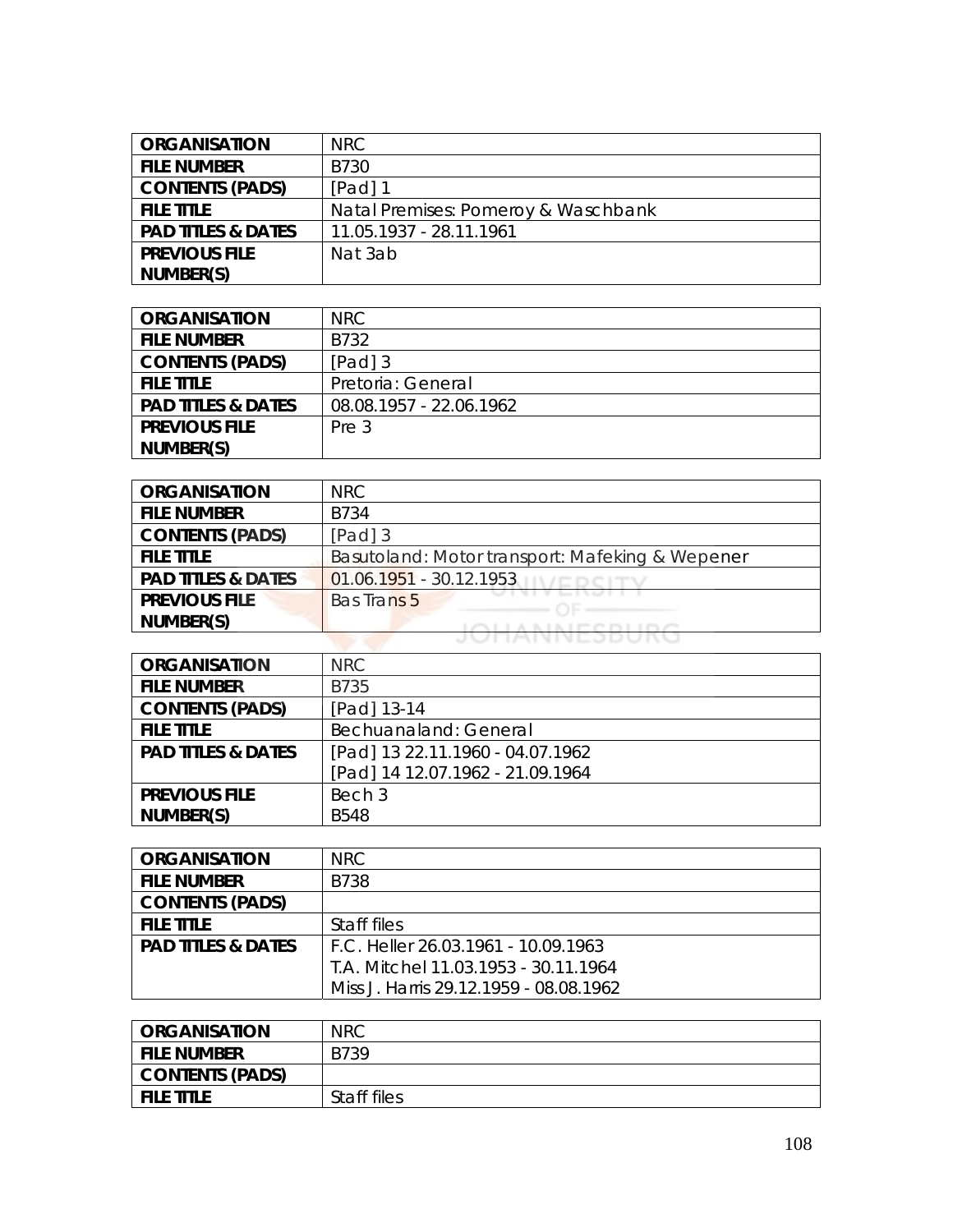| <b>ORGANISATION</b>           | NRC.                                |
|-------------------------------|-------------------------------------|
| <b>FILE NUMBER</b>            | B730                                |
| <b>CONTENTS (PADS)</b>        | [Pad] 1                             |
| <b>FILE TITLE</b>             | Natal Premises: Pomeroy & Waschbank |
| <b>PAD TITLES &amp; DATES</b> | 11.05.1937 - 28.11.1961             |
| <b>PREVIOUS FILE</b>          | Nat 3ab                             |
| NUMBER(S)                     |                                     |

| <b>ORGANISATION</b>           | NRC                     |
|-------------------------------|-------------------------|
| <b>FILE NUMBER</b>            | B732                    |
| <b>CONTENTS (PADS)</b>        | [Pad] 3                 |
| <b>FILE TITLE</b>             | Pretoria: General       |
| <b>PAD TITLES &amp; DATES</b> | 08.08.1957 - 22.06.1962 |
| <b>PREVIOUS FILE</b>          | Pre 3                   |
| NUMBER(S)                     |                         |

| <b>ORGANISATION</b>           | NRC                                             |
|-------------------------------|-------------------------------------------------|
| <b>FILE NUMBER</b>            | B734                                            |
| <b>CONTENTS (PADS)</b>        | $[Pad]$ 3                                       |
| <b>FILE TITLE</b>             | Basutoland: Motor transport: Mafeking & Wepener |
| <b>PAD TITLES &amp; DATES</b> | $01.06.1951 - 30.12.1953$                       |
| <b>PREVIOUS FILE</b>          | <b>Bas Trans 5</b>                              |
| NUMBER(S)                     |                                                 |
|                               | UNNIVESDUNG                                     |

| <b>ORGANISATION</b>           | <b>NRC</b>                       |
|-------------------------------|----------------------------------|
| <b>FILE NUMBER</b>            | B735                             |
| <b>CONTENTS (PADS)</b>        | [Pad] 13-14                      |
| <b>FILE TITLE</b>             | Bechuanaland: General            |
| <b>PAD TITLES &amp; DATES</b> | [Pad] 13 22.11.1960 - 04.07.1962 |
|                               | [Pad] 14 12.07.1962 - 21.09.1964 |
| <b>PREVIOUS FILE</b>          | Bech 3                           |
| NUMBER(S)                     | <b>B548</b>                      |

| <b>ORGANISATION</b>           | NRC.                                   |
|-------------------------------|----------------------------------------|
| <b>FILE NUMBER</b>            | B738                                   |
| <b>CONTENTS (PADS)</b>        |                                        |
| <b>FILE TITLE</b>             | Staff files                            |
| <b>PAD TITLES &amp; DATES</b> | F.C. Heller 26.03.1961 - 10.09.1963    |
|                               | T.A. Mitchel 11.03.1953 - 30.11.1964   |
|                               | Miss J. Harris 29.12.1959 - 08.08.1962 |

| <b>ORGANISATION</b> | <b>NRC</b>  |
|---------------------|-------------|
| <b>FILE NUMBER</b>  | B739        |
| CONTENTS (PADS)     |             |
| <b>FILE TITLE</b>   | Staff files |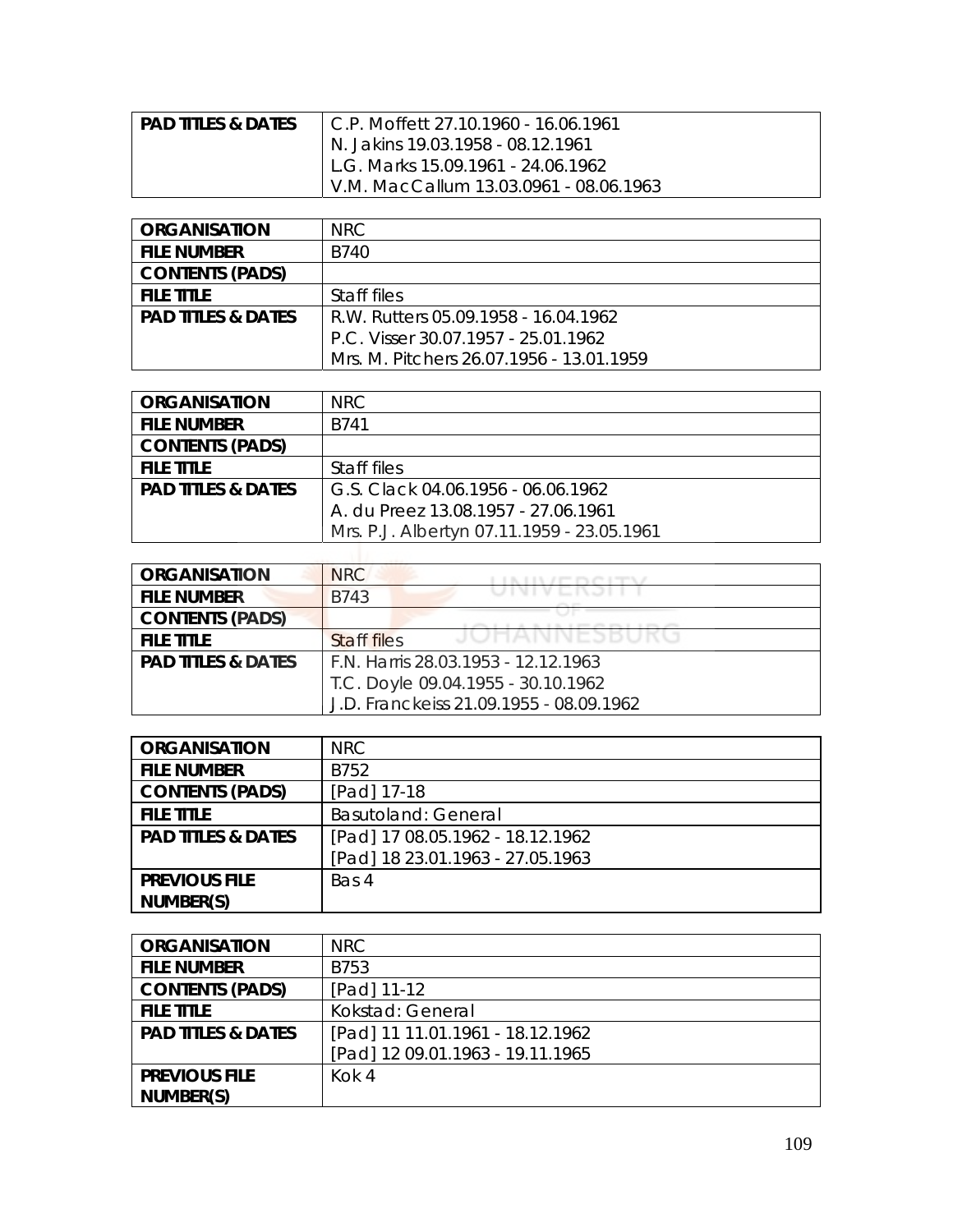| <b>PAD TITLES &amp; DATES</b> | LC.P. Moffett 27.10.1960 - 16.06.1961  |
|-------------------------------|----------------------------------------|
|                               | N. Jakins 19.03.1958 - 08.12.1961      |
|                               | L.G. Marks 15.09.1961 - 24.06.1962     |
|                               | V.M. MacCallum 13.03.0961 - 08.06.1963 |

| <b>ORGANISATION</b>           | NRC.                                     |
|-------------------------------|------------------------------------------|
| <b>FILE NUMBER</b>            | B740                                     |
| <b>CONTENTS (PADS)</b>        |                                          |
| <b>FILE TITLE</b>             | Staff files                              |
| <b>PAD TITLES &amp; DATES</b> | R.W. Rutters 05.09.1958 - 16.04.1962     |
|                               | P.C. Visser 30.07.1957 - 25.01.1962      |
|                               | Mrs. M. Pitchers 26.07.1956 - 13.01.1959 |

| <b>ORGANISATION</b>           | NRC.                                       |
|-------------------------------|--------------------------------------------|
| <b>FILE NUMBER</b>            | B741                                       |
| <b>CONTENTS (PADS)</b>        |                                            |
| <b>FILE TITLE</b>             | Staff files                                |
| <b>PAD TITLES &amp; DATES</b> | G.S. Clack 04.06.1956 - 06.06.1962         |
|                               | A. du Preez 13.08.1957 - 27.06.1961        |
|                               | Mrs. P.J. Albertyn 07.11.1959 - 23.05.1961 |

| <b>ORGANISATION</b>           | NRC                                     |
|-------------------------------|-----------------------------------------|
| <b>FILE NUMBER</b>            | <b>B743</b>                             |
| <b>CONTENTS (PADS)</b>        |                                         |
| <b>FILE TITLE</b>             | <b>Staff files</b>                      |
| <b>PAD TITLES &amp; DATES</b> | F.N. Harris 28.03.1953 - 12.12.1963     |
|                               | T.C. Doyle 09.04.1955 - 30.10.1962      |
|                               | J.D. Franckeiss 21.09.1955 - 08.09.1962 |

| <b>ORGANISATION</b>           | <b>NRC</b>                       |
|-------------------------------|----------------------------------|
| <b>FILE NUMBER</b>            | B752                             |
| <b>CONTENTS (PADS)</b>        | [Pad] 17-18                      |
| <b>FILE TITLE</b>             | <b>Basutoland: General</b>       |
| <b>PAD TITLES &amp; DATES</b> | [Pad] 17 08.05.1962 - 18.12.1962 |
|                               | [Pad] 18 23.01.1963 - 27.05.1963 |
| <b>PREVIOUS FILE</b>          | Bas 4                            |
| NUMBER(S)                     |                                  |

| <b>ORGANISATION</b>           | NRC                              |
|-------------------------------|----------------------------------|
| <b>FILE NUMBER</b>            | B753                             |
| <b>CONTENTS (PADS)</b>        | [Pad] 11-12                      |
| <b>FILE TITLE</b>             | Kokstad: General                 |
| <b>PAD TITLES &amp; DATES</b> | [Pad] 11 11.01.1961 - 18.12.1962 |
|                               | [Pad] 12 09.01.1963 - 19.11.1965 |
| <b>PREVIOUS FILE</b>          | Kok 4                            |
| NUMBER(S)                     |                                  |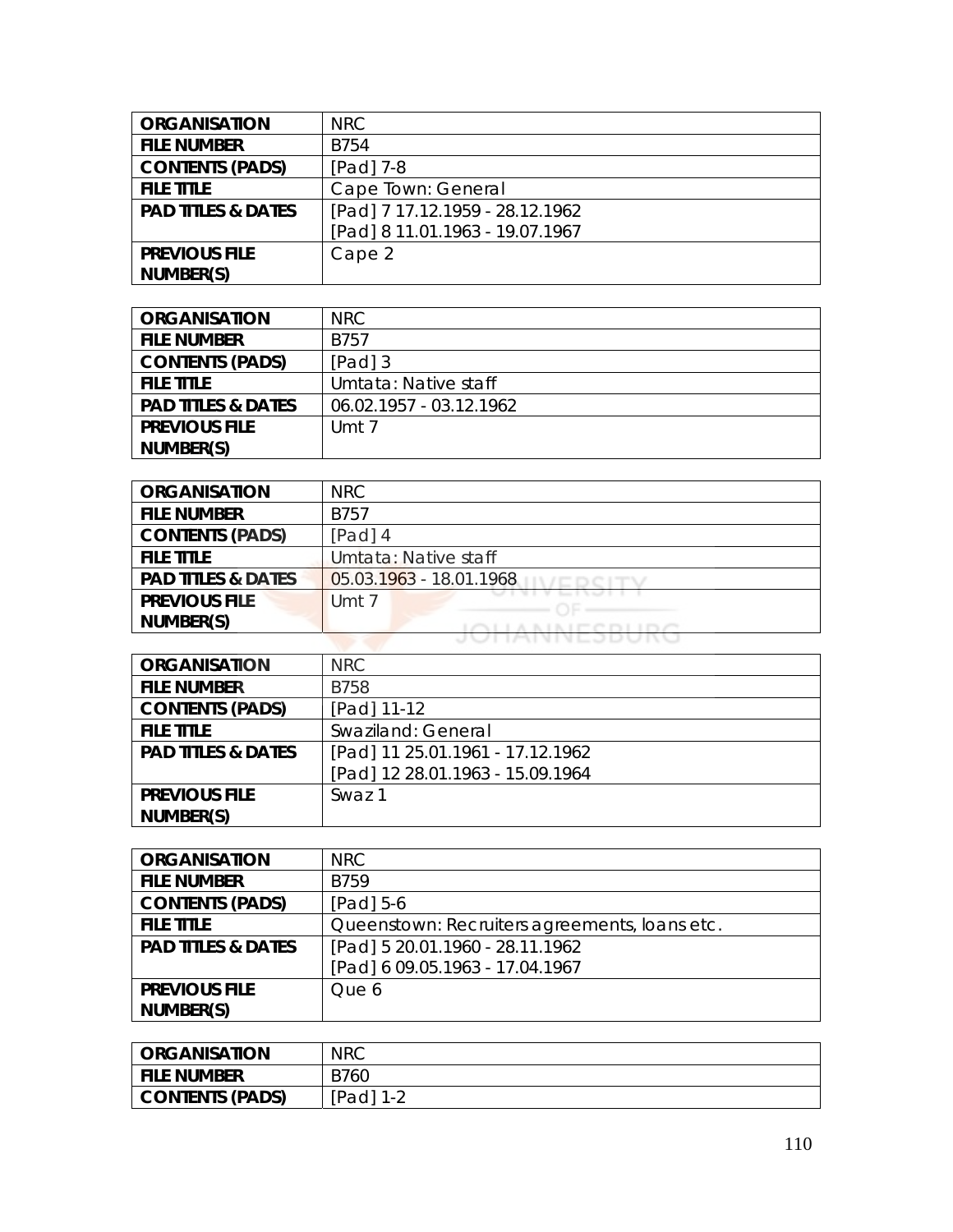| <b>ORGANISATION</b>           | NRC                             |
|-------------------------------|---------------------------------|
| <b>FILE NUMBER</b>            | <b>B754</b>                     |
| <b>CONTENTS (PADS)</b>        | [Pad] 7-8                       |
| <b>FILE TITLE</b>             | Cape Town: General              |
| <b>PAD TITLES &amp; DATES</b> | [Pad] 7 17.12.1959 - 28.12.1962 |
|                               | [Pad] 8 11.01.1963 - 19.07.1967 |
| <b>PREVIOUS FILE</b>          | Cape 2                          |
| NUMBER(S)                     |                                 |

| <b>ORGANISATION</b>           | NRC                     |
|-------------------------------|-------------------------|
| <b>FILE NUMBER</b>            | B757                    |
| <b>CONTENTS (PADS)</b>        | [Pad] 3                 |
| <b>FILE TITLE</b>             | Umtata: Native staff    |
| <b>PAD TITLES &amp; DATES</b> | 06.02.1957 - 03.12.1962 |
| <b>PREVIOUS FILE</b>          | Umt 7                   |
| NUMBER(S)                     |                         |

| <b>ORGANISATION</b>           | NRC                       |
|-------------------------------|---------------------------|
| <b>FILE NUMBER</b>            | <b>B757</b>               |
| <b>CONTENTS (PADS)</b>        | $[Pad]$ 4                 |
| <b>FILE TITLE</b>             | Umtata: Native staff      |
| <b>PAD TITLES &amp; DATES</b> | $05.03.1963 - 18.01.1968$ |
| <b>PREVIOUS FILE</b>          | Umt 7                     |
| NUMBER(S)                     | <b>AIRCRITOC</b>          |
|                               | UNNNESDUNG                |

| <b>ORGANISATION</b>           | NRC                              |
|-------------------------------|----------------------------------|
| <b>FILE NUMBER</b>            | <b>B758</b>                      |
| <b>CONTENTS (PADS)</b>        | [Pad] 11-12                      |
| <b>FILE TITLE</b>             | Swaziland: General               |
| <b>PAD TITLES &amp; DATES</b> | [Pad] 11 25.01.1961 - 17.12.1962 |
|                               | [Pad] 12 28.01.1963 - 15.09.1964 |
| <b>PREVIOUS FILE</b>          | Swaz 1                           |
| NUMBER(S)                     |                                  |

| <b>ORGANISATION</b>           | <b>NRC</b>                                    |
|-------------------------------|-----------------------------------------------|
| <b>FILE NUMBER</b>            | <b>B759</b>                                   |
| <b>CONTENTS (PADS)</b>        | [Pad] 5-6                                     |
| <b>FILE TITLE</b>             | Queenstown: Recruiters agreements, loans etc. |
| <b>PAD TITLES &amp; DATES</b> | [Pad] 5 20.01.1960 - 28.11.1962               |
|                               | [Pad] 6 09.05.1963 - 17.04.1967               |
| <b>PREVIOUS FILE</b>          | Que 6                                         |
| NUMBER(S)                     |                                               |

| <b>ORGANISATION</b> | <b>NRC</b>      |
|---------------------|-----------------|
| File Number         | B760            |
| CONTENTS (PADS)     | [Pad]<br>-1 - 1 |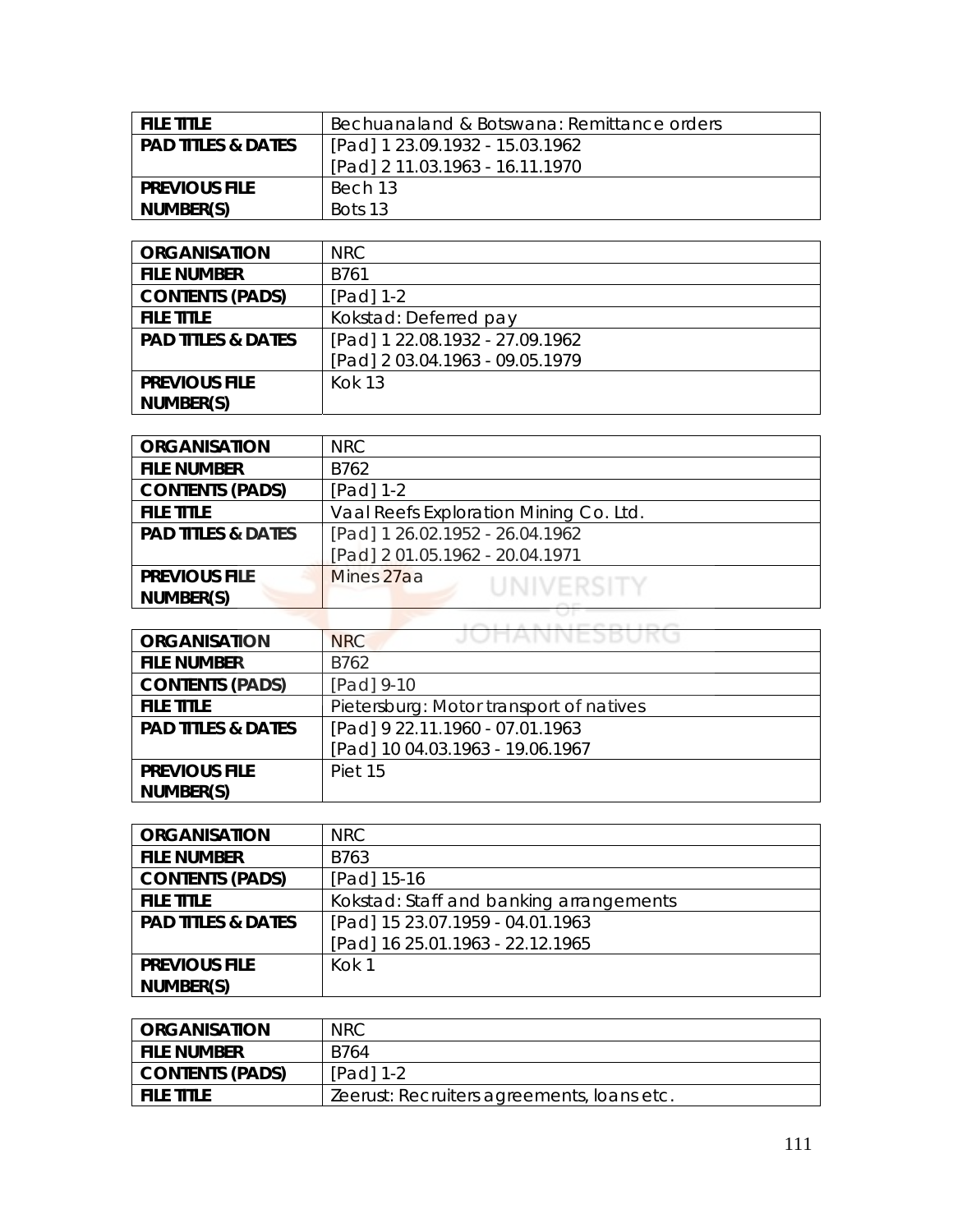| <b>FILE TITLE</b>    | Bechuanaland & Botswana: Remittance orders |
|----------------------|--------------------------------------------|
| l PAD TITLES & DATES | [Pad] 1 23.09.1932 - 15.03.1962            |
|                      | [Pad] 2 11.03.1963 - 16.11.1970            |
| <b>PREVIOUS FILE</b> | Bech 13                                    |
| NUMBER(S)            | Bots 13                                    |

| <b>ORGANISATION</b>           | NRC                             |
|-------------------------------|---------------------------------|
| <b>FILE NUMBER</b>            | B761                            |
| <b>CONTENTS (PADS)</b>        | [Pad] 1-2                       |
| <b>FILE TITLE</b>             | Kokstad: Deferred pay           |
| <b>PAD TITLES &amp; DATES</b> | [Pad] 1 22.08.1932 - 27.09.1962 |
|                               | [Pad] 2 03.04.1963 - 09.05.1979 |
| <b>PREVIOUS FILE</b>          | <b>Kok 13</b>                   |
| NUMBER(S)                     |                                 |

| <b>ORGANISATION</b>           | <b>NRC</b>                             |
|-------------------------------|----------------------------------------|
| <b>FILE NUMBER</b>            | B762                                   |
| <b>CONTENTS (PADS)</b>        | $[Pad] 1-2$                            |
| <b>FILE TITLE</b>             | Vaal Reefs Exploration Mining Co. Ltd. |
| <b>PAD TITLES &amp; DATES</b> | [Pad] 1 26.02.1952 - 26.04.1962        |
|                               | [Pad] 2 01.05.1962 - 20.04.1971        |
| <b>PREVIOUS FILE</b>          | Mines 27aa<br>UNIVERSITY               |
| NUMBER(S)                     |                                        |
|                               |                                        |

| <b>ORGANISATION</b>           | JUHANNESDUKU<br><b>NRC</b>              |
|-------------------------------|-----------------------------------------|
| <b>FILE NUMBER</b>            | B762                                    |
| <b>CONTENTS (PADS)</b>        | [Pad] 9-10                              |
| <b>FILE TITLE</b>             | Pietersburg: Motor transport of natives |
| <b>PAD TITLES &amp; DATES</b> | [Pad] 9 22.11.1960 - 07.01.1963         |
|                               | [Pad] 10 04.03.1963 - 19.06.1967        |
| <b>PREVIOUS FILE</b>          | Piet 15                                 |
| NUMBER(S)                     |                                         |

| <b>ORGANISATION</b>           | NRC.                                    |
|-------------------------------|-----------------------------------------|
| <b>FILE NUMBER</b>            | B763                                    |
| <b>CONTENTS (PADS)</b>        | [Pad] 15-16                             |
| <b>FILE TITLE</b>             | Kokstad: Staff and banking arrangements |
| <b>PAD TITLES &amp; DATES</b> | [Pad] 15 23.07.1959 - 04.01.1963        |
|                               | [Pad] 16 25.01.1963 - 22.12.1965        |
| <b>PREVIOUS FILE</b>          | Kok 1                                   |
| NUMBER(S)                     |                                         |

| <b>ORGANISATION</b>    | <b>NRC</b>                                 |
|------------------------|--------------------------------------------|
| <b>FILE NUMBER</b>     | B764                                       |
| <b>CONTENTS (PADS)</b> | $[Pad] 1-2$                                |
| <b>FILE TITLE</b>      | Zeerust: Recruiters agreements, Ioans etc. |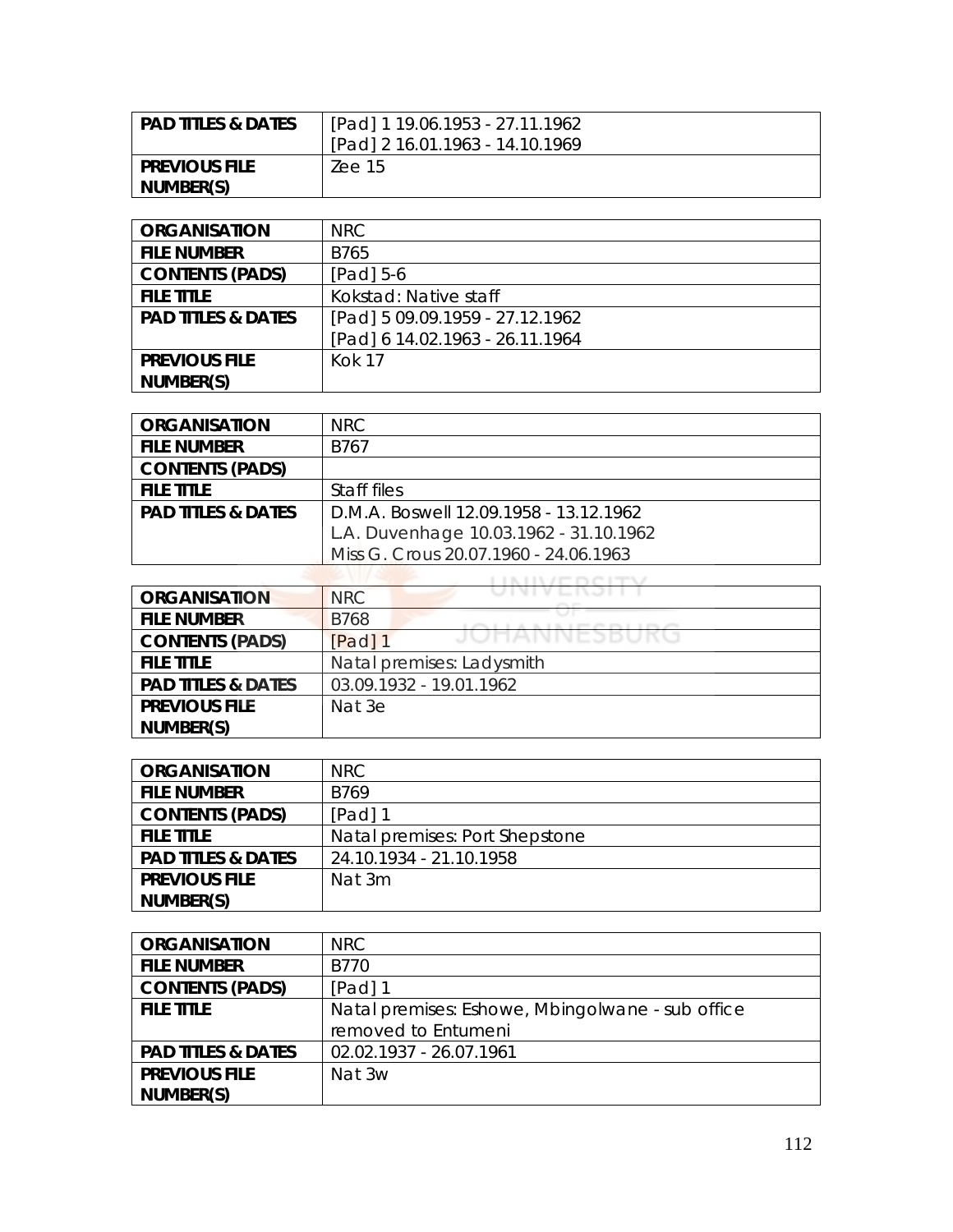| <b>PAD TITLES &amp; DATES</b> | [Pad] 1 19.06.1953 - 27.11.1962 |
|-------------------------------|---------------------------------|
|                               | [Pad] 2 16.01.1963 - 14.10.1969 |
| <b>PREVIOUS FILE</b>          | Zee 15                          |
| NUMBER(S)                     |                                 |

| <b>ORGANISATION</b>           | NRC                             |
|-------------------------------|---------------------------------|
| <b>FILE NUMBER</b>            | B765                            |
| <b>CONTENTS (PADS)</b>        | $[Pad] 5-6$                     |
| <b>FILE TITLE</b>             | Kokstad: Native staff           |
| <b>PAD TITLES &amp; DATES</b> | [Pad] 5 09.09.1959 - 27.12.1962 |
|                               | [Pad] 6 14.02.1963 - 26.11.1964 |
| <b>PREVIOUS FILE</b>          | <b>Kok 17</b>                   |
| NUMBER(S)                     |                                 |

| <b>ORGANISATION</b>           | NRC.                                   |
|-------------------------------|----------------------------------------|
| <b>FILE NUMBER</b>            | B767                                   |
| <b>CONTENTS (PADS)</b>        |                                        |
| <b>FILE TITLE</b>             | Staff files                            |
| <b>PAD TITLES &amp; DATES</b> | D.M.A. Boswell 12.09.1958 - 13.12.1962 |
|                               | L.A. Duvenhage 10.03.1962 - 31.10.1962 |
|                               | Miss G. Crous 20.07.1960 - 24.06.1963  |

| <b>ORGANISATION</b>           | U I V I V L I V J I I<br><b>NRC</b>        |
|-------------------------------|--------------------------------------------|
| <b>FILE NUMBER</b>            | <b>B768</b><br>and and it is a product and |
| <b>CONTENTS (PADS)</b>        | JUHANNEJBUKU<br>[Pad] 1                    |
| <b>FILE TITLE</b>             | Natal premises: Ladysmith                  |
| <b>PAD TITLES &amp; DATES</b> | 03.09.1932 - 19.01.1962                    |
| <b>PREVIOUS FILE</b>          | Nat 3e                                     |
| NUMBER(S)                     |                                            |

| <b>ORGANISATION</b>           | NRC.                           |
|-------------------------------|--------------------------------|
| <b>FILE NUMBER</b>            | B769                           |
| <b>CONTENTS (PADS)</b>        | $[Pad]$ 1                      |
| <b>FILE TITLE</b>             | Natal premises: Port Shepstone |
| <b>PAD TITLES &amp; DATES</b> | 24.10.1934 - 21.10.1958        |
| <b>PREVIOUS FILE</b>          | Nat 3m                         |
| NUMBER(S)                     |                                |

| <b>ORGANISATION</b>           | NRC.                                             |
|-------------------------------|--------------------------------------------------|
| <b>FILE NUMBER</b>            | B770                                             |
| <b>CONTENTS (PADS)</b>        | [Pad] $1$                                        |
| <b>FILE TITLE</b>             | Natal premises: Eshowe, Mbingolwane - sub office |
|                               | removed to Entumeni                              |
| <b>PAD TITLES &amp; DATES</b> | 02.02.1937 - 26.07.1961                          |
| <b>PREVIOUS FILE</b>          | Nat 3w                                           |
| NUMBER(S)                     |                                                  |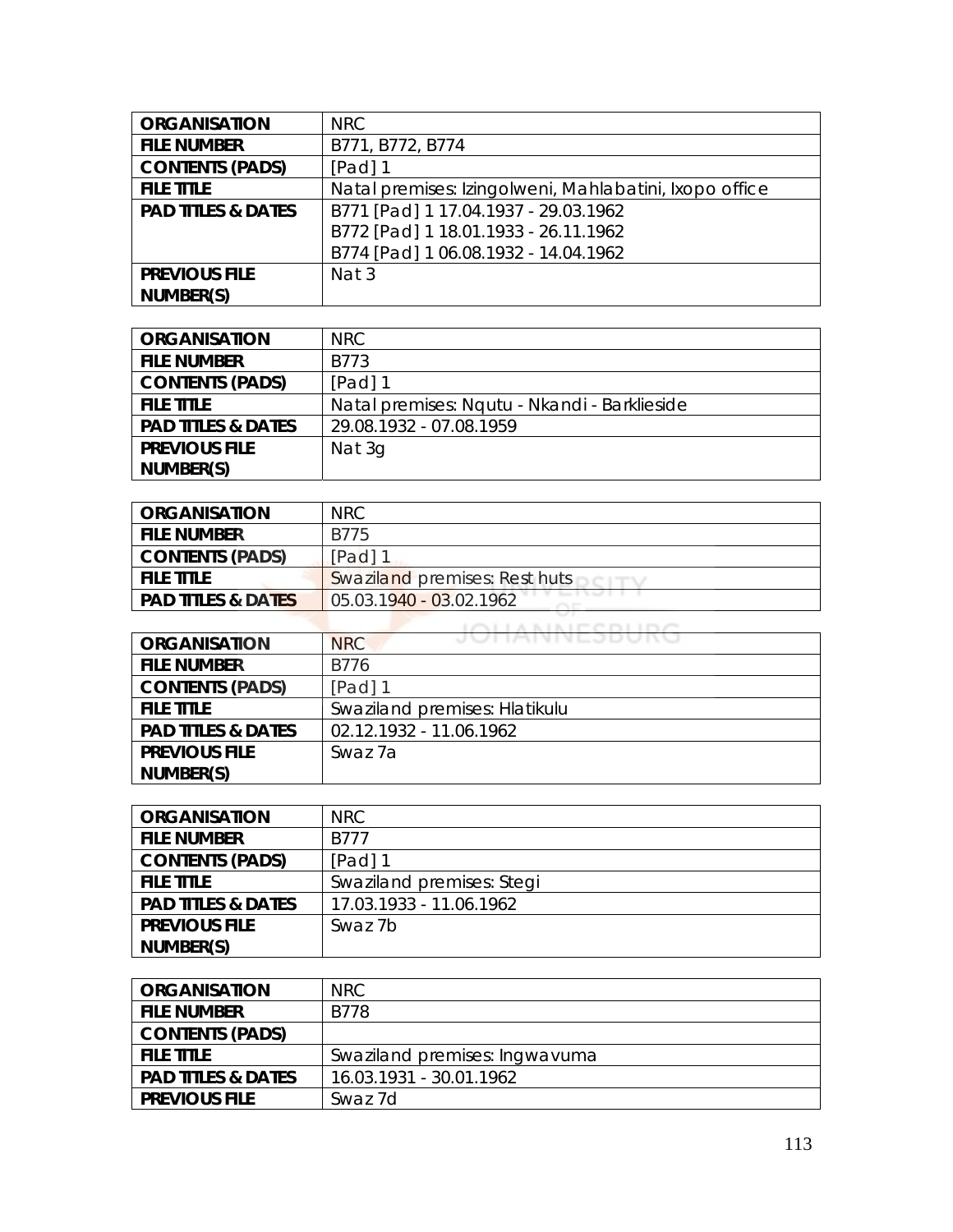| <b>ORGANISATION</b>           | <b>NRC</b>                                             |
|-------------------------------|--------------------------------------------------------|
| <b>FILE NUMBER</b>            | B771, B772, B774                                       |
| <b>CONTENTS (PADS)</b>        | $[Pad]$ 1                                              |
| <b>FILE TITLE</b>             | Natal premises: Izingolweni, Mahlabatini, Ixopo office |
| <b>PAD TITLES &amp; DATES</b> | B771 [Pad] 1 17.04.1937 - 29.03.1962                   |
|                               | B772 [Pad] 1 18.01.1933 - 26.11.1962                   |
|                               | B774 [Pad] 1 06.08.1932 - 14.04.1962                   |
| <b>PREVIOUS FILE</b>          | Nat 3                                                  |
| NUMBER(S)                     |                                                        |

| <b>ORGANISATION</b>           | NRC.                                         |
|-------------------------------|----------------------------------------------|
| <b>FILE NUMBER</b>            | B773                                         |
| <b>CONTENTS (PADS)</b>        | $[Pad]$ 1                                    |
| <b>FILE TITLE</b>             | Natal premises: Ngutu - Nkandi - Barklieside |
| <b>PAD TITLES &amp; DATES</b> | 29.08.1932 - 07.08.1959                      |
| <b>PREVIOUS FILE</b>          | Nat 3g                                       |
| NUMBER(S)                     |                                              |

| <b>ORGANISATION</b>           | NRC.                          |
|-------------------------------|-------------------------------|
| <b>FILE NUMBER</b>            | B775                          |
| <b>CONTENTS (PADS)</b>        | $[Pad]$ 1                     |
| <b>FILE TITLE</b>             | Swaziland premises: Rest huts |
| <b>PAD TITLES &amp; DATES</b> | 05.03.1940 - 03.02.1962       |
|                               |                               |

| <b>ORGANISATION</b>           | JUHANNEJDUNU<br><b>NRC</b>    |
|-------------------------------|-------------------------------|
| <b>FILE NUMBER</b>            | B776                          |
| <b>CONTENTS (PADS)</b>        | $[Pad]$ 1                     |
| <b>FILE TITLE</b>             | Swaziland premises: Hlatikulu |
| <b>PAD TITLES &amp; DATES</b> | 02.12.1932 - 11.06.1962       |
| <b>PREVIOUS FILE</b>          | Swaz 7a                       |
| NUMBER(S)                     |                               |

| <b>ORGANISATION</b>           | NRC.                      |
|-------------------------------|---------------------------|
| <b>FILE NUMBER</b>            | B777                      |
| <b>CONTENTS (PADS)</b>        | $[Pad]$ 1                 |
| <b>FILE TITLE</b>             | Swaziland premises: Stegi |
| <b>PAD TITLES &amp; DATES</b> | 17.03.1933 - 11.06.1962   |
| <b>PREVIOUS FILE</b>          | Swaz 7b                   |
| NUMBER(S)                     |                           |

| <b>ORGANISATION</b>           | NRC.                          |
|-------------------------------|-------------------------------|
| <b>FILE NUMBER</b>            | B778                          |
| <b>CONTENTS (PADS)</b>        |                               |
| <b>FILE TITLE</b>             | Swaziland premises: Ingwavuma |
| <b>PAD TITLES &amp; DATES</b> | 16.03.1931 - 30.01.1962       |
| <b>PREVIOUS FILE</b>          | Swaz 7d                       |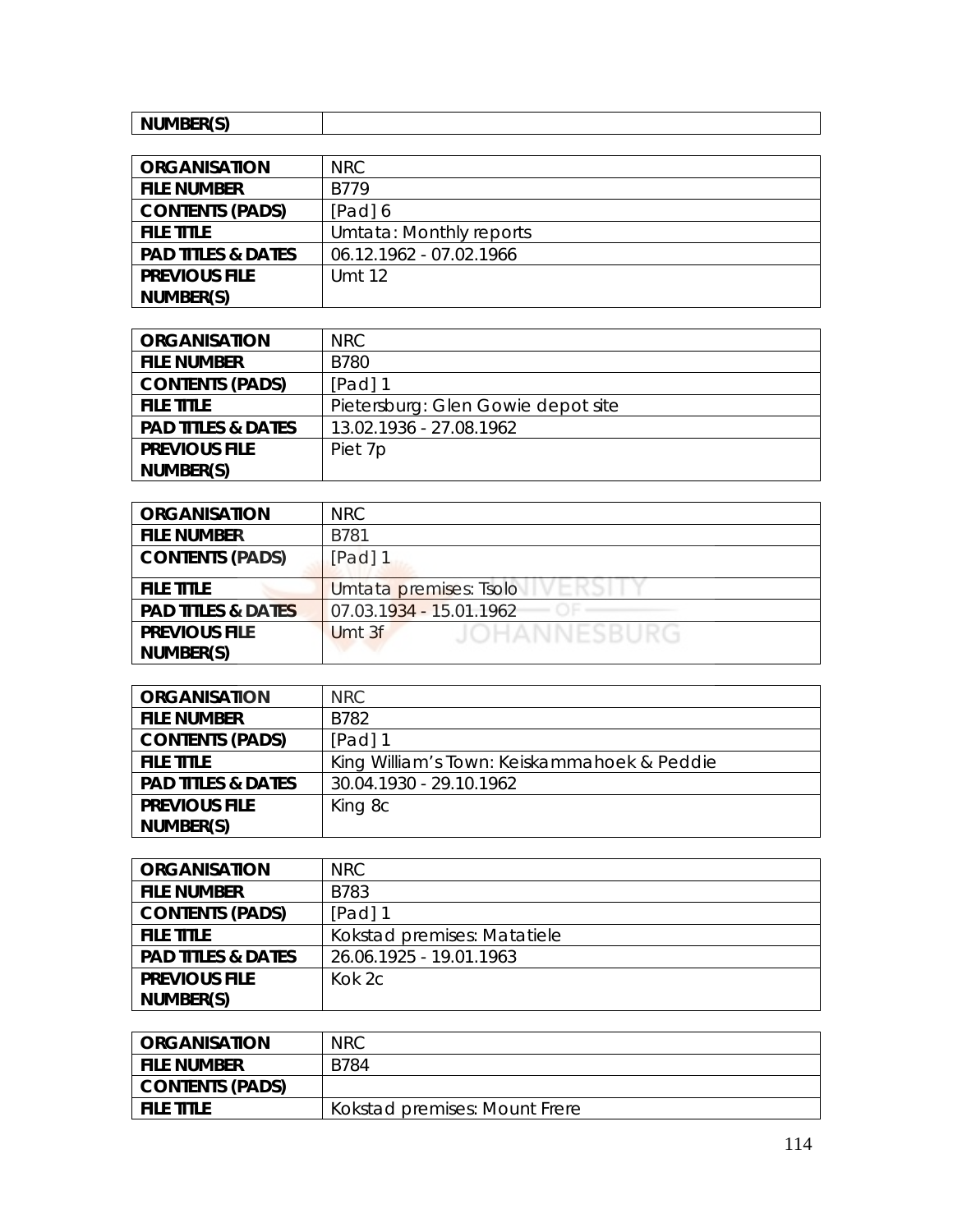| $\mathbf{B}$ and $\mathbf{B}$<br>'N.<br>.<br>. |  |
|------------------------------------------------|--|

| <b>ORGANISATION</b>           | NRC                     |
|-------------------------------|-------------------------|
| <b>FILE NUMBER</b>            | <b>B779</b>             |
| <b>CONTENTS (PADS)</b>        | [Pad] 6                 |
| <b>FILE TITLE</b>             | Umtata: Monthly reports |
| <b>PAD TITLES &amp; DATES</b> | 06.12.1962 - 07.02.1966 |
| <b>PREVIOUS FILE</b>          | Umt 12                  |
| NUMBER(S)                     |                         |

| <b>ORGANISATION</b>           | NRC.                               |
|-------------------------------|------------------------------------|
| <b>FILE NUMBER</b>            | B780                               |
| <b>CONTENTS (PADS)</b>        | $[Pad]$ 1                          |
| <b>FILE TITLE</b>             | Pietersburg: Glen Gowie depot site |
| <b>PAD TITLES &amp; DATES</b> | 13.02.1936 - 27.08.1962            |
| <b>PREVIOUS FILE</b>          | Piet 7p                            |
| NUMBER(S)                     |                                    |

| <b>ORGANISATION</b>           | NRC.                          |
|-------------------------------|-------------------------------|
| <b>FILE NUMBER</b>            | B781                          |
| <b>CONTENTS (PADS)</b>        | [Pad] 1                       |
| <b>FILE TITLE</b>             | Umtata premises: Tsolo        |
| <b>PAD TITLES &amp; DATES</b> | 07.03.1934 - 15.01.1962       |
| <b>PREVIOUS FILE</b>          | <b>JOHANNESBURG</b><br>Umt 3f |
| NUMBER(S)                     |                               |

| <b>ORGANISATION</b>           | NRC                                         |
|-------------------------------|---------------------------------------------|
| <b>FILE NUMBER</b>            | B782                                        |
| <b>CONTENTS (PADS)</b>        | [Pad] 1                                     |
| <b>FILE TITLE</b>             | King William's Town: Keiskammahoek & Peddie |
| <b>PAD TITLES &amp; DATES</b> | 30.04.1930 - 29.10.1962                     |
| <b>PREVIOUS FILE</b>          | King 8c                                     |
| NUMBER(S)                     |                                             |

| <b>ORGANISATION</b>           | NRC.                        |
|-------------------------------|-----------------------------|
| <b>FILE NUMBER</b>            | B783                        |
| <b>CONTENTS (PADS)</b>        | $[Pad]$ 1                   |
| <b>FILE TITLE</b>             | Kokstad premises: Matatiele |
| <b>PAD TITLES &amp; DATES</b> | 26.06.1925 - 19.01.1963     |
| <b>PREVIOUS FILE</b>          | Kok $2c$                    |
| NUMBER(S)                     |                             |

| <b>ORGANISATION</b> | <b>NRC</b>                    |
|---------------------|-------------------------------|
| <b>FILE NUMBER</b>  | B784                          |
| CONTENTS (PADS)     |                               |
| <b>FILE TITLE</b>   | Kokstad premises: Mount Frere |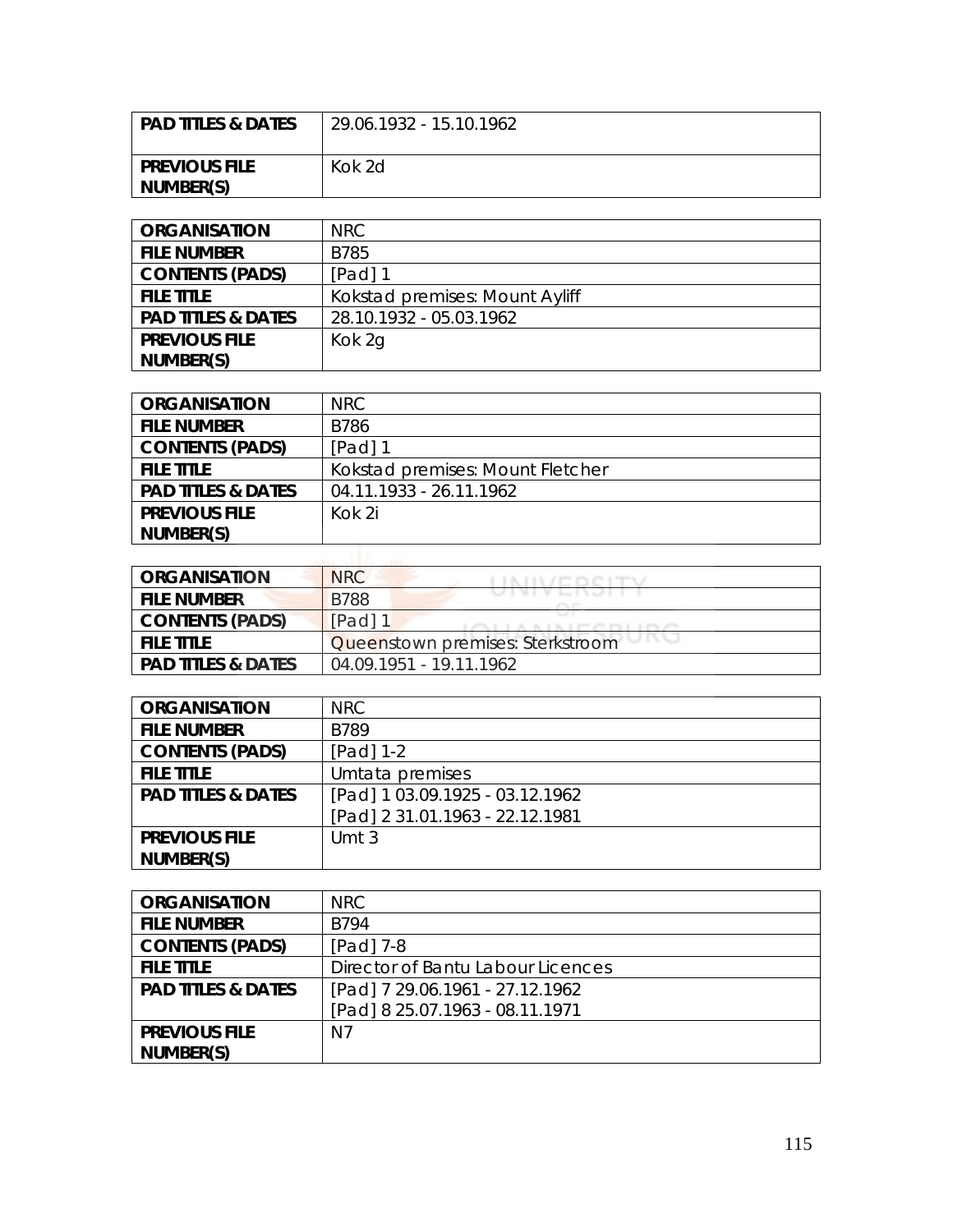| ! PAD TITLES & DATES              | 29.06.1932 - 15.10.1962 |
|-----------------------------------|-------------------------|
| <b>PREVIOUS FILE</b><br>NUMBER(S) | Kok 2d                  |

| <b>ORGANISATION</b>           | NRC                            |
|-------------------------------|--------------------------------|
| <b>FILE NUMBER</b>            | B785                           |
| <b>CONTENTS (PADS)</b>        | [Pad] 1                        |
| <b>FILE TITLE</b>             | Kokstad premises: Mount Ayliff |
| <b>PAD TITLES &amp; DATES</b> | 28.10.1932 - 05.03.1962        |
| <b>PREVIOUS FILE</b>          | Kok 2g                         |
| NUMBER(S)                     |                                |

| <b>ORGANISATION</b>           | <b>NRC</b>                       |
|-------------------------------|----------------------------------|
| <b>FILE NUMBER</b>            | <b>B786</b>                      |
| <b>CONTENTS (PADS)</b>        | [Pad] 1                          |
| <b>FILE TITLE</b>             | Kokstad premises: Mount Fletcher |
| <b>PAD TITLES &amp; DATES</b> | 04.11.1933 - 26.11.1962          |
| <b>PREVIOUS FILE</b>          | Kok 2i                           |
| NUMBER(S)                     |                                  |
|                               |                                  |

| ORGANISATION                  | <b>NRC</b>                                                                                            |
|-------------------------------|-------------------------------------------------------------------------------------------------------|
| <b>FILE NUMBER</b>            | UINIVERJIT<br><b>B788</b>                                                                             |
| <b>CONTENTS (PADS)</b>        | $[Pad]$ 1<br>AND LOCAL BUILDING IN THE CONTROL OF THE CONTROL CONTROL CONTROL CONTROL CONTROL CONTROL |
| FILE TITLE                    | Queenstown premises: Sterkstroom                                                                      |
| <b>PAD TITLES &amp; DATES</b> | 04 09 1951 - 19 11 1962                                                                               |

| <b>ORGANISATION</b>           | NRC                             |
|-------------------------------|---------------------------------|
| <b>FILE NUMBER</b>            | <b>B789</b>                     |
| <b>CONTENTS (PADS)</b>        | [Pad] 1-2                       |
| <b>FILE TITLE</b>             | Umtata premises                 |
| <b>PAD TITLES &amp; DATES</b> | [Pad] 1 03.09.1925 - 03.12.1962 |
|                               | [Pad] 2 31.01.1963 - 22.12.1981 |
| <b>PREVIOUS FILE</b>          | Umt $3$                         |
| NUMBER(S)                     |                                 |

| <b>ORGANISATION</b>           | <b>NRC</b>                        |
|-------------------------------|-----------------------------------|
| <b>FILE NUMBER</b>            | B794                              |
| <b>CONTENTS (PADS)</b>        | $[Pad]$ 7-8                       |
| <b>FILE TITLE</b>             | Director of Bantu Labour Licences |
| <b>PAD TITLES &amp; DATES</b> | [Pad] 7 29.06.1961 - 27.12.1962   |
|                               | [Pad] 8 25.07.1963 - 08.11.1971   |
| <b>PREVIOUS FILE</b>          | N7                                |
| NUMBER(S)                     |                                   |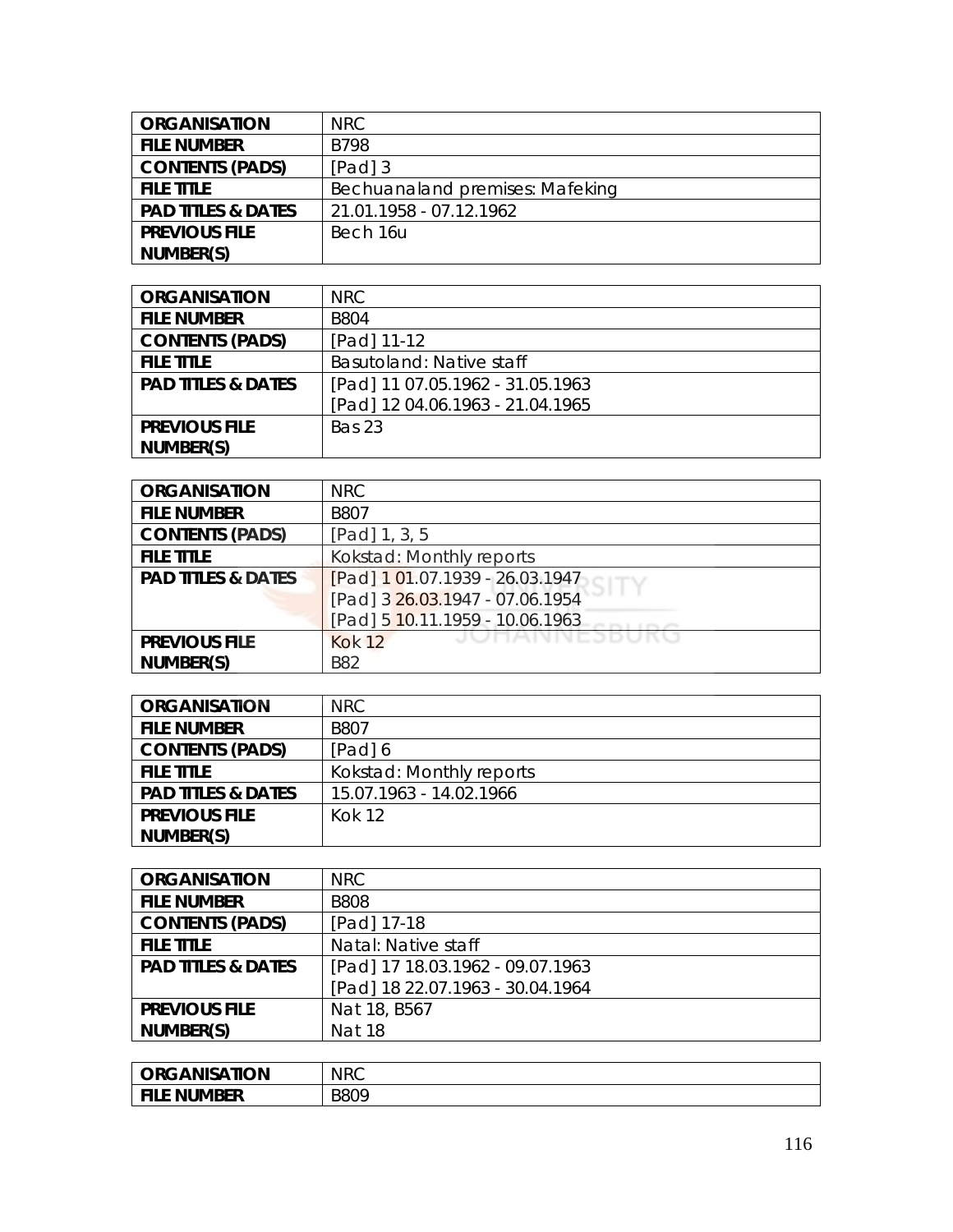| <b>ORGANISATION</b>           | NRC.                            |
|-------------------------------|---------------------------------|
| <b>FILE NUMBER</b>            | B798                            |
| <b>CONTENTS (PADS)</b>        | $[Pad]$ 3                       |
| <b>FILE TITLE</b>             | Bechuanaland premises: Mafeking |
| <b>PAD TITLES &amp; DATES</b> | 21.01.1958 - 07.12.1962         |
| <b>PREVIOUS FILE</b>          | Bech 16u                        |
| NUMBER(S)                     |                                 |

| <b>ORGANISATION</b>           | NRC                              |
|-------------------------------|----------------------------------|
| <b>FILE NUMBER</b>            | <b>B804</b>                      |
| <b>CONTENTS (PADS)</b>        | [Pad] 11-12                      |
| <b>FILE TITLE</b>             | Basutoland: Native staff         |
| <b>PAD TITLES &amp; DATES</b> | [Pad] 11 07.05.1962 - 31.05.1963 |
|                               | [Pad] 12 04.06.1963 - 21.04.1965 |
| <b>PREVIOUS FILE</b>          | <b>Bas 23</b>                    |
| NUMBER(S)                     |                                  |

| <b>ORGANISATION</b>           | <b>NRC</b>                      |
|-------------------------------|---------------------------------|
| <b>FILE NUMBER</b>            | B807                            |
| <b>CONTENTS (PADS)</b>        | [Pad] 1, 3, 5                   |
| <b>FILE TITLE</b>             | Kokstad: Monthly reports        |
| <b>PAD TITLES &amp; DATES</b> | [Pad] 101.07.1939 - 26.03.1947  |
|                               | [Pad] 3 26.03.1947 - 07.06.1954 |
|                               | [Pad] 5 10.11.1959 - 10.06.1963 |
| <b>PREVIOUS FILE</b>          | JUNAINNESDUKU<br><b>Kok 12</b>  |
| NUMBER(S)                     | <b>B82</b>                      |

| <b>ORGANISATION</b>           | NRC                      |
|-------------------------------|--------------------------|
| <b>FILE NUMBER</b>            | <b>B807</b>              |
| <b>CONTENTS (PADS)</b>        | [Pad] 6                  |
| <b>FILE TITLE</b>             | Kokstad: Monthly reports |
| <b>PAD TITLES &amp; DATES</b> | 15.07.1963 - 14.02.1966  |
| <b>PREVIOUS FILE</b>          | <b>Kok 12</b>            |
| NUMBER(S)                     |                          |

| <b>ORGANISATION</b>           | <b>NRC</b>                       |
|-------------------------------|----------------------------------|
| <b>FILE NUMBER</b>            | <b>B808</b>                      |
| <b>CONTENTS (PADS)</b>        | [Pad] 17-18                      |
| <b>FILE TITLE</b>             | Natal: Native staff              |
| <b>PAD TITLES &amp; DATES</b> | [Pad] 17 18.03.1962 - 09.07.1963 |
|                               | [Pad] 18 22.07.1963 - 30.04.1964 |
| <b>PREVIOUS FILE</b>          | Nat 18, B567                     |
| NUMBER(S)                     | <b>Nat 18</b>                    |

| <b><i>RGANISATION</i></b><br><b>ORC</b> | <b>NRC</b> |
|-----------------------------------------|------------|
| <b>FILE</b><br><b>E NUMBER</b>          | B809       |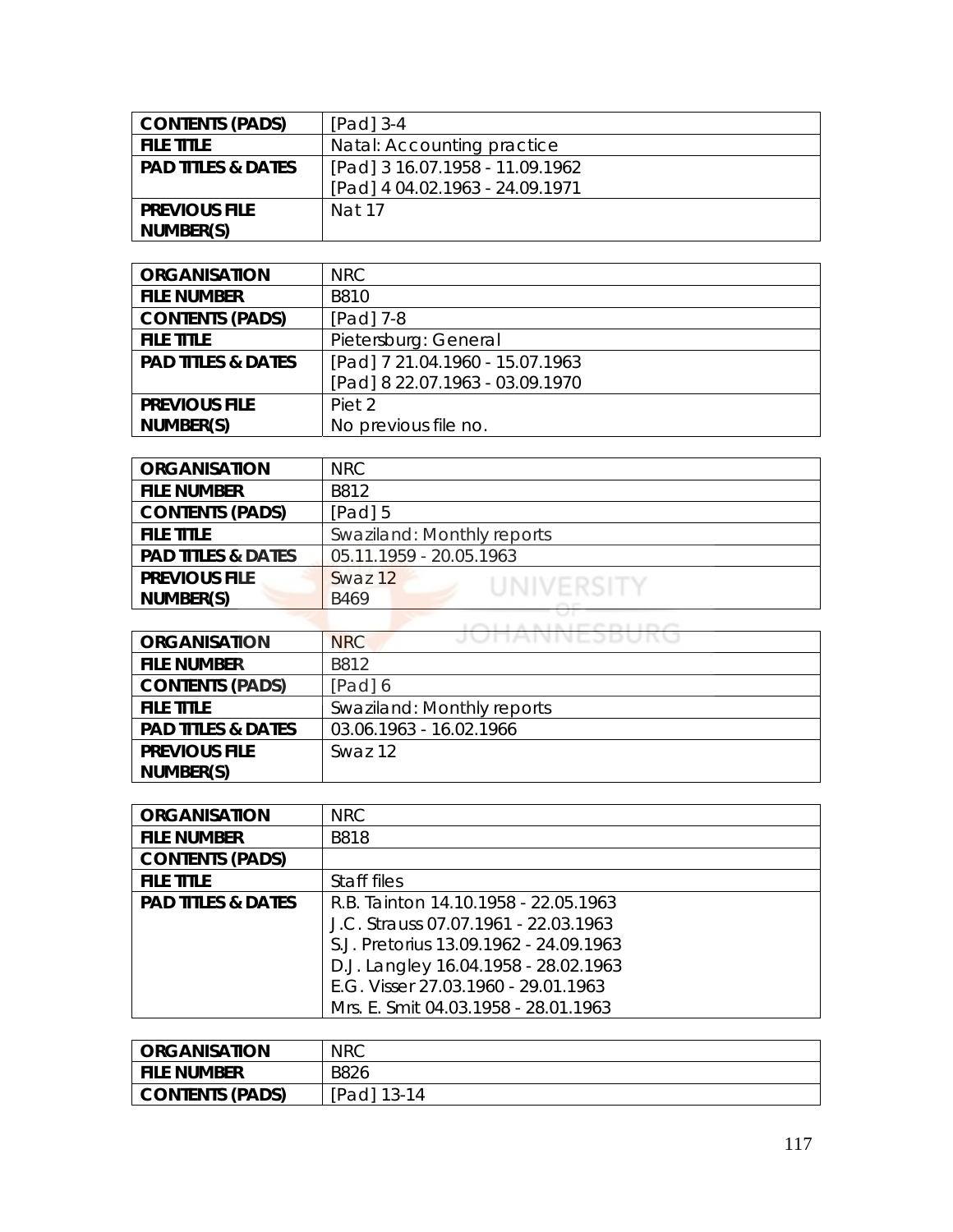| <b>CONTENTS (PADS)</b>        | $[Pad]$ 3-4                     |
|-------------------------------|---------------------------------|
| <b>FILE TITLE</b>             | Natal: Accounting practice      |
| <b>PAD TITLES &amp; DATES</b> | [Pad] 3 16.07.1958 - 11.09.1962 |
|                               | [Pad] 4 04.02.1963 - 24.09.1971 |
| <b>PREVIOUS FILE</b>          | Nat 17                          |
| NUMBER(S)                     |                                 |

| <b>ORGANISATION</b>           | NRC.                            |
|-------------------------------|---------------------------------|
| <b>FILE NUMBER</b>            | B810                            |
| <b>CONTENTS (PADS)</b>        | $[Pad]$ 7-8                     |
| <b>FILE TITLE</b>             | Pietersburg: General            |
| <b>PAD TITLES &amp; DATES</b> | [Pad] 7 21.04.1960 - 15.07.1963 |
|                               | [Pad] 8 22.07.1963 - 03.09.1970 |
| <b>PREVIOUS FILE</b>          | Piet <sub>2</sub>               |
| NUMBER(S)                     | No previous file no.            |

| <b>ORGANISATION</b>           | NRC                        |
|-------------------------------|----------------------------|
| <b>FILE NUMBER</b>            | B812                       |
| <b>CONTENTS (PADS)</b>        | $[Pad]$ 5                  |
| <b>FILE TITLE</b>             | Swaziland: Monthly reports |
| <b>PAD TITLES &amp; DATES</b> | 05.11.1959 - 20.05.1963    |
| <b>PREVIOUS FILE</b>          | Swaz 12<br>UNIVERSITY      |
| NUMBER(S)                     | B469                       |
|                               |                            |

| <b>ORGANISATION</b>           | JUNANNEJDUNU<br><b>NRC</b> |
|-------------------------------|----------------------------|
| <b>FILE NUMBER</b>            | B812                       |
| <b>CONTENTS (PADS)</b>        | [Pad] 6                    |
| <b>FILE TITLE</b>             | Swaziland: Monthly reports |
| <b>PAD TITLES &amp; DATES</b> | 03.06.1963 - 16.02.1966    |
| <b>PREVIOUS FILE</b>          | Swaz12                     |
| NUMBER(S)                     |                            |

| <b>ORGANISATION</b>           | <b>NRC</b>                             |
|-------------------------------|----------------------------------------|
| <b>FILE NUMBER</b>            | <b>B818</b>                            |
| <b>CONTENTS (PADS)</b>        |                                        |
| <b>FILE TITLE</b>             | Staff files                            |
| <b>PAD TITLES &amp; DATES</b> | R.B. Tainton 14.10.1958 - 22.05.1963   |
|                               | J.C. Strauss 07.07.1961 - 22.03.1963   |
|                               | S.J. Pretorius 13.09.1962 - 24.09.1963 |
|                               | D.J. Langley 16.04.1958 - 28.02.1963   |
|                               | E.G. Visser 27.03.1960 - 29.01.1963    |
|                               | Mrs. E. Smit 04.03.1958 - 28.01.1963   |

| <b>ORGANISATION</b>    | <b>NRC</b>  |
|------------------------|-------------|
| <b>FILE NUMBER</b>     | <b>B826</b> |
| <b>CONTENTS (PADS)</b> | [Pad] 13-14 |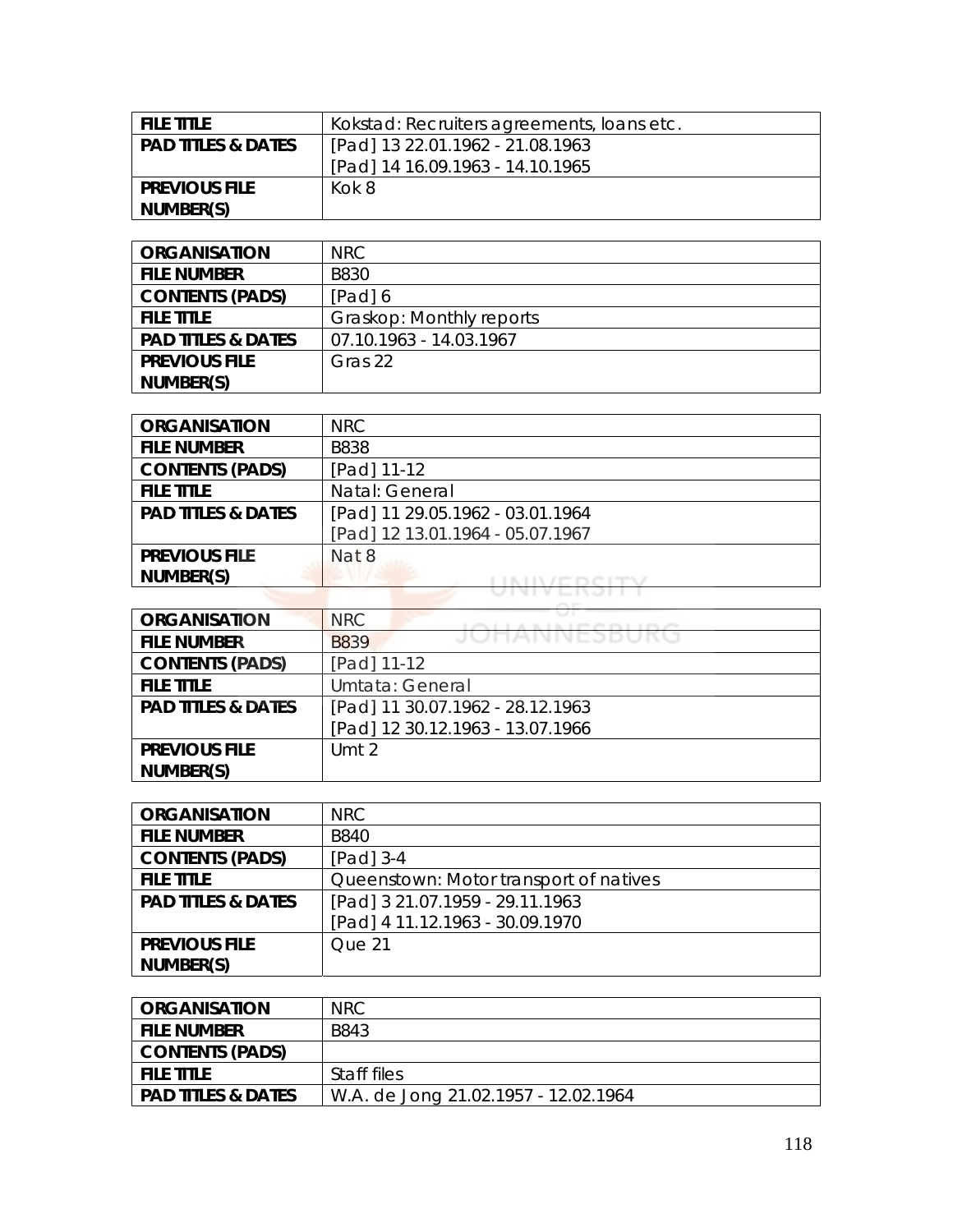| <b>FILE TITLE</b>             | Kokstad: Recruiters agreements, loans etc. |
|-------------------------------|--------------------------------------------|
| <b>PAD TITLES &amp; DATES</b> | [Pad] 13 22.01.1962 - 21.08.1963           |
|                               | [Pad] 14 16.09.1963 - 14.10.1965           |
| <b>PREVIOUS FILE</b>          | Kok 8                                      |
| NUMBER(S)                     |                                            |

| <b>ORGANISATION</b>           | NRC                      |
|-------------------------------|--------------------------|
| <b>FILE NUMBER</b>            | <b>B830</b>              |
| <b>CONTENTS (PADS)</b>        | [Pad] 6                  |
| <b>FILE TITLE</b>             | Graskop: Monthly reports |
| <b>PAD TITLES &amp; DATES</b> | 07.10.1963 - 14.03.1967  |
| <b>PREVIOUS FILE</b>          | Gras 22                  |
| NUMBER(S)                     |                          |

| <b>ORGANISATION</b>           | <b>NRC</b>                       |
|-------------------------------|----------------------------------|
| <b>FILE NUMBER</b>            | <b>B838</b>                      |
| <b>CONTENTS (PADS)</b>        | [Pad] 11-12                      |
| <b>FILE TITLE</b>             | Natal: General                   |
| <b>PAD TITLES &amp; DATES</b> | [Pad] 11 29.05.1962 - 03.01.1964 |
|                               | [Pad] 12 13.01.1964 - 05.07.1967 |
| <b>PREVIOUS FILE</b>          | Nat 8                            |
| NUMBER(S)                     |                                  |
|                               |                                  |

| <b>ORGANISATION</b>           | <b>NRC</b>                       |
|-------------------------------|----------------------------------|
| <b>FILE NUMBER</b>            | JUNAINNEJDUKU<br><b>B839</b>     |
| <b>CONTENTS (PADS)</b>        | [Pad] 11-12                      |
| <b>FILE TITLE</b>             | Umtata: General                  |
| <b>PAD TITLES &amp; DATES</b> | [Pad] 11 30.07.1962 - 28.12.1963 |
|                               | [Pad] 12 30.12.1963 - 13.07.1966 |
| <b>PREVIOUS FILE</b>          | Umt 2                            |
| NUMBER(S)                     |                                  |

| <b>ORGANISATION</b>           | NRC                                    |
|-------------------------------|----------------------------------------|
| <b>FILE NUMBER</b>            | <b>B840</b>                            |
| <b>CONTENTS (PADS)</b>        | [Pad] 3-4                              |
| <b>FILE TITLE</b>             | Queenstown: Motor transport of natives |
| <b>PAD TITLES &amp; DATES</b> | [Pad] 3 21.07.1959 - 29.11.1963        |
|                               | [Pad] 4 11.12.1963 - 30.09.1970        |
| <b>PREVIOUS FILE</b>          | Que 21                                 |
| NUMBER(S)                     |                                        |

| <b>ORGANISATION</b>           | NRC.                                 |
|-------------------------------|--------------------------------------|
| <b>FILE NUMBER</b>            | B843                                 |
| <b>CONTENTS (PADS)</b>        |                                      |
| <b>FILE TITLE</b>             | Staff files                          |
| <b>PAD TITLES &amp; DATES</b> | W.A. de Jong 21.02.1957 - 12.02.1964 |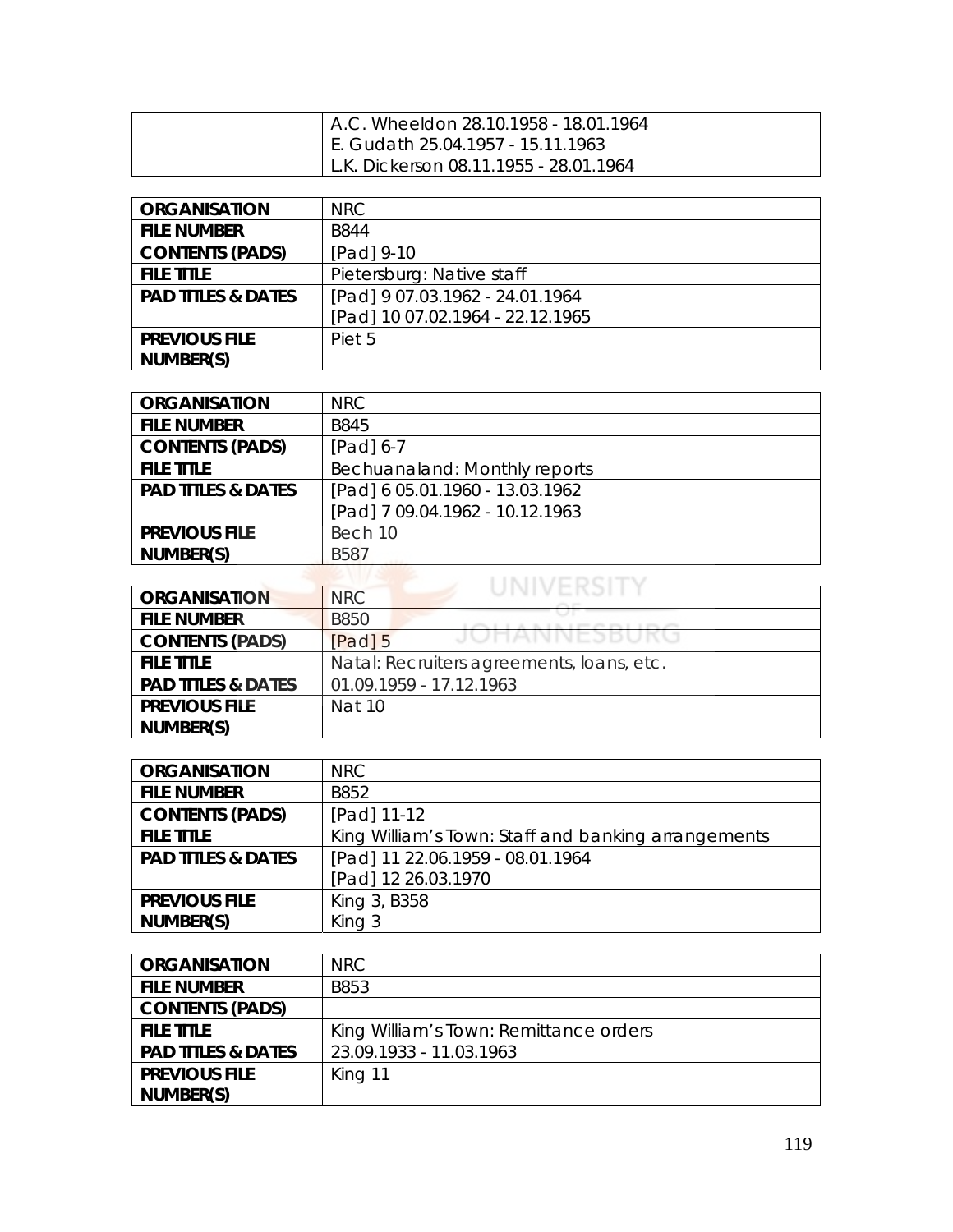| A.C. Wheeldon 28.10.1958 - 18.01.1964  |
|----------------------------------------|
| E. Gudath 25.04.1957 - 15.11.1963      |
| L.K. Dickerson 08.11.1955 - 28.01.1964 |

| <b>ORGANISATION</b>           | NRC                              |
|-------------------------------|----------------------------------|
| <b>FILE NUMBER</b>            | <b>B844</b>                      |
| <b>CONTENTS (PADS)</b>        | [Pad] 9-10                       |
| <b>FILE TITLE</b>             | Pietersburg: Native staff        |
| <b>PAD TITLES &amp; DATES</b> | [Pad] 9 07.03.1962 - 24.01.1964  |
|                               | [Pad] 10 07.02.1964 - 22.12.1965 |
| <b>PREVIOUS FILE</b>          | Piet 5                           |
| NUMBER(S)                     |                                  |

| <b>ORGANISATION</b>           | NRC.                            |
|-------------------------------|---------------------------------|
| <b>FILE NUMBER</b>            | <b>B845</b>                     |
| <b>CONTENTS (PADS)</b>        | $[Pad] 6-7$                     |
| <b>FILE TITLE</b>             | Bechuanaland: Monthly reports   |
| <b>PAD TITLES &amp; DATES</b> | [Pad] 6 05.01.1960 - 13.03.1962 |
|                               | [Pad] 7 09.04.1962 - 10.12.1963 |
| <b>PREVIOUS FILE</b>          | Bech 10                         |
| NUMBER(S)                     | <b>B587</b>                     |

| <b>ORGANISATION</b>           | U I VI V L I V J I I I<br><b>NRC</b>                          |
|-------------------------------|---------------------------------------------------------------|
| <b>FILE NUMBER</b>            | <b>B850</b><br>The T. Dec. of 1999 and 1999 and 1999 and 1999 |
| <b>CONTENTS (PADS)</b>        | JUMANNESDURU<br>$[Pad]$ 5                                     |
| <b>FILE TITLE</b>             | Natal: Recruiters agreements, Ioans, etc.                     |
| <b>PAD TITLES &amp; DATES</b> | 01.09.1959 - 17.12.1963                                       |
| <b>PREVIOUS FILE</b>          | Nat 10                                                        |
| NUMBER(S)                     |                                                               |

| <b>ORGANISATION</b>           | <b>NRC</b>                                          |
|-------------------------------|-----------------------------------------------------|
| <b>FILE NUMBER</b>            | B852                                                |
| <b>CONTENTS (PADS)</b>        | [Pad] 11-12                                         |
| <b>FILE TITLE</b>             | King William's Town: Staff and banking arrangements |
| <b>PAD TITLES &amp; DATES</b> | [Pad] 11 22.06.1959 - 08.01.1964                    |
|                               | [Pad] 12 26.03.1970                                 |
| <b>PREVIOUS FILE</b>          | King 3, B358                                        |
| NUMBER(S)                     | King 3                                              |

| <b>ORGANISATION</b>           | NRC.                                   |
|-------------------------------|----------------------------------------|
| <b>FILE NUMBER</b>            | B853                                   |
| <b>CONTENTS (PADS)</b>        |                                        |
| <b>FILE TITLE</b>             | King William's Town: Remittance orders |
| <b>PAD TITLES &amp; DATES</b> | 23.09.1933 - 11.03.1963                |
| <b>PREVIOUS FILE</b>          | King 11                                |
| NUMBER(S)                     |                                        |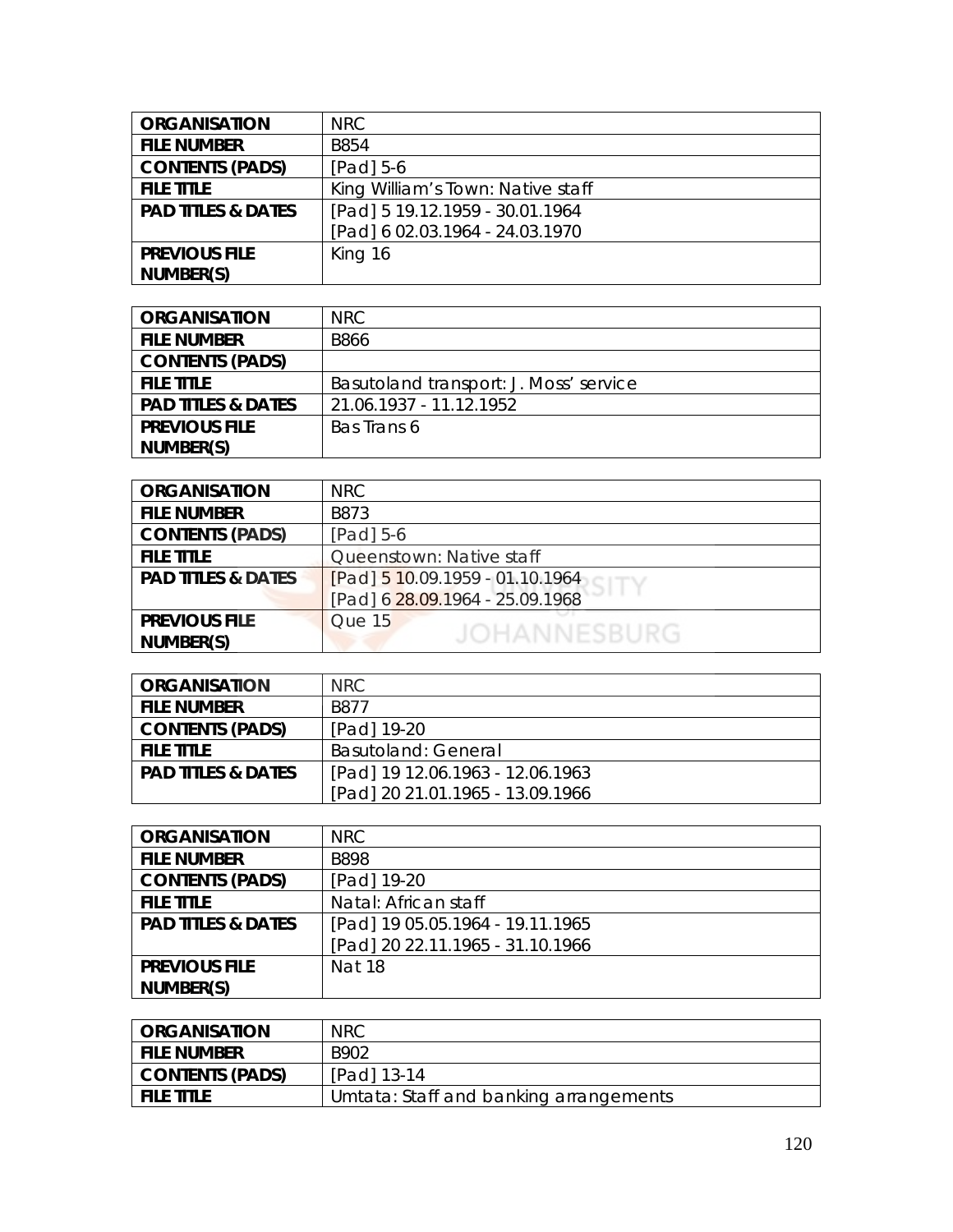| <b>ORGANISATION</b>           | <b>NRC</b>                        |
|-------------------------------|-----------------------------------|
| <b>FILE NUMBER</b>            | <b>B854</b>                       |
| <b>CONTENTS (PADS)</b>        | [Pad] 5-6                         |
| <b>FILE TITLE</b>             | King William's Town: Native staff |
| <b>PAD TITLES &amp; DATES</b> | [Pad] 5 19.12.1959 - 30.01.1964   |
|                               | [Pad] 6 02.03.1964 - 24.03.1970   |
| <b>PREVIOUS FILE</b>          | King 16                           |
| NUMBER(S)                     |                                   |

| <b>ORGANISATION</b>           | NRC.                                   |
|-------------------------------|----------------------------------------|
| <b>FILE NUMBER</b>            | <b>B866</b>                            |
| <b>CONTENTS (PADS)</b>        |                                        |
| <b>FILE TITLE</b>             | Basutoland transport: J. Moss' service |
| <b>PAD TITLES &amp; DATES</b> | 21.06.1937 - 11.12.1952                |
| <b>PREVIOUS FILE</b>          | Bas Trans 6                            |
| NUMBER(S)                     |                                        |

| <b>ORGANISATION</b>           | <b>NRC</b>                      |
|-------------------------------|---------------------------------|
| <b>FILE NUMBER</b>            | B873                            |
| <b>CONTENTS (PADS)</b>        | [Pad] 5-6                       |
| <b>FILE TITLE</b>             | Queenstown: Native staff        |
| <b>PAD TITLES &amp; DATES</b> | [Pad] 5 10.09.1959 - 01.10.1964 |
|                               | [Pad] 6 28.09.1964 - 25.09.1968 |
| <b>PREVIOUS FILE</b>          | Que 15                          |
| NUMBER(S)                     | <b>JOHANNESBURG</b>             |

| <b>ORGANISATION</b>           | NRC.                             |
|-------------------------------|----------------------------------|
| <b>FILE NUMBER</b>            | B877                             |
| <b>CONTENTS (PADS)</b>        | [Pad] 19-20                      |
| <b>FILE TITLE</b>             | Basutoland: General              |
| <b>PAD TITLES &amp; DATES</b> | [Pad] 19 12.06.1963 - 12.06.1963 |
|                               | [Pad] 20 21.01.1965 - 13.09.1966 |

| <b>ORGANISATION</b>           | NRC                              |
|-------------------------------|----------------------------------|
| <b>FILE NUMBER</b>            | <b>B898</b>                      |
| <b>CONTENTS (PADS)</b>        | [Pad] 19-20                      |
| <b>FILE TITLE</b>             | Natal: African staff             |
| <b>PAD TITLES &amp; DATES</b> | [Pad] 19 05.05.1964 - 19.11.1965 |
|                               | [Pad] 20 22.11.1965 - 31.10.1966 |
| <b>PREVIOUS FILE</b>          | <b>Nat 18</b>                    |
| NUMBER(S)                     |                                  |

| <b>ORGANISATION</b> | <b>NRC</b>                             |
|---------------------|----------------------------------------|
| <b>FILE NUMBER</b>  | B902                                   |
| CONTENTS (PADS)     | [Pad] 13-14                            |
| <b>FILE TITLE</b>   | Umtata: Staff and banking arrangements |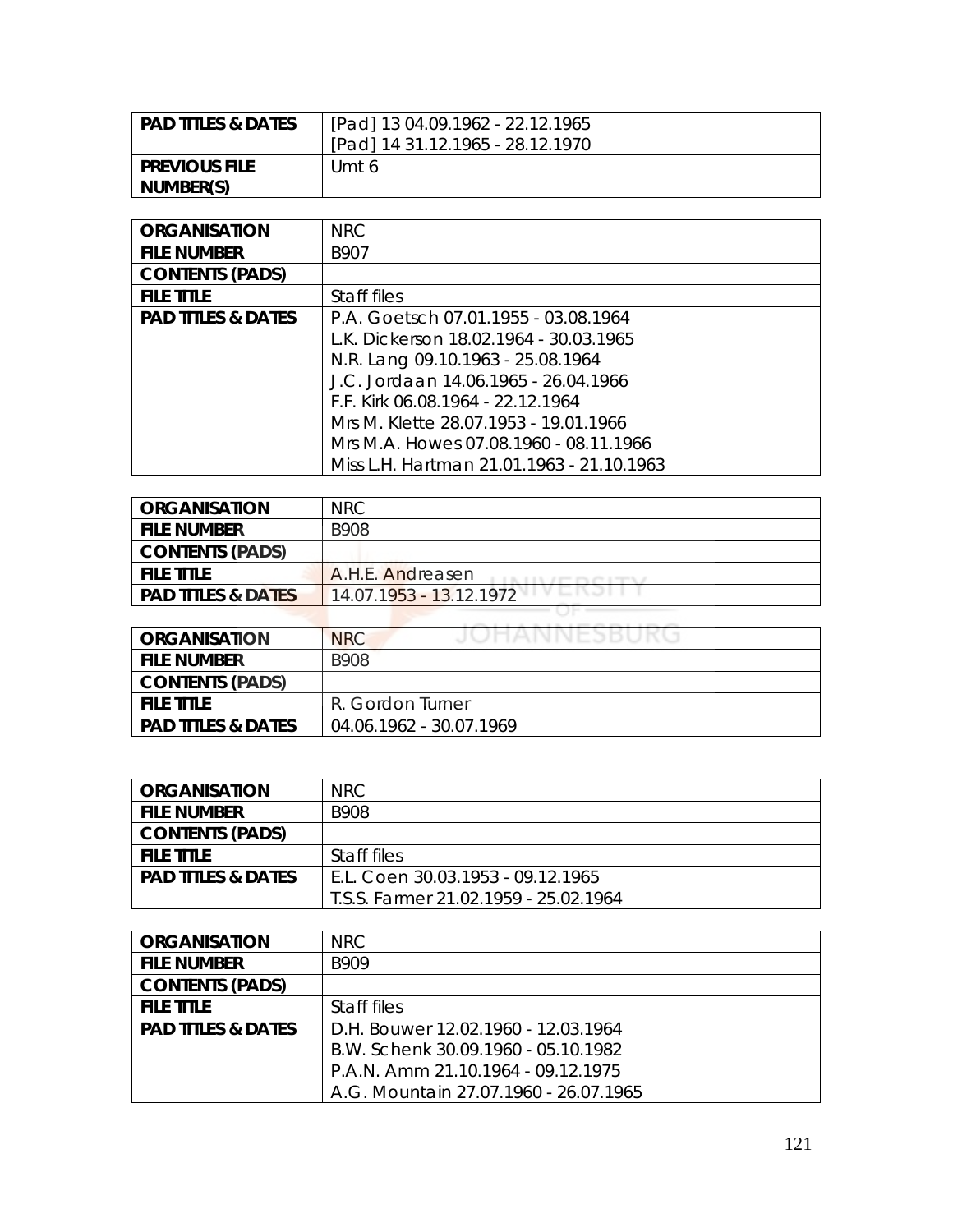| l PAD TITLES & DATES | [Pad] 13 04.09.1962 - 22.12.1965 |
|----------------------|----------------------------------|
|                      | [Pad] 14 31.12.1965 - 28.12.1970 |
| I PREVIOUS FILE      | Umt 6                            |
| NUMBER(S)            |                                  |

| <b>ORGANISATION</b>           | <b>NRC</b>                                |
|-------------------------------|-------------------------------------------|
| <b>FILE NUMBER</b>            | B907                                      |
| <b>CONTENTS (PADS)</b>        |                                           |
| <b>FILE TITLE</b>             | Staff files                               |
| <b>PAD TITLES &amp; DATES</b> | P.A. Goetsch 07.01.1955 - 03.08.1964      |
|                               | L.K. Dickerson 18.02.1964 - 30.03.1965    |
|                               | N.R. Lang 09.10.1963 - 25.08.1964         |
|                               | J.C. Jordaan 14.06.1965 - 26.04.1966      |
|                               | F.F. Kirk 06.08.1964 - 22.12.1964         |
|                               | Mrs M. Klette 28.07.1953 - 19.01.1966     |
|                               | Mrs M.A. Howes 07.08.1960 - 08.11.1966    |
|                               | Miss L.H. Hartman 21.01.1963 - 21.10.1963 |

| <b>ORGANISATION</b>           | <b>NRC</b>                                    |
|-------------------------------|-----------------------------------------------|
| <b>FILE NUMBER</b>            | B908                                          |
| <b>CONTENTS (PADS)</b>        |                                               |
| <b>FILE TITLE</b>             | A.H.E. Andreasen                              |
| <b>PAD TITLES &amp; DATES</b> | 14.07.1953 - 13.12.1972<br><b>Last Things</b> |
|                               |                                               |

| <b>ORGANISATION</b>           | JUHANNESBUKU<br><b>NRC</b> |
|-------------------------------|----------------------------|
| <b>FILE NUMBER</b>            | <b>B908</b>                |
| <b>CONTENTS (PADS)</b>        |                            |
| <b>FILE TITLE</b>             | R. Gordon Turner           |
| <b>PAD TITLES &amp; DATES</b> | 04.06.1962 - 30.07.1969    |

| <b>ORGANISATION</b>           | NRC.                                  |
|-------------------------------|---------------------------------------|
| <b>FILE NUMBER</b>            | B908                                  |
| <b>CONTENTS (PADS)</b>        |                                       |
| <b>FILE TITLE</b>             | Staff files                           |
| <b>PAD TITLES &amp; DATES</b> | E.L. Coen 30.03.1953 - 09.12.1965     |
|                               | T.S.S. Farmer 21.02.1959 - 25.02.1964 |

| <b>ORGANISATION</b>           | NRC.                                  |
|-------------------------------|---------------------------------------|
| <b>FILE NUMBER</b>            | B909                                  |
| <b>CONTENTS (PADS)</b>        |                                       |
| <b>FILE TITLE</b>             | Staff files                           |
| <b>PAD TITLES &amp; DATES</b> | D.H. Bouwer 12.02.1960 - 12.03.1964   |
|                               | B.W. Schenk 30.09.1960 - 05.10.1982   |
|                               | P.A.N. Amm 21.10.1964 - 09.12.1975    |
|                               | A.G. Mountain 27.07.1960 - 26.07.1965 |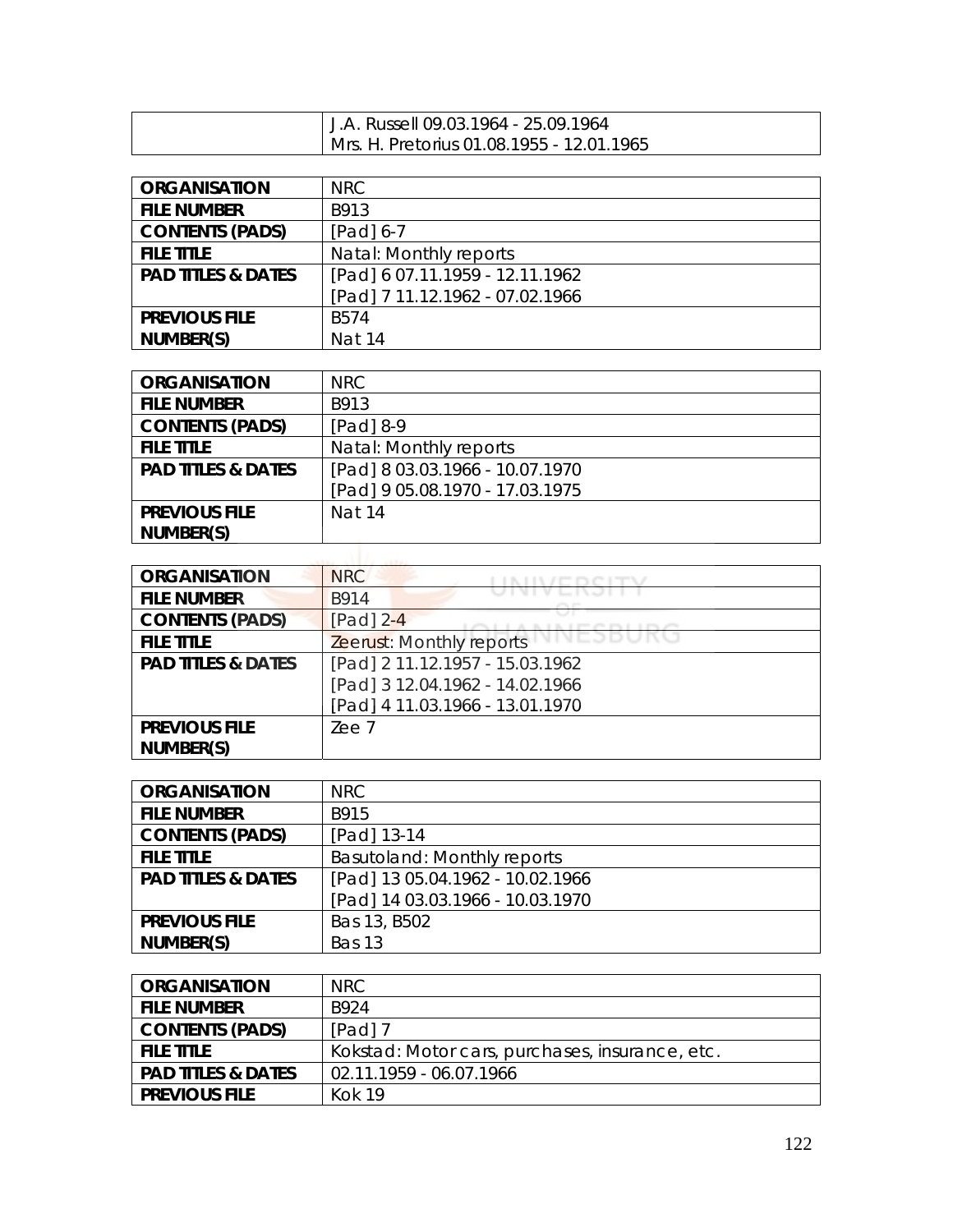| J.A. Russell 09.03.1964 - 25.09.1964      |
|-------------------------------------------|
| Mrs. H. Pretorius 01.08.1955 - 12.01.1965 |

| <b>ORGANISATION</b>           | <b>NRC</b>                      |
|-------------------------------|---------------------------------|
| <b>FILE NUMBER</b>            | B913                            |
| <b>CONTENTS (PADS)</b>        | $[Pad] 6-7$                     |
| <b>FILE TITLE</b>             | Natal: Monthly reports          |
| <b>PAD TITLES &amp; DATES</b> | [Pad] 6 07.11.1959 - 12.11.1962 |
|                               | [Pad] 7 11.12.1962 - 07.02.1966 |
| <b>PREVIOUS FILE</b>          | <b>B574</b>                     |
| NUMBER(S)                     | Nat 14                          |

| <b>ORGANISATION</b>           | <b>NRC</b>                      |
|-------------------------------|---------------------------------|
| <b>FILE NUMBER</b>            | B913                            |
| <b>CONTENTS (PADS)</b>        | [Pad] 8-9                       |
| <b>FILE TITLE</b>             | Natal: Monthly reports          |
| <b>PAD TITLES &amp; DATES</b> | [Pad] 8 03.03.1966 - 10.07.1970 |
|                               | [Pad] 9 05.08.1970 - 17.03.1975 |
| <b>PREVIOUS FILE</b>          | <b>Nat 14</b>                   |
| NUMBER(S)                     |                                 |

| <b>ORGANISATION</b>           | <b>NRC</b>                      |
|-------------------------------|---------------------------------|
| <b>FILE NUMBER</b>            | B914                            |
| <b>CONTENTS (PADS)</b>        | [Pad] $2-4$                     |
| <b>FILE TITLE</b>             | Zeerust: Monthly reports        |
| <b>PAD TITLES &amp; DATES</b> | [Pad] 2 11.12.1957 - 15.03.1962 |
|                               | [Pad] 3 12.04.1962 - 14.02.1966 |
|                               | [Pad] 4 11.03.1966 - 13.01.1970 |
| <b>PREVIOUS FILE</b>          | Zee 7                           |
| NUMBER(S)                     |                                 |

| <b>ORGANISATION</b>           | NRC.                             |
|-------------------------------|----------------------------------|
| <b>FILE NUMBER</b>            | B915                             |
| <b>CONTENTS (PADS)</b>        | [Pad] 13-14                      |
| <b>FILE TITLE</b>             | Basutoland: Monthly reports      |
| <b>PAD TITLES &amp; DATES</b> | [Pad] 13 05.04.1962 - 10.02.1966 |
|                               | [Pad] 14 03.03.1966 - 10.03.1970 |
| <b>PREVIOUS FILE</b>          | Bas 13, B502                     |
| NUMBER(S)                     | Bas 13                           |

| <b>ORGANISATION</b>           | NRC                                             |
|-------------------------------|-------------------------------------------------|
| <b>FILE NUMBER</b>            | B924                                            |
| <b>CONTENTS (PADS)</b>        | $[Pad]$ 7                                       |
| <b>FILE TITLE</b>             | Kokstad: Motor cars, purchases, insurance, etc. |
| <b>PAD TITLES &amp; DATES</b> | 02.11.1959 - 06.07.1966                         |
| <b>PREVIOUS FILE</b>          | Kok 19                                          |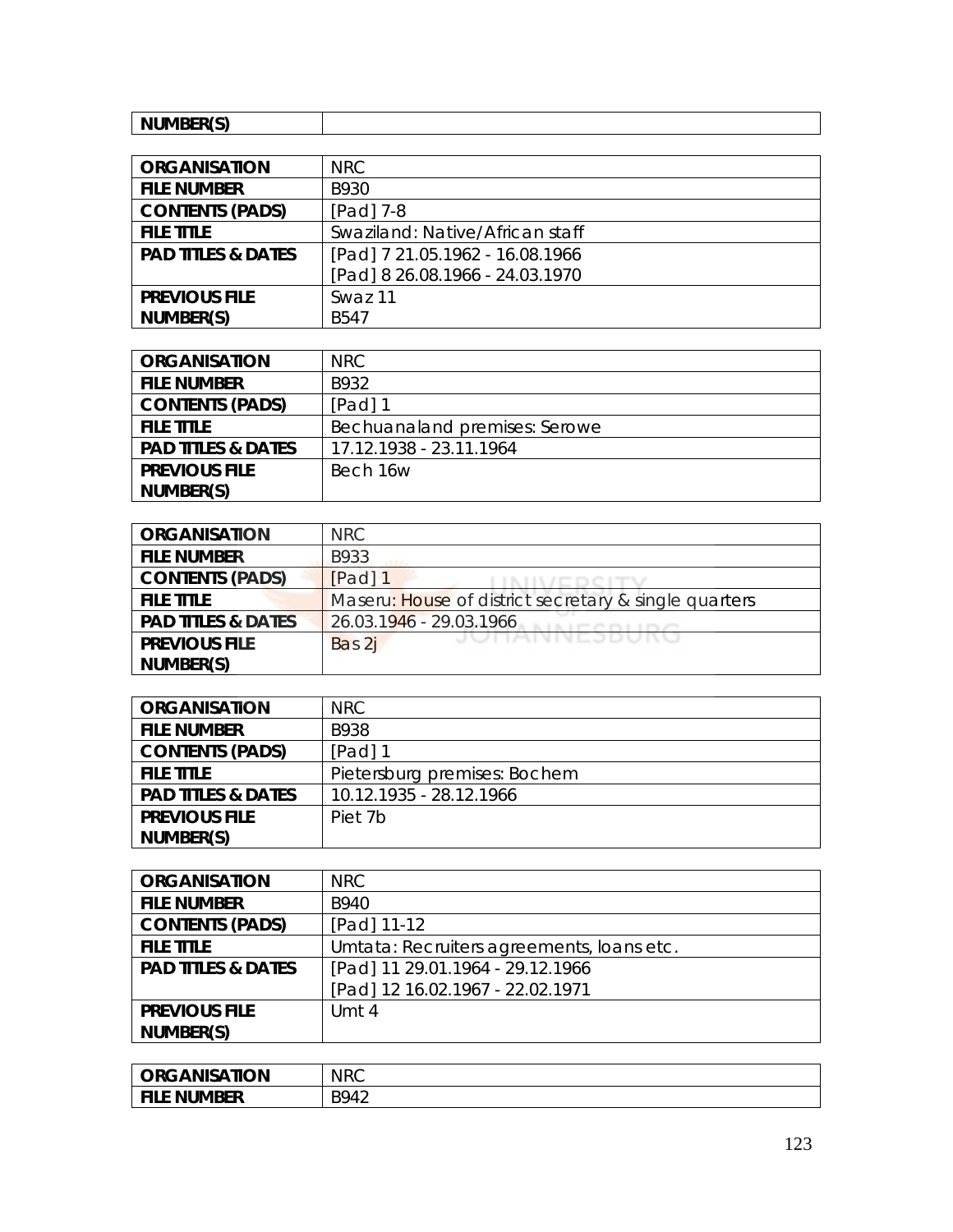| NUMBER(S)<br><b>INDIVIDEN</b> |  |
|-------------------------------|--|

| <b>ORGANISATION</b>           | NRC                             |
|-------------------------------|---------------------------------|
| <b>FILE NUMBER</b>            | B930                            |
| <b>CONTENTS (PADS)</b>        | $[Pad]$ 7-8                     |
| <b>FILE TITLE</b>             | Swaziland: Native/African staff |
| <b>PAD TITLES &amp; DATES</b> | [Pad] 7 21.05.1962 - 16.08.1966 |
|                               | [Pad] 8 26.08.1966 - 24.03.1970 |
| <b>PREVIOUS FILE</b>          | Swaz 11                         |
| NUMBER(S)                     | <b>B547</b>                     |

| <b>ORGANISATION</b>           | <b>NRC</b>                    |
|-------------------------------|-------------------------------|
| <b>FILE NUMBER</b>            | B932                          |
| <b>CONTENTS (PADS)</b>        | [Pad] 1                       |
| <b>FILE TITLE</b>             | Bechuanaland premises: Serowe |
| <b>PAD TITLES &amp; DATES</b> | 17.12.1938 - 23.11.1964       |
| <b>PREVIOUS FILE</b>          | Bech 16w                      |
| NUMBER(S)                     |                               |

| <b>ORGANISATION</b>           | NRC                                                   |
|-------------------------------|-------------------------------------------------------|
| <b>FILE NUMBER</b>            | B933                                                  |
| <b>CONTENTS (PADS)</b>        | [Pad] 1                                               |
| <b>FILE TITLE</b>             | Maseru: House of district secretary & single quarters |
| <b>PAD TITLES &amp; DATES</b> | 26.03.1946 - 29.03.1966                               |
| <b>PREVIOUS FILE</b>          | JUHANNEJDUNU<br>Bas 2j                                |
| NUMBER(S)                     |                                                       |

| <b>ORGANISATION</b>           | NRC.                         |
|-------------------------------|------------------------------|
| <b>FILE NUMBER</b>            | B938                         |
| <b>CONTENTS (PADS)</b>        | [Pad] 1                      |
| <b>FILE TITLE</b>             | Pietersburg premises: Bochem |
| <b>PAD TITLES &amp; DATES</b> | 10.12.1935 - 28.12.1966      |
| <b>PREVIOUS FILE</b>          | Piet 7b                      |
| NUMBER(S)                     |                              |

| <b>ORGANISATION</b>           | <b>NRC</b>                                |
|-------------------------------|-------------------------------------------|
| <b>FILE NUMBER</b>            | B940                                      |
| <b>CONTENTS (PADS)</b>        | [Pad] 11-12                               |
| <b>FILE TITLE</b>             | Umtata: Recruiters agreements, Ioans etc. |
| <b>PAD TITLES &amp; DATES</b> | [Pad] 11 29.01.1964 - 29.12.1966          |
|                               | [Pad] 12 16.02.1967 - 22.02.1971          |
| <b>PREVIOUS FILE</b>          | Umt 4                                     |
| NUMBER(S)                     |                                           |

| <b>ORGANISATION</b> | <b>NRC</b> |
|---------------------|------------|
| <b>FILE NUMBER</b>  | B942       |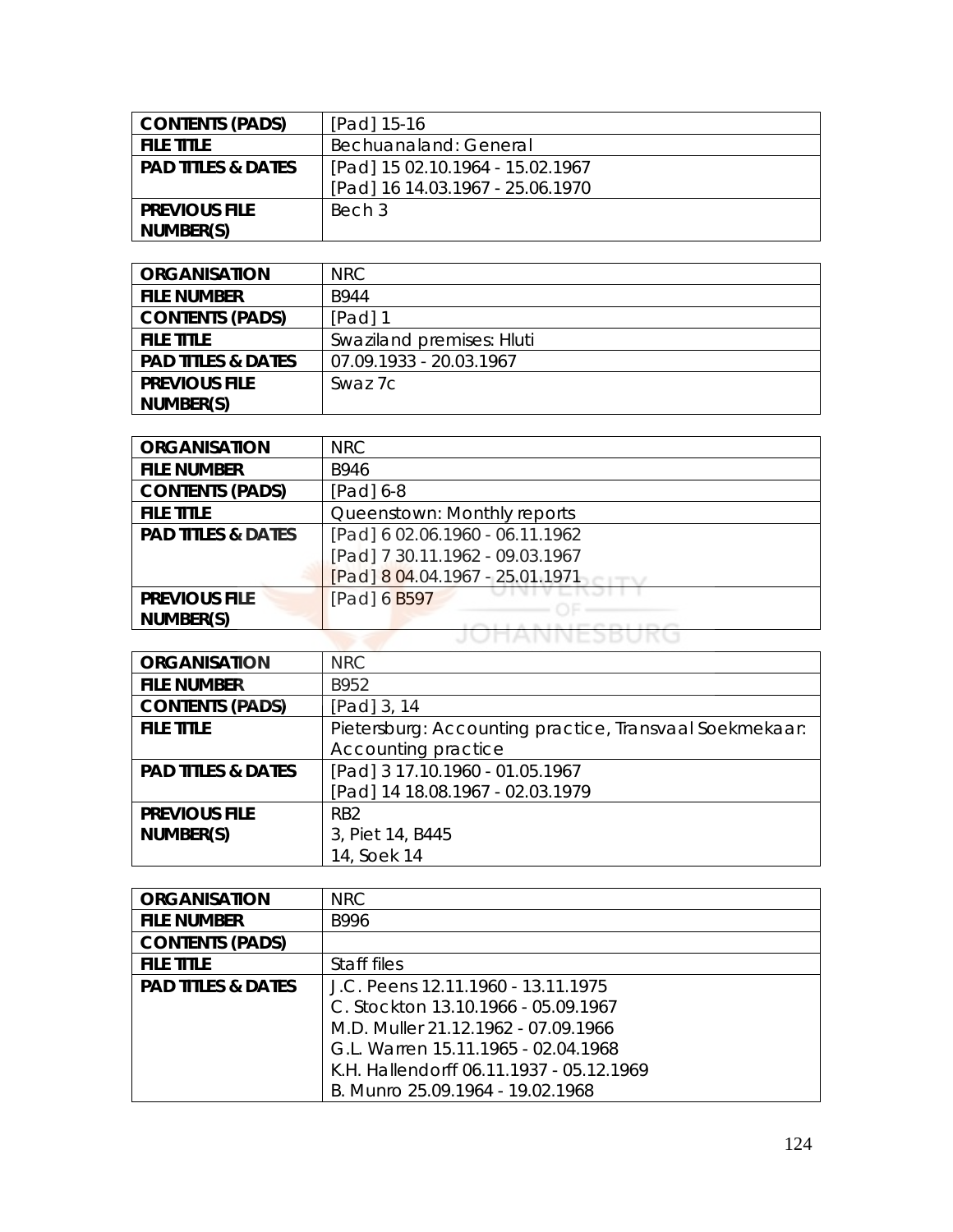| <b>CONTENTS (PADS)</b>        | [Pad] 15-16                      |
|-------------------------------|----------------------------------|
| <b>FILE TITLE</b>             | Bechuanaland: General            |
| <b>PAD TITLES &amp; DATES</b> | [Pad] 15 02.10.1964 - 15.02.1967 |
|                               | [Pad] 16 14.03.1967 - 25.06.1970 |
| <b>PREVIOUS FILE</b>          | Bech 3                           |
| NUMBER(S)                     |                                  |

| <b>ORGANISATION</b>           | NRC.                      |
|-------------------------------|---------------------------|
| <b>FILE NUMBER</b>            | B944                      |
| <b>CONTENTS (PADS)</b>        | [Pad] 1                   |
| <b>FILE TITLE</b>             | Swaziland premises: Hluti |
| <b>PAD TITLES &amp; DATES</b> | 07.09.1933 - 20.03.1967   |
| <b>PREVIOUS FILE</b>          | Swaz 7c                   |
| NUMBER(S)                     |                           |

| <b>ORGANISATION</b>           | <b>NRC</b>                      |
|-------------------------------|---------------------------------|
| <b>FILE NUMBER</b>            | B946                            |
| <b>CONTENTS (PADS)</b>        | [Pad] 6-8                       |
| <b>FILE TITLE</b>             | Queenstown: Monthly reports     |
| <b>PAD TITLES &amp; DATES</b> | [Pad] 6 02.06.1960 - 06.11.1962 |
|                               | [Pad] 7 30.11.1962 - 09.03.1967 |
|                               | [Pad] 8 04.04.1967 - 25.01.1971 |
| <b>PREVIOUS FILE</b>          | [Pad] 6 B597                    |
| NUMBER(S)                     |                                 |
|                               |                                 |

| <b>ORGANISATION</b>           | <b>NRC</b>                                              |
|-------------------------------|---------------------------------------------------------|
| <b>FILE NUMBER</b>            | B952                                                    |
| <b>CONTENTS (PADS)</b>        | [Pad] $3, 14$                                           |
| <b>FILE TITLE</b>             | Pietersburg: Accounting practice, Transvaal Soekmekaar: |
|                               | Accounting practice                                     |
| <b>PAD TITLES &amp; DATES</b> | [Pad] 3 17.10.1960 - 01.05.1967                         |
|                               | [Pad] 14 18.08.1967 - 02.03.1979                        |
| <b>PREVIOUS FILE</b>          | RB <sub>2</sub>                                         |
| NUMBER(S)                     | 3, Piet 14, B445                                        |
|                               | 14, Soek 14                                             |

| <b>ORGANISATION</b>           | <b>NRC</b>                               |
|-------------------------------|------------------------------------------|
| <b>FILE NUMBER</b>            | B996                                     |
| <b>CONTENTS (PADS)</b>        |                                          |
| <b>FILE TITLE</b>             | Staff files                              |
| <b>PAD TITLES &amp; DATES</b> | J.C. Peens 12.11.1960 - 13.11.1975       |
|                               | C. Stockton 13.10.1966 - 05.09.1967      |
|                               | M.D. Muller 21.12.1962 - 07.09.1966      |
|                               | G.L. Warren 15.11.1965 - 02.04.1968      |
|                               | K.H. Hallendorff 06.11.1937 - 05.12.1969 |
|                               | B. Munro 25.09.1964 - 19.02.1968         |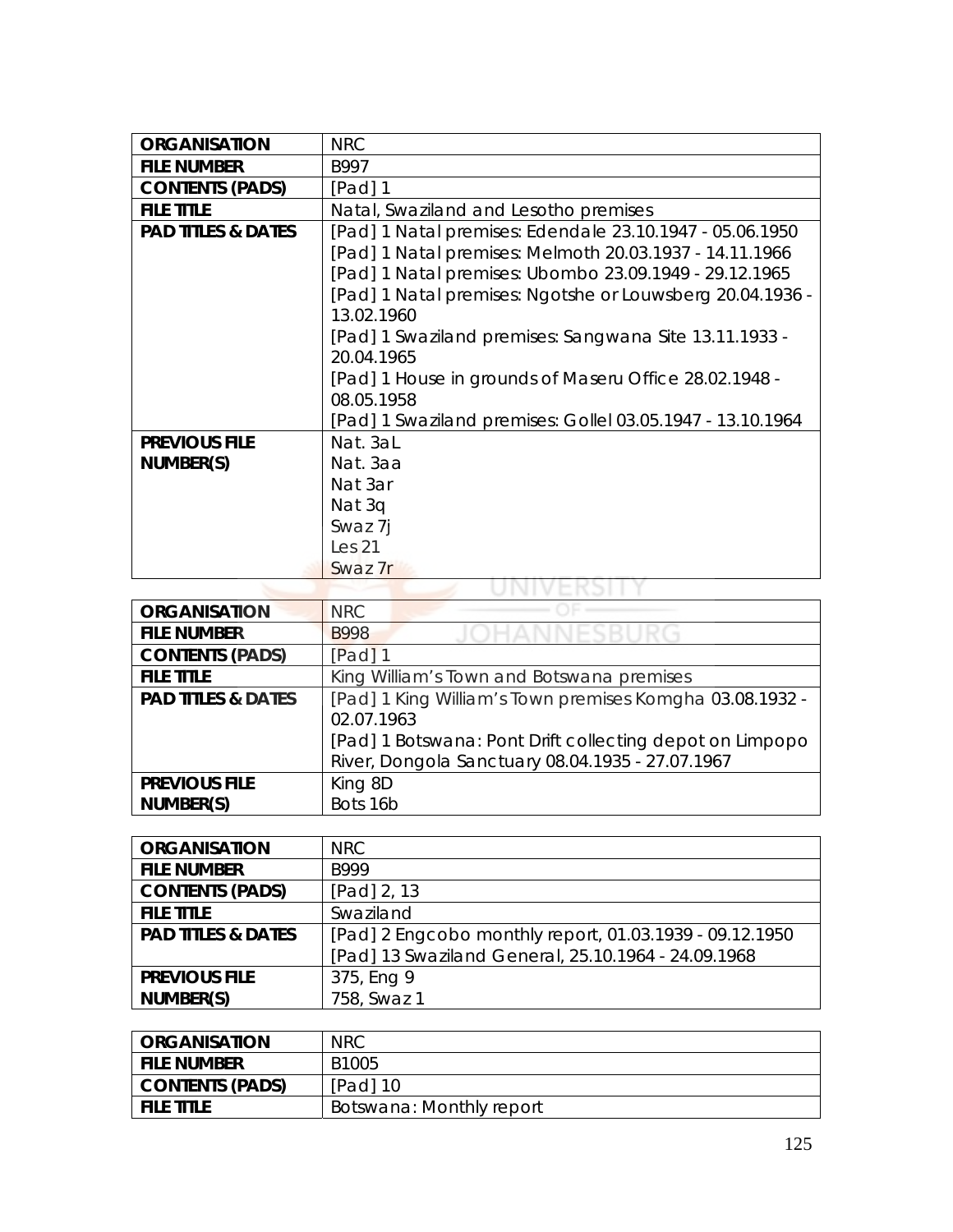| <b>ORGANISATION</b>           | <b>NRC</b>                                                 |
|-------------------------------|------------------------------------------------------------|
| <b>FILE NUMBER</b>            | B997                                                       |
| <b>CONTENTS (PADS)</b>        | [Pad] 1                                                    |
| <b>FILE TITLE</b>             | Natal, Swaziland and Lesotho premises                      |
| <b>PAD TITLES &amp; DATES</b> | [Pad] 1 Natal premises: Edendale 23.10.1947 - 05.06.1950   |
|                               | [Pad] 1 Natal premises: Melmoth 20.03.1937 - 14.11.1966    |
|                               | [Pad] 1 Natal premises: Ubombo 23.09.1949 - 29.12.1965     |
|                               | [Pad] 1 Natal premises: Ngotshe or Louwsberg 20.04.1936 -  |
|                               | 13.02.1960                                                 |
|                               | [Pad] 1 Swaziland premises: Sangwana Site 13.11.1933 -     |
|                               | 20.04.1965                                                 |
|                               | [Pad] 1 House in grounds of Maseru Office 28.02.1948 -     |
|                               | 08.05.1958                                                 |
|                               | [Pad] 1 Swaziland premises: Gollel 03.05.1947 - 13.10.1964 |
| <b>PREVIOUS FILE</b>          | Nat. 3aL                                                   |
| NUMBER(S)                     | Nat. 3aa                                                   |
|                               | Nat 3ar                                                    |
|                               | Nat 3q                                                     |
|                               | Swaz 7j                                                    |
|                               | Les <sub>21</sub>                                          |
|                               | Swaz 7r                                                    |
|                               |                                                            |

| <b>ORGANISATION</b>           | <b>NRC</b>                                               |
|-------------------------------|----------------------------------------------------------|
| <b>FILE NUMBER</b>            | <b>B998</b>                                              |
| <b>CONTENTS (PADS)</b>        | $[Pad]$ 1                                                |
| <b>FILE TITLE</b>             | King William's Town and Botswana premises                |
| <b>PAD TITLES &amp; DATES</b> | [Pad] 1 King William's Town premises Komgha 03.08.1932 - |
|                               | 02.07.1963                                               |
|                               | [Pad] 1 Botswana: Pont Drift collecting depot on Limpopo |
|                               | River, Dongola Sanctuary 08.04.1935 - 27.07.1967         |
| <b>PREVIOUS FILE</b>          | King 8D                                                  |
| NUMBER(S)                     | Bots 16b                                                 |

| <b>ORGANISATION</b>           | NRC.                                                    |
|-------------------------------|---------------------------------------------------------|
| <b>FILE NUMBER</b>            | B999                                                    |
| <b>CONTENTS (PADS)</b>        | [Pad] 2, 13                                             |
| <b>FILE TITLE</b>             | Swaziland                                               |
| <b>PAD TITLES &amp; DATES</b> | [Pad] 2 Engcobo monthly report, 01.03.1939 - 09.12.1950 |
|                               | [Pad] 13 Swaziland General, 25.10.1964 - 24.09.1968     |
| <b>PREVIOUS FILE</b>          | 375, Eng 9                                              |
| NUMBER(S)                     | 758, Swaz 1                                             |

| <b>ORGANISATION</b>    | <b>NRC</b>               |
|------------------------|--------------------------|
| <b>FILE NUMBER</b>     | B1005                    |
| <b>CONTENTS (PADS)</b> | [Pad] 10                 |
| <b>FILE TITLE</b>      | Botswana: Monthly report |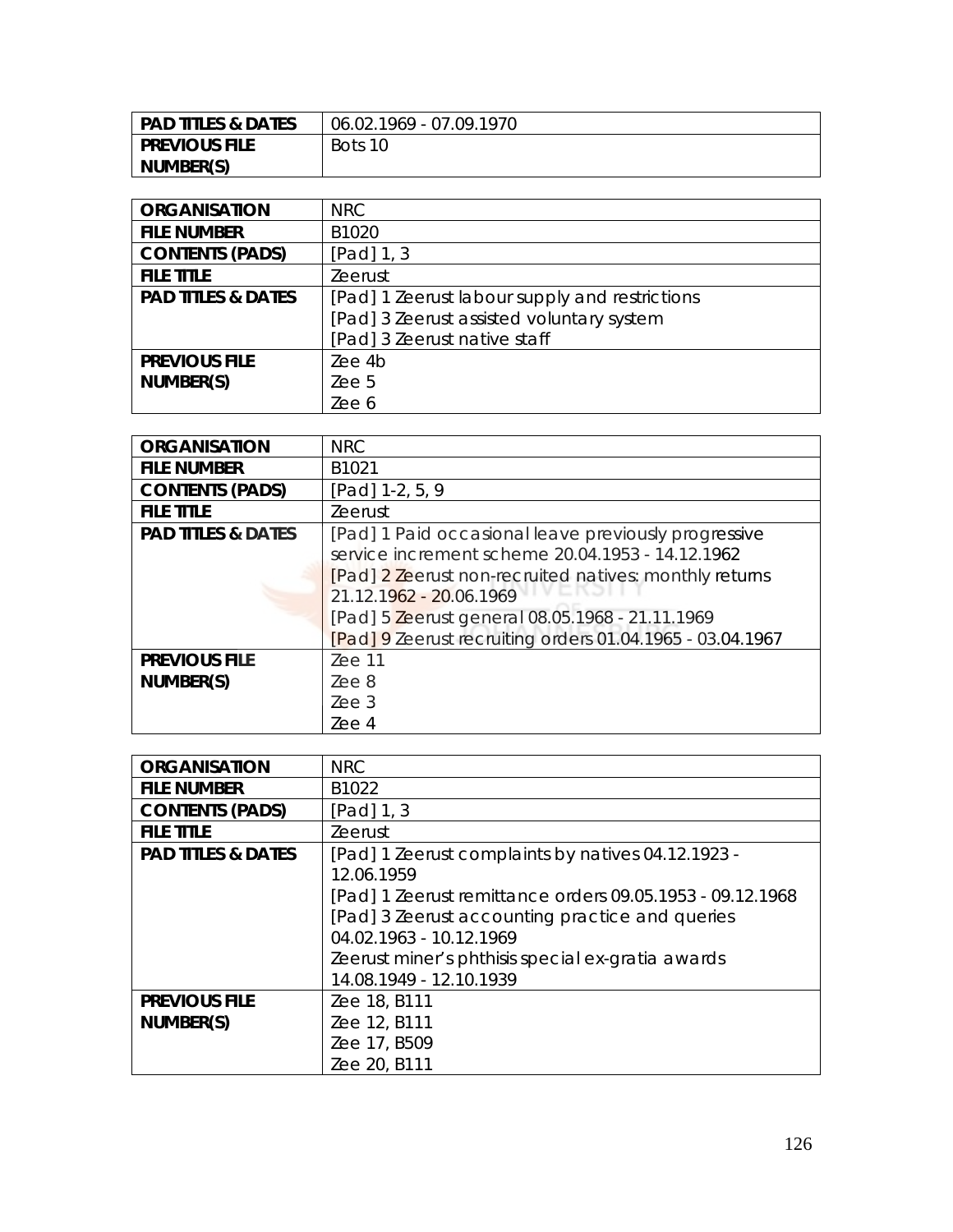| <b>PAD TITLES &amp; DATES</b> | 06.02.1969 - 07.09.1970 |
|-------------------------------|-------------------------|
| I PREVIOUS FILE               | Bots 10                 |
| NUMBER(S)                     |                         |

| <b>ORGANISATION</b>           | NRC                                            |
|-------------------------------|------------------------------------------------|
| <b>FILE NUMBER</b>            | B1020                                          |
| <b>CONTENTS (PADS)</b>        | [Pad] 1, 3                                     |
| <b>FILE TITLE</b>             | <b>Zeerust</b>                                 |
| <b>PAD TITLES &amp; DATES</b> | [Pad] 1 Zeerust labour supply and restrictions |
|                               | [Pad] 3 Zeerust assisted voluntary system      |
|                               | [Pad] 3 Zeerust native staff                   |
| <b>PREVIOUS FILE</b>          | Zee 4b                                         |
| NUMBER(S)                     | Zee 5                                          |
|                               | Zee 6                                          |

| <b>ORGANISATION</b>           | <b>NRC</b>                                                                                                                                                                                                                                                                                                    |
|-------------------------------|---------------------------------------------------------------------------------------------------------------------------------------------------------------------------------------------------------------------------------------------------------------------------------------------------------------|
| <b>FILE NUMBER</b>            | B <sub>1021</sub>                                                                                                                                                                                                                                                                                             |
| <b>CONTENTS (PADS)</b>        | [Pad] 1-2, 5, 9                                                                                                                                                                                                                                                                                               |
| <b>FILE TITLE</b>             | <b>Zeerust</b>                                                                                                                                                                                                                                                                                                |
| <b>PAD TITLES &amp; DATES</b> | [Pad] 1 Paid occasional leave previously progressive<br>service increment scheme 20.04.1953 - 14.12.1962<br>[Pad] 2 Zeerust non-recruited natives: monthly returns<br>21.12.1962 - 20.06.1969<br>[Pad] 5 Zeerust general 08.05.1968 - 21.11.1969<br>[Pad] 9 Zeerust recruiting orders 01.04.1965 - 03.04.1967 |
| <b>PREVIOUS FILE</b>          | $Zee$ 11                                                                                                                                                                                                                                                                                                      |
| NUMBER(S)                     | Zee 8                                                                                                                                                                                                                                                                                                         |
|                               | 7ee.3                                                                                                                                                                                                                                                                                                         |
|                               | Zee 4                                                                                                                                                                                                                                                                                                         |

| <b>ORGANISATION</b>           | <b>NRC</b>                                                |
|-------------------------------|-----------------------------------------------------------|
| <b>FILE NUMBER</b>            | B <sub>1022</sub>                                         |
| <b>CONTENTS (PADS)</b>        | [Pad] $1, 3$                                              |
| <b>FILE TITLE</b>             | <b>Zeerust</b>                                            |
| <b>PAD TITLES &amp; DATES</b> | [Pad] 1 Zeerust complaints by natives 04.12.1923 -        |
|                               | 12.06.1959                                                |
|                               | [Pad] 1 Zeerust remittance orders 09.05.1953 - 09.12.1968 |
|                               | [Pad] 3 Zeerust accounting practice and queries           |
|                               | 04.02.1963 - 10.12.1969                                   |
|                               | Zeerust miner's phthisis special ex-gratia awards         |
|                               | 14.08.1949 - 12.10.1939                                   |
| <b>PREVIOUS FILE</b>          | Zee 18, B111                                              |
| NUMBER(S)                     | Zee 12, B111                                              |
|                               | Zee 17, B509                                              |
|                               | Zee 20, B111                                              |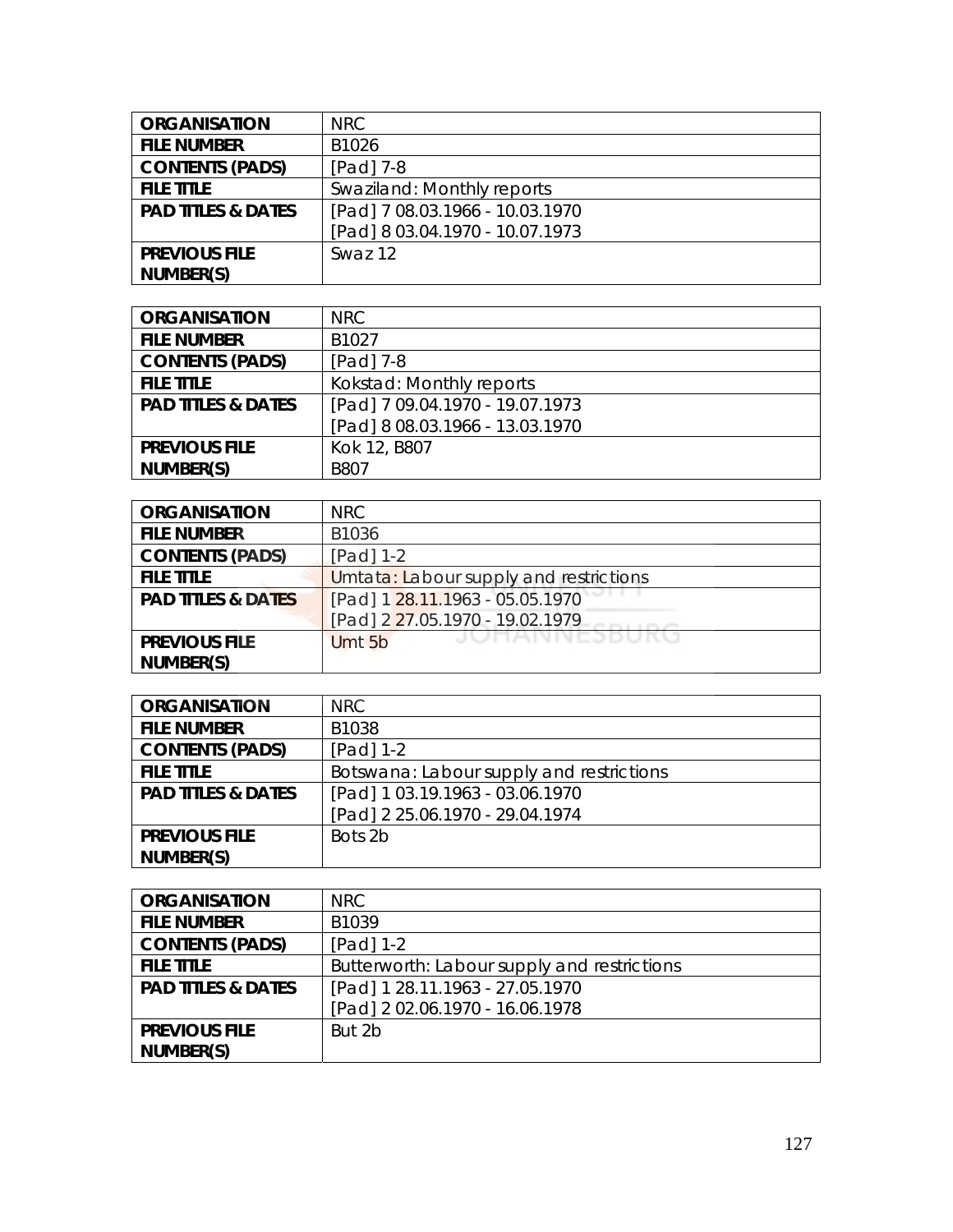| <b>ORGANISATION</b>           | NRC                             |
|-------------------------------|---------------------------------|
| <b>FILE NUMBER</b>            | B1026                           |
| <b>CONTENTS (PADS)</b>        | [Pad] 7-8                       |
| <b>FILE TITLE</b>             | Swaziland: Monthly reports      |
| <b>PAD TITLES &amp; DATES</b> | [Pad] 7 08.03.1966 - 10.03.1970 |
|                               | [Pad] 8 03.04.1970 - 10.07.1973 |
| <b>PREVIOUS FILE</b>          | Swaz 12                         |
| NUMBER(S)                     |                                 |

| <b>ORGANISATION</b>           | NRC.                            |
|-------------------------------|---------------------------------|
| <b>FILE NUMBER</b>            | B <sub>1027</sub>               |
| <b>CONTENTS (PADS)</b>        | $[Pad]$ 7-8                     |
| <b>FILE TITLE</b>             | Kokstad: Monthly reports        |
| <b>PAD TITLES &amp; DATES</b> | [Pad] 7 09.04.1970 - 19.07.1973 |
|                               | [Pad] 8 08.03.1966 - 13.03.1970 |
| <b>PREVIOUS FILE</b>          | Kok 12, B807                    |
| NUMBER(S)                     | <b>B807</b>                     |

| <b>ORGANISATION</b>           | <b>NRC</b>                             |
|-------------------------------|----------------------------------------|
| <b>FILE NUMBER</b>            | B1036                                  |
| <b>CONTENTS (PADS)</b>        | [Pad] 1-2                              |
| <b>FILE TITLE</b>             | Umtata: Labour supply and restrictions |
| <b>PAD TITLES &amp; DATES</b> | [Pad] 1 28.11.1963 - 05.05.1970        |
|                               | [Pad] 2 27.05.1970 - 19.02.1979        |
| <b>PREVIOUS FILE</b>          | JUNAINNEJDUKU<br>Umt 5b                |
| NUMBER(S)                     |                                        |

| <b>ORGANISATION</b>           | NRC.                                     |
|-------------------------------|------------------------------------------|
| <b>FILE NUMBER</b>            | B1038                                    |
| <b>CONTENTS (PADS)</b>        | [Pad] 1-2                                |
| <b>FILE TITLE</b>             | Botswana: Labour supply and restrictions |
| <b>PAD TITLES &amp; DATES</b> | [Pad] 1 03.19.1963 - 03.06.1970          |
|                               | [Pad] 2 25.06.1970 - 29.04.1974          |
| <b>PREVIOUS FILE</b>          | Bots 2b                                  |
| NUMBER(S)                     |                                          |

| <b>ORGANISATION</b>           | NRC.                                        |
|-------------------------------|---------------------------------------------|
| <b>FILE NUMBER</b>            | B <sub>1039</sub>                           |
| <b>CONTENTS (PADS)</b>        | $[Pad] 1-2$                                 |
| <b>FILE TITLE</b>             | Butterworth: Labour supply and restrictions |
| <b>PAD TITLES &amp; DATES</b> | [Pad] 1 28.11.1963 - 27.05.1970             |
|                               | [Pad] 2 02.06.1970 - 16.06.1978             |
| <b>PREVIOUS FILE</b>          | But 2b                                      |
| NUMBER(S)                     |                                             |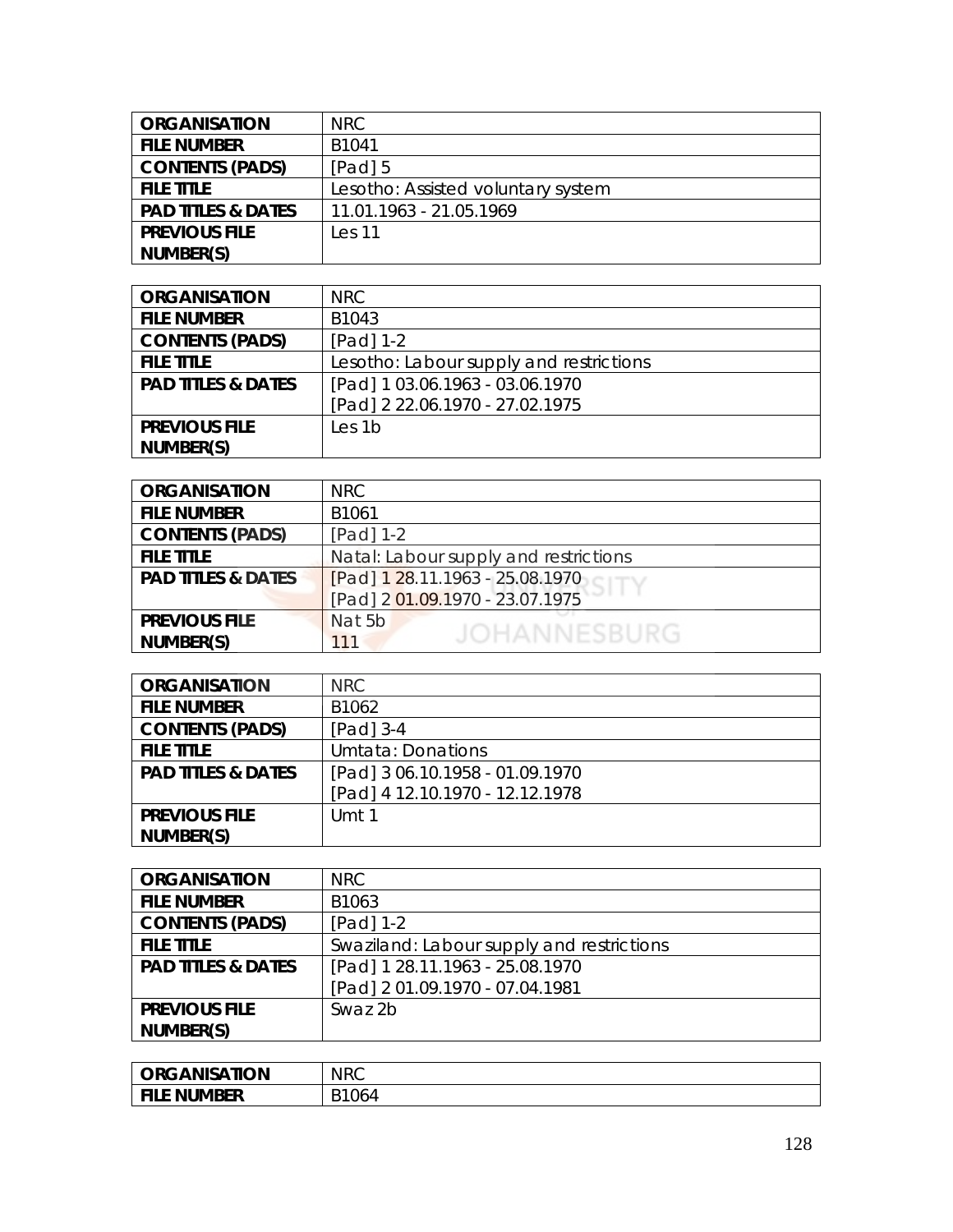| <b>ORGANISATION</b>           | NRC                                |
|-------------------------------|------------------------------------|
| <b>FILE NUMBER</b>            | B <sub>1041</sub>                  |
| <b>CONTENTS (PADS)</b>        | $[Pad]$ 5                          |
| <b>FILE TITLE</b>             | Lesotho: Assisted voluntary system |
| <b>PAD TITLES &amp; DATES</b> | 11.01.1963 - 21.05.1969            |
| <b>PREVIOUS FILE</b>          | Les <sub>11</sub>                  |
| NUMBER(S)                     |                                    |

| <b>ORGANISATION</b>           | NRC                                     |
|-------------------------------|-----------------------------------------|
| <b>FILE NUMBER</b>            | B <sub>1043</sub>                       |
| <b>CONTENTS (PADS)</b>        | [Pad] 1-2                               |
| <b>FILE TITLE</b>             | Lesotho: Labour supply and restrictions |
| <b>PAD TITLES &amp; DATES</b> | [Pad] 1 03.06.1963 - 03.06.1970         |
|                               | [Pad] 2 22.06.1970 - 27.02.1975         |
| <b>PREVIOUS FILE</b>          | Les 1b                                  |
| NUMBER(S)                     |                                         |

| <b>ORGANISATION</b>           | <b>NRC</b>                            |
|-------------------------------|---------------------------------------|
| <b>FILE NUMBER</b>            | B1061                                 |
| <b>CONTENTS (PADS)</b>        | [Pad] 1-2                             |
| <b>FILE TITLE</b>             | Natal: Labour supply and restrictions |
| <b>PAD TITLES &amp; DATES</b> | [Pad] 1 28.11.1963 - 25.08.1970       |
|                               | [Pad] 2 01.09.1970 - 23.07.1975       |
| <b>PREVIOUS FILE</b>          | Nat 5b                                |
| NUMBER(S)                     | JOHANNESBURG<br>111                   |

| <b>ORGANISATION</b>           | <b>NRC</b>                      |
|-------------------------------|---------------------------------|
| <b>FILE NUMBER</b>            | B1062                           |
| <b>CONTENTS (PADS)</b>        | [Pad] 3-4                       |
| <b>FILE TITLE</b>             | Umtata: Donations               |
| <b>PAD TITLES &amp; DATES</b> | [Pad] 3 06.10.1958 - 01.09.1970 |
|                               | [Pad] 4 12.10.1970 - 12.12.1978 |
| <b>PREVIOUS FILE</b>          | Umt 1                           |
| NUMBER(S)                     |                                 |

| <b>ORGANISATION</b>           | <b>NRC</b>                                |
|-------------------------------|-------------------------------------------|
| <b>FILE NUMBER</b>            | B1063                                     |
| <b>CONTENTS (PADS)</b>        | $[Pad] 1-2$                               |
| <b>FILE TITLE</b>             | Swaziland: Labour supply and restrictions |
| <b>PAD TITLES &amp; DATES</b> | [Pad] 1 28.11.1963 - 25.08.1970           |
|                               | [Pad] 2 01.09.1970 - 07.04.1981           |
| <b>PREVIOUS FILE</b>          | Swaz 2b                                   |
| NUMBER(S)                     |                                           |

| <b>ORGANISATION</b> | <b>NRC</b> |
|---------------------|------------|
| <b>FILE NUMBER</b>  | B1064      |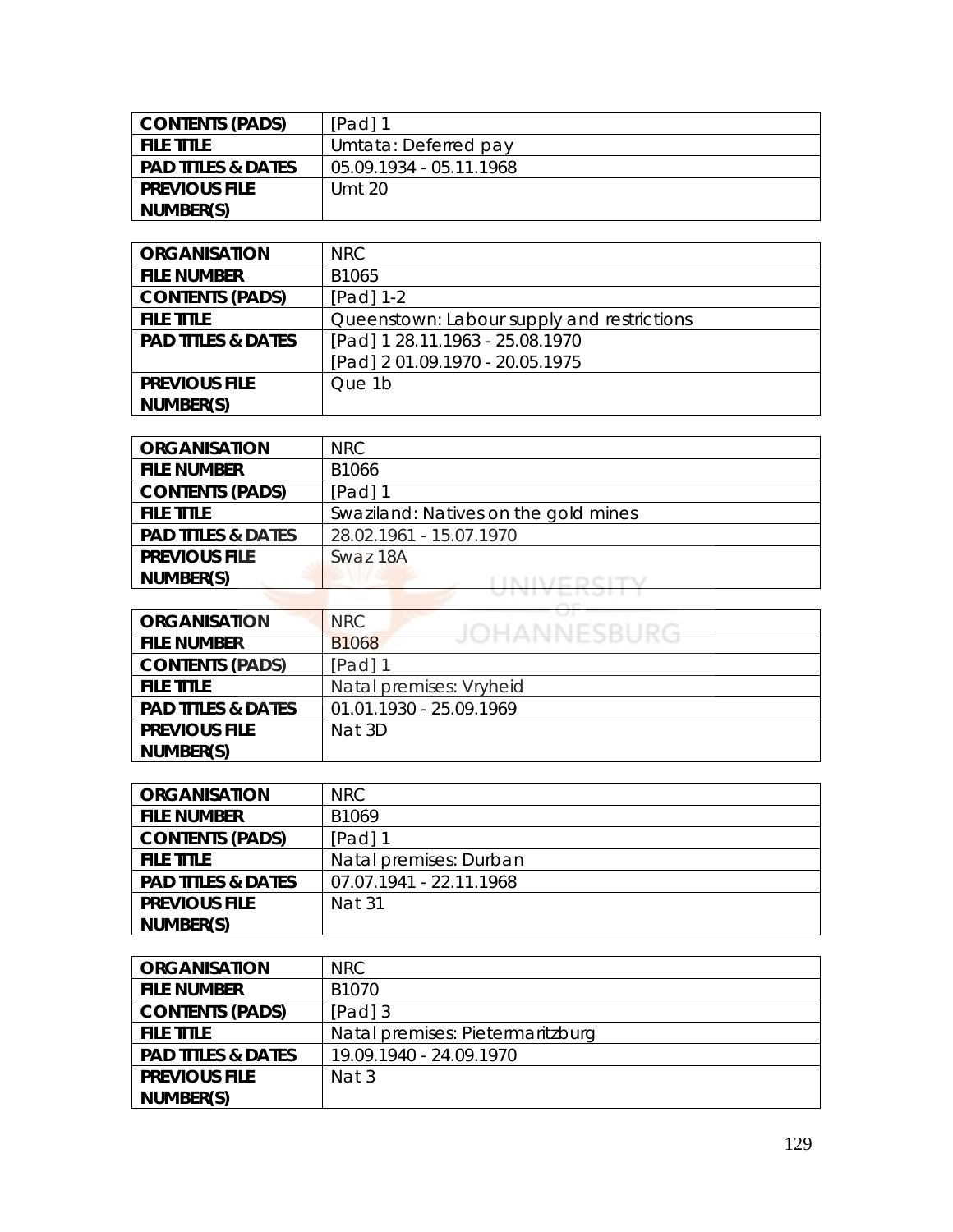| <b>CONTENTS (PADS)</b>        | [Pad] 1                 |
|-------------------------------|-------------------------|
| <b>FILE TITLE</b>             | Umtata: Deferred pay    |
| <b>PAD TITLES &amp; DATES</b> | 05.09.1934 - 05.11.1968 |
| <b>PREVIOUS FILE</b>          | Umt 20                  |
| NUMBER(S)                     |                         |

| <b>ORGANISATION</b>           | <b>NRC</b>                                 |
|-------------------------------|--------------------------------------------|
| <b>FILE NUMBER</b>            | B1065                                      |
| <b>CONTENTS (PADS)</b>        | [Pad] 1-2                                  |
| <b>FILE TITLE</b>             | Queenstown: Labour supply and restrictions |
| <b>PAD TITLES &amp; DATES</b> | [Pad] 1 28.11.1963 - 25.08.1970            |
|                               | [Pad] 2 01.09.1970 - 20.05.1975            |
| <b>PREVIOUS FILE</b>          | Que 1b                                     |
| NUMBER(S)                     |                                            |

| <b>ORGANISATION</b>           | NRC                                  |
|-------------------------------|--------------------------------------|
| <b>FILE NUMBER</b>            | B1066                                |
| <b>CONTENTS (PADS)</b>        | [Pad] 1                              |
| <b>FILE TITLE</b>             | Swaziland: Natives on the gold mines |
| <b>PAD TITLES &amp; DATES</b> | 28.02.1961 - 15.07.1970              |
| <b>PREVIOUS FILE</b>          | Swaz 18A                             |
| NUMBER(S)                     |                                      |
|                               |                                      |

| <b>ORGANISATION</b>           | NRC                              |
|-------------------------------|----------------------------------|
| <b>FILE NUMBER</b>            | JUNNNEJDUNU<br>B <sub>1068</sub> |
| <b>CONTENTS (PADS)</b>        | [Pad] 1                          |
| <b>FILE TITLE</b>             | Natal premises: Vryheid          |
| <b>PAD TITLES &amp; DATES</b> | 01.01.1930 - 25.09.1969          |
| <b>PREVIOUS FILE</b>          | Nat 3D                           |
| NUMBER(S)                     |                                  |

| <b>ORGANISATION</b>           | NRC.                    |
|-------------------------------|-------------------------|
| <b>FILE NUMBER</b>            | B1069                   |
| <b>CONTENTS (PADS)</b>        | $[Pad]$ 1               |
| <b>FILE TITLE</b>             | Natal premises: Durban  |
| <b>PAD TITLES &amp; DATES</b> | 07.07.1941 - 22.11.1968 |
| <b>PREVIOUS FILE</b>          | Nat 31                  |
| NUMBER(S)                     |                         |

| <b>ORGANISATION</b>           | NRC                              |
|-------------------------------|----------------------------------|
| <b>FILE NUMBER</b>            | B <sub>1070</sub>                |
| <b>CONTENTS (PADS)</b>        | [Pad] 3                          |
| <b>FILE TITLE</b>             | Natal premises: Pietermaritzburg |
| <b>PAD TITLES &amp; DATES</b> | 19.09.1940 - 24.09.1970          |
| <b>PREVIOUS FILE</b>          | Nat 3                            |
| NUMBER(S)                     |                                  |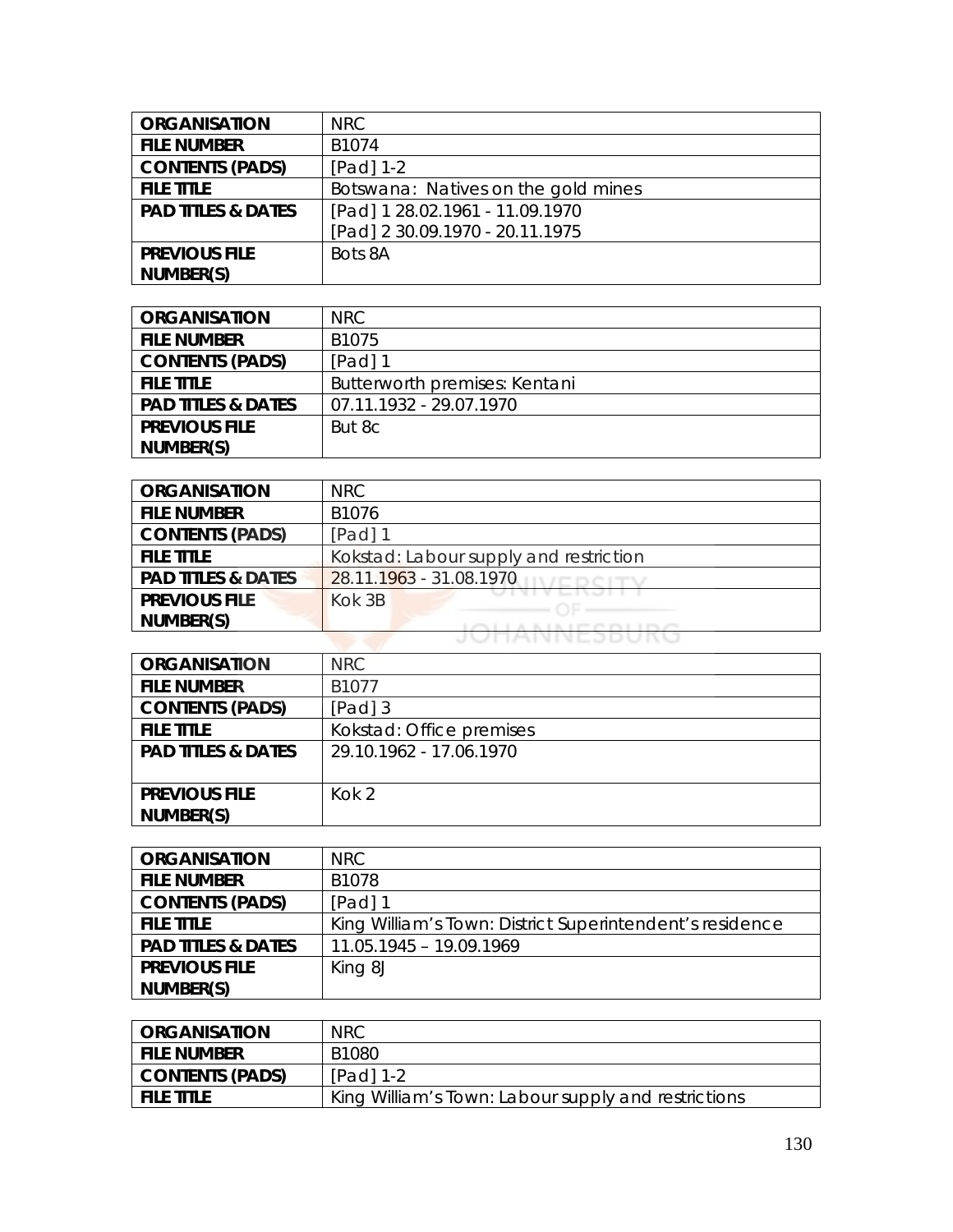| <b>ORGANISATION</b>           | <b>NRC</b>                          |
|-------------------------------|-------------------------------------|
| <b>FILE NUMBER</b>            | B1074                               |
| <b>CONTENTS (PADS)</b>        | [Pad] 1-2                           |
| <b>FILE TITLE</b>             | Botswana: Natives on the gold mines |
| <b>PAD TITLES &amp; DATES</b> | [Pad] 1 28.02.1961 - 11.09.1970     |
|                               | [Pad] 2 30.09.1970 - 20.11.1975     |
| <b>PREVIOUS FILE</b>          | Bots 8A                             |
| NUMBER(S)                     |                                     |

| <b>ORGANISATION</b>           | NRC.                          |
|-------------------------------|-------------------------------|
| <b>FILE NUMBER</b>            | B1075                         |
| <b>CONTENTS (PADS)</b>        | $[Pad]$ 1                     |
| <b>FILE TITLE</b>             | Butterworth premises: Kentani |
| <b>PAD TITLES &amp; DATES</b> | 07.11.1932 - 29.07.1970       |
| <b>PREVIOUS FILE</b>          | But 8c                        |
| NUMBER(S)                     |                               |

| <b>ORGANISATION</b>           | NRC                                    |
|-------------------------------|----------------------------------------|
| <b>FILE NUMBER</b>            | B1076                                  |
| <b>CONTENTS (PADS)</b>        | $[Pad]$ 1                              |
| <b>FILE TITLE</b>             | Kokstad: Labour supply and restriction |
| <b>PAD TITLES &amp; DATES</b> | 28.11.1963 - 31.08.1970                |
| <b>PREVIOUS FILE</b>          | Kok 3B                                 |
| NUMBER(S)                     |                                        |
|                               | J T AIN N E 3 DUINU                    |

| <b>ORGANISATION</b>           | <b>NRC</b>               |
|-------------------------------|--------------------------|
| <b>FILE NUMBER</b>            | B1077                    |
| <b>CONTENTS (PADS)</b>        | [Pad] 3                  |
| <b>FILE TITLE</b>             | Kokstad: Office premises |
| <b>PAD TITLES &amp; DATES</b> | 29.10.1962 - 17.06.1970  |
|                               |                          |
| <b>PREVIOUS FILE</b>          | $K$ ok 2                 |
| NUMBER(S)                     |                          |

| <b>ORGANISATION</b>           | NRC.                                                     |
|-------------------------------|----------------------------------------------------------|
| <b>FILE NUMBER</b>            | B1078                                                    |
| <b>CONTENTS (PADS)</b>        | $[Pad]$ 1                                                |
| <b>FILE TITLE</b>             | King William's Town: District Superintendent's residence |
| <b>PAD TITLES &amp; DATES</b> | 11.05.1945 - 19.09.1969                                  |
| <b>PREVIOUS FILE</b>          | King 8J                                                  |
| NUMBER(S)                     |                                                          |

| <b>CRGANISATION</b> | <b>NRC</b>                                          |
|---------------------|-----------------------------------------------------|
| i file number       | B1080                                               |
| CONTENTS (PADS)     | $[Pad] 1-2$                                         |
| I FILE TITLE        | King William's Town: Labour supply and restrictions |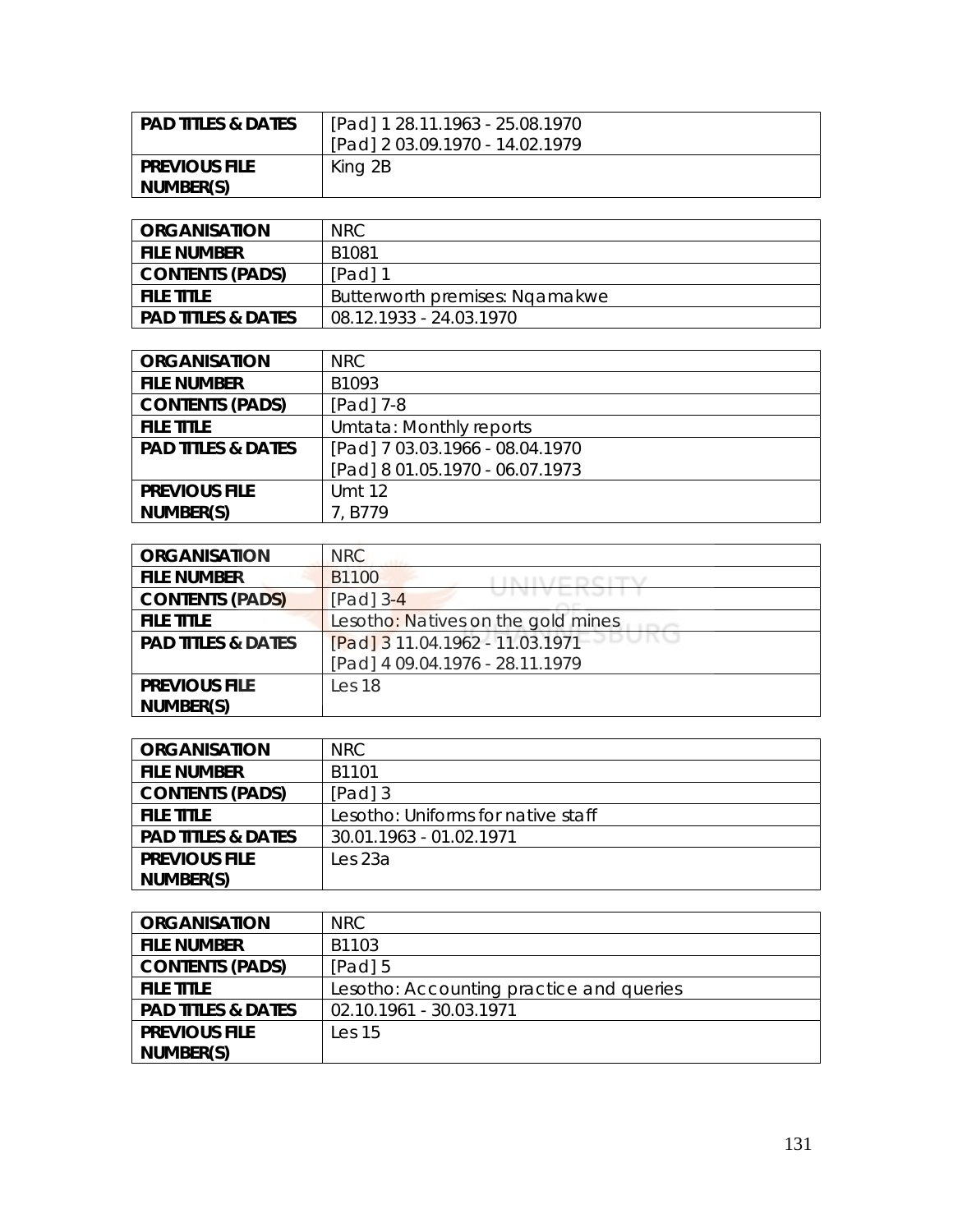| <b>PAD TITLES &amp; DATES</b> | [Pad] 1 28.11.1963 - 25.08.1970 |
|-------------------------------|---------------------------------|
|                               | [Pad] 2 03.09.1970 - 14.02.1979 |
| <b>PREVIOUS FILE</b>          | King 2B                         |
| NUMBER(S)                     |                                 |

| ORGANISATION           | NRC.                           |
|------------------------|--------------------------------|
| <b>FILE NUMBER</b>     | B1081                          |
| <b>CONTENTS (PADS)</b> | $[Pad]$ 1                      |
| <b>FILE TITLE</b>      | Butterworth premises: Ngamakwe |
| PAD TITLES & DATES     | 08.12.1933 - 24.03.1970        |

| <b>ORGANISATION</b>           | NRC.                            |
|-------------------------------|---------------------------------|
| <b>FILE NUMBER</b>            | B1093                           |
| <b>CONTENTS (PADS)</b>        | $[Pad]$ 7-8                     |
| <b>FILE TITLE</b>             | Umtata: Monthly reports         |
| <b>PAD TITLES &amp; DATES</b> | [Pad] 7 03.03.1966 - 08.04.1970 |
|                               | [Pad] 8 01.05.1970 - 06.07.1973 |
| <b>PREVIOUS FILE</b>          | <b>Umt 12</b>                   |
| NUMBER(S)                     | 7.B779                          |

| <b>ORGANISATION</b>           | <b>NRC</b>                         |
|-------------------------------|------------------------------------|
| <b>FILE NUMBER</b>            | B1100                              |
| <b>CONTENTS (PADS)</b>        | $[Pad]$ 3-4                        |
| <b>FILE TITLE</b>             | Lesotho: Natives on the gold mines |
| <b>PAD TITLES &amp; DATES</b> | [Pad] 3 11.04.1962 - 11.03.1971    |
|                               | [Pad] 4 09.04.1976 - 28.11.1979    |
| <b>PREVIOUS FILE</b>          | Les 18                             |
| NUMBER(S)                     |                                    |

| <b>ORGANISATION</b>           | NRC.                               |
|-------------------------------|------------------------------------|
| <b>FILE NUMBER</b>            | B <sub>1101</sub>                  |
| <b>CONTENTS (PADS)</b>        | [Pad] 3                            |
| <b>FILE TITLE</b>             | Lesotho: Uniforms for native staff |
| <b>PAD TITLES &amp; DATES</b> | 30.01.1963 - 01.02.1971            |
| <b>PREVIOUS FILE</b>          | Les 23a                            |
| NUMBER(S)                     |                                    |

| <b>ORGANISATION</b>           | NRC.                                     |
|-------------------------------|------------------------------------------|
| <b>FILE NUMBER</b>            | B1103                                    |
| <b>CONTENTS (PADS)</b>        | $[Pad]$ 5                                |
| <b>FILE TITLE</b>             | Lesotho: Accounting practice and queries |
| <b>PAD TITLES &amp; DATES</b> | 02.10.1961 - 30.03.1971                  |
| <b>PREVIOUS FILE</b>          | Les <sub>15</sub>                        |
| NUMBER(S)                     |                                          |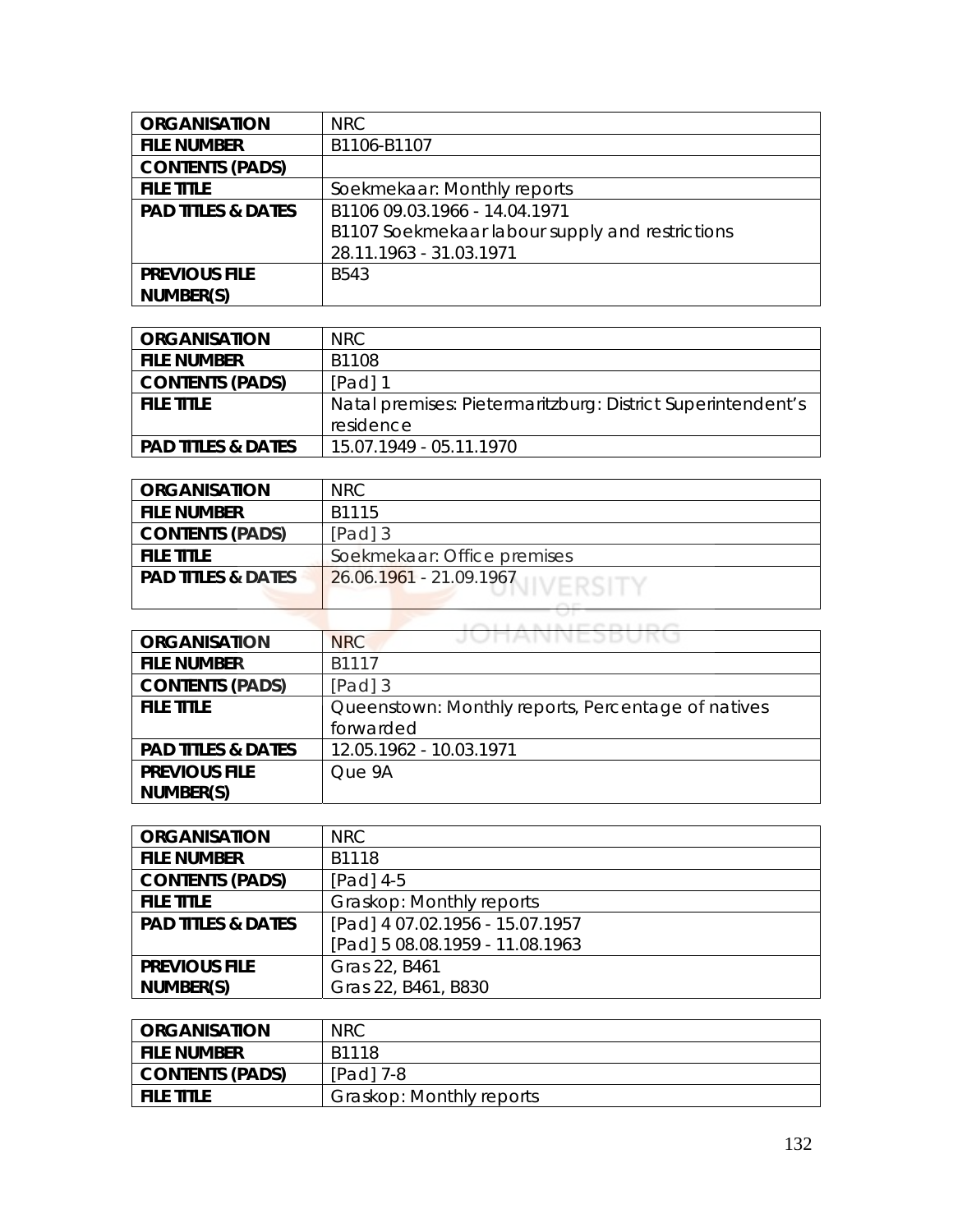| <b>ORGANISATION</b>           | <b>NRC</b>                                      |
|-------------------------------|-------------------------------------------------|
| <b>FILE NUMBER</b>            | B1106-B1107                                     |
| <b>CONTENTS (PADS)</b>        |                                                 |
| <b>FILE TITLE</b>             | Soekmekaar: Monthly reports                     |
| <b>PAD TITLES &amp; DATES</b> | B1106 09.03.1966 - 14.04.1971                   |
|                               | B1107 Soekmekaar labour supply and restrictions |
|                               | 28.11.1963 - 31.03.1971                         |
| <b>PREVIOUS FILE</b>          | B543                                            |
| NUMBER(S)                     |                                                 |

| <b>ORGANISATION</b>           | NRC.                                                        |
|-------------------------------|-------------------------------------------------------------|
| <b>FILE NUMBER</b>            | B1108                                                       |
| <b>CONTENTS (PADS)</b>        | $[Pad]$ 1                                                   |
| <b>FILE TITLE</b>             | Natal premises: Pietermaritzburg: District Superintendent's |
|                               | residence                                                   |
| <b>PAD TITLES &amp; DATES</b> | 15.07.1949 - 05.11.1970                                     |

| <b>ORGANISATION</b>           | NRC                             |
|-------------------------------|---------------------------------|
| <b>FILE NUMBER</b>            | B <sub>1115</sub>               |
| <b>CONTENTS (PADS)</b>        | [Pad] 3                         |
| <b>FILE TITLE</b>             | Soekmekaar: Office premises     |
| <b>PAD TITLES &amp; DATES</b> | $126.06.1961 - 21.09.1967$      |
|                               | the property of the property of |

| <b>ORGANISATION</b>           | JUHANNESBUKU<br><b>NRC</b>                         |
|-------------------------------|----------------------------------------------------|
| <b>FILE NUMBER</b>            | B1117                                              |
| <b>CONTENTS (PADS)</b>        | $[Pad]$ 3                                          |
| <b>FILE TITLE</b>             | Queenstown: Monthly reports, Percentage of natives |
|                               | forwarded                                          |
| <b>PAD TITLES &amp; DATES</b> | 12.05.1962 - 10.03.1971                            |
| <b>PREVIOUS FILE</b>          | Que 9A                                             |
| NUMBER(S)                     |                                                    |

| <b>ORGANISATION</b>           | <b>NRC</b>                      |
|-------------------------------|---------------------------------|
| <b>FILE NUMBER</b>            | B1118                           |
| <b>CONTENTS (PADS)</b>        | [Pad] 4-5                       |
| <b>FILE TITLE</b>             | Graskop: Monthly reports        |
| <b>PAD TITLES &amp; DATES</b> | [Pad] 4 07.02.1956 - 15.07.1957 |
|                               | [Pad] 5 08.08.1959 - 11.08.1963 |
| <b>PREVIOUS FILE</b>          | Gras 22, B461                   |
| NUMBER(S)                     | Gras 22, B461, B830             |

| <b>ORGANISATION</b>    | <b>NRC</b>               |
|------------------------|--------------------------|
| <b>FILE NUMBER</b>     | B1118                    |
| <b>CONTENTS (PADS)</b> | $[Pad]$ 7-8              |
| <b>FILE TITLE</b>      | Graskop: Monthly reports |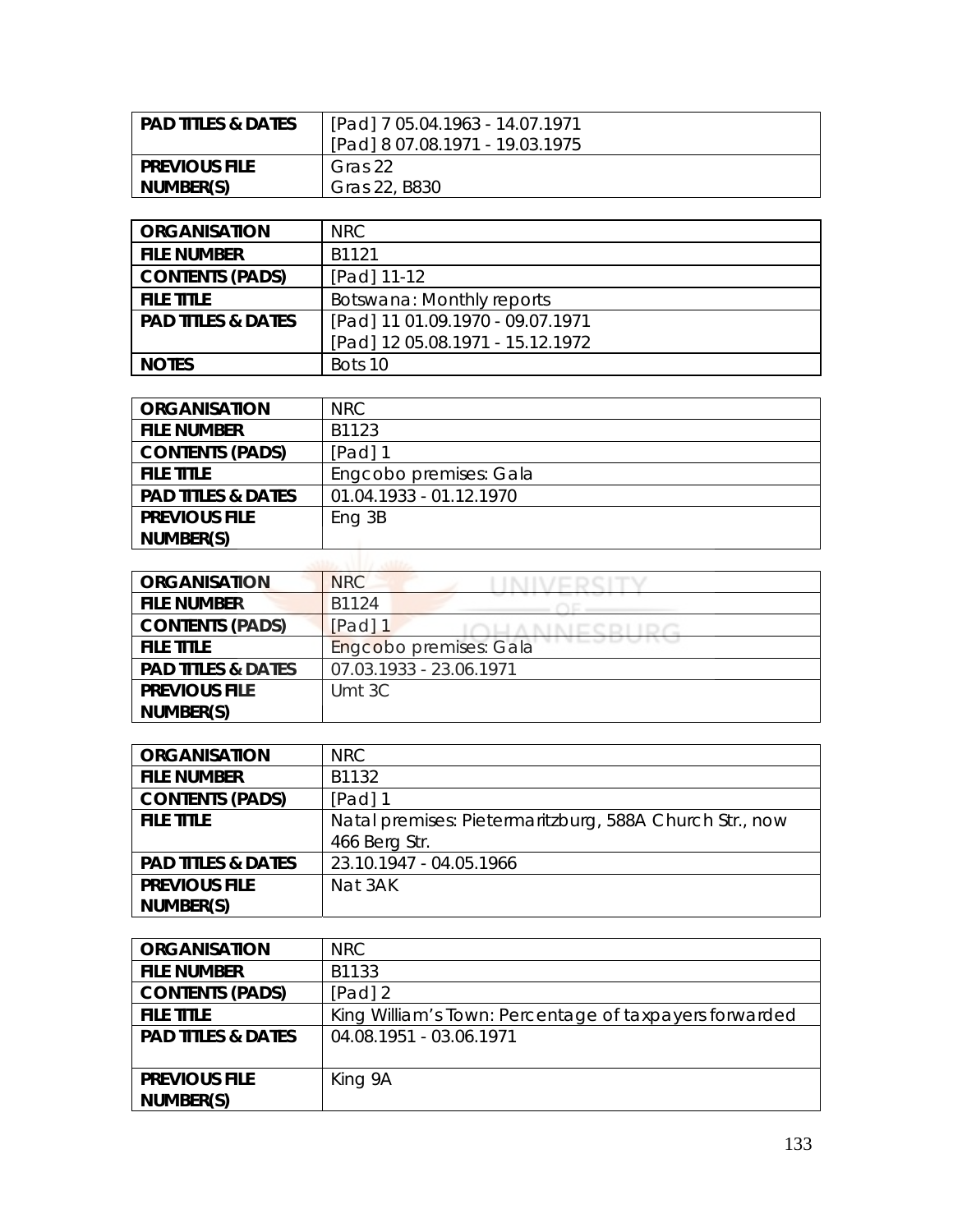| <b>PAD TITLES &amp; DATES</b> | [Pad] 7 05.04.1963 - 14.07.1971<br>[Pad] 8 07.08.1971 - 19.03.1975 |
|-------------------------------|--------------------------------------------------------------------|
| <b>PREVIOUS FILE</b>          | Gras 22                                                            |
| NUMBER(S)                     | Gras 22, B830                                                      |

| <b>ORGANISATION</b>           | <b>NRC</b>                       |
|-------------------------------|----------------------------------|
| <b>FILE NUMBER</b>            | B <sub>1121</sub>                |
| <b>CONTENTS (PADS)</b>        | [Pad] 11-12                      |
| <b>FILE TITLE</b>             | Botswana: Monthly reports        |
| <b>PAD TITLES &amp; DATES</b> | [Pad] 11 01.09.1970 - 09.07.1971 |
|                               | [Pad] 12 05.08.1971 - 15.12.1972 |
| <b>NOTES</b>                  | Bots 10                          |

| <b>ORGANISATION</b>           | NRC.                    |
|-------------------------------|-------------------------|
| <b>FILE NUMBER</b>            | B1123                   |
| <b>CONTENTS (PADS)</b>        | $[Pad]$ 1               |
| <b>FILE TITLE</b>             | Engcobo premises: Gala  |
| <b>PAD TITLES &amp; DATES</b> | 01.04.1933 - 01.12.1970 |
| <b>PREVIOUS FILE</b>          | Eng 3B                  |
| NUMBER(S)                     |                         |
|                               |                         |

| <b>ORGANISATION</b>           | NRC                     |
|-------------------------------|-------------------------|
| <b>FILE NUMBER</b>            | B1124                   |
| <b>CONTENTS (PADS)</b>        | [Pad] 1                 |
| <b>FILE TITLE</b>             | Engcobo premises: Gala  |
| <b>PAD TITLES &amp; DATES</b> | 07.03.1933 - 23.06.1971 |
| <b>PREVIOUS FILE</b>          | Umt 3C                  |
| NUMBER(S)                     |                         |

| <b>ORGANISATION</b>           | <b>NRC</b>                                              |
|-------------------------------|---------------------------------------------------------|
| <b>FILE NUMBER</b>            | B1132                                                   |
| <b>CONTENTS (PADS)</b>        | [Pad] 1                                                 |
| <b>FILE TITLE</b>             | Natal premises: Pietermaritzburg, 588A Church Str., now |
|                               | 466 Berg Str.                                           |
| <b>PAD TITLES &amp; DATES</b> | 23.10.1947 - 04.05.1966                                 |
| <b>PREVIOUS FILE</b>          | Nat 3AK                                                 |
| NUMBER(S)                     |                                                         |

| <b>ORGANISATION</b>           | NRC.                                                   |
|-------------------------------|--------------------------------------------------------|
| <b>FILE NUMBER</b>            | B1133                                                  |
| <b>CONTENTS (PADS)</b>        | [Pad] $2$                                              |
| <b>FILE TITLE</b>             | King William's Town: Percentage of taxpayers forwarded |
| <b>PAD TITLES &amp; DATES</b> | 04.08.1951 - 03.06.1971                                |
|                               |                                                        |
| <b>PREVIOUS FILE</b>          | King 9A                                                |
| NUMBER(S)                     |                                                        |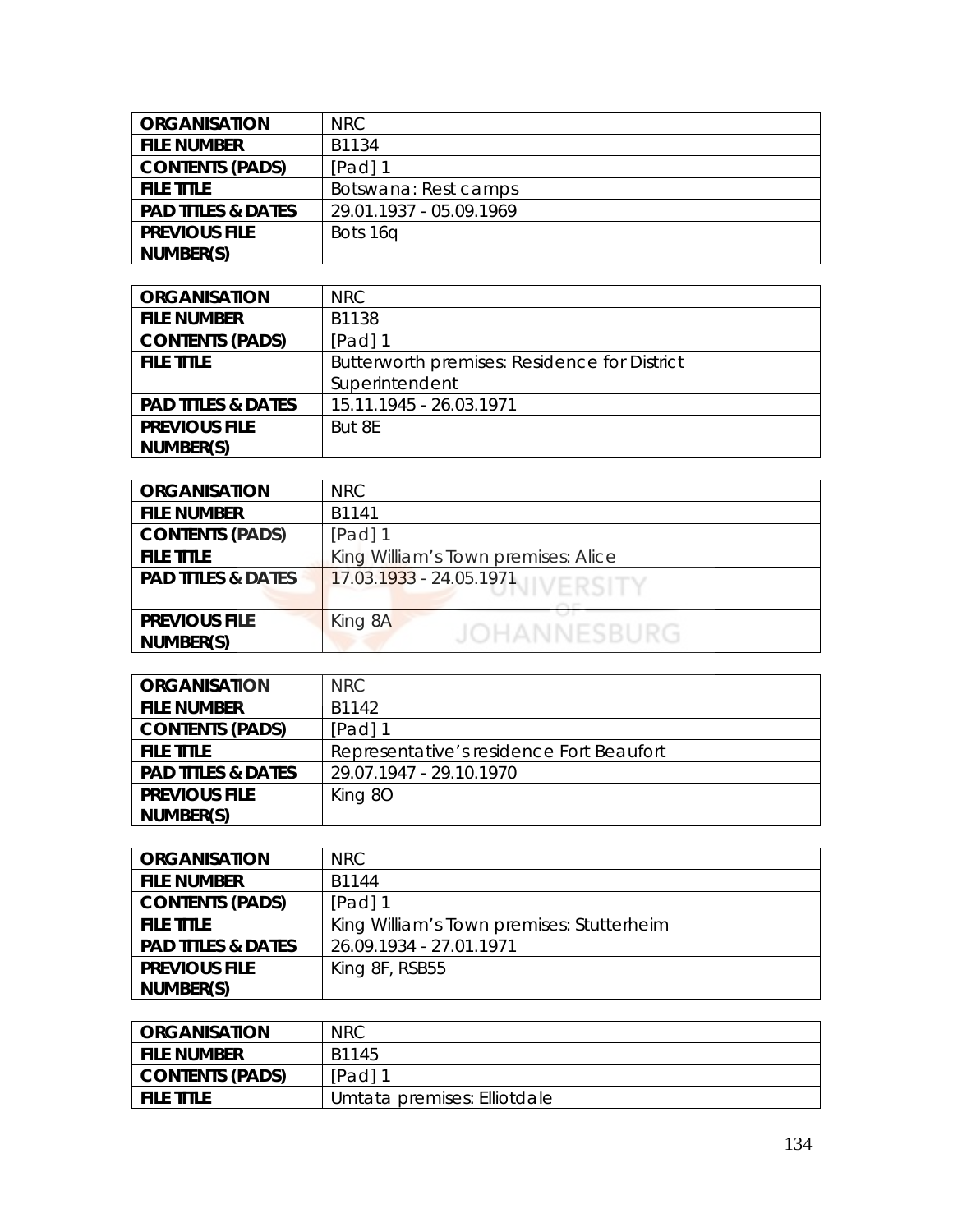| <b>ORGANISATION</b>           | NRC.                    |
|-------------------------------|-------------------------|
| <b>FILE NUMBER</b>            | B1134                   |
| <b>CONTENTS (PADS)</b>        | $[Pad]$ 1               |
| <b>FILE TITLE</b>             | Botswana: Rest camps    |
| <b>PAD TITLES &amp; DATES</b> | 29.01.1937 - 05.09.1969 |
| <b>PREVIOUS FILE</b>          | Bots 16q                |
| NUMBER(S)                     |                         |

| <b>ORGANISATION</b>           | NRC                                          |
|-------------------------------|----------------------------------------------|
| <b>FILE NUMBER</b>            | B1138                                        |
| <b>CONTENTS (PADS)</b>        | $[Pad]$ 1                                    |
| <b>FILE TITLE</b>             | Butterworth premises: Residence for District |
|                               | Superintendent                               |
| <b>PAD TITLES &amp; DATES</b> | 15.11.1945 - 26.03.1971                      |
| <b>PREVIOUS FILE</b>          | But 8E                                       |
| NUMBER(S)                     |                                              |

| <b>ORGANISATION</b>           | <b>NRC</b>                          |
|-------------------------------|-------------------------------------|
| <b>FILE NUMBER</b>            | B1141                               |
| <b>CONTENTS (PADS)</b>        | [Pad] 1                             |
| <b>FILE TITLE</b>             | King William's Town premises: Alice |
| <b>PAD TITLES &amp; DATES</b> | 17.03.1933 - 24.05.1971 IVERSITY    |
|                               |                                     |
| <b>PREVIOUS FILE</b>          | King 8A                             |
| NUMBER(S)                     | <b>JOHANNESBURG</b>                 |

| <b>ORGANISATION</b>           | NRC                                      |
|-------------------------------|------------------------------------------|
| <b>FILE NUMBER</b>            | B1142                                    |
| <b>CONTENTS (PADS)</b>        | [Pad] 1                                  |
| <b>FILE TITLE</b>             | Representative's residence Fort Beaufort |
| <b>PAD TITLES &amp; DATES</b> | 29.07.1947 - 29.10.1970                  |
| <b>PREVIOUS FILE</b>          | King 8O                                  |
| NUMBER(S)                     |                                          |

| <b>ORGANISATION</b>           | <b>NRC</b>                                |
|-------------------------------|-------------------------------------------|
| <b>FILE NUMBER</b>            | B1144                                     |
| <b>CONTENTS (PADS)</b>        | [Pad] 1                                   |
| <b>FILE TITLE</b>             | King William's Town premises: Stutterheim |
| <b>PAD TITLES &amp; DATES</b> | 26.09.1934 - 27.01.1971                   |
| <b>PREVIOUS FILE</b>          | King 8F, RSB55                            |
| NUMBER(S)                     |                                           |

| <b>ORGANISATION</b> | <b>NRC</b>                  |
|---------------------|-----------------------------|
| <b>FILE NUMBER</b>  | B1145                       |
| CONTENTS (PADS)     | [Pad] 1                     |
| <b>FILE TITLE</b>   | Umtata premises: Elliotdale |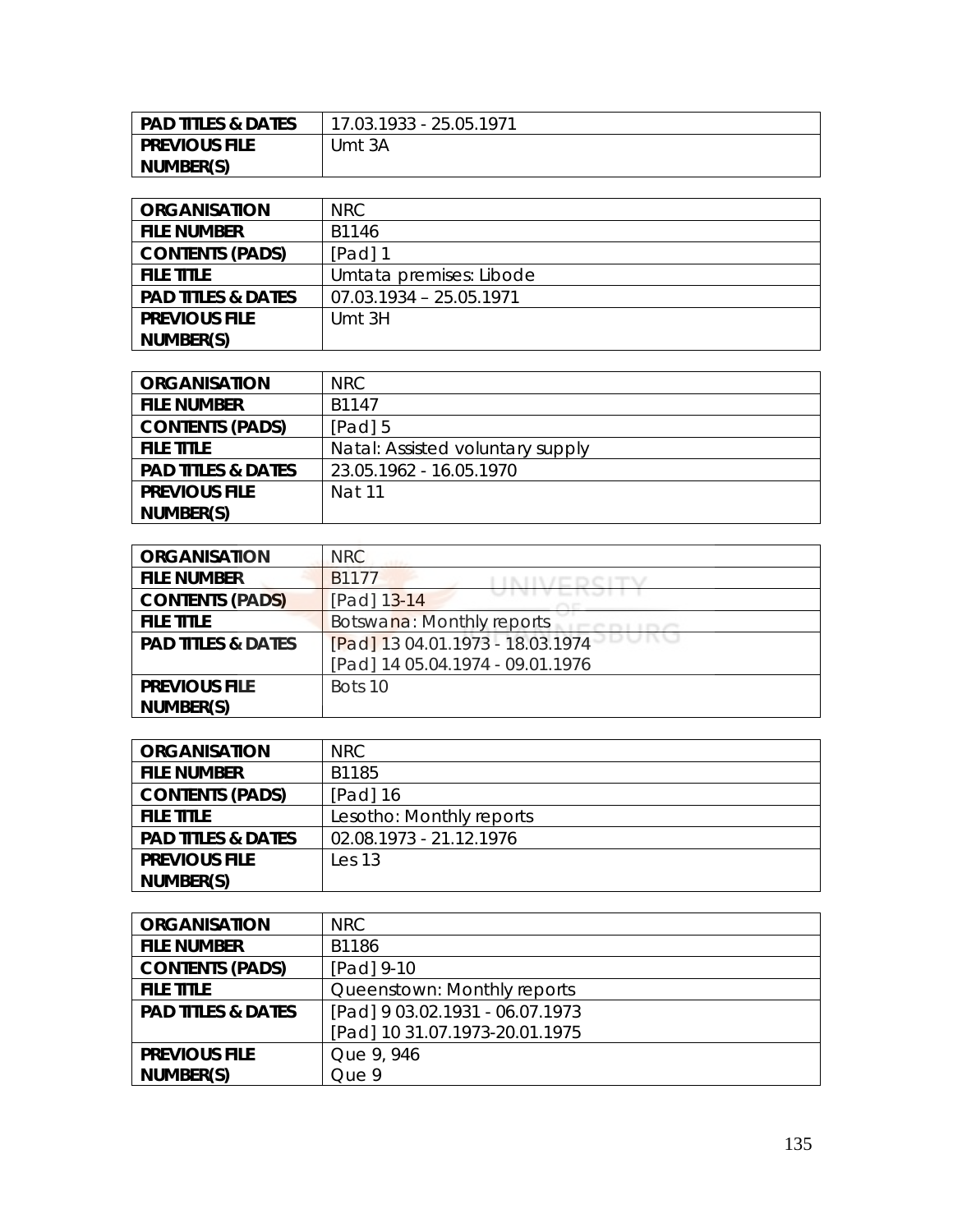| <b>PAD TITLES &amp; DATES</b> | 17.03.1933 - 25.05.1971 |
|-------------------------------|-------------------------|
| <b>PREVIOUS FILE</b>          | Umt 3A                  |
| NUMBER(S)                     |                         |

| <b>ORGANISATION</b>           | NRC.                      |
|-------------------------------|---------------------------|
| <b>FILE NUMBER</b>            | B1146                     |
| <b>CONTENTS (PADS)</b>        | $[Pad]$ 1                 |
| <b>FILE TITLE</b>             | Umtata premises: Libode   |
| <b>PAD TITLES &amp; DATES</b> | $07.03.1934 - 25.05.1971$ |
| <b>PREVIOUS FILE</b>          | Umt 3H                    |
| NUMBER(S)                     |                           |

| <b>ORGANISATION</b>           | NRC.                             |
|-------------------------------|----------------------------------|
| <b>FILE NUMBER</b>            | B1147                            |
| <b>CONTENTS (PADS)</b>        | $[Pad]$ 5                        |
| <b>FILE TITLE</b>             | Natal: Assisted voluntary supply |
| <b>PAD TITLES &amp; DATES</b> | 23.05.1962 - 16.05.1970          |
| <b>PREVIOUS FILE</b>          | Nat 11                           |
| NUMBER(S)                     |                                  |

| <b>ORGANISATION</b>           | <b>NRC</b>                       |
|-------------------------------|----------------------------------|
| <b>FILE NUMBER</b>            | B <sub>1177</sub>                |
| <b>CONTENTS (PADS)</b>        | [Pad] 13-14                      |
| <b>FILE TITLE</b>             | Botswana: Monthly reports        |
| <b>PAD TITLES &amp; DATES</b> | [Pad] 13 04.01.1973 - 18.03.1974 |
|                               | [Pad] 14 05.04.1974 - 09.01.1976 |
| <b>PREVIOUS FILE</b>          | Bots 10                          |
| NUMBER(S)                     |                                  |

| <b>ORGANISATION</b>           | NRC.                     |
|-------------------------------|--------------------------|
| <b>FILE NUMBER</b>            | B1185                    |
| <b>CONTENTS (PADS)</b>        | [Pad] 16                 |
| <b>FILE TITLE</b>             | Lesotho: Monthly reports |
| <b>PAD TITLES &amp; DATES</b> | 02.08.1973 - 21.12.1976  |
| <b>PREVIOUS FILE</b>          | $\text{Les } 13$         |
| NUMBER(S)                     |                          |

| <b>ORGANISATION</b>           | NRC                             |
|-------------------------------|---------------------------------|
| <b>FILE NUMBER</b>            | B1186                           |
| <b>CONTENTS (PADS)</b>        | [Pad] 9-10                      |
| <b>FILE TITLE</b>             | Queenstown: Monthly reports     |
| <b>PAD TITLES &amp; DATES</b> | [Pad] 9 03.02.1931 - 06.07.1973 |
|                               | [Pad] 10 31.07.1973-20.01.1975  |
| <b>PREVIOUS FILE</b>          | Que 9, 946                      |
| NUMBER(S)                     | Que 9                           |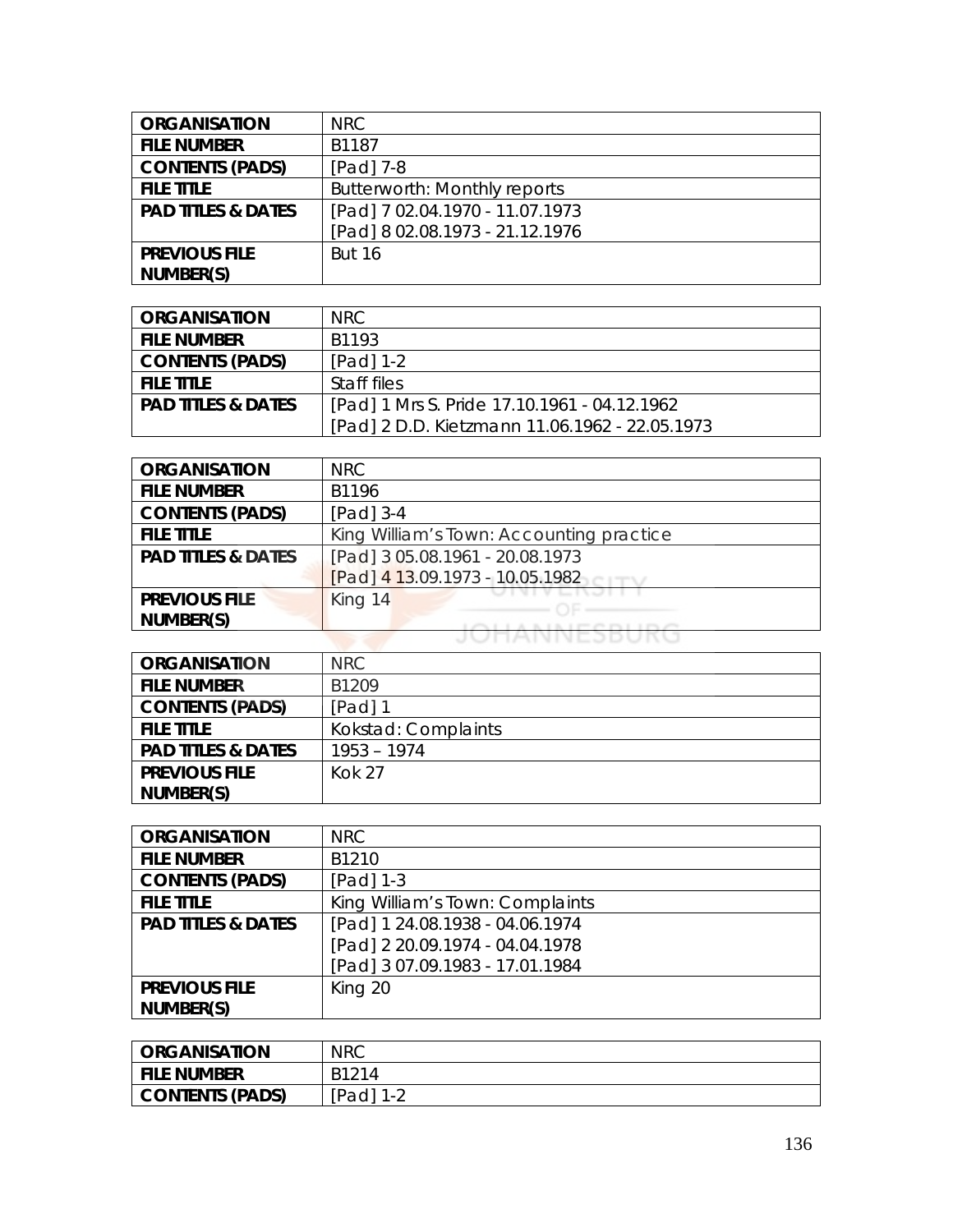| <b>ORGANISATION</b>           | <b>NRC</b>                          |
|-------------------------------|-------------------------------------|
| <b>FILE NUMBER</b>            | B1187                               |
| <b>CONTENTS (PADS)</b>        | [Pad] 7-8                           |
| <b>FILE TITLE</b>             | <b>Butterworth: Monthly reports</b> |
| <b>PAD TITLES &amp; DATES</b> | [Pad] 7 02.04.1970 - 11.07.1973     |
|                               | [Pad] 8 02.08.1973 - 21.12.1976     |
| <b>PREVIOUS FILE</b>          | <b>But 16</b>                       |
| NUMBER(S)                     |                                     |

| <b>ORGANISATION</b>           | NRC.                                           |
|-------------------------------|------------------------------------------------|
| <b>FILE NUMBER</b>            | B <sub>1193</sub>                              |
| <b>CONTENTS (PADS)</b>        | $[Pad] 1-2$                                    |
| <b>FILE TITLE</b>             | Staff files                                    |
| <b>PAD TITLES &amp; DATES</b> | [Pad] 1 Mrs S. Pride 17.10.1961 - 04.12.1962   |
|                               | [Pad] 2 D.D. Kietzmann 11.06.1962 - 22.05.1973 |

| <b>ORGANISATION</b>           | <b>NRC</b>                               |
|-------------------------------|------------------------------------------|
| <b>FILE NUMBER</b>            | B1196                                    |
| <b>CONTENTS (PADS)</b>        | $[Pad]$ 3-4                              |
| <b>FILE TITLE</b>             | King William's Town: Accounting practice |
| <b>PAD TITLES &amp; DATES</b> | [Pad] 3 05.08.1961 - 20.08.1973          |
|                               | [Pad] 4 13.09.1973 - 10.05.1982          |
| <b>PREVIOUS FILE</b>          | King 14                                  |
| NUMBER(S)                     |                                          |
|                               | <b>TAIVIVEJDUNU</b>                      |

| <b>ORGANISATION</b>           | NRC                 |
|-------------------------------|---------------------|
| <b>FILE NUMBER</b>            | B1209               |
| <b>CONTENTS (PADS)</b>        | $[Pad]$ 1           |
| <b>FILE TITLE</b>             | Kokstad: Complaints |
| <b>PAD TITLES &amp; DATES</b> | $1953 - 1974$       |
| <b>PREVIOUS FILE</b>          | <b>Kok 27</b>       |
| NUMBER(S)                     |                     |

| <b>ORGANISATION</b>           | <b>NRC</b>                      |
|-------------------------------|---------------------------------|
| <b>FILE NUMBER</b>            | B1210                           |
| <b>CONTENTS (PADS)</b>        | $[Pad]$ 1-3                     |
| <b>FILE TITLE</b>             | King William's Town: Complaints |
| <b>PAD TITLES &amp; DATES</b> | [Pad] 1 24.08.1938 - 04.06.1974 |
|                               | [Pad] 2 20.09.1974 - 04.04.1978 |
|                               | [Pad] 3 07.09.1983 - 17.01.1984 |
| <b>PREVIOUS FILE</b>          | King 20                         |
| NUMBER(S)                     |                                 |

| <b>ORGANISATION</b>    | <b>NRC</b> |
|------------------------|------------|
| File Number            | B1214      |
| <b>CONTENTS (PADS)</b> | [Pad] 1-2  |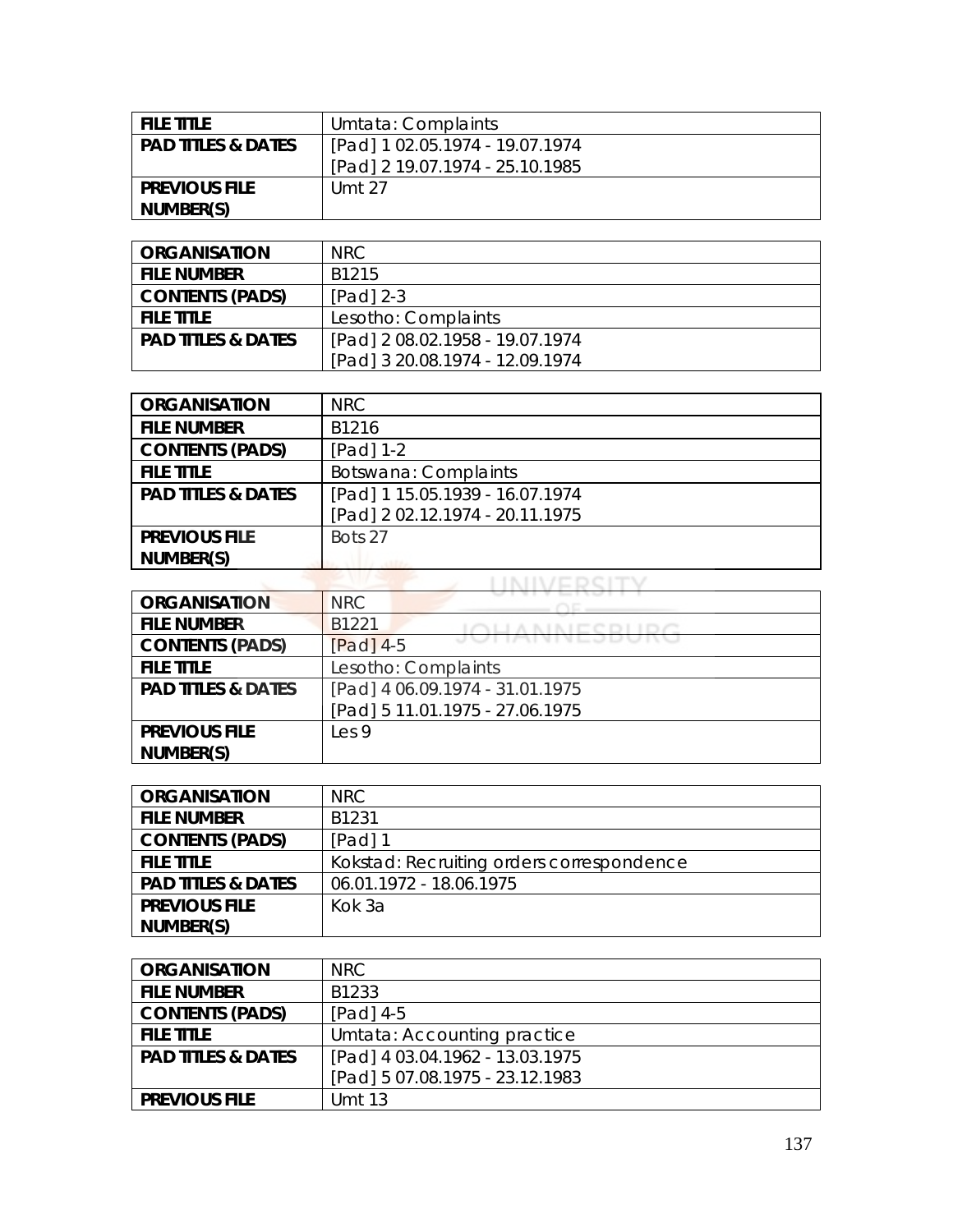| <b>FILE TITLE</b>             | Umtata: Complaints              |
|-------------------------------|---------------------------------|
| <b>PAD TITLES &amp; DATES</b> | [Pad] 1 02.05.1974 - 19.07.1974 |
|                               | [Pad] 2 19.07.1974 - 25.10.1985 |
| <b>PREVIOUS FILE</b>          | Umt 27                          |
| NUMBER(S)                     |                                 |

| <b>ORGANISATION</b>           | NRC.                            |
|-------------------------------|---------------------------------|
| <b>FILE NUMBER</b>            | B1215                           |
| <b>CONTENTS (PADS)</b>        | $[Pad]$ 2-3                     |
| <b>FILE TITLE</b>             | Lesotho: Complaints             |
| <b>PAD TITLES &amp; DATES</b> | [Pad] 2 08.02.1958 - 19.07.1974 |
|                               | [Pad] 3 20.08.1974 - 12.09.1974 |

| <b>ORGANISATION</b>           | <b>NRC</b>                      |
|-------------------------------|---------------------------------|
| <b>FILE NUMBER</b>            | B1216                           |
| <b>CONTENTS (PADS)</b>        | [Pad] 1-2                       |
| <b>FILE TITLE</b>             | Botswana: Complaints            |
| <b>PAD TITLES &amp; DATES</b> | [Pad] 1 15.05.1939 - 16.07.1974 |
|                               | [Pad] 2 02.12.1974 - 20.11.1975 |
| <b>PREVIOUS FILE</b>          | Bots 27                         |
| NUMBER(S)                     |                                 |

| <b>ORGANISATION</b>           | <b>NRC</b>                            |
|-------------------------------|---------------------------------------|
| <b>FILE NUMBER</b>            | B1221                                 |
| <b>CONTENTS (PADS)</b>        | <u>VIIMININ LJUVIN</u><br>$[Pad]$ 4-5 |
| <b>FILE TITLE</b>             | Lesotho: Complaints                   |
| <b>PAD TITLES &amp; DATES</b> | [Pad] 4 06.09.1974 - 31.01.1975       |
|                               | [Pad] 5 11.01.1975 - 27.06.1975       |
| <b>PREVIOUS FILE</b>          | Les <sub>9</sub>                      |
| NUMBER(S)                     |                                       |

| <b>ORGANISATION</b>           | NRC                                       |
|-------------------------------|-------------------------------------------|
| <b>FILE NUMBER</b>            | B1231                                     |
| <b>CONTENTS (PADS)</b>        | [Pad] 1                                   |
| <b>FILE TITLE</b>             | Kokstad: Recruiting orders correspondence |
| <b>PAD TITLES &amp; DATES</b> | 06.01.1972 - 18.06.1975                   |
| <b>PREVIOUS FILE</b>          | Kok 3a                                    |
| NUMBER(S)                     |                                           |

| <b>ORGANISATION</b>           | NRC.                            |
|-------------------------------|---------------------------------|
| <b>FILE NUMBER</b>            | B1233                           |
| <b>CONTENTS (PADS)</b>        | $[Pad]$ 4-5                     |
| <b>FILE TITLE</b>             | Umtata: Accounting practice     |
| <b>PAD TITLES &amp; DATES</b> | [Pad] 4 03.04.1962 - 13.03.1975 |
|                               | [Pad] 5 07.08.1975 - 23.12.1983 |
| <b>PREVIOUS FILE</b>          | Umt 13                          |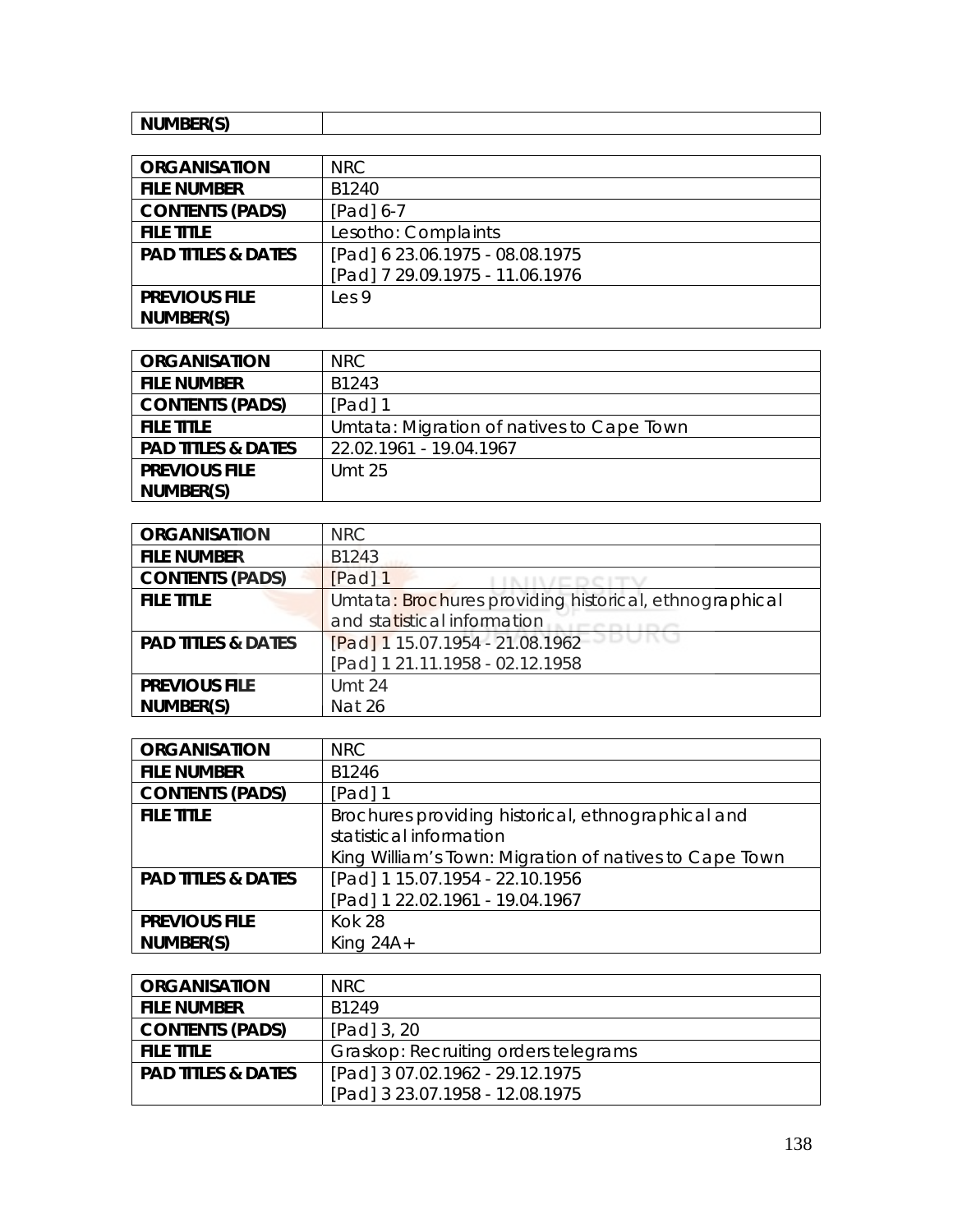| $\cdots$ $\cdots$ $\cdots$<br>$  -$<br>'N.<br>. |
|-------------------------------------------------|

| <b>ORGANISATION</b>           | NRC                             |
|-------------------------------|---------------------------------|
| <b>FILE NUMBER</b>            | B1240                           |
| <b>CONTENTS (PADS)</b>        | $[Pad] 6-7$                     |
| <b>FILE TITLE</b>             | Lesotho: Complaints             |
| <b>PAD TITLES &amp; DATES</b> | [Pad] 6 23.06.1975 - 08.08.1975 |
|                               | [Pad] 7 29.09.1975 - 11.06.1976 |
| <b>PREVIOUS FILE</b>          | les9                            |
| NUMBER(S)                     |                                 |

| <b>ORGANISATION</b>           | NRC.                                      |
|-------------------------------|-------------------------------------------|
| <b>FILE NUMBER</b>            | B1243                                     |
| <b>CONTENTS (PADS)</b>        | [Pad] 1                                   |
| <b>FILE TITLE</b>             | Umtata: Migration of natives to Cape Town |
| <b>PAD TITLES &amp; DATES</b> | 22.02.1961 - 19.04.1967                   |
| <b>PREVIOUS FILE</b>          | Umt 25                                    |
| NUMBER(S)                     |                                           |

| <b>ORGANISATION</b>           | <b>NRC</b>                                             |
|-------------------------------|--------------------------------------------------------|
| <b>FILE NUMBER</b>            | B1243                                                  |
| <b>CONTENTS (PADS)</b>        | [Pad] 1                                                |
| <b>FILE TITLE</b>             | Umtata: Brochures providing historical, ethnographical |
|                               | and statistical information                            |
| <b>PAD TITLES &amp; DATES</b> | [Pad] 1 15.07.1954 - 21.08.1962                        |
|                               | [Pad] 1 21.11.1958 - 02.12.1958                        |
| <b>PREVIOUS FILE</b>          | <b>Umt 24</b>                                          |
| NUMBER(S)                     | <b>Nat 26</b>                                          |

| <b>ORGANISATION</b>           | <b>NRC</b>                                             |
|-------------------------------|--------------------------------------------------------|
| <b>FILE NUMBER</b>            | B1246                                                  |
| <b>CONTENTS (PADS)</b>        | $[Pad]$ 1                                              |
| <b>FILE TITLE</b>             | Brochures providing historical, ethnographical and     |
|                               | statistical information                                |
|                               | King William's Town: Migration of natives to Cape Town |
| <b>PAD TITLES &amp; DATES</b> | [Pad] 1 15.07.1954 - 22.10.1956                        |
|                               | [Pad] 1 22.02.1961 - 19.04.1967                        |
| <b>PREVIOUS FILE</b>          | <b>Kok 28</b>                                          |
| NUMBER(S)                     | King $24A+$                                            |

| <b>ORGANISATION</b>           | NRC.                                 |
|-------------------------------|--------------------------------------|
| <b>FILE NUMBER</b>            | B <sub>1249</sub>                    |
| <b>CONTENTS (PADS)</b>        | [Pad] 3, 20                          |
| <b>FILE TITLE</b>             | Graskop: Recruiting orders telegrams |
| <b>PAD TITLES &amp; DATES</b> | [Pad] 3 07.02.1962 - 29.12.1975      |
|                               | [Pad] 3 23.07.1958 - 12.08.1975      |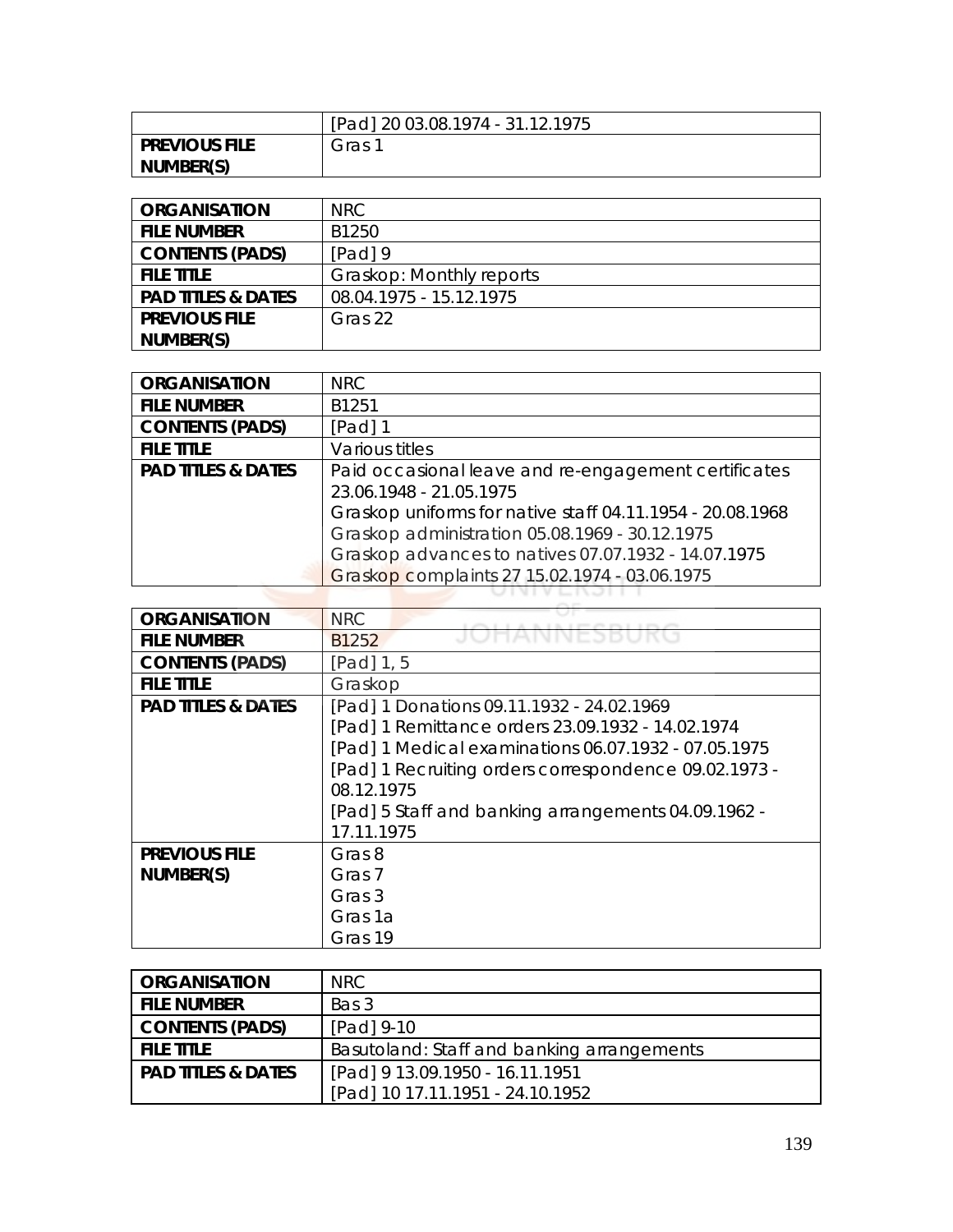|                      | [Pad] 20 03.08.1974 - 31.12.1975 |
|----------------------|----------------------------------|
| <b>PREVIOUS FILE</b> | Gras                             |
| NUMBER(S)            |                                  |

| <b>ORGANISATION</b>           | NRC.                     |
|-------------------------------|--------------------------|
| <b>FILE NUMBER</b>            | B1250                    |
| <b>CONTENTS (PADS)</b>        | [Pad] 9                  |
| <b>FILE TITLE</b>             | Graskop: Monthly reports |
| <b>PAD TITLES &amp; DATES</b> | 08.04.1975 - 15.12.1975  |
| <b>PREVIOUS FILE</b>          | Gras 22                  |
| NUMBER(S)                     |                          |

| <b>ORGANISATION</b>           | <b>NRC</b>                                                                                                                                                                                                                                                                                             |
|-------------------------------|--------------------------------------------------------------------------------------------------------------------------------------------------------------------------------------------------------------------------------------------------------------------------------------------------------|
| <b>FILE NUMBER</b>            | B1251                                                                                                                                                                                                                                                                                                  |
| <b>CONTENTS (PADS)</b>        | $[Pad]$ 1                                                                                                                                                                                                                                                                                              |
| <b>FILE TITLE</b>             | Various titles                                                                                                                                                                                                                                                                                         |
| <b>PAD TITLES &amp; DATES</b> | Paid occasional leave and re-engagement certificates<br>23.06.1948 - 21.05.1975<br>Graskop uniforms for native staff 04.11.1954 - 20.08.1968<br>Graskop administration 05.08.1969 - 30.12.1975<br>Graskop advances to natives 07.07.1932 - 14.07.1975<br>Graskop complaints 27 15.02.1974 - 03.06.1975 |
|                               |                                                                                                                                                                                                                                                                                                        |

| <b>ORGANISATION</b>           | <b>NRC</b><br>26. 27. 28. 29. 29. 29. 21. 22. 23.     |
|-------------------------------|-------------------------------------------------------|
| <b>FILE NUMBER</b>            | VIVEDDU<br>B <sub>1252</sub>                          |
| <b>CONTENTS (PADS)</b>        | [Pad] 1, 5                                            |
| <b>FILE TITLE</b>             | Graskop                                               |
| <b>PAD TITLES &amp; DATES</b> | [Pad] 1 Donations 09.11.1932 - 24.02.1969             |
|                               | [Pad] 1 Remittance orders 23.09.1932 - 14.02.1974     |
|                               | [Pad] 1 Medical examinations 06.07.1932 - 07.05.1975  |
|                               | [Pad] 1 Recruiting orders correspondence 09.02.1973 - |
|                               | 08.12.1975                                            |
|                               | [Pad] 5 Staff and banking arrangements 04.09.1962 -   |
|                               | 17.11.1975                                            |
| <b>PREVIOUS FILE</b>          | Gras 8                                                |
| NUMBER(S)                     | Gras 7                                                |
|                               | Gras 3                                                |
|                               | Gras 1a                                               |
|                               | Gras 19                                               |

| <b>ORGANISATION</b>  | NRC.                                       |
|----------------------|--------------------------------------------|
| I FILE NUMBER        | Bas 3                                      |
| CONTENTS (PADS)      | [Pad] 9-10                                 |
| I FILE TITLE.        | Basutoland: Staff and banking arrangements |
| l PAD TITLES & DATES | [Pad] 9 13.09.1950 - 16.11.1951            |
|                      | [Pad] 10 17.11.1951 - 24.10.1952           |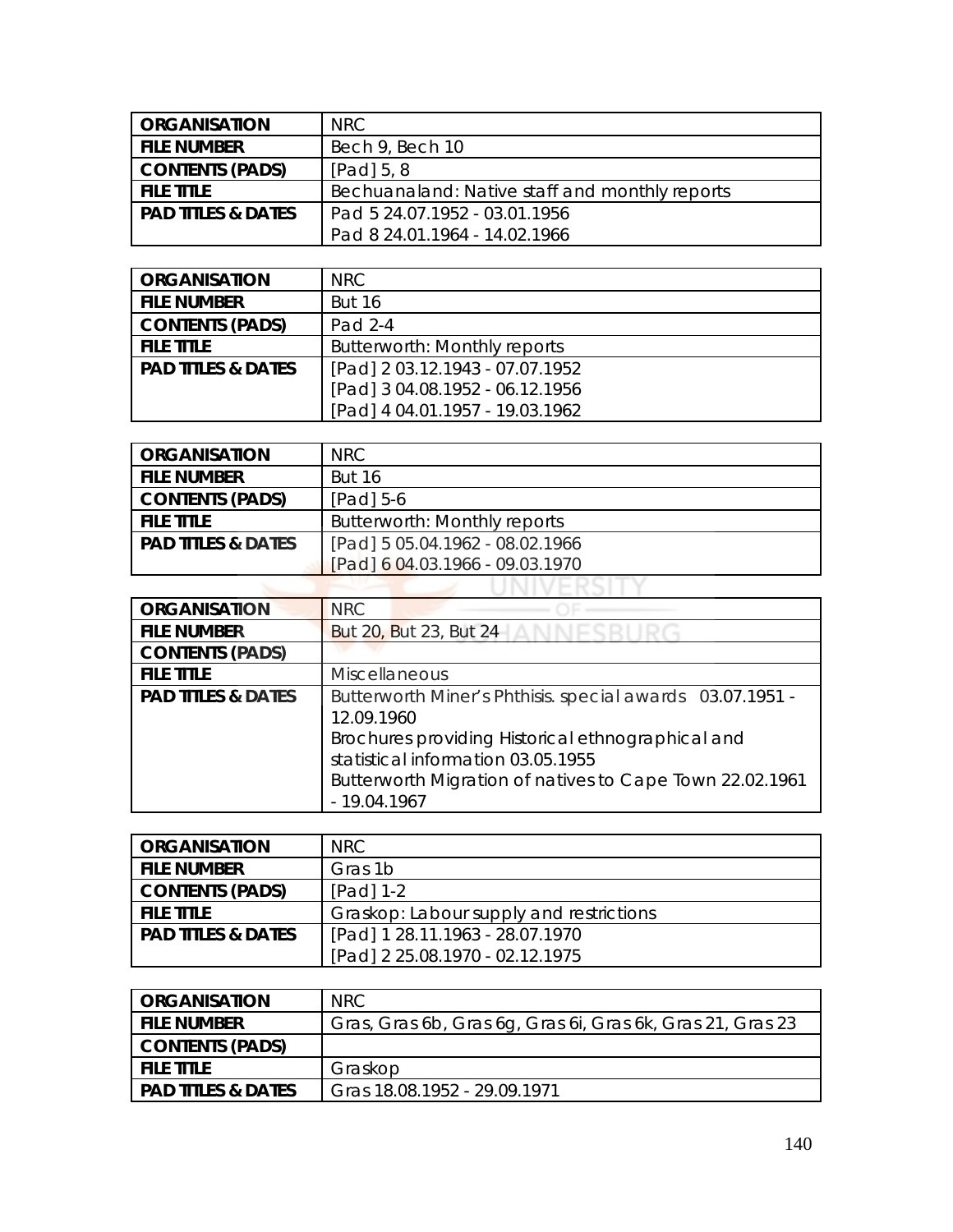| <b>ORGANISATION</b>  | NRC.                                           |
|----------------------|------------------------------------------------|
| i file number        | Bech 9, Bech 10                                |
| CONTENTS (PADS)      | $[Pad]$ 5, 8                                   |
| I FILE TITLE         | Bechuanaland: Native staff and monthly reports |
| l PAD TITLES & DATES | Pad 5 24.07.1952 - 03.01.1956                  |
|                      | Pad 8 24.01.1964 - 14.02.1966                  |

| <b>ORGANISATION</b>           | NRC.                            |
|-------------------------------|---------------------------------|
| <b>FILE NUMBER</b>            | <b>But 16</b>                   |
| <b>CONTENTS (PADS)</b>        | Pad 2-4                         |
| <b>FILE TITLE</b>             | Butterworth: Monthly reports    |
| <b>PAD TITLES &amp; DATES</b> | [Pad] 2 03.12.1943 - 07.07.1952 |
|                               | [Pad] 3 04.08.1952 - 06.12.1956 |
|                               | [Pad] 4 04.01.1957 - 19.03.1962 |

| <b>ORGANISATION</b>           | NRC.                                |
|-------------------------------|-------------------------------------|
| <b>FILE NUMBER</b>            | <b>But 16</b>                       |
| CONTENTS (PADS)               | $[Pad]$ 5-6                         |
| <b>FILE TITLE</b>             | <b>Butterworth: Monthly reports</b> |
| <b>PAD TITLES &amp; DATES</b> | [Pad] 5 05.04.1962 - 08.02.1966     |
|                               | [Pad] 6 04.03.1966 - 09.03.1970     |
|                               |                                     |

| <b>ORGANISATION</b>           | <b>NRC</b>                                                                                                                                                           |
|-------------------------------|----------------------------------------------------------------------------------------------------------------------------------------------------------------------|
| <b>FILE NUMBER</b>            | But 20, But 23, But 24                                                                                                                                               |
| <b>CONTENTS (PADS)</b>        |                                                                                                                                                                      |
| <b>FILE TITLE</b>             | <b>Miscellaneous</b>                                                                                                                                                 |
| <b>PAD TITLES &amp; DATES</b> | Butterworth Miner's Phthisis. special awards 03.07.1951 -<br>12.09.1960                                                                                              |
|                               | Brochures providing Historical ethnographical and<br>statistical information 03.05.1955<br>Butterworth Migration of natives to Cape Town 22.02.1961<br>$-19.04.1967$ |

| <b>ORGANISATION</b>           | NRC.                                    |
|-------------------------------|-----------------------------------------|
| <b>FILE NUMBER</b>            | Gras 1b                                 |
| <b>CONTENTS (PADS)</b>        | $[Pad]$ 1-2                             |
| <b>FILE TITLE</b>             | Graskop: Labour supply and restrictions |
| <b>PAD TITLES &amp; DATES</b> | [Pad] 1 28.11.1963 - 28.07.1970         |
|                               | [Pad] 2 25.08.1970 - 02.12.1975         |

| I ORGANISATION       | NRC                                                        |
|----------------------|------------------------------------------------------------|
| I FILE NUMBER        | Gras, Gras 6b, Gras 6g, Gras 6i, Gras 6k, Gras 21, Gras 23 |
| CONTENTS (PADS)      |                                                            |
| I FILE TITLE.        | Graskop                                                    |
| l PAD TITLES & DATES | Gras 18.08.1952 - 29.09.1971                               |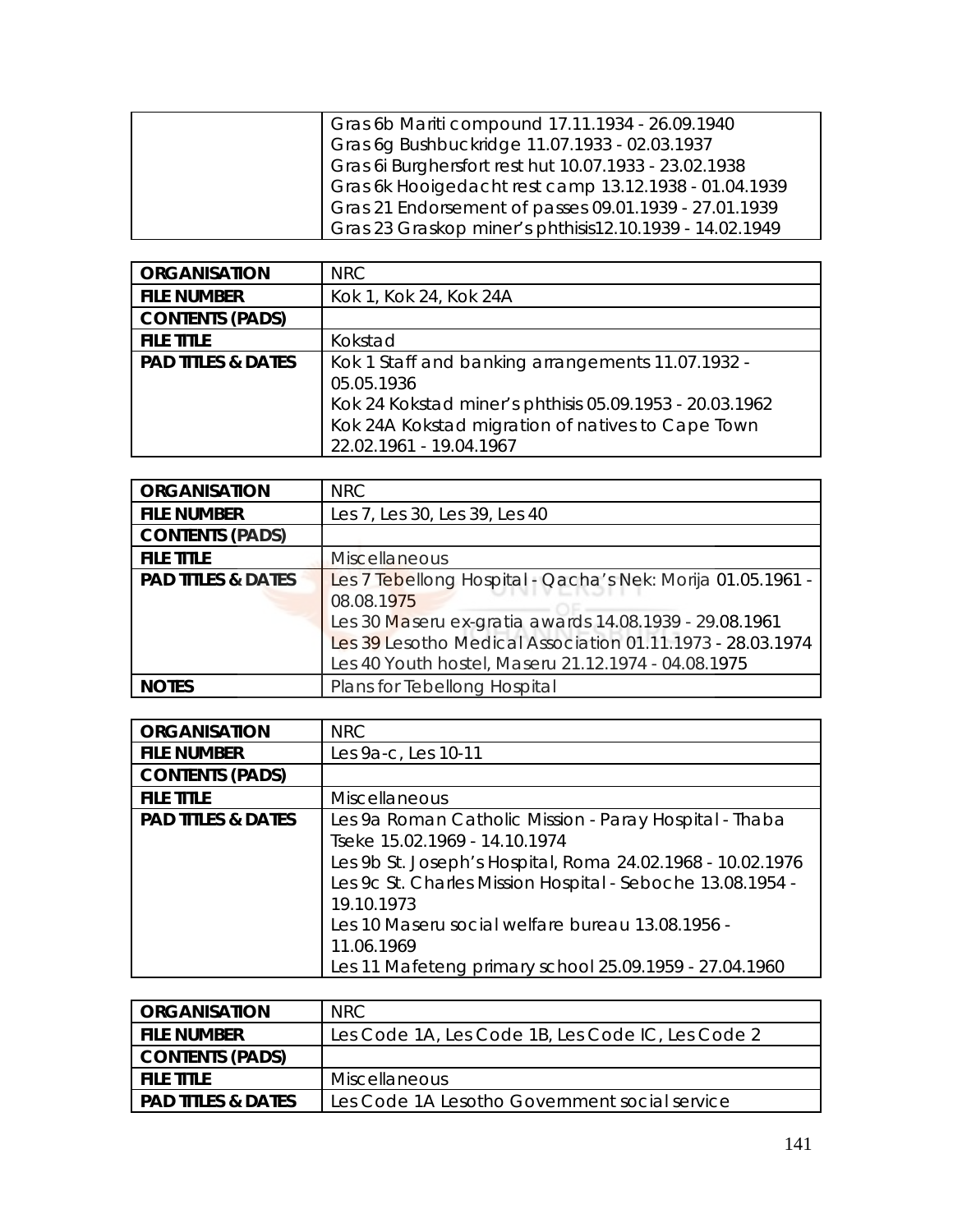| Gras 6b Mariti compound 17.11.1934 - 26.09.1940         |
|---------------------------------------------------------|
| Gras 6g Bushbuckridge 11.07.1933 - 02.03.1937           |
| Gras 6i Burghersfort rest hut 10.07.1933 - 23.02.1938   |
| Gras 6k Hooigedacht rest camp 13.12.1938 - 01.04.1939   |
| Gras 21 Endorsement of passes 09.01.1939 - 27.01.1939   |
| Gras 23 Graskop miner's phthisis12.10.1939 - 14.02.1949 |

| <b>ORGANISATION</b>           | <b>NRC</b>                                                      |
|-------------------------------|-----------------------------------------------------------------|
| <b>FILE NUMBER</b>            | Kok 1, Kok 24, Kok 24A                                          |
| <b>CONTENTS (PADS)</b>        |                                                                 |
| <b>FILE TITLE</b>             | Kokstad                                                         |
| <b>PAD TITLES &amp; DATES</b> | Kok 1 Staff and banking arrangements 11.07.1932 -<br>05.05.1936 |
|                               | Kok 24 Kokstad miner's phthisis 05.09.1953 - 20.03.1962         |
|                               | Kok 24A Kokstad migration of natives to Cape Town               |
|                               | 22.02.1961 - 19.04.1967                                         |

| <b>ORGANISATION</b>           | NRC                                                                                                                                                                         |
|-------------------------------|-----------------------------------------------------------------------------------------------------------------------------------------------------------------------------|
| <b>FILE NUMBER</b>            | Les 7, Les 30, Les 39, Les 40                                                                                                                                               |
| <b>CONTENTS (PADS)</b>        |                                                                                                                                                                             |
| <b>FILE TITLE</b>             | <b>Miscellaneous</b>                                                                                                                                                        |
| <b>PAD TITLES &amp; DATES</b> | Les 7 Tebellong Hospital - Qacha's Nek: Morija 01.05.1961 -<br>08.08.1975                                                                                                   |
|                               | Les 30 Maseru ex-gratia awards 14.08.1939 - 29.08.1961<br>Les 39 Lesotho Medical Association 01.11.1973 - 28.03.1974<br>Les 40 Youth hostel, Maseru 21.12.1974 - 04.08.1975 |
| <b>NOTES</b>                  | Plans for Tebellong Hospital                                                                                                                                                |

| <b>ORGANISATION</b>           | <b>NRC</b>                                                                                                                                                                                 |
|-------------------------------|--------------------------------------------------------------------------------------------------------------------------------------------------------------------------------------------|
| <b>FILE NUMBER</b>            | Les 9a-c, Les 10-11                                                                                                                                                                        |
| <b>CONTENTS (PADS)</b>        |                                                                                                                                                                                            |
| <b>FILE TITLE</b>             | <b>Miscellaneous</b>                                                                                                                                                                       |
| <b>PAD TITLES &amp; DATES</b> | Les 9a Roman Catholic Mission - Paray Hospital - Thaba<br>Tseke 15.02.1969 - 14.10.1974                                                                                                    |
|                               | Les 9b St. Joseph's Hospital, Roma 24.02.1968 - 10.02.1976<br>Les 9c St. Charles Mission Hospital - Seboche 13.08.1954 -<br>19.10.1973<br>Les 10 Maseru social welfare bureau 13.08.1956 - |
|                               | 11.06.1969<br>Les 11 Mafeteng primary school 25.09.1959 - 27.04.1960                                                                                                                       |

| <b>ORGANISATION</b>           | NRC.                                              |
|-------------------------------|---------------------------------------------------|
| <b>FILE NUMBER</b>            | Les Code 1A, Les Code 1B, Les Code IC, Les Code 2 |
| <b>CONTENTS (PADS)</b>        |                                                   |
| <b>FILE TITLE</b>             | <b>Miscellaneous</b>                              |
| <b>PAD TITLES &amp; DATES</b> | Les Code 1A Lesotho Government social service     |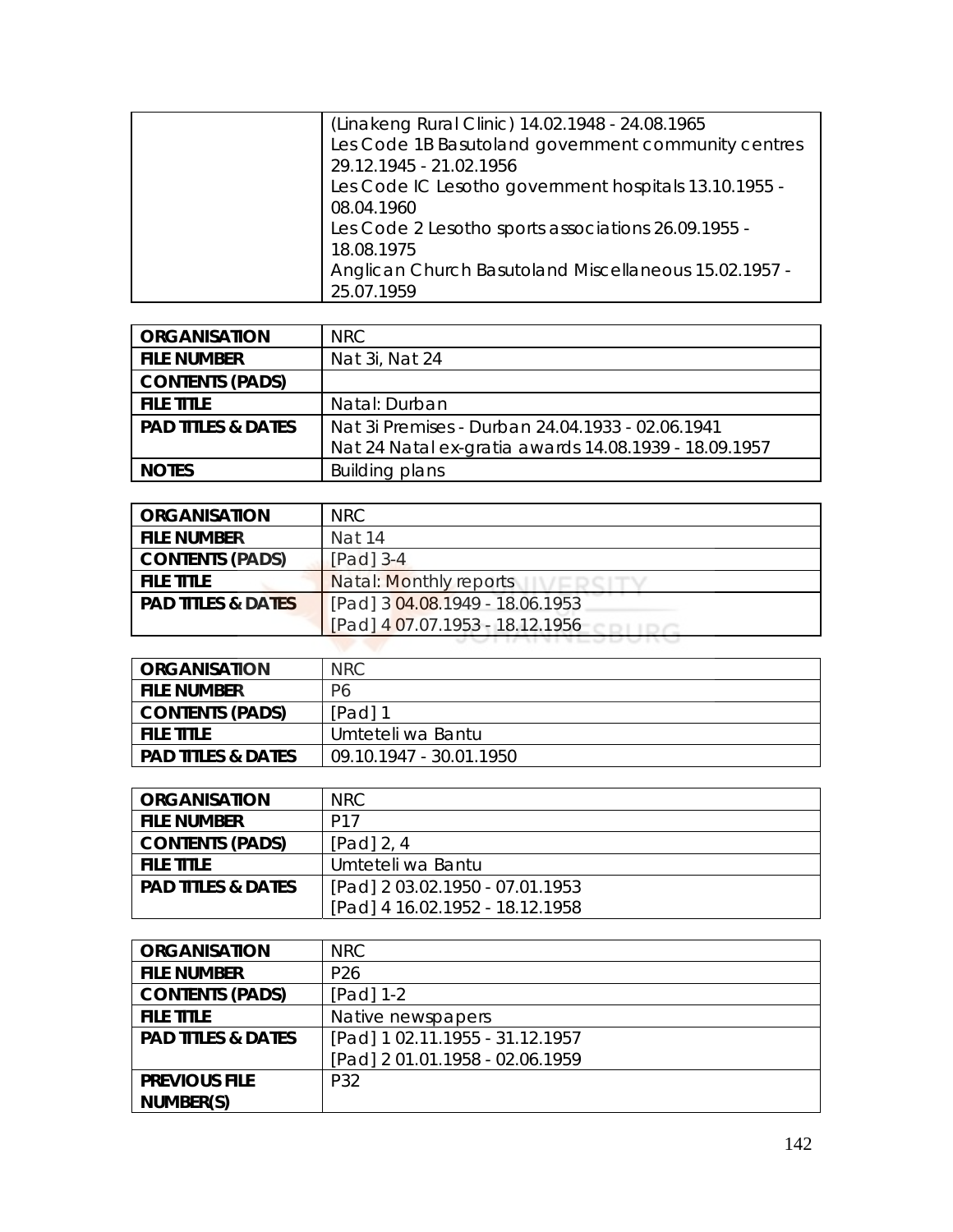| (Linakeng Rural Clinic) 14.02.1948 - 24.08.1965       |
|-------------------------------------------------------|
| Les Code 1B Basutoland government community centres   |
| 29.12.1945 - 21.02.1956                               |
| Les Code IC Lesotho government hospitals 13.10.1955 - |
| 08.04.1960                                            |
| Les Code 2 Lesotho sports associations 26.09.1955 -   |
| 18.08.1975                                            |
| Anglican Church Basutoland Miscellaneous 15.02.1957 - |
| 25.07.1959                                            |

| <b>ORGANISATION</b>           | NRC.                                                  |
|-------------------------------|-------------------------------------------------------|
| <b>FILE NUMBER</b>            | Nat 3i, Nat 24                                        |
| <b>CONTENTS (PADS)</b>        |                                                       |
| <b>FILE TITLE</b>             | Natal: Durban                                         |
| <b>PAD TITLES &amp; DATES</b> | Nat 3i Premises - Durban 24.04.1933 - 02.06.1941      |
|                               | Nat 24 Natal ex-gratia awards 14.08.1939 - 18.09.1957 |
| <b>NOTES</b>                  | <b>Building plans</b>                                 |

| <b>ORGANISATION</b>           | NRC.                            |
|-------------------------------|---------------------------------|
| <b>FILE NUMBER</b>            | Nat 14                          |
| <b>CONTENTS (PADS)</b>        | $[Pad]$ 3-4                     |
| <b>FILE TITLE</b>             | Natal: Monthly reports          |
| <b>PAD TITLES &amp; DATES</b> | [Pad] 3 04.08.1949 - 18.06.1953 |
|                               | [Pad] 4 07.07.1953 - 18.12.1956 |
|                               |                                 |

| <b>ORGANISATION</b>           | NRC.                    |
|-------------------------------|-------------------------|
| <b>FILE NUMBER</b>            | P6                      |
| <b>CONTENTS (PADS)</b>        | $[Pad]$ 1               |
| <b>FILE TITLE</b>             | Umteteli wa Bantu       |
| <b>PAD TITLES &amp; DATES</b> | 09.10.1947 - 30.01.1950 |

| <b>ORGANISATION</b>           | NRC.                            |
|-------------------------------|---------------------------------|
| <b>FILE NUMBER</b>            | P <sub>17</sub>                 |
| <b>CONTENTS (PADS)</b>        | [Pad] 2, 4                      |
| <b>FILE TITLE</b>             | Umteteli wa Bantu               |
| <b>PAD TITLES &amp; DATES</b> | [Pad] 2 03.02.1950 - 07.01.1953 |
|                               | [Pad] 4 16.02.1952 - 18.12.1958 |

| <b>ORGANISATION</b>           | NRC                             |
|-------------------------------|---------------------------------|
| <b>FILE NUMBER</b>            | P <sub>26</sub>                 |
| <b>CONTENTS (PADS)</b>        | $[Pad] 1-2$                     |
| <b>FILE TITLE</b>             | Native newspapers               |
| <b>PAD TITLES &amp; DATES</b> | [Pad] 1 02.11.1955 - 31.12.1957 |
|                               | [Pad] 2 01.01.1958 - 02.06.1959 |
| <b>PREVIOUS FILE</b>          | P32                             |
| NUMBER(S)                     |                                 |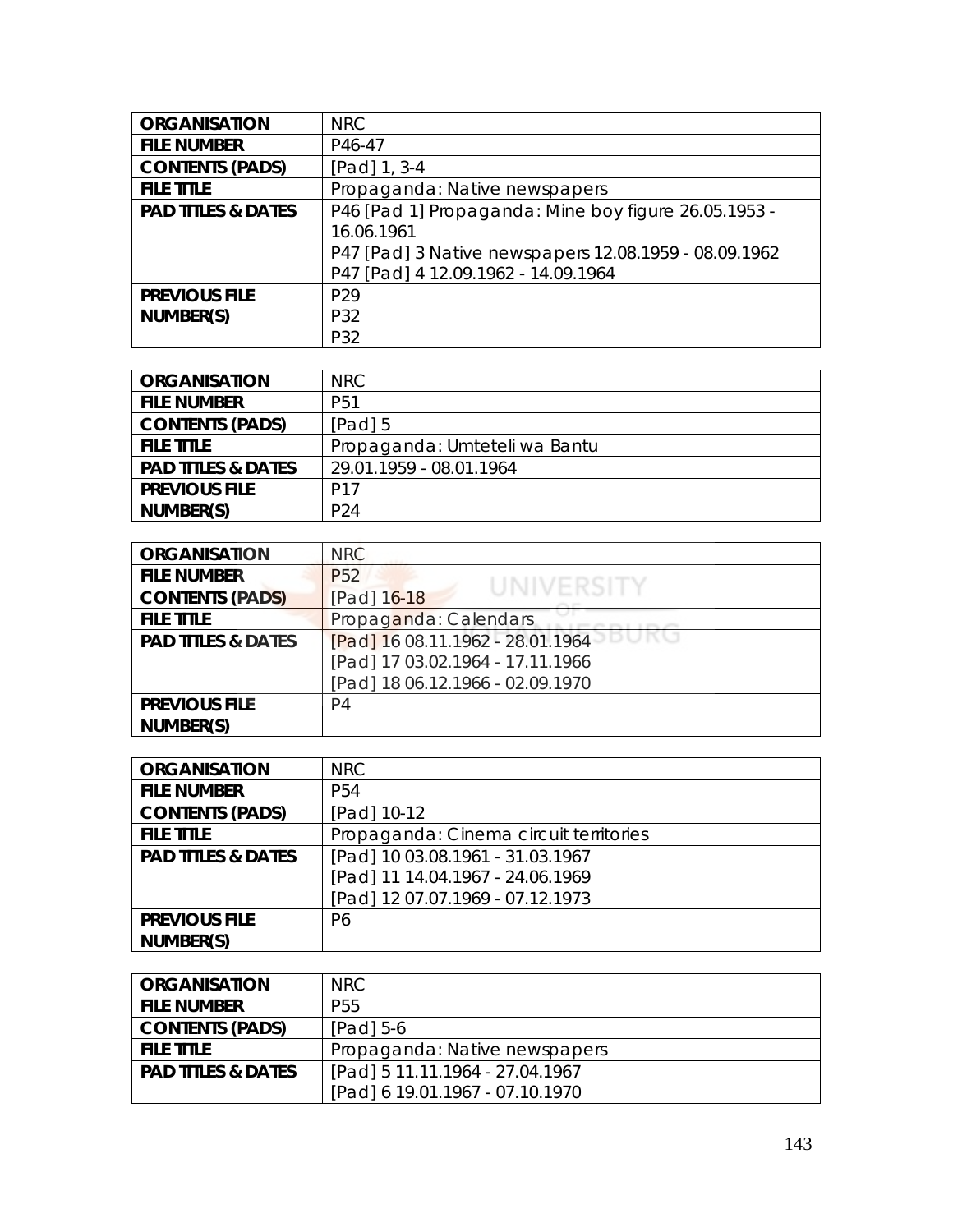| <b>ORGANISATION</b>           | <b>NRC</b>                                            |
|-------------------------------|-------------------------------------------------------|
| <b>FILE NUMBER</b>            | P46-47                                                |
| <b>CONTENTS (PADS)</b>        | [Pad] 1, 3-4                                          |
| <b>FILE TITLE</b>             | Propaganda: Native newspapers                         |
| <b>PAD TITLES &amp; DATES</b> | P46 [Pad 1] Propaganda: Mine boy figure 26.05.1953 -  |
|                               | 16.06.1961                                            |
|                               | P47 [Pad] 3 Native newspapers 12.08.1959 - 08.09.1962 |
|                               | P47 [Pad] 4 12.09.1962 - 14.09.1964                   |
| <b>PREVIOUS FILE</b>          | P <sub>29</sub>                                       |
| NUMBER(S)                     | P32                                                   |
|                               | P32                                                   |

| <b>ORGANISATION</b>           | NRC.                          |
|-------------------------------|-------------------------------|
| <b>FILE NUMBER</b>            | P <sub>51</sub>               |
| <b>CONTENTS (PADS)</b>        | $[Pad]$ 5                     |
| <b>FILE TITLE</b>             | Propaganda: Umteteli wa Bantu |
| <b>PAD TITLES &amp; DATES</b> | 29.01.1959 - 08.01.1964       |
| <b>PREVIOUS FILE</b>          | P <sub>17</sub>               |
| NUMBER(S)                     | P <sub>24</sub>               |

| <b>ORGANISATION</b>           | <b>NRC</b>                       |
|-------------------------------|----------------------------------|
| <b>FILE NUMBER</b>            | P <sub>52</sub>                  |
| <b>CONTENTS (PADS)</b>        | [Pad] 16-18                      |
| <b>FILE TITLE</b>             | Propaganda: Calendars            |
| <b>PAD TITLES &amp; DATES</b> | [Pad] 16 08.11.1962 - 28.01.1964 |
|                               | [Pad] 17 03.02.1964 - 17.11.1966 |
|                               | [Pad] 18 06.12.1966 - 02.09.1970 |
| <b>PREVIOUS FILE</b>          | P4                               |
| NUMBER(S)                     |                                  |

| <b>ORGANISATION</b>           | <b>NRC</b>                             |
|-------------------------------|----------------------------------------|
| <b>FILE NUMBER</b>            | P <sub>54</sub>                        |
| <b>CONTENTS (PADS)</b>        | [Pad] 10-12                            |
| <b>FILE TITLE</b>             | Propaganda: Cinema circuit territories |
| <b>PAD TITLES &amp; DATES</b> | [Pad] 10 03.08.1961 - 31.03.1967       |
|                               | [Pad] 11 14.04.1967 - 24.06.1969       |
|                               | [Pad] 12 07.07.1969 - 07.12.1973       |
| <b>PREVIOUS FILE</b>          | P6                                     |
| NUMBER(S)                     |                                        |

| <b>ORGANISATION</b>           | NRC.                            |
|-------------------------------|---------------------------------|
| <b>FILE NUMBER</b>            | P <sub>55</sub>                 |
| <b>CONTENTS (PADS)</b>        | $[Pad]$ 5-6                     |
| <b>FILE TITLE</b>             | Propaganda: Native newspapers   |
| <b>PAD TITLES &amp; DATES</b> | [Pad] 5 11.11.1964 - 27.04.1967 |
|                               | [Pad] 6 19.01.1967 - 07.10.1970 |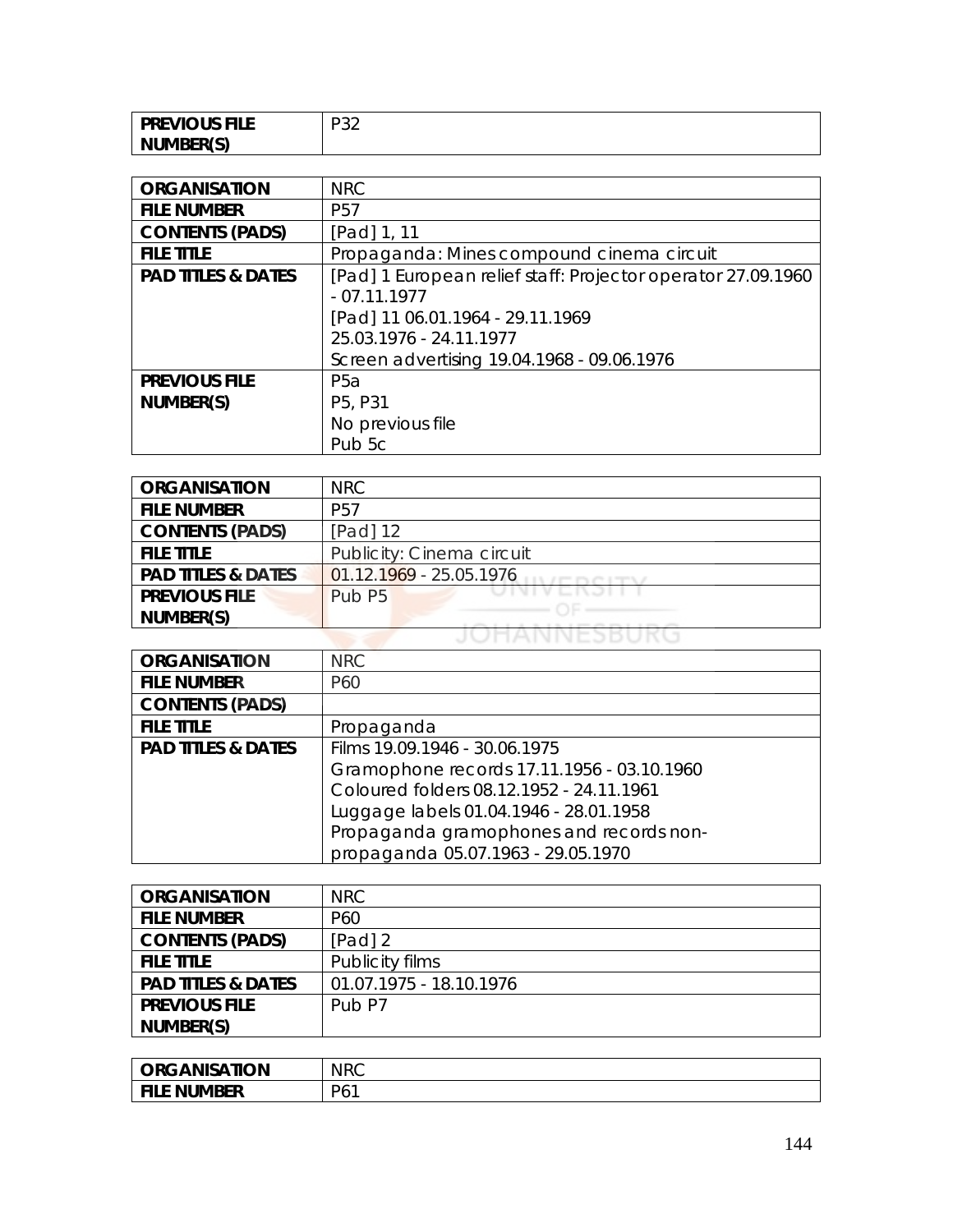| <b>PREVIOUS FILE</b> | nn o<br>−<br>ັ |
|----------------------|----------------|
| NUMBER(S)            |                |

| <b>ORGANISATION</b>           | <b>NRC</b>                                                   |
|-------------------------------|--------------------------------------------------------------|
| <b>FILE NUMBER</b>            | P <sub>57</sub>                                              |
| <b>CONTENTS (PADS)</b>        | [Pad] 1, 11                                                  |
| <b>FILE TITLE</b>             | Propaganda: Mines compound cinema circuit                    |
| <b>PAD TITLES &amp; DATES</b> | [Pad] 1 European relief staff: Projector operator 27.09.1960 |
|                               | $-07.11.1977$                                                |
|                               | [Pad] 11 06.01.1964 - 29.11.1969                             |
|                               | 25.03.1976 - 24.11.1977                                      |
|                               | Screen advertising 19.04.1968 - 09.06.1976                   |
| <b>PREVIOUS FILE</b>          | P <sub>5</sub> a                                             |
| NUMBER(S)                     | P5, P31                                                      |
|                               | No previous file                                             |
|                               | Pub 5c                                                       |

| <b>ORGANISATION</b>           | <b>NRC</b>                    |
|-------------------------------|-------------------------------|
| <b>FILE NUMBER</b>            | P <sub>57</sub>               |
| <b>CONTENTS (PADS)</b>        | $[Pad]$ 12                    |
| <b>FILE TITLE</b>             | Publicity: Cinema circuit     |
| <b>PAD TITLES &amp; DATES</b> | 01.12.1969 - 25.05.1976       |
| <b>PREVIOUS FILE</b>          | JIVI V L<br>Pub <sub>P5</sub> |
| NUMBER(S)                     |                               |
|                               |                               |

| <b>ORGANISATION</b>           | <b>NRC</b>                                 |
|-------------------------------|--------------------------------------------|
| <b>FILE NUMBER</b>            | P60                                        |
| <b>CONTENTS (PADS)</b>        |                                            |
| <b>FILE TITLE</b>             | Propaganda                                 |
| <b>PAD TITLES &amp; DATES</b> | Films 19.09.1946 - 30.06.1975              |
|                               | Gramophone records 17.11.1956 - 03.10.1960 |
|                               | Coloured folders 08.12.1952 - 24.11.1961   |
|                               | Luggage labels 01.04.1946 - 28.01.1958     |
|                               | Propaganda gramophones and records non-    |
|                               | propaganda 05.07.1963 - 29.05.1970         |

| <b>ORGANISATION</b>           | NRC                     |
|-------------------------------|-------------------------|
| <b>FILE NUMBER</b>            | P <sub>60</sub>         |
| <b>CONTENTS (PADS)</b>        | [Pad] 2                 |
| <b>FILE TITLE</b>             | Publicity films         |
| <b>PAD TITLES &amp; DATES</b> | 01.07.1975 - 18.10.1976 |
| <b>PREVIOUS FILE</b>          | Pub <sub>P7</sub>       |
| NUMBER(S)                     |                         |

| <b>ORGANISATION</b> | <b>NRC</b> |
|---------------------|------------|
| <b>FILE NUMBER</b>  | P61        |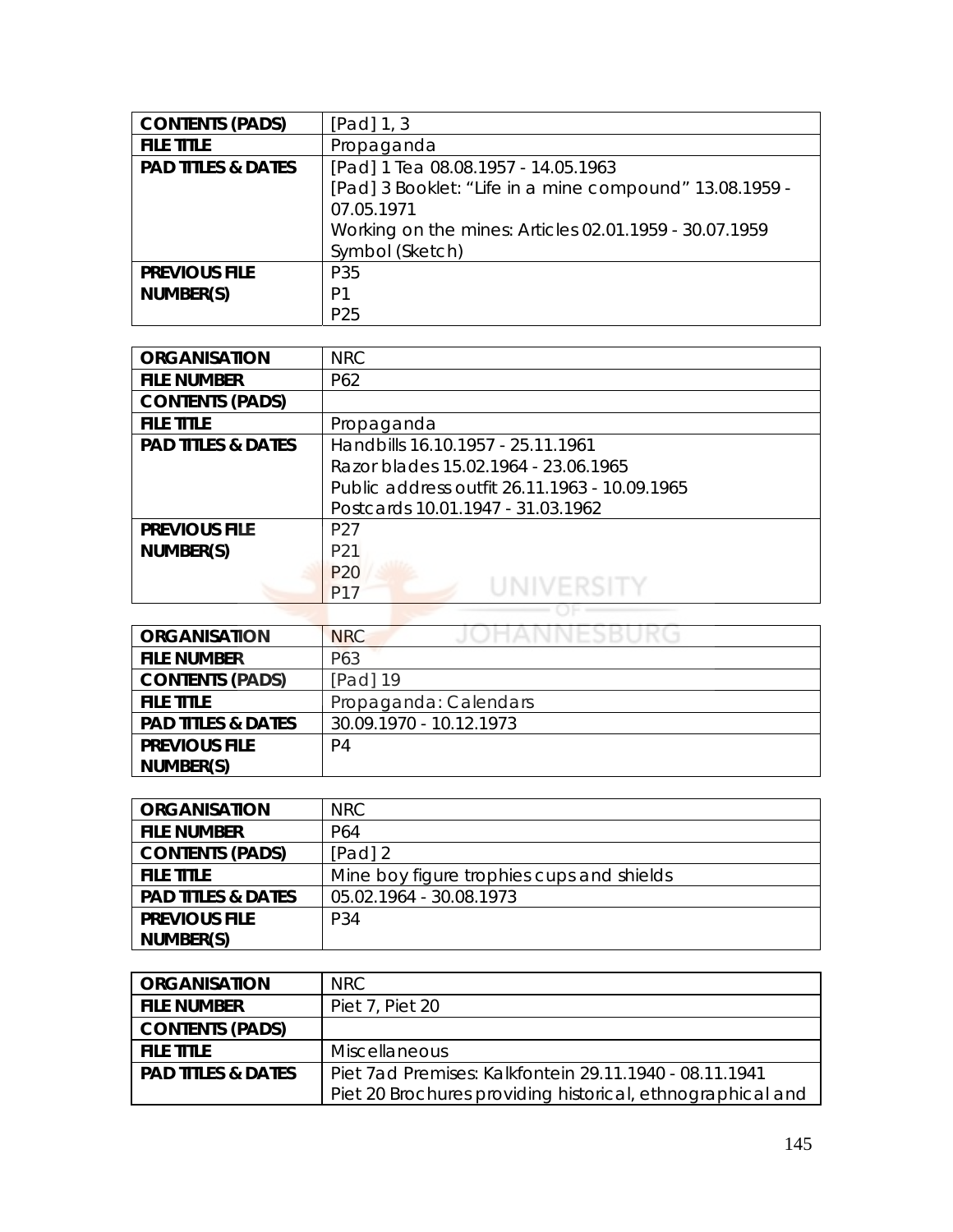| <b>CONTENTS (PADS)</b>        | [Pad] $1, 3$                                            |
|-------------------------------|---------------------------------------------------------|
| <b>FILE TITLE</b>             | Propaganda                                              |
| <b>PAD TITLES &amp; DATES</b> | [Pad] 1 Tea 08.08.1957 - 14.05.1963                     |
|                               | [Pad] 3 Booklet: "Life in a mine compound" 13.08.1959 - |
|                               | 07.05.1971                                              |
|                               | Working on the mines: Articles 02.01.1959 - 30.07.1959  |
|                               | Symbol (Sketch)                                         |
| <b>PREVIOUS FILE</b>          | P35                                                     |
| NUMBER(S)                     | P <sub>1</sub>                                          |
|                               | P <sub>25</sub>                                         |

| <b>ORGANISATION</b>           | <b>NRC</b>                                    |
|-------------------------------|-----------------------------------------------|
| <b>FILE NUMBER</b>            | P62                                           |
| <b>CONTENTS (PADS)</b>        |                                               |
| <b>FILE TITLE</b>             | Propaganda                                    |
| <b>PAD TITLES &amp; DATES</b> | Handbills 16.10.1957 - 25.11.1961             |
|                               | Razor blades 15.02.1964 - 23.06.1965          |
|                               | Public address outfit 26.11.1963 - 10.09.1965 |
|                               | Postcards 10.01.1947 - 31.03.1962             |
| <b>PREVIOUS FILE</b>          | P <sub>27</sub>                               |
| NUMBER(S)                     | P <sub>21</sub>                               |
|                               | P <sub>20</sub>                               |
|                               | P <sub>17</sub>                               |
|                               |                                               |

| <b>ORGANISATION</b>           | JOHANNESBURG<br><b>NRC</b> |
|-------------------------------|----------------------------|
| <b>FILE NUMBER</b>            | P63                        |
| <b>CONTENTS (PADS)</b>        | [Pad] 19                   |
| <b>FILE TITLE</b>             | Propaganda: Calendars      |
| <b>PAD TITLES &amp; DATES</b> | 30.09.1970 - 10.12.1973    |
| <b>PREVIOUS FILE</b>          | P4                         |
| NUMBER(S)                     |                            |

| <b>ORGANISATION</b>           | NRC.                                      |
|-------------------------------|-------------------------------------------|
| <b>FILE NUMBER</b>            | P64                                       |
| <b>CONTENTS (PADS)</b>        | $[Pad]$ 2                                 |
| <b>FILE TITLE</b>             | Mine boy figure trophies cups and shields |
| <b>PAD TITLES &amp; DATES</b> | 05.02.1964 - 30.08.1973                   |
| <b>PREVIOUS FILE</b>          | P34                                       |
| NUMBER(S)                     |                                           |

| <b>ORGANISATION</b>           | NRC.                                                       |
|-------------------------------|------------------------------------------------------------|
| <b>FILE NUMBER</b>            | Piet 7, Piet 20                                            |
| <b>CONTENTS (PADS)</b>        |                                                            |
| <b>FILE TITLE</b>             | <b>Miscellaneous</b>                                       |
| <b>PAD TITLES &amp; DATES</b> | Piet 7ad Premises: Kalkfontein 29.11.1940 - 08.11.1941     |
|                               | Piet 20 Brochures providing historical, ethnographical and |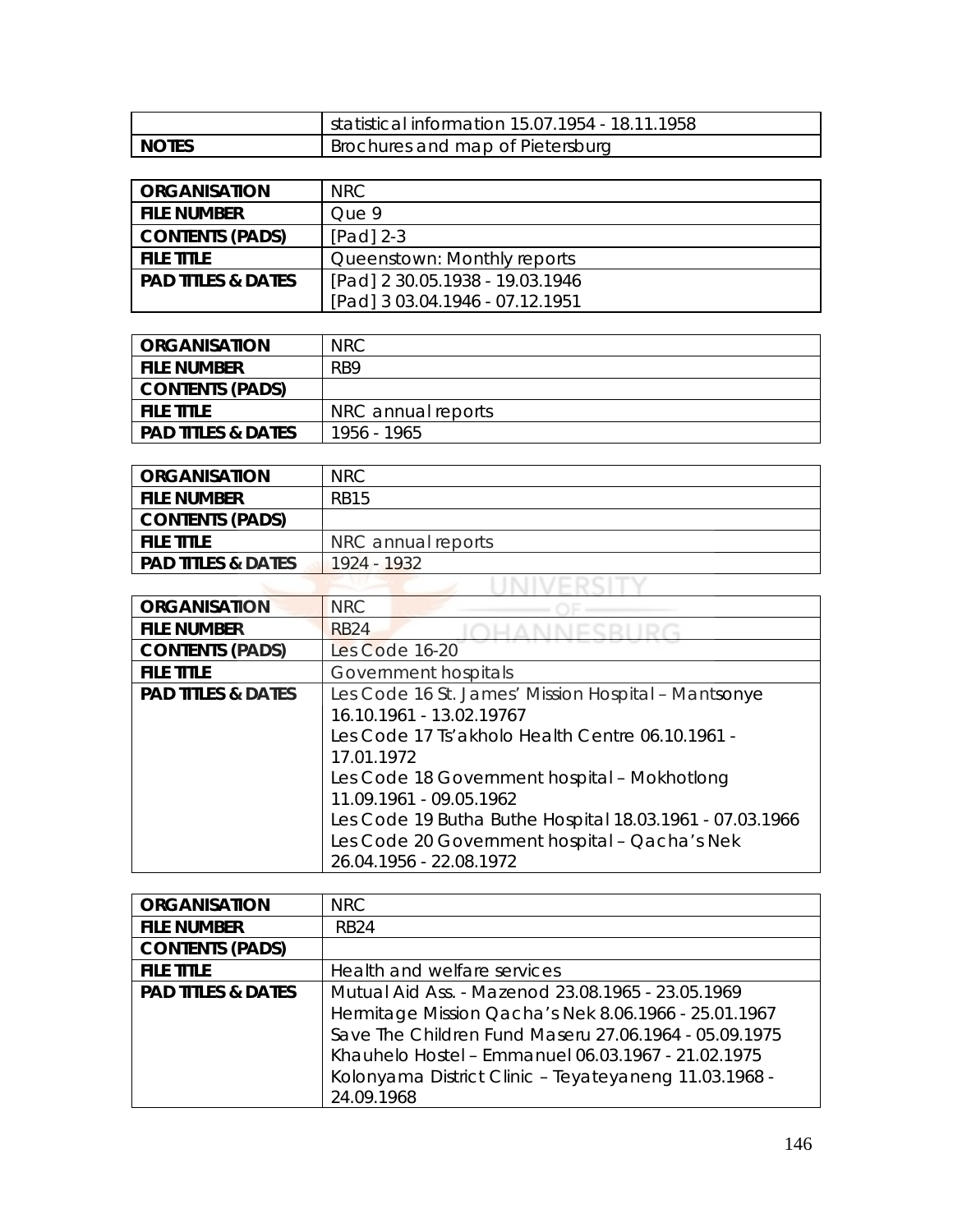|         | statistical information 15.07.1954 - 18.11.1958 |
|---------|-------------------------------------------------|
| I NOTES | Brochures and map of Pietersburg                |

| <b>ORGANISATION</b>           | NRC.                            |
|-------------------------------|---------------------------------|
| <b>FILE NUMBER</b>            | Oue 9                           |
| <b>CONTENTS (PADS)</b>        | $[Pad]$ 2-3                     |
| <b>FILE TITLE</b>             | Queenstown: Monthly reports     |
| <b>PAD TITLES &amp; DATES</b> | [Pad] 2 30.05.1938 - 19.03.1946 |
|                               | [Pad] 3 03.04.1946 - 07.12.1951 |

| ORGANISATION                  | <b>NRC</b>         |
|-------------------------------|--------------------|
| <b>FILE NUMBER</b>            | R <sub>B9</sub>    |
| <b>CONTENTS (PADS)</b>        |                    |
| <b>FILE TITLE</b>             | NRC annual reports |
| <b>PAD TITLES &amp; DATES</b> | 1956 - 1965        |

| <b>ORGANISATION</b>           | <b>NRC</b>         |
|-------------------------------|--------------------|
| <b>FILE NUMBER</b>            | RB15               |
| <b>CONTENTS (PADS)</b>        |                    |
| <b>FILE TITLE</b>             | NRC annual reports |
| <b>PAD TITLES &amp; DATES</b> | 1924 - 1932        |
|                               |                    |

| <b>ORGANISATION</b>           | <b>NRC</b>                                               |
|-------------------------------|----------------------------------------------------------|
| <b>FILE NUMBER</b>            | <b>RB24</b>                                              |
| <b>CONTENTS (PADS)</b>        | Les Code 16-20                                           |
| <b>FILE TITLE</b>             | Government hospitals                                     |
| <b>PAD TITLES &amp; DATES</b> | Les Code 16 St. James' Mission Hospital - Mantsonye      |
|                               | 16.10.1961 - 13.02.19767                                 |
|                               | Les Code 17 Ts' akholo Health Centre 06.10.1961 -        |
|                               | 17.01.1972                                               |
|                               | Les Code 18 Government hospital - Mokhotlong             |
|                               | 11.09.1961 - 09.05.1962                                  |
|                               | Les Code 19 Butha Buthe Hospital 18.03.1961 - 07.03.1966 |
|                               | Les Code 20 Government hospital - Qacha's Nek            |
|                               | 26.04.1956 - 22.08.1972                                  |

| <b>ORGANISATION</b>           | NRC.                                                  |
|-------------------------------|-------------------------------------------------------|
| <b>FILE NUMBER</b>            | <b>RB24</b>                                           |
| <b>CONTENTS (PADS)</b>        |                                                       |
| <b>FILE TITLE</b>             | Health and welfare services                           |
| <b>PAD TITLES &amp; DATES</b> | Mutual Aid Ass. - Mazenod 23.08.1965 - 23.05.1969     |
|                               | Hermitage Mission Qacha's Nek 8.06.1966 - 25.01.1967  |
|                               | Save The Children Fund Maseru 27.06.1964 - 05.09.1975 |
|                               | Khauhelo Hostel - Emmanuel 06.03.1967 - 21.02.1975    |
|                               | Kolonyama District Clinic - Teyateyaneng 11.03.1968 - |
|                               | 24.09.1968                                            |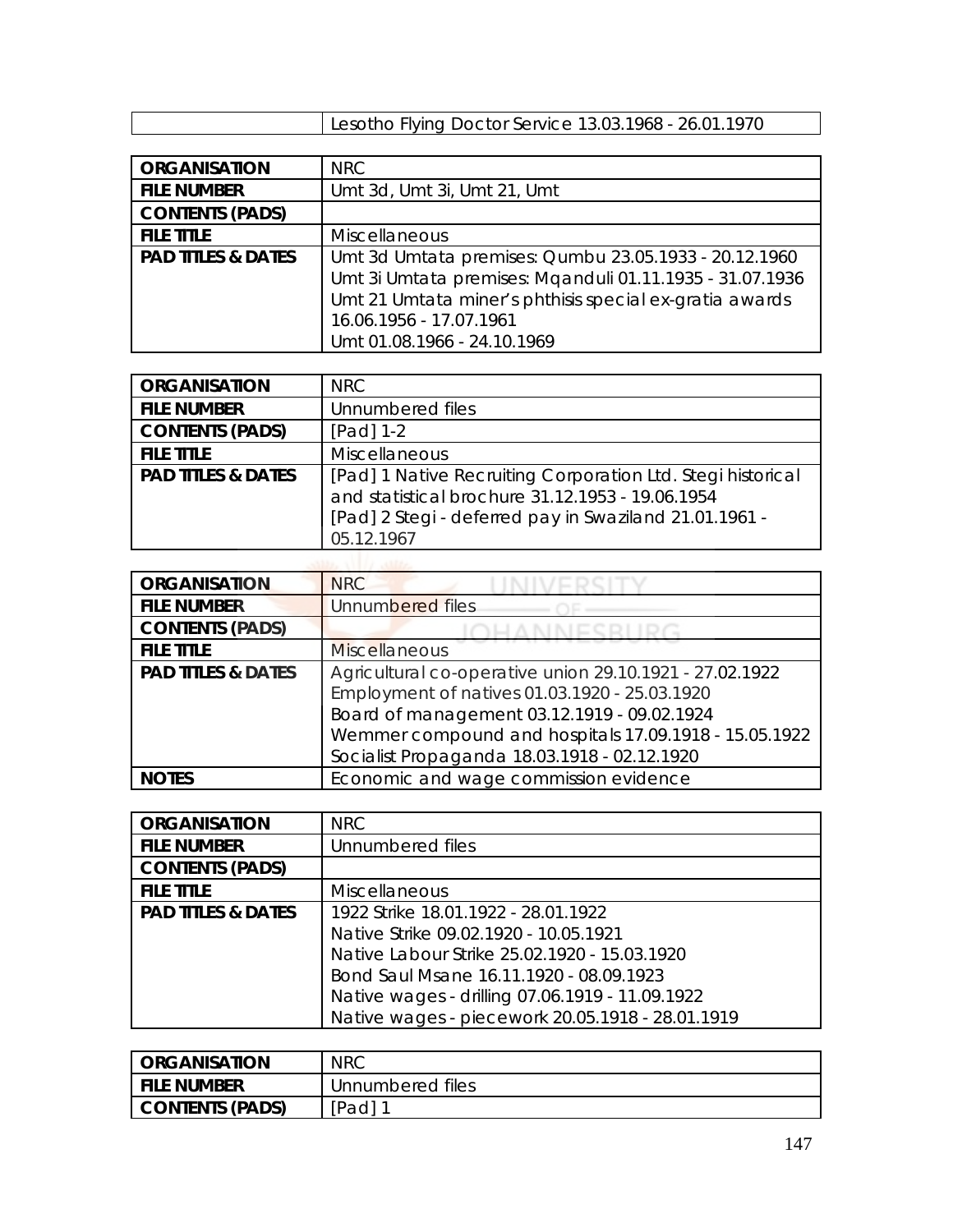| Lesotho Flying Doctor Service 13.03.1968 - 26.01.1970 |
|-------------------------------------------------------|
|-------------------------------------------------------|

| <b>ORGANISATION</b>           | <b>NRC</b>                                               |
|-------------------------------|----------------------------------------------------------|
| <b>FILE NUMBER</b>            | Umt 3d, Umt 3i, Umt 21, Umt                              |
| <b>CONTENTS (PADS)</b>        |                                                          |
| <b>FILE TITLE</b>             | <b>Miscellaneous</b>                                     |
| <b>PAD TITLES &amp; DATES</b> | Umt 3d Umtata premises: Qumbu 23.05.1933 - 20.12.1960    |
|                               | Umt 3i Umtata premises: Mqanduli 01.11.1935 - 31.07.1936 |
|                               | Umt 21 Umtata miner's phthisis special ex-gratia awards  |
|                               | 16.06.1956 - 17.07.1961                                  |
|                               | Umt 01.08.1966 - 24.10.1969                              |

| <b>ORGANISATION</b>           | <b>NRC</b>                                                                                                                                                                              |
|-------------------------------|-----------------------------------------------------------------------------------------------------------------------------------------------------------------------------------------|
| <b>FILE NUMBER</b>            | Unnumbered files                                                                                                                                                                        |
| <b>CONTENTS (PADS)</b>        | $[Pad] 1-2$                                                                                                                                                                             |
| <b>FILE TITLE</b>             | Miscellaneous                                                                                                                                                                           |
| <b>PAD TITLES &amp; DATES</b> | [Pad] 1 Native Recruiting Corporation Ltd. Stegi historical<br>and statistical brochure 31.12.1953 - 19.06.1954<br>[Pad] 2 Stegi - deferred pay in Swaziland 21.01.1961 -<br>05.12.1967 |
|                               |                                                                                                                                                                                         |

| <b>ORGANISATION</b>           | <b>NRC</b>                                              |
|-------------------------------|---------------------------------------------------------|
| <b>FILE NUMBER</b>            | Unnumbered files                                        |
| <b>CONTENTS (PADS)</b>        |                                                         |
| <b>FILE TITLE</b>             | <b>Miscellaneous</b>                                    |
| <b>PAD TITLES &amp; DATES</b> | Agricultural co-operative union 29.10.1921 - 27.02.1922 |
|                               | Employment of natives 01.03.1920 - 25.03.1920           |
|                               | Board of management 03.12.1919 - 09.02.1924             |
|                               | Wemmer compound and hospitals 17.09.1918 - 15.05.1922   |
|                               | Socialist Propaganda 18.03.1918 - 02.12.1920            |
|                               | Economic and wage commission evidence                   |

| <b>ORGANISATION</b>           | NRC                                              |
|-------------------------------|--------------------------------------------------|
| <b>FILE NUMBER</b>            | Unnumbered files                                 |
| <b>CONTENTS (PADS)</b>        |                                                  |
| <b>FILE TITLE</b>             | Miscellaneous                                    |
| <b>PAD TITLES &amp; DATES</b> | 1922 Strike 18.01.1922 - 28.01.1922              |
|                               | Native Strike 09.02.1920 - 10.05.1921            |
|                               | Native Labour Strike 25.02.1920 - 15.03.1920     |
|                               | Bond Saul Msane 16.11.1920 - 08.09.1923          |
|                               | Native wages - drilling 07.06.1919 - 11.09.1922  |
|                               | Native wages - piecework 20.05.1918 - 28.01.1919 |

| <b>ORGANISATION</b> | <b>NRC</b>       |
|---------------------|------------------|
| i file number       | Unnumbered files |
| CONTENTS (PADS)     | [Pad]            |